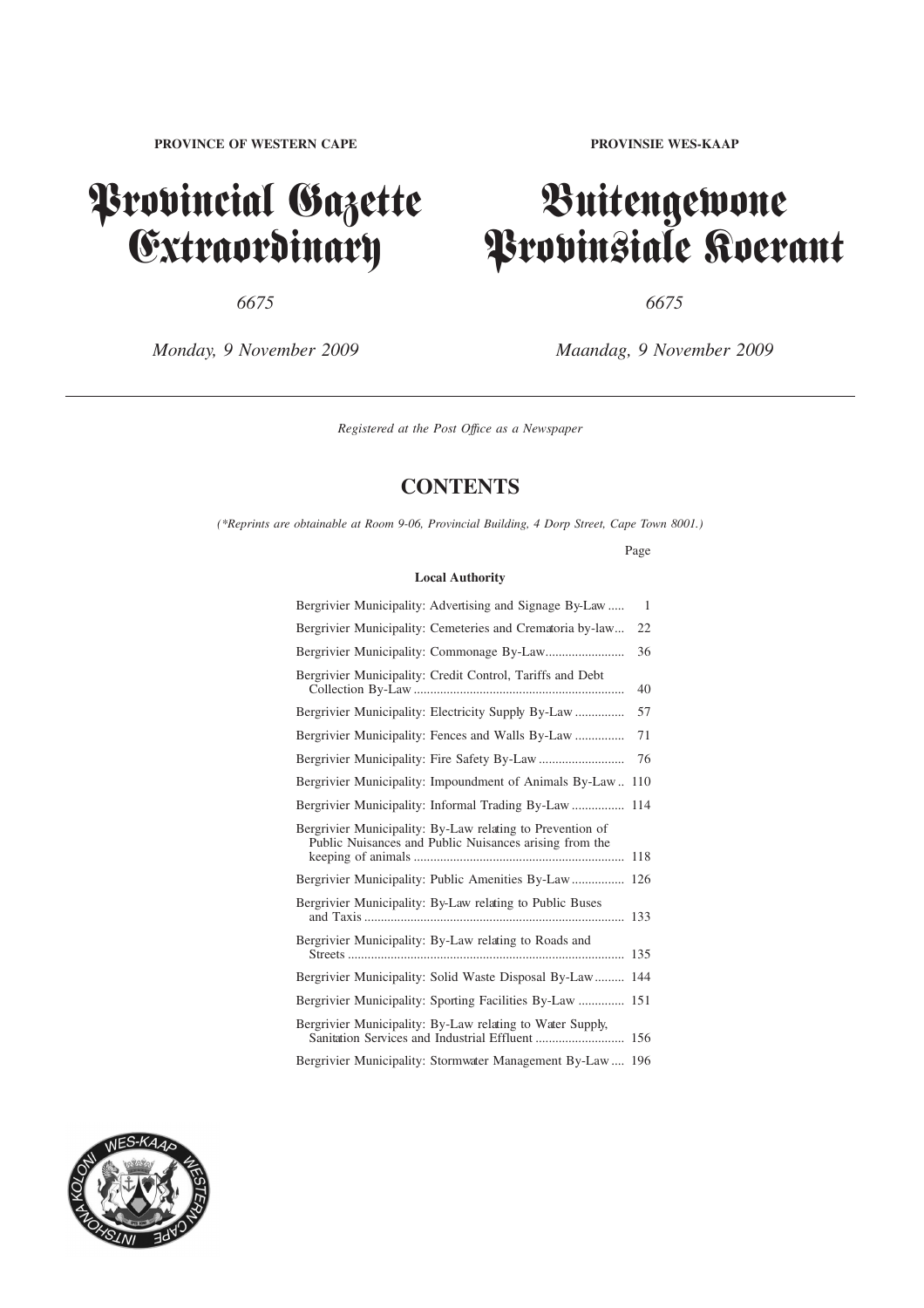# Provincial Gazette **Extraordinary**

*6675 6675*

*Monday, 9 November 2009 Maandag, 9 November 2009*

# Buitengewone Provinsiale Koerant

*Registered at the Post Offıce as a Newspaper*

# **CONTENTS**

*(\*Reprints are obtainable at Room 9-06, Provincial Building, 4 Dorp Street, Cape Town 8001.)*

Page

### **Local Authority**

| Bergrivier Municipality: Advertising and Signage By-Law                                                                                                                                                                                                                                          | 1   |
|--------------------------------------------------------------------------------------------------------------------------------------------------------------------------------------------------------------------------------------------------------------------------------------------------|-----|
| Bergrivier Municipality: Cemeteries and Crematoria by-law                                                                                                                                                                                                                                        | 22  |
|                                                                                                                                                                                                                                                                                                  | 36  |
| Bergrivier Municipality: Credit Control, Tariffs and Debt                                                                                                                                                                                                                                        | 40  |
|                                                                                                                                                                                                                                                                                                  | 57  |
| Bergrivier Municipality: Fences and Walls By-Law                                                                                                                                                                                                                                                 | 71  |
|                                                                                                                                                                                                                                                                                                  | 76  |
| Bergrivier Municipality: Impoundment of Animals By-Law                                                                                                                                                                                                                                           | 110 |
| Bergrivier Municipality: Informal Trading By-Law                                                                                                                                                                                                                                                 | 114 |
| Bergrivier Municipality: By-Law relating to Prevention of<br>Public Nuisances and Public Nuisances arising from the                                                                                                                                                                              | 118 |
|                                                                                                                                                                                                                                                                                                  | 126 |
| Bergrivier Municipality: By-Law relating to Public Buses                                                                                                                                                                                                                                         | 133 |
| Bergrivier Municipality: By-Law relating to Roads and                                                                                                                                                                                                                                            | 135 |
| Bergrivier Municipality: Solid Waste Disposal By-Law                                                                                                                                                                                                                                             | 144 |
|                                                                                                                                                                                                                                                                                                  | 151 |
| Bergrivier Municipality: By-Law relating to Water Supply,                                                                                                                                                                                                                                        |     |
| $\mathbf{D}$ and $\mathbf{D}$ and $\mathbf{M}$ and $\mathbf{M}$ are $\mathbf{M}$ and $\mathbf{D}$ and $\mathbf{D}$ and $\mathbf{D}$ and $\mathbf{D}$ and $\mathbf{M}$ and $\mathbf{D}$ and $\mathbf{D}$ and $\mathbf{D}$ and $\mathbf{D}$ and $\mathbf{D}$ and $\mathbf{D}$ and $\mathbf{D}$ and |     |

Bergrivier Municipality: Stormwater Management By-Law .... 196

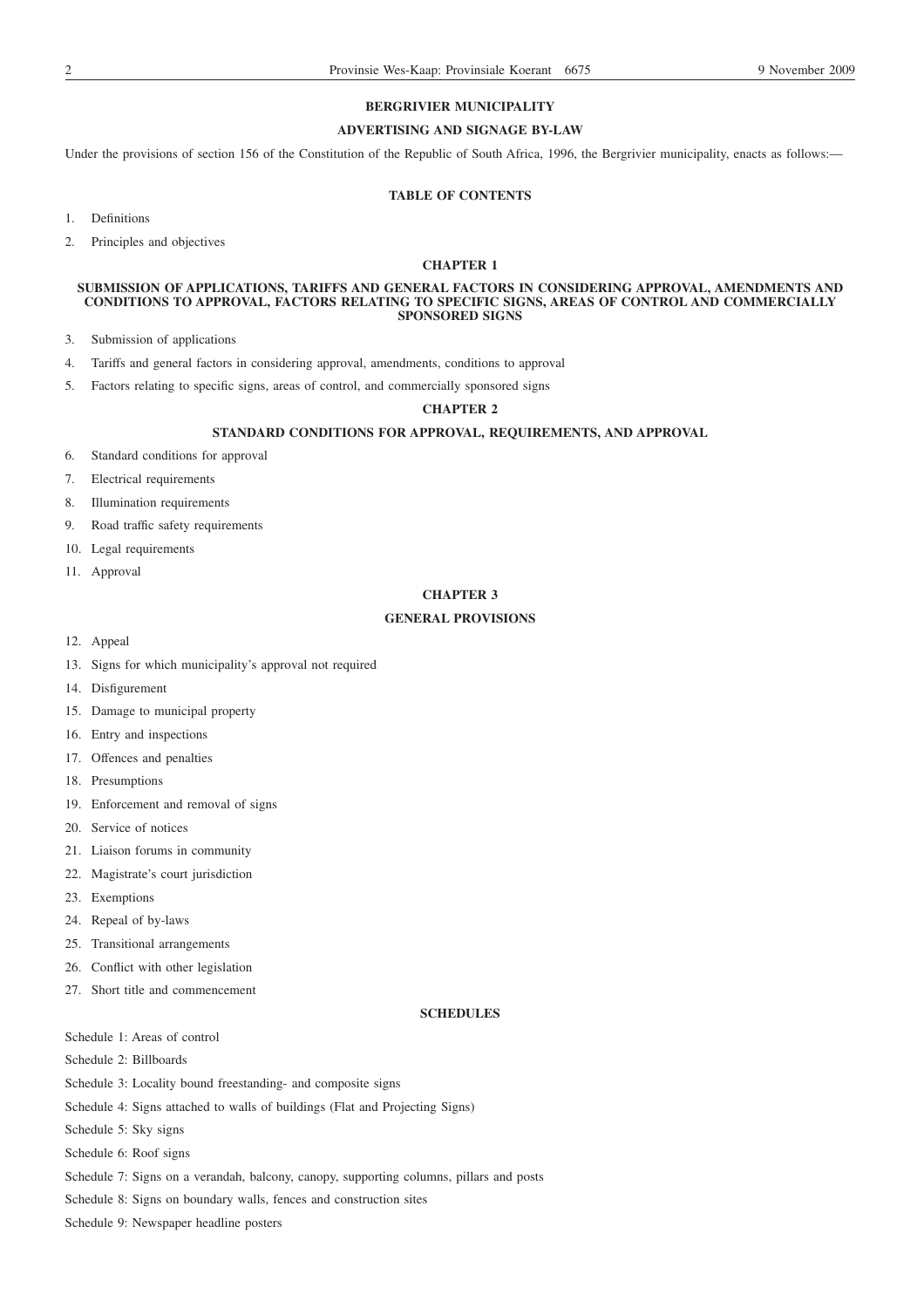# **BERGRIVIER MUNICIPALITY**

### **ADVERTISING AND SIGNAGE BY-LAW**

Under the provisions of section 156 of the Constitution of the Republic of South Africa, 1996, the Bergrivier municipality, enacts as follows:-

# **TABLE OF CONTENTS**

- 1. Definitions
- 2. Principles and objectives

# **CHAPTER 1**

### **SUBMISSION OF APPLICATIONS, TARIFFS AND GENERAL FACTORS IN CONSIDERING APPROVAL, AMENDMENTS AND CONDITIONS TO APPROVAL, FACTORS RELATING TO SPECIFIC SIGNS, AREAS OF CONTROL AND COMMERCIALLY SPONSORED SIGNS**

- 3. Submission of applications
- 4. Tariffs and general factors in considering approval, amendments, conditions to approval
- 5. Factors relating to specific signs, areas of control, and commercially sponsored signs

### **CHAPTER 2**

# **STANDARD CONDITIONS FOR APPROVAL, REQUIREMENTS, AND APPROVAL**

- 6. Standard conditions for approval
- 7. Electrical requirements
- 8. Illumination requirements
- 9. Road traffic safety requirements
- 10. Legal requirements
- 11. Approval

### **CHAPTER 3**

### **GENERAL PROVISIONS**

- 12. Appeal
- 13. Signs for which municipality's approval not required
- 14. Disfigurement
- 15. Damage to municipal property
- 16. Entry and inspections
- 17. Offences and penalties
- 18. Presumptions
- 19. Enforcement and removal of signs
- 20. Service of notices
- 21. Liaison forums in community
- 22. Magistrate's court jurisdiction
- 23. Exemptions
- 24. Repeal of by-laws
- 25. Transitional arrangements
- 26. Conflict with other legislation
- 27. Short title and commencement

# **SCHEDULES**

Schedule 1: Areas of control

Schedule 2: Billboards

- Schedule 3: Locality bound freestanding- and composite signs
- Schedule 4: Signs attached to walls of buildings (Flat and Projecting Signs)
- Schedule 5: Sky signs
- Schedule 6: Roof signs
- Schedule 7: Signs on a verandah, balcony, canopy, supporting columns, pillars and posts
- Schedule 8: Signs on boundary walls, fences and construction sites
- Schedule 9: Newspaper headline posters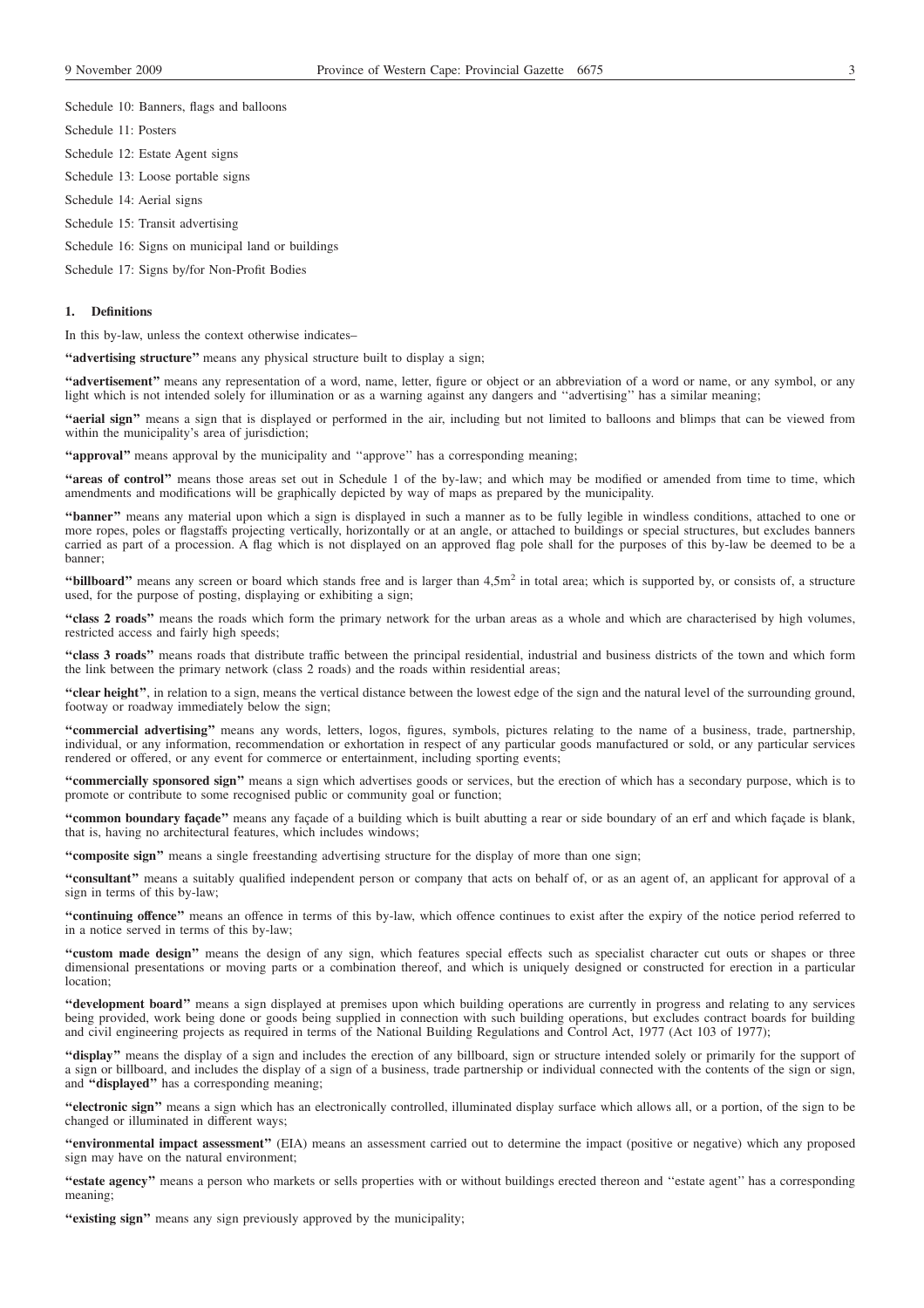Schedule 10: Banners, flags and balloons

Schedule 11: Posters

Schedule 12: Estate Agent signs

Schedule 13: Loose portable signs

Schedule 14: Aerial signs

Schedule 15: Transit advertising

Schedule 16: Signs on municipal land or buildings

Schedule 17: Signs by/for Non-Profit Bodies

### **1. Definitions**

In this by-law, unless the context otherwise indicates–

**''advertising structure''** means any physical structure built to display a sign;

**''advertisement''** means any representation of a word, name, letter, figure or object or an abbreviation of a word or name, or any symbol, or any light which is not intended solely for illumination or as a warning against any dangers and ''advertising'' has a similar meaning;

**''aerial sign''** means a sign that is displayed or performed in the air, including but not limited to balloons and blimps that can be viewed from within the municipality's area of jurisdiction;

**''approval''** means approval by the municipality and ''approve'' has a corresponding meaning;

**''areas of control''** means those areas set out in Schedule 1 of the by-law; and which may be modified or amended from time to time, which amendments and modifications will be graphically depicted by way of maps as prepared by the municipality.

**''banner''** means any material upon which a sign is displayed in such a manner as to be fully legible in windless conditions, attached to one or more ropes, poles or flagstaffs projecting vertically, horizontally or at an angle, or attached to buildings or special structures, but excludes banners carried as part of a procession. A flag which is not displayed on an approved flag pole shall for the purposes of this by-law be deemed to be a banner;

**"billboard"** means any screen or board which stands free and is larger than 4,5m<sup>2</sup> in total area; which is supported by, or consists of, a structure used, for the purpose of posting, displaying or exhibiting a sign;

**''class 2 roads''** means the roads which form the primary network for the urban areas as a whole and which are characterised by high volumes, restricted access and fairly high speeds;

**''class 3 roads''** means roads that distribute traffic between the principal residential, industrial and business districts of the town and which form the link between the primary network (class 2 roads) and the roads within residential areas;

**''clear height''**, in relation to a sign, means the vertical distance between the lowest edge of the sign and the natural level of the surrounding ground, footway or roadway immediately below the sign;

**''commercial advertising''** means any words, letters, logos, figures, symbols, pictures relating to the name of a business, trade, partnership, individual, or any information, recommendation or exhortation in respect of any particular goods manufactured or sold, or any particular services rendered or offered, or any event for commerce or entertainment, including sporting events;

**''commercially sponsored sign''** means a sign which advertises goods or services, but the erection of which has a secondary purpose, which is to promote or contribute to some recognised public or community goal or function;

**''common boundary façade''** means any façade of a building which is built abutting a rear or side boundary of an erf and which façade is blank, that is, having no architectural features, which includes windows;

**''composite sign''** means a single freestanding advertising structure for the display of more than one sign;

**''consultant''** means a suitably qualified independent person or company that acts on behalf of, or as an agent of, an applicant for approval of a sign in terms of this by-law;

**''continuing offence''** means an offence in terms of this by-law, which offence continues to exist after the expiry of the notice period referred to in a notice served in terms of this by-law;

**''custom made design''** means the design of any sign, which features special effects such as specialist character cut outs or shapes or three dimensional presentations or moving parts or a combination thereof, and which is uniquely designed or constructed for erection in a particular location;

**''development board''** means a sign displayed at premises upon which building operations are currently in progress and relating to any services being provided, work being done or goods being supplied in connection with such building operations, but excludes contract boards for building and civil engineering projects as required in terms of the National Building Regulations and Control Act, 1977 (Act 103 of 1977);

**''display''** means the display of a sign and includes the erection of any billboard, sign or structure intended solely or primarily for the support of a sign or billboard, and includes the display of a sign of a business, trade partnership or individual connected with the contents of the sign or sign, and **''displayed''** has a corresponding meaning;

**''electronic sign''** means a sign which has an electronically controlled, illuminated display surface which allows all, or a portion, of the sign to be changed or illuminated in different ways;

**''environmental impact assessment''** (EIA) means an assessment carried out to determine the impact (positive or negative) which any proposed sign may have on the natural environment;

**''estate agency''** means a person who markets or sells properties with or without buildings erected thereon and ''estate agent'' has a corresponding meaning;

"existing sign" means any sign previously approved by the municipality;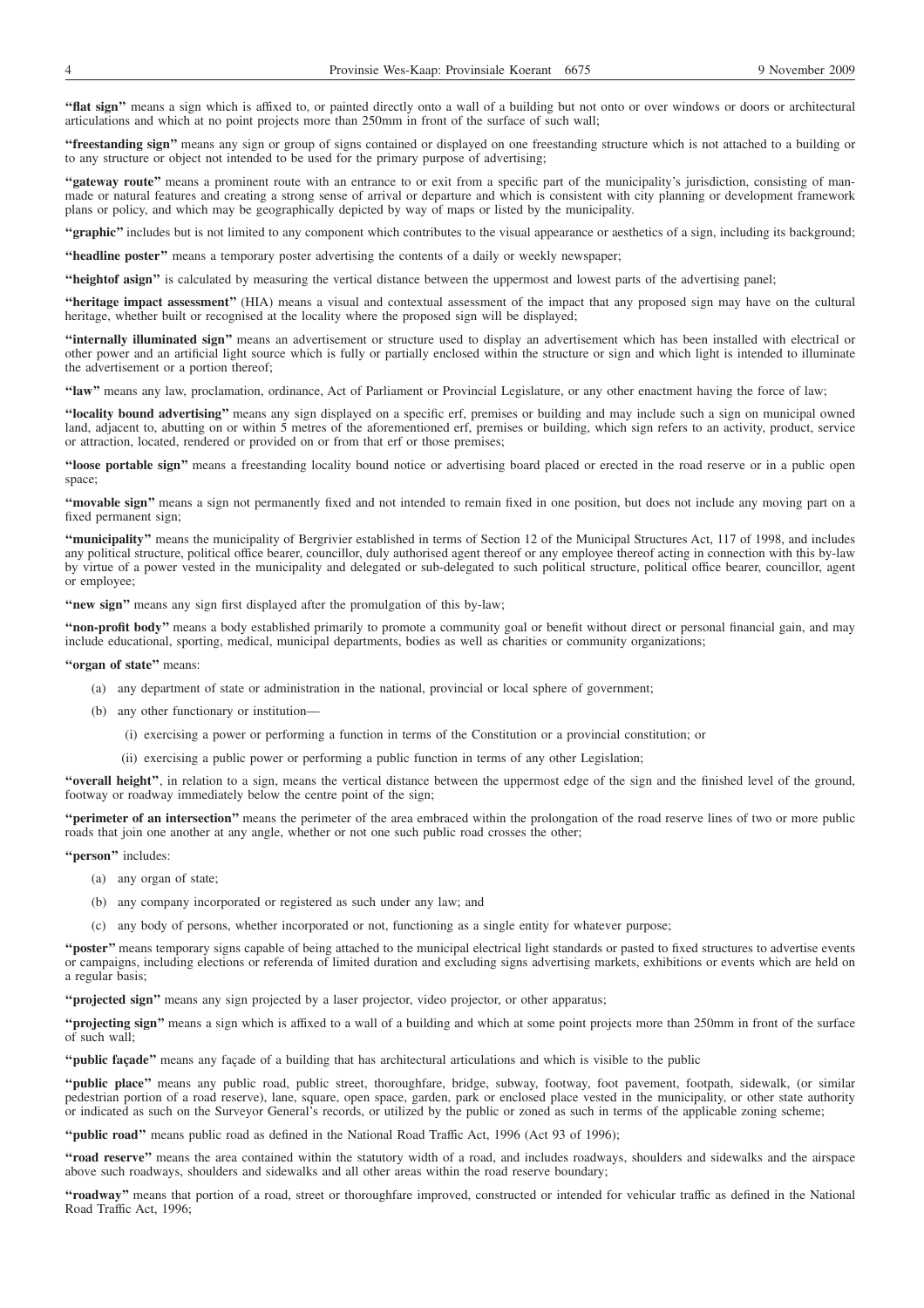**''flat sign''** means a sign which is affixed to, or painted directly onto a wall of a building but not onto or over windows or doors or architectural articulations and which at no point projects more than 250mm in front of the surface of such wall;

**''freestanding sign''** means any sign or group of signs contained or displayed on one freestanding structure which is not attached to a building or to any structure or object not intended to be used for the primary purpose of advertising;

**''gateway route''** means a prominent route with an entrance to or exit from a specific part of the municipality's jurisdiction, consisting of manmade or natural features and creating a strong sense of arrival or departure and which is consistent with city planning or development framework plans or policy, and which may be geographically depicted by way of maps or listed by the municipality.

**''graphic''** includes but is not limited to any component which contributes to the visual appearance or aesthetics of a sign, including its background;

**''headline poster''** means a temporary poster advertising the contents of a daily or weekly newspaper;

**''heightof asign''** is calculated by measuring the vertical distance between the uppermost and lowest parts of the advertising panel;

**''heritage impact assessment''** (HIA) means a visual and contextual assessment of the impact that any proposed sign may have on the cultural heritage, whether built or recognised at the locality where the proposed sign will be displayed;

**''internally illuminated sign''** means an advertisement or structure used to display an advertisement which has been installed with electrical or other power and an artificial light source which is fully or partially enclosed within the structure or sign and which light is intended to illuminate the advertisement or a portion thereof;

**''law''** means any law, proclamation, ordinance, Act of Parliament or Provincial Legislature, or any other enactment having the force of law;

**''locality bound advertising''** means any sign displayed on a specific erf, premises or building and may include such a sign on municipal owned land, adjacent to, abutting on or within 5 metres of the aforementioned erf, premises or building, which sign refers to an activity, product, service or attraction, located, rendered or provided on or from that erf or those premises;

**''loose portable sign''** means a freestanding locality bound notice or advertising board placed or erected in the road reserve or in a public open space;

**''movable sign''** means a sign not permanently fixed and not intended to remain fixed in one position, but does not include any moving part on a fixed permanent sign;

**''municipality''** means the municipality of Bergrivier established in terms of Section 12 of the Municipal Structures Act, 117 of 1998, and includes any political structure, political office bearer, councillor, duly authorised agent thereof or any employee thereof acting in connection with this by-law by virtue of a power vested in the municipality and delegated or sub-delegated to such political structure, political office bearer, councillor, agent or employee;

**''new sign''** means any sign first displayed after the promulgation of this by-law;

**''non-profit body''** means a body established primarily to promote a community goal or benefit without direct or personal financial gain, and may include educational, sporting, medical, municipal departments, bodies as well as charities or community organizations;

#### **''organ of state''** means:

- (a) any department of state or administration in the national, provincial or local sphere of government;
- (b) any other functionary or institution—
	- (i) exercising a power or performing a function in terms of the Constitution or a provincial constitution; or
	- (ii) exercising a public power or performing a public function in terms of any other Legislation;

**''overall height''**, in relation to a sign, means the vertical distance between the uppermost edge of the sign and the finished level of the ground, footway or roadway immediately below the centre point of the sign;

**''perimeter of an intersection''** means the perimeter of the area embraced within the prolongation of the road reserve lines of two or more public roads that join one another at any angle, whether or not one such public road crosses the other;

**''person''** includes:

- (a) any organ of state;
- (b) any company incorporated or registered as such under any law; and
- (c) any body of persons, whether incorporated or not, functioning as a single entity for whatever purpose;

**''poster''** means temporary signs capable of being attached to the municipal electrical light standards or pasted to fixed structures to advertise events or campaigns, including elections or referenda of limited duration and excluding signs advertising markets, exhibitions or events which are held on a regular basis;

**''projected sign''** means any sign projected by a laser projector, video projector, or other apparatus;

**''projecting sign''** means a sign which is affixed to a wall of a building and which at some point projects more than 250mm in front of the surface of such wall;

**''public façade''** means any façade of a building that has architectural articulations and which is visible to the public

**''public place''** means any public road, public street, thoroughfare, bridge, subway, footway, foot pavement, footpath, sidewalk, (or similar pedestrian portion of a road reserve), lane, square, open space, garden, park or enclosed place vested in the municipality, or other state authority or indicated as such on the Surveyor General's records, or utilized by the public or zoned as such in terms of the applicable zoning scheme;

**''public road''** means public road as defined in the National Road Traffic Act, 1996 (Act 93 of 1996);

**''road reserve''** means the area contained within the statutory width of a road, and includes roadways, shoulders and sidewalks and the airspace above such roadways, shoulders and sidewalks and all other areas within the road reserve boundary;

**''roadway''** means that portion of a road, street or thoroughfare improved, constructed or intended for vehicular traffic as defined in the National Road Traffic Act, 1996;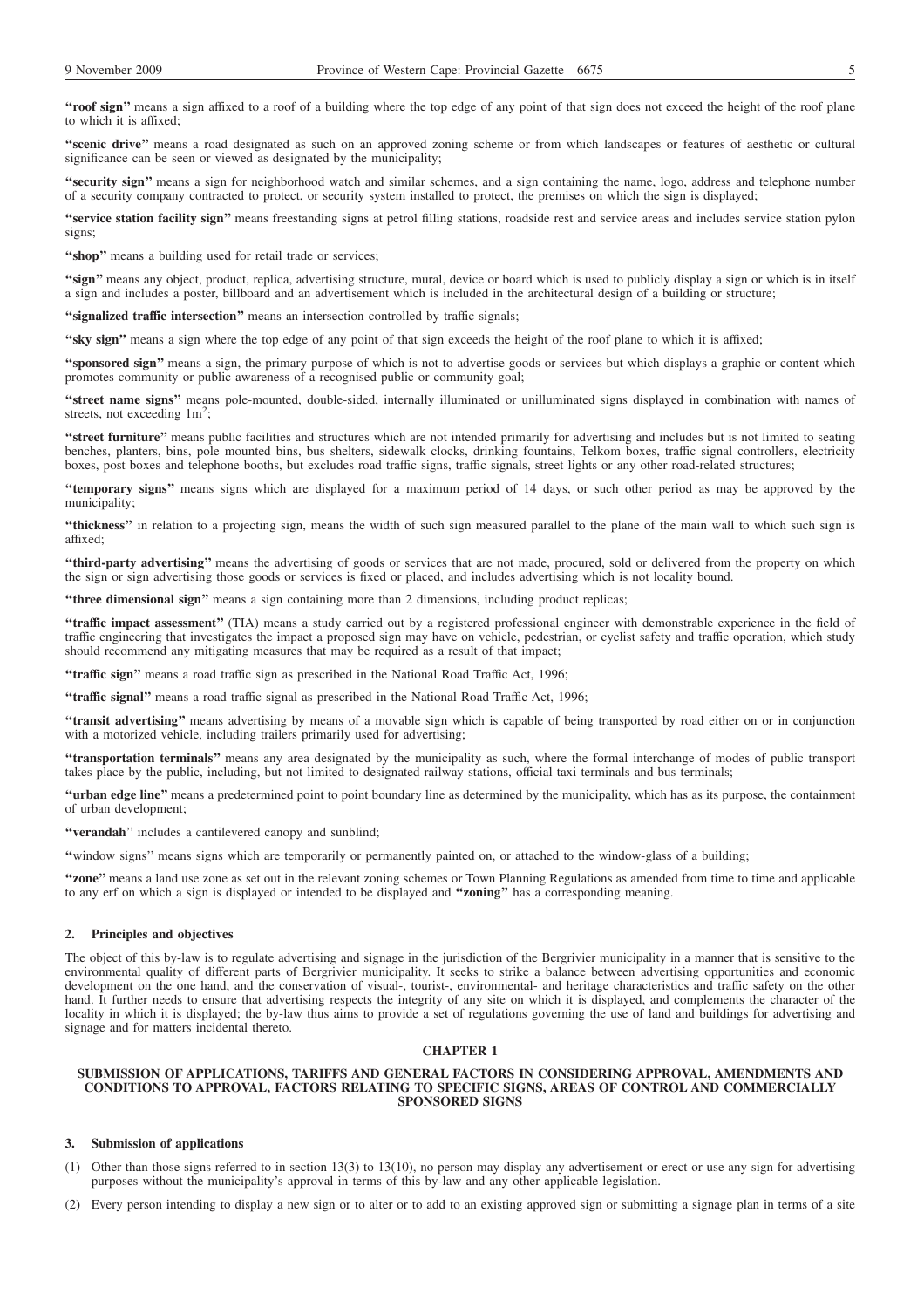**''roof sign''** means a sign affixed to a roof of a building where the top edge of any point of that sign does not exceed the height of the roof plane to which it is affixed;

**''scenic drive''** means a road designated as such on an approved zoning scheme or from which landscapes or features of aesthetic or cultural significance can be seen or viewed as designated by the municipality;

**''security sign''** means a sign for neighborhood watch and similar schemes, and a sign containing the name, logo, address and telephone number of a security company contracted to protect, or security system installed to protect, the premises on which the sign is displayed;

**''service station facility sign''** means freestanding signs at petrol filling stations, roadside rest and service areas and includes service station pylon signs;

**''shop''** means a building used for retail trade or services;

**''sign''** means any object, product, replica, advertising structure, mural, device or board which is used to publicly display a sign or which is in itself a sign and includes a poster, billboard and an advertisement which is included in the architectural design of a building or structure;

"signalized traffic intersection" means an intersection controlled by traffic signals;

**''sky sign''** means a sign where the top edge of any point of that sign exceeds the height of the roof plane to which it is affixed;

**''sponsored sign''** means a sign, the primary purpose of which is not to advertise goods or services but which displays a graphic or content which promotes community or public awareness of a recognised public or community goal;

**''street name signs''** means pole-mounted, double-sided, internally illuminated or unilluminated signs displayed in combination with names of streets, not exceeding 1m<sup>2</sup>;

**''street furniture''** means public facilities and structures which are not intended primarily for advertising and includes but is not limited to seating benches, planters, bins, pole mounted bins, bus shelters, sidewalk clocks, drinking fountains, Telkom boxes, traffic signal controllers, electricity boxes, post boxes and telephone booths, but excludes road traffic signs, traffic signals, street lights or any other road-related structures;

**''temporary signs''** means signs which are displayed for a maximum period of 14 days, or such other period as may be approved by the municipality;

**''thickness''** in relation to a projecting sign, means the width of such sign measured parallel to the plane of the main wall to which such sign is affixed;

**''third-party advertising''** means the advertising of goods or services that are not made, procured, sold or delivered from the property on which the sign or sign advertising those goods or services is fixed or placed, and includes advertising which is not locality bound.

**''three dimensional sign''** means a sign containing more than 2 dimensions, including product replicas;

**''traffic impact assessment''** (TIA) means a study carried out by a registered professional engineer with demonstrable experience in the field of traffic engineering that investigates the impact a proposed sign may have on vehicle, pedestrian, or cyclist safety and traffic operation, which study should recommend any mitigating measures that may be required as a result of that impact;

**''traffic sign''** means a road traffic sign as prescribed in the National Road Traffic Act, 1996;

**''traffic signal''** means a road traffic signal as prescribed in the National Road Traffic Act, 1996;

**''transit advertising''** means advertising by means of a movable sign which is capable of being transported by road either on or in conjunction with a motorized vehicle, including trailers primarily used for advertising;

**''transportation terminals''** means any area designated by the municipality as such, where the formal interchange of modes of public transport takes place by the public, including, but not limited to designated railway stations, official taxi terminals and bus terminals;

**''urban edge line''** means a predetermined point to point boundary line as determined by the municipality, which has as its purpose, the containment of urban development;

**''verandah**'' includes a cantilevered canopy and sunblind;

**''**window signs'' means signs which are temporarily or permanently painted on, or attached to the window-glass of a building;

**''zone''** means a land use zone as set out in the relevant zoning schemes or Town Planning Regulations as amended from time to time and applicable to any erf on which a sign is displayed or intended to be displayed and **''zoning''** has a corresponding meaning.

### **2. Principles and objectives**

The object of this by-law is to regulate advertising and signage in the jurisdiction of the Bergrivier municipality in a manner that is sensitive to the environmental quality of different parts of Bergrivier municipality. It seeks to strike a balance between advertising opportunities and economic development on the one hand, and the conservation of visual-, tourist-, environmental- and heritage characteristics and traffic safety on the other hand. It further needs to ensure that advertising respects the integrity of any site on which it is displayed, and complements the character of the locality in which it is displayed; the by-law thus aims to provide a set of regulations governing the use of land and buildings for advertising and signage and for matters incidental thereto.

### **CHAPTER 1**

### **SUBMISSION OF APPLICATIONS, TARIFFS AND GENERAL FACTORS IN CONSIDERING APPROVAL, AMENDMENTS AND CONDITIONS TO APPROVAL, FACTORS RELATING TO SPECIFIC SIGNS, AREAS OF CONTROL AND COMMERCIALLY SPONSORED SIGNS**

### **3. Submission of applications**

- (1) Other than those signs referred to in section 13(3) to 13(10), no person may display any advertisement or erect or use any sign for advertising purposes without the municipality's approval in terms of this by-law and any other applicable legislation.
- (2) Every person intending to display a new sign or to alter or to add to an existing approved sign or submitting a signage plan in terms of a site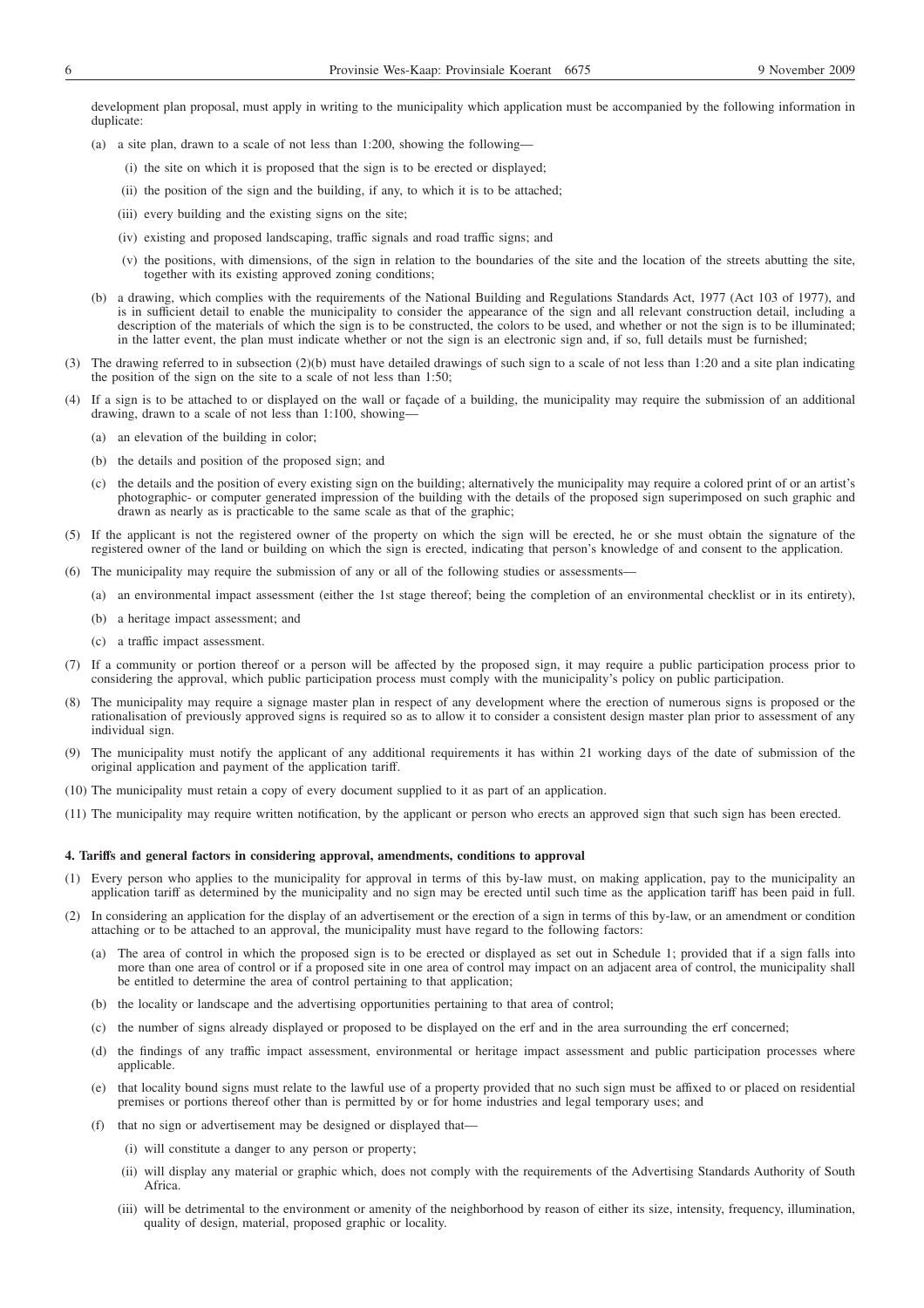development plan proposal, must apply in writing to the municipality which application must be accompanied by the following information in duplicate

- (a) a site plan, drawn to a scale of not less than 1:200, showing the following—
	- (i) the site on which it is proposed that the sign is to be erected or displayed;
	- (ii) the position of the sign and the building, if any, to which it is to be attached;
	- (iii) every building and the existing signs on the site;
	- (iv) existing and proposed landscaping, traffic signals and road traffic signs; and
	- (v) the positions, with dimensions, of the sign in relation to the boundaries of the site and the location of the streets abutting the site, together with its existing approved zoning conditions;
- (b) a drawing, which complies with the requirements of the National Building and Regulations Standards Act, 1977 (Act 103 of 1977), and is in sufficient detail to enable the municipality to consider the appearance of the sign and all relevant construction detail, including a description of the materials of which the sign is to be constructed, the colors to be used, and whether or not the sign is to be illuminated; in the latter event, the plan must indicate whether or not the sign is an electronic sign and, if so, full details must be furnished;
- (3) The drawing referred to in subsection (2)(b) must have detailed drawings of such sign to a scale of not less than 1:20 and a site plan indicating the position of the sign on the site to a scale of not less than 1:50;
- (4) If a sign is to be attached to or displayed on the wall or façade of a building, the municipality may require the submission of an additional drawing, drawn to a scale of not less than 1:100, showing—
	- (a) an elevation of the building in color;
	- (b) the details and position of the proposed sign; and
	- (c) the details and the position of every existing sign on the building; alternatively the municipality may require a colored print of or an artist's photographic- or computer generated impression of the building with the details of the proposed sign superimposed on such graphic and drawn as nearly as is practicable to the same scale as that of the graphic;
- (5) If the applicant is not the registered owner of the property on which the sign will be erected, he or she must obtain the signature of the registered owner of the land or building on which the sign is erected, indicating that person's knowledge of and consent to the application.
- (6) The municipality may require the submission of any or all of the following studies or assessments—
	- (a) an environmental impact assessment (either the 1st stage thereof; being the completion of an environmental checklist or in its entirety),
	- (b) a heritage impact assessment; and
	- (c) a traffic impact assessment.
- (7) If a community or portion thereof or a person will be affected by the proposed sign, it may require a public participation process prior to considering the approval, which public participation process must comply with the municipality's policy on public participation.
- (8) The municipality may require a signage master plan in respect of any development where the erection of numerous signs is proposed or the rationalisation of previously approved signs is required so as to allow it to consider a consistent design master plan prior to assessment of any individual sign.
- (9) The municipality must notify the applicant of any additional requirements it has within 21 working days of the date of submission of the original application and payment of the application tariff.
- (10) The municipality must retain a copy of every document supplied to it as part of an application.
- (11) The municipality may require written notification, by the applicant or person who erects an approved sign that such sign has been erected.

### **4. Tariffs and general factors in considering approval, amendments, conditions to approval**

- (1) Every person who applies to the municipality for approval in terms of this by-law must, on making application, pay to the municipality an application tariff as determined by the municipality and no sign may be erected until such time as the application tariff has been paid in full.
- (2) In considering an application for the display of an advertisement or the erection of a sign in terms of this by-law, or an amendment or condition attaching or to be attached to an approval, the municipality must have regard to the following factors:
	- (a) The area of control in which the proposed sign is to be erected or displayed as set out in Schedule 1; provided that if a sign falls into more than one area of control or if a proposed site in one area of control may impact on an adjacent area of control, the municipality shall be entitled to determine the area of control pertaining to that application;
	- (b) the locality or landscape and the advertising opportunities pertaining to that area of control;
	- (c) the number of signs already displayed or proposed to be displayed on the erf and in the area surrounding the erf concerned;
	- (d) the findings of any traffic impact assessment, environmental or heritage impact assessment and public participation processes where applicable.
	- (e) that locality bound signs must relate to the lawful use of a property provided that no such sign must be affixed to or placed on residential premises or portions thereof other than is permitted by or for home industries and legal temporary uses; and
	- (f) that no sign or advertisement may be designed or displayed that—
		- (i) will constitute a danger to any person or property;
		- (ii) will display any material or graphic which, does not comply with the requirements of the Advertising Standards Authority of South Africa.
		- (iii) will be detrimental to the environment or amenity of the neighborhood by reason of either its size, intensity, frequency, illumination, quality of design, material, proposed graphic or locality.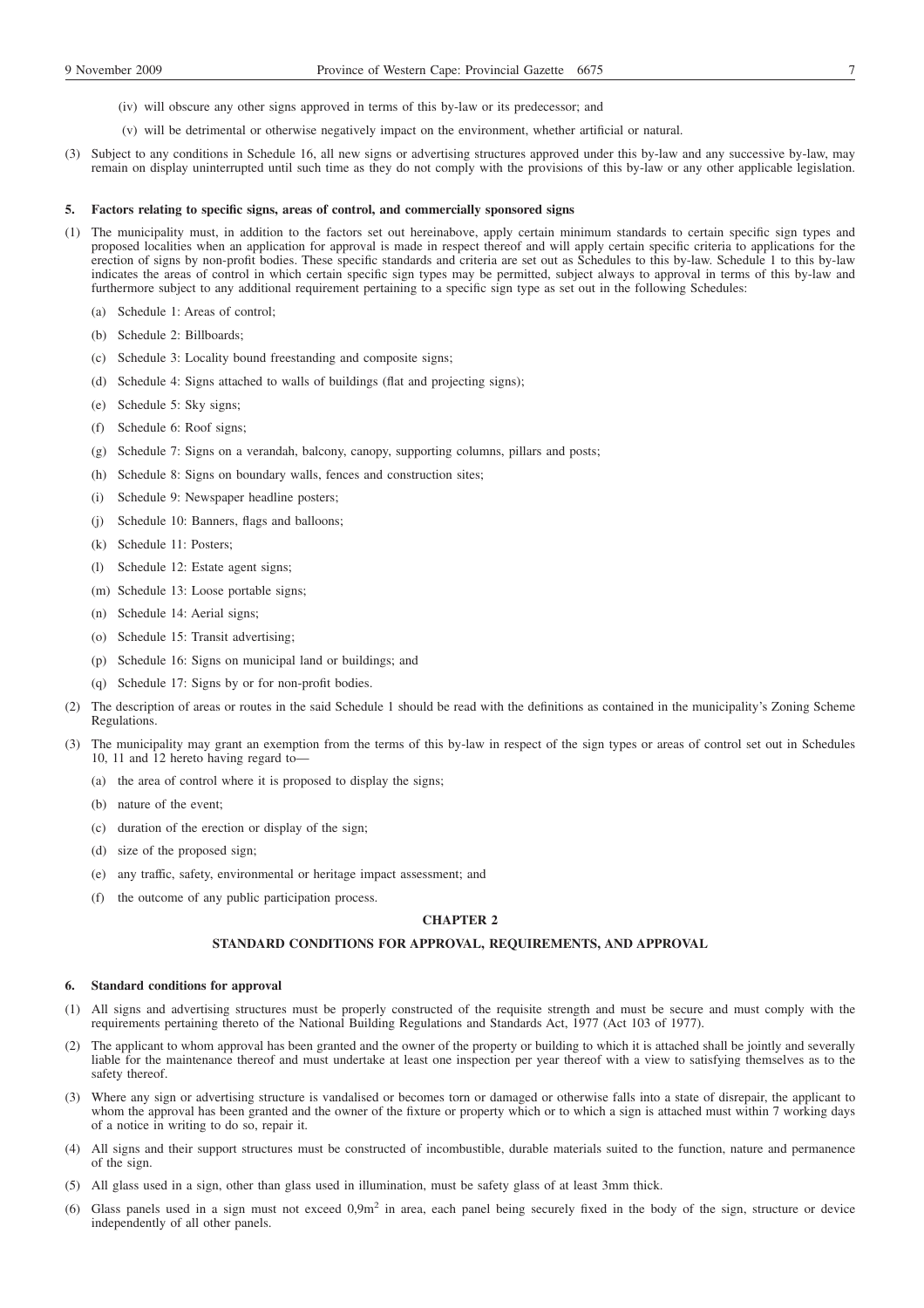- (iv) will obscure any other signs approved in terms of this by-law or its predecessor; and
- (v) will be detrimental or otherwise negatively impact on the environment, whether artificial or natural.
- (3) Subject to any conditions in Schedule 16, all new signs or advertising structures approved under this by-law and any successive by-law, may remain on display uninterrupted until such time as they do not comply with the provisions of this by-law or any other applicable legislation.

### **5. Factors relating to specific signs, areas of control, and commercially sponsored signs**

- (1) The municipality must, in addition to the factors set out hereinabove, apply certain minimum standards to certain specific sign types and proposed localities when an application for approval is made in respect thereof and will apply certain specific criteria to applications for the erection of signs by non-profit bodies. These specific standards and criteria are set out as Schedules to this by-law. Schedule 1 to this by-law indicates the areas of control in which certain specific sign types may be permitted, subject always to approval in terms of this by-law and furthermore subject to any additional requirement pertaining to a specific sign type as set out in the following Schedules:
	- (a) Schedule 1: Areas of control;
	- (b) Schedule 2: Billboards;
	- (c) Schedule 3: Locality bound freestanding and composite signs;
	- (d) Schedule 4: Signs attached to walls of buildings (flat and projecting signs);
	- (e) Schedule 5: Sky signs;
	- (f) Schedule 6: Roof signs;
	- (g) Schedule 7: Signs on a verandah, balcony, canopy, supporting columns, pillars and posts;
	- (h) Schedule 8: Signs on boundary walls, fences and construction sites;
	- (i) Schedule 9: Newspaper headline posters;
	- (j) Schedule 10: Banners, flags and balloons;
	- (k) Schedule 11: Posters;
	- (l) Schedule 12: Estate agent signs;
	- (m) Schedule 13: Loose portable signs;
	- (n) Schedule 14: Aerial signs;
	- (o) Schedule 15: Transit advertising;
	- (p) Schedule 16: Signs on municipal land or buildings; and
	- (q) Schedule 17: Signs by or for non-profit bodies.
- (2) The description of areas or routes in the said Schedule 1 should be read with the definitions as contained in the municipality's Zoning Scheme Regulations.
- (3) The municipality may grant an exemption from the terms of this by-law in respect of the sign types or areas of control set out in Schedules 10, 11 and 12 hereto having regard to—
	- (a) the area of control where it is proposed to display the signs;
	- (b) nature of the event;
	- (c) duration of the erection or display of the sign;
	- (d) size of the proposed sign;
	- (e) any traffic, safety, environmental or heritage impact assessment; and
	- (f) the outcome of any public participation process.

### **CHAPTER 2**

### **STANDARD CONDITIONS FOR APPROVAL, REQUIREMENTS, AND APPROVAL**

### **6. Standard conditions for approval**

- (1) All signs and advertising structures must be properly constructed of the requisite strength and must be secure and must comply with the requirements pertaining thereto of the National Building Regulations and Standards Act, 1977 (Act 103 of 1977).
- (2) The applicant to whom approval has been granted and the owner of the property or building to which it is attached shall be jointly and severally liable for the maintenance thereof and must undertake at least one inspection per year thereof with a view to satisfying themselves as to the safety thereof.
- (3) Where any sign or advertising structure is vandalised or becomes torn or damaged or otherwise falls into a state of disrepair, the applicant to whom the approval has been granted and the owner of the fixture or property which or to which a sign is attached must within 7 working days of a notice in writing to do so, repair it.
- (4) All signs and their support structures must be constructed of incombustible, durable materials suited to the function, nature and permanence of the sign.
- (5) All glass used in a sign, other than glass used in illumination, must be safety glass of at least 3mm thick.
- (6) Glass panels used in a sign must not exceed  $0.9m<sup>2</sup>$  in area, each panel being securely fixed in the body of the sign, structure or device independently of all other panels.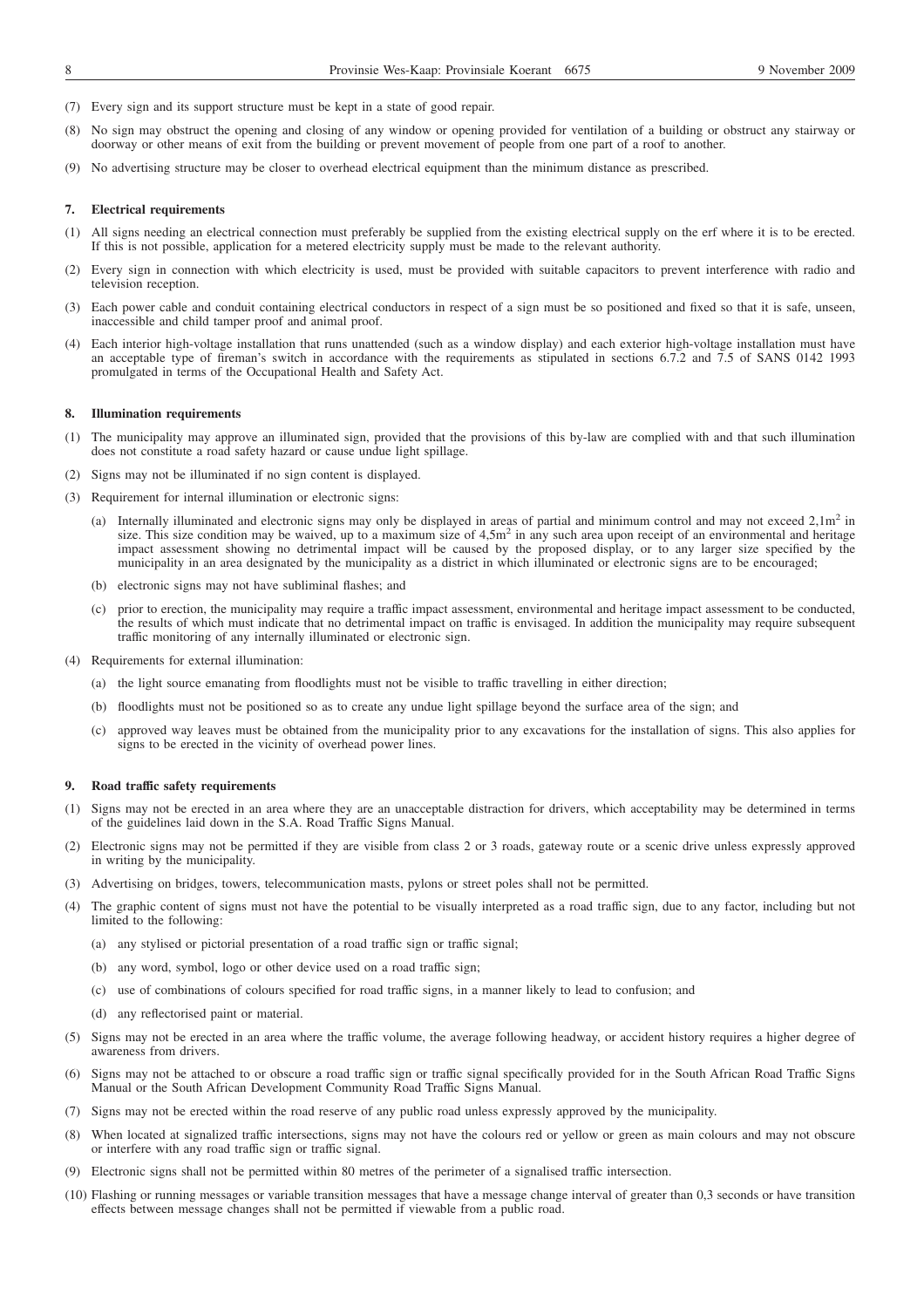- (7) Every sign and its support structure must be kept in a state of good repair.
- (8) No sign may obstruct the opening and closing of any window or opening provided for ventilation of a building or obstruct any stairway or doorway or other means of exit from the building or prevent movement of people from one part of a roof to another.
- (9) No advertising structure may be closer to overhead electrical equipment than the minimum distance as prescribed.

### **7. Electrical requirements**

- (1) All signs needing an electrical connection must preferably be supplied from the existing electrical supply on the erf where it is to be erected. If this is not possible, application for a metered electricity supply must be made to the relevant authority.
- (2) Every sign in connection with which electricity is used, must be provided with suitable capacitors to prevent interference with radio and television reception.
- (3) Each power cable and conduit containing electrical conductors in respect of a sign must be so positioned and fixed so that it is safe, unseen, inaccessible and child tamper proof and animal proof.
- (4) Each interior high-voltage installation that runs unattended (such as a window display) and each exterior high-voltage installation must have an acceptable type of fireman's switch in accordance with the requirements as stipulated in sections 6.7.2 and 7.5 of SANS 0142 1993 promulgated in terms of the Occupational Health and Safety Act.

### **8. Illumination requirements**

- (1) The municipality may approve an illuminated sign, provided that the provisions of this by-law are complied with and that such illumination does not constitute a road safety hazard or cause undue light spillage.
- (2) Signs may not be illuminated if no sign content is displayed.
- (3) Requirement for internal illumination or electronic signs:
	- (a) Internally illuminated and electronic signs may only be displayed in areas of partial and minimum control and may not exceed  $2.1\text{m}^2$  in size. This size condition may be waived, up to a maximum size of 4,5m<sup>2</sup> in any such area upon receipt of an environmental and heritage impact assessment showing no detrimental impact will be caused by the proposed display, or to any larger size specified by the municipality in an area designated by the municipality as a district in which illuminated or electronic signs are to be encouraged;
	- (b) electronic signs may not have subliminal flashes; and
	- (c) prior to erection, the municipality may require a traffic impact assessment, environmental and heritage impact assessment to be conducted, the results of which must indicate that no detrimental impact on traffic is envisaged. In addition the municipality may require subsequent traffic monitoring of any internally illuminated or electronic sign.
- (4) Requirements for external illumination:
	- (a) the light source emanating from floodlights must not be visible to traffic travelling in either direction;
	- (b) floodlights must not be positioned so as to create any undue light spillage beyond the surface area of the sign; and
	- (c) approved way leaves must be obtained from the municipality prior to any excavations for the installation of signs. This also applies for signs to be erected in the vicinity of overhead power lines.

### **9. Road traffic safety requirements**

- (1) Signs may not be erected in an area where they are an unacceptable distraction for drivers, which acceptability may be determined in terms of the guidelines laid down in the S.A. Road Traffic Signs Manual.
- (2) Electronic signs may not be permitted if they are visible from class 2 or 3 roads, gateway route or a scenic drive unless expressly approved in writing by the municipality.
- (3) Advertising on bridges, towers, telecommunication masts, pylons or street poles shall not be permitted.
- (4) The graphic content of signs must not have the potential to be visually interpreted as a road traffic sign, due to any factor, including but not limited to the following:
	- (a) any stylised or pictorial presentation of a road traffic sign or traffic signal;
	- (b) any word, symbol, logo or other device used on a road traffic sign;
	- (c) use of combinations of colours specified for road traffic signs, in a manner likely to lead to confusion; and
	- (d) any reflectorised paint or material.
- (5) Signs may not be erected in an area where the traffic volume, the average following headway, or accident history requires a higher degree of awareness from drivers.
- (6) Signs may not be attached to or obscure a road traffic sign or traffic signal specifically provided for in the South African Road Traffic Signs Manual or the South African Development Community Road Traffic Signs Manual.
- (7) Signs may not be erected within the road reserve of any public road unless expressly approved by the municipality.
- (8) When located at signalized traffic intersections, signs may not have the colours red or yellow or green as main colours and may not obscure or interfere with any road traffic sign or traffic signal.
- (9) Electronic signs shall not be permitted within 80 metres of the perimeter of a signalised traffic intersection.
- (10) Flashing or running messages or variable transition messages that have a message change interval of greater than 0,3 seconds or have transition effects between message changes shall not be permitted if viewable from a public road.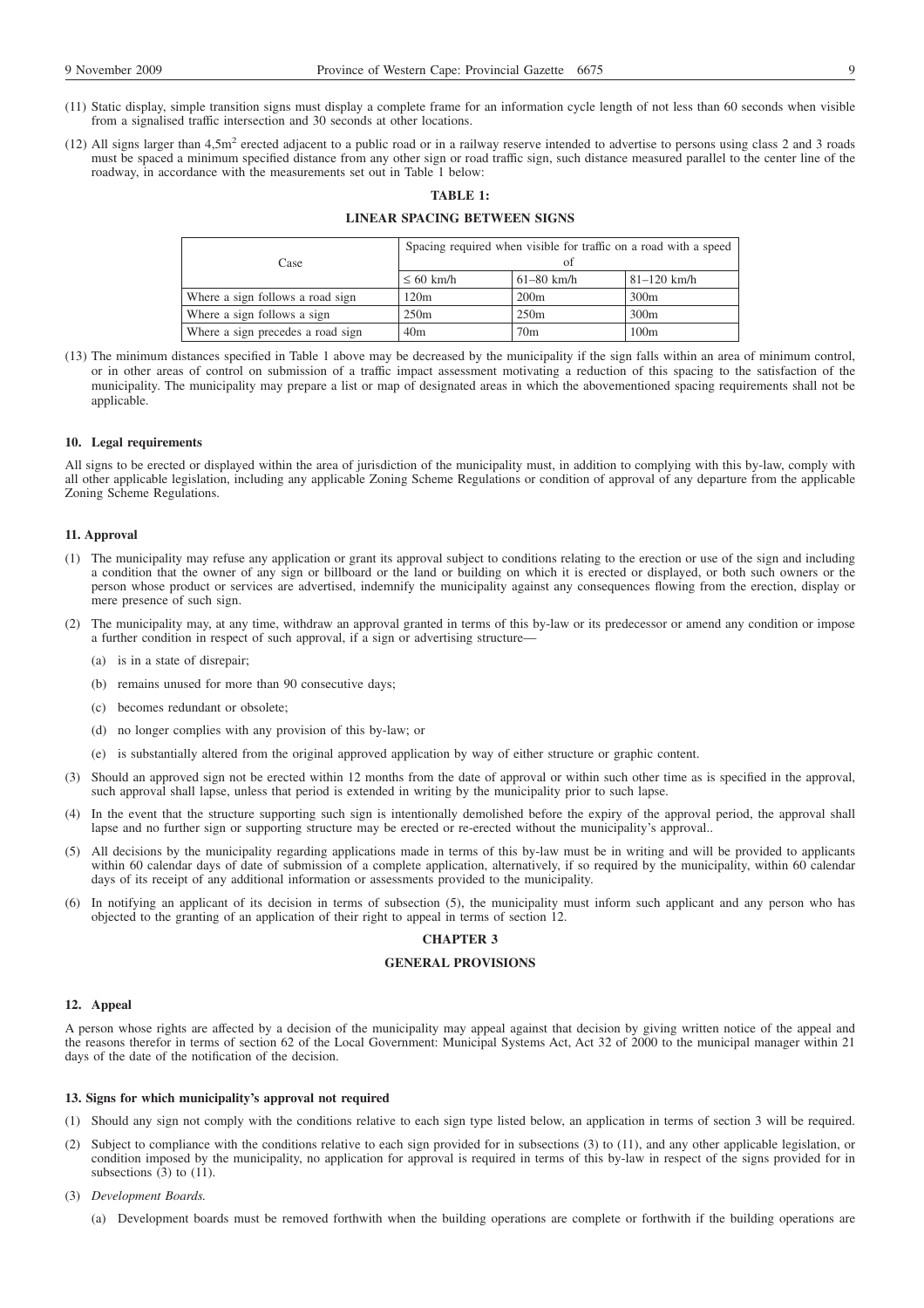- (11) Static display, simple transition signs must display a complete frame for an information cycle length of not less than 60 seconds when visible from a signalised traffic intersection and 30 seconds at other locations.
- (12) All signs larger than  $4.5$ m<sup>2</sup> erected adjacent to a public road or in a railway reserve intended to advertise to persons using class 2 and 3 roads must be spaced a minimum specified distance from any other sign or road traffic sign, such distance measured parallel to the center line of the roadway, in accordance with the measurements set out in Table 1 below:

# **TABLE 1:**

# **LINEAR SPACING BETWEEN SIGNS**

| Case                              | Spacing required when visible for traffic on a road with a speed<br>Ωť |                 |                 |
|-----------------------------------|------------------------------------------------------------------------|-----------------|-----------------|
|                                   | $\leq 60$ km/h                                                         | $61 - 80$ km/h  | $81 - 120$ km/h |
| Where a sign follows a road sign  | 120m                                                                   | 200m            | 300m            |
| Where a sign follows a sign       | 250m                                                                   | 250m            | 300m            |
| Where a sign precedes a road sign | 40 <sub>m</sub>                                                        | 70 <sub>m</sub> | 100m            |

(13) The minimum distances specified in Table 1 above may be decreased by the municipality if the sign falls within an area of minimum control, or in other areas of control on submission of a traffic impact assessment motivating a reduction of this spacing to the satisfaction of the municipality. The municipality may prepare a list or map of designated areas in which the abovementioned spacing requirements shall not be applicable.

### **10. Legal requirements**

All signs to be erected or displayed within the area of jurisdiction of the municipality must, in addition to complying with this by-law, comply with all other applicable legislation, including any applicable Zoning Scheme Regulations or condition of approval of any departure from the applicable Zoning Scheme Regulations.

### **11. Approval**

- (1) The municipality may refuse any application or grant its approval subject to conditions relating to the erection or use of the sign and including a condition that the owner of any sign or billboard or the land or building on which it is erected or displayed, or both such owners or the person whose product or services are advertised, indemnify the municipality against any consequences flowing from the erection, display or mere presence of such sign.
- (2) The municipality may, at any time, withdraw an approval granted in terms of this by-law or its predecessor or amend any condition or impose a further condition in respect of such approval, if a sign or advertising structure—
	- (a) is in a state of disrepair;
	- (b) remains unused for more than 90 consecutive days;
	- (c) becomes redundant or obsolete;
	- (d) no longer complies with any provision of this by-law; or
	- (e) is substantially altered from the original approved application by way of either structure or graphic content.
- (3) Should an approved sign not be erected within 12 months from the date of approval or within such other time as is specified in the approval, such approval shall lapse, unless that period is extended in writing by the municipality prior to such lapse.
- (4) In the event that the structure supporting such sign is intentionally demolished before the expiry of the approval period, the approval shall lapse and no further sign or supporting structure may be erected or re-erected without the municipality's approval..
- (5) All decisions by the municipality regarding applications made in terms of this by-law must be in writing and will be provided to applicants within 60 calendar days of date of submission of a complete application, alternatively, if so required by the municipality, within 60 calendar days of its receipt of any additional information or assessments provided to the municipality.
- (6) In notifying an applicant of its decision in terms of subsection (5), the municipality must inform such applicant and any person who has objected to the granting of an application of their right to appeal in terms of section 12.

### **CHAPTER 3**

### **GENERAL PROVISIONS**

#### **12. Appeal**

A person whose rights are affected by a decision of the municipality may appeal against that decision by giving written notice of the appeal and the reasons therefor in terms of section 62 of the Local Government: Municipal Systems Act, Act 32 of 2000 to the municipal manager within 21 days of the date of the notification of the decision.

### **13. Signs for which municipality's approval not required**

- (1) Should any sign not comply with the conditions relative to each sign type listed below, an application in terms of section 3 will be required.
- (2) Subject to compliance with the conditions relative to each sign provided for in subsections (3) to (11), and any other applicable legislation, or condition imposed by the municipality, no application for approval is required in terms of this by-law in respect of the signs provided for in subsections  $(3)$  to  $(11)$ .
- (3) *Development Boards.*
	- (a) Development boards must be removed forthwith when the building operations are complete or forthwith if the building operations are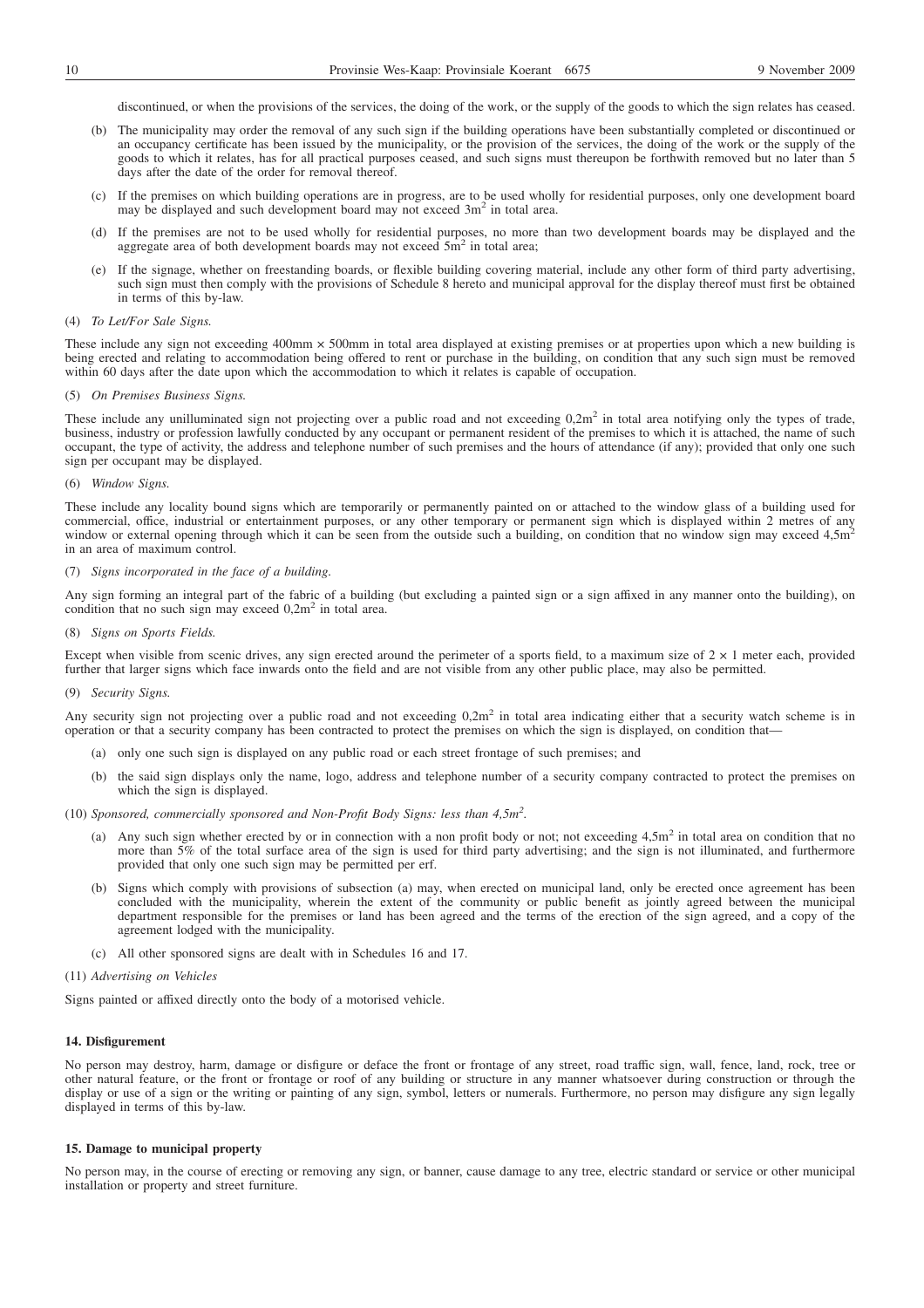discontinued, or when the provisions of the services, the doing of the work, or the supply of the goods to which the sign relates has ceased.

- (b) The municipality may order the removal of any such sign if the building operations have been substantially completed or discontinued or an occupancy certificate has been issued by the municipality, or the provision of the services, the doing of the work or the supply of the goods to which it relates, has for all practical purposes ceased, and such signs must thereupon be forthwith removed but no later than 5 days after the date of the order for removal thereof.
- (c) If the premises on which building operations are in progress, are to be used wholly for residential purposes, only one development board may be displayed and such development board may not exceed 3m<sup>2</sup> in total area.
- (d) If the premises are not to be used wholly for residential purposes, no more than two development boards may be displayed and the aggregate area of both development boards may not exceed 5m<sup>2</sup> in total area;
- (e) If the signage, whether on freestanding boards, or flexible building covering material, include any other form of third party advertising, such sign must then comply with the provisions of Schedule 8 hereto and municipal approval for the display thereof must first be obtained in terms of this by-law.

### (4) *To Let/For Sale Signs.*

These include any sign not exceeding 400mm  $\times$  500mm in total area displayed at existing premises or at properties upon which a new building is being erected and relating to accommodation being offered to rent or purchase in the building, on condition that any such sign must be removed within 60 days after the date upon which the accommodation to which it relates is capable of occupation.

#### (5) *On Premises Business Signs.*

These include any unilluminated sign not projecting over a public road and not exceeding  $0.2m<sup>2</sup>$  in total area notifying only the types of trade, business, industry or profession lawfully conducted by any occupant or permanent resident of the premises to which it is attached, the name of such occupant, the type of activity, the address and telephone number of such premises and the hours of attendance (if any); provided that only one such sign per occupant may be displayed.

### (6) *Window Signs.*

These include any locality bound signs which are temporarily or permanently painted on or attached to the window glass of a building used for commercial, office, industrial or entertainment purposes, or any other temporary or permanent sign which is displayed within 2 metres of any window or external opening through which it can be seen from the outside such a building, on condition that no window sign may exceed 4,5m<sup>2</sup> in an area of maximum control.

# (7) *Signs incorporated in the face of a building.*

Any sign forming an integral part of the fabric of a building (but excluding a painted sign or a sign affixed in any manner onto the building), on condition that no such sign may exceed  $0,2m^2$  in total area.

(8) *Signs on Sports Fields.*

Except when visible from scenic drives, any sign erected around the perimeter of a sports field, to a maximum size of  $2 \times 1$  meter each, provided further that larger signs which face inwards onto the field and are not visible from any other public place, may also be permitted.

### (9) *Security Signs.*

Any security sign not projecting over a public road and not exceeding 0,2m<sup>2</sup> in total area indicating either that a security watch scheme is in operation or that a security company has been contracted to protect the premises on which the sign is displayed, on condition that—

- (a) only one such sign is displayed on any public road or each street frontage of such premises; and
- (b) the said sign displays only the name, logo, address and telephone number of a security company contracted to protect the premises on which the sign is displayed.
- (10) *Sponsored, commercially sponsored and Non-Profit Body Signs: less than 4,5m2 .*
	- (a) Any such sign whether erected by or in connection with a non profit body or not; not exceeding  $4.5m<sup>2</sup>$  in total area on condition that no more than 5% of the total surface area of the sign is used for third party advertising; and the sign is not illuminated, and furthermore provided that only one such sign may be permitted per erf.
	- (b) Signs which comply with provisions of subsection (a) may, when erected on municipal land, only be erected once agreement has been concluded with the municipality, wherein the extent of the community or public benefit as jointly agreed between the municipal department responsible for the premises or land has been agreed and the terms of the erection of the sign agreed, and a copy of the agreement lodged with the municipality.
	- (c) All other sponsored signs are dealt with in Schedules 16 and 17.

### (11) *Advertising on Vehicles*

Signs painted or affixed directly onto the body of a motorised vehicle.

### **14. Disfigurement**

No person may destroy, harm, damage or disfigure or deface the front or frontage of any street, road traffic sign, wall, fence, land, rock, tree or other natural feature, or the front or frontage or roof of any building or structure in any manner whatsoever during construction or through the display or use of a sign or the writing or painting of any sign, symbol, letters or numerals. Furthermore, no person may disfigure any sign legally displayed in terms of this by-law.

### **15. Damage to municipal property**

No person may, in the course of erecting or removing any sign, or banner, cause damage to any tree, electric standard or service or other municipal installation or property and street furniture.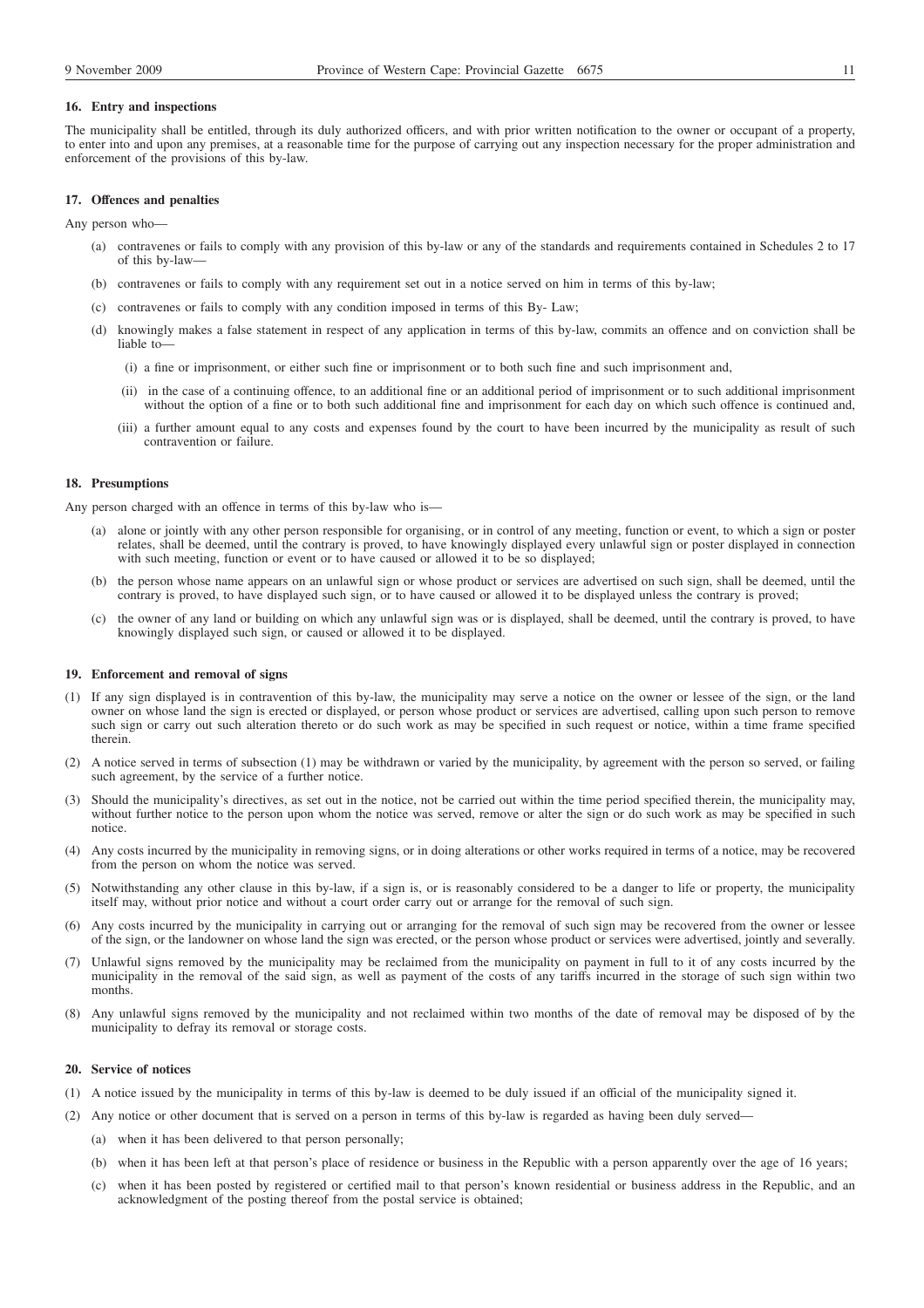### **16. Entry and inspections**

The municipality shall be entitled, through its duly authorized officers, and with prior written notification to the owner or occupant of a property, to enter into and upon any premises, at a reasonable time for the purpose of carrying out any inspection necessary for the proper administration and enforcement of the provisions of this by-law.

### **17. Offences and penalties**

Any person who—

- (a) contravenes or fails to comply with any provision of this by-law or any of the standards and requirements contained in Schedules 2 to 17 of this by-law—
- (b) contravenes or fails to comply with any requirement set out in a notice served on him in terms of this by-law;
- (c) contravenes or fails to comply with any condition imposed in terms of this By- Law;
- (d) knowingly makes a false statement in respect of any application in terms of this by-law, commits an offence and on conviction shall be liable to-
	- (i) a fine or imprisonment, or either such fine or imprisonment or to both such fine and such imprisonment and,
	- (ii) in the case of a continuing offence, to an additional fine or an additional period of imprisonment or to such additional imprisonment without the option of a fine or to both such additional fine and imprisonment for each day on which such offence is continued and,
	- (iii) a further amount equal to any costs and expenses found by the court to have been incurred by the municipality as result of such contravention or failure.

# **18. Presumptions**

Any person charged with an offence in terms of this by-law who is—

- (a) alone or jointly with any other person responsible for organising, or in control of any meeting, function or event, to which a sign or poster relates, shall be deemed, until the contrary is proved, to have knowingly displayed every unlawful sign or poster displayed in connection with such meeting, function or event or to have caused or allowed it to be so displayed;
- (b) the person whose name appears on an unlawful sign or whose product or services are advertised on such sign, shall be deemed, until the contrary is proved, to have displayed such sign, or to have caused or allowed it to be displayed unless the contrary is proved;
- (c) the owner of any land or building on which any unlawful sign was or is displayed, shall be deemed, until the contrary is proved, to have knowingly displayed such sign, or caused or allowed it to be displayed.

### **19. Enforcement and removal of signs**

- (1) If any sign displayed is in contravention of this by-law, the municipality may serve a notice on the owner or lessee of the sign, or the land owner on whose land the sign is erected or displayed, or person whose product or services are advertised, calling upon such person to remove such sign or carry out such alteration thereto or do such work as may be specified in such request or notice, within a time frame specified therein.
- (2) A notice served in terms of subsection (1) may be withdrawn or varied by the municipality, by agreement with the person so served, or failing such agreement, by the service of a further notice.
- (3) Should the municipality's directives, as set out in the notice, not be carried out within the time period specified therein, the municipality may, without further notice to the person upon whom the notice was served, remove or alter the sign or do such work as may be specified in such notice.
- (4) Any costs incurred by the municipality in removing signs, or in doing alterations or other works required in terms of a notice, may be recovered from the person on whom the notice was served.
- (5) Notwithstanding any other clause in this by-law, if a sign is, or is reasonably considered to be a danger to life or property, the municipality itself may, without prior notice and without a court order carry out or arrange for the removal of such sign.
- (6) Any costs incurred by the municipality in carrying out or arranging for the removal of such sign may be recovered from the owner or lessee of the sign, or the landowner on whose land the sign was erected, or the person whose product or services were advertised, jointly and severally.
- (7) Unlawful signs removed by the municipality may be reclaimed from the municipality on payment in full to it of any costs incurred by the municipality in the removal of the said sign, as well as payment of the costs of any tariffs incurred in the storage of such sign within two months.
- (8) Any unlawful signs removed by the municipality and not reclaimed within two months of the date of removal may be disposed of by the municipality to defray its removal or storage costs.

### **20. Service of notices**

- (1) A notice issued by the municipality in terms of this by-law is deemed to be duly issued if an official of the municipality signed it.
- (2) Any notice or other document that is served on a person in terms of this by-law is regarded as having been duly served—
	- (a) when it has been delivered to that person personally;
	- (b) when it has been left at that person's place of residence or business in the Republic with a person apparently over the age of 16 years;
	- (c) when it has been posted by registered or certified mail to that person's known residential or business address in the Republic, and an acknowledgment of the posting thereof from the postal service is obtained;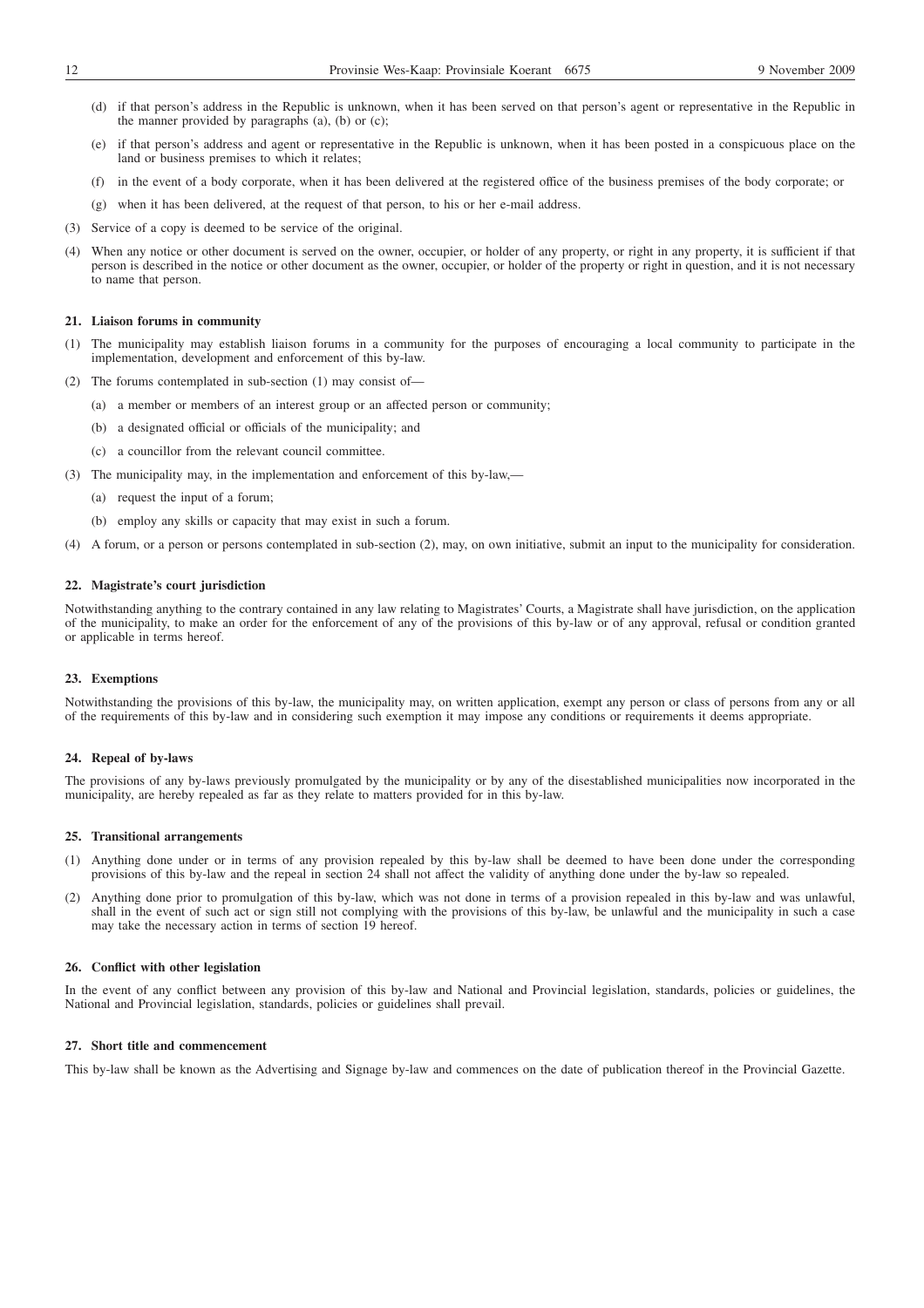- (d) if that person's address in the Republic is unknown, when it has been served on that person's agent or representative in the Republic in the manner provided by paragraphs (a), (b) or (c);
- (e) if that person's address and agent or representative in the Republic is unknown, when it has been posted in a conspicuous place on the land or business premises to which it relates;
- (f) in the event of a body corporate, when it has been delivered at the registered office of the business premises of the body corporate; or
- (g) when it has been delivered, at the request of that person, to his or her e-mail address.
- (3) Service of a copy is deemed to be service of the original.
- (4) When any notice or other document is served on the owner, occupier, or holder of any property, or right in any property, it is sufficient if that person is described in the notice or other document as the owner, occupier, or holder of the property or right in question, and it is not necessary to name that person.

### **21. Liaison forums in community**

- (1) The municipality may establish liaison forums in a community for the purposes of encouraging a local community to participate in the implementation, development and enforcement of this by-law.
- (2) The forums contemplated in sub-section (1) may consist of—
	- (a) a member or members of an interest group or an affected person or community;
		- (b) a designated official or officials of the municipality; and
		- (c) a councillor from the relevant council committee.
- (3) The municipality may, in the implementation and enforcement of this by-law,—
	- (a) request the input of a forum;
	- (b) employ any skills or capacity that may exist in such a forum.
- (4) A forum, or a person or persons contemplated in sub-section (2), may, on own initiative, submit an input to the municipality for consideration.

### **22. Magistrate's court jurisdiction**

Notwithstanding anything to the contrary contained in any law relating to Magistrates' Courts, a Magistrate shall have jurisdiction, on the application of the municipality, to make an order for the enforcement of any of the provisions of this by-law or of any approval, refusal or condition granted or applicable in terms hereof.

### **23. Exemptions**

Notwithstanding the provisions of this by-law, the municipality may, on written application, exempt any person or class of persons from any or all of the requirements of this by-law and in considering such exemption it may impose any conditions or requirements it deems appropriate.

### **24. Repeal of by-laws**

The provisions of any by-laws previously promulgated by the municipality or by any of the disestablished municipalities now incorporated in the municipality, are hereby repealed as far as they relate to matters provided for in this by-law.

### **25. Transitional arrangements**

- (1) Anything done under or in terms of any provision repealed by this by-law shall be deemed to have been done under the corresponding provisions of this by-law and the repeal in section 24 shall not affect the validity of anything done under the by-law so repealed.
- (2) Anything done prior to promulgation of this by-law, which was not done in terms of a provision repealed in this by-law and was unlawful, shall in the event of such act or sign still not complying with the provisions of this by-law, be unlawful and the municipality in such a case may take the necessary action in terms of section 19 hereof.

### **26. Conflict with other legislation**

In the event of any conflict between any provision of this by-law and National and Provincial legislation, standards, policies or guidelines, the National and Provincial legislation, standards, policies or guidelines shall prevail.

### **27. Short title and commencement**

This by-law shall be known as the Advertising and Signage by-law and commences on the date of publication thereof in the Provincial Gazette.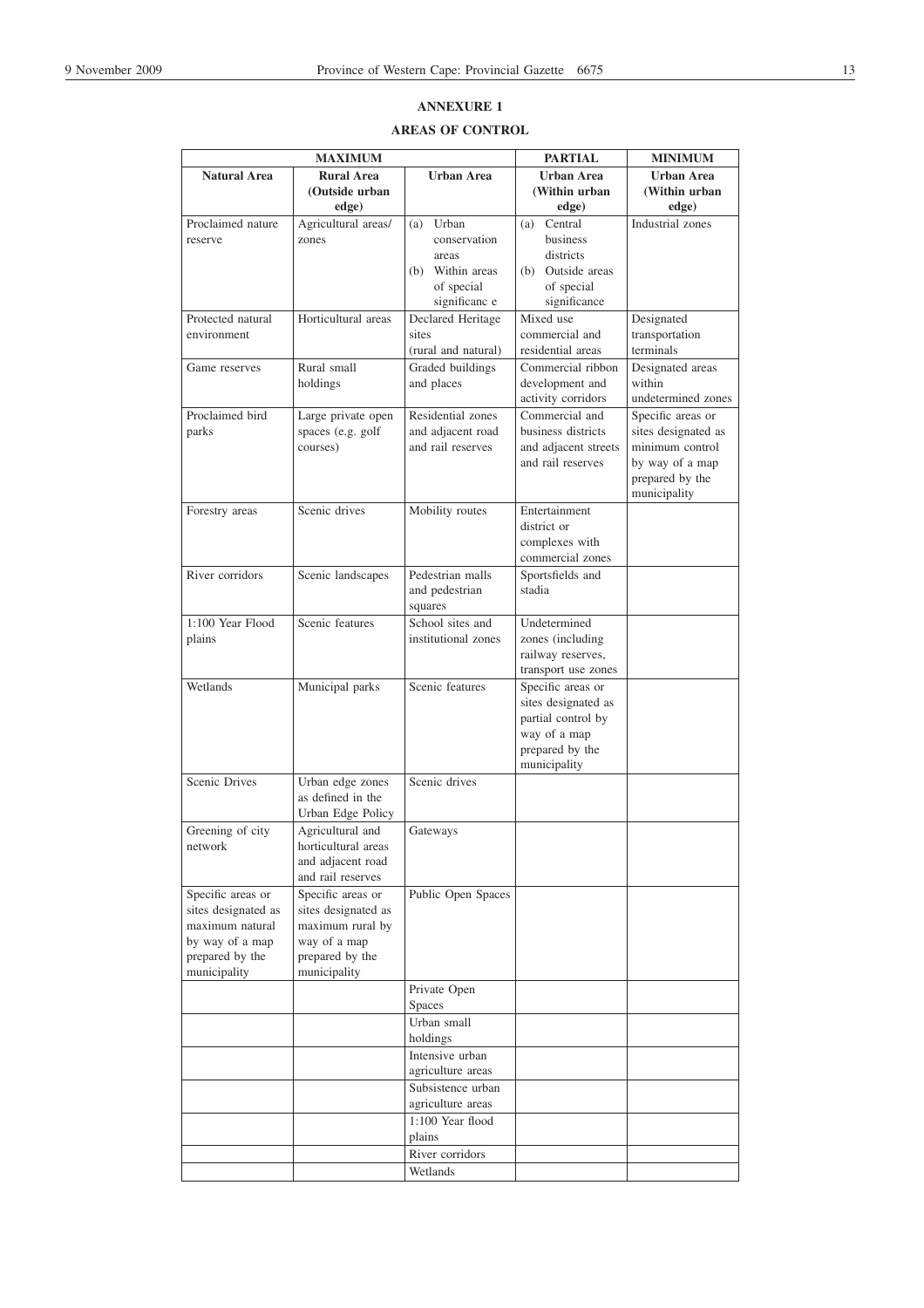# **ANNEXURE 1**

# **AREAS OF CONTROL**

|                                 | <b>MAXIMUM</b>                        |                             | <b>PARTIAL</b>                     | <b>MINIMUM</b>      |
|---------------------------------|---------------------------------------|-----------------------------|------------------------------------|---------------------|
| <b>Natural Area</b>             | <b>Rural Area</b>                     | <b>Urban Area</b>           | <b>Urban Area</b>                  | <b>Urban Area</b>   |
|                                 | (Outside urban                        |                             | (Within urban                      | (Within urban       |
|                                 | edge)                                 |                             | edge)                              | edge)               |
| Proclaimed nature               | Agricultural areas/                   | Urban<br>(a)                | Central<br>(a)                     | Industrial zones    |
| reserve                         | zones                                 | conservation                | business                           |                     |
|                                 |                                       | areas                       | districts                          |                     |
|                                 |                                       | (b) Within areas            | (b) Outside areas                  |                     |
|                                 |                                       | of special<br>significanc e | of special<br>significance         |                     |
| Protected natural               | Horticultural areas                   | Declared Heritage           | Mixed use                          | Designated          |
| environment                     |                                       | sites                       | commercial and                     | transportation      |
|                                 |                                       | (rural and natural)         | residential areas                  | terminals           |
| Game reserves                   | Rural small                           | Graded buildings            | Commercial ribbon                  | Designated areas    |
|                                 | holdings                              | and places                  | development and                    | within              |
|                                 |                                       |                             | activity corridors                 | undetermined zones  |
| Proclaimed bird                 | Large private open                    | Residential zones           | Commercial and                     | Specific areas or   |
| parks                           | spaces (e.g. golf                     | and adjacent road           | business districts                 | sites designated as |
|                                 | courses)                              | and rail reserves           | and adjacent streets               | minimum control     |
|                                 |                                       |                             | and rail reserves                  | by way of a map     |
|                                 |                                       |                             |                                    | prepared by the     |
|                                 |                                       |                             |                                    | municipality        |
| Forestry areas                  | Scenic drives                         | Mobility routes             | Entertainment                      |                     |
|                                 |                                       |                             | district or                        |                     |
|                                 |                                       |                             | complexes with<br>commercial zones |                     |
| River corridors                 | Scenic landscapes                     | Pedestrian malls            | Sportsfields and                   |                     |
|                                 |                                       | and pedestrian              | stadia                             |                     |
|                                 |                                       | squares                     |                                    |                     |
| 1:100 Year Flood                | Scenic features                       | School sites and            | Undetermined                       |                     |
| plains                          |                                       | institutional zones         | zones (including                   |                     |
|                                 |                                       |                             | railway reserves,                  |                     |
|                                 |                                       |                             | transport use zones                |                     |
| Wetlands                        | Municipal parks                       | Scenic features             | Specific areas or                  |                     |
|                                 |                                       |                             | sites designated as                |                     |
|                                 |                                       |                             | partial control by                 |                     |
|                                 |                                       |                             | way of a map                       |                     |
|                                 |                                       |                             | prepared by the                    |                     |
| Scenic Drives                   |                                       | Scenic drives               | municipality                       |                     |
|                                 | Urban edge zones<br>as defined in the |                             |                                    |                     |
|                                 | Urban Edge Policy                     |                             |                                    |                     |
| Greening of city                | Agricultural and                      | Gateways                    |                                    |                     |
| network                         | horticultural areas                   |                             |                                    |                     |
|                                 | and adjacent road                     |                             |                                    |                     |
|                                 | and rail reserves                     |                             |                                    |                     |
| Specific areas or               | Specific areas or                     | Public Open Spaces          |                                    |                     |
| sites designated as             | sites designated as                   |                             |                                    |                     |
| maximum natural                 | maximum rural by                      |                             |                                    |                     |
| by way of a map                 | way of a map                          |                             |                                    |                     |
| prepared by the<br>municipality | prepared by the<br>municipality       |                             |                                    |                     |
|                                 |                                       | Private Open                |                                    |                     |
|                                 |                                       | <b>Spaces</b>               |                                    |                     |
|                                 |                                       | Urban small                 |                                    |                     |
|                                 |                                       | holdings                    |                                    |                     |
|                                 |                                       | Intensive urban             |                                    |                     |
|                                 |                                       | agriculture areas           |                                    |                     |
|                                 |                                       | Subsistence urban           |                                    |                     |
|                                 |                                       | agriculture areas           |                                    |                     |
|                                 |                                       | 1:100 Year flood            |                                    |                     |
|                                 |                                       | plains                      |                                    |                     |
|                                 |                                       | River corridors             |                                    |                     |
|                                 |                                       | Wetlands                    |                                    |                     |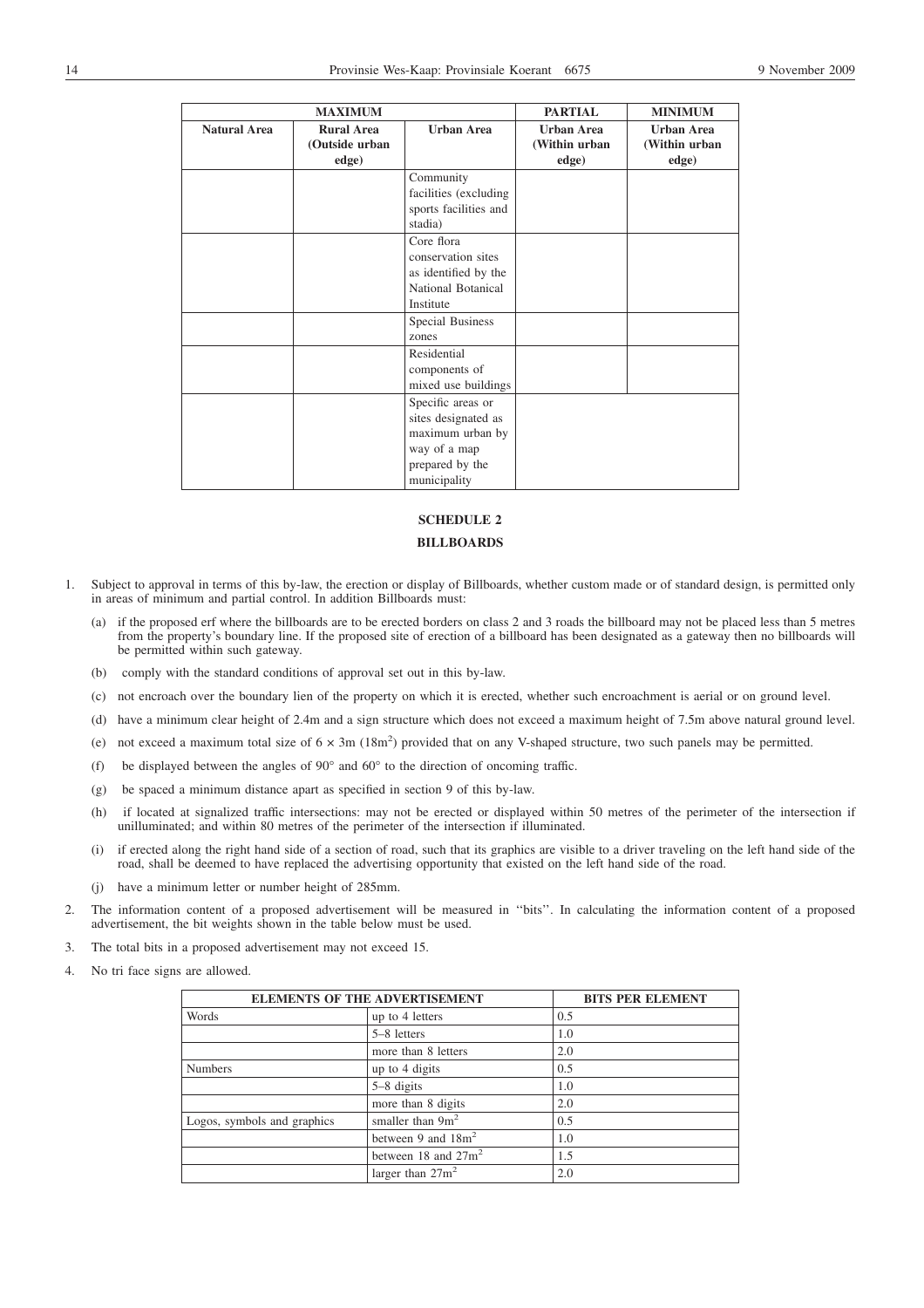|                     | <b>MAXIMUM</b>                               |                                                                                                                 | <b>PARTIAL</b>                              | <b>MINIMUM</b>                              |
|---------------------|----------------------------------------------|-----------------------------------------------------------------------------------------------------------------|---------------------------------------------|---------------------------------------------|
| <b>Natural Area</b> | <b>Rural Area</b><br>(Outside urban<br>edge) | <b>Urban Area</b>                                                                                               | <b>Urban Area</b><br>(Within urban<br>edge) | <b>Urban Area</b><br>(Within urban<br>edge) |
|                     |                                              | Community<br>facilities (excluding<br>sports facilities and<br>stadia)                                          |                                             |                                             |
|                     |                                              | Core flora<br>conservation sites<br>as identified by the<br>National Botanical<br>Institute                     |                                             |                                             |
|                     |                                              | <b>Special Business</b><br>zones                                                                                |                                             |                                             |
|                     |                                              | Residential<br>components of<br>mixed use buildings                                                             |                                             |                                             |
|                     |                                              | Specific areas or<br>sites designated as<br>maximum urban by<br>way of a map<br>prepared by the<br>municipality |                                             |                                             |

# **SCHEDULE 2**

# **BILLBOARDS**

- 1. Subject to approval in terms of this by-law, the erection or display of Billboards, whether custom made or of standard design, is permitted only in areas of minimum and partial control. In addition Billboards must:
	- (a) if the proposed erf where the billboards are to be erected borders on class 2 and 3 roads the billboard may not be placed less than 5 metres from the property's boundary line. If the proposed site of erection of a billboard has been designated as a gateway then no billboards will be permitted within such gateway.
	- (b) comply with the standard conditions of approval set out in this by-law.
	- (c) not encroach over the boundary lien of the property on which it is erected, whether such encroachment is aerial or on ground level.
	- (d) have a minimum clear height of 2.4m and a sign structure which does not exceed a maximum height of 7.5m above natural ground level.
	- (e) not exceed a maximum total size of  $6 \times 3m$  (18m<sup>2</sup>) provided that on any V-shaped structure, two such panels may be permitted.
	- (f) be displayed between the angles of 90° and 60° to the direction of oncoming traffic.
	- (g) be spaced a minimum distance apart as specified in section 9 of this by-law.
	- (h) if located at signalized traffic intersections: may not be erected or displayed within 50 metres of the perimeter of the intersection if unilluminated; and within 80 metres of the perimeter of the intersection if illuminated.
	- (i) if erected along the right hand side of a section of road, such that its graphics are visible to a driver traveling on the left hand side of the road, shall be deemed to have replaced the advertising opportunity that existed on the left hand side of the road.
	- (j) have a minimum letter or number height of 285mm.
- 2. The information content of a proposed advertisement will be measured in ''bits''. In calculating the information content of a proposed advertisement, the bit weights shown in the table below must be used.
- 3. The total bits in a proposed advertisement may not exceed 15.
- 4. No tri face signs are allowed.

| <b>ELEMENTS OF THE ADVERTISEMENT</b> |                        | <b>BITS PER ELEMENT</b> |
|--------------------------------------|------------------------|-------------------------|
| Words                                | up to 4 letters        | 0.5                     |
|                                      | 5–8 letters            | 1.0                     |
|                                      | more than 8 letters    | 2.0                     |
| <b>Numbers</b>                       | up to 4 digits         | 0.5                     |
|                                      | 5-8 digits             | 1.0                     |
|                                      | more than 8 digits     | 2.0                     |
| Logos, symbols and graphics          | smaller than $9m^2$    | 0.5                     |
|                                      | between 9 and $18m^2$  | 1.0                     |
|                                      | between 18 and $27m^2$ | 1.5                     |
|                                      | larger than $27m^2$    | 2.0                     |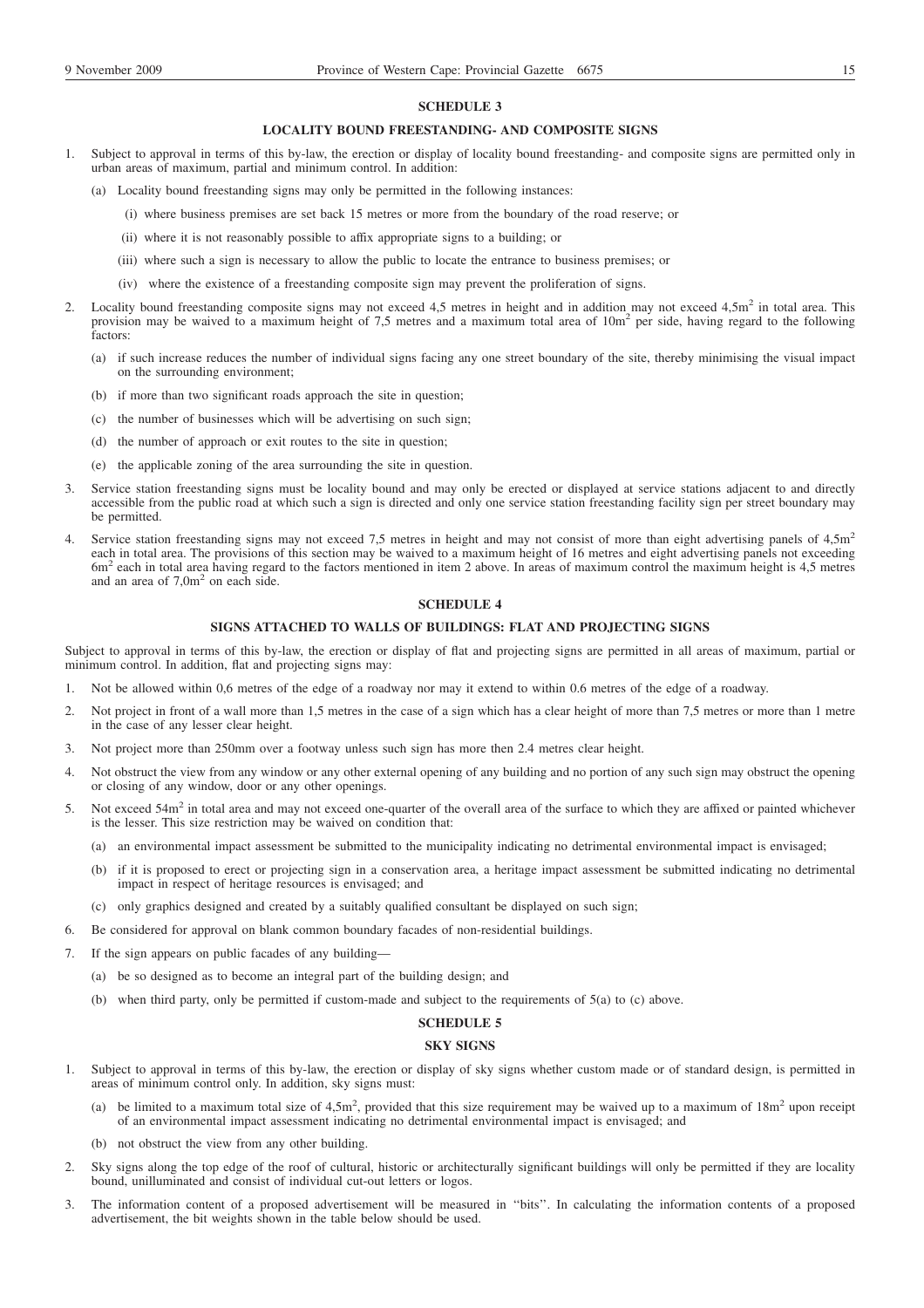### **SCHEDULE 3**

### **LOCALITY BOUND FREESTANDING- AND COMPOSITE SIGNS**

- 1. Subject to approval in terms of this by-law, the erection or display of locality bound freestanding- and composite signs are permitted only in urban areas of maximum, partial and minimum control. In addition:
	- (a) Locality bound freestanding signs may only be permitted in the following instances:
		- (i) where business premises are set back 15 metres or more from the boundary of the road reserve; or
			- (ii) where it is not reasonably possible to affix appropriate signs to a building; or
		- (iii) where such a sign is necessary to allow the public to locate the entrance to business premises; or
		- (iv) where the existence of a freestanding composite sign may prevent the proliferation of signs.
- 2. Locality bound freestanding composite signs may not exceed 4,5 metres in height and in addition may not exceed 4,5m<sup>2</sup> in total area. This provision may be waived to a maximum height of 7,5 metres and a maximum total area of  $10m<sup>2</sup>$  per side, having regard to the following factors:
	- (a) if such increase reduces the number of individual signs facing any one street boundary of the site, thereby minimising the visual impact on the surrounding environment;
	- (b) if more than two significant roads approach the site in question;
	- (c) the number of businesses which will be advertising on such sign;
	- (d) the number of approach or exit routes to the site in question;
	- (e) the applicable zoning of the area surrounding the site in question.
- 3. Service station freestanding signs must be locality bound and may only be erected or displayed at service stations adjacent to and directly accessible from the public road at which such a sign is directed and only one service station freestanding facility sign per street boundary may be permitted.
- Service station freestanding signs may not exceed 7,5 metres in height and may not consist of more than eight advertising panels of  $4.5$ m<sup>2</sup> each in total area. The provisions of this section may be waived to a maximum height of 16 metres and eight advertising panels not exceeding 6m<sup>2</sup> each in total area having regard to the factors mentioned in item 2 above. In areas of maximum control the maximum height is 4,5 metres and an area of  $7.0m<sup>2</sup>$  on each side.

# **SCHEDULE 4**

### **SIGNS ATTACHED TO WALLS OF BUILDINGS: FLAT AND PROJECTING SIGNS**

Subject to approval in terms of this by-law, the erection or display of flat and projecting signs are permitted in all areas of maximum, partial or minimum control. In addition, flat and projecting signs may:

- 1. Not be allowed within 0,6 metres of the edge of a roadway nor may it extend to within 0.6 metres of the edge of a roadway.
- 2. Not project in front of a wall more than 1,5 metres in the case of a sign which has a clear height of more than 7,5 metres or more than 1 metre in the case of any lesser clear height.
- 3. Not project more than 250mm over a footway unless such sign has more then 2.4 metres clear height.
- 4. Not obstruct the view from any window or any other external opening of any building and no portion of any such sign may obstruct the opening or closing of any window, door or any other openings.
- 5. Not exceed 54m<sup>2</sup> in total area and may not exceed one-quarter of the overall area of the surface to which they are affixed or painted whichever is the lesser. This size restriction may be waived on condition that:
	- (a) an environmental impact assessment be submitted to the municipality indicating no detrimental environmental impact is envisaged;
	- (b) if it is proposed to erect or projecting sign in a conservation area, a heritage impact assessment be submitted indicating no detrimental impact in respect of heritage resources is envisaged; and
	- (c) only graphics designed and created by a suitably qualified consultant be displayed on such sign;
- 6. Be considered for approval on blank common boundary facades of non-residential buildings.
- 7. If the sign appears on public facades of any building—
	- (a) be so designed as to become an integral part of the building design; and
	- (b) when third party, only be permitted if custom-made and subject to the requirements of 5(a) to (c) above.

### **SCHEDULE 5**

### **SKY SIGNS**

- 1. Subject to approval in terms of this by-law, the erection or display of sky signs whether custom made or of standard design, is permitted in areas of minimum control only. In addition, sky signs must:
	- (a) be limited to a maximum total size of  $4.5m^2$ , provided that this size requirement may be waived up to a maximum of  $18m^2$  upon receipt of an environmental impact assessment indicating no detrimental environmental impact is envisaged; and
	- (b) not obstruct the view from any other building.
- 2. Sky signs along the top edge of the roof of cultural, historic or architecturally significant buildings will only be permitted if they are locality bound, unilluminated and consist of individual cut-out letters or logos.
- 3. The information content of a proposed advertisement will be measured in ''bits''. In calculating the information contents of a proposed advertisement, the bit weights shown in the table below should be used.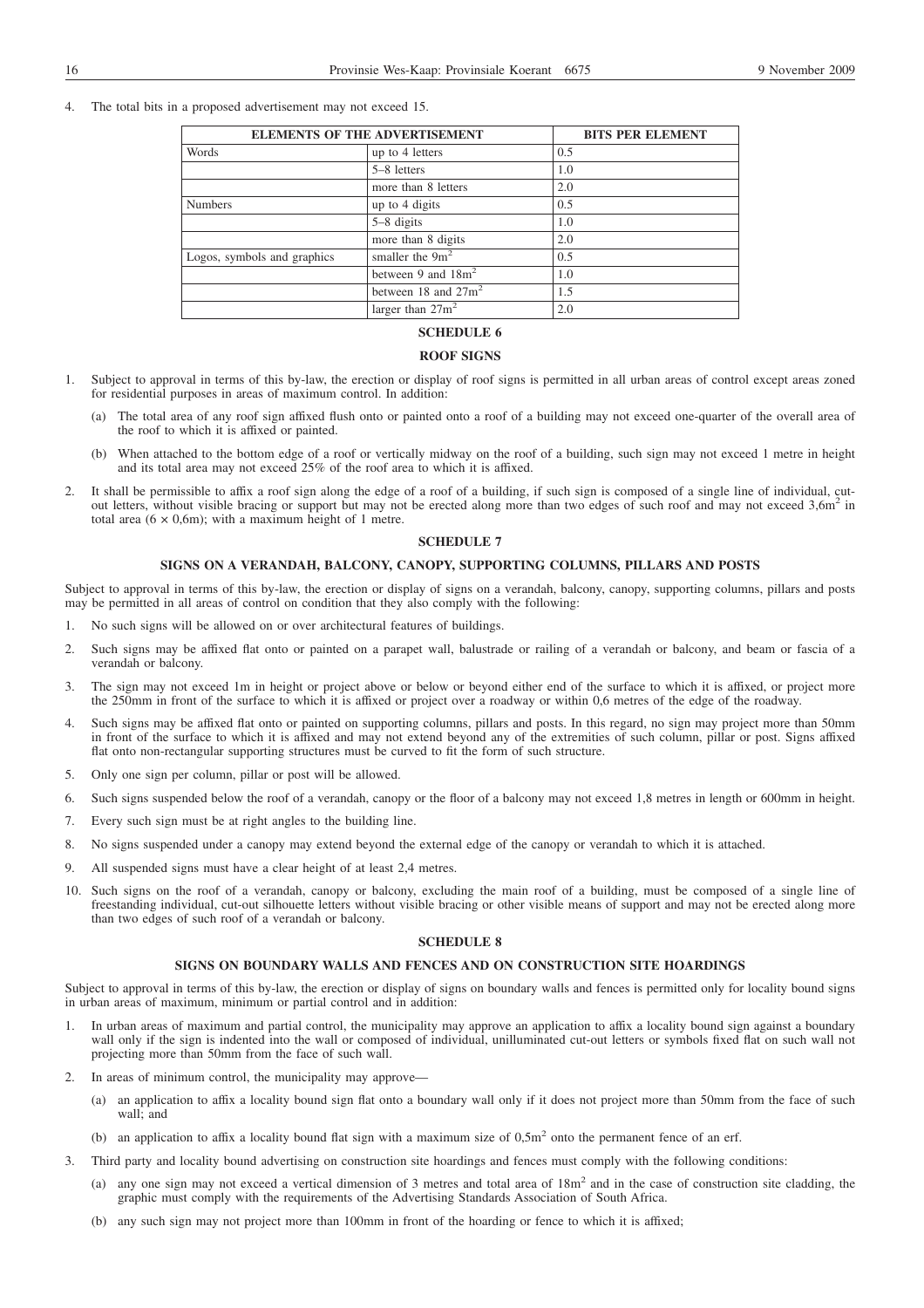4. The total bits in a proposed advertisement may not exceed 15.

| <b>ELEMENTS OF THE ADVERTISEMENT</b> | <b>BITS PER ELEMENT</b> |     |
|--------------------------------------|-------------------------|-----|
| Words                                | up to 4 letters         | 0.5 |
|                                      | 5–8 letters             | 1.0 |
|                                      | more than 8 letters     | 2.0 |
| <b>Numbers</b>                       | up to 4 digits          | 0.5 |
|                                      | $5-8$ digits            | 1.0 |
|                                      | more than 8 digits      | 2.0 |
| Logos, symbols and graphics          | smaller the $9m^2$      | 0.5 |
|                                      | between 9 and $18m^2$   | 1.0 |
|                                      | between 18 and $27m^2$  | 1.5 |
|                                      | larger than $27m^2$     | 2.0 |

# **SCHEDULE 6**

### **ROOF SIGNS**

- 1. Subject to approval in terms of this by-law, the erection or display of roof signs is permitted in all urban areas of control except areas zoned for residential purposes in areas of maximum control. In addition:
	- (a) The total area of any roof sign affixed flush onto or painted onto a roof of a building may not exceed one-quarter of the overall area of the roof to which it is affixed or painted.
	- (b) When attached to the bottom edge of a roof or vertically midway on the roof of a building, such sign may not exceed 1 metre in height and its total area may not exceed 25% of the roof area to which it is affixed.
- 2. It shall be permissible to affix a roof sign along the edge of a roof of a building, if such sign is composed of a single line of individual, cutout letters, without visible bracing or support but may not be erected along more than two edges of such roof and may not exceed 3,6m<sup>2</sup> in total area  $(6 \times 0.6m)$ ; with a maximum height of 1 metre.

# **SCHEDULE 7**

### **SIGNS ON A VERANDAH, BALCONY, CANOPY, SUPPORTING COLUMNS, PILLARS AND POSTS**

Subject to approval in terms of this by-law, the erection or display of signs on a verandah, balcony, canopy, supporting columns, pillars and posts may be permitted in all areas of control on condition that they also comply with the following:

- 1. No such signs will be allowed on or over architectural features of buildings.
- 2. Such signs may be affixed flat onto or painted on a parapet wall, balustrade or railing of a verandah or balcony, and beam or fascia of a verandah or balcony.
- 3. The sign may not exceed 1m in height or project above or below or beyond either end of the surface to which it is affixed, or project more the 250mm in front of the surface to which it is affixed or project over a roadway or within 0,6 metres of the edge of the roadway.
- 4. Such signs may be affixed flat onto or painted on supporting columns, pillars and posts. In this regard, no sign may project more than 50mm in front of the surface to which it is affixed and may not extend beyond any of the extremities of such column, pillar or post. Signs affixed flat onto non-rectangular supporting structures must be curved to fit the form of such structure.
- 5. Only one sign per column, pillar or post will be allowed.
- 6. Such signs suspended below the roof of a verandah, canopy or the floor of a balcony may not exceed 1,8 metres in length or 600mm in height.
- 7. Every such sign must be at right angles to the building line.
- 8. No signs suspended under a canopy may extend beyond the external edge of the canopy or verandah to which it is attached.
- 9. All suspended signs must have a clear height of at least 2,4 metres.
- 10. Such signs on the roof of a verandah, canopy or balcony, excluding the main roof of a building, must be composed of a single line of freestanding individual, cut-out silhouette letters without visible bracing or other visible means of support and may not be erected along more than two edges of such roof of a verandah or balcony.

### **SCHEDULE 8**

# **SIGNS ON BOUNDARY WALLS AND FENCES AND ON CONSTRUCTION SITE HOARDINGS**

Subject to approval in terms of this by-law, the erection or display of signs on boundary walls and fences is permitted only for locality bound signs in urban areas of maximum, minimum or partial control and in addition:

- 1. In urban areas of maximum and partial control, the municipality may approve an application to affix a locality bound sign against a boundary wall only if the sign is indented into the wall or composed of individual, unilluminated cut-out letters or symbols fixed flat on such wall not projecting more than 50mm from the face of such wall.
- 2. In areas of minimum control, the municipality may approve—
	- (a) an application to affix a locality bound sign flat onto a boundary wall only if it does not project more than 50mm from the face of such wall; and
	- (b) an application to affix a locality bound flat sign with a maximum size of  $0.5m<sup>2</sup>$  onto the permanent fence of an erf.
- 3. Third party and locality bound advertising on construction site hoardings and fences must comply with the following conditions:
	- (a) any one sign may not exceed a vertical dimension of 3 metres and total area of 18m<sup>2</sup> and in the case of construction site cladding, the graphic must comply with the requirements of the Advertising Standards Association of South Africa.
	- (b) any such sign may not project more than 100mm in front of the hoarding or fence to which it is affixed;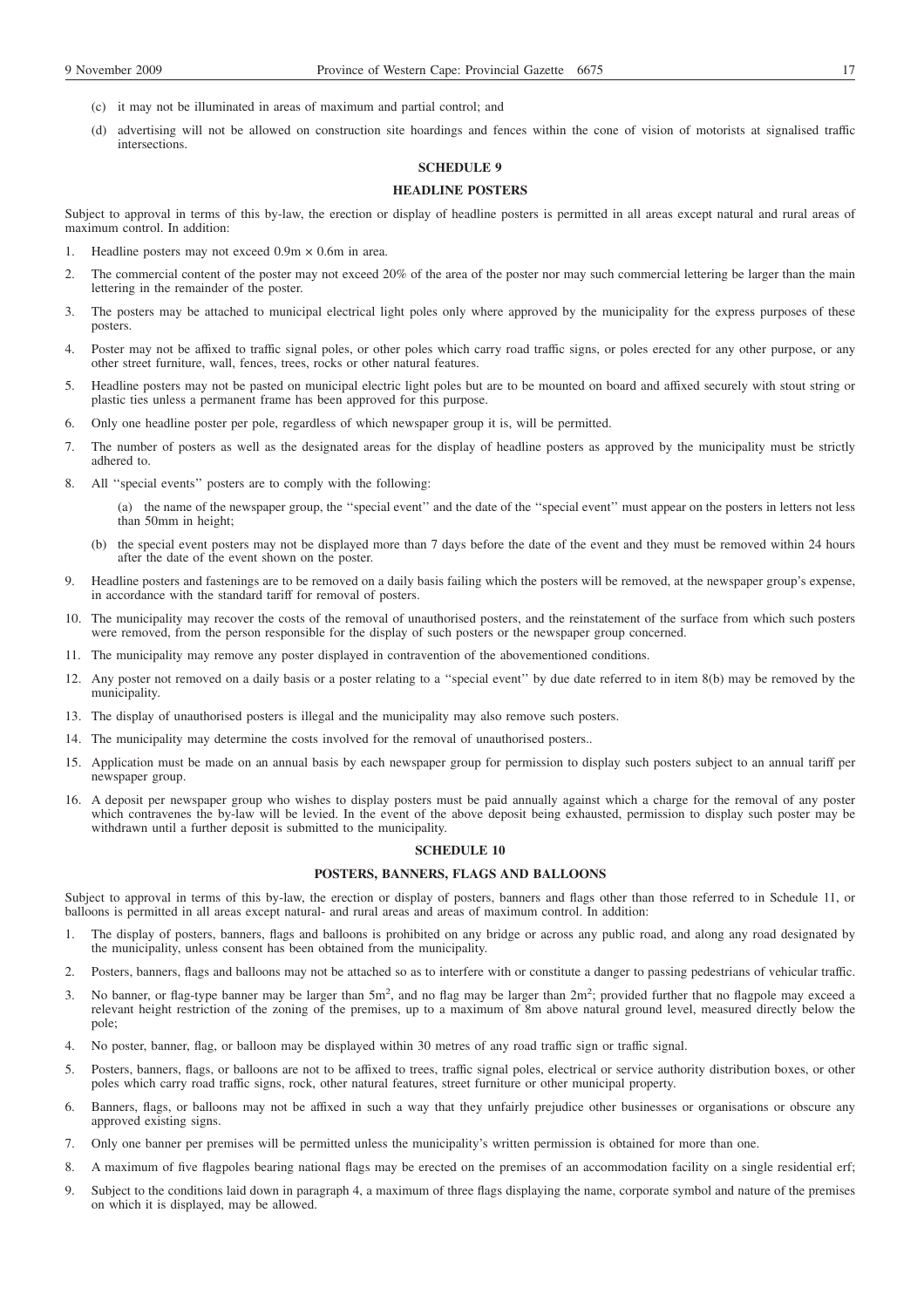- (c) it may not be illuminated in areas of maximum and partial control; and
- (d) advertising will not be allowed on construction site hoardings and fences within the cone of vision of motorists at signalised traffic intersections.

# **SCHEDULE 9**

# **HEADLINE POSTERS**

Subject to approval in terms of this by-law, the erection or display of headline posters is permitted in all areas except natural and rural areas of maximum control. In addition:

- 1. Headline posters may not exceed 0.9m × 0.6m in area.
- 2. The commercial content of the poster may not exceed 20% of the area of the poster nor may such commercial lettering be larger than the main lettering in the remainder of the poster.
- 3. The posters may be attached to municipal electrical light poles only where approved by the municipality for the express purposes of these posters.
- 4. Poster may not be affixed to traffic signal poles, or other poles which carry road traffic signs, or poles erected for any other purpose, or any other street furniture, wall, fences, trees, rocks or other natural features.
- 5. Headline posters may not be pasted on municipal electric light poles but are to be mounted on board and affixed securely with stout string or plastic ties unless a permanent frame has been approved for this purpose.
- 6. Only one headline poster per pole, regardless of which newspaper group it is, will be permitted.
- 7. The number of posters as well as the designated areas for the display of headline posters as approved by the municipality must be strictly adhered to.
- 8. All ''special events'' posters are to comply with the following:
	- (a) the name of the newspaper group, the ''special event'' and the date of the ''special event'' must appear on the posters in letters not less than 50mm in height;
	- (b) the special event posters may not be displayed more than 7 days before the date of the event and they must be removed within 24 hours after the date of the event shown on the poster.
- 9. Headline posters and fastenings are to be removed on a daily basis failing which the posters will be removed, at the newspaper group's expense, in accordance with the standard tariff for removal of posters.
- 10. The municipality may recover the costs of the removal of unauthorised posters, and the reinstatement of the surface from which such posters were removed, from the person responsible for the display of such posters or the newspaper group concerned.
- 11. The municipality may remove any poster displayed in contravention of the abovementioned conditions.
- 12. Any poster not removed on a daily basis or a poster relating to a ''special event'' by due date referred to in item 8(b) may be removed by the municipality.
- 13. The display of unauthorised posters is illegal and the municipality may also remove such posters.
- 14. The municipality may determine the costs involved for the removal of unauthorised posters..
- 15. Application must be made on an annual basis by each newspaper group for permission to display such posters subject to an annual tariff per newspaper group.
- 16. A deposit per newspaper group who wishes to display posters must be paid annually against which a charge for the removal of any poster which contravenes the by-law will be levied. In the event of the above deposit being exhausted, permission to display such poster may be withdrawn until a further deposit is submitted to the municipality.

### **SCHEDULE 10**

### **POSTERS, BANNERS, FLAGS AND BALLOONS**

Subject to approval in terms of this by-law, the erection or display of posters, banners and flags other than those referred to in Schedule 11, or balloons is permitted in all areas except natural- and rural areas and areas of maximum control. In addition:

- 1. The display of posters, banners, flags and balloons is prohibited on any bridge or across any public road, and along any road designated by the municipality, unless consent has been obtained from the municipality.
- 2. Posters, banners, flags and balloons may not be attached so as to interfere with or constitute a danger to passing pedestrians of vehicular traffic.
- 3. No banner, or flag-type banner may be larger than  $5m^2$ , and no flag may be larger than  $2m^2$ ; provided further that no flagpole may exceed a relevant height restriction of the zoning of the premises, up to a maximum of 8m above natural ground level, measured directly below the pole;
- 4. No poster, banner, flag, or balloon may be displayed within 30 metres of any road traffic sign or traffic signal.
- 5. Posters, banners, flags, or balloons are not to be affixed to trees, traffic signal poles, electrical or service authority distribution boxes, or other poles which carry road traffic signs, rock, other natural features, street furniture or other municipal property.
- 6. Banners, flags, or balloons may not be affixed in such a way that they unfairly prejudice other businesses or organisations or obscure any approved existing signs.
- 7. Only one banner per premises will be permitted unless the municipality's written permission is obtained for more than one.
- 8. A maximum of five flagpoles bearing national flags may be erected on the premises of an accommodation facility on a single residential erf;
- 9. Subject to the conditions laid down in paragraph 4, a maximum of three flags displaying the name, corporate symbol and nature of the premises on which it is displayed, may be allowed.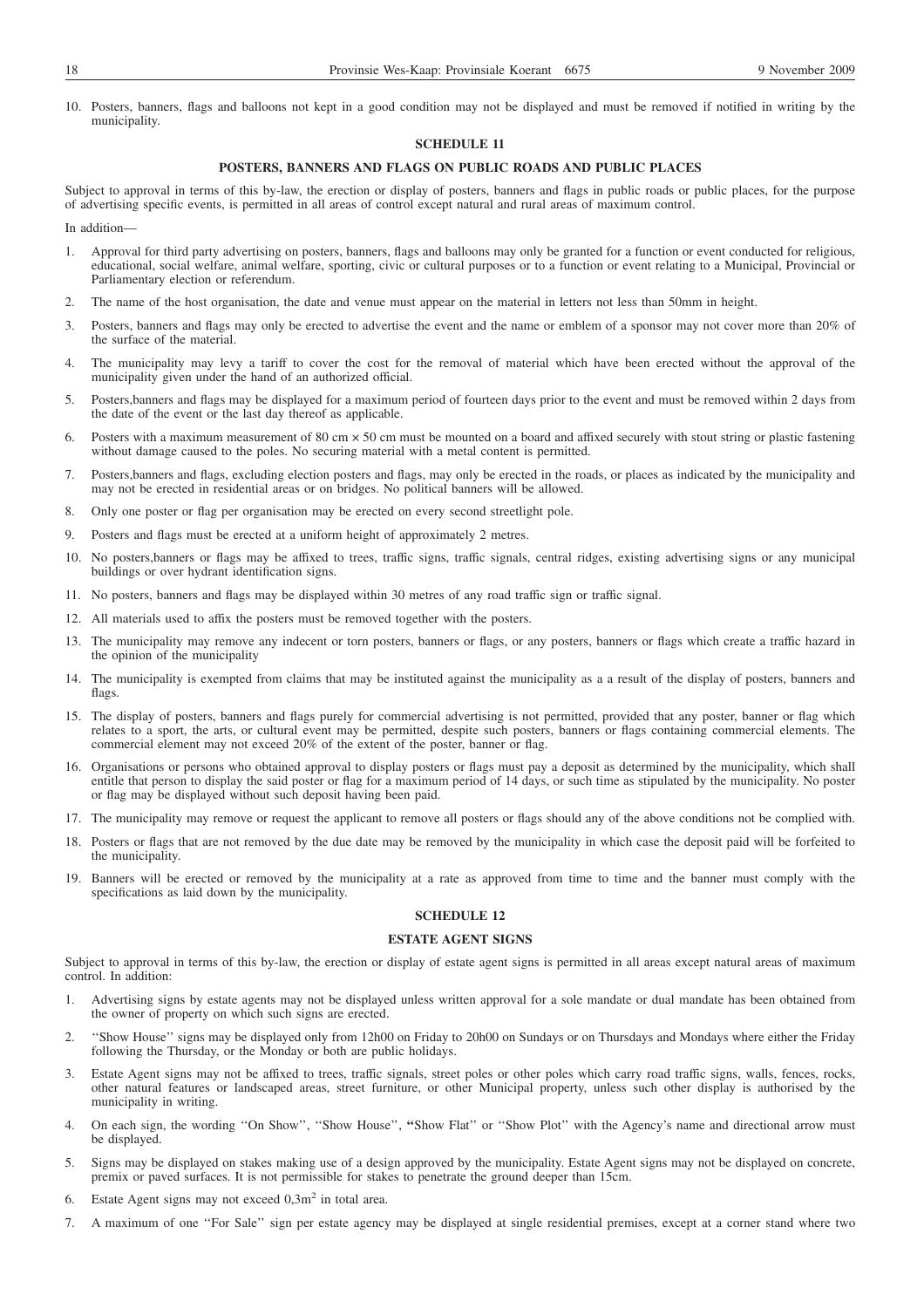10. Posters, banners, flags and balloons not kept in a good condition may not be displayed and must be removed if notified in writing by the municipality.

# **SCHEDULE 11**

### **POSTERS, BANNERS AND FLAGS ON PUBLIC ROADS AND PUBLIC PLACES**

Subject to approval in terms of this by-law, the erection or display of posters, banners and flags in public roads or public places, for the purpose of advertising specific events, is permitted in all areas of control except natural and rural areas of maximum control.

# In addition—

- 1. Approval for third party advertising on posters, banners, flags and balloons may only be granted for a function or event conducted for religious, educational, social welfare, animal welfare, sporting, civic or cultural purposes or to a function or event relating to a Municipal, Provincial or Parliamentary election or referendum.
- 2. The name of the host organisation, the date and venue must appear on the material in letters not less than 50mm in height.
- 3. Posters, banners and flags may only be erected to advertise the event and the name or emblem of a sponsor may not cover more than 20% of the surface of the material.
- 4. The municipality may levy a tariff to cover the cost for the removal of material which have been erected without the approval of the municipality given under the hand of an authorized official.
- 5. Posters,banners and flags may be displayed for a maximum period of fourteen days prior to the event and must be removed within 2 days from the date of the event or the last day thereof as applicable.
- 6. Posters with a maximum measurement of 80 cm × 50 cm must be mounted on a board and affixed securely with stout string or plastic fastening without damage caused to the poles. No securing material with a metal content is permitted.
- 7. Posters,banners and flags, excluding election posters and flags, may only be erected in the roads, or places as indicated by the municipality and may not be erected in residential areas or on bridges. No political banners will be allowed.
- 8. Only one poster or flag per organisation may be erected on every second streetlight pole.
- 9. Posters and flags must be erected at a uniform height of approximately 2 metres.
- 10. No posters,banners or flags may be affixed to trees, traffic signs, traffic signals, central ridges, existing advertising signs or any municipal buildings or over hydrant identification signs.
- 11. No posters, banners and flags may be displayed within 30 metres of any road traffic sign or traffic signal.
- 12. All materials used to affix the posters must be removed together with the posters.
- 13. The municipality may remove any indecent or torn posters, banners or flags, or any posters, banners or flags which create a traffic hazard in the opinion of the municipality
- 14. The municipality is exempted from claims that may be instituted against the municipality as a a result of the display of posters, banners and flags.
- 15. The display of posters, banners and flags purely for commercial advertising is not permitted, provided that any poster, banner or flag which relates to a sport, the arts, or cultural event may be permitted, despite such posters, banners or flags containing commercial elements. The commercial element may not exceed 20% of the extent of the poster, banner or flag.
- 16. Organisations or persons who obtained approval to display posters or flags must pay a deposit as determined by the municipality, which shall entitle that person to display the said poster or flag for a maximum period of 14 days, or such time as stipulated by the municipality. No poster or flag may be displayed without such deposit having been paid.
- 17. The municipality may remove or request the applicant to remove all posters or flags should any of the above conditions not be complied with.
- 18. Posters or flags that are not removed by the due date may be removed by the municipality in which case the deposit paid will be forfeited to the municipality.
- 19. Banners will be erected or removed by the municipality at a rate as approved from time to time and the banner must comply with the specifications as laid down by the municipality.

# **SCHEDULE 12**

### **ESTATE AGENT SIGNS**

Subject to approval in terms of this by-law, the erection or display of estate agent signs is permitted in all areas except natural areas of maximum control. In addition:

- 1. Advertising signs by estate agents may not be displayed unless written approval for a sole mandate or dual mandate has been obtained from the owner of property on which such signs are erected.
- 2. ''Show House'' signs may be displayed only from 12h00 on Friday to 20h00 on Sundays or on Thursdays and Mondays where either the Friday following the Thursday, or the Monday or both are public holidays.
- 3. Estate Agent signs may not be affixed to trees, traffic signals, street poles or other poles which carry road traffic signs, walls, fences, rocks, other natural features or landscaped areas, street furniture, or other Municipal property, unless such other display is authorised by the municipality in writing.
- 4. On each sign, the wording ''On Show'', ''Show House'', **''**Show Flat'' or ''Show Plot'' with the Agency's name and directional arrow must be displayed.
- 5. Signs may be displayed on stakes making use of a design approved by the municipality. Estate Agent signs may not be displayed on concrete, premix or paved surfaces. It is not permissible for stakes to penetrate the ground deeper than 15cm.
- 6. Estate Agent signs may not exceed  $0,3m^2$  in total area.
- 7. A maximum of one ''For Sale'' sign per estate agency may be displayed at single residential premises, except at a corner stand where two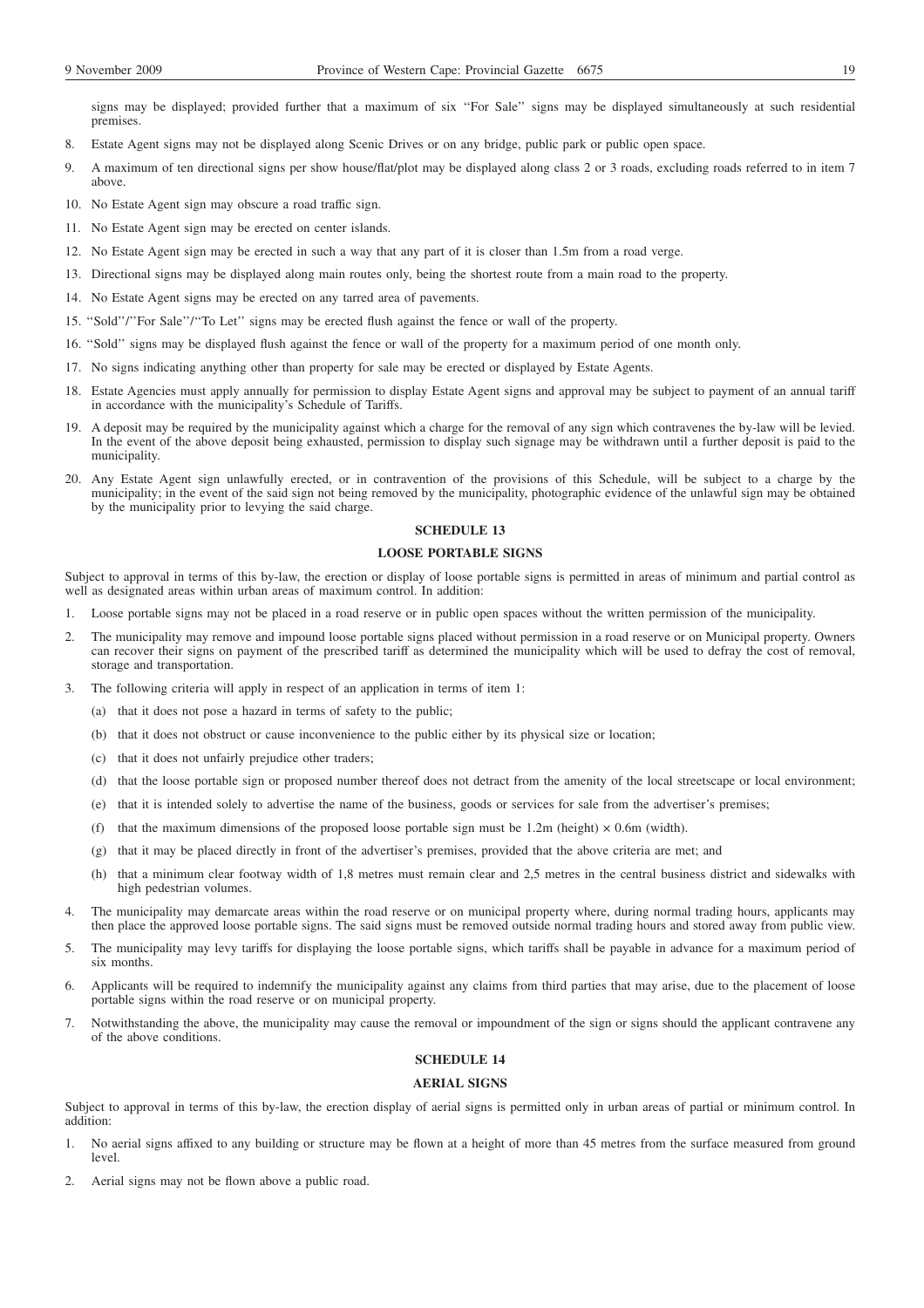signs may be displayed; provided further that a maximum of six ''For Sale'' signs may be displayed simultaneously at such residential premises.

- 8. Estate Agent signs may not be displayed along Scenic Drives or on any bridge, public park or public open space.
- 9. A maximum of ten directional signs per show house/flat/plot may be displayed along class 2 or 3 roads, excluding roads referred to in item 7 above.
- 10. No Estate Agent sign may obscure a road traffic sign.
- 11. No Estate Agent sign may be erected on center islands.
- 12. No Estate Agent sign may be erected in such a way that any part of it is closer than 1.5m from a road verge.
- 13. Directional signs may be displayed along main routes only, being the shortest route from a main road to the property.
- 14. No Estate Agent signs may be erected on any tarred area of pavements.
- 15. ''Sold''/''For Sale''/''To Let'' signs may be erected flush against the fence or wall of the property.
- 16. ''Sold'' signs may be displayed flush against the fence or wall of the property for a maximum period of one month only.
- 17. No signs indicating anything other than property for sale may be erected or displayed by Estate Agents.
- 18. Estate Agencies must apply annually for permission to display Estate Agent signs and approval may be subject to payment of an annual tariff in accordance with the municipality's Schedule of Tariffs.
- 19. A deposit may be required by the municipality against which a charge for the removal of any sign which contravenes the by-law will be levied. In the event of the above deposit being exhausted, permission to display such signage may be withdrawn until a further deposit is paid to the municipality.
- 20. Any Estate Agent sign unlawfully erected, or in contravention of the provisions of this Schedule, will be subject to a charge by the municipality; in the event of the said sign not being removed by the municipality, photographic evidence of the unlawful sign may be obtained by the municipality prior to levying the said charge.

# **SCHEDULE 13**

# **LOOSE PORTABLE SIGNS**

Subject to approval in terms of this by-law, the erection or display of loose portable signs is permitted in areas of minimum and partial control as well as designated areas within urban areas of maximum control. In addition:

- 1. Loose portable signs may not be placed in a road reserve or in public open spaces without the written permission of the municipality.
- 2. The municipality may remove and impound loose portable signs placed without permission in a road reserve or on Municipal property. Owners can recover their signs on payment of the prescribed tariff as determined the municipality which will be used to defray the cost of removal, storage and transportation.
- 3. The following criteria will apply in respect of an application in terms of item 1:
	- (a) that it does not pose a hazard in terms of safety to the public;
	- (b) that it does not obstruct or cause inconvenience to the public either by its physical size or location;
	- (c) that it does not unfairly prejudice other traders;
	- (d) that the loose portable sign or proposed number thereof does not detract from the amenity of the local streetscape or local environment;
	- (e) that it is intended solely to advertise the name of the business, goods or services for sale from the advertiser's premises;
	- (f) that the maximum dimensions of the proposed loose portable sign must be 1.2m (height)  $\times$  0.6m (width).
	- (g) that it may be placed directly in front of the advertiser's premises, provided that the above criteria are met; and
	- (h) that a minimum clear footway width of 1,8 metres must remain clear and 2,5 metres in the central business district and sidewalks with high pedestrian volumes.
- 4. The municipality may demarcate areas within the road reserve or on municipal property where, during normal trading hours, applicants may then place the approved loose portable signs. The said signs must be removed outside normal trading hours and stored away from public view.
- 5. The municipality may levy tariffs for displaying the loose portable signs, which tariffs shall be payable in advance for a maximum period of six months
- 6. Applicants will be required to indemnify the municipality against any claims from third parties that may arise, due to the placement of loose portable signs within the road reserve or on municipal property.
- 7. Notwithstanding the above, the municipality may cause the removal or impoundment of the sign or signs should the applicant contravene any of the above conditions.

# **SCHEDULE 14**

# **AERIAL SIGNS**

Subject to approval in terms of this by-law, the erection display of aerial signs is permitted only in urban areas of partial or minimum control. In addition:

- 1. No aerial signs affixed to any building or structure may be flown at a height of more than 45 metres from the surface measured from ground level.
- 2. Aerial signs may not be flown above a public road.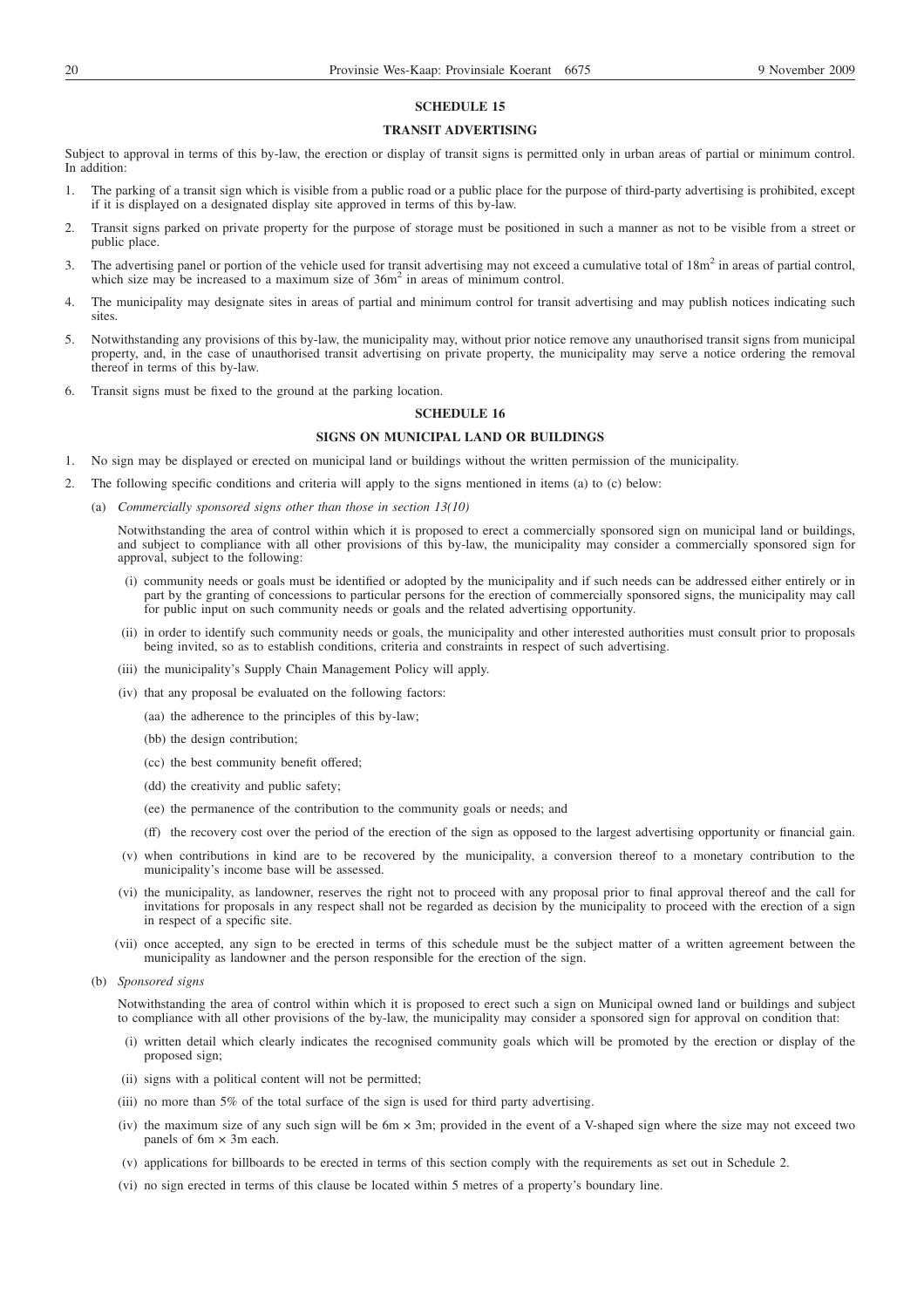### **SCHEDULE 15**

### **TRANSIT ADVERTISING**

Subject to approval in terms of this by-law, the erection or display of transit signs is permitted only in urban areas of partial or minimum control. In addition:

- 1. The parking of a transit sign which is visible from a public road or a public place for the purpose of third-party advertising is prohibited, except if it is displayed on a designated display site approved in terms of this by-law.
- 2. Transit signs parked on private property for the purpose of storage must be positioned in such a manner as not to be visible from a street or public place.
- 3. The advertising panel or portion of the vehicle used for transit advertising may not exceed a cumulative total of  $18m<sup>2</sup>$  in areas of partial control, which size may be increased to a maximum size of  $36m<sup>2</sup>$  in areas of minimum control.
- 4. The municipality may designate sites in areas of partial and minimum control for transit advertising and may publish notices indicating such sites.
- 5. Notwithstanding any provisions of this by-law, the municipality may, without prior notice remove any unauthorised transit signs from municipal property, and, in the case of unauthorised transit advertising on private property, the municipality may serve a notice ordering the removal thereof in terms of this by-law.
- 6. Transit signs must be fixed to the ground at the parking location.

### **SCHEDULE 16**

# **SIGNS ON MUNICIPAL LAND OR BUILDINGS**

- 1. No sign may be displayed or erected on municipal land or buildings without the written permission of the municipality.
- 2. The following specific conditions and criteria will apply to the signs mentioned in items (a) to (c) below:
	- (a) *Commercially sponsored signs other than those in section 13(10)*

Notwithstanding the area of control within which it is proposed to erect a commercially sponsored sign on municipal land or buildings, and subject to compliance with all other provisions of this by-law, the municipality may consider a commercially sponsored sign for approval, subject to the following:

- (i) community needs or goals must be identified or adopted by the municipality and if such needs can be addressed either entirely or in part by the granting of concessions to particular persons for the erection of commercially sponsored signs, the municipality may call for public input on such community needs or goals and the related advertising opportunity.
- (ii) in order to identify such community needs or goals, the municipality and other interested authorities must consult prior to proposals being invited, so as to establish conditions, criteria and constraints in respect of such advertising.
- (iii) the municipality's Supply Chain Management Policy will apply.
- (iv) that any proposal be evaluated on the following factors:
	- (aa) the adherence to the principles of this by-law;
	- (bb) the design contribution;
	- (cc) the best community benefit offered;
	- (dd) the creativity and public safety;
	- (ee) the permanence of the contribution to the community goals or needs; and
	- (ff) the recovery cost over the period of the erection of the sign as opposed to the largest advertising opportunity or financial gain.
- (v) when contributions in kind are to be recovered by the municipality, a conversion thereof to a monetary contribution to the municipality's income base will be assessed.
- (vi) the municipality, as landowner, reserves the right not to proceed with any proposal prior to final approval thereof and the call for invitations for proposals in any respect shall not be regarded as decision by the municipality to proceed with the erection of a sign in respect of a specific site.
- (vii) once accepted, any sign to be erected in terms of this schedule must be the subject matter of a written agreement between the municipality as landowner and the person responsible for the erection of the sign.
- (b) *Sponsored signs*

Notwithstanding the area of control within which it is proposed to erect such a sign on Municipal owned land or buildings and subject to compliance with all other provisions of the by-law, the municipality may consider a sponsored sign for approval on condition that:

- (i) written detail which clearly indicates the recognised community goals which will be promoted by the erection or display of the proposed sign;
- (ii) signs with a political content will not be permitted;
- (iii) no more than 5% of the total surface of the sign is used for third party advertising.
- (iv) the maximum size of any such sign will be 6m × 3m; provided in the event of a V-shaped sign where the size may not exceed two panels of  $6m \times 3m$  each.
- (v) applications for billboards to be erected in terms of this section comply with the requirements as set out in Schedule 2.
- (vi) no sign erected in terms of this clause be located within 5 metres of a property's boundary line.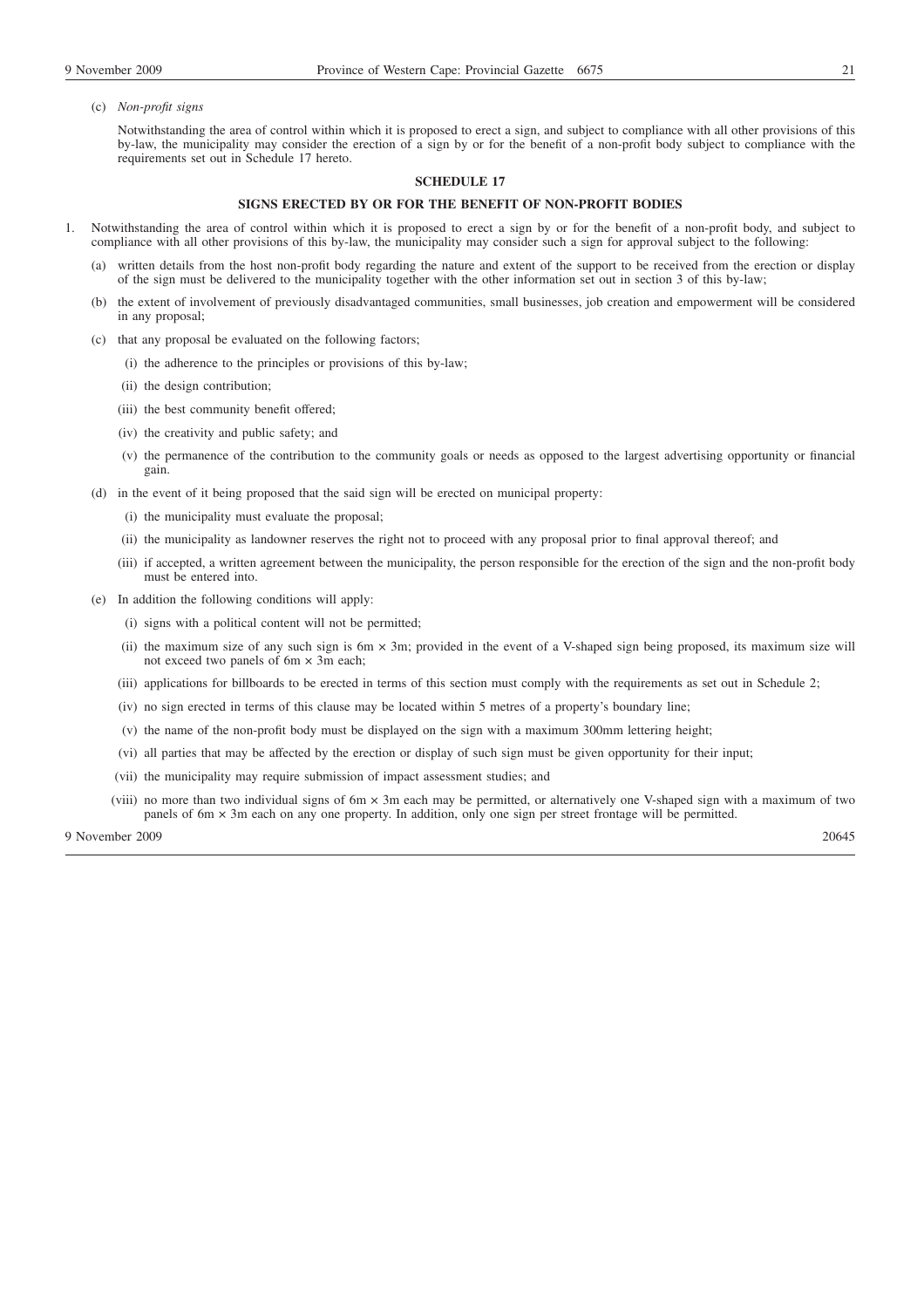(c) *Non-profit signs*

Notwithstanding the area of control within which it is proposed to erect a sign, and subject to compliance with all other provisions of this by-law, the municipality may consider the erection of a sign by or for the benefit of a non-profit body subject to compliance with the requirements set out in Schedule 17 hereto.

### **SCHEDULE 17**

### **SIGNS ERECTED BY OR FOR THE BENEFIT OF NON-PROFIT BODIES**

- 1. Notwithstanding the area of control within which it is proposed to erect a sign by or for the benefit of a non-profit body, and subject to compliance with all other provisions of this by-law, the municipality may consider such a sign for approval subject to the following:
	- written details from the host non-profit body regarding the nature and extent of the support to be received from the erection or display of the sign must be delivered to the municipality together with the other information set out in section 3 of this by-law;
	- (b) the extent of involvement of previously disadvantaged communities, small businesses, job creation and empowerment will be considered in any proposal;
	- (c) that any proposal be evaluated on the following factors;
		- (i) the adherence to the principles or provisions of this by-law;
		- (ii) the design contribution;
		- (iii) the best community benefit offered;
		- (iv) the creativity and public safety; and
		- (v) the permanence of the contribution to the community goals or needs as opposed to the largest advertising opportunity or financial gain.
	- (d) in the event of it being proposed that the said sign will be erected on municipal property:
		- (i) the municipality must evaluate the proposal;
		- (ii) the municipality as landowner reserves the right not to proceed with any proposal prior to final approval thereof; and
		- (iii) if accepted, a written agreement between the municipality, the person responsible for the erection of the sign and the non-profit body must be entered into.
	- (e) In addition the following conditions will apply:
		- (i) signs with a political content will not be permitted;
		- (ii) the maximum size of any such sign is 6m × 3m; provided in the event of a V-shaped sign being proposed, its maximum size will not exceed two panels of 6m × 3m each;
		- (iii) applications for billboards to be erected in terms of this section must comply with the requirements as set out in Schedule 2;
		- (iv) no sign erected in terms of this clause may be located within 5 metres of a property's boundary line;
		- (v) the name of the non-profit body must be displayed on the sign with a maximum 300mm lettering height;
		- (vi) all parties that may be affected by the erection or display of such sign must be given opportunity for their input;
		- (vii) the municipality may require submission of impact assessment studies; and
		- (viii) no more than two individual signs of 6m × 3m each may be permitted, or alternatively one V-shaped sign with a maximum of two panels of 6m × 3m each on any one property. In addition, only one sign per street frontage will be permitted.

9 November 2009 20645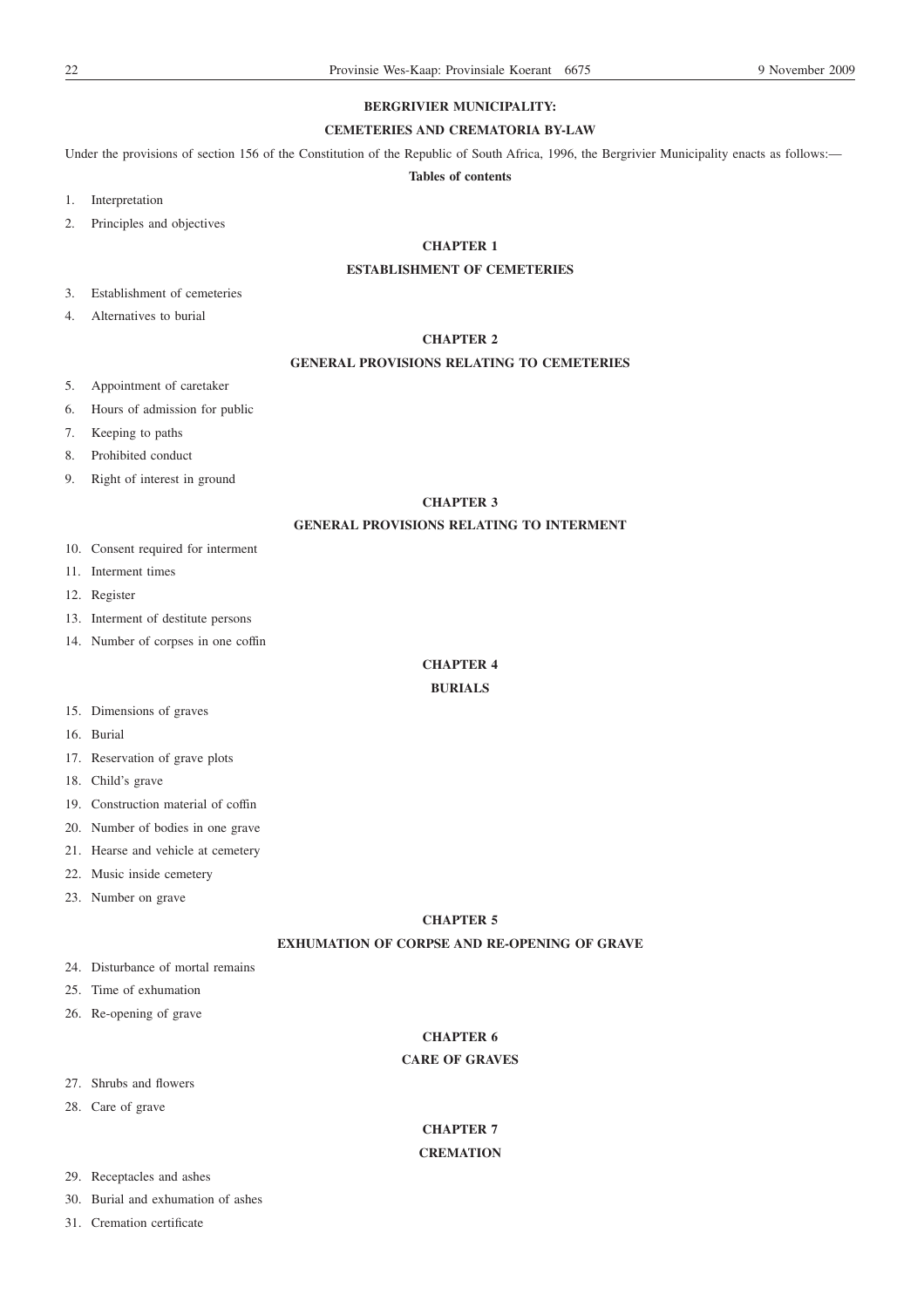# **BERGRIVIER MUNICIPALITY:**

# **CEMETERIES AND CREMATORIA BY-LAW**

Under the provisions of section 156 of the Constitution of the Republic of South Africa, 1996, the Bergrivier Municipality enacts as follows:—

**Tables of contents**

1. Interpretation

2. Principles and objectives

# **CHAPTER 1**

# **ESTABLISHMENT OF CEMETERIES**

3. Establishment of cemeteries

4. Alternatives to burial

# **CHAPTER 2**

# **GENERAL PROVISIONS RELATING TO CEMETERIES**

- 5. Appointment of caretaker
- 6. Hours of admission for public
- 7. Keeping to paths
- 8. Prohibited conduct
- 9. Right of interest in ground

# **CHAPTER 3**

# **GENERAL PROVISIONS RELATING TO INTERMENT**

- 10. Consent required for interment
- 11. Interment times
- 12. Register
- 13. Interment of destitute persons
- 14. Number of corpses in one coffin

# **CHAPTER 4**

# **BURIALS**

- 15. Dimensions of graves
- 16. Burial
- 17. Reservation of grave plots
- 18. Child's grave
- 19. Construction material of coffin
- 20. Number of bodies in one grave
- 21. Hearse and vehicle at cemetery
- 22. Music inside cemetery
- 23. Number on grave

### **CHAPTER 5**

# **EXHUMATION OF CORPSE AND RE-OPENING OF GRAVE**

- 24. Disturbance of mortal remains
- 25. Time of exhumation
- 26. Re-opening of grave

# **CHAPTER 6**

### **CARE OF GRAVES**

- 27. Shrubs and flowers
- 28. Care of grave

# **CHAPTER 7**

# **CREMATION**

- 29. Receptacles and ashes
- 30. Burial and exhumation of ashes
- 31. Cremation certificate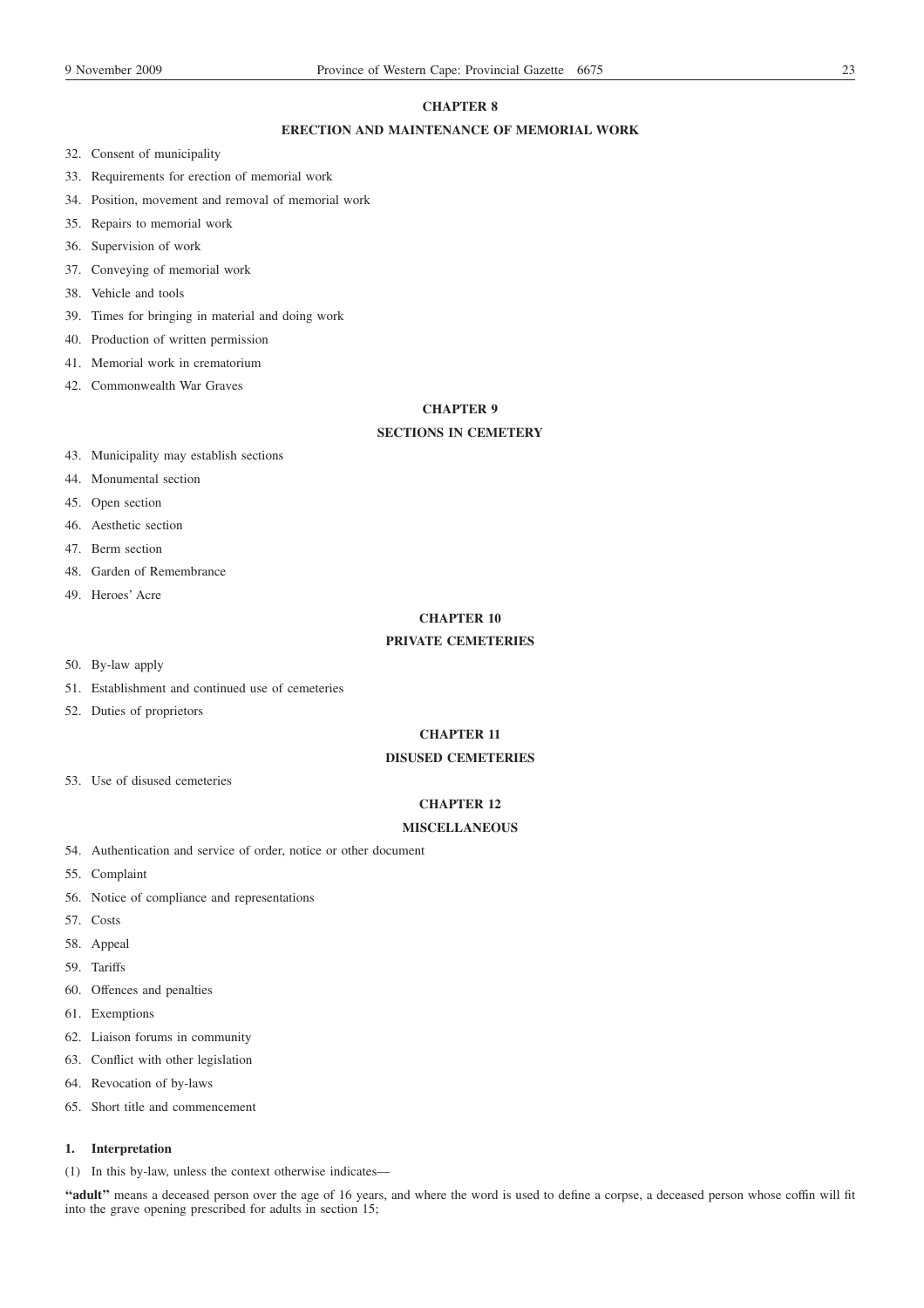# **CHAPTER 8**

# **ERECTION AND MAINTENANCE OF MEMORIAL WORK**

- 32. Consent of municipality
- 33. Requirements for erection of memorial work
- 34. Position, movement and removal of memorial work
- 35. Repairs to memorial work
- 36. Supervision of work
- 37. Conveying of memorial work
- 38. Vehicle and tools
- 39. Times for bringing in material and doing work
- 40. Production of written permission
- 41. Memorial work in crematorium
- 42. Commonwealth War Graves

### **CHAPTER 9**

# **SECTIONS IN CEMETERY**

- 43. Municipality may establish sections
- 44. Monumental section
- 45. Open section
- 46. Aesthetic section
- 47. Berm section
- 48. Garden of Remembrance
- 49. Heroes' Acre

# **CHAPTER 10**

# **PRIVATE CEMETERIES**

- 50. By-law apply
- 51. Establishment and continued use of cemeteries
- 52. Duties of proprietors

# **CHAPTER 11**

# **DISUSED CEMETERIES**

53. Use of disused cemeteries

# **CHAPTER 12**

# **MISCELLANEOUS**

- 54. Authentication and service of order, notice or other document
- 55. Complaint
- 56. Notice of compliance and representations
- 57. Costs
- 58. Appeal
- 59. Tariffs
- 60. Offences and penalties
- 61. Exemptions
- 62. Liaison forums in community
- 63. Conflict with other legislation
- 64. Revocation of by-laws
- 65. Short title and commencement

# **1. Interpretation**

(1) In this by-law, unless the context otherwise indicates—

**''adult''** means a deceased person over the age of 16 years, and where the word is used to define a corpse, a deceased person whose coffin will fit into the grave opening prescribed for adults in section 15;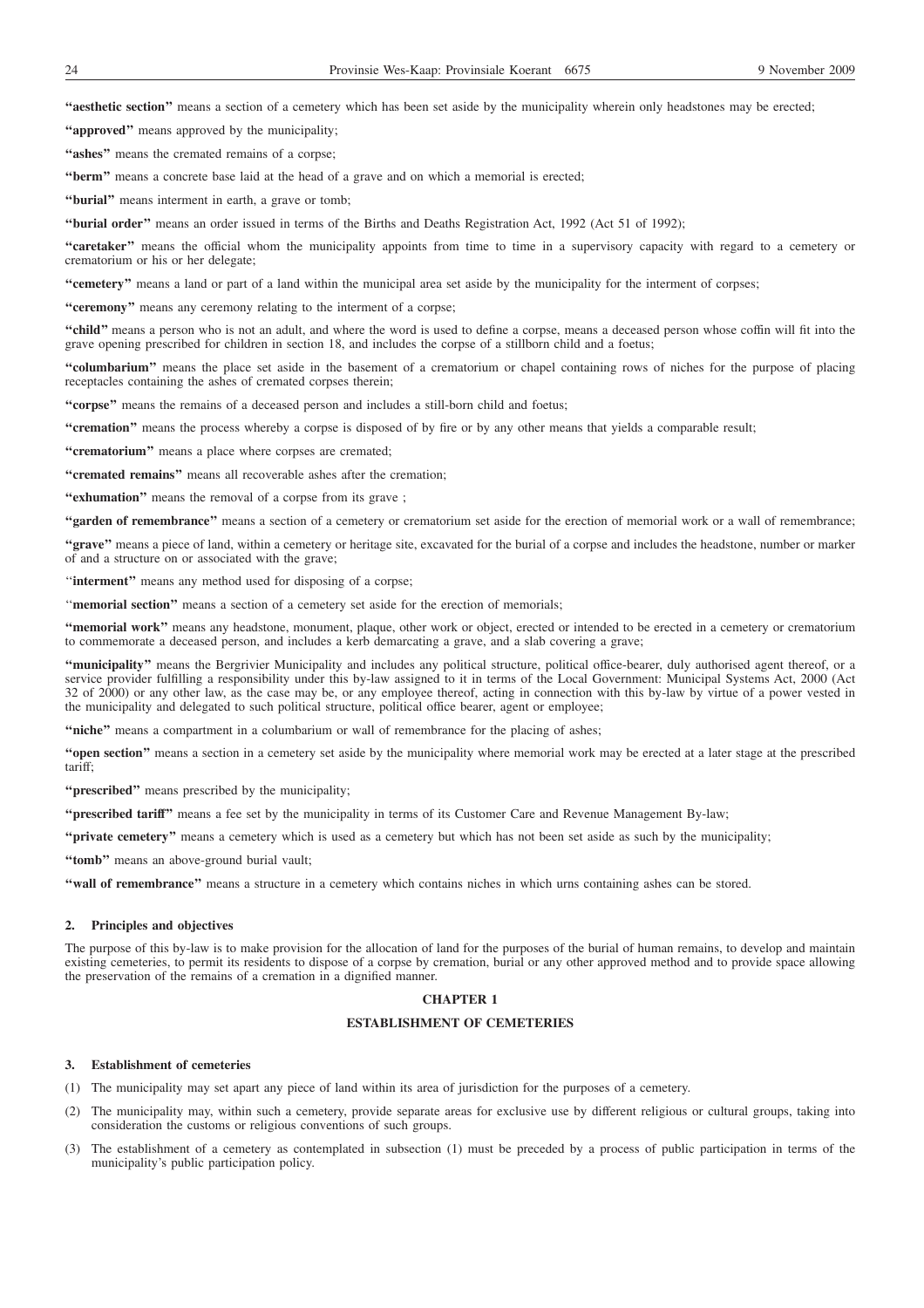**''aesthetic section''** means a section of a cemetery which has been set aside by the municipality wherein only headstones may be erected;

**''approved''** means approved by the municipality;

**''ashes''** means the cremated remains of a corpse;

**''berm''** means a concrete base laid at the head of a grave and on which a memorial is erected;

**''burial''** means interment in earth, a grave or tomb;

**''burial order''** means an order issued in terms of the Births and Deaths Registration Act, 1992 (Act 51 of 1992);

"caretaker" means the official whom the municipality appoints from time to time in a supervisory capacity with regard to a cemetery or crematorium or his or her delegate;

**''cemetery''** means a land or part of a land within the municipal area set aside by the municipality for the interment of corpses;

**''ceremony''** means any ceremony relating to the interment of a corpse;

**''child''** means a person who is not an adult, and where the word is used to define a corpse, means a deceased person whose coffin will fit into the grave opening prescribed for children in section 18, and includes the corpse of a stillborn child and a foetus;

**''columbarium''** means the place set aside in the basement of a crematorium or chapel containing rows of niches for the purpose of placing receptacles containing the ashes of cremated corpses therein;

**''corpse''** means the remains of a deceased person and includes a still-born child and foetus;

**''cremation''** means the process whereby a corpse is disposed of by fire or by any other means that yields a comparable result;

**''crematorium''** means a place where corpses are cremated;

**''cremated remains''** means all recoverable ashes after the cremation;

"exhumation" means the removal of a corpse from its grave;

**''garden of remembrance''** means a section of a cemetery or crematorium set aside for the erection of memorial work or a wall of remembrance;

**''grave''** means a piece of land, within a cemetery or heritage site, excavated for the burial of a corpse and includes the headstone, number or marker of and a structure on or associated with the grave;

"interment" means any method used for disposing of a corpse;

''**memorial section''** means a section of a cemetery set aside for the erection of memorials;

**''memorial work''** means any headstone, monument, plaque, other work or object, erected or intended to be erected in a cemetery or crematorium to commemorate a deceased person, and includes a kerb demarcating a grave, and a slab covering a grave;

**''municipality''** means the Bergrivier Municipality and includes any political structure, political office-bearer, duly authorised agent thereof, or a service provider fulfilling a responsibility under this by-law assigned to it in terms of the Local Government: Municipal Systems Act, 2000 (Act 32 of 2000) or any other law, as the case may be, or any employee thereof, acting in connection with this by-law by virtue of a power vested in the municipality and delegated to such political structure, political office bearer, agent or employee;

"niche" means a compartment in a columbarium or wall of remembrance for the placing of ashes;

**''open section''** means a section in a cemetery set aside by the municipality where memorial work may be erected at a later stage at the prescribed tariff;

**''prescribed''** means prescribed by the municipality;

**''prescribed tariff''** means a fee set by the municipality in terms of its Customer Care and Revenue Management By-law;

**''private cemetery''** means a cemetery which is used as a cemetery but which has not been set aside as such by the municipality;

**''tomb''** means an above-ground burial vault;

**''wall of remembrance''** means a structure in a cemetery which contains niches in which urns containing ashes can be stored.

### **2. Principles and objectives**

The purpose of this by-law is to make provision for the allocation of land for the purposes of the burial of human remains, to develop and maintain existing cemeteries, to permit its residents to dispose of a corpse by cremation, burial or any other approved method and to provide space allowing the preservation of the remains of a cremation in a dignified manner.

### **CHAPTER 1**

### **ESTABLISHMENT OF CEMETERIES**

### **3. Establishment of cemeteries**

(1) The municipality may set apart any piece of land within its area of jurisdiction for the purposes of a cemetery.

- (2) The municipality may, within such a cemetery, provide separate areas for exclusive use by different religious or cultural groups, taking into consideration the customs or religious conventions of such groups.
- (3) The establishment of a cemetery as contemplated in subsection (1) must be preceded by a process of public participation in terms of the municipality's public participation policy.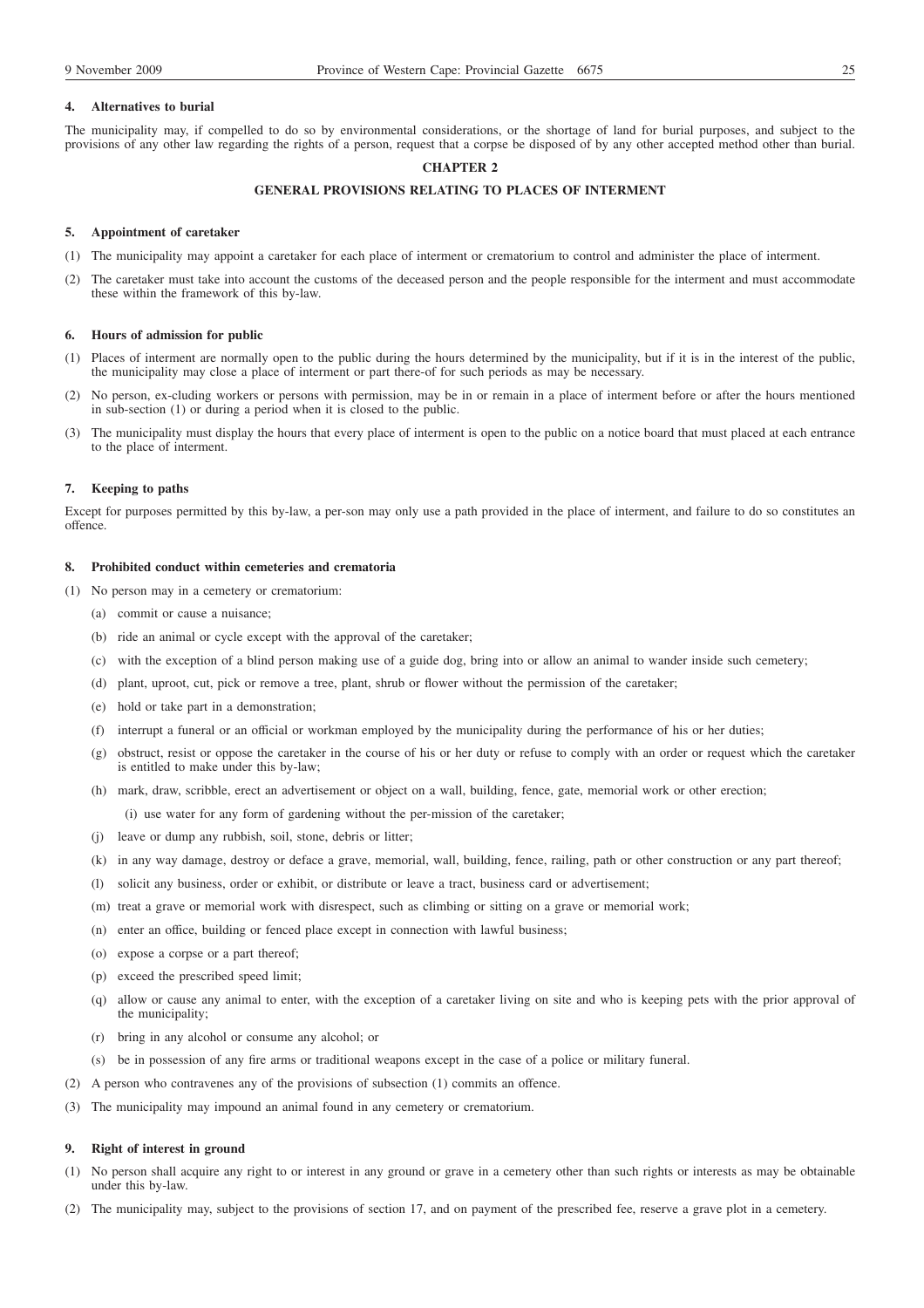### **4. Alternatives to burial**

The municipality may, if compelled to do so by environmental considerations, or the shortage of land for burial purposes, and subject to the provisions of any other law regarding the rights of a person, request that a corpse be disposed of by any other accepted method other than burial.

### **CHAPTER 2**

### **GENERAL PROVISIONS RELATING TO PLACES OF INTERMENT**

### **5. Appointment of caretaker**

- (1) The municipality may appoint a caretaker for each place of interment or crematorium to control and administer the place of interment.
- (2) The caretaker must take into account the customs of the deceased person and the people responsible for the interment and must accommodate these within the framework of this by-law.

### **6. Hours of admission for public**

- (1) Places of interment are normally open to the public during the hours determined by the municipality, but if it is in the interest of the public, the municipality may close a place of interment or part there-of for such periods as may be necessary.
- (2) No person, ex-cluding workers or persons with permission, may be in or remain in a place of interment before or after the hours mentioned in sub-section (1) or during a period when it is closed to the public.
- (3) The municipality must display the hours that every place of interment is open to the public on a notice board that must placed at each entrance to the place of interment.

### **7. Keeping to paths**

Except for purposes permitted by this by-law, a per-son may only use a path provided in the place of interment, and failure to do so constitutes an offence.

# **8. Prohibited conduct within cemeteries and crematoria**

- (1) No person may in a cemetery or crematorium:
	- (a) commit or cause a nuisance;
	- (b) ride an animal or cycle except with the approval of the caretaker;
	- (c) with the exception of a blind person making use of a guide dog, bring into or allow an animal to wander inside such cemetery;
	- (d) plant, uproot, cut, pick or remove a tree, plant, shrub or flower without the permission of the caretaker;
	- (e) hold or take part in a demonstration;
	- (f) interrupt a funeral or an official or workman employed by the municipality during the performance of his or her duties;
	- (g) obstruct, resist or oppose the caretaker in the course of his or her duty or refuse to comply with an order or request which the caretaker is entitled to make under this by-law;
	- (h) mark, draw, scribble, erect an advertisement or object on a wall, building, fence, gate, memorial work or other erection;
	- (i) use water for any form of gardening without the per-mission of the caretaker;
	- (j) leave or dump any rubbish, soil, stone, debris or litter;
	- (k) in any way damage, destroy or deface a grave, memorial, wall, building, fence, railing, path or other construction or any part thereof;
	- (l) solicit any business, order or exhibit, or distribute or leave a tract, business card or advertisement;
	- (m) treat a grave or memorial work with disrespect, such as climbing or sitting on a grave or memorial work;
	- (n) enter an office, building or fenced place except in connection with lawful business;
	- (o) expose a corpse or a part thereof;
	- (p) exceed the prescribed speed limit;
	- (q) allow or cause any animal to enter, with the exception of a caretaker living on site and who is keeping pets with the prior approval of the municipality;
	- (r) bring in any alcohol or consume any alcohol; or
	- (s) be in possession of any fire arms or traditional weapons except in the case of a police or military funeral.
- (2) A person who contravenes any of the provisions of subsection (1) commits an offence.
- (3) The municipality may impound an animal found in any cemetery or crematorium.

### **9. Right of interest in ground**

- (1) No person shall acquire any right to or interest in any ground or grave in a cemetery other than such rights or interests as may be obtainable under this by-law.
- (2) The municipality may, subject to the provisions of section 17, and on payment of the prescribed fee, reserve a grave plot in a cemetery.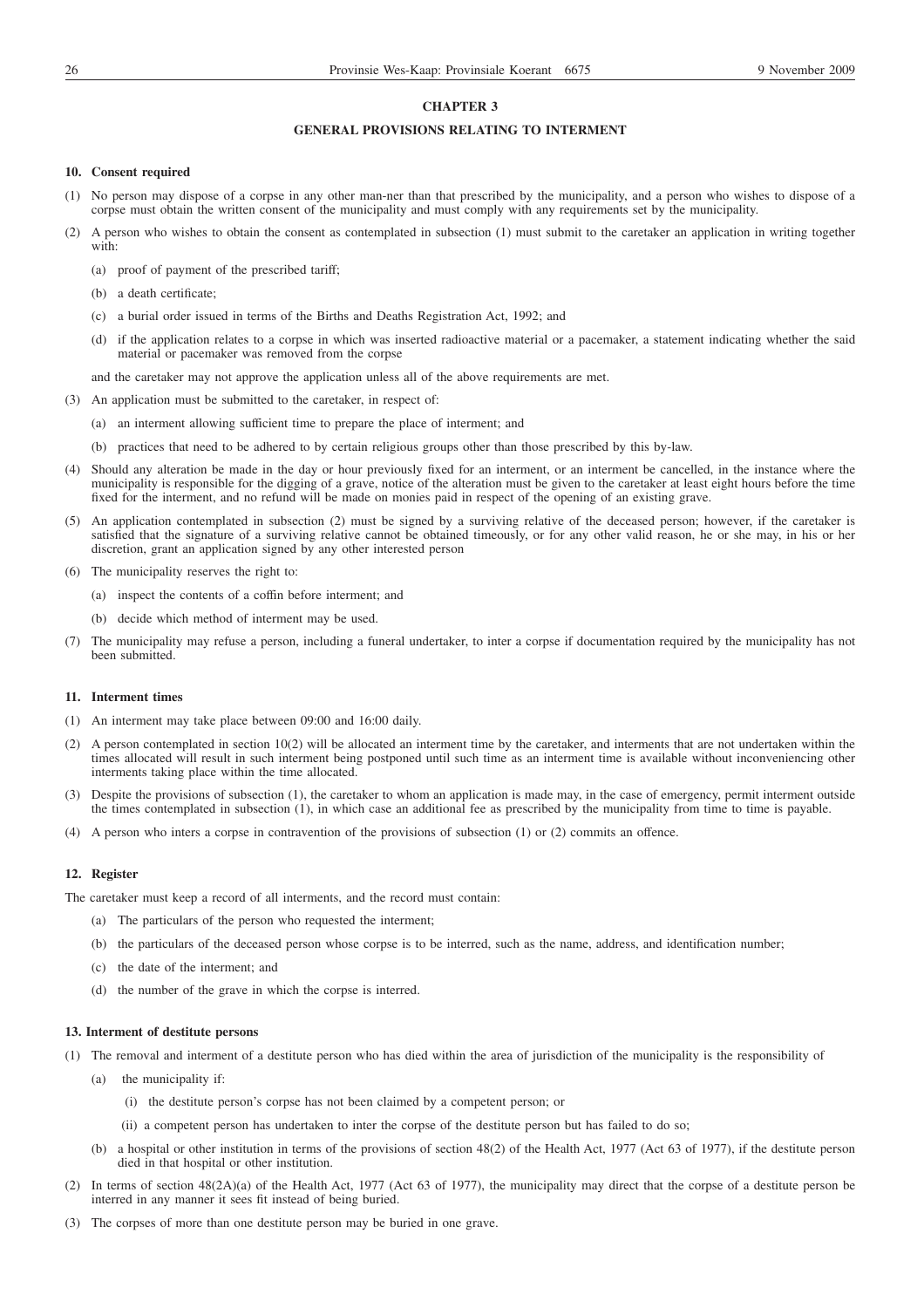### **CHAPTER 3**

### **GENERAL PROVISIONS RELATING TO INTERMENT**

### **10. Consent required**

- (1) No person may dispose of a corpse in any other man-ner than that prescribed by the municipality, and a person who wishes to dispose of a corpse must obtain the written consent of the municipality and must comply with any requirements set by the municipality.
- (2) A person who wishes to obtain the consent as contemplated in subsection (1) must submit to the caretaker an application in writing together with:
	- (a) proof of payment of the prescribed tariff;
	- (b) a death certificate;
	- (c) a burial order issued in terms of the Births and Deaths Registration Act, 1992; and
	- (d) if the application relates to a corpse in which was inserted radioactive material or a pacemaker, a statement indicating whether the said material or pacemaker was removed from the corpse
	- and the caretaker may not approve the application unless all of the above requirements are met.
- (3) An application must be submitted to the caretaker, in respect of:
	- (a) an interment allowing sufficient time to prepare the place of interment; and
	- (b) practices that need to be adhered to by certain religious groups other than those prescribed by this by-law.
- (4) Should any alteration be made in the day or hour previously fixed for an interment, or an interment be cancelled, in the instance where the municipality is responsible for the digging of a grave, notice of the alteration must be given to the caretaker at least eight hours before the time fixed for the interment, and no refund will be made on monies paid in respect of the opening of an existing grave.
- (5) An application contemplated in subsection (2) must be signed by a surviving relative of the deceased person; however, if the caretaker is satisfied that the signature of a surviving relative cannot be obtained timeously, or for any other valid reason, he or she may, in his or her discretion, grant an application signed by any other interested person
- (6) The municipality reserves the right to:
	- (a) inspect the contents of a coffin before interment; and
	- (b) decide which method of interment may be used.
- (7) The municipality may refuse a person, including a funeral undertaker, to inter a corpse if documentation required by the municipality has not been submitted.

### **11. Interment times**

- (1) An interment may take place between 09:00 and 16:00 daily.
- (2) A person contemplated in section 10(2) will be allocated an interment time by the caretaker, and interments that are not undertaken within the times allocated will result in such interment being postponed until such time as an interment time is available without inconveniencing other interments taking place within the time allocated.
- (3) Despite the provisions of subsection (1), the caretaker to whom an application is made may, in the case of emergency, permit interment outside the times contemplated in subsection (1), in which case an additional fee as prescribed by the municipality from time to time is payable.
- (4) A person who inters a corpse in contravention of the provisions of subsection (1) or (2) commits an offence.

### **12. Register**

The caretaker must keep a record of all interments, and the record must contain:

- (a) The particulars of the person who requested the interment;
- (b) the particulars of the deceased person whose corpse is to be interred, such as the name, address, and identification number;
- (c) the date of the interment; and
- (d) the number of the grave in which the corpse is interred.

### **13. Interment of destitute persons**

- (1) The removal and interment of a destitute person who has died within the area of jurisdiction of the municipality is the responsibility of
	- (a) the municipality if:
		- (i) the destitute person's corpse has not been claimed by a competent person; or
		- (ii) a competent person has undertaken to inter the corpse of the destitute person but has failed to do so;
	- (b) a hospital or other institution in terms of the provisions of section 48(2) of the Health Act, 1977 (Act 63 of 1977), if the destitute person died in that hospital or other institution.
- (2) In terms of section 48(2A)(a) of the Health Act, 1977 (Act 63 of 1977), the municipality may direct that the corpse of a destitute person be interred in any manner it sees fit instead of being buried.
- (3) The corpses of more than one destitute person may be buried in one grave.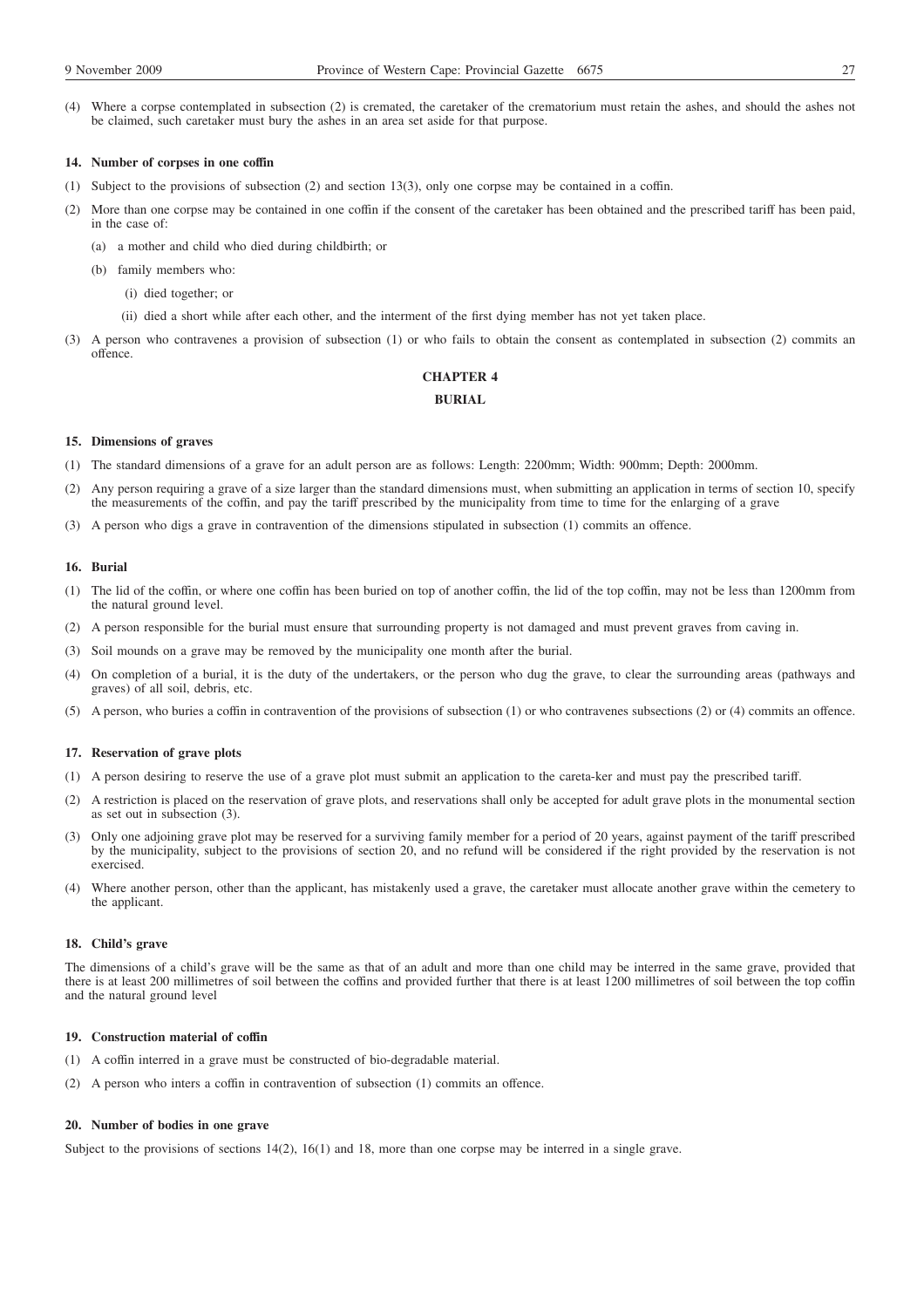(4) Where a corpse contemplated in subsection (2) is cremated, the caretaker of the crematorium must retain the ashes, and should the ashes not be claimed, such caretaker must bury the ashes in an area set aside for that purpose.

### **14. Number of corpses in one coffin**

- (1) Subject to the provisions of subsection (2) and section 13(3), only one corpse may be contained in a coffin.
- (2) More than one corpse may be contained in one coffin if the consent of the caretaker has been obtained and the prescribed tariff has been paid, in the case of:
	- (a) a mother and child who died during childbirth; or
	- (b) family members who:
		- (i) died together; or
		- (ii) died a short while after each other, and the interment of the first dying member has not yet taken place.
- (3) A person who contravenes a provision of subsection (1) or who fails to obtain the consent as contemplated in subsection (2) commits an offence.

# **CHAPTER 4**

# **BURIAL**

### **15. Dimensions of graves**

- (1) The standard dimensions of a grave for an adult person are as follows: Length: 2200mm; Width: 900mm; Depth: 2000mm.
- (2) Any person requiring a grave of a size larger than the standard dimensions must, when submitting an application in terms of section 10, specify the measurements of the coffin, and pay the tariff prescribed by the municipality from time to time for the enlarging of a grave
- (3) A person who digs a grave in contravention of the dimensions stipulated in subsection (1) commits an offence.

# **16. Burial**

- (1) The lid of the coffin, or where one coffin has been buried on top of another coffin, the lid of the top coffin, may not be less than 1200mm from the natural ground level.
- (2) A person responsible for the burial must ensure that surrounding property is not damaged and must prevent graves from caving in.
- (3) Soil mounds on a grave may be removed by the municipality one month after the burial.
- (4) On completion of a burial, it is the duty of the undertakers, or the person who dug the grave, to clear the surrounding areas (pathways and graves) of all soil, debris, etc.
- (5) A person, who buries a coffin in contravention of the provisions of subsection (1) or who contravenes subsections (2) or (4) commits an offence.

### **17. Reservation of grave plots**

- (1) A person desiring to reserve the use of a grave plot must submit an application to the careta-ker and must pay the prescribed tariff.
- (2) A restriction is placed on the reservation of grave plots, and reservations shall only be accepted for adult grave plots in the monumental section as set out in subsection (3).
- (3) Only one adjoining grave plot may be reserved for a surviving family member for a period of 20 years, against payment of the tariff prescribed by the municipality, subject to the provisions of section 20, and no refund will be considered if the right provided by the reservation is not exercised.
- (4) Where another person, other than the applicant, has mistakenly used a grave, the caretaker must allocate another grave within the cemetery to the applicant.

### **18. Child's grave**

The dimensions of a child's grave will be the same as that of an adult and more than one child may be interred in the same grave, provided that there is at least 200 millimetres of soil between the coffins and provided further that there is at least 1200 millimetres of soil between the top coffin and the natural ground level

### **19. Construction material of coffin**

- (1) A coffin interred in a grave must be constructed of bio-degradable material.
- (2) A person who inters a coffin in contravention of subsection (1) commits an offence.

### **20. Number of bodies in one grave**

Subject to the provisions of sections 14(2), 16(1) and 18, more than one corpse may be interred in a single grave.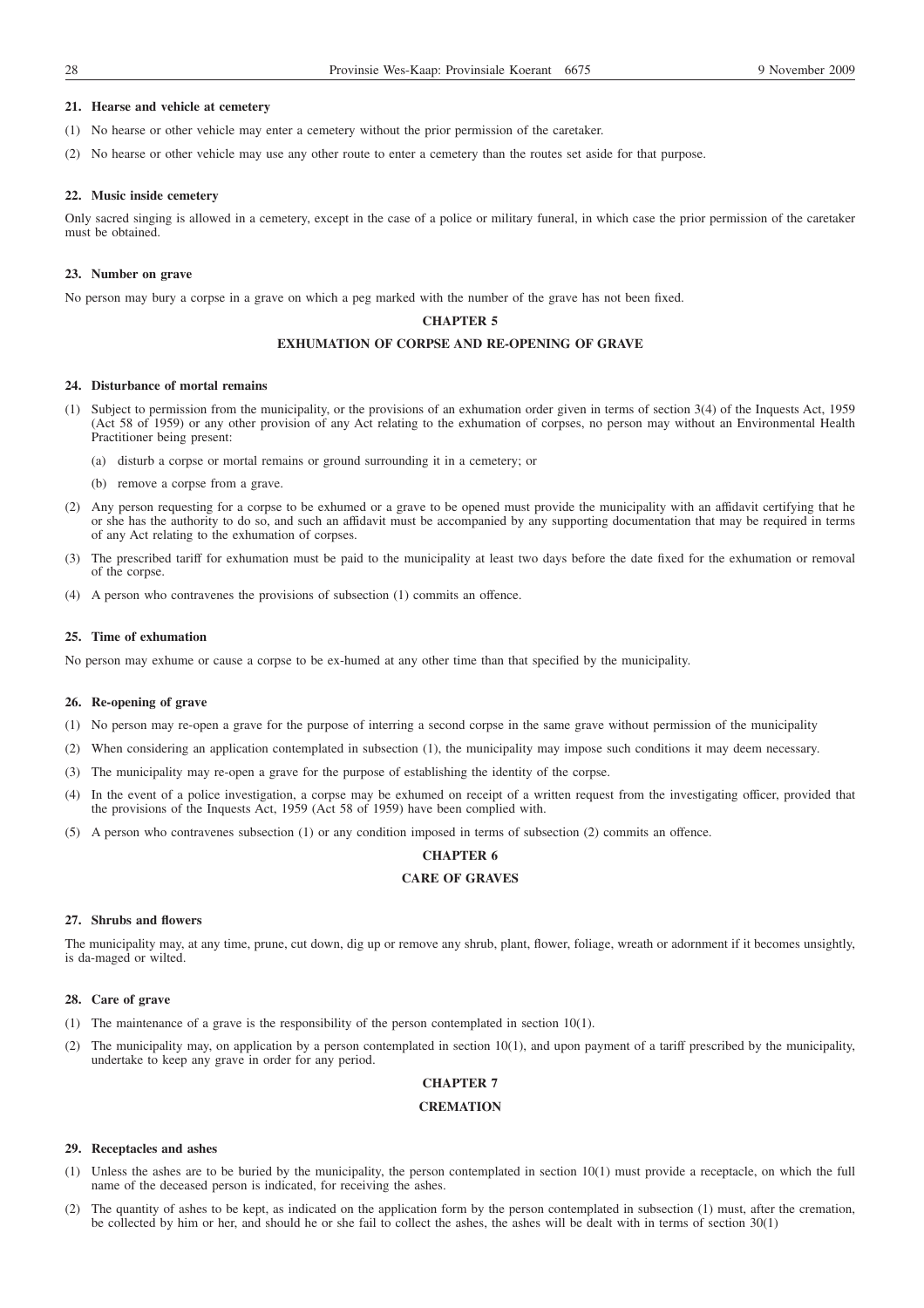### **21. Hearse and vehicle at cemetery**

- (1) No hearse or other vehicle may enter a cemetery without the prior permission of the caretaker.
- (2) No hearse or other vehicle may use any other route to enter a cemetery than the routes set aside for that purpose.

### **22. Music inside cemetery**

Only sacred singing is allowed in a cemetery, except in the case of a police or military funeral, in which case the prior permission of the caretaker must be obtained.

### **23. Number on grave**

No person may bury a corpse in a grave on which a peg marked with the number of the grave has not been fixed.

### **CHAPTER 5**

### **EXHUMATION OF CORPSE AND RE-OPENING OF GRAVE**

### **24. Disturbance of mortal remains**

- (1) Subject to permission from the municipality, or the provisions of an exhumation order given in terms of section 3(4) of the Inquests Act, 1959 (Act 58 of 1959) or any other provision of any Act relating to the exhumation of corpses, no person may without an Environmental Health Practitioner being present:
	- (a) disturb a corpse or mortal remains or ground surrounding it in a cemetery; or
	- (b) remove a corpse from a grave.
- (2) Any person requesting for a corpse to be exhumed or a grave to be opened must provide the municipality with an affidavit certifying that he or she has the authority to do so, and such an affidavit must be accompanied by any supporting documentation that may be required in terms of any Act relating to the exhumation of corpses.
- (3) The prescribed tariff for exhumation must be paid to the municipality at least two days before the date fixed for the exhumation or removal of the corpse.
- (4) A person who contravenes the provisions of subsection (1) commits an offence.

### **25. Time of exhumation**

No person may exhume or cause a corpse to be ex-humed at any other time than that specified by the municipality.

### **26. Re-opening of grave**

- (1) No person may re-open a grave for the purpose of interring a second corpse in the same grave without permission of the municipality
- (2) When considering an application contemplated in subsection (1), the municipality may impose such conditions it may deem necessary.
- (3) The municipality may re-open a grave for the purpose of establishing the identity of the corpse.
- (4) In the event of a police investigation, a corpse may be exhumed on receipt of a written request from the investigating officer, provided that the provisions of the Inquests Act, 1959 (Act 58 of 1959) have been complied with.
- (5) A person who contravenes subsection (1) or any condition imposed in terms of subsection (2) commits an offence.

### **CHAPTER 6**

# **CARE OF GRAVES**

### **27. Shrubs and flowers**

The municipality may, at any time, prune, cut down, dig up or remove any shrub, plant, flower, foliage, wreath or adornment if it becomes unsightly, is da-maged or wilted.

### **28. Care of grave**

- (1) The maintenance of a grave is the responsibility of the person contemplated in section 10(1).
- (2) The municipality may, on application by a person contemplated in section 10(1), and upon payment of a tariff prescribed by the municipality, undertake to keep any grave in order for any period.

# **CHAPTER 7**

### **CREMATION**

### **29. Receptacles and ashes**

- (1) Unless the ashes are to be buried by the municipality, the person contemplated in section 10(1) must provide a receptacle, on which the full name of the deceased person is indicated, for receiving the ashes.
- (2) The quantity of ashes to be kept, as indicated on the application form by the person contemplated in subsection (1) must, after the cremation, be collected by him or her, and should he or she fail to collect the ashes, the ashes will be dealt with in terms of section 30(1)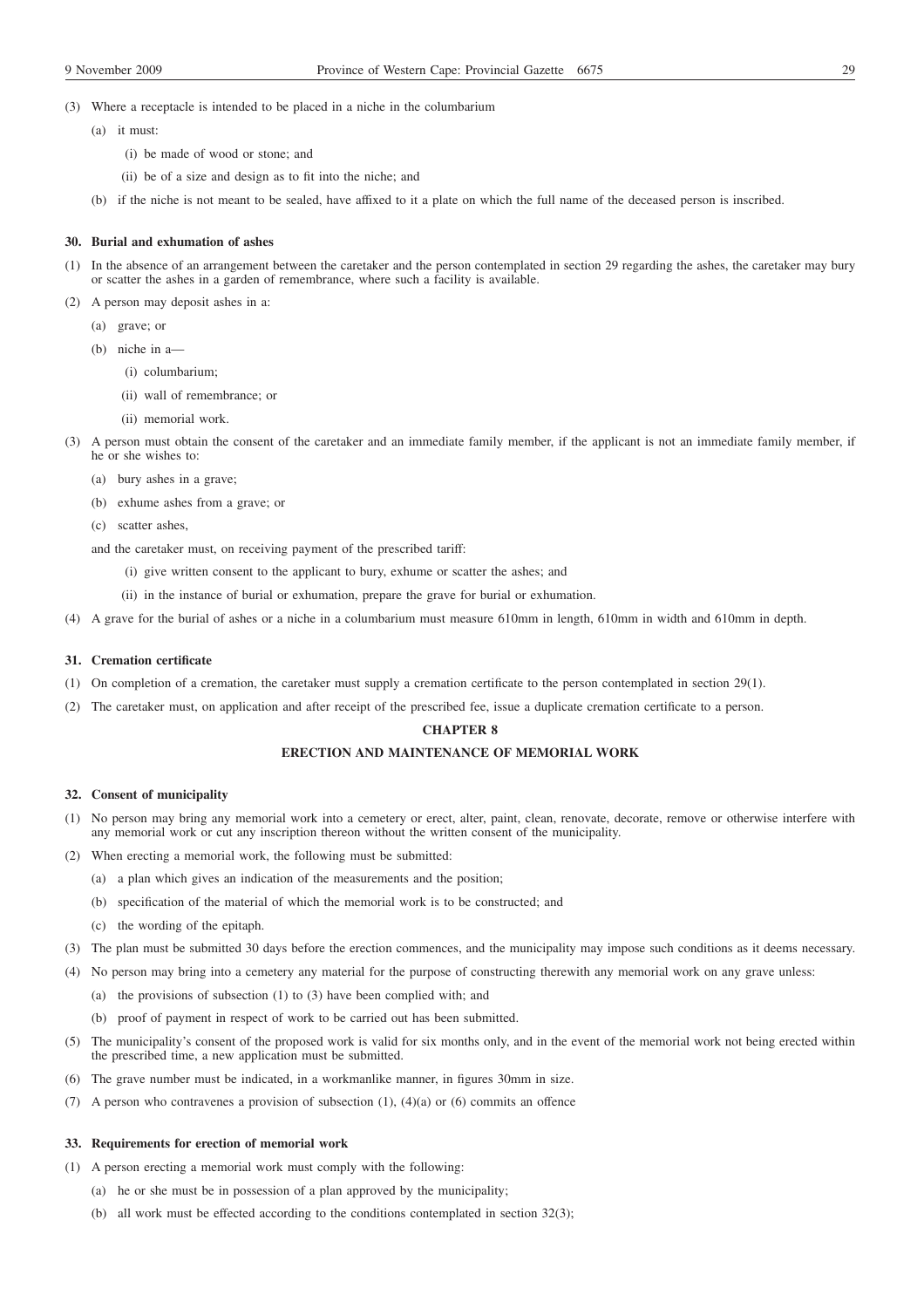- (3) Where a receptacle is intended to be placed in a niche in the columbarium
	- (a) it must:
		- (i) be made of wood or stone; and
		- (ii) be of a size and design as to fit into the niche; and
	- (b) if the niche is not meant to be sealed, have affixed to it a plate on which the full name of the deceased person is inscribed.

### **30. Burial and exhumation of ashes**

- (1) In the absence of an arrangement between the caretaker and the person contemplated in section 29 regarding the ashes, the caretaker may bury or scatter the ashes in a garden of remembrance, where such a facility is available.
- (2) A person may deposit ashes in a:
	- (a) grave; or
	- (b) niche in a—
		- (i) columbarium;
		- (ii) wall of remembrance; or
		- (ii) memorial work.
- (3) A person must obtain the consent of the caretaker and an immediate family member, if the applicant is not an immediate family member, if he or she wishes to:
	- (a) bury ashes in a grave;
	- (b) exhume ashes from a grave; or
	- (c) scatter ashes,

and the caretaker must, on receiving payment of the prescribed tariff:

- (i) give written consent to the applicant to bury, exhume or scatter the ashes; and
- (ii) in the instance of burial or exhumation, prepare the grave for burial or exhumation.
- (4) A grave for the burial of ashes or a niche in a columbarium must measure 610mm in length, 610mm in width and 610mm in depth.

### **31. Cremation certificate**

- (1) On completion of a cremation, the caretaker must supply a cremation certificate to the person contemplated in section 29(1).
- (2) The caretaker must, on application and after receipt of the prescribed fee, issue a duplicate cremation certificate to a person.

# **CHAPTER 8**

# **ERECTION AND MAINTENANCE OF MEMORIAL WORK**

#### **32. Consent of municipality**

- (1) No person may bring any memorial work into a cemetery or erect, alter, paint, clean, renovate, decorate, remove or otherwise interfere with any memorial work or cut any inscription thereon without the written consent of the municipality.
- (2) When erecting a memorial work, the following must be submitted:
	- (a) a plan which gives an indication of the measurements and the position;
	- (b) specification of the material of which the memorial work is to be constructed; and
	- (c) the wording of the epitaph.
- (3) The plan must be submitted 30 days before the erection commences, and the municipality may impose such conditions as it deems necessary.
- (4) No person may bring into a cemetery any material for the purpose of constructing therewith any memorial work on any grave unless:
	- (a) the provisions of subsection (1) to (3) have been complied with; and
	- (b) proof of payment in respect of work to be carried out has been submitted.
- (5) The municipality's consent of the proposed work is valid for six months only, and in the event of the memorial work not being erected within the prescribed time, a new application must be submitted.
- (6) The grave number must be indicated, in a workmanlike manner, in figures 30mm in size.
- (7) A person who contravenes a provision of subsection  $(1)$ ,  $(4)(a)$  or  $(6)$  commits an offence

### **33. Requirements for erection of memorial work**

- (1) A person erecting a memorial work must comply with the following:
	- (a) he or she must be in possession of a plan approved by the municipality;
	- (b) all work must be effected according to the conditions contemplated in section 32(3);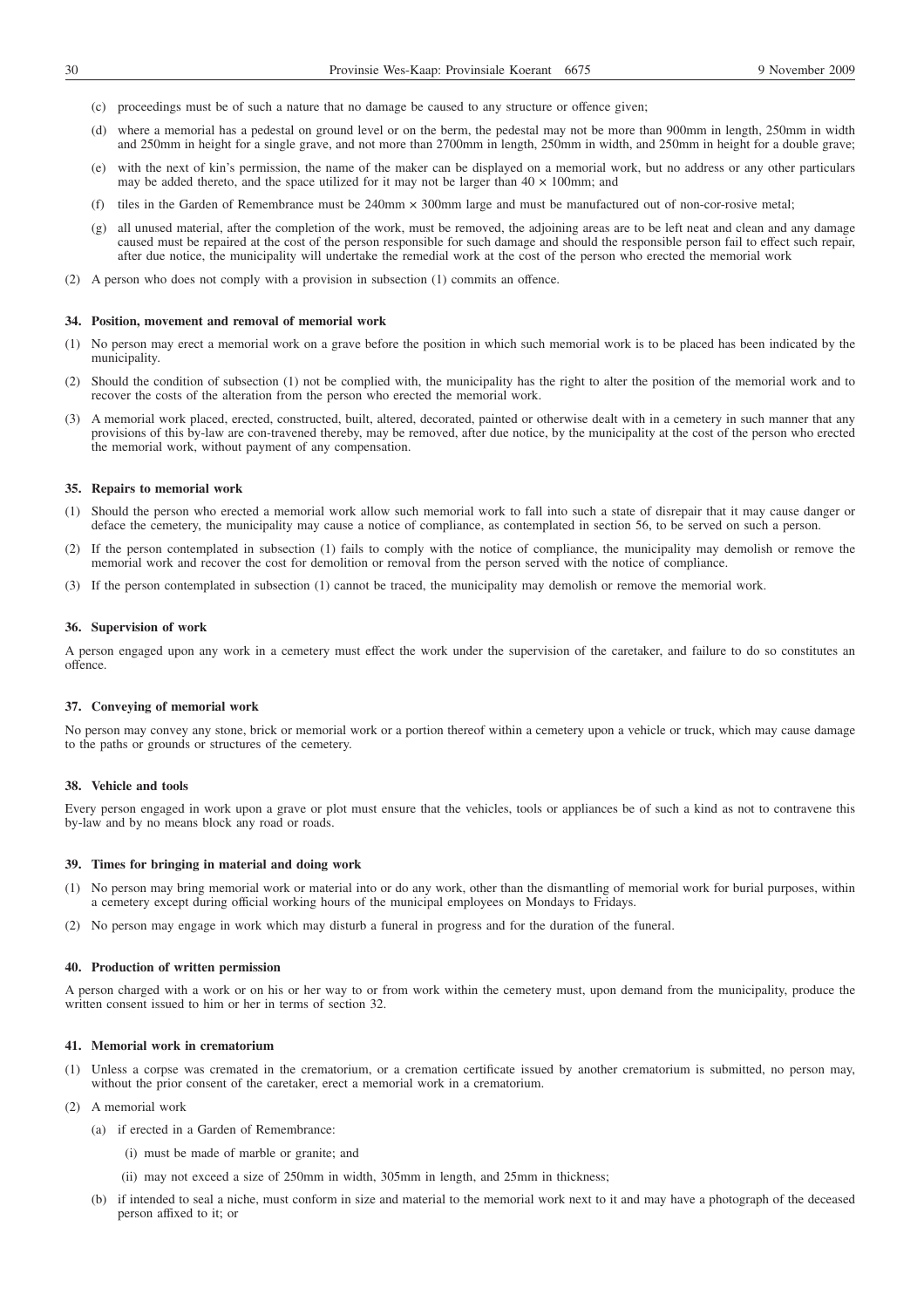- (c) proceedings must be of such a nature that no damage be caused to any structure or offence given;
- (d) where a memorial has a pedestal on ground level or on the berm, the pedestal may not be more than 900mm in length, 250mm in width and 250mm in height for a single grave, and not more than 2700mm in length, 250mm in width, and 250mm in height for a double grave;
- (e) with the next of kin's permission, the name of the maker can be displayed on a memorial work, but no address or any other particulars may be added thereto, and the space utilized for it may not be larger than  $40 \times 100$ mm; and
- (f) tiles in the Garden of Remembrance must be  $240$ mm  $\times$  300mm large and must be manufactured out of non-cor-rosive metal;
- (g) all unused material, after the completion of the work, must be removed, the adjoining areas are to be left neat and clean and any damage caused must be repaired at the cost of the person responsible for such damage and should the responsible person fail to effect such repair, after due notice, the municipality will undertake the remedial work at the cost of the person who erected the memorial work
- (2) A person who does not comply with a provision in subsection (1) commits an offence.

### **34. Position, movement and removal of memorial work**

- (1) No person may erect a memorial work on a grave before the position in which such memorial work is to be placed has been indicated by the municipality.
- (2) Should the condition of subsection (1) not be complied with, the municipality has the right to alter the position of the memorial work and to recover the costs of the alteration from the person who erected the memorial work.
- (3) A memorial work placed, erected, constructed, built, altered, decorated, painted or otherwise dealt with in a cemetery in such manner that any provisions of this by-law are con-travened thereby, may be removed, after due notice, by the municipality at the cost of the person who erected the memorial work, without payment of any compensation.

### **35. Repairs to memorial work**

- (1) Should the person who erected a memorial work allow such memorial work to fall into such a state of disrepair that it may cause danger or deface the cemetery, the municipality may cause a notice of compliance, as contemplated in section 56, to be served on such a person.
- (2) If the person contemplated in subsection (1) fails to comply with the notice of compliance, the municipality may demolish or remove the memorial work and recover the cost for demolition or removal from the person served with the notice of compliance.
- (3) If the person contemplated in subsection (1) cannot be traced, the municipality may demolish or remove the memorial work.

### **36. Supervision of work**

A person engaged upon any work in a cemetery must effect the work under the supervision of the caretaker, and failure to do so constitutes an offence.

### **37. Conveying of memorial work**

No person may convey any stone, brick or memorial work or a portion thereof within a cemetery upon a vehicle or truck, which may cause damage to the paths or grounds or structures of the cemetery.

### **38. Vehicle and tools**

Every person engaged in work upon a grave or plot must ensure that the vehicles, tools or appliances be of such a kind as not to contravene this by-law and by no means block any road or roads.

#### **39. Times for bringing in material and doing work**

- (1) No person may bring memorial work or material into or do any work, other than the dismantling of memorial work for burial purposes, within a cemetery except during official working hours of the municipal employees on Mondays to Fridays.
- (2) No person may engage in work which may disturb a funeral in progress and for the duration of the funeral.

### **40. Production of written permission**

A person charged with a work or on his or her way to or from work within the cemetery must, upon demand from the municipality, produce the written consent issued to him or her in terms of section 32.

### **41. Memorial work in crematorium**

- (1) Unless a corpse was cremated in the crematorium, or a cremation certificate issued by another crematorium is submitted, no person may, without the prior consent of the caretaker, erect a memorial work in a crematorium.
- (2) A memorial work
	- (a) if erected in a Garden of Remembrance:
		- (i) must be made of marble or granite; and
		- (ii) may not exceed a size of 250mm in width, 305mm in length, and 25mm in thickness;
	- (b) if intended to seal a niche, must conform in size and material to the memorial work next to it and may have a photograph of the deceased person affixed to it; or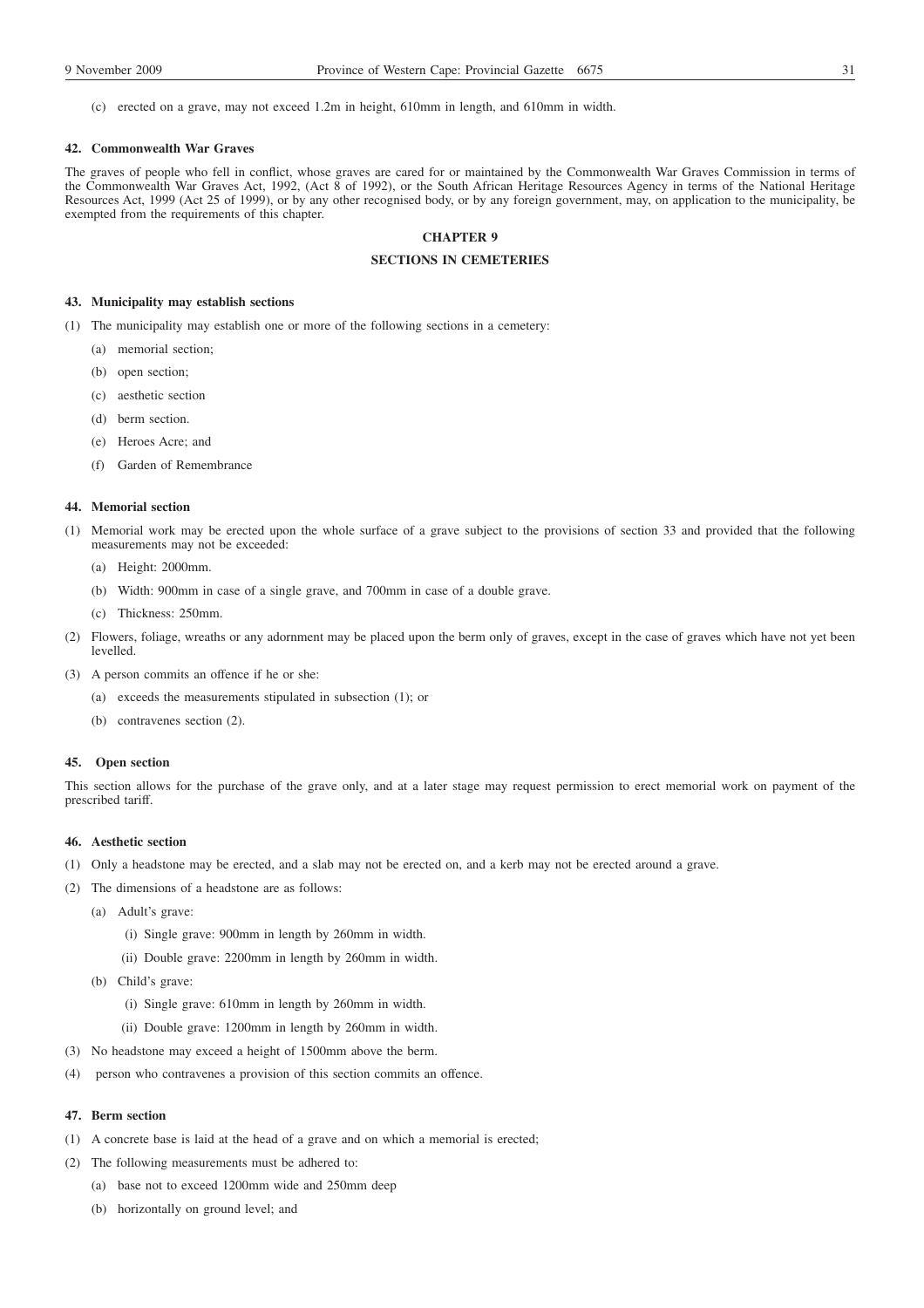(c) erected on a grave, may not exceed 1.2m in height, 610mm in length, and 610mm in width.

### **42. Commonwealth War Graves**

The graves of people who fell in conflict, whose graves are cared for or maintained by the Commonwealth War Graves Commission in terms of the Commonwealth War Graves Act, 1992, (Act 8 of 1992), or the South African Heritage Resources Agency in terms of the National Heritage Resources Act, 1999 (Act 25 of 1999), or by any other recognised body, or by any foreign government, may, on application to the municipality, be exempted from the requirements of this chapter.

# **CHAPTER 9**

# **SECTIONS IN CEMETERIES**

### **43. Municipality may establish sections**

- (1) The municipality may establish one or more of the following sections in a cemetery:
	- (a) memorial section;
	- (b) open section;
	- (c) aesthetic section
	- (d) berm section.
	- (e) Heroes Acre; and
	- (f) Garden of Remembrance

### **44. Memorial section**

- (1) Memorial work may be erected upon the whole surface of a grave subject to the provisions of section 33 and provided that the following measurements may not be exceeded:
	- (a) Height: 2000mm.
	- (b) Width: 900mm in case of a single grave, and 700mm in case of a double grave.
	- (c) Thickness: 250mm.
- (2) Flowers, foliage, wreaths or any adornment may be placed upon the berm only of graves, except in the case of graves which have not yet been levelled.
- (3) A person commits an offence if he or she:
	- (a) exceeds the measurements stipulated in subsection (1); or
	- (b) contravenes section (2).

### **45. Open section**

This section allows for the purchase of the grave only, and at a later stage may request permission to erect memorial work on payment of the prescribed tariff.

# **46. Aesthetic section**

- (1) Only a headstone may be erected, and a slab may not be erected on, and a kerb may not be erected around a grave.
- (2) The dimensions of a headstone are as follows:
	- (a) Adult's grave:
		- (i) Single grave: 900mm in length by 260mm in width.
		- (ii) Double grave: 2200mm in length by 260mm in width.
	- (b) Child's grave:
		- (i) Single grave: 610mm in length by 260mm in width.
		- (ii) Double grave: 1200mm in length by 260mm in width.
- (3) No headstone may exceed a height of 1500mm above the berm.
- (4) person who contravenes a provision of this section commits an offence.

### **47. Berm section**

- (1) A concrete base is laid at the head of a grave and on which a memorial is erected;
- (2) The following measurements must be adhered to:
	- (a) base not to exceed 1200mm wide and 250mm deep
	- (b) horizontally on ground level; and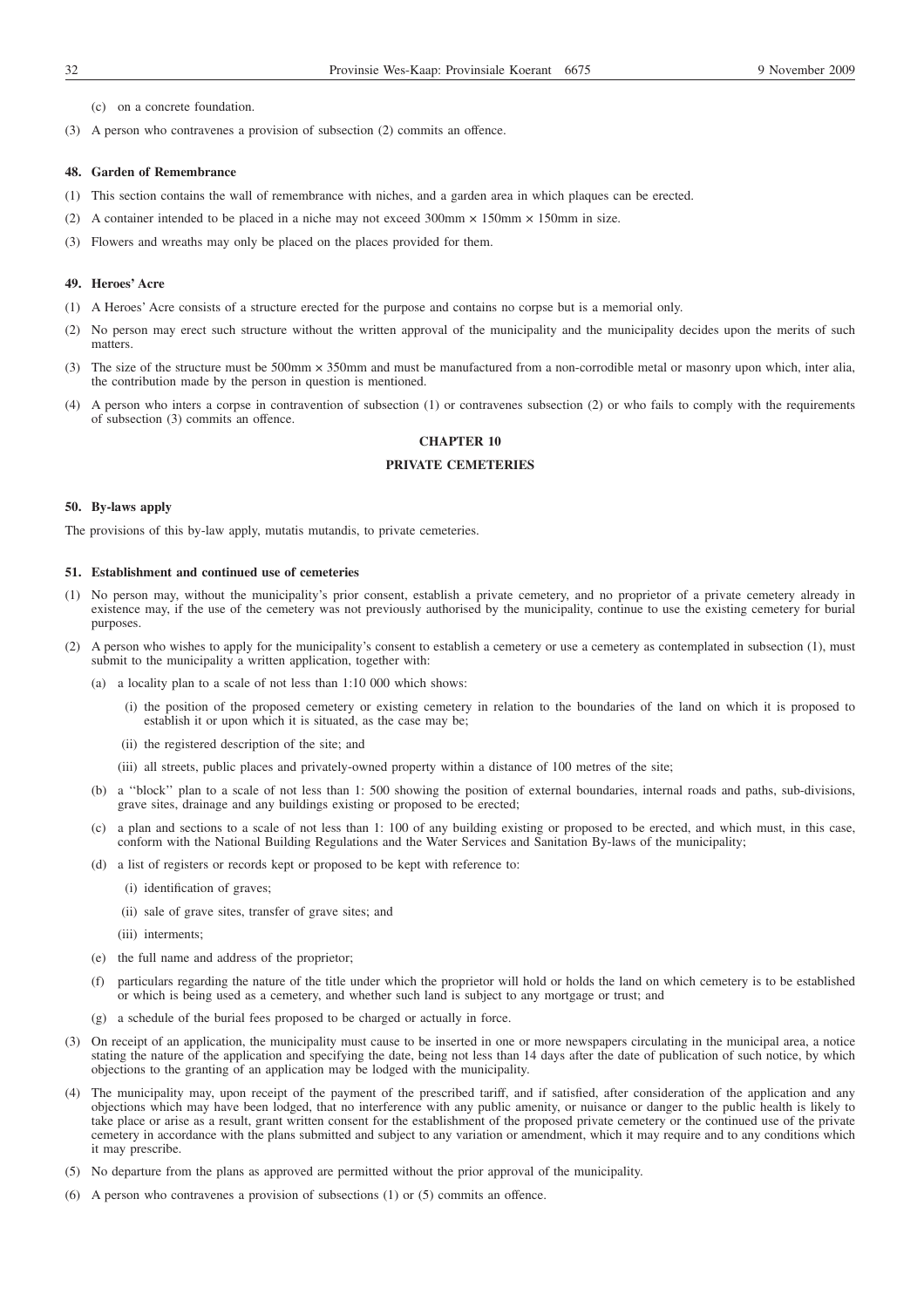(c) on a concrete foundation.

(3) A person who contravenes a provision of subsection (2) commits an offence.

### **48. Garden of Remembrance**

- (1) This section contains the wall of remembrance with niches, and a garden area in which plaques can be erected.
- (2) A container intended to be placed in a niche may not exceed 300mm  $\times$  150mm  $\times$  150mm in size.
- (3) Flowers and wreaths may only be placed on the places provided for them.

### **49. Heroes' Acre**

- (1) A Heroes' Acre consists of a structure erected for the purpose and contains no corpse but is a memorial only.
- (2) No person may erect such structure without the written approval of the municipality and the municipality decides upon the merits of such matters.
- (3) The size of the structure must be 500mm × 350mm and must be manufactured from a non-corrodible metal or masonry upon which, inter alia, the contribution made by the person in question is mentioned.
- (4) A person who inters a corpse in contravention of subsection (1) or contravenes subsection (2) or who fails to comply with the requirements of subsection (3) commits an offence.

# **CHAPTER 10**

# **PRIVATE CEMETERIES**

### **50. By-laws apply**

The provisions of this by-law apply, mutatis mutandis, to private cemeteries.

# **51. Establishment and continued use of cemeteries**

- (1) No person may, without the municipality's prior consent, establish a private cemetery, and no proprietor of a private cemetery already in existence may, if the use of the cemetery was not previously authorised by the municipality, continue to use the existing cemetery for burial purposes.
- (2) A person who wishes to apply for the municipality's consent to establish a cemetery or use a cemetery as contemplated in subsection (1), must submit to the municipality a written application, together with:
	- (a) a locality plan to a scale of not less than 1:10 000 which shows:
		- (i) the position of the proposed cemetery or existing cemetery in relation to the boundaries of the land on which it is proposed to establish it or upon which it is situated, as the case may be;
		- (ii) the registered description of the site; and
		- (iii) all streets, public places and privately-owned property within a distance of 100 metres of the site;
	- (b) a ''block'' plan to a scale of not less than 1: 500 showing the position of external boundaries, internal roads and paths, sub-divisions, grave sites, drainage and any buildings existing or proposed to be erected;
	- (c) a plan and sections to a scale of not less than 1: 100 of any building existing or proposed to be erected, and which must, in this case, conform with the National Building Regulations and the Water Services and Sanitation By-laws of the municipality;
	- (d) a list of registers or records kept or proposed to be kept with reference to:
		- (i) identification of graves;
		- (ii) sale of grave sites, transfer of grave sites; and
		- (iii) interments;
	- (e) the full name and address of the proprietor;
	- (f) particulars regarding the nature of the title under which the proprietor will hold or holds the land on which cemetery is to be established or which is being used as a cemetery, and whether such land is subject to any mortgage or trust; and
	- (g) a schedule of the burial fees proposed to be charged or actually in force.
- (3) On receipt of an application, the municipality must cause to be inserted in one or more newspapers circulating in the municipal area, a notice stating the nature of the application and specifying the date, being not less than 14 days after the date of publication of such notice, by which objections to the granting of an application may be lodged with the municipality.
- (4) The municipality may, upon receipt of the payment of the prescribed tariff, and if satisfied, after consideration of the application and any objections which may have been lodged, that no interference with any public amenity, or nuisance or danger to the public health is likely to take place or arise as a result, grant written consent for the establishment of the proposed private cemetery or the continued use of the private cemetery in accordance with the plans submitted and subject to any variation or amendment, which it may require and to any conditions which it may prescribe.
- (5) No departure from the plans as approved are permitted without the prior approval of the municipality.
- (6) A person who contravenes a provision of subsections (1) or (5) commits an offence.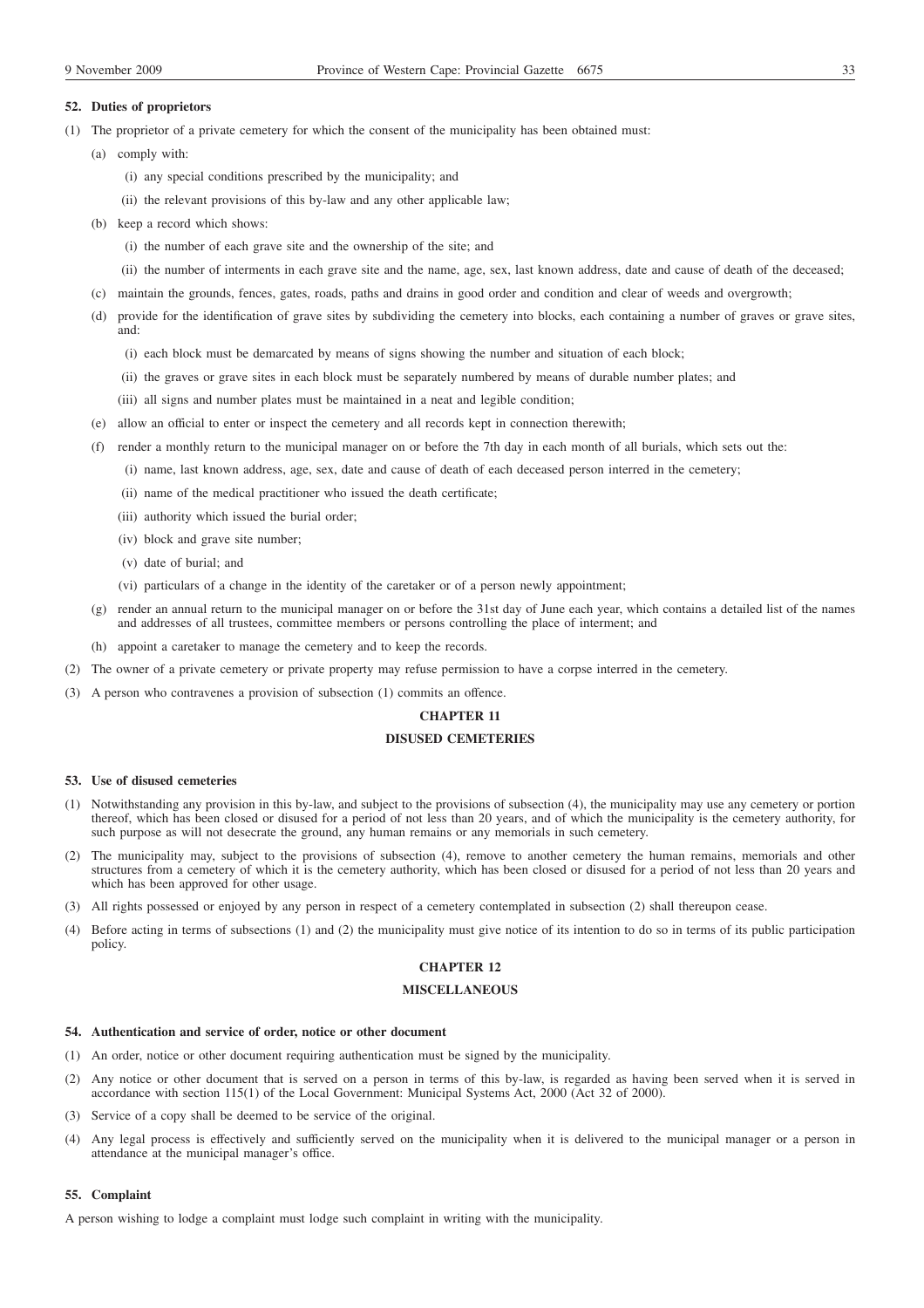### **52. Duties of proprietors**

- (1) The proprietor of a private cemetery for which the consent of the municipality has been obtained must:
	- (a) comply with:
		- (i) any special conditions prescribed by the municipality; and
		- (ii) the relevant provisions of this by-law and any other applicable law;
	- (b) keep a record which shows:
		- (i) the number of each grave site and the ownership of the site; and
		- (ii) the number of interments in each grave site and the name, age, sex, last known address, date and cause of death of the deceased;
	- (c) maintain the grounds, fences, gates, roads, paths and drains in good order and condition and clear of weeds and overgrowth;
	- (d) provide for the identification of grave sites by subdividing the cemetery into blocks, each containing a number of graves or grave sites, and:
		- (i) each block must be demarcated by means of signs showing the number and situation of each block;
		- (ii) the graves or grave sites in each block must be separately numbered by means of durable number plates; and
		- (iii) all signs and number plates must be maintained in a neat and legible condition;
	- (e) allow an official to enter or inspect the cemetery and all records kept in connection therewith;
	- (f) render a monthly return to the municipal manager on or before the 7th day in each month of all burials, which sets out the:
		- (i) name, last known address, age, sex, date and cause of death of each deceased person interred in the cemetery;
		- (ii) name of the medical practitioner who issued the death certificate;
		- (iii) authority which issued the burial order;
		- (iv) block and grave site number;
		- (v) date of burial; and
		- (vi) particulars of a change in the identity of the caretaker or of a person newly appointment;
	- (g) render an annual return to the municipal manager on or before the 31st day of June each year, which contains a detailed list of the names and addresses of all trustees, committee members or persons controlling the place of interment; and
	- (h) appoint a caretaker to manage the cemetery and to keep the records.
- (2) The owner of a private cemetery or private property may refuse permission to have a corpse interred in the cemetery.
- (3) A person who contravenes a provision of subsection (1) commits an offence.

### **CHAPTER 11**

# **DISUSED CEMETERIES**

### **53. Use of disused cemeteries**

- (1) Notwithstanding any provision in this by-law, and subject to the provisions of subsection (4), the municipality may use any cemetery or portion thereof, which has been closed or disused for a period of not less than 20 years, and of which the municipality is the cemetery authority, for such purpose as will not desecrate the ground, any human remains or any memorials in such cemetery.
- (2) The municipality may, subject to the provisions of subsection (4), remove to another cemetery the human remains, memorials and other structures from a cemetery of which it is the cemetery authority, which has been closed or disused for a period of not less than 20 years and which has been approved for other usage.
- (3) All rights possessed or enjoyed by any person in respect of a cemetery contemplated in subsection (2) shall thereupon cease.
- (4) Before acting in terms of subsections (1) and (2) the municipality must give notice of its intention to do so in terms of its public participation policy.

# **CHAPTER 12**

# **MISCELLANEOUS**

### **54. Authentication and service of order, notice or other document**

- (1) An order, notice or other document requiring authentication must be signed by the municipality.
- (2) Any notice or other document that is served on a person in terms of this by-law, is regarded as having been served when it is served in accordance with section 115(1) of the Local Government: Municipal Systems Act, 2000 (Act 32 of 2000).
- (3) Service of a copy shall be deemed to be service of the original.
- (4) Any legal process is effectively and sufficiently served on the municipality when it is delivered to the municipal manager or a person in attendance at the municipal manager's office.

# **55. Complaint**

A person wishing to lodge a complaint must lodge such complaint in writing with the municipality.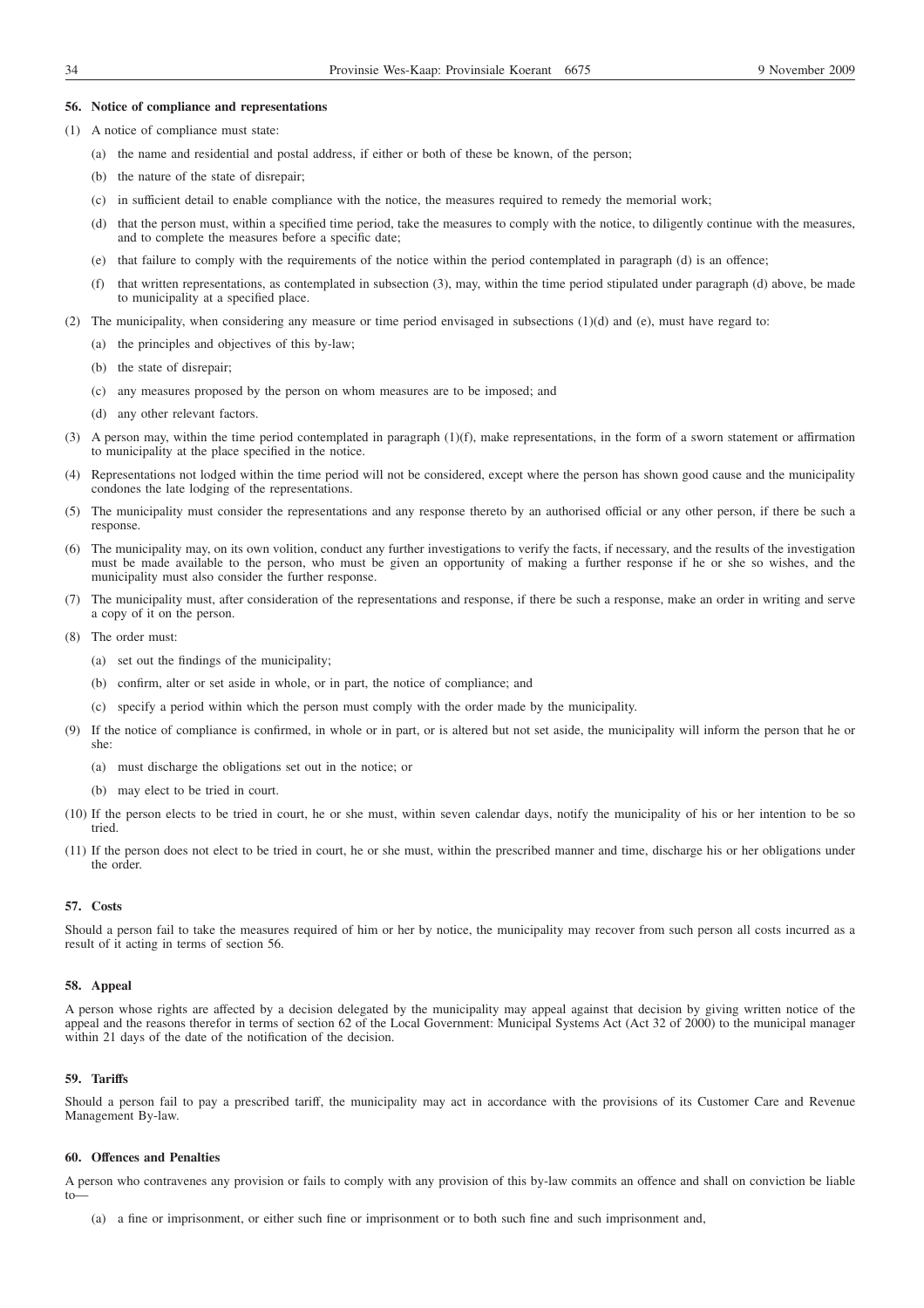### **56. Notice of compliance and representations**

- (1) A notice of compliance must state:
	- (a) the name and residential and postal address, if either or both of these be known, of the person;
	- (b) the nature of the state of disrepair;
	- (c) in sufficient detail to enable compliance with the notice, the measures required to remedy the memorial work;
	- (d) that the person must, within a specified time period, take the measures to comply with the notice, to diligently continue with the measures, and to complete the measures before a specific date;
	- (e) that failure to comply with the requirements of the notice within the period contemplated in paragraph (d) is an offence;
	- (f) that written representations, as contemplated in subsection (3), may, within the time period stipulated under paragraph (d) above, be made to municipality at a specified place.
- (2) The municipality, when considering any measure or time period envisaged in subsections  $(1)(d)$  and  $(e)$ , must have regard to:
	- (a) the principles and objectives of this by-law;
	- (b) the state of disrepair;
	- (c) any measures proposed by the person on whom measures are to be imposed; and
	- (d) any other relevant factors.
- (3) A person may, within the time period contemplated in paragraph (1)(f), make representations, in the form of a sworn statement or affirmation to municipality at the place specified in the notice.
- (4) Representations not lodged within the time period will not be considered, except where the person has shown good cause and the municipality condones the late lodging of the representations.
- (5) The municipality must consider the representations and any response thereto by an authorised official or any other person, if there be such a response.
- (6) The municipality may, on its own volition, conduct any further investigations to verify the facts, if necessary, and the results of the investigation must be made available to the person, who must be given an opportunity of making a further response if he or she so wishes, and the municipality must also consider the further response.
- (7) The municipality must, after consideration of the representations and response, if there be such a response, make an order in writing and serve a copy of it on the person.
- (8) The order must:
	- (a) set out the findings of the municipality;
	- (b) confirm, alter or set aside in whole, or in part, the notice of compliance; and
	- (c) specify a period within which the person must comply with the order made by the municipality.
- (9) If the notice of compliance is confirmed, in whole or in part, or is altered but not set aside, the municipality will inform the person that he or she:
	- (a) must discharge the obligations set out in the notice; or
	- (b) may elect to be tried in court.
- (10) If the person elects to be tried in court, he or she must, within seven calendar days, notify the municipality of his or her intention to be so tried.
- (11) If the person does not elect to be tried in court, he or she must, within the prescribed manner and time, discharge his or her obligations under the order.

### **57. Costs**

Should a person fail to take the measures required of him or her by notice, the municipality may recover from such person all costs incurred as a result of it acting in terms of section 56.

### **58. Appeal**

A person whose rights are affected by a decision delegated by the municipality may appeal against that decision by giving written notice of the appeal and the reasons therefor in terms of section 62 of the Local Government: Municipal Systems Act (Act 32 of 2000) to the municipal manager within 21 days of the date of the notification of the decision.

### **59. Tariffs**

Should a person fail to pay a prescribed tariff, the municipality may act in accordance with the provisions of its Customer Care and Revenue Management By-law.

### **60. Offences and Penalties**

A person who contravenes any provision or fails to comply with any provision of this by-law commits an offence and shall on conviction be liable to—

(a) a fine or imprisonment, or either such fine or imprisonment or to both such fine and such imprisonment and,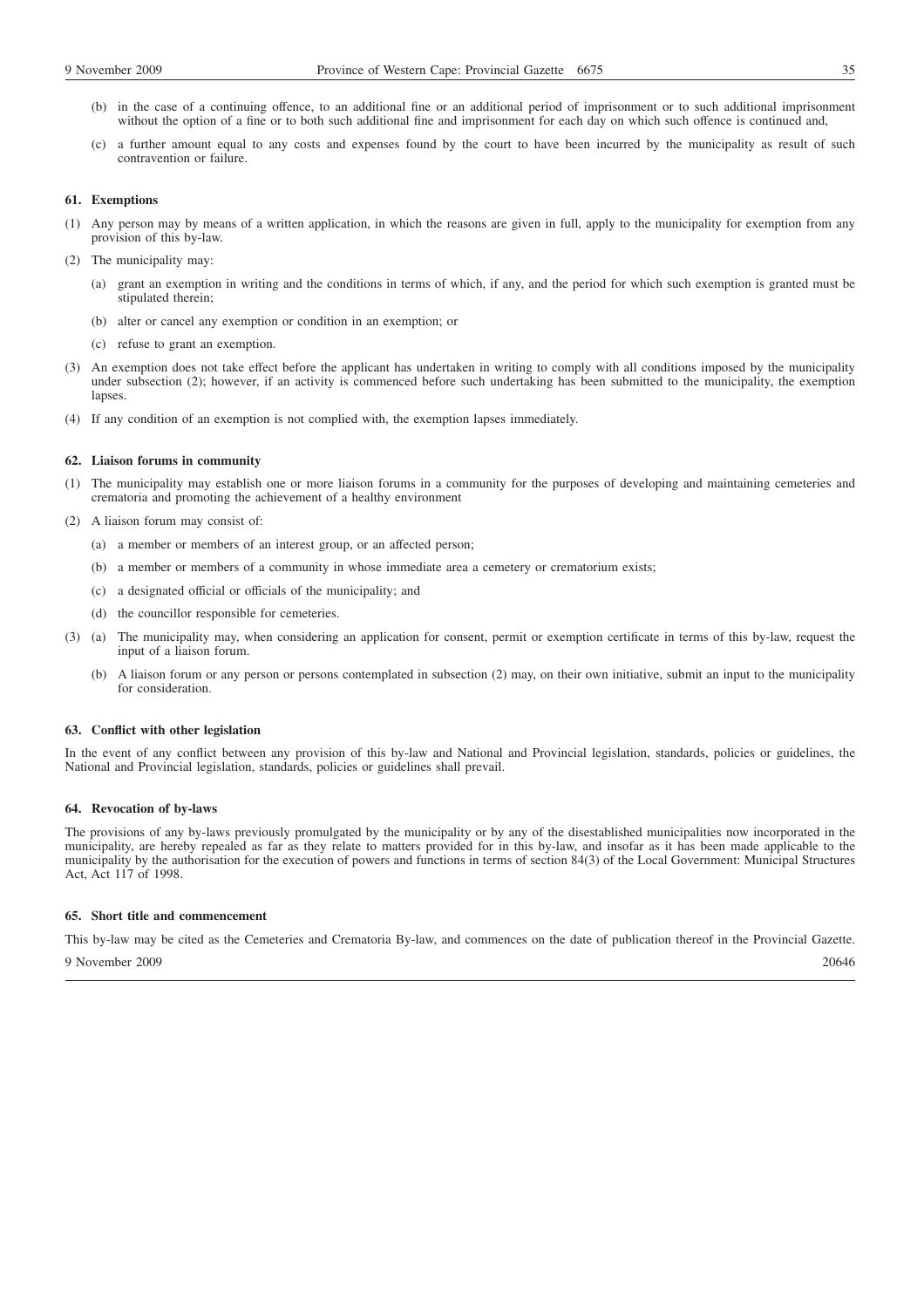- (b) in the case of a continuing offence, to an additional fine or an additional period of imprisonment or to such additional imprisonment without the option of a fine or to both such additional fine and imprisonment for each day on which such offence is continued and,
- (c) a further amount equal to any costs and expenses found by the court to have been incurred by the municipality as result of such contravention or failure.

### **61. Exemptions**

- (1) Any person may by means of a written application, in which the reasons are given in full, apply to the municipality for exemption from any provision of this by-law.
- (2) The municipality may:
	- (a) grant an exemption in writing and the conditions in terms of which, if any, and the period for which such exemption is granted must be stipulated therein;
	- (b) alter or cancel any exemption or condition in an exemption; or
	- (c) refuse to grant an exemption.
- (3) An exemption does not take effect before the applicant has undertaken in writing to comply with all conditions imposed by the municipality under subsection (2); however, if an activity is commenced before such undertaking has been submitted to the municipality, the exemption lapses.
- (4) If any condition of an exemption is not complied with, the exemption lapses immediately.

### **62. Liaison forums in community**

- (1) The municipality may establish one or more liaison forums in a community for the purposes of developing and maintaining cemeteries and crematoria and promoting the achievement of a healthy environment
- (2) A liaison forum may consist of:
	- (a) a member or members of an interest group, or an affected person;
	- (b) a member or members of a community in whose immediate area a cemetery or crematorium exists;
	- (c) a designated official or officials of the municipality; and
	- (d) the councillor responsible for cemeteries.
- (3) (a) The municipality may, when considering an application for consent, permit or exemption certificate in terms of this by-law, request the input of a liaison forum.
	- (b) A liaison forum or any person or persons contemplated in subsection (2) may, on their own initiative, submit an input to the municipality for consideration.

# **63. Conflict with other legislation**

In the event of any conflict between any provision of this by-law and National and Provincial legislation, standards, policies or guidelines, the National and Provincial legislation, standards, policies or guidelines shall prevail.

### **64. Revocation of by-laws**

The provisions of any by-laws previously promulgated by the municipality or by any of the disestablished municipalities now incorporated in the municipality, are hereby repealed as far as they relate to matters provided for in this by-law, and insofar as it has been made applicable to the municipality by the authorisation for the execution of powers and functions in terms of section 84(3) of the Local Government: Municipal Structures Act, Act 117 of 1998.

### **65. Short title and commencement**

This by-law may be cited as the Cemeteries and Crematoria By-law, and commences on the date of publication thereof in the Provincial Gazette.

9 November 2009 20646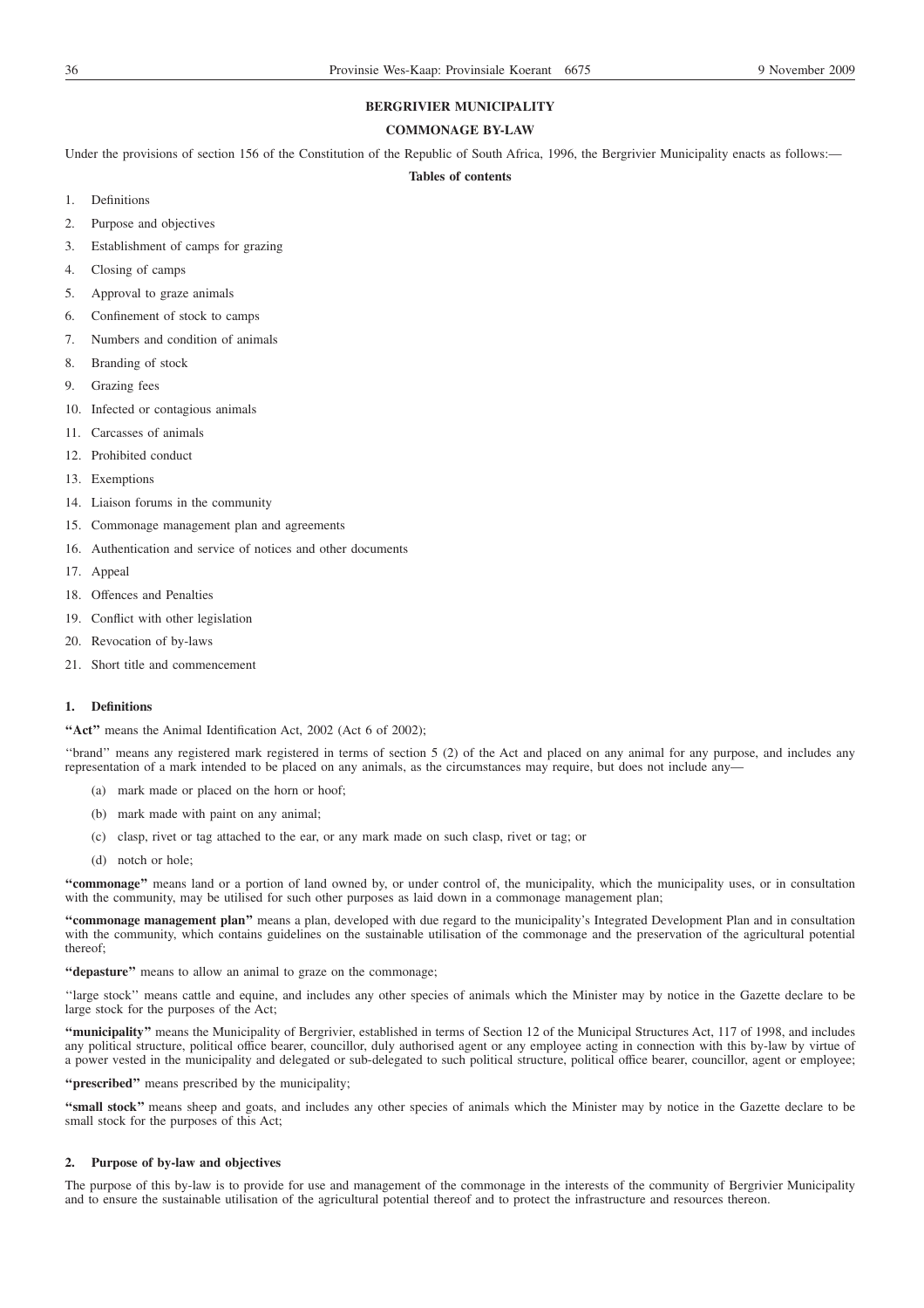# **BERGRIVIER MUNICIPALITY**

# **COMMONAGE BY-LAW**

Under the provisions of section 156 of the Constitution of the Republic of South Africa, 1996, the Bergrivier Municipality enacts as follows:-

### **Tables of contents**

- 1. Definitions
- 2. Purpose and objectives
- 3. Establishment of camps for grazing
- 4. Closing of camps
- 5. Approval to graze animals
- 6. Confinement of stock to camps
- 7. Numbers and condition of animals
- 8. Branding of stock
- 9. Grazing fees
- 10. Infected or contagious animals
- 11. Carcasses of animals
- 12. Prohibited conduct
- 13. Exemptions
- 14. Liaison forums in the community
- 15. Commonage management plan and agreements
- 16. Authentication and service of notices and other documents
- 17. Appeal
- 18. Offences and Penalties
- 19. Conflict with other legislation
- 20. Revocation of by-laws
- 21. Short title and commencement

# **1. Definitions**

**''Act''** means the Animal Identification Act, 2002 (Act 6 of 2002);

''brand'' means any registered mark registered in terms of section 5 (2) of the Act and placed on any animal for any purpose, and includes any representation of a mark intended to be placed on any animals, as the circumstances may require, but does not include any—

- (a) mark made or placed on the horn or hoof;
- (b) mark made with paint on any animal;
- (c) clasp, rivet or tag attached to the ear, or any mark made on such clasp, rivet or tag; or
- (d) notch or hole;

**''commonage''** means land or a portion of land owned by, or under control of, the municipality, which the municipality uses, or in consultation with the community, may be utilised for such other purposes as laid down in a commonage management plan;

**''commonage management plan''** means a plan, developed with due regard to the municipality's Integrated Development Plan and in consultation with the community, which contains guidelines on the sustainable utilisation of the commonage and the preservation of the agricultural potential thereof;

**''depasture''** means to allow an animal to graze on the commonage;

''large stock'' means cattle and equine, and includes any other species of animals which the Minister may by notice in the Gazette declare to be large stock for the purposes of the Act;

**''municipality''** means the Municipality of Bergrivier, established in terms of Section 12 of the Municipal Structures Act, 117 of 1998, and includes any political structure, political office bearer, councillor, duly authorised agent or any employee acting in connection with this by-law by virtue of a power vested in the municipality and delegated or sub-delegated to such political structure, political office bearer, councillor, agent or employee;

**''prescribed''** means prescribed by the municipality;

**''small stock''** means sheep and goats, and includes any other species of animals which the Minister may by notice in the Gazette declare to be small stock for the purposes of this Act;

### **2. Purpose of by-law and objectives**

The purpose of this by-law is to provide for use and management of the commonage in the interests of the community of Bergrivier Municipality and to ensure the sustainable utilisation of the agricultural potential thereof and to protect the infrastructure and resources thereon.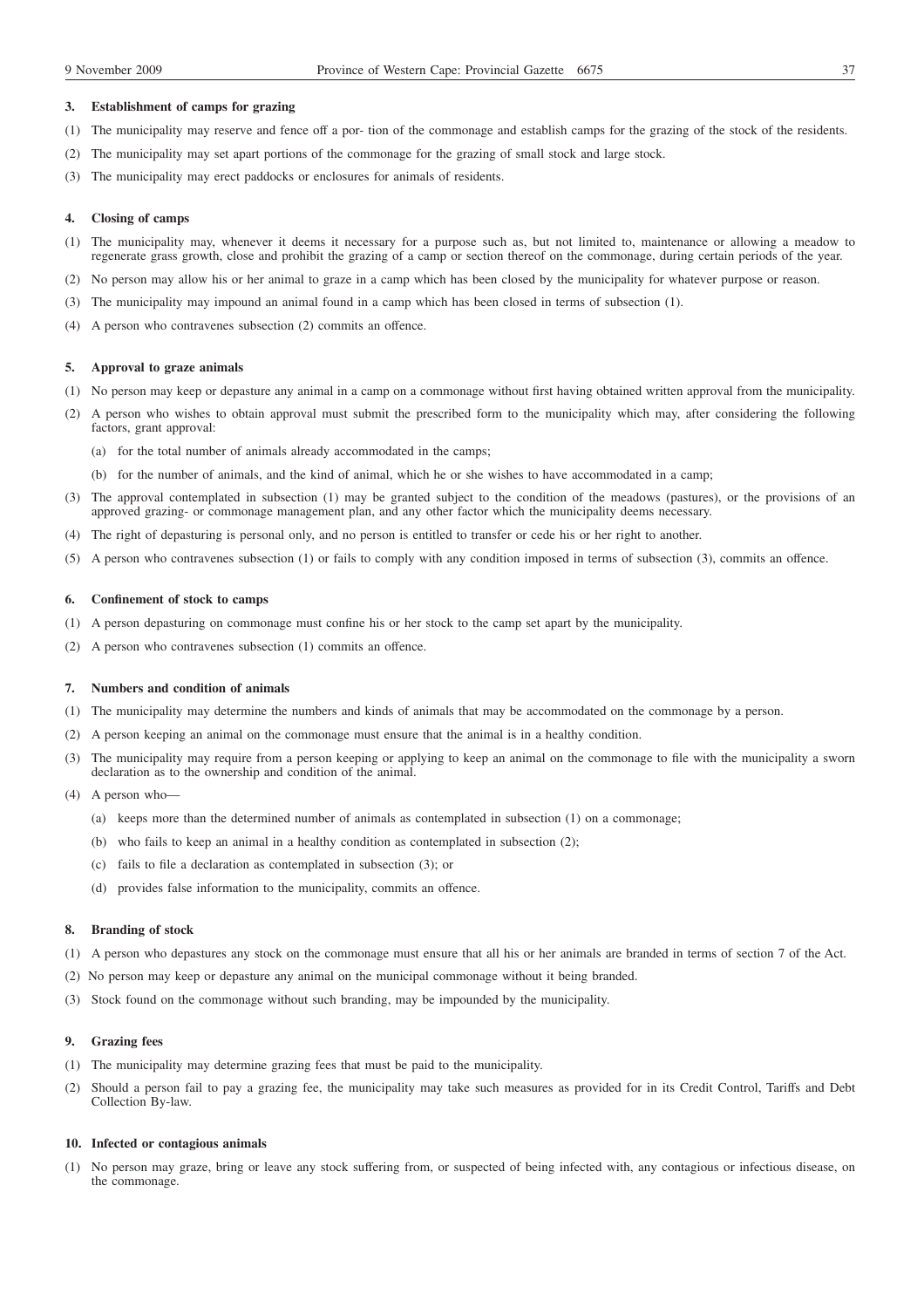#### **3. Establishment of camps for grazing**

- (1) The municipality may reserve and fence off a por- tion of the commonage and establish camps for the grazing of the stock of the residents.
- (2) The municipality may set apart portions of the commonage for the grazing of small stock and large stock.
- (3) The municipality may erect paddocks or enclosures for animals of residents.

### **4. Closing of camps**

- (1) The municipality may, whenever it deems it necessary for a purpose such as, but not limited to, maintenance or allowing a meadow to regenerate grass growth, close and prohibit the grazing of a camp or section thereof on the commonage, during certain periods of the year.
- (2) No person may allow his or her animal to graze in a camp which has been closed by the municipality for whatever purpose or reason.
- (3) The municipality may impound an animal found in a camp which has been closed in terms of subsection (1).
- (4) A person who contravenes subsection (2) commits an offence.

## **5. Approval to graze animals**

- (1) No person may keep or depasture any animal in a camp on a commonage without first having obtained written approval from the municipality.
- (2) A person who wishes to obtain approval must submit the prescribed form to the municipality which may, after considering the following factors, grant approval:
	- (a) for the total number of animals already accommodated in the camps;
	- (b) for the number of animals, and the kind of animal, which he or she wishes to have accommodated in a camp;
- (3) The approval contemplated in subsection (1) may be granted subject to the condition of the meadows (pastures), or the provisions of an approved grazing- or commonage management plan, and any other factor which the municipality deems necessary.
- (4) The right of depasturing is personal only, and no person is entitled to transfer or cede his or her right to another.
- (5) A person who contravenes subsection (1) or fails to comply with any condition imposed in terms of subsection (3), commits an offence.

### **6. Confinement of stock to camps**

- (1) A person depasturing on commonage must confine his or her stock to the camp set apart by the municipality.
- (2) A person who contravenes subsection (1) commits an offence.

## **7. Numbers and condition of animals**

- (1) The municipality may determine the numbers and kinds of animals that may be accommodated on the commonage by a person.
- (2) A person keeping an animal on the commonage must ensure that the animal is in a healthy condition.
- (3) The municipality may require from a person keeping or applying to keep an animal on the commonage to file with the municipality a sworn declaration as to the ownership and condition of the animal.
- (4) A person who—
	- (a) keeps more than the determined number of animals as contemplated in subsection (1) on a commonage;
	- (b) who fails to keep an animal in a healthy condition as contemplated in subsection (2);
	- (c) fails to file a declaration as contemplated in subsection (3); or
	- (d) provides false information to the municipality, commits an offence.

### **8. Branding of stock**

- (1) A person who depastures any stock on the commonage must ensure that all his or her animals are branded in terms of section 7 of the Act.
- (2) No person may keep or depasture any animal on the municipal commonage without it being branded.
- (3) Stock found on the commonage without such branding, may be impounded by the municipality.

### **9. Grazing fees**

- (1) The municipality may determine grazing fees that must be paid to the municipality.
- (2) Should a person fail to pay a grazing fee, the municipality may take such measures as provided for in its Credit Control, Tariffs and Debt Collection By-law.

#### **10. Infected or contagious animals**

(1) No person may graze, bring or leave any stock suffering from, or suspected of being infected with, any contagious or infectious disease, on the commonage.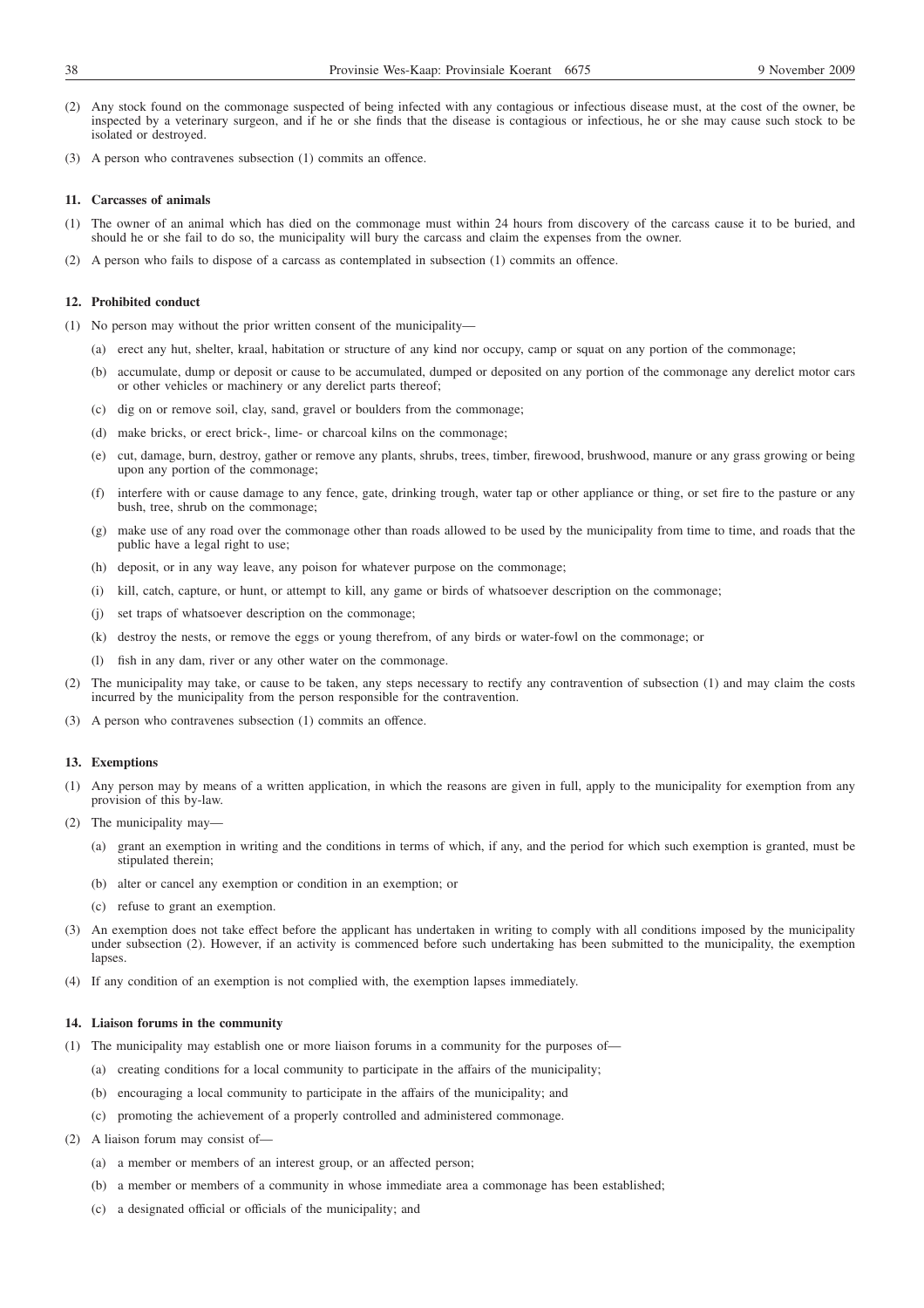- (2) Any stock found on the commonage suspected of being infected with any contagious or infectious disease must, at the cost of the owner, be inspected by a veterinary surgeon, and if he or she finds that the disease is contagious or infectious, he or she may cause such stock to be isolated or destroyed.
- (3) A person who contravenes subsection (1) commits an offence.

#### **11. Carcasses of animals**

- (1) The owner of an animal which has died on the commonage must within 24 hours from discovery of the carcass cause it to be buried, and should he or she fail to do so, the municipality will bury the carcass and claim the expenses from the owner.
- (2) A person who fails to dispose of a carcass as contemplated in subsection (1) commits an offence.

# **12. Prohibited conduct**

- (1) No person may without the prior written consent of the municipality—
	- (a) erect any hut, shelter, kraal, habitation or structure of any kind nor occupy, camp or squat on any portion of the commonage;
	- (b) accumulate, dump or deposit or cause to be accumulated, dumped or deposited on any portion of the commonage any derelict motor cars or other vehicles or machinery or any derelict parts thereof;
	- (c) dig on or remove soil, clay, sand, gravel or boulders from the commonage;
	- (d) make bricks, or erect brick-, lime- or charcoal kilns on the commonage;
	- (e) cut, damage, burn, destroy, gather or remove any plants, shrubs, trees, timber, firewood, brushwood, manure or any grass growing or being upon any portion of the commonage;
	- (f) interfere with or cause damage to any fence, gate, drinking trough, water tap or other appliance or thing, or set fire to the pasture or any bush, tree, shrub on the commonage;
	- (g) make use of any road over the commonage other than roads allowed to be used by the municipality from time to time, and roads that the public have a legal right to use;
	- (h) deposit, or in any way leave, any poison for whatever purpose on the commonage;
	- (i) kill, catch, capture, or hunt, or attempt to kill, any game or birds of whatsoever description on the commonage;
	- (j) set traps of whatsoever description on the commonage;
	- (k) destroy the nests, or remove the eggs or young therefrom, of any birds or water-fowl on the commonage; or
	- (l) fish in any dam, river or any other water on the commonage.
- (2) The municipality may take, or cause to be taken, any steps necessary to rectify any contravention of subsection (1) and may claim the costs incurred by the municipality from the person responsible for the contravention.
- (3) A person who contravenes subsection (1) commits an offence.

#### **13. Exemptions**

- (1) Any person may by means of a written application, in which the reasons are given in full, apply to the municipality for exemption from any provision of this by-law.
- (2) The municipality may—
	- (a) grant an exemption in writing and the conditions in terms of which, if any, and the period for which such exemption is granted, must be stipulated therein:
	- (b) alter or cancel any exemption or condition in an exemption; or
	- (c) refuse to grant an exemption.
- (3) An exemption does not take effect before the applicant has undertaken in writing to comply with all conditions imposed by the municipality under subsection (2). However, if an activity is commenced before such undertaking has been submitted to the municipality, the exemption lapses
- (4) If any condition of an exemption is not complied with, the exemption lapses immediately.

#### **14. Liaison forums in the community**

- (1) The municipality may establish one or more liaison forums in a community for the purposes of—
	- (a) creating conditions for a local community to participate in the affairs of the municipality;
	- (b) encouraging a local community to participate in the affairs of the municipality; and
	- (c) promoting the achievement of a properly controlled and administered commonage.
- (2) A liaison forum may consist of—
	- (a) a member or members of an interest group, or an affected person;
	- (b) a member or members of a community in whose immediate area a commonage has been established;
	- (c) a designated official or officials of the municipality; and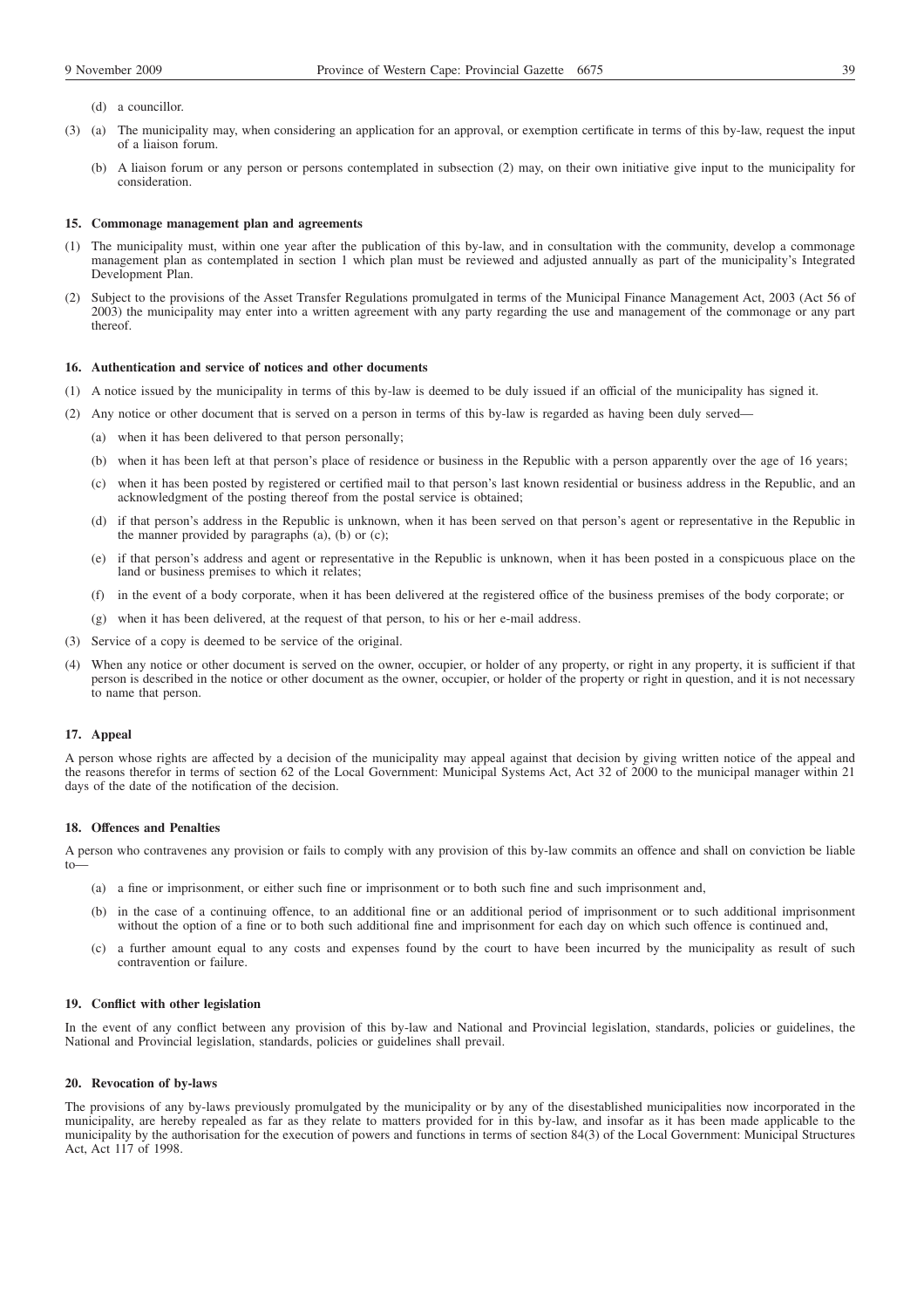- (d) a councillor.
- (3) (a) The municipality may, when considering an application for an approval, or exemption certificate in terms of this by-law, request the input of a liaison forum.
	- (b) A liaison forum or any person or persons contemplated in subsection (2) may, on their own initiative give input to the municipality for consideration.

#### **15. Commonage management plan and agreements**

- (1) The municipality must, within one year after the publication of this by-law, and in consultation with the community, develop a commonage management plan as contemplated in section 1 which plan must be reviewed and adjusted annually as part of the municipality's Integrated Development Plan.
- (2) Subject to the provisions of the Asset Transfer Regulations promulgated in terms of the Municipal Finance Management Act, 2003 (Act 56 of 2003) the municipality may enter into a written agreement with any party regarding the use and management of the commonage or any part thereof.

## **16. Authentication and service of notices and other documents**

- (1) A notice issued by the municipality in terms of this by-law is deemed to be duly issued if an official of the municipality has signed it.
- (2) Any notice or other document that is served on a person in terms of this by-law is regarded as having been duly served—
	- (a) when it has been delivered to that person personally;
	- (b) when it has been left at that person's place of residence or business in the Republic with a person apparently over the age of 16 years;
	- (c) when it has been posted by registered or certified mail to that person's last known residential or business address in the Republic, and an acknowledgment of the posting thereof from the postal service is obtained;
	- (d) if that person's address in the Republic is unknown, when it has been served on that person's agent or representative in the Republic in the manner provided by paragraphs (a), (b) or (c);
	- (e) if that person's address and agent or representative in the Republic is unknown, when it has been posted in a conspicuous place on the land or business premises to which it relates;
	- (f) in the event of a body corporate, when it has been delivered at the registered office of the business premises of the body corporate; or
	- (g) when it has been delivered, at the request of that person, to his or her e-mail address.
- (3) Service of a copy is deemed to be service of the original.
- (4) When any notice or other document is served on the owner, occupier, or holder of any property, or right in any property, it is sufficient if that person is described in the notice or other document as the owner, occupier, or holder of the property or right in question, and it is not necessary to name that person.

#### **17. Appeal**

A person whose rights are affected by a decision of the municipality may appeal against that decision by giving written notice of the appeal and the reasons therefor in terms of section 62 of the Local Government: Municipal Systems Act, Act 32 of 2000 to the municipal manager within 21 days of the date of the notification of the decision.

#### **18. Offences and Penalties**

A person who contravenes any provision or fails to comply with any provision of this by-law commits an offence and shall on conviction be liable  $t_0$ —

- (a) a fine or imprisonment, or either such fine or imprisonment or to both such fine and such imprisonment and,
- (b) in the case of a continuing offence, to an additional fine or an additional period of imprisonment or to such additional imprisonment without the option of a fine or to both such additional fine and imprisonment for each day on which such offence is continued and,
- (c) a further amount equal to any costs and expenses found by the court to have been incurred by the municipality as result of such contravention or failure.

### **19. Conflict with other legislation**

In the event of any conflict between any provision of this by-law and National and Provincial legislation, standards, policies or guidelines, the National and Provincial legislation, standards, policies or guidelines shall prevail.

#### **20. Revocation of by-laws**

The provisions of any by-laws previously promulgated by the municipality or by any of the disestablished municipalities now incorporated in the municipality, are hereby repealed as far as they relate to matters provided for in this by-law, and insofar as it has been made applicable to the municipality by the authorisation for the execution of powers and functions in terms of section 84(3) of the Local Government: Municipal Structures Act, Act 117 of 1998.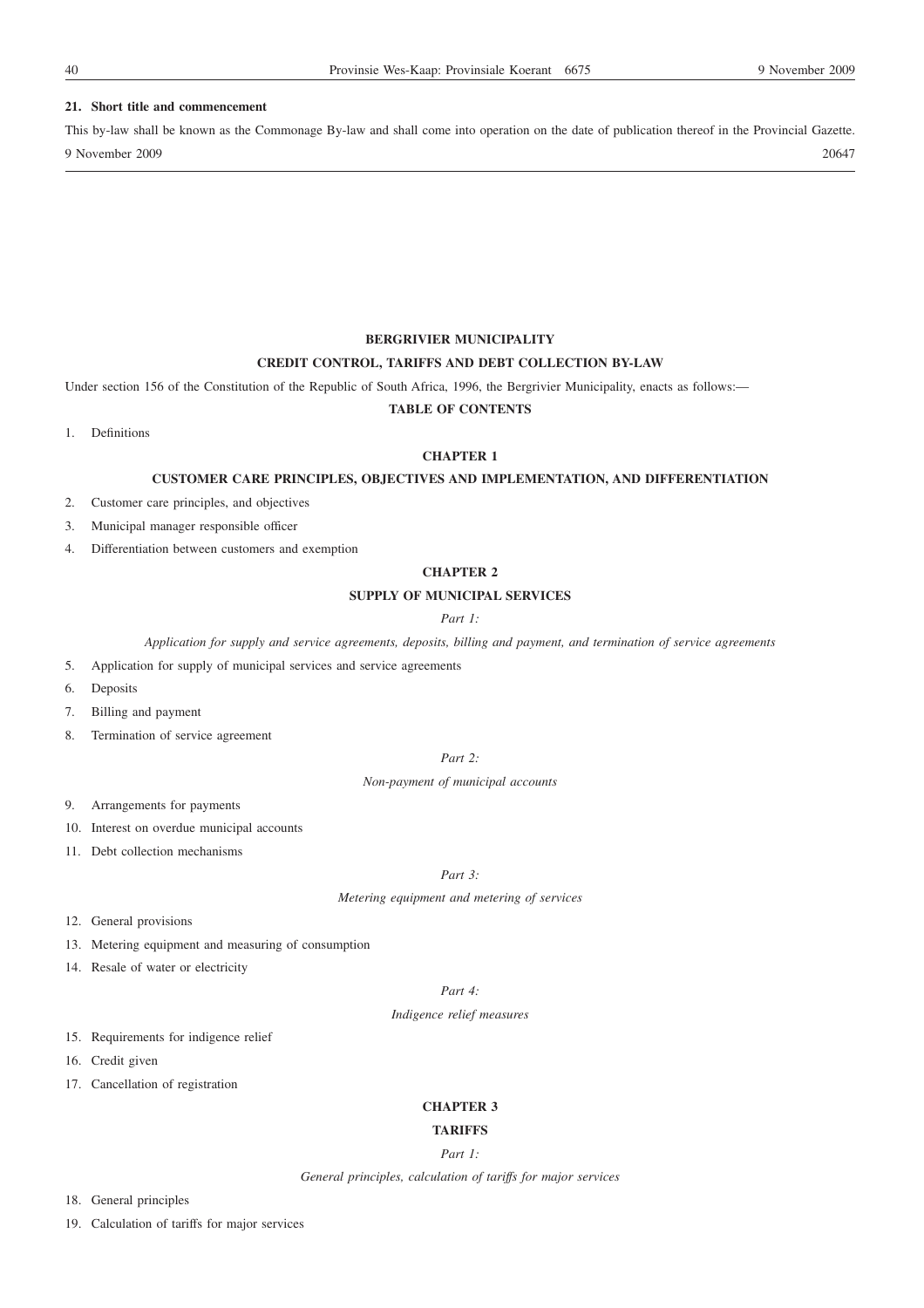## **21. Short title and commencement**

This by-law shall be known as the Commonage By-law and shall come into operation on the date of publication thereof in the Provincial Gazette. 9 November 2009 20647

**BERGRIVIER MUNICIPALITY**

## **CREDIT CONTROL, TARIFFS AND DEBT COLLECTION BY-LAW**

Under section 156 of the Constitution of the Republic of South Africa, 1996, the Bergrivier Municipality, enacts as follows:-

# **TABLE OF CONTENTS**

1. Definitions

# **CHAPTER 1**

## **CUSTOMER CARE PRINCIPLES, OBJECTIVES AND IMPLEMENTATION, AND DIFFERENTIATION**

- 2. Customer care principles, and objectives
- 3. Municipal manager responsible officer
- 4. Differentiation between customers and exemption

# **CHAPTER 2**

# **SUPPLY OF MUNICIPAL SERVICES**

*Part 1:*

*Application for supply and service agreements, deposits, billing and payment, and termination of service agreements*

- 5. Application for supply of municipal services and service agreements
- 6. Deposits
- 7. Billing and payment
- 8. Termination of service agreement

## *Part 2:*

*Non-payment of municipal accounts*

- 9. Arrangements for payments
- 10. Interest on overdue municipal accounts
- 11. Debt collection mechanisms

# *Part 3:*

*Metering equipment and metering of services*

- 12. General provisions
- 13. Metering equipment and measuring of consumption
- 14. Resale of water or electricity

*Part 4:*

*Indigence relief measures*

- 15. Requirements for indigence relief
- 16. Credit given
- 17. Cancellation of registration

#### **CHAPTER 3**

# **TARIFFS**

# *Part 1:*

*General principles, calculation of tariffs for major services*

- 18. General principles
- 19. Calculation of tariffs for major services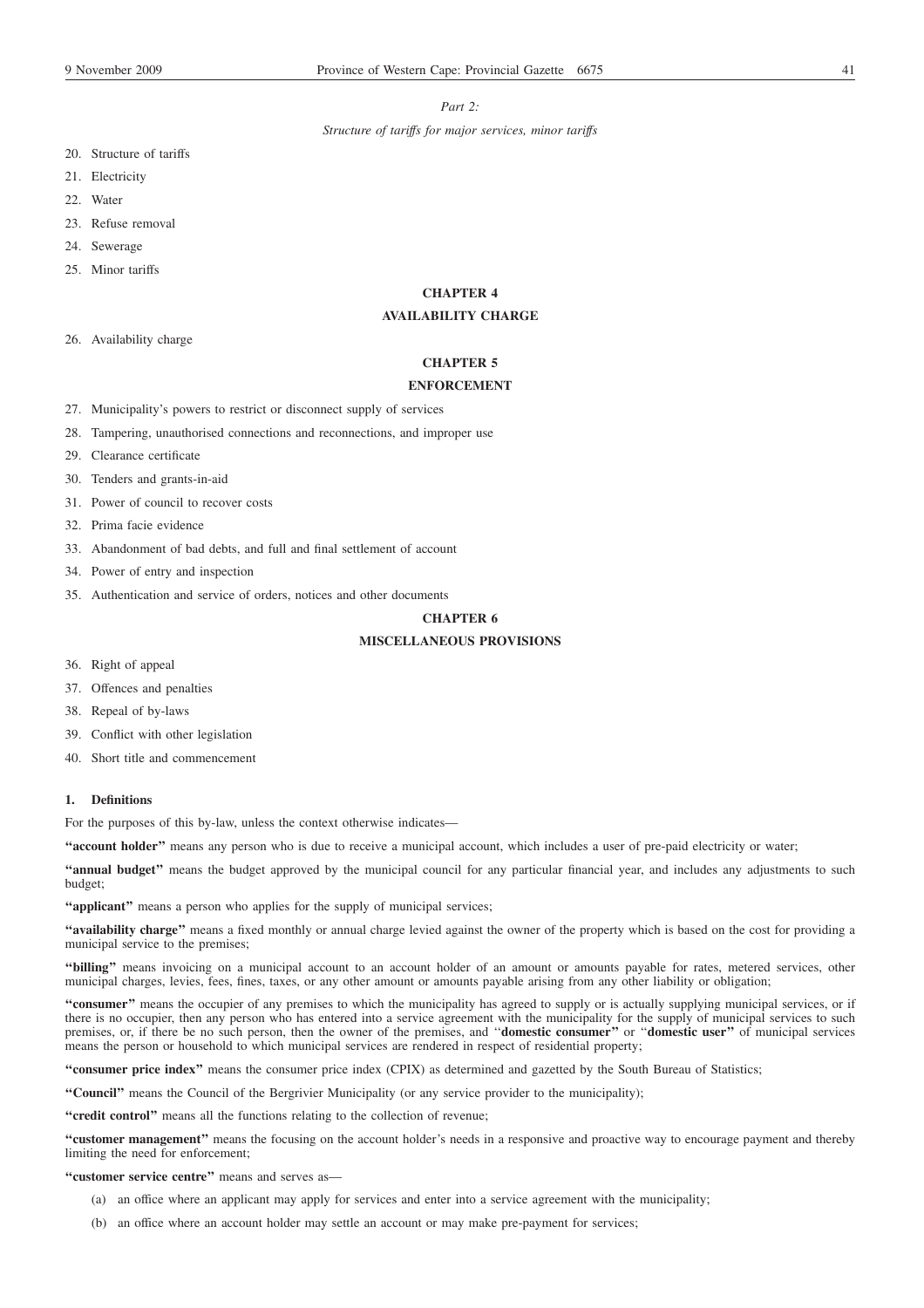## *Part 2:*

*Structure of tariffs for major services, minor tariffs*

- 20. Structure of tariffs
- 21. Electricity
- 22. Water
- 23. Refuse removal
- 24. Sewerage
- 25. Minor tariffs

# **CHAPTER 4**

# **AVAILABILITY CHARGE**

26. Availability charge

# **CHAPTER 5**

# **ENFORCEMENT**

- 27. Municipality's powers to restrict or disconnect supply of services
- 28. Tampering, unauthorised connections and reconnections, and improper use
- 29. Clearance certificate
- 30. Tenders and grants-in-aid
- 31. Power of council to recover costs
- 32. Prima facie evidence
- 33. Abandonment of bad debts, and full and final settlement of account
- 34. Power of entry and inspection
- 35. Authentication and service of orders, notices and other documents

# **CHAPTER 6**

## **MISCELLANEOUS PROVISIONS**

- 36. Right of appeal
- 37. Offences and penalties
- 38. Repeal of by-laws
- 39. Conflict with other legislation
- 40. Short title and commencement

# **1. Definitions**

For the purposes of this by-law, unless the context otherwise indicates—

**''account holder''** means any person who is due to receive a municipal account, which includes a user of pre-paid electricity or water;

**''annual budget''** means the budget approved by the municipal council for any particular financial year, and includes any adjustments to such budget;

"**applicant**" means a person who applies for the supply of municipal services;

**''availability charge''** means a fixed monthly or annual charge levied against the owner of the property which is based on the cost for providing a municipal service to the premises;

**''billing''** means invoicing on a municipal account to an account holder of an amount or amounts payable for rates, metered services, other municipal charges, levies, fees, fines, taxes, or any other amount or amounts payable arising from any other liability or obligation;

**''consumer''** means the occupier of any premises to which the municipality has agreed to supply or is actually supplying municipal services, or if there is no occupier, then any person who has entered into a service agreement with the municipality for the supply of municipal services to such premises, or, if there be no such person, then the owner of the premises, and ''**domestic consumer''** or ''**domestic user''** of municipal services means the person or household to which municipal services are rendered in respect of residential property;

**''consumer price index''** means the consumer price index (CPIX) as determined and gazetted by the South Bureau of Statistics;

**''Council''** means the Council of the Bergrivier Municipality (or any service provider to the municipality);

**''credit control''** means all the functions relating to the collection of revenue;

**''customer management''** means the focusing on the account holder's needs in a responsive and proactive way to encourage payment and thereby limiting the need for enforcement;

**''customer service centre''** means and serves as—

- (a) an office where an applicant may apply for services and enter into a service agreement with the municipality;
- (b) an office where an account holder may settle an account or may make pre-payment for services;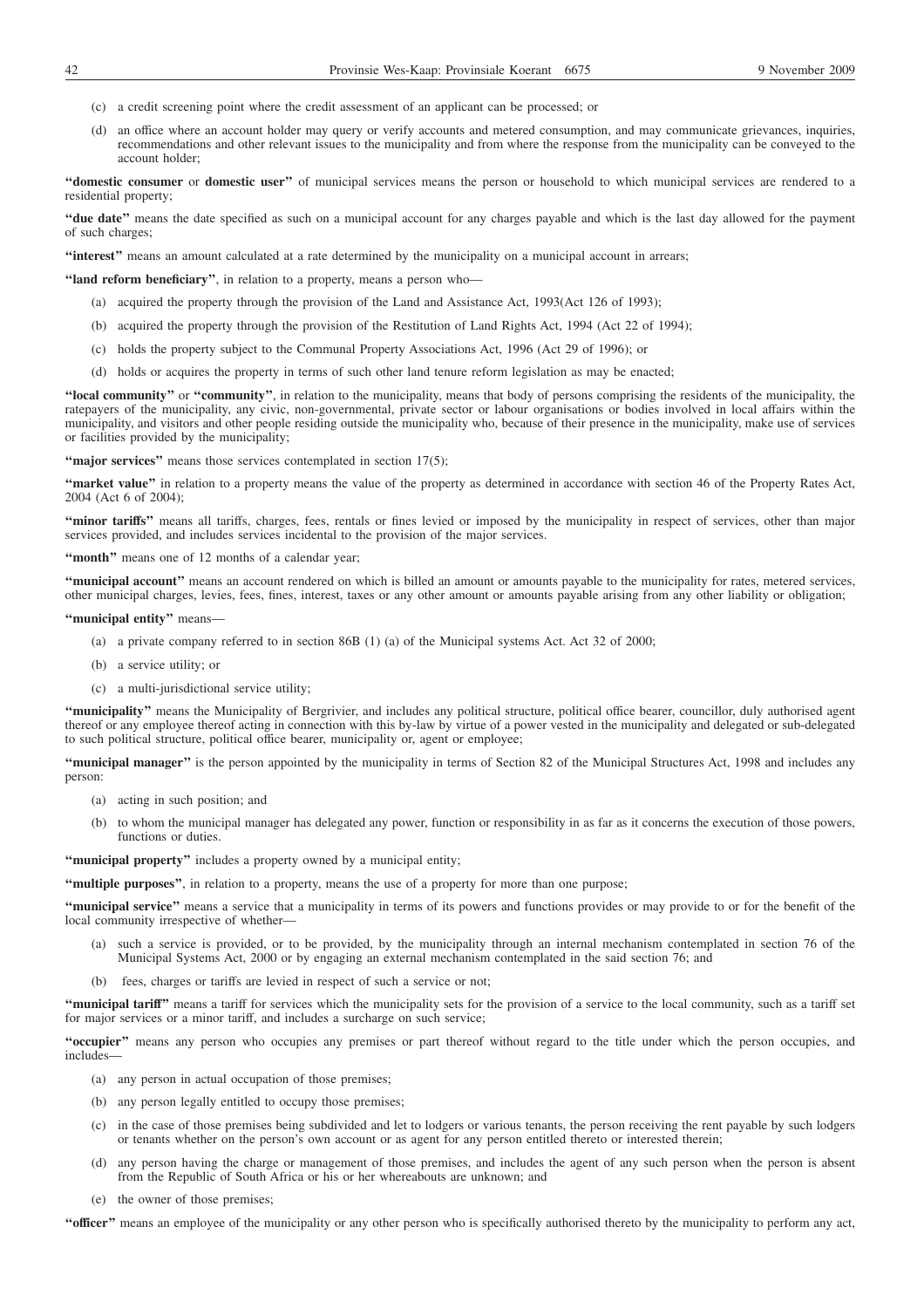- (c) a credit screening point where the credit assessment of an applicant can be processed; or
- (d) an office where an account holder may query or verify accounts and metered consumption, and may communicate grievances, inquiries, recommendations and other relevant issues to the municipality and from where the response from the municipality can be conveyed to the account holder;

**''domestic consumer** or **domestic user''** of municipal services means the person or household to which municipal services are rendered to a residential property;

**''due date''** means the date specified as such on a municipal account for any charges payable and which is the last day allowed for the payment of such charges;

**''interest''** means an amount calculated at a rate determined by the municipality on a municipal account in arrears;

**''land reform beneficiary''**, in relation to a property, means a person who—

- (a) acquired the property through the provision of the Land and Assistance Act, 1993(Act 126 of 1993);
- (b) acquired the property through the provision of the Restitution of Land Rights Act, 1994 (Act 22 of 1994);
- (c) holds the property subject to the Communal Property Associations Act, 1996 (Act 29 of 1996); or
- (d) holds or acquires the property in terms of such other land tenure reform legislation as may be enacted;

**''local community''** or **''community''**, in relation to the municipality, means that body of persons comprising the residents of the municipality, the ratepayers of the municipality, any civic, non-governmental, private sector or labour organisations or bodies involved in local affairs within the municipality, and visitors and other people residing outside the municipality who, because of their presence in the municipality, make use of services or facilities provided by the municipality;

"major services" means those services contemplated in section 17(5);

**''market value''** in relation to a property means the value of the property as determined in accordance with section 46 of the Property Rates Act, 2004 (Act 6 of 2004);

**''minor tariffs''** means all tariffs, charges, fees, rentals or fines levied or imposed by the municipality in respect of services, other than major services provided, and includes services incidental to the provision of the major services.

**''month''** means one of 12 months of a calendar year;

"municipal account" means an account rendered on which is billed an amount or amounts payable to the municipality for rates, metered services, other municipal charges, levies, fees, fines, interest, taxes or any other amount or amounts payable arising from any other liability or obligation;

**''municipal entity''** means—

- (a) a private company referred to in section 86B (1) (a) of the Municipal systems Act. Act 32 of 2000;
- (b) a service utility; or
- (c) a multi-jurisdictional service utility;

**''municipality''** means the Municipality of Bergrivier, and includes any political structure, political office bearer, councillor, duly authorised agent thereof or any employee thereof acting in connection with this by-law by virtue of a power vested in the municipality and delegated or sub-delegated to such political structure, political office bearer, municipality or, agent or employee;

**''municipal manager''** is the person appointed by the municipality in terms of Section 82 of the Municipal Structures Act, 1998 and includes any person:

- (a) acting in such position; and
- (b) to whom the municipal manager has delegated any power, function or responsibility in as far as it concerns the execution of those powers, functions or duties.

**''municipal property''** includes a property owned by a municipal entity;

**''multiple purposes''**, in relation to a property, means the use of a property for more than one purpose;

**''municipal service''** means a service that a municipality in terms of its powers and functions provides or may provide to or for the benefit of the local community irrespective of whether-

- (a) such a service is provided, or to be provided, by the municipality through an internal mechanism contemplated in section 76 of the Municipal Systems Act, 2000 or by engaging an external mechanism contemplated in the said section 76; and
- (b) fees, charges or tariffs are levied in respect of such a service or not;

"municipal tariff" means a tariff for services which the municipality sets for the provision of a service to the local community, such as a tariff set for major services or a minor tariff, and includes a surcharge on such service;

**''occupier''** means any person who occupies any premises or part thereof without regard to the title under which the person occupies, and includes—

- (a) any person in actual occupation of those premises;
- (b) any person legally entitled to occupy those premises;
- (c) in the case of those premises being subdivided and let to lodgers or various tenants, the person receiving the rent payable by such lodgers or tenants whether on the person's own account or as agent for any person entitled thereto or interested therein;
- (d) any person having the charge or management of those premises, and includes the agent of any such person when the person is absent from the Republic of South Africa or his or her whereabouts are unknown; and
- (e) the owner of those premises;

**''officer''** means an employee of the municipality or any other person who is specifically authorised thereto by the municipality to perform any act,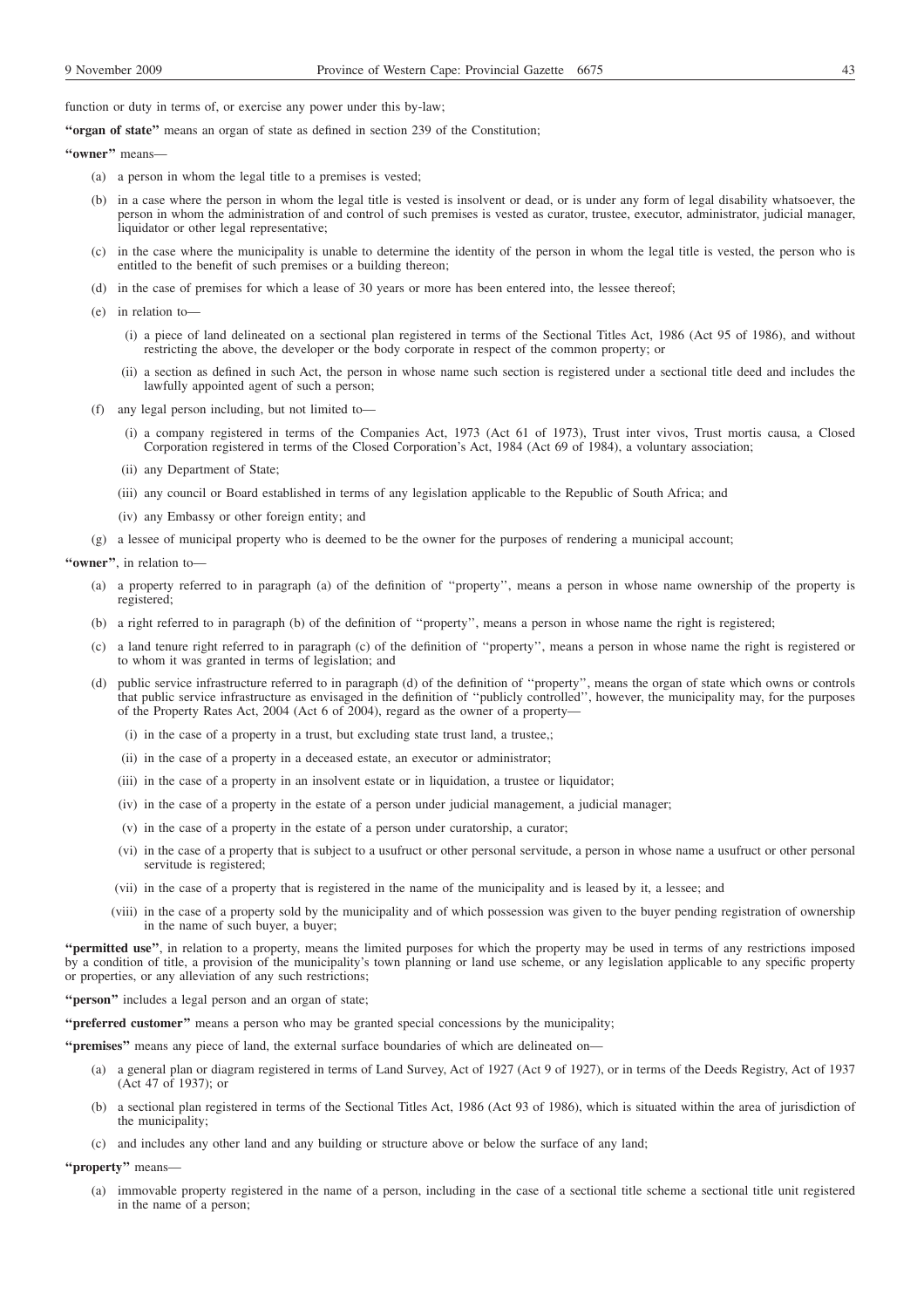function or duty in terms of, or exercise any power under this by-law;

**''organ of state''** means an organ of state as defined in section 239 of the Constitution;

"owner" means-

- (a) a person in whom the legal title to a premises is vested;
- (b) in a case where the person in whom the legal title is vested is insolvent or dead, or is under any form of legal disability whatsoever, the person in whom the administration of and control of such premises is vested as curator, trustee, executor, administrator, judicial manager, liquidator or other legal representative;
- (c) in the case where the municipality is unable to determine the identity of the person in whom the legal title is vested, the person who is entitled to the benefit of such premises or a building thereon;
- (d) in the case of premises for which a lease of 30 years or more has been entered into, the lessee thereof;
- (e) in relation to—
	- (i) a piece of land delineated on a sectional plan registered in terms of the Sectional Titles Act, 1986 (Act 95 of 1986), and without restricting the above, the developer or the body corporate in respect of the common property; or
	- (ii) a section as defined in such Act, the person in whose name such section is registered under a sectional title deed and includes the lawfully appointed agent of such a person;
- (f) any legal person including, but not limited to—
	- (i) a company registered in terms of the Companies Act, 1973 (Act 61 of 1973), Trust inter vivos, Trust mortis causa, a Closed Corporation registered in terms of the Closed Corporation's Act, 1984 (Act 69 of 1984), a voluntary association;
	- (ii) any Department of State;
	- (iii) any council or Board established in terms of any legislation applicable to the Republic of South Africa; and
	- (iv) any Embassy or other foreign entity; and
- (g) a lessee of municipal property who is deemed to be the owner for the purposes of rendering a municipal account;

**''owner''**, in relation to—

- (a) a property referred to in paragraph (a) of the definition of ''property'', means a person in whose name ownership of the property is registered;
- (b) a right referred to in paragraph (b) of the definition of ''property'', means a person in whose name the right is registered;
- (c) a land tenure right referred to in paragraph (c) of the definition of ''property'', means a person in whose name the right is registered or to whom it was granted in terms of legislation; and
- (d) public service infrastructure referred to in paragraph (d) of the definition of ''property'', means the organ of state which owns or controls that public service infrastructure as envisaged in the definition of ''publicly controlled'', however, the municipality may, for the purposes of the Property Rates Act, 2004 (Act 6 of 2004), regard as the owner of a property—
	- (i) in the case of a property in a trust, but excluding state trust land, a trustee,;
	- (ii) in the case of a property in a deceased estate, an executor or administrator;
	- (iii) in the case of a property in an insolvent estate or in liquidation, a trustee or liquidator;
	- (iv) in the case of a property in the estate of a person under judicial management, a judicial manager;
	- (v) in the case of a property in the estate of a person under curatorship, a curator;
	- (vi) in the case of a property that is subject to a usufruct or other personal servitude, a person in whose name a usufruct or other personal servitude is registered;
	- (vii) in the case of a property that is registered in the name of the municipality and is leased by it, a lessee; and
	- (viii) in the case of a property sold by the municipality and of which possession was given to the buyer pending registration of ownership in the name of such buyer, a buyer;

**''permitted use''**, in relation to a property, means the limited purposes for which the property may be used in terms of any restrictions imposed by a condition of title, a provision of the municipality's town planning or land use scheme, or any legislation applicable to any specific property or properties, or any alleviation of any such restrictions;

**''person''** includes a legal person and an organ of state;

**''preferred customer''** means a person who may be granted special concessions by the municipality;

**''premises''** means any piece of land, the external surface boundaries of which are delineated on—

- (a) a general plan or diagram registered in terms of Land Survey, Act of 1927 (Act 9 of 1927), or in terms of the Deeds Registry, Act of 1937 (Act 47 of 1937); or
- a sectional plan registered in terms of the Sectional Titles Act, 1986 (Act 93 of 1986), which is situated within the area of jurisdiction of the municipality;
- (c) and includes any other land and any building or structure above or below the surface of any land;

**''property''** means—

(a) immovable property registered in the name of a person, including in the case of a sectional title scheme a sectional title unit registered in the name of a person;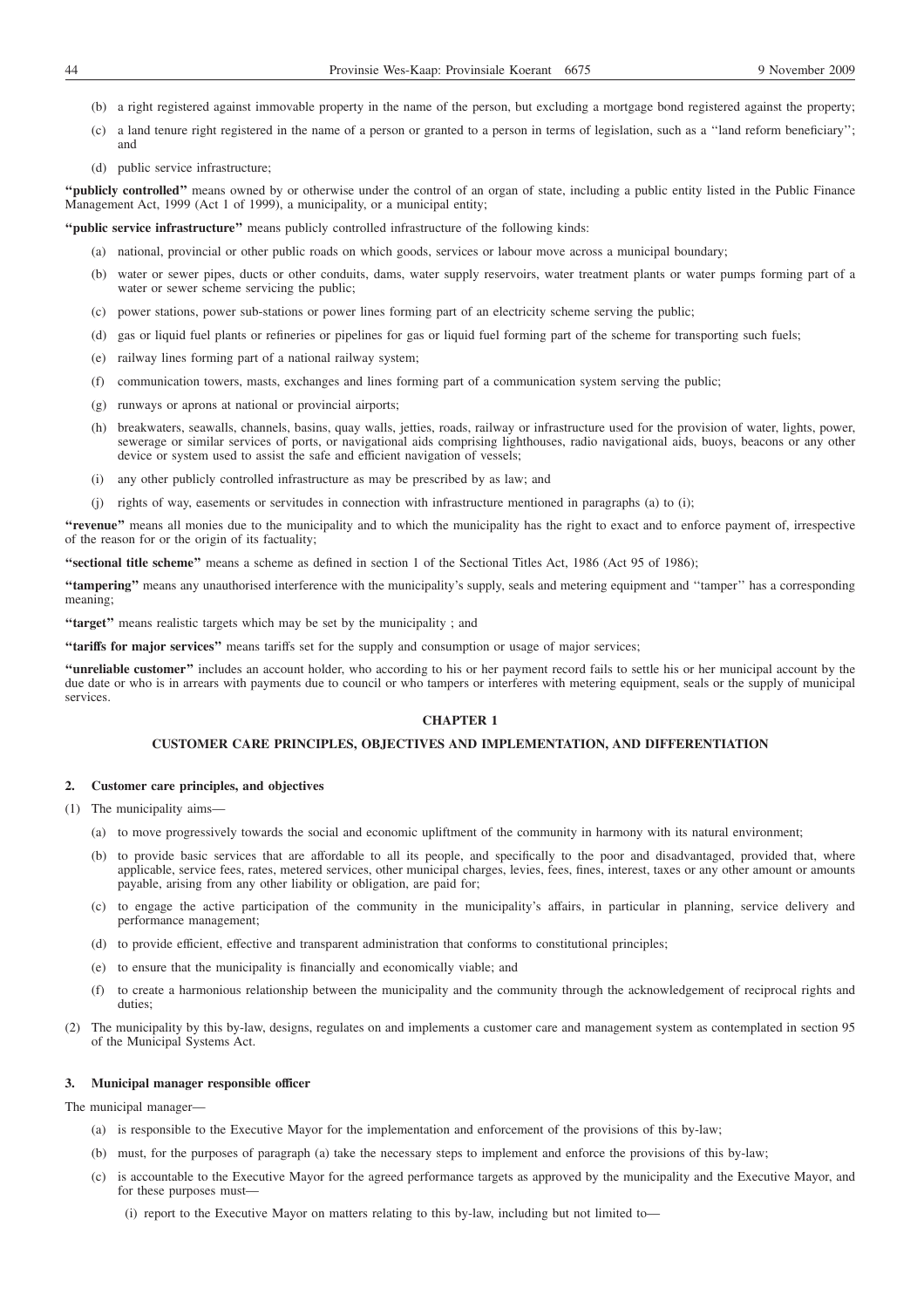- (b) a right registered against immovable property in the name of the person, but excluding a mortgage bond registered against the property;
- (c) a land tenure right registered in the name of a person or granted to a person in terms of legislation, such as a ''land reform beneficiary''; and
- (d) public service infrastructure;

**''publicly controlled''** means owned by or otherwise under the control of an organ of state, including a public entity listed in the Public Finance Management Act, 1999 (Act 1 of 1999), a municipality, or a municipal entity;

**''public service infrastructure''** means publicly controlled infrastructure of the following kinds:

- (a) national, provincial or other public roads on which goods, services or labour move across a municipal boundary;
- (b) water or sewer pipes, ducts or other conduits, dams, water supply reservoirs, water treatment plants or water pumps forming part of a water or sewer scheme servicing the public;
- (c) power stations, power sub-stations or power lines forming part of an electricity scheme serving the public;
- (d) gas or liquid fuel plants or refineries or pipelines for gas or liquid fuel forming part of the scheme for transporting such fuels;
- (e) railway lines forming part of a national railway system;
- (f) communication towers, masts, exchanges and lines forming part of a communication system serving the public;
- (g) runways or aprons at national or provincial airports;
- (h) breakwaters, seawalls, channels, basins, quay walls, jetties, roads, railway or infrastructure used for the provision of water, lights, power, sewerage or similar services of ports, or navigational aids comprising lighthouses, radio navigational aids, buoys, beacons or any other device or system used to assist the safe and efficient navigation of vessels;
- (i) any other publicly controlled infrastructure as may be prescribed by as law; and
- (j) rights of way, easements or servitudes in connection with infrastructure mentioned in paragraphs (a) to (i);

**''revenue''** means all monies due to the municipality and to which the municipality has the right to exact and to enforce payment of, irrespective of the reason for or the origin of its factuality;

**"sectional title scheme"** means a scheme as defined in section 1 of the Sectional Titles Act, 1986 (Act 95 of 1986);

**''tampering''** means any unauthorised interference with the municipality's supply, seals and metering equipment and ''tamper'' has a corresponding meaning;

**''target''** means realistic targets which may be set by the municipality ; and

**''tariffs for major services''** means tariffs set for the supply and consumption or usage of major services;

**''unreliable customer''** includes an account holder, who according to his or her payment record fails to settle his or her municipal account by the due date or who is in arrears with payments due to council or who tampers or interferes with metering equipment, seals or the supply of municipal services.

### **CHAPTER 1**

#### **CUSTOMER CARE PRINCIPLES, OBJECTIVES AND IMPLEMENTATION, AND DIFFERENTIATION**

#### **2. Customer care principles, and objectives**

- (1) The municipality aims—
	- (a) to move progressively towards the social and economic upliftment of the community in harmony with its natural environment;
	- (b) to provide basic services that are affordable to all its people, and specifically to the poor and disadvantaged, provided that, where applicable, service fees, rates, metered services, other municipal charges, levies, fees, fines, interest, taxes or any other amount or amounts payable, arising from any other liability or obligation, are paid for;
	- (c) to engage the active participation of the community in the municipality's affairs, in particular in planning, service delivery and performance management;
	- (d) to provide efficient, effective and transparent administration that conforms to constitutional principles;
	- (e) to ensure that the municipality is financially and economically viable; and
	- (f) to create a harmonious relationship between the municipality and the community through the acknowledgement of reciprocal rights and duties;
- (2) The municipality by this by-law, designs, regulates on and implements a customer care and management system as contemplated in section 95 of the Municipal Systems Act.

### **3. Municipal manager responsible officer**

The municipal manager—

- (a) is responsible to the Executive Mayor for the implementation and enforcement of the provisions of this by-law;
- (b) must, for the purposes of paragraph (a) take the necessary steps to implement and enforce the provisions of this by-law;
- (c) is accountable to the Executive Mayor for the agreed performance targets as approved by the municipality and the Executive Mayor, and for these purposes must-
	- (i) report to the Executive Mayor on matters relating to this by-law, including but not limited to—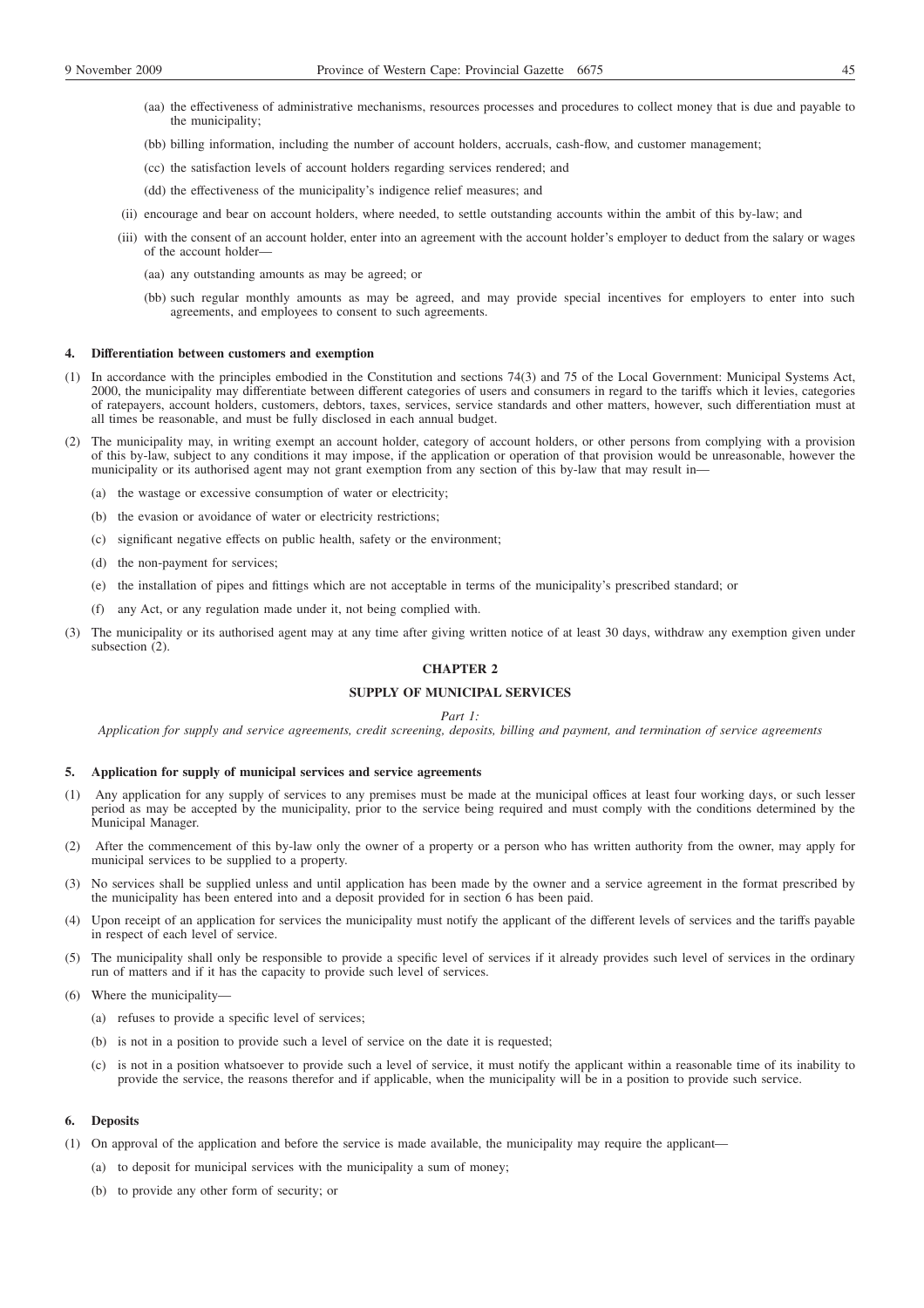- 
- (aa) the effectiveness of administrative mechanisms, resources processes and procedures to collect money that is due and payable to the municipality;
- (bb) billing information, including the number of account holders, accruals, cash-flow, and customer management;
- (cc) the satisfaction levels of account holders regarding services rendered; and
- (dd) the effectiveness of the municipality's indigence relief measures; and
- (ii) encourage and bear on account holders, where needed, to settle outstanding accounts within the ambit of this by-law; and
- (iii) with the consent of an account holder, enter into an agreement with the account holder's employer to deduct from the salary or wages of the account holder—
	- (aa) any outstanding amounts as may be agreed; or
	- (bb) such regular monthly amounts as may be agreed, and may provide special incentives for employers to enter into such agreements, and employees to consent to such agreements.

### **4. Differentiation between customers and exemption**

- (1) In accordance with the principles embodied in the Constitution and sections 74(3) and 75 of the Local Government: Municipal Systems Act, 2000, the municipality may differentiate between different categories of users and consumers in regard to the tariffs which it levies, categories of ratepayers, account holders, customers, debtors, taxes, services, service standards and other matters, however, such differentiation must at all times be reasonable, and must be fully disclosed in each annual budget.
- (2) The municipality may, in writing exempt an account holder, category of account holders, or other persons from complying with a provision of this by-law, subject to any conditions it may impose, if the application or operation of that provision would be unreasonable, however the municipality or its authorised agent may not grant exemption from any section of this by-law that may result in—
	- (a) the wastage or excessive consumption of water or electricity;
	- (b) the evasion or avoidance of water or electricity restrictions;
	- (c) significant negative effects on public health, safety or the environment;
	- (d) the non-payment for services;
	- (e) the installation of pipes and fittings which are not acceptable in terms of the municipality's prescribed standard; or
	- (f) any Act, or any regulation made under it, not being complied with.
- (3) The municipality or its authorised agent may at any time after giving written notice of at least 30 days, withdraw any exemption given under subsection (2).

# **CHAPTER 2**

# **SUPPLY OF MUNICIPAL SERVICES**

#### *Part 1:*

*Application for supply and service agreements, credit screening, deposits, billing and payment, and termination of service agreements*

### **5. Application for supply of municipal services and service agreements**

- (1) Any application for any supply of services to any premises must be made at the municipal offices at least four working days, or such lesser period as may be accepted by the municipality, prior to the service being required and must comply with the conditions determined by the Municipal Manager.
- (2) After the commencement of this by-law only the owner of a property or a person who has written authority from the owner, may apply for municipal services to be supplied to a property.
- (3) No services shall be supplied unless and until application has been made by the owner and a service agreement in the format prescribed by the municipality has been entered into and a deposit provided for in section 6 has been paid.
- (4) Upon receipt of an application for services the municipality must notify the applicant of the different levels of services and the tariffs payable in respect of each level of service.
- (5) The municipality shall only be responsible to provide a specific level of services if it already provides such level of services in the ordinary run of matters and if it has the capacity to provide such level of services.
- (6) Where the municipality—
	- (a) refuses to provide a specific level of services;
	- (b) is not in a position to provide such a level of service on the date it is requested;
	- (c) is not in a position whatsoever to provide such a level of service, it must notify the applicant within a reasonable time of its inability to provide the service, the reasons therefor and if applicable, when the municipality will be in a position to provide such service.

### **6. Deposits**

- (1) On approval of the application and before the service is made available, the municipality may require the applicant—
	- (a) to deposit for municipal services with the municipality a sum of money;
	- (b) to provide any other form of security; or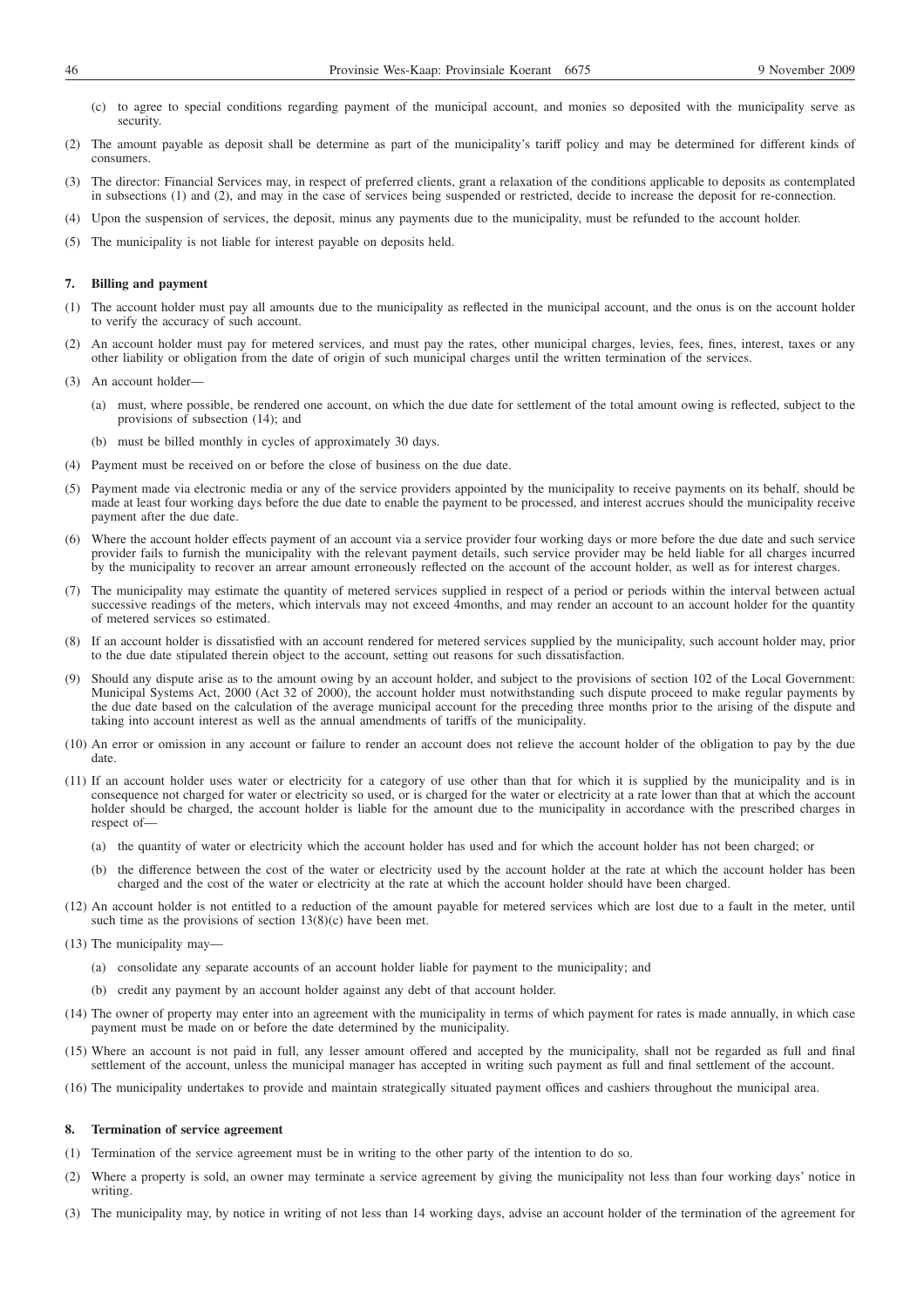- (c) to agree to special conditions regarding payment of the municipal account, and monies so deposited with the municipality serve as security.
- (2) The amount payable as deposit shall be determine as part of the municipality's tariff policy and may be determined for different kinds of consumers.
- (3) The director: Financial Services may, in respect of preferred clients, grant a relaxation of the conditions applicable to deposits as contemplated in subsections (1) and (2), and may in the case of services being suspended or restricted, decide to increase the deposit for re-connection.
- (4) Upon the suspension of services, the deposit, minus any payments due to the municipality, must be refunded to the account holder.
- (5) The municipality is not liable for interest payable on deposits held.

### **7. Billing and payment**

- (1) The account holder must pay all amounts due to the municipality as reflected in the municipal account, and the onus is on the account holder to verify the accuracy of such account.
- (2) An account holder must pay for metered services, and must pay the rates, other municipal charges, levies, fees, fines, interest, taxes or any other liability or obligation from the date of origin of such municipal charges until the written termination of the services.
- (3) An account holder—
	- (a) must, where possible, be rendered one account, on which the due date for settlement of the total amount owing is reflected, subject to the provisions of subsection (14); and
	- (b) must be billed monthly in cycles of approximately 30 days.
- (4) Payment must be received on or before the close of business on the due date.
- (5) Payment made via electronic media or any of the service providers appointed by the municipality to receive payments on its behalf, should be made at least four working days before the due date to enable the payment to be processed, and interest accrues should the municipality receive payment after the due date.
- (6) Where the account holder effects payment of an account via a service provider four working days or more before the due date and such service provider fails to furnish the municipality with the relevant payment details, such service provider may be held liable for all charges incurred by the municipality to recover an arrear amount erroneously reflected on the account of the account holder, as well as for interest charges.
- (7) The municipality may estimate the quantity of metered services supplied in respect of a period or periods within the interval between actual successive readings of the meters, which intervals may not exceed 4months, and may render an account to an account holder for the quantity of metered services so estimated.
- (8) If an account holder is dissatisfied with an account rendered for metered services supplied by the municipality, such account holder may, prior to the due date stipulated therein object to the account, setting out reasons for such dissatisfaction.
- (9) Should any dispute arise as to the amount owing by an account holder, and subject to the provisions of section 102 of the Local Government: Municipal Systems Act, 2000 (Act 32 of 2000), the account holder must notwithstanding such dispute proceed to make regular payments by the due date based on the calculation of the average municipal account for the preceding three months prior to the arising of the dispute and taking into account interest as well as the annual amendments of tariffs of the municipality.
- (10) An error or omission in any account or failure to render an account does not relieve the account holder of the obligation to pay by the due date.
- (11) If an account holder uses water or electricity for a category of use other than that for which it is supplied by the municipality and is in consequence not charged for water or electricity so used, or is charged for the water or electricity at a rate lower than that at which the account holder should be charged, the account holder is liable for the amount due to the municipality in accordance with the prescribed charges in respect of-
	- (a) the quantity of water or electricity which the account holder has used and for which the account holder has not been charged; or
	- (b) the difference between the cost of the water or electricity used by the account holder at the rate at which the account holder has been charged and the cost of the water or electricity at the rate at which the account holder should have been charged.
- (12) An account holder is not entitled to a reduction of the amount payable for metered services which are lost due to a fault in the meter, until such time as the provisions of section  $13(8)(c)$  have been met.
- (13) The municipality may—
	- (a) consolidate any separate accounts of an account holder liable for payment to the municipality; and
	- (b) credit any payment by an account holder against any debt of that account holder.
- (14) The owner of property may enter into an agreement with the municipality in terms of which payment for rates is made annually, in which case payment must be made on or before the date determined by the municipality.
- (15) Where an account is not paid in full, any lesser amount offered and accepted by the municipality, shall not be regarded as full and final settlement of the account, unless the municipal manager has accepted in writing such payment as full and final settlement of the account.
- (16) The municipality undertakes to provide and maintain strategically situated payment offices and cashiers throughout the municipal area.

### **8. Termination of service agreement**

- (1) Termination of the service agreement must be in writing to the other party of the intention to do so.
- (2) Where a property is sold, an owner may terminate a service agreement by giving the municipality not less than four working days' notice in writing.
- (3) The municipality may, by notice in writing of not less than 14 working days, advise an account holder of the termination of the agreement for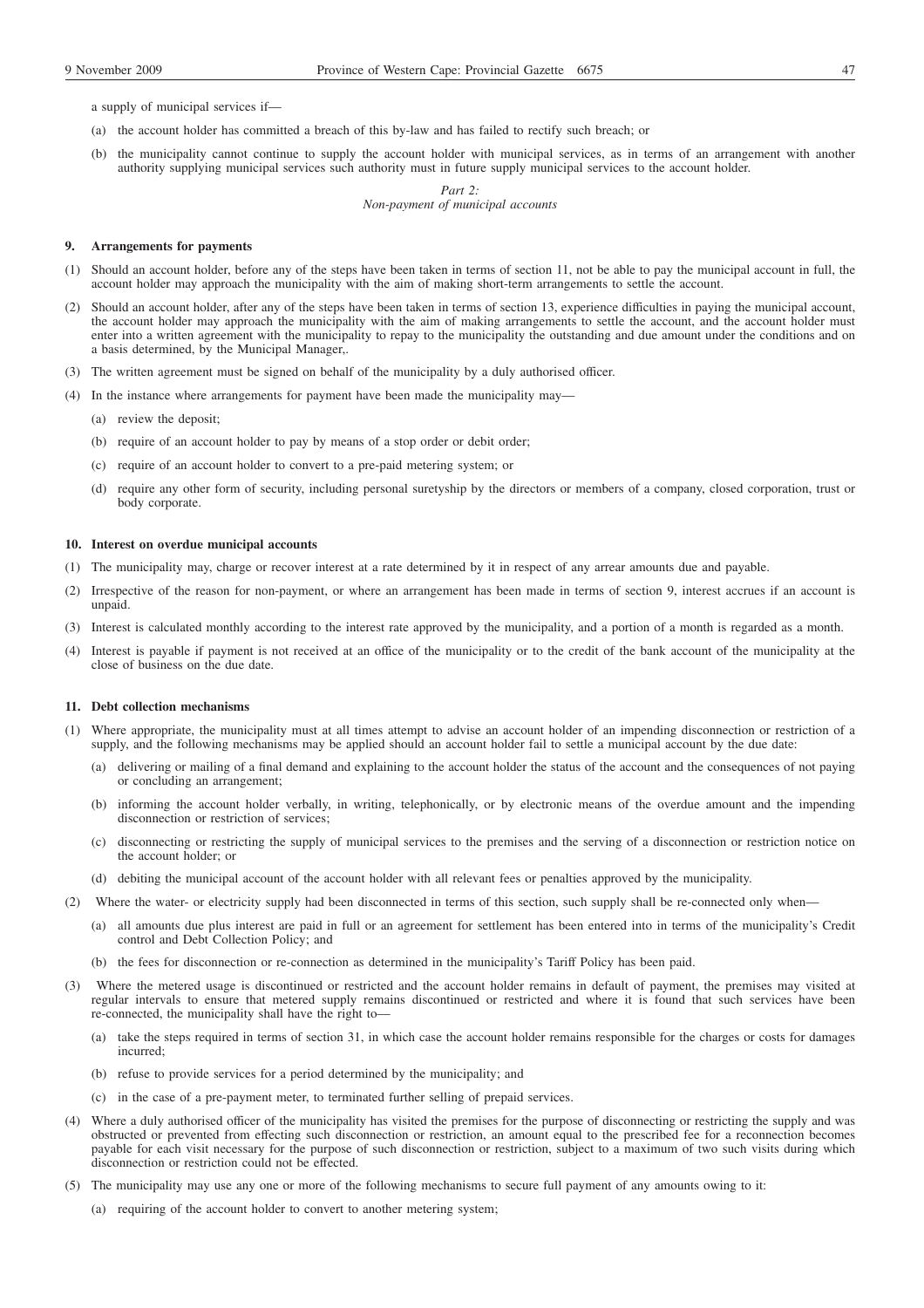a supply of municipal services if—

- (a) the account holder has committed a breach of this by-law and has failed to rectify such breach; or
- (b) the municipality cannot continue to supply the account holder with municipal services, as in terms of an arrangement with another authority supplying municipal services such authority must in future supply municipal services to the account holder.

*Part 2: Non-payment of municipal accounts*

#### **9. Arrangements for payments**

- (1) Should an account holder, before any of the steps have been taken in terms of section 11, not be able to pay the municipal account in full, the account holder may approach the municipality with the aim of making short-term arrangements to settle the account.
- (2) Should an account holder, after any of the steps have been taken in terms of section 13, experience difficulties in paying the municipal account, the account holder may approach the municipality with the aim of making arrangements to settle the account, and the account holder must enter into a written agreement with the municipality to repay to the municipality the outstanding and due amount under the conditions and on a basis determined, by the Municipal Manager,.
- (3) The written agreement must be signed on behalf of the municipality by a duly authorised officer.
- (4) In the instance where arrangements for payment have been made the municipality may—
	- (a) review the deposit;
	- (b) require of an account holder to pay by means of a stop order or debit order;
	- (c) require of an account holder to convert to a pre-paid metering system; or
	- (d) require any other form of security, including personal suretyship by the directors or members of a company, closed corporation, trust or body corporate.

### **10. Interest on overdue municipal accounts**

- (1) The municipality may, charge or recover interest at a rate determined by it in respect of any arrear amounts due and payable.
- (2) Irrespective of the reason for non-payment, or where an arrangement has been made in terms of section 9, interest accrues if an account is unpaid.
- (3) Interest is calculated monthly according to the interest rate approved by the municipality, and a portion of a month is regarded as a month.
- (4) Interest is payable if payment is not received at an office of the municipality or to the credit of the bank account of the municipality at the close of business on the due date.

### **11. Debt collection mechanisms**

- (1) Where appropriate, the municipality must at all times attempt to advise an account holder of an impending disconnection or restriction of a supply, and the following mechanisms may be applied should an account holder fail to settle a municipal account by the due date:
	- (a) delivering or mailing of a final demand and explaining to the account holder the status of the account and the consequences of not paying or concluding an arrangement;
	- (b) informing the account holder verbally, in writing, telephonically, or by electronic means of the overdue amount and the impending disconnection or restriction of services;
	- (c) disconnecting or restricting the supply of municipal services to the premises and the serving of a disconnection or restriction notice on the account holder; or
	- (d) debiting the municipal account of the account holder with all relevant fees or penalties approved by the municipality.
- (2) Where the water- or electricity supply had been disconnected in terms of this section, such supply shall be re-connected only when—
	- (a) all amounts due plus interest are paid in full or an agreement for settlement has been entered into in terms of the municipality's Credit control and Debt Collection Policy; and
	- (b) the fees for disconnection or re-connection as determined in the municipality's Tariff Policy has been paid.
- (3) Where the metered usage is discontinued or restricted and the account holder remains in default of payment, the premises may visited at regular intervals to ensure that metered supply remains discontinued or restricted and where it is found that such services have been re-connected, the municipality shall have the right to—
	- (a) take the steps required in terms of section 31, in which case the account holder remains responsible for the charges or costs for damages incurred;
	- (b) refuse to provide services for a period determined by the municipality; and
	- (c) in the case of a pre-payment meter, to terminated further selling of prepaid services.
- (4) Where a duly authorised officer of the municipality has visited the premises for the purpose of disconnecting or restricting the supply and was obstructed or prevented from effecting such disconnection or restriction, an amount equal to the prescribed fee for a reconnection becomes payable for each visit necessary for the purpose of such disconnection or restriction, subject to a maximum of two such visits during which disconnection or restriction could not be effected.
- (5) The municipality may use any one or more of the following mechanisms to secure full payment of any amounts owing to it:
	- (a) requiring of the account holder to convert to another metering system;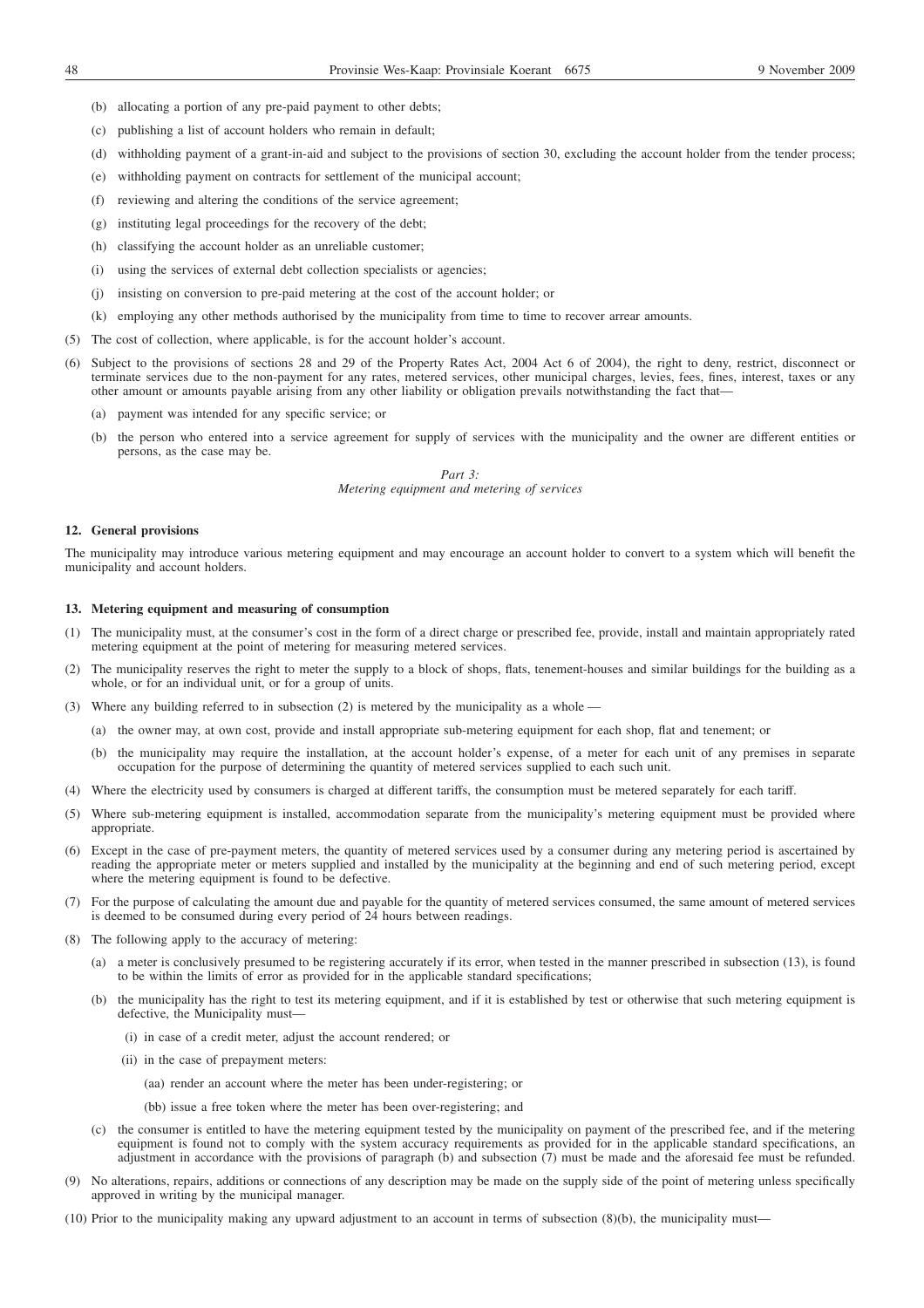- (b) allocating a portion of any pre-paid payment to other debts;
- (c) publishing a list of account holders who remain in default;
- (d) withholding payment of a grant-in-aid and subject to the provisions of section 30, excluding the account holder from the tender process;
- (e) withholding payment on contracts for settlement of the municipal account;
- (f) reviewing and altering the conditions of the service agreement;
- (g) instituting legal proceedings for the recovery of the debt;
- (h) classifying the account holder as an unreliable customer;
- (i) using the services of external debt collection specialists or agencies;
- (j) insisting on conversion to pre-paid metering at the cost of the account holder; or
- (k) employing any other methods authorised by the municipality from time to time to recover arrear amounts.
- (5) The cost of collection, where applicable, is for the account holder's account.
- (6) Subject to the provisions of sections 28 and 29 of the Property Rates Act, 2004 Act 6 of 2004), the right to deny, restrict, disconnect or terminate services due to the non-payment for any rates, metered services, other municipal charges, levies, fees, fines, interest, taxes or any other amount or amounts payable arising from any other liability or obligation prevails notwithstanding the fact that—
	- (a) payment was intended for any specific service; or
	- (b) the person who entered into a service agreement for supply of services with the municipality and the owner are different entities or persons, as the case may be.

*Part 3: Metering equipment and metering of services*

#### **12. General provisions**

The municipality may introduce various metering equipment and may encourage an account holder to convert to a system which will benefit the municipality and account holders.

### **13. Metering equipment and measuring of consumption**

- (1) The municipality must, at the consumer's cost in the form of a direct charge or prescribed fee, provide, install and maintain appropriately rated metering equipment at the point of metering for measuring metered services.
- (2) The municipality reserves the right to meter the supply to a block of shops, flats, tenement-houses and similar buildings for the building as a whole, or for an individual unit, or for a group of units.
- (3) Where any building referred to in subsection (2) is metered by the municipality as a whole
	- (a) the owner may, at own cost, provide and install appropriate sub-metering equipment for each shop, flat and tenement; or
	- (b) the municipality may require the installation, at the account holder's expense, of a meter for each unit of any premises in separate occupation for the purpose of determining the quantity of metered services supplied to each such unit.
- (4) Where the electricity used by consumers is charged at different tariffs, the consumption must be metered separately for each tariff.
- (5) Where sub-metering equipment is installed, accommodation separate from the municipality's metering equipment must be provided where appropriate.
- (6) Except in the case of pre-payment meters, the quantity of metered services used by a consumer during any metering period is ascertained by reading the appropriate meter or meters supplied and installed by the municipality at the beginning and end of such metering period, except where the metering equipment is found to be defective.
- (7) For the purpose of calculating the amount due and payable for the quantity of metered services consumed, the same amount of metered services is deemed to be consumed during every period of 24 hours between readings.
- (8) The following apply to the accuracy of metering:
	- (a) a meter is conclusively presumed to be registering accurately if its error, when tested in the manner prescribed in subsection (13), is found to be within the limits of error as provided for in the applicable standard specifications;
	- (b) the municipality has the right to test its metering equipment, and if it is established by test or otherwise that such metering equipment is defective, the Municipality must—
		- (i) in case of a credit meter, adjust the account rendered; or
		- (ii) in the case of prepayment meters:
			- (aa) render an account where the meter has been under-registering; or
			- (bb) issue a free token where the meter has been over-registering; and
	- (c) the consumer is entitled to have the metering equipment tested by the municipality on payment of the prescribed fee, and if the metering equipment is found not to comply with the system accuracy requirements as provided for in the applicable standard specifications, an adjustment in accordance with the provisions of paragraph (b) and subsection (7) must be made and the aforesaid fee must be refunded.
- (9) No alterations, repairs, additions or connections of any description may be made on the supply side of the point of metering unless specifically approved in writing by the municipal manager.
- (10) Prior to the municipality making any upward adjustment to an account in terms of subsection (8)(b), the municipality must—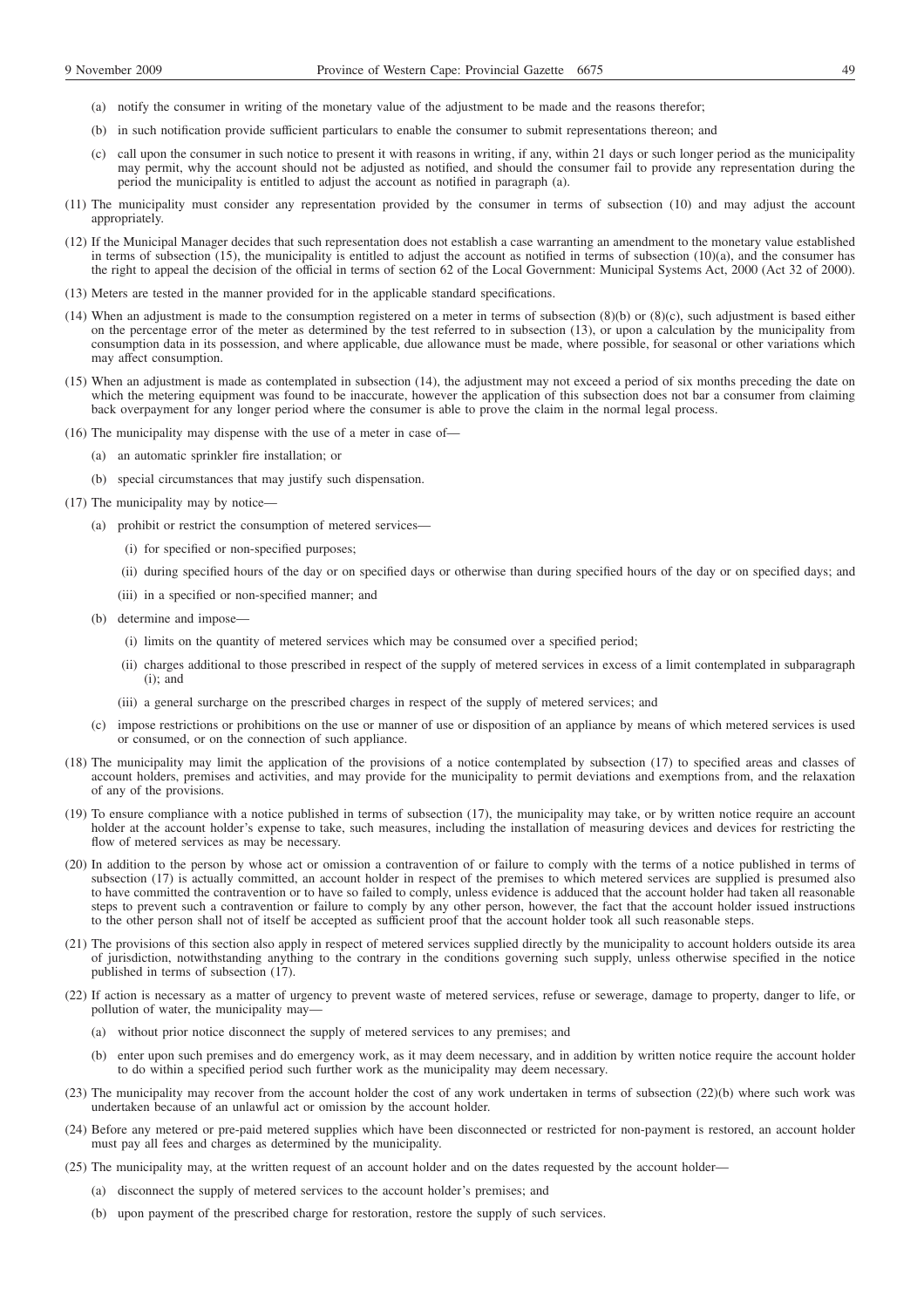- (a) notify the consumer in writing of the monetary value of the adjustment to be made and the reasons therefor;
- (b) in such notification provide sufficient particulars to enable the consumer to submit representations thereon; and
- (c) call upon the consumer in such notice to present it with reasons in writing, if any, within 21 days or such longer period as the municipality may permit, why the account should not be adjusted as notified, and should the consumer fail to provide any representation during the period the municipality is entitled to adjust the account as notified in paragraph (a).
- (11) The municipality must consider any representation provided by the consumer in terms of subsection (10) and may adjust the account appropriately.
- (12) If the Municipal Manager decides that such representation does not establish a case warranting an amendment to the monetary value established in terms of subsection (15), the municipality is entitled to adjust the account as notified in terms of subsection  $(10)(a)$ , and the consumer has the right to appeal the decision of the official in terms of section 62 of the Local Government: Municipal Systems Act, 2000 (Act 32 of 2000).
- (13) Meters are tested in the manner provided for in the applicable standard specifications.
- (14) When an adjustment is made to the consumption registered on a meter in terms of subsection  $(8)(b)$  or  $(8)(c)$ , such adjustment is based either on the percentage error of the meter as determined by the test referred to in subsection (13), or upon a calculation by the municipality from consumption data in its possession, and where applicable, due allowance must be made, where possible, for seasonal or other variations which may affect consumption.
- (15) When an adjustment is made as contemplated in subsection (14), the adjustment may not exceed a period of six months preceding the date on which the metering equipment was found to be inaccurate, however the application of this subsection does not bar a consumer from claiming back overpayment for any longer period where the consumer is able to prove the claim in the normal legal process.
- (16) The municipality may dispense with the use of a meter in case of—
	- (a) an automatic sprinkler fire installation; or
	- (b) special circumstances that may justify such dispensation.
- (17) The municipality may by notice—
	- (a) prohibit or restrict the consumption of metered services—
		- (i) for specified or non-specified purposes;
		- (ii) during specified hours of the day or on specified days or otherwise than during specified hours of the day or on specified days; and
		- (iii) in a specified or non-specified manner; and
	- (b) determine and impose—
		- (i) limits on the quantity of metered services which may be consumed over a specified period;
		- (ii) charges additional to those prescribed in respect of the supply of metered services in excess of a limit contemplated in subparagraph  $(i)$ : and
		- (iii) a general surcharge on the prescribed charges in respect of the supply of metered services; and
	- (c) impose restrictions or prohibitions on the use or manner of use or disposition of an appliance by means of which metered services is used or consumed, or on the connection of such appliance.
- (18) The municipality may limit the application of the provisions of a notice contemplated by subsection (17) to specified areas and classes of account holders, premises and activities, and may provide for the municipality to permit deviations and exemptions from, and the relaxation of any of the provisions.
- (19) To ensure compliance with a notice published in terms of subsection (17), the municipality may take, or by written notice require an account holder at the account holder's expense to take, such measures, including the installation of measuring devices and devices for restricting the flow of metered services as may be necessary.
- (20) In addition to the person by whose act or omission a contravention of or failure to comply with the terms of a notice published in terms of subsection (17) is actually committed, an account holder in respect of the premises to which metered services are supplied is presumed also to have committed the contravention or to have so failed to comply, unless evidence is adduced that the account holder had taken all reasonable steps to prevent such a contravention or failure to comply by any other person, however, the fact that the account holder issued instructions to the other person shall not of itself be accepted as sufficient proof that the account holder took all such reasonable steps.
- (21) The provisions of this section also apply in respect of metered services supplied directly by the municipality to account holders outside its area of jurisdiction, notwithstanding anything to the contrary in the conditions governing such supply, unless otherwise specified in the notice published in terms of subsection (17).
- (22) If action is necessary as a matter of urgency to prevent waste of metered services, refuse or sewerage, damage to property, danger to life, or pollution of water, the municipality may—
	- (a) without prior notice disconnect the supply of metered services to any premises; and
	- (b) enter upon such premises and do emergency work, as it may deem necessary, and in addition by written notice require the account holder to do within a specified period such further work as the municipality may deem necessary.
- (23) The municipality may recover from the account holder the cost of any work undertaken in terms of subsection (22)(b) where such work was undertaken because of an unlawful act or omission by the account holder.
- (24) Before any metered or pre-paid metered supplies which have been disconnected or restricted for non-payment is restored, an account holder must pay all fees and charges as determined by the municipality.
- (25) The municipality may, at the written request of an account holder and on the dates requested by the account holder—
	- (a) disconnect the supply of metered services to the account holder's premises; and
	- (b) upon payment of the prescribed charge for restoration, restore the supply of such services.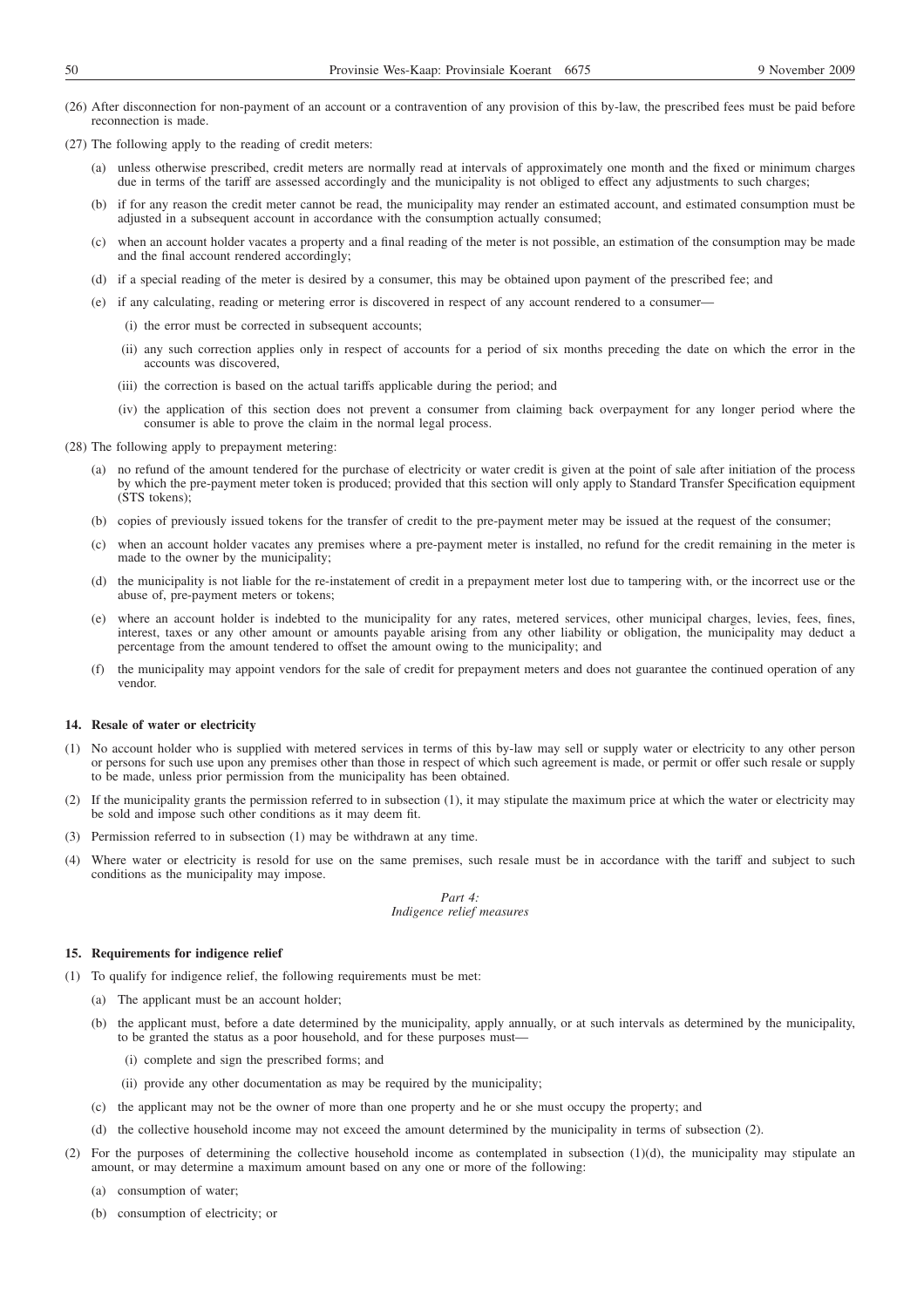- (26) After disconnection for non-payment of an account or a contravention of any provision of this by-law, the prescribed fees must be paid before reconnection is made.
- (27) The following apply to the reading of credit meters:
	- (a) unless otherwise prescribed, credit meters are normally read at intervals of approximately one month and the fixed or minimum charges due in terms of the tariff are assessed accordingly and the municipality is not obliged to effect any adjustments to such charges;
	- (b) if for any reason the credit meter cannot be read, the municipality may render an estimated account, and estimated consumption must be adjusted in a subsequent account in accordance with the consumption actually consumed;
	- (c) when an account holder vacates a property and a final reading of the meter is not possible, an estimation of the consumption may be made and the final account rendered accordingly;
	- (d) if a special reading of the meter is desired by a consumer, this may be obtained upon payment of the prescribed fee; and
	- (e) if any calculating, reading or metering error is discovered in respect of any account rendered to a consumer—
		- (i) the error must be corrected in subsequent accounts;
		- (ii) any such correction applies only in respect of accounts for a period of six months preceding the date on which the error in the accounts was discovered,
		- (iii) the correction is based on the actual tariffs applicable during the period; and
		- (iv) the application of this section does not prevent a consumer from claiming back overpayment for any longer period where the consumer is able to prove the claim in the normal legal process.
- (28) The following apply to prepayment metering:
	- (a) no refund of the amount tendered for the purchase of electricity or water credit is given at the point of sale after initiation of the process by which the pre-payment meter token is produced; provided that this section will only apply to Standard Transfer Specification equipment (STS tokens);
	- (b) copies of previously issued tokens for the transfer of credit to the pre-payment meter may be issued at the request of the consumer;
	- (c) when an account holder vacates any premises where a pre-payment meter is installed, no refund for the credit remaining in the meter is made to the owner by the municipality;
	- (d) the municipality is not liable for the re-instatement of credit in a prepayment meter lost due to tampering with, or the incorrect use or the abuse of, pre-payment meters or tokens;
	- (e) where an account holder is indebted to the municipality for any rates, metered services, other municipal charges, levies, fees, fines, interest, taxes or any other amount or amounts payable arising from any other liability or obligation, the municipality may deduct a percentage from the amount tendered to offset the amount owing to the municipality; and
	- (f) the municipality may appoint vendors for the sale of credit for prepayment meters and does not guarantee the continued operation of any vendor.

### **14. Resale of water or electricity**

- (1) No account holder who is supplied with metered services in terms of this by-law may sell or supply water or electricity to any other person or persons for such use upon any premises other than those in respect of which such agreement is made, or permit or offer such resale or supply to be made, unless prior permission from the municipality has been obtained.
- (2) If the municipality grants the permission referred to in subsection (1), it may stipulate the maximum price at which the water or electricity may be sold and impose such other conditions as it may deem fit.
- (3) Permission referred to in subsection (1) may be withdrawn at any time.
- (4) Where water or electricity is resold for use on the same premises, such resale must be in accordance with the tariff and subject to such conditions as the municipality may impose.

# *Part 4: Indigence relief measures*

#### **15. Requirements for indigence relief**

- (1) To qualify for indigence relief, the following requirements must be met:
	- (a) The applicant must be an account holder;
	- (b) the applicant must, before a date determined by the municipality, apply annually, or at such intervals as determined by the municipality, to be granted the status as a poor household, and for these purposes must—
		- (i) complete and sign the prescribed forms; and
		- (ii) provide any other documentation as may be required by the municipality;
	- (c) the applicant may not be the owner of more than one property and he or she must occupy the property; and
	- (d) the collective household income may not exceed the amount determined by the municipality in terms of subsection (2).
- (2) For the purposes of determining the collective household income as contemplated in subsection (1)(d), the municipality may stipulate an amount, or may determine a maximum amount based on any one or more of the following:
	- (a) consumption of water;
	- (b) consumption of electricity; or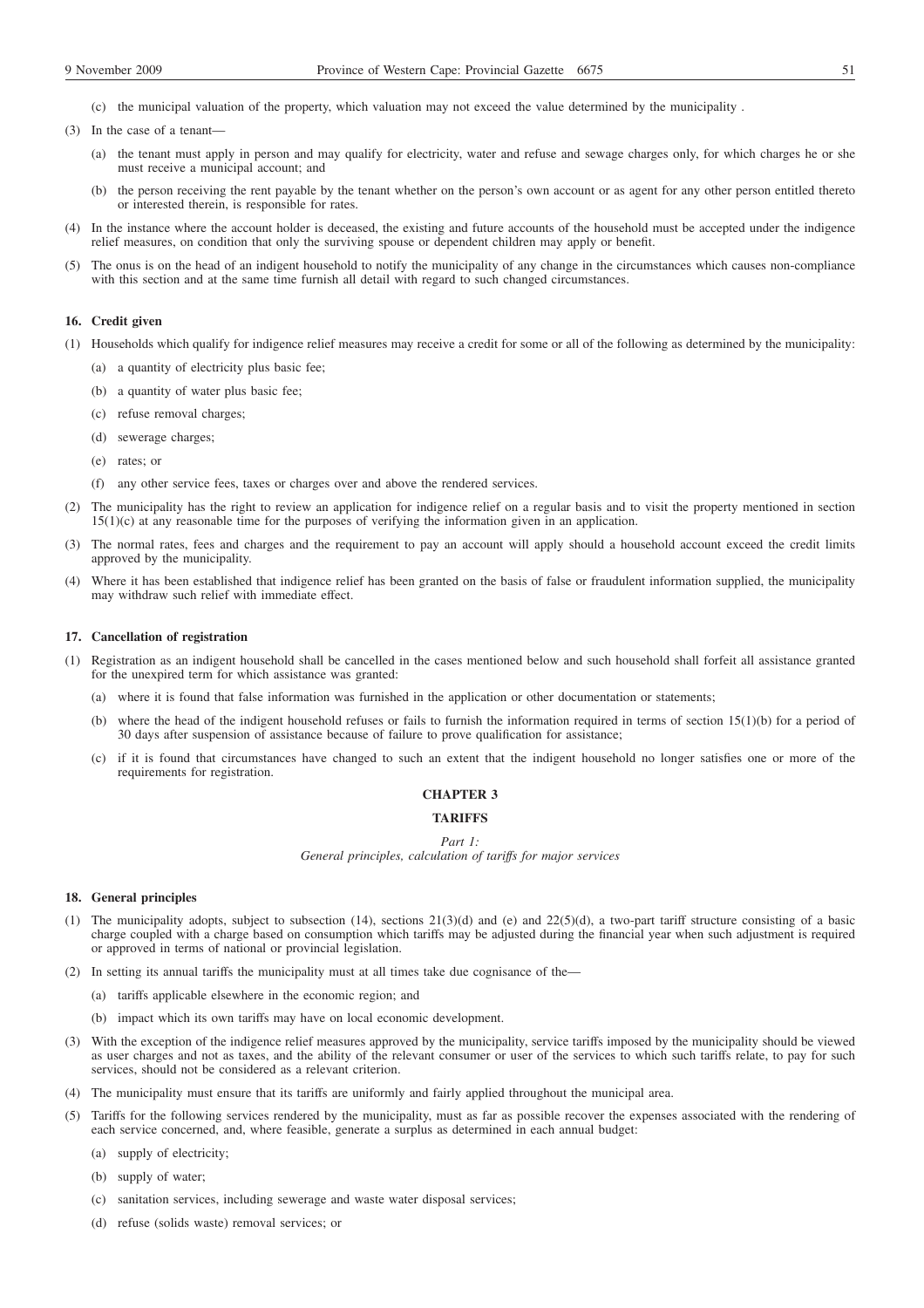(c) the municipal valuation of the property, which valuation may not exceed the value determined by the municipality .

- (3) In the case of a tenant—
	- (a) the tenant must apply in person and may qualify for electricity, water and refuse and sewage charges only, for which charges he or she must receive a municipal account; and
	- (b) the person receiving the rent payable by the tenant whether on the person's own account or as agent for any other person entitled thereto or interested therein, is responsible for rates.
- (4) In the instance where the account holder is deceased, the existing and future accounts of the household must be accepted under the indigence relief measures, on condition that only the surviving spouse or dependent children may apply or benefit.
- (5) The onus is on the head of an indigent household to notify the municipality of any change in the circumstances which causes non-compliance with this section and at the same time furnish all detail with regard to such changed circumstances.

### **16. Credit given**

- (1) Households which qualify for indigence relief measures may receive a credit for some or all of the following as determined by the municipality:
	- (a) a quantity of electricity plus basic fee;
	- (b) a quantity of water plus basic fee;
	- (c) refuse removal charges;
	- (d) sewerage charges;
	- (e) rates; or
	- (f) any other service fees, taxes or charges over and above the rendered services.
- (2) The municipality has the right to review an application for indigence relief on a regular basis and to visit the property mentioned in section 15(1)(c) at any reasonable time for the purposes of verifying the information given in an application.
- (3) The normal rates, fees and charges and the requirement to pay an account will apply should a household account exceed the credit limits approved by the municipality.
- (4) Where it has been established that indigence relief has been granted on the basis of false or fraudulent information supplied, the municipality may withdraw such relief with immediate effect.

#### **17. Cancellation of registration**

- (1) Registration as an indigent household shall be cancelled in the cases mentioned below and such household shall forfeit all assistance granted for the unexpired term for which assistance was granted:
	- (a) where it is found that false information was furnished in the application or other documentation or statements;
	- (b) where the head of the indigent household refuses or fails to furnish the information required in terms of section 15(1)(b) for a period of 30 days after suspension of assistance because of failure to prove qualification for assistance;
	- (c) if it is found that circumstances have changed to such an extent that the indigent household no longer satisfies one or more of the requirements for registration.

# **CHAPTER 3**

### **TA DIFFS**

#### *Part 1:*

*General principles, calculation of tariffs for major services*

### **18. General principles**

- (1) The municipality adopts, subject to subsection (14), sections 21(3)(d) and (e) and 22(5)(d), a two-part tariff structure consisting of a basic charge coupled with a charge based on consumption which tariffs may be adjusted during the financial year when such adjustment is required or approved in terms of national or provincial legislation.
- (2) In setting its annual tariffs the municipality must at all times take due cognisance of the—
	- (a) tariffs applicable elsewhere in the economic region; and
	- (b) impact which its own tariffs may have on local economic development.
- (3) With the exception of the indigence relief measures approved by the municipality, service tariffs imposed by the municipality should be viewed as user charges and not as taxes, and the ability of the relevant consumer or user of the services to which such tariffs relate, to pay for such services, should not be considered as a relevant criterion.
- (4) The municipality must ensure that its tariffs are uniformly and fairly applied throughout the municipal area.
- (5) Tariffs for the following services rendered by the municipality, must as far as possible recover the expenses associated with the rendering of each service concerned, and, where feasible, generate a surplus as determined in each annual budget:
	- (a) supply of electricity;
	- (b) supply of water;
	- (c) sanitation services, including sewerage and waste water disposal services;
	- (d) refuse (solids waste) removal services; or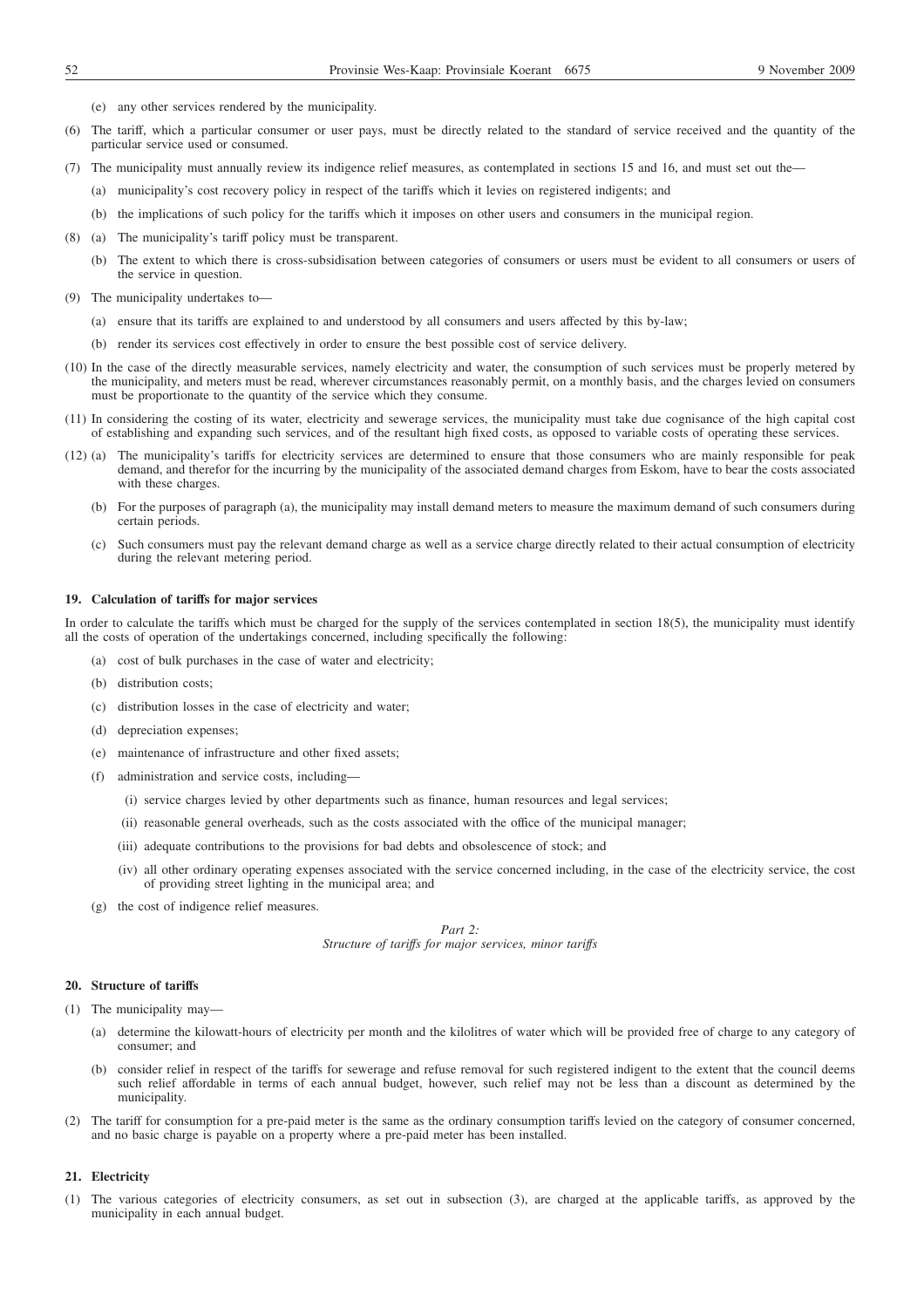- (e) any other services rendered by the municipality.
- (6) The tariff, which a particular consumer or user pays, must be directly related to the standard of service received and the quantity of the particular service used or consumed.
- (7) The municipality must annually review its indigence relief measures, as contemplated in sections 15 and 16, and must set out the—
	- (a) municipality's cost recovery policy in respect of the tariffs which it levies on registered indigents; and
	- (b) the implications of such policy for the tariffs which it imposes on other users and consumers in the municipal region.
- (8) (a) The municipality's tariff policy must be transparent.
	- (b) The extent to which there is cross-subsidisation between categories of consumers or users must be evident to all consumers or users of the service in question.
- (9) The municipality undertakes to—
	- (a) ensure that its tariffs are explained to and understood by all consumers and users affected by this by-law;
	- (b) render its services cost effectively in order to ensure the best possible cost of service delivery.
- (10) In the case of the directly measurable services, namely electricity and water, the consumption of such services must be properly metered by the municipality, and meters must be read, wherever circumstances reasonably permit, on a monthly basis, and the charges levied on consumers must be proportionate to the quantity of the service which they consume.
- (11) In considering the costing of its water, electricity and sewerage services, the municipality must take due cognisance of the high capital cost of establishing and expanding such services, and of the resultant high fixed costs, as opposed to variable costs of operating these services.
- (12) (a) The municipality's tariffs for electricity services are determined to ensure that those consumers who are mainly responsible for peak demand, and therefor for the incurring by the municipality of the associated demand charges from Eskom, have to bear the costs associated with these charges.
	- (b) For the purposes of paragraph (a), the municipality may install demand meters to measure the maximum demand of such consumers during certain periods.
	- (c) Such consumers must pay the relevant demand charge as well as a service charge directly related to their actual consumption of electricity during the relevant metering period.

#### **19. Calculation of tariffs for major services**

In order to calculate the tariffs which must be charged for the supply of the services contemplated in section 18(5), the municipality must identify all the costs of operation of the undertakings concerned, including specifically the following:

- (a) cost of bulk purchases in the case of water and electricity;
- (b) distribution costs;
- (c) distribution losses in the case of electricity and water;
- (d) depreciation expenses;
- (e) maintenance of infrastructure and other fixed assets;
- (f) administration and service costs, including—
	- (i) service charges levied by other departments such as finance, human resources and legal services;
	- (ii) reasonable general overheads, such as the costs associated with the office of the municipal manager;
	- (iii) adequate contributions to the provisions for bad debts and obsolescence of stock; and
	- (iv) all other ordinary operating expenses associated with the service concerned including, in the case of the electricity service, the cost of providing street lighting in the municipal area; and
- (g) the cost of indigence relief measures.

*Part 2: Structure of tariffs for major services, minor tariffs*

#### **20. Structure of tariffs**

- (1) The municipality may—
	- (a) determine the kilowatt-hours of electricity per month and the kilolitres of water which will be provided free of charge to any category of consumer; and
	- (b) consider relief in respect of the tariffs for sewerage and refuse removal for such registered indigent to the extent that the council deems such relief affordable in terms of each annual budget, however, such relief may not be less than a discount as determined by the municipality.
- (2) The tariff for consumption for a pre-paid meter is the same as the ordinary consumption tariffs levied on the category of consumer concerned, and no basic charge is payable on a property where a pre-paid meter has been installed.

#### **21. Electricity**

(1) The various categories of electricity consumers, as set out in subsection (3), are charged at the applicable tariffs, as approved by the municipality in each annual budget.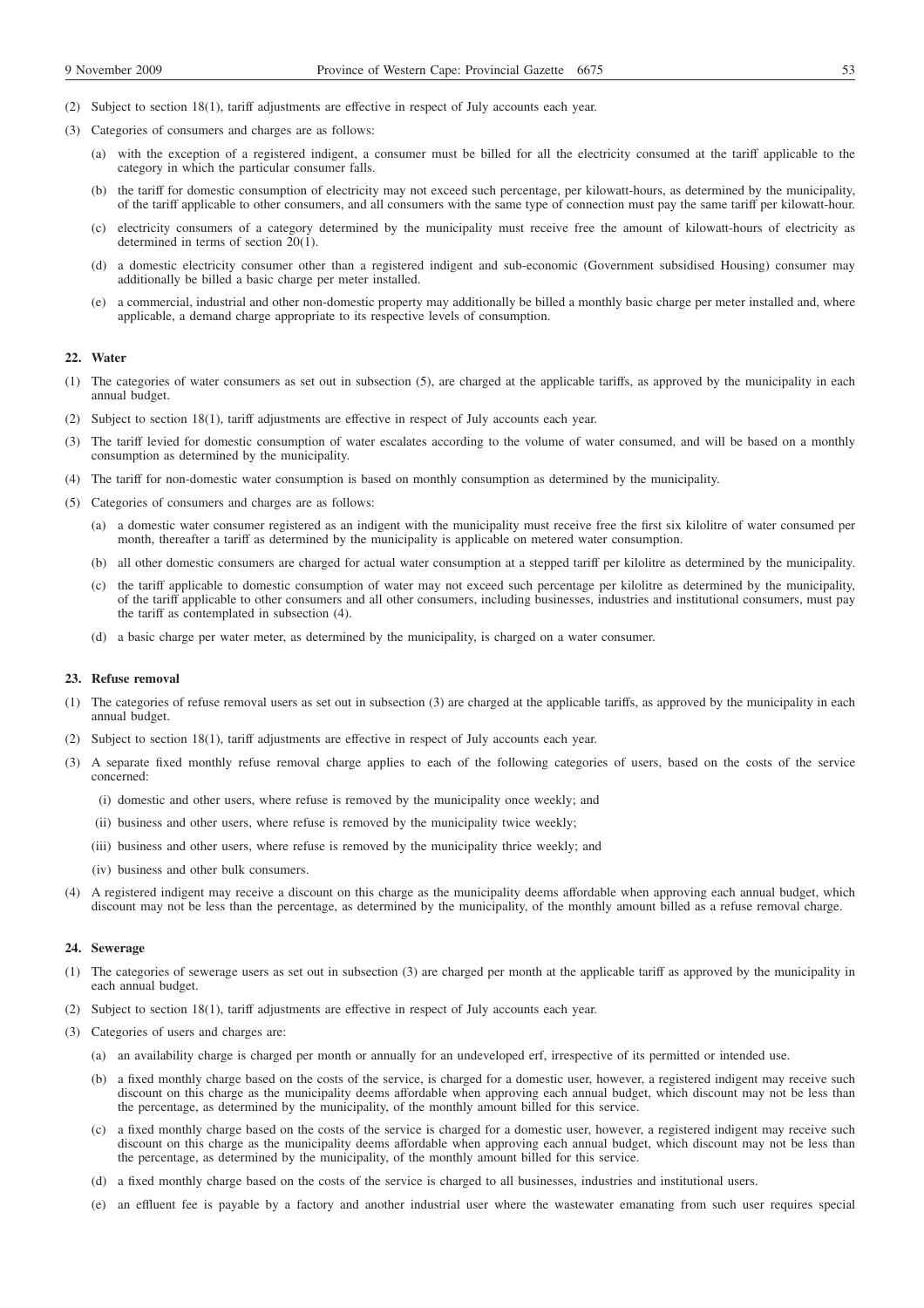- (2) Subject to section 18(1), tariff adjustments are effective in respect of July accounts each year.
- (3) Categories of consumers and charges are as follows:
	- (a) with the exception of a registered indigent, a consumer must be billed for all the electricity consumed at the tariff applicable to the category in which the particular consumer falls.
	- (b) the tariff for domestic consumption of electricity may not exceed such percentage, per kilowatt-hours, as determined by the municipality, of the tariff applicable to other consumers, and all consumers with the same type of connection must pay the same tariff per kilowatt-hour.
	- (c) electricity consumers of a category determined by the municipality must receive free the amount of kilowatt-hours of electricity as determined in terms of section 20(1).
	- (d) a domestic electricity consumer other than a registered indigent and sub-economic (Government subsidised Housing) consumer may additionally be billed a basic charge per meter installed.
	- (e) a commercial, industrial and other non-domestic property may additionally be billed a monthly basic charge per meter installed and, where applicable, a demand charge appropriate to its respective levels of consumption.

### **22. Water**

- (1) The categories of water consumers as set out in subsection (5), are charged at the applicable tariffs, as approved by the municipality in each annual budget.
- (2) Subject to section 18(1), tariff adjustments are effective in respect of July accounts each year.
- (3) The tariff levied for domestic consumption of water escalates according to the volume of water consumed, and will be based on a monthly consumption as determined by the municipality.
- (4) The tariff for non-domestic water consumption is based on monthly consumption as determined by the municipality.
- (5) Categories of consumers and charges are as follows:
	- (a) a domestic water consumer registered as an indigent with the municipality must receive free the first six kilolitre of water consumed per month, thereafter a tariff as determined by the municipality is applicable on metered water consumption.
	- (b) all other domestic consumers are charged for actual water consumption at a stepped tariff per kilolitre as determined by the municipality.
	- (c) the tariff applicable to domestic consumption of water may not exceed such percentage per kilolitre as determined by the municipality, of the tariff applicable to other consumers and all other consumers, including businesses, industries and institutional consumers, must pay the tariff as contemplated in subsection (4).
	- (d) a basic charge per water meter, as determined by the municipality, is charged on a water consumer.

### **23. Refuse removal**

- (1) The categories of refuse removal users as set out in subsection (3) are charged at the applicable tariffs, as approved by the municipality in each annual budget.
- (2) Subject to section 18(1), tariff adjustments are effective in respect of July accounts each year.
- (3) A separate fixed monthly refuse removal charge applies to each of the following categories of users, based on the costs of the service concerned:
	- (i) domestic and other users, where refuse is removed by the municipality once weekly; and
	- (ii) business and other users, where refuse is removed by the municipality twice weekly;
	- (iii) business and other users, where refuse is removed by the municipality thrice weekly; and
	- (iv) business and other bulk consumers.
- (4) A registered indigent may receive a discount on this charge as the municipality deems affordable when approving each annual budget, which discount may not be less than the percentage, as determined by the municipality, of the monthly amount billed as a refuse removal charge.

### **24. Sewerage**

- (1) The categories of sewerage users as set out in subsection (3) are charged per month at the applicable tariff as approved by the municipality in each annual budget.
- (2) Subject to section 18(1), tariff adjustments are effective in respect of July accounts each year.
- (3) Categories of users and charges are:
	- (a) an availability charge is charged per month or annually for an undeveloped erf, irrespective of its permitted or intended use.
	- (b) a fixed monthly charge based on the costs of the service, is charged for a domestic user, however, a registered indigent may receive such discount on this charge as the municipality deems affordable when approving each annual budget, which discount may not be less than the percentage, as determined by the municipality, of the monthly amount billed for this service.
	- (c) a fixed monthly charge based on the costs of the service is charged for a domestic user, however, a registered indigent may receive such discount on this charge as the municipality deems affordable when approving each annual budget, which discount may not be less than the percentage, as determined by the municipality, of the monthly amount billed for this service.
	- (d) a fixed monthly charge based on the costs of the service is charged to all businesses, industries and institutional users.
	- (e) an effluent fee is payable by a factory and another industrial user where the wastewater emanating from such user requires special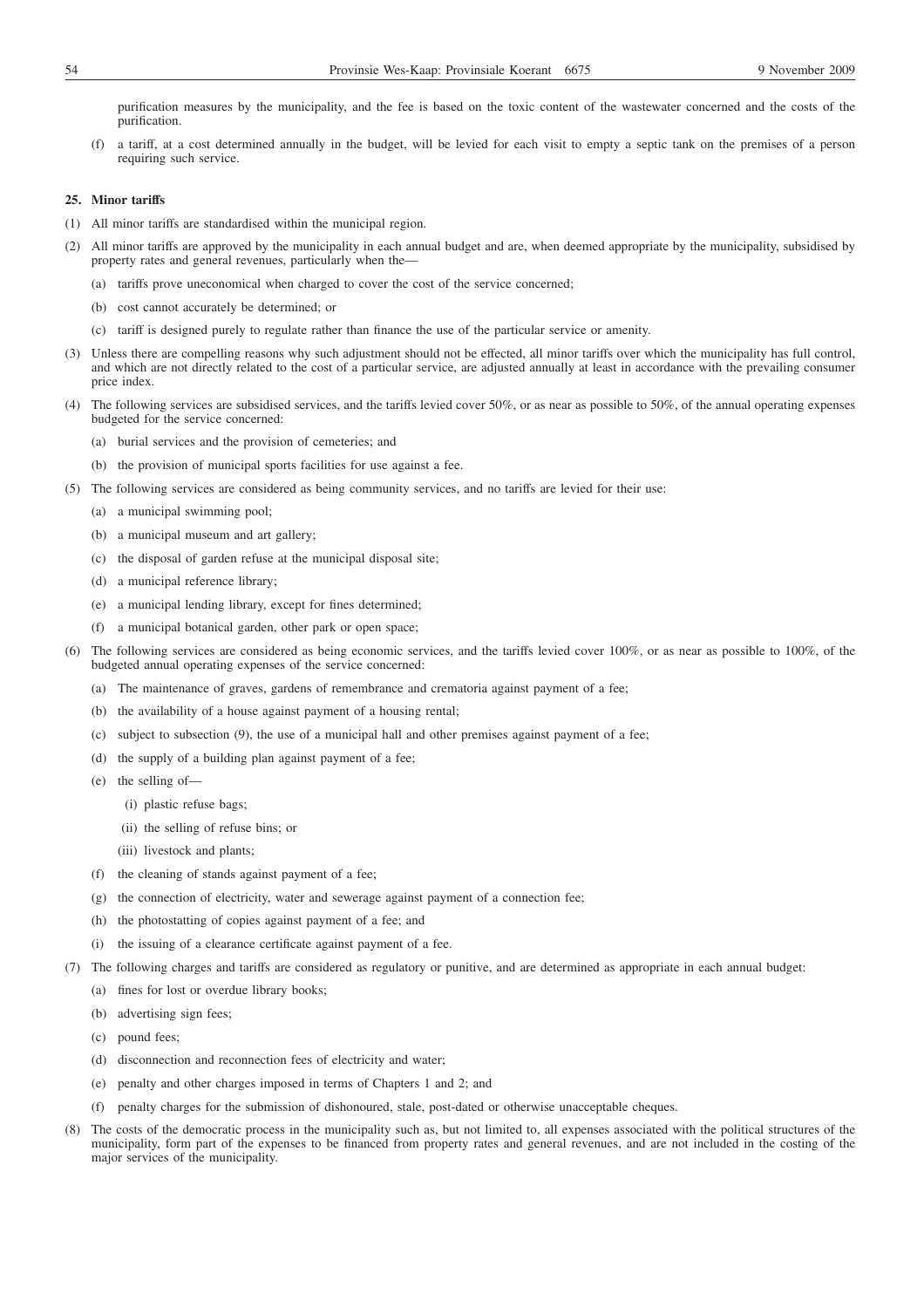purification measures by the municipality, and the fee is based on the toxic content of the wastewater concerned and the costs of the purification.

(f) a tariff, at a cost determined annually in the budget, will be levied for each visit to empty a septic tank on the premises of a person requiring such service.

## **25. Minor tariffs**

- (1) All minor tariffs are standardised within the municipal region.
- (2) All minor tariffs are approved by the municipality in each annual budget and are, when deemed appropriate by the municipality, subsidised by property rates and general revenues, particularly when the—
	- (a) tariffs prove uneconomical when charged to cover the cost of the service concerned;
	- (b) cost cannot accurately be determined; or
	- (c) tariff is designed purely to regulate rather than finance the use of the particular service or amenity.
- (3) Unless there are compelling reasons why such adjustment should not be effected, all minor tariffs over which the municipality has full control, and which are not directly related to the cost of a particular service, are adjusted annually at least in accordance with the prevailing consumer price index.
- (4) The following services are subsidised services, and the tariffs levied cover 50%, or as near as possible to 50%, of the annual operating expenses budgeted for the service concerned:
	- (a) burial services and the provision of cemeteries; and
	- (b) the provision of municipal sports facilities for use against a fee.
- (5) The following services are considered as being community services, and no tariffs are levied for their use:
	- (a) a municipal swimming pool;
	- (b) a municipal museum and art gallery;
	- (c) the disposal of garden refuse at the municipal disposal site;
	- (d) a municipal reference library;
	- (e) a municipal lending library, except for fines determined;
	- (f) a municipal botanical garden, other park or open space;
- (6) The following services are considered as being economic services, and the tariffs levied cover 100%, or as near as possible to 100%, of the budgeted annual operating expenses of the service concerned:
	- (a) The maintenance of graves, gardens of remembrance and crematoria against payment of a fee;
	- (b) the availability of a house against payment of a housing rental;
	- (c) subject to subsection (9), the use of a municipal hall and other premises against payment of a fee;
	- (d) the supply of a building plan against payment of a fee;
	- (e) the selling of—
		- (i) plastic refuse bags;
		- (ii) the selling of refuse bins; or
		- (iii) livestock and plants;
	- (f) the cleaning of stands against payment of a fee;
	- (g) the connection of electricity, water and sewerage against payment of a connection fee;
	- (h) the photostatting of copies against payment of a fee; and
	- (i) the issuing of a clearance certificate against payment of a fee.
- (7) The following charges and tariffs are considered as regulatory or punitive, and are determined as appropriate in each annual budget:
	- (a) fines for lost or overdue library books;
	- (b) advertising sign fees;
	- (c) pound fees;
	- (d) disconnection and reconnection fees of electricity and water;
	- (e) penalty and other charges imposed in terms of Chapters 1 and 2; and
	- (f) penalty charges for the submission of dishonoured, stale, post-dated or otherwise unacceptable cheques.
- (8) The costs of the democratic process in the municipality such as, but not limited to, all expenses associated with the political structures of the municipality, form part of the expenses to be financed from property rates and general revenues, and are not included in the costing of the major services of the municipality.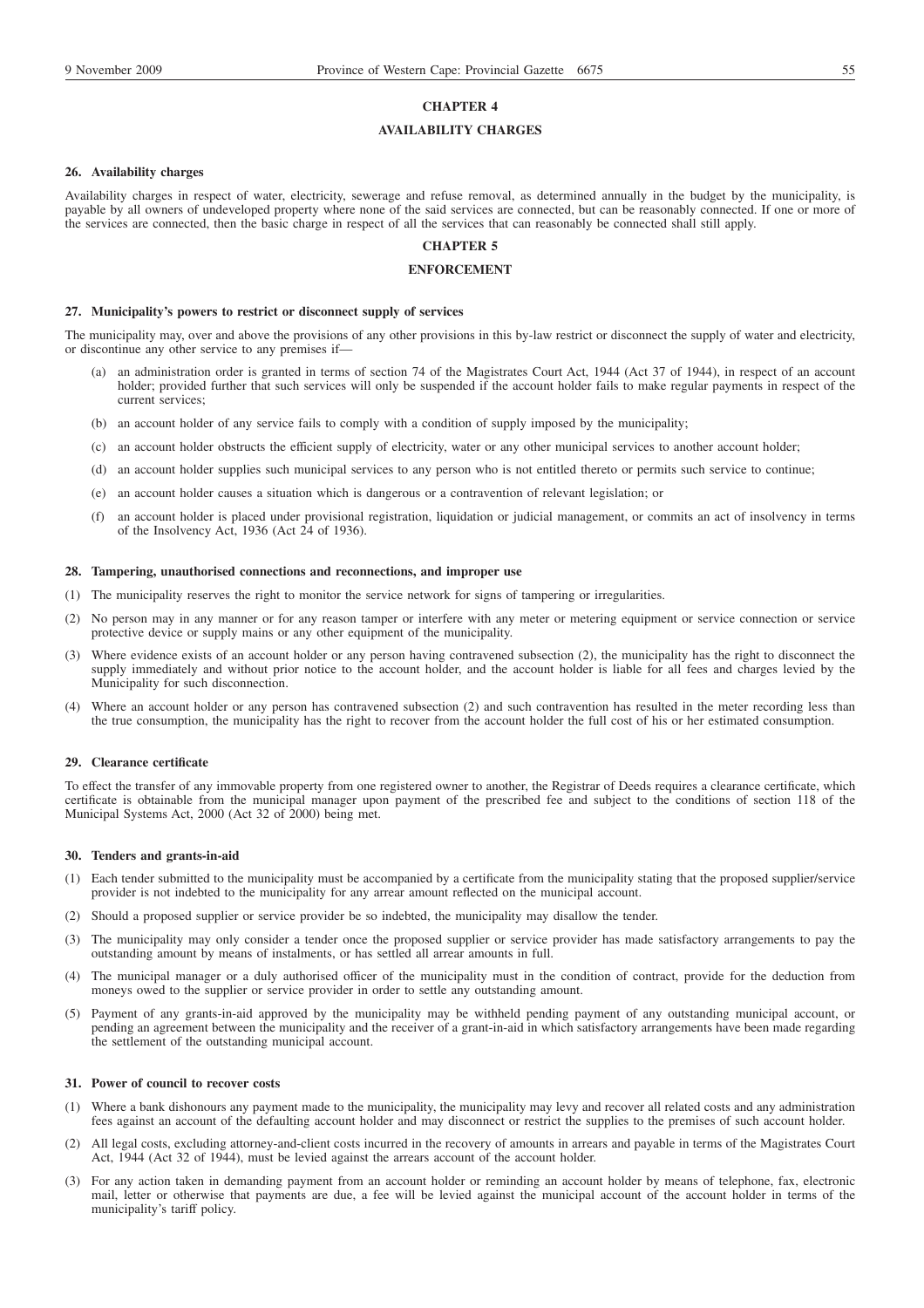# **CHAPTER 4**

## **AVAILABILITY CHARGES**

#### **26. Availability charges**

Availability charges in respect of water, electricity, sewerage and refuse removal, as determined annually in the budget by the municipality, is payable by all owners of undeveloped property where none of the said services are connected, but can be reasonably connected. If one or more of the services are connected, then the basic charge in respect of all the services that can reasonably be connected shall still apply.

# **CHAPTER 5**

# **ENFORCEMENT**

#### **27. Municipality's powers to restrict or disconnect supply of services**

The municipality may, over and above the provisions of any other provisions in this by-law restrict or disconnect the supply of water and electricity, or discontinue any other service to any premises if—

- (a) an administration order is granted in terms of section 74 of the Magistrates Court Act, 1944 (Act 37 of 1944), in respect of an account holder; provided further that such services will only be suspended if the account holder fails to make regular payments in respect of the current services;
- (b) an account holder of any service fails to comply with a condition of supply imposed by the municipality;
- (c) an account holder obstructs the efficient supply of electricity, water or any other municipal services to another account holder;
- (d) an account holder supplies such municipal services to any person who is not entitled thereto or permits such service to continue;
- (e) an account holder causes a situation which is dangerous or a contravention of relevant legislation; or
- (f) an account holder is placed under provisional registration, liquidation or judicial management, or commits an act of insolvency in terms of the Insolvency Act, 1936 (Act 24 of 1936).

### **28. Tampering, unauthorised connections and reconnections, and improper use**

- (1) The municipality reserves the right to monitor the service network for signs of tampering or irregularities.
- (2) No person may in any manner or for any reason tamper or interfere with any meter or metering equipment or service connection or service protective device or supply mains or any other equipment of the municipality.
- (3) Where evidence exists of an account holder or any person having contravened subsection (2), the municipality has the right to disconnect the supply immediately and without prior notice to the account holder, and the account holder is liable for all fees and charges levied by the Municipality for such disconnection.
- (4) Where an account holder or any person has contravened subsection (2) and such contravention has resulted in the meter recording less than the true consumption, the municipality has the right to recover from the account holder the full cost of his or her estimated consumption.

#### **29. Clearance certificate**

To effect the transfer of any immovable property from one registered owner to another, the Registrar of Deeds requires a clearance certificate, which certificate is obtainable from the municipal manager upon payment of the prescribed fee and subject to the conditions of section 118 of the Municipal Systems Act, 2000 (Act 32 of 2000) being met.

#### **30. Tenders and grants-in-aid**

- (1) Each tender submitted to the municipality must be accompanied by a certificate from the municipality stating that the proposed supplier/service provider is not indebted to the municipality for any arrear amount reflected on the municipal account.
- (2) Should a proposed supplier or service provider be so indebted, the municipality may disallow the tender.
- (3) The municipality may only consider a tender once the proposed supplier or service provider has made satisfactory arrangements to pay the outstanding amount by means of instalments, or has settled all arrear amounts in full.
- (4) The municipal manager or a duly authorised officer of the municipality must in the condition of contract, provide for the deduction from moneys owed to the supplier or service provider in order to settle any outstanding amount.
- (5) Payment of any grants-in-aid approved by the municipality may be withheld pending payment of any outstanding municipal account, or pending an agreement between the municipality and the receiver of a grant-in-aid in which satisfactory arrangements have been made regarding the settlement of the outstanding municipal account.

#### **31. Power of council to recover costs**

- (1) Where a bank dishonours any payment made to the municipality, the municipality may levy and recover all related costs and any administration fees against an account of the defaulting account holder and may disconnect or restrict the supplies to the premises of such account holder.
- (2) All legal costs, excluding attorney-and-client costs incurred in the recovery of amounts in arrears and payable in terms of the Magistrates Court Act, 1944 (Act 32 of 1944), must be levied against the arrears account of the account holder.
- (3) For any action taken in demanding payment from an account holder or reminding an account holder by means of telephone, fax, electronic mail, letter or otherwise that payments are due, a fee will be levied against the municipal account of the account holder in terms of the municipality's tariff policy.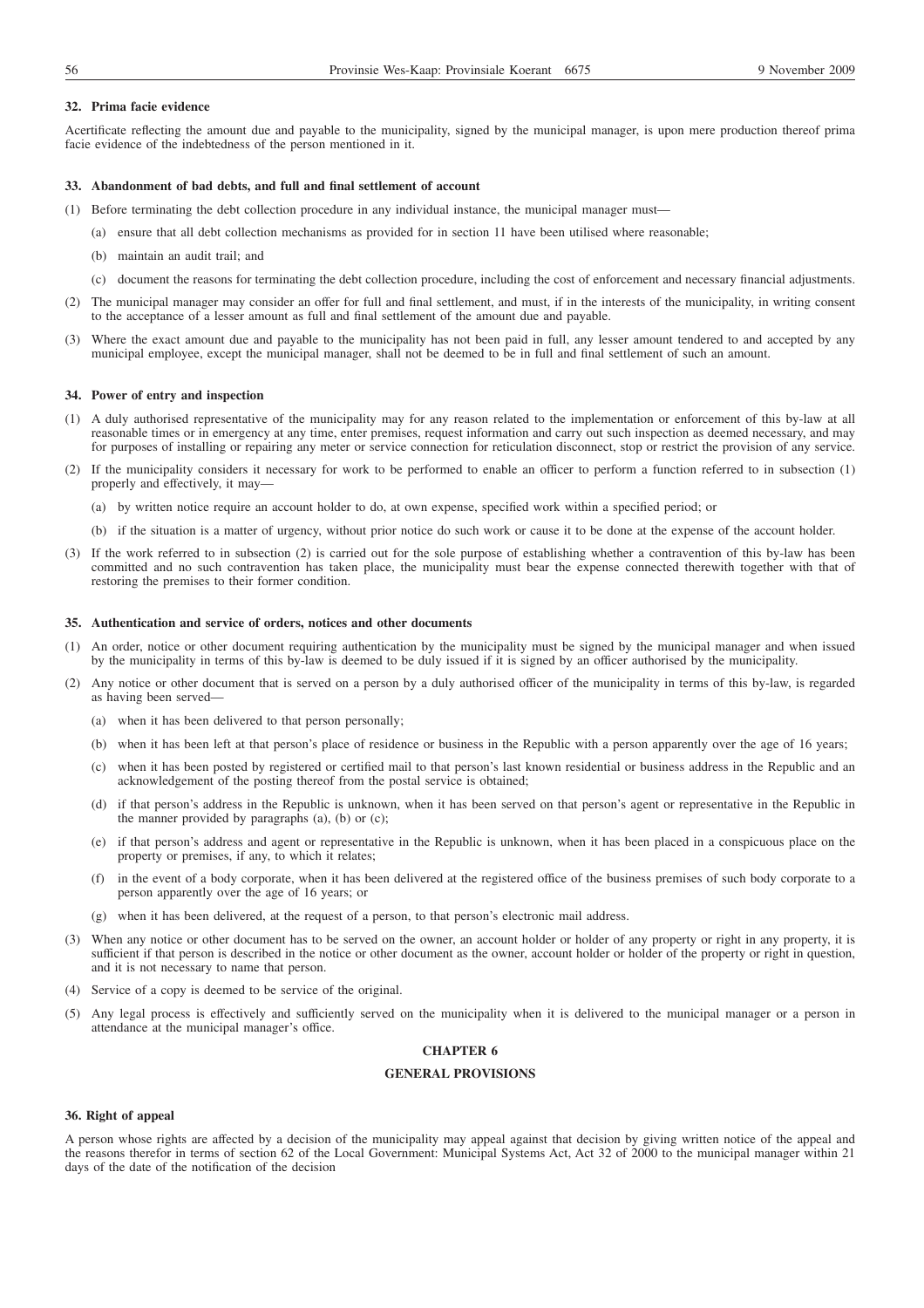## **32. Prima facie evidence**

Acertificate reflecting the amount due and payable to the municipality, signed by the municipal manager, is upon mere production thereof prima facie evidence of the indebtedness of the person mentioned in it.

#### **33. Abandonment of bad debts, and full and final settlement of account**

- (1) Before terminating the debt collection procedure in any individual instance, the municipal manager must—
	- (a) ensure that all debt collection mechanisms as provided for in section 11 have been utilised where reasonable;
	- (b) maintain an audit trail; and
	- (c) document the reasons for terminating the debt collection procedure, including the cost of enforcement and necessary financial adjustments.
- (2) The municipal manager may consider an offer for full and final settlement, and must, if in the interests of the municipality, in writing consent to the acceptance of a lesser amount as full and final settlement of the amount due and payable.
- (3) Where the exact amount due and payable to the municipality has not been paid in full, any lesser amount tendered to and accepted by any municipal employee, except the municipal manager, shall not be deemed to be in full and final settlement of such an amount.

#### **34. Power of entry and inspection**

- (1) A duly authorised representative of the municipality may for any reason related to the implementation or enforcement of this by-law at all reasonable times or in emergency at any time, enter premises, request information and carry out such inspection as deemed necessary, and may for purposes of installing or repairing any meter or service connection for reticulation disconnect, stop or restrict the provision of any service.
- (2) If the municipality considers it necessary for work to be performed to enable an officer to perform a function referred to in subsection (1) properly and effectively, it may—
	- (a) by written notice require an account holder to do, at own expense, specified work within a specified period; or
	- (b) if the situation is a matter of urgency, without prior notice do such work or cause it to be done at the expense of the account holder.
- (3) If the work referred to in subsection (2) is carried out for the sole purpose of establishing whether a contravention of this by-law has been committed and no such contravention has taken place, the municipality must bear the expense connected therewith together with that of restoring the premises to their former condition.

#### **35. Authentication and service of orders, notices and other documents**

- (1) An order, notice or other document requiring authentication by the municipality must be signed by the municipal manager and when issued by the municipality in terms of this by-law is deemed to be duly issued if it is signed by an officer authorised by the municipality.
- (2) Any notice or other document that is served on a person by a duly authorised officer of the municipality in terms of this by-law, is regarded as having been served—
	- (a) when it has been delivered to that person personally;
	- (b) when it has been left at that person's place of residence or business in the Republic with a person apparently over the age of 16 years;
	- (c) when it has been posted by registered or certified mail to that person's last known residential or business address in the Republic and an acknowledgement of the posting thereof from the postal service is obtained;
	- (d) if that person's address in the Republic is unknown, when it has been served on that person's agent or representative in the Republic in the manner provided by paragraphs (a), (b) or (c);
	- (e) if that person's address and agent or representative in the Republic is unknown, when it has been placed in a conspicuous place on the property or premises, if any, to which it relates;
	- (f) in the event of a body corporate, when it has been delivered at the registered office of the business premises of such body corporate to a person apparently over the age of 16 years; or
	- (g) when it has been delivered, at the request of a person, to that person's electronic mail address.
- (3) When any notice or other document has to be served on the owner, an account holder or holder of any property or right in any property, it is sufficient if that person is described in the notice or other document as the owner, account holder or holder of the property or right in question, and it is not necessary to name that person.
- (4) Service of a copy is deemed to be service of the original.
- (5) Any legal process is effectively and sufficiently served on the municipality when it is delivered to the municipal manager or a person in attendance at the municipal manager's office.

# **CHAPTER 6**

# **GENERAL PROVISIONS**

### **36. Right of appeal**

A person whose rights are affected by a decision of the municipality may appeal against that decision by giving written notice of the appeal and the reasons therefor in terms of section 62 of the Local Government: Municipal Systems Act, Act 32 of 2000 to the municipal manager within 21 days of the date of the notification of the decision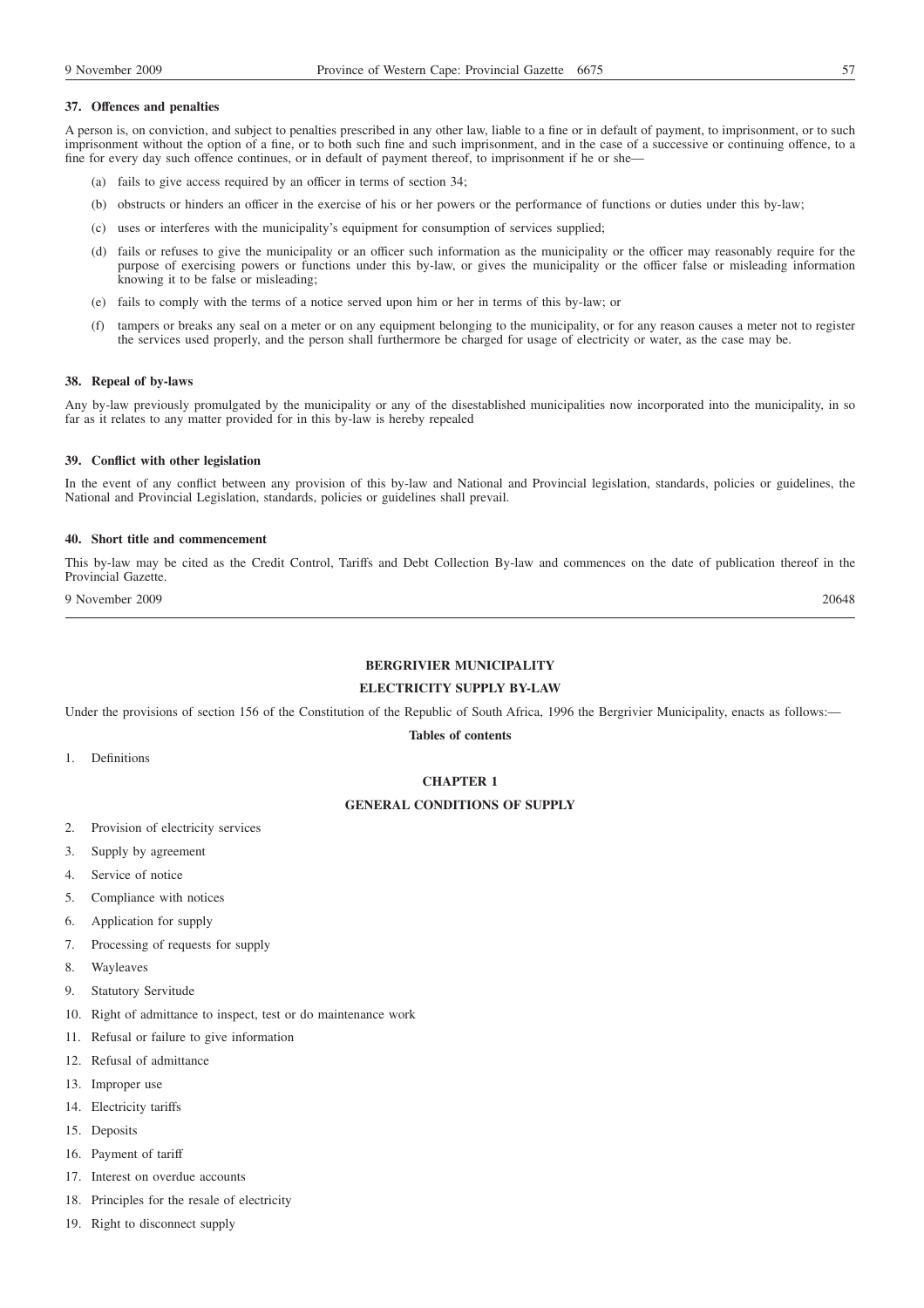## **37. Offences and penalties**

A person is, on conviction, and subject to penalties prescribed in any other law, liable to a fine or in default of payment, to imprisonment, or to such imprisonment without the option of a fine, or to both such fine and such imprisonment, and in the case of a successive or continuing offence, to a fine for every day such offence continues, or in default of payment thereof, to imprisonment if he or she—

- (a) fails to give access required by an officer in terms of section 34;
- (b) obstructs or hinders an officer in the exercise of his or her powers or the performance of functions or duties under this by-law;
- (c) uses or interferes with the municipality's equipment for consumption of services supplied;
- (d) fails or refuses to give the municipality or an officer such information as the municipality or the officer may reasonably require for the purpose of exercising powers or functions under this by-law, or gives the municipality or the officer false or misleading information knowing it to be false or misleading;
- (e) fails to comply with the terms of a notice served upon him or her in terms of this by-law; or
- (f) tampers or breaks any seal on a meter or on any equipment belonging to the municipality, or for any reason causes a meter not to register the services used properly, and the person shall furthermore be charged for usage of electricity or water, as the case may be.

### **38. Repeal of by-laws**

Any by-law previously promulgated by the municipality or any of the disestablished municipalities now incorporated into the municipality, in so far as it relates to any matter provided for in this by-law is hereby repealed

#### **39. Conflict with other legislation**

In the event of any conflict between any provision of this by-law and National and Provincial legislation, standards, policies or guidelines, the National and Provincial Legislation, standards, policies or guidelines shall prevail.

### **40. Short title and commencement**

This by-law may be cited as the Credit Control, Tariffs and Debt Collection By-law and commences on the date of publication thereof in the Provincial Gazette.

9 November 2009 20648

## **BERGRIVIER MUNICIPALITY**

# **ELECTRICITY SUPPLY BY-LAW**

Under the provisions of section 156 of the Constitution of the Republic of South Africa, 1996 the Bergrivier Municipality, enacts as follows:—

**Tables of contents**

1. Definitions

## **CHAPTER 1**

## **GENERAL CONDITIONS OF SUPPLY**

- 2. Provision of electricity services
- 3. Supply by agreement
- 4. Service of notice
- 5. Compliance with notices
- 6. Application for supply
- 7. Processing of requests for supply
- 8. Wayleaves
- 9. Statutory Servitude
- 10. Right of admittance to inspect, test or do maintenance work
- 11. Refusal or failure to give information
- 12. Refusal of admittance
- 13. Improper use
- 14. Electricity tariffs
- 15. Deposits
- 16. Payment of tariff
- 17. Interest on overdue accounts
- 18. Principles for the resale of electricity
- 19. Right to disconnect supply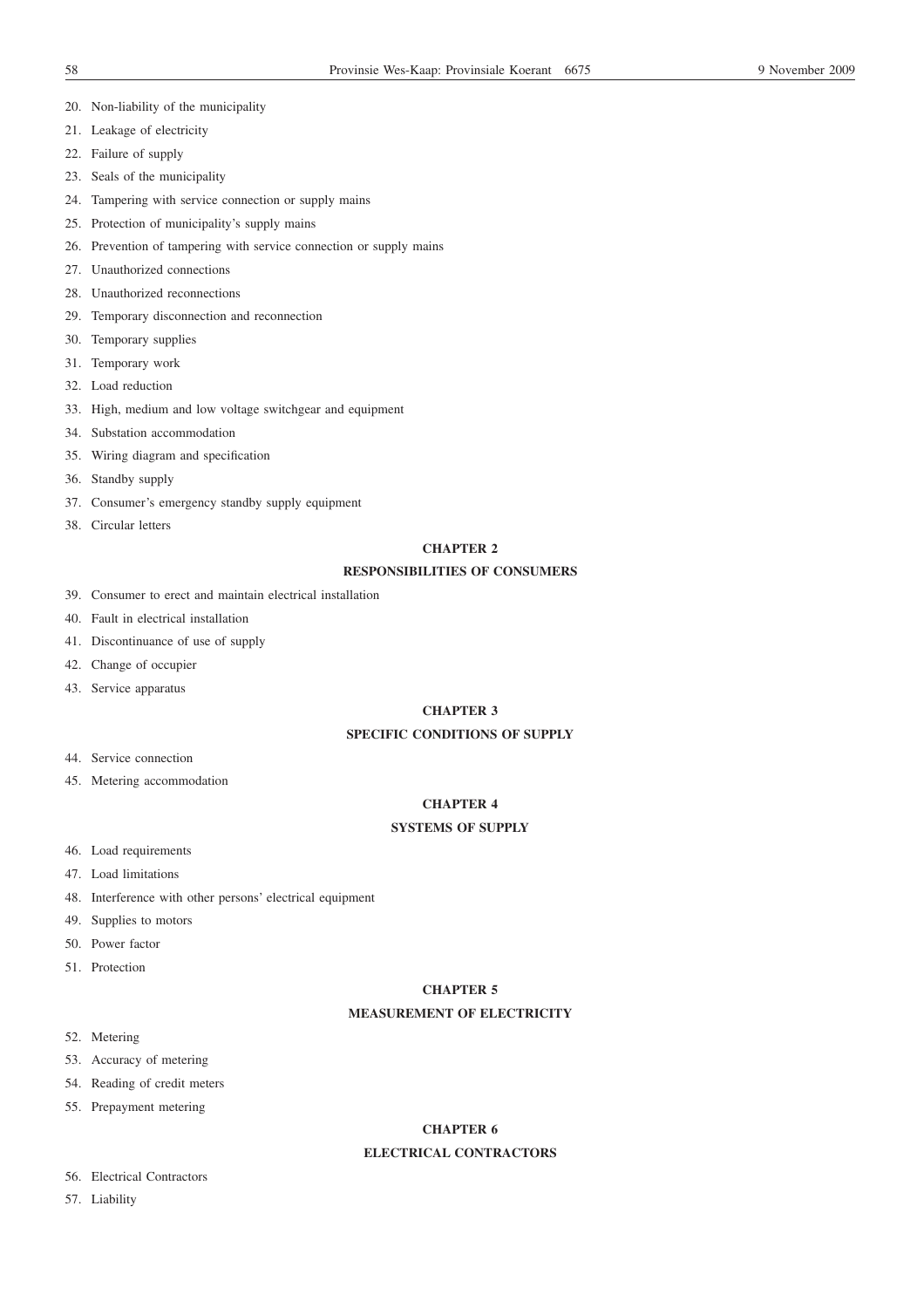- 20. Non-liability of the municipality
- 21. Leakage of electricity
- 22. Failure of supply
- 23. Seals of the municipality
- 24. Tampering with service connection or supply mains
- 25. Protection of municipality's supply mains
- 26. Prevention of tampering with service connection or supply mains
- 27. Unauthorized connections
- 28. Unauthorized reconnections
- 29. Temporary disconnection and reconnection
- 30. Temporary supplies
- 31. Temporary work
- 32. Load reduction
- 33. High, medium and low voltage switchgear and equipment
- 34. Substation accommodation
- 35. Wiring diagram and specification
- 36. Standby supply
- 37. Consumer's emergency standby supply equipment
- 38. Circular letters

# **CHAPTER 2**

# **RESPONSIBILITIES OF CONSUMERS**

- 39. Consumer to erect and maintain electrical installation
- 40. Fault in electrical installation
- 41. Discontinuance of use of supply
- 42. Change of occupier
- 43. Service apparatus

# **CHAPTER 3**

# **SPECIFIC CONDITIONS OF SUPPLY**

- 44. Service connection
- 45. Metering accommodation

# **CHAPTER 4**

# **SYSTEMS OF SUPPLY**

- 46. Load requirements
- 47. Load limitations
- 48. Interference with other persons' electrical equipment
- 49. Supplies to motors
- 50. Power factor
- 51. Protection

# **CHAPTER 5**

# **MEASUREMENT OF ELECTRICITY**

- 52. Metering
- 53. Accuracy of metering
- 54. Reading of credit meters
- 55. Prepayment metering

# **CHAPTER 6**

# **ELECTRICAL CONTRACTORS**

- 56. Electrical Contractors
- 57. Liability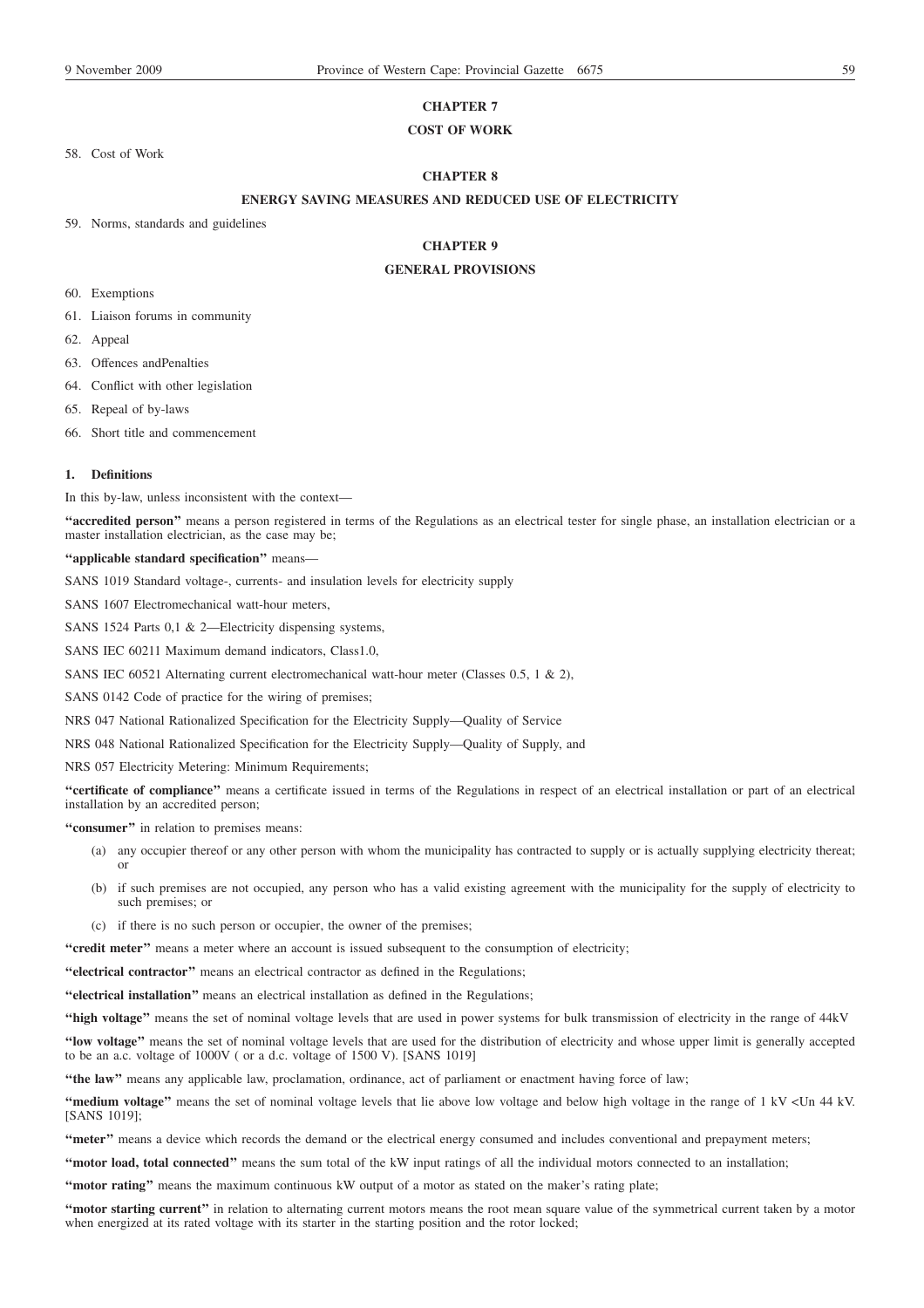# **CHAPTER 7**

# **COST OF WORK**

58. Cost of Work

# **CHAPTER 8**

# **ENERGY SAVING MEASURES AND REDUCED USE OF ELECTRICITY**

59. Norms, standards and guidelines

# **CHAPTER 9**

# **GENERAL PROVISIONS**

- 60. Exemptions
- 61. Liaison forums in community
- 62. Appeal
- 63. Offences andPenalties
- 64. Conflict with other legislation
- 65. Repeal of by-laws
- 66. Short title and commencement

#### **1. Definitions**

In this by-law, unless inconsistent with the context—

**''accredited person''** means a person registered in terms of the Regulations as an electrical tester for single phase, an installation electrician or a master installation electrician, as the case may be;

### **''applicable standard specification''** means—

SANS 1019 Standard voltage-, currents- and insulation levels for electricity supply

SANS 1607 Electromechanical watt-hour meters,

SANS 1524 Parts 0,1 & 2—Electricity dispensing systems,

SANS IEC 60211 Maximum demand indicators, Class1.0,

SANS IEC 60521 Alternating current electromechanical watt-hour meter (Classes 0.5, 1 & 2),

SANS 0142 Code of practice for the wiring of premises;

NRS 047 National Rationalized Specification for the Electricity Supply—Quality of Service

NRS 048 National Rationalized Specification for the Electricity Supply—Quality of Supply, and

NRS 057 Electricity Metering: Minimum Requirements;

**''certificate of compliance''** means a certificate issued in terms of the Regulations in respect of an electrical installation or part of an electrical installation by an accredited person;

**''consumer''** in relation to premises means:

- (a) any occupier thereof or any other person with whom the municipality has contracted to supply or is actually supplying electricity thereat; or
- (b) if such premises are not occupied, any person who has a valid existing agreement with the municipality for the supply of electricity to such premises; or
- (c) if there is no such person or occupier, the owner of the premises;
- **''credit meter''** means a meter where an account is issued subsequent to the consumption of electricity;

**''electrical contractor''** means an electrical contractor as defined in the Regulations;

**''electrical installation''** means an electrical installation as defined in the Regulations;

**''high voltage''** means the set of nominal voltage levels that are used in power systems for bulk transmission of electricity in the range of 44kV

**''low voltage''** means the set of nominal voltage levels that are used for the distribution of electricity and whose upper limit is generally accepted to be an a.c. voltage of 1000V ( or a d.c. voltage of 1500 V). [SANS 1019]

**''the law''** means any applicable law, proclamation, ordinance, act of parliament or enactment having force of law;

**''medium voltage''** means the set of nominal voltage levels that lie above low voltage and below high voltage in the range of 1 kV <Un 44 kV. [SANS 1019];

**''meter''** means a device which records the demand or the electrical energy consumed and includes conventional and prepayment meters;

**''motor load, total connected''** means the sum total of the kW input ratings of all the individual motors connected to an installation;

**''motor rating''** means the maximum continuous kW output of a motor as stated on the maker's rating plate;

**''motor starting current''** in relation to alternating current motors means the root mean square value of the symmetrical current taken by a motor when energized at its rated voltage with its starter in the starting position and the rotor locked;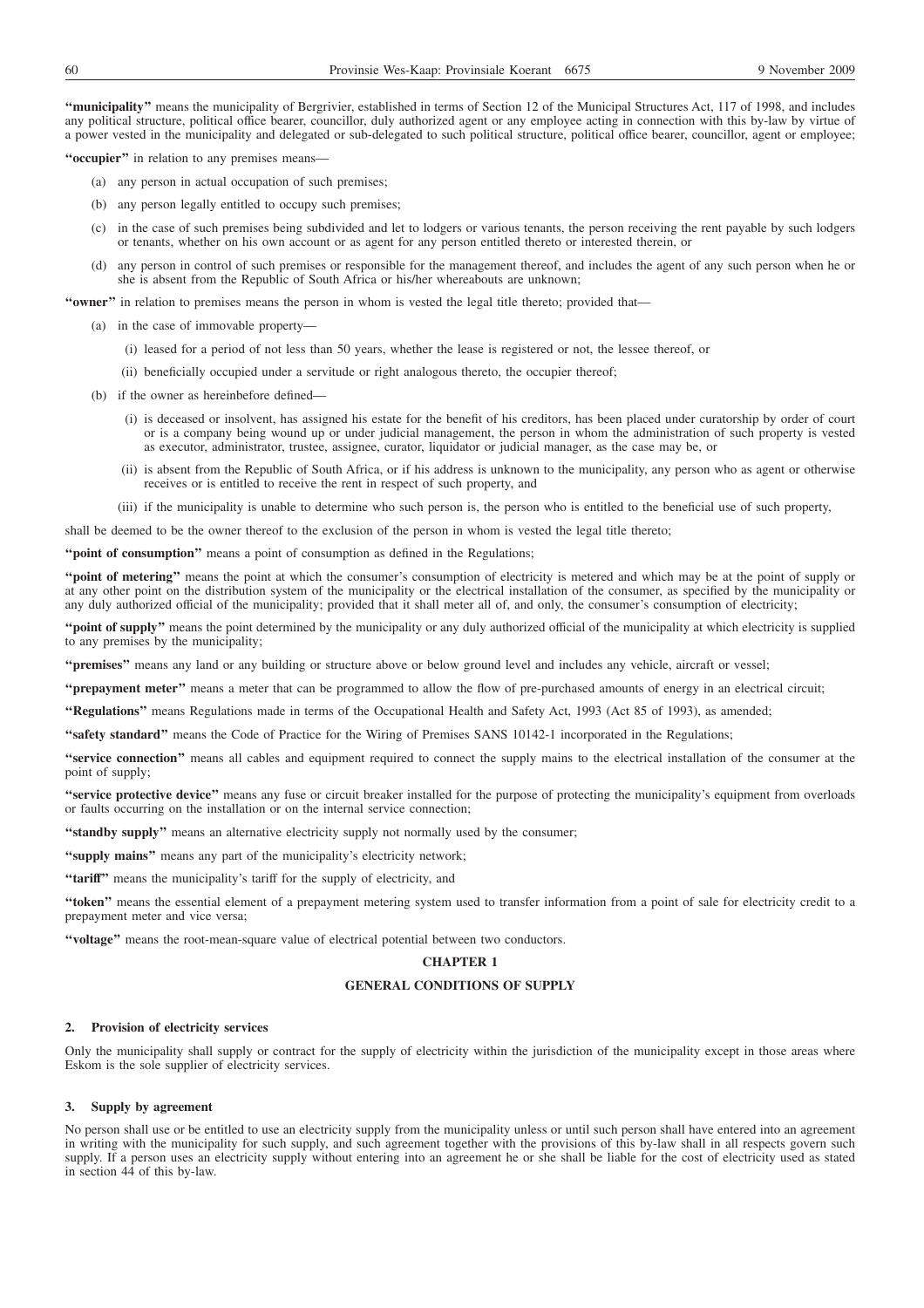**''municipality''** means the municipality of Bergrivier, established in terms of Section 12 of the Municipal Structures Act, 117 of 1998, and includes any political structure, political office bearer, councillor, duly authorized agent or any employee acting in connection with this by-law by virtue of a power vested in the municipality and delegated or sub-delegated to such political structure, political office bearer, councillor, agent or employee;

**''occupier''** in relation to any premises means—

- (a) any person in actual occupation of such premises;
- (b) any person legally entitled to occupy such premises;
- (c) in the case of such premises being subdivided and let to lodgers or various tenants, the person receiving the rent payable by such lodgers or tenants, whether on his own account or as agent for any person entitled thereto or interested therein, or
- (d) any person in control of such premises or responsible for the management thereof, and includes the agent of any such person when he or she is absent from the Republic of South Africa or his/her whereabouts are unknown;

**''owner''** in relation to premises means the person in whom is vested the legal title thereto; provided that—

- (a) in the case of immovable property—
	- (i) leased for a period of not less than 50 years, whether the lease is registered or not, the lessee thereof, or
	- (ii) beneficially occupied under a servitude or right analogous thereto, the occupier thereof;
- (b) if the owner as hereinbefore defined—
	- (i) is deceased or insolvent, has assigned his estate for the benefit of his creditors, has been placed under curatorship by order of court or is a company being wound up or under judicial management, the person in whom the administration of such property is vested as executor, administrator, trustee, assignee, curator, liquidator or judicial manager, as the case may be, or
	- (ii) is absent from the Republic of South Africa, or if his address is unknown to the municipality, any person who as agent or otherwise receives or is entitled to receive the rent in respect of such property, and
	- (iii) if the municipality is unable to determine who such person is, the person who is entitled to the beneficial use of such property,

shall be deemed to be the owner thereof to the exclusion of the person in whom is vested the legal title thereto;

"**point of consumption**" means a point of consumption as defined in the Regulations;

**''point of metering''** means the point at which the consumer's consumption of electricity is metered and which may be at the point of supply or at any other point on the distribution system of the municipality or the electrical installation of the consumer, as specified by the municipality or any duly authorized official of the municipality; provided that it shall meter all of, and only, the consumer's consumption of electricity;

**''point of supply''** means the point determined by the municipality or any duly authorized official of the municipality at which electricity is supplied to any premises by the municipality;

**''premises''** means any land or any building or structure above or below ground level and includes any vehicle, aircraft or vessel;

**''prepayment meter''** means a meter that can be programmed to allow the flow of pre-purchased amounts of energy in an electrical circuit;

**''Regulations''** means Regulations made in terms of the Occupational Health and Safety Act, 1993 (Act 85 of 1993), as amended;

**''safety standard''** means the Code of Practice for the Wiring of Premises SANS 10142-1 incorporated in the Regulations;

**''service connection''** means all cables and equipment required to connect the supply mains to the electrical installation of the consumer at the point of supply;

**''service protective device''** means any fuse or circuit breaker installed for the purpose of protecting the municipality's equipment from overloads or faults occurring on the installation or on the internal service connection;

**''standby supply''** means an alternative electricity supply not normally used by the consumer;

**''supply mains''** means any part of the municipality's electricity network;

"tariff" means the municipality's tariff for the supply of electricity, and

**''token''** means the essential element of a prepayment metering system used to transfer information from a point of sale for electricity credit to a prepayment meter and vice versa;

**''voltage''** means the root-mean-square value of electrical potential between two conductors.

# **CHAPTER 1**

## **GENERAL CONDITIONS OF SUPPLY**

## **2. Provision of electricity services**

Only the municipality shall supply or contract for the supply of electricity within the jurisdiction of the municipality except in those areas where Eskom is the sole supplier of electricity services.

#### **3. Supply by agreement**

No person shall use or be entitled to use an electricity supply from the municipality unless or until such person shall have entered into an agreement in writing with the municipality for such supply, and such agreement together with the provisions of this by-law shall in all respects govern such supply. If a person uses an electricity supply without entering into an agreement he or she shall be liable for the cost of electricity used as stated in section 44 of this by-law.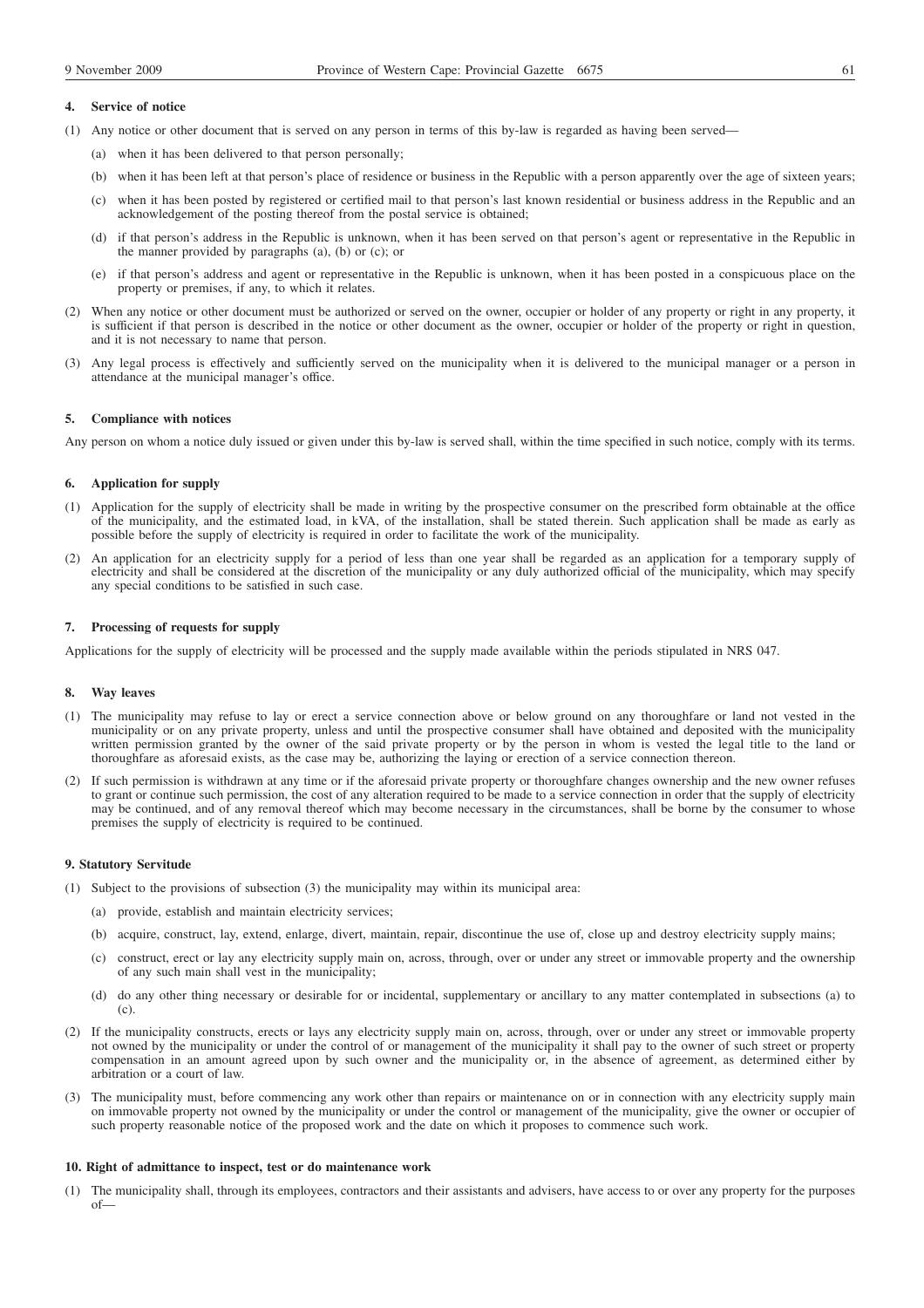## **4. Service of notice**

- (1) Any notice or other document that is served on any person in terms of this by-law is regarded as having been served—
	- (a) when it has been delivered to that person personally;
	- (b) when it has been left at that person's place of residence or business in the Republic with a person apparently over the age of sixteen years;
	- (c) when it has been posted by registered or certified mail to that person's last known residential or business address in the Republic and an acknowledgement of the posting thereof from the postal service is obtained;
	- (d) if that person's address in the Republic is unknown, when it has been served on that person's agent or representative in the Republic in the manner provided by paragraphs (a), (b) or (c); or
	- (e) if that person's address and agent or representative in the Republic is unknown, when it has been posted in a conspicuous place on the property or premises, if any, to which it relates.
- (2) When any notice or other document must be authorized or served on the owner, occupier or holder of any property or right in any property, it is sufficient if that person is described in the notice or other document as the owner, occupier or holder of the property or right in question, and it is not necessary to name that person.
- (3) Any legal process is effectively and sufficiently served on the municipality when it is delivered to the municipal manager or a person in attendance at the municipal manager's office.

#### **5. Compliance with notices**

Any person on whom a notice duly issued or given under this by-law is served shall, within the time specified in such notice, comply with its terms.

## **6. Application for supply**

- (1) Application for the supply of electricity shall be made in writing by the prospective consumer on the prescribed form obtainable at the office of the municipality, and the estimated load, in kVA, of the installation, shall be stated therein. Such application shall be made as early as possible before the supply of electricity is required in order to facilitate the work of the municipality.
- (2) An application for an electricity supply for a period of less than one year shall be regarded as an application for a temporary supply of electricity and shall be considered at the discretion of the municipality or any duly authorized official of the municipality, which may specify any special conditions to be satisfied in such case.

#### **7. Processing of requests for supply**

Applications for the supply of electricity will be processed and the supply made available within the periods stipulated in NRS 047.

#### **8. Way leaves**

- (1) The municipality may refuse to lay or erect a service connection above or below ground on any thoroughfare or land not vested in the municipality or on any private property, unless and until the prospective consumer shall have obtained and deposited with the municipality written permission granted by the owner of the said private property or by the person in whom is vested the legal title to the land or thoroughfare as aforesaid exists, as the case may be, authorizing the laying or erection of a service connection thereon.
- (2) If such permission is withdrawn at any time or if the aforesaid private property or thoroughfare changes ownership and the new owner refuses to grant or continue such permission, the cost of any alteration required to be made to a service connection in order that the supply of electricity may be continued, and of any removal thereof which may become necessary in the circumstances, shall be borne by the consumer to whose premises the supply of electricity is required to be continued.

### **9. Statutory Servitude**

- (1) Subject to the provisions of subsection (3) the municipality may within its municipal area:
	- (a) provide, establish and maintain electricity services;
	- (b) acquire, construct, lay, extend, enlarge, divert, maintain, repair, discontinue the use of, close up and destroy electricity supply mains;
	- (c) construct, erect or lay any electricity supply main on, across, through, over or under any street or immovable property and the ownership of any such main shall vest in the municipality;
	- (d) do any other thing necessary or desirable for or incidental, supplementary or ancillary to any matter contemplated in subsections (a) to  $(c)$ .
- (2) If the municipality constructs, erects or lays any electricity supply main on, across, through, over or under any street or immovable property not owned by the municipality or under the control of or management of the municipality it shall pay to the owner of such street or property compensation in an amount agreed upon by such owner and the municipality or, in the absence of agreement, as determined either by arbitration or a court of law.
- (3) The municipality must, before commencing any work other than repairs or maintenance on or in connection with any electricity supply main on immovable property not owned by the municipality or under the control or management of the municipality, give the owner or occupier of such property reasonable notice of the proposed work and the date on which it proposes to commence such work.

### **10. Right of admittance to inspect, test or do maintenance work**

(1) The municipality shall, through its employees, contractors and their assistants and advisers, have access to or over any property for the purposes of—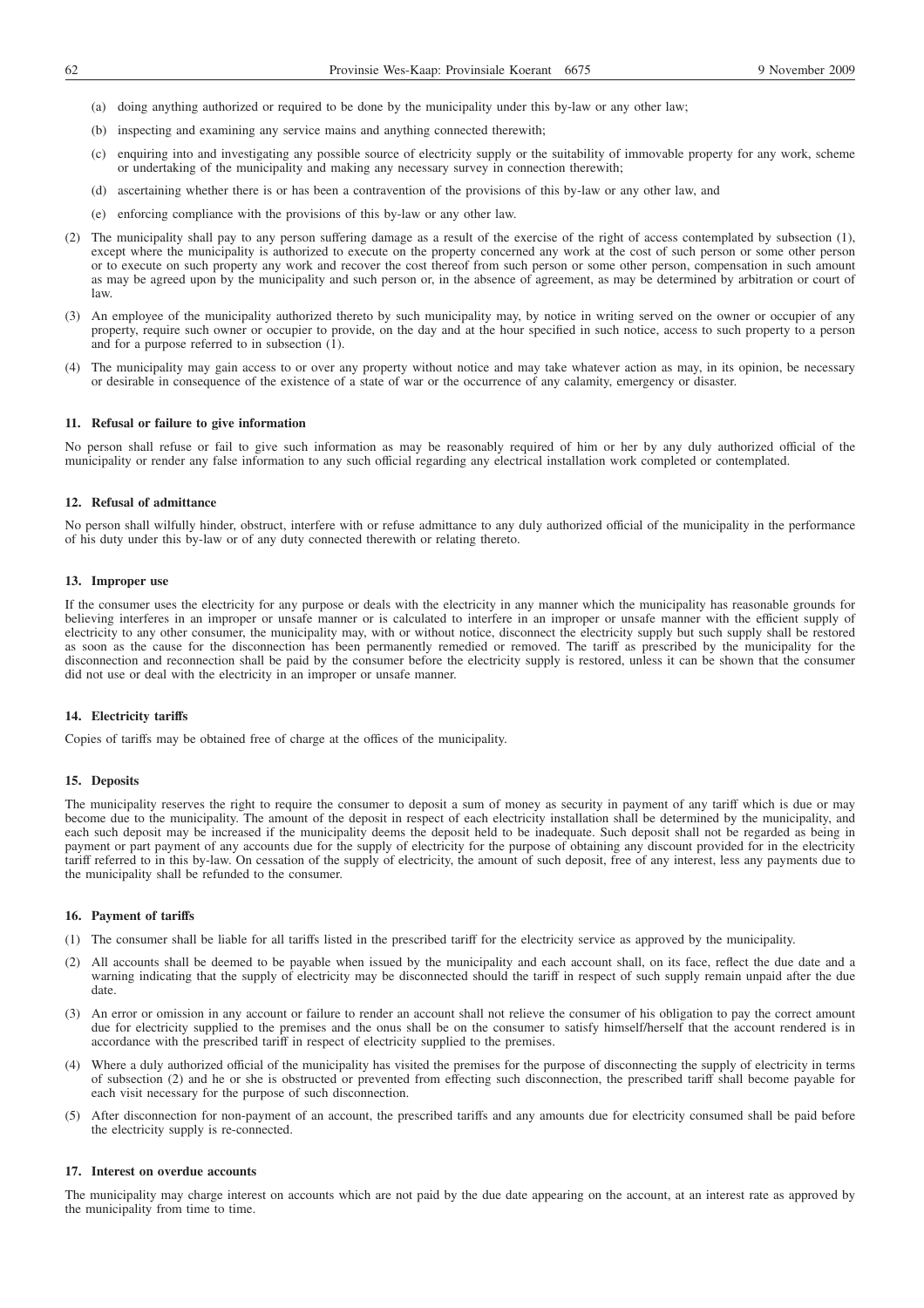- (a) doing anything authorized or required to be done by the municipality under this by-law or any other law;
- (b) inspecting and examining any service mains and anything connected therewith;
- (c) enquiring into and investigating any possible source of electricity supply or the suitability of immovable property for any work, scheme or undertaking of the municipality and making any necessary survey in connection therewith;
- (d) ascertaining whether there is or has been a contravention of the provisions of this by-law or any other law, and
- (e) enforcing compliance with the provisions of this by-law or any other law.
- (2) The municipality shall pay to any person suffering damage as a result of the exercise of the right of access contemplated by subsection (1), except where the municipality is authorized to execute on the property concerned any work at the cost of such person or some other person or to execute on such property any work and recover the cost thereof from such person or some other person, compensation in such amount as may be agreed upon by the municipality and such person or, in the absence of agreement, as may be determined by arbitration or court of law.
- (3) An employee of the municipality authorized thereto by such municipality may, by notice in writing served on the owner or occupier of any property, require such owner or occupier to provide, on the day and at the hour specified in such notice, access to such property to a person and for a purpose referred to in subsection (1).
- (4) The municipality may gain access to or over any property without notice and may take whatever action as may, in its opinion, be necessary or desirable in consequence of the existence of a state of war or the occurrence of any calamity, emergency or disaster.

### **11. Refusal or failure to give information**

No person shall refuse or fail to give such information as may be reasonably required of him or her by any duly authorized official of the municipality or render any false information to any such official regarding any electrical installation work completed or contemplated.

## **12. Refusal of admittance**

No person shall wilfully hinder, obstruct, interfere with or refuse admittance to any duly authorized official of the municipality in the performance of his duty under this by-law or of any duty connected therewith or relating thereto.

#### **13. Improper use**

If the consumer uses the electricity for any purpose or deals with the electricity in any manner which the municipality has reasonable grounds for believing interferes in an improper or unsafe manner or is calculated to interfere in an improper or unsafe manner with the efficient supply of electricity to any other consumer, the municipality may, with or without notice, disconnect the electricity supply but such supply shall be restored as soon as the cause for the disconnection has been permanently remedied or removed. The tariff as prescribed by the municipality for the disconnection and reconnection shall be paid by the consumer before the electricity supply is restored, unless it can be shown that the consumer did not use or deal with the electricity in an improper or unsafe manner.

#### **14. Electricity tariffs**

Copies of tariffs may be obtained free of charge at the offices of the municipality.

#### **15. Deposits**

The municipality reserves the right to require the consumer to deposit a sum of money as security in payment of any tariff which is due or may become due to the municipality. The amount of the deposit in respect of each electricity installation shall be determined by the municipality, and each such deposit may be increased if the municipality deems the deposit held to be inadequate. Such deposit shall not be regarded as being in payment or part payment of any accounts due for the supply of electricity for the purpose of obtaining any discount provided for in the electricity tariff referred to in this by-law. On cessation of the supply of electricity, the amount of such deposit, free of any interest, less any payments due to the municipality shall be refunded to the consumer.

### **16. Payment of tariffs**

- (1) The consumer shall be liable for all tariffs listed in the prescribed tariff for the electricity service as approved by the municipality.
- (2) All accounts shall be deemed to be payable when issued by the municipality and each account shall, on its face, reflect the due date and a warning indicating that the supply of electricity may be disconnected should the tariff in respect of such supply remain unpaid after the due date.
- (3) An error or omission in any account or failure to render an account shall not relieve the consumer of his obligation to pay the correct amount due for electricity supplied to the premises and the onus shall be on the consumer to satisfy himself/herself that the account rendered is in accordance with the prescribed tariff in respect of electricity supplied to the premises.
- (4) Where a duly authorized official of the municipality has visited the premises for the purpose of disconnecting the supply of electricity in terms of subsection (2) and he or she is obstructed or prevented from effecting such disconnection, the prescribed tariff shall become payable for each visit necessary for the purpose of such disconnection.
- (5) After disconnection for non-payment of an account, the prescribed tariffs and any amounts due for electricity consumed shall be paid before the electricity supply is re-connected.

#### **17. Interest on overdue accounts**

The municipality may charge interest on accounts which are not paid by the due date appearing on the account, at an interest rate as approved by the municipality from time to time.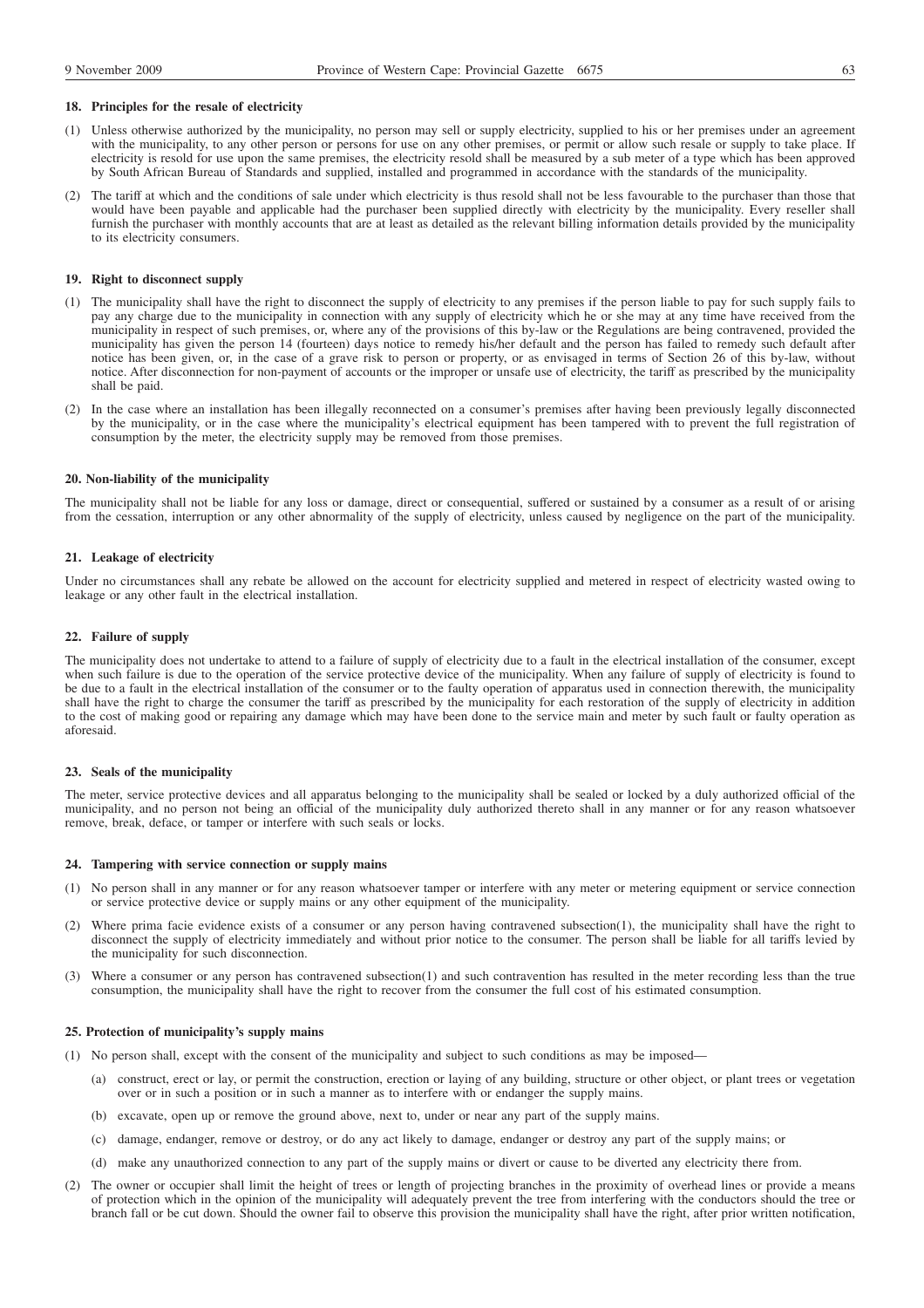#### **18. Principles for the resale of electricity**

- (1) Unless otherwise authorized by the municipality, no person may sell or supply electricity, supplied to his or her premises under an agreement with the municipality, to any other person or persons for use on any other premises, or permit or allow such resale or supply to take place. If electricity is resold for use upon the same premises, the electricity resold shall be measured by a sub meter of a type which has been approved by South African Bureau of Standards and supplied, installed and programmed in accordance with the standards of the municipality.
- (2) The tariff at which and the conditions of sale under which electricity is thus resold shall not be less favourable to the purchaser than those that would have been payable and applicable had the purchaser been supplied directly with electricity by the municipality. Every reseller shall furnish the purchaser with monthly accounts that are at least as detailed as the relevant billing information details provided by the municipality to its electricity consumers.

#### **19. Right to disconnect supply**

- (1) The municipality shall have the right to disconnect the supply of electricity to any premises if the person liable to pay for such supply fails to pay any charge due to the municipality in connection with any supply of electricity which he or she may at any time have received from the municipality in respect of such premises, or, where any of the provisions of this by-law or the Regulations are being contravened, provided the municipality has given the person 14 (fourteen) days notice to remedy his/her default and the person has failed to remedy such default after notice has been given, or, in the case of a grave risk to person or property, or as envisaged in terms of Section 26 of this by-law, without notice. After disconnection for non-payment of accounts or the improper or unsafe use of electricity, the tariff as prescribed by the municipality shall be paid.
- (2) In the case where an installation has been illegally reconnected on a consumer's premises after having been previously legally disconnected by the municipality, or in the case where the municipality's electrical equipment has been tampered with to prevent the full registration of consumption by the meter, the electricity supply may be removed from those premises.

#### **20. Non-liability of the municipality**

The municipality shall not be liable for any loss or damage, direct or consequential, suffered or sustained by a consumer as a result of or arising from the cessation, interruption or any other abnormality of the supply of electricity, unless caused by negligence on the part of the municipality.

#### **21. Leakage of electricity**

Under no circumstances shall any rebate be allowed on the account for electricity supplied and metered in respect of electricity wasted owing to leakage or any other fault in the electrical installation.

### **22. Failure of supply**

The municipality does not undertake to attend to a failure of supply of electricity due to a fault in the electrical installation of the consumer, except when such failure is due to the operation of the service protective device of the municipality. When any failure of supply of electricity is found to be due to a fault in the electrical installation of the consumer or to the faulty operation of apparatus used in connection therewith, the municipality shall have the right to charge the consumer the tariff as prescribed by the municipality for each restoration of the supply of electricity in addition to the cost of making good or repairing any damage which may have been done to the service main and meter by such fault or faulty operation as aforesaid.

#### **23. Seals of the municipality**

The meter, service protective devices and all apparatus belonging to the municipality shall be sealed or locked by a duly authorized official of the municipality, and no person not being an official of the municipality duly authorized thereto shall in any manner or for any reason whatsoever remove, break, deface, or tamper or interfere with such seals or locks.

#### **24. Tampering with service connection or supply mains**

- (1) No person shall in any manner or for any reason whatsoever tamper or interfere with any meter or metering equipment or service connection or service protective device or supply mains or any other equipment of the municipality.
- (2) Where prima facie evidence exists of a consumer or any person having contravened subsection(1), the municipality shall have the right to disconnect the supply of electricity immediately and without prior notice to the consumer. The person shall be liable for all tariffs levied by the municipality for such disconnection.
- (3) Where a consumer or any person has contravened subsection(1) and such contravention has resulted in the meter recording less than the true consumption, the municipality shall have the right to recover from the consumer the full cost of his estimated consumption.

### **25. Protection of municipality's supply mains**

- (1) No person shall, except with the consent of the municipality and subject to such conditions as may be imposed—
	- (a) construct, erect or lay, or permit the construction, erection or laying of any building, structure or other object, or plant trees or vegetation over or in such a position or in such a manner as to interfere with or endanger the supply mains.
	- (b) excavate, open up or remove the ground above, next to, under or near any part of the supply mains.
	- (c) damage, endanger, remove or destroy, or do any act likely to damage, endanger or destroy any part of the supply mains; or
	- (d) make any unauthorized connection to any part of the supply mains or divert or cause to be diverted any electricity there from.
- (2) The owner or occupier shall limit the height of trees or length of projecting branches in the proximity of overhead lines or provide a means of protection which in the opinion of the municipality will adequately prevent the tree from interfering with the conductors should the tree or branch fall or be cut down. Should the owner fail to observe this provision the municipality shall have the right, after prior written notification,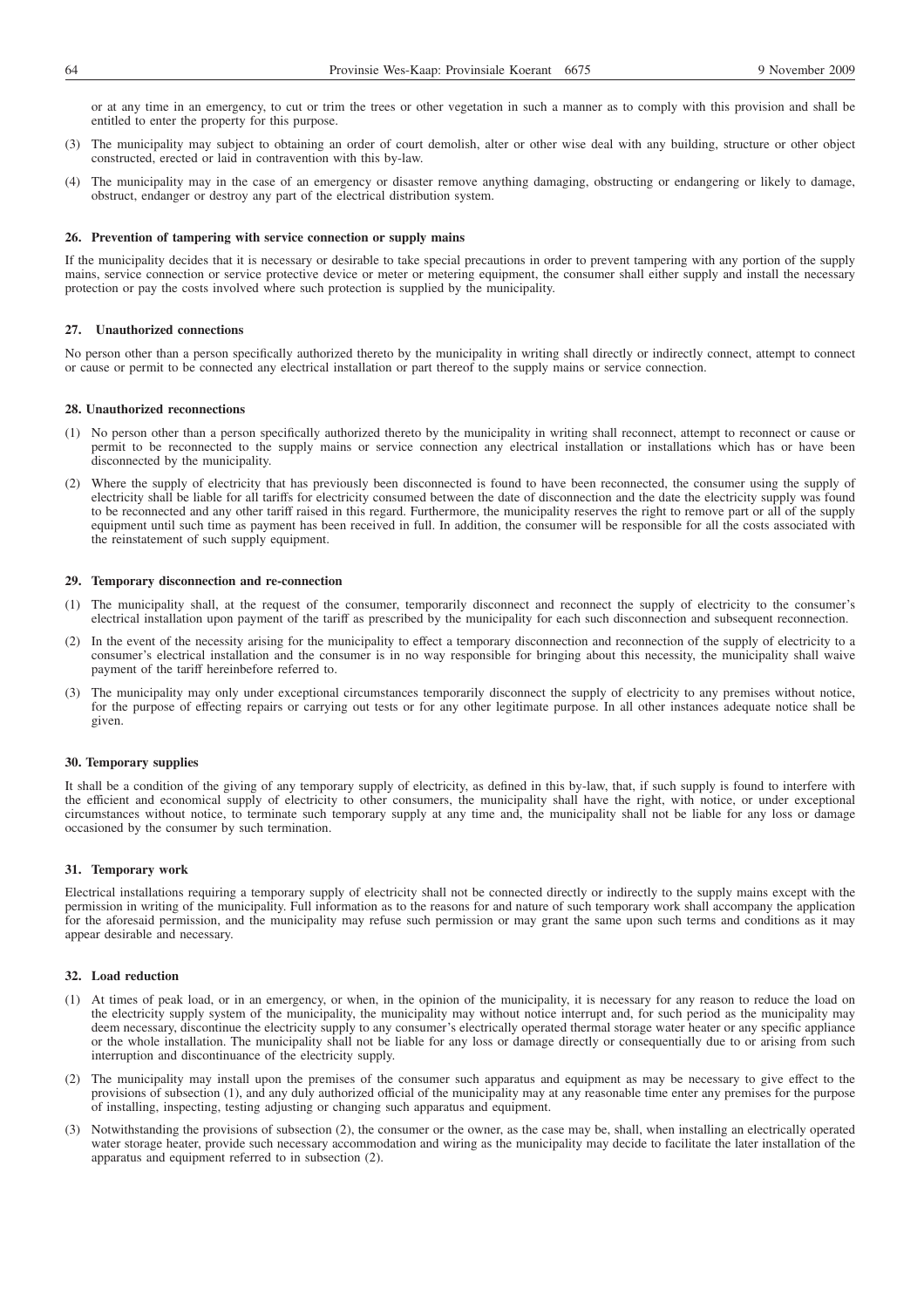or at any time in an emergency, to cut or trim the trees or other vegetation in such a manner as to comply with this provision and shall be entitled to enter the property for this purpose.

- (3) The municipality may subject to obtaining an order of court demolish, alter or other wise deal with any building, structure or other object constructed, erected or laid in contravention with this by-law.
- (4) The municipality may in the case of an emergency or disaster remove anything damaging, obstructing or endangering or likely to damage, obstruct, endanger or destroy any part of the electrical distribution system.

#### **26. Prevention of tampering with service connection or supply mains**

If the municipality decides that it is necessary or desirable to take special precautions in order to prevent tampering with any portion of the supply mains, service connection or service protective device or meter or metering equipment, the consumer shall either supply and install the necessary protection or pay the costs involved where such protection is supplied by the municipality.

#### **27. Unauthorized connections**

No person other than a person specifically authorized thereto by the municipality in writing shall directly or indirectly connect, attempt to connect or cause or permit to be connected any electrical installation or part thereof to the supply mains or service connection.

#### **28. Unauthorized reconnections**

- (1) No person other than a person specifically authorized thereto by the municipality in writing shall reconnect, attempt to reconnect or cause or permit to be reconnected to the supply mains or service connection any electrical installation or installations which has or have been disconnected by the municipality.
- (2) Where the supply of electricity that has previously been disconnected is found to have been reconnected, the consumer using the supply of electricity shall be liable for all tariffs for electricity consumed between the date of disconnection and the date the electricity supply was found to be reconnected and any other tariff raised in this regard. Furthermore, the municipality reserves the right to remove part or all of the supply equipment until such time as payment has been received in full. In addition, the consumer will be responsible for all the costs associated with the reinstatement of such supply equipment.

#### **29. Temporary disconnection and re-connection**

- (1) The municipality shall, at the request of the consumer, temporarily disconnect and reconnect the supply of electricity to the consumer's electrical installation upon payment of the tariff as prescribed by the municipality for each such disconnection and subsequent reconnection.
- (2) In the event of the necessity arising for the municipality to effect a temporary disconnection and reconnection of the supply of electricity to a consumer's electrical installation and the consumer is in no way responsible for bringing about this necessity, the municipality shall waive payment of the tariff hereinbefore referred to.
- (3) The municipality may only under exceptional circumstances temporarily disconnect the supply of electricity to any premises without notice, for the purpose of effecting repairs or carrying out tests or for any other legitimate purpose. In all other instances adequate notice shall be given.

#### **30. Temporary supplies**

It shall be a condition of the giving of any temporary supply of electricity, as defined in this by-law, that, if such supply is found to interfere with the efficient and economical supply of electricity to other consumers, the municipality shall have the right, with notice, or under exceptional circumstances without notice, to terminate such temporary supply at any time and, the municipality shall not be liable for any loss or damage occasioned by the consumer by such termination.

#### **31. Temporary work**

Electrical installations requiring a temporary supply of electricity shall not be connected directly or indirectly to the supply mains except with the permission in writing of the municipality. Full information as to the reasons for and nature of such temporary work shall accompany the application for the aforesaid permission, and the municipality may refuse such permission or may grant the same upon such terms and conditions as it may appear desirable and necessary.

## **32. Load reduction**

- (1) At times of peak load, or in an emergency, or when, in the opinion of the municipality, it is necessary for any reason to reduce the load on the electricity supply system of the municipality, the municipality may without notice interrupt and, for such period as the municipality may deem necessary, discontinue the electricity supply to any consumer's electrically operated thermal storage water heater or any specific appliance or the whole installation. The municipality shall not be liable for any loss or damage directly or consequentially due to or arising from such interruption and discontinuance of the electricity supply.
- (2) The municipality may install upon the premises of the consumer such apparatus and equipment as may be necessary to give effect to the provisions of subsection (1), and any duly authorized official of the municipality may at any reasonable time enter any premises for the purpose of installing, inspecting, testing adjusting or changing such apparatus and equipment.
- (3) Notwithstanding the provisions of subsection (2), the consumer or the owner, as the case may be, shall, when installing an electrically operated water storage heater, provide such necessary accommodation and wiring as the municipality may decide to facilitate the later installation of the apparatus and equipment referred to in subsection (2).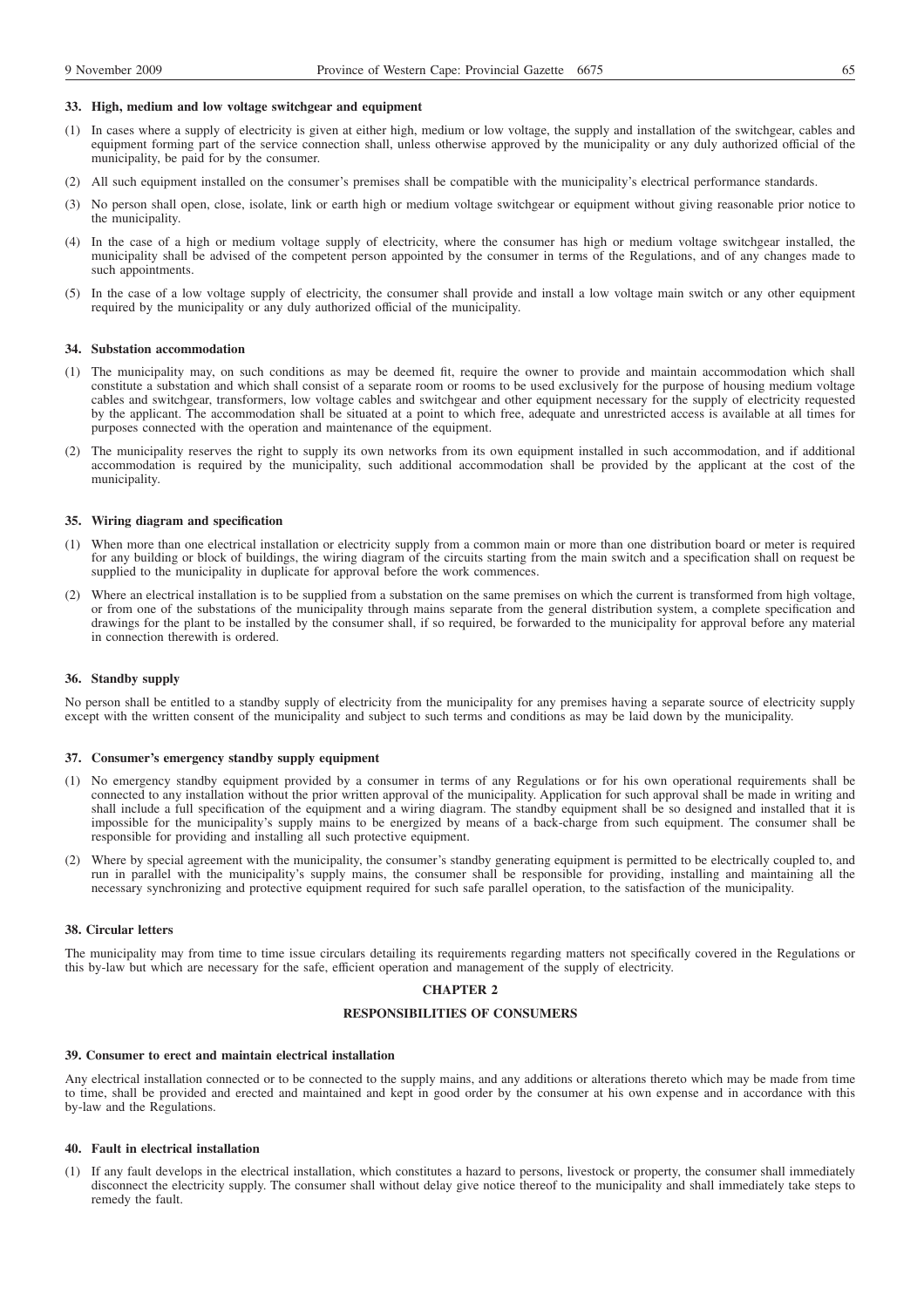#### **33. High, medium and low voltage switchgear and equipment**

- (1) In cases where a supply of electricity is given at either high, medium or low voltage, the supply and installation of the switchgear, cables and equipment forming part of the service connection shall, unless otherwise approved by the municipality or any duly authorized official of the municipality, be paid for by the consumer.
- (2) All such equipment installed on the consumer's premises shall be compatible with the municipality's electrical performance standards.
- (3) No person shall open, close, isolate, link or earth high or medium voltage switchgear or equipment without giving reasonable prior notice to the municipality.
- (4) In the case of a high or medium voltage supply of electricity, where the consumer has high or medium voltage switchgear installed, the municipality shall be advised of the competent person appointed by the consumer in terms of the Regulations, and of any changes made to such appointments.
- (5) In the case of a low voltage supply of electricity, the consumer shall provide and install a low voltage main switch or any other equipment required by the municipality or any duly authorized official of the municipality.

#### **34. Substation accommodation**

- (1) The municipality may, on such conditions as may be deemed fit, require the owner to provide and maintain accommodation which shall constitute a substation and which shall consist of a separate room or rooms to be used exclusively for the purpose of housing medium voltage cables and switchgear, transformers, low voltage cables and switchgear and other equipment necessary for the supply of electricity requested by the applicant. The accommodation shall be situated at a point to which free, adequate and unrestricted access is available at all times for purposes connected with the operation and maintenance of the equipment.
- (2) The municipality reserves the right to supply its own networks from its own equipment installed in such accommodation, and if additional accommodation is required by the municipality, such additional accommodation shall be provided by the applicant at the cost of the municipality.

#### **35. Wiring diagram and specification**

- (1) When more than one electrical installation or electricity supply from a common main or more than one distribution board or meter is required for any building or block of buildings, the wiring diagram of the circuits starting from the main switch and a specification shall on request be supplied to the municipality in duplicate for approval before the work commences.
- (2) Where an electrical installation is to be supplied from a substation on the same premises on which the current is transformed from high voltage, or from one of the substations of the municipality through mains separate from the general distribution system, a complete specification and drawings for the plant to be installed by the consumer shall, if so required, be forwarded to the municipality for approval before any material in connection therewith is ordered.

#### **36. Standby supply**

No person shall be entitled to a standby supply of electricity from the municipality for any premises having a separate source of electricity supply except with the written consent of the municipality and subject to such terms and conditions as may be laid down by the municipality.

### **37. Consumer's emergency standby supply equipment**

- (1) No emergency standby equipment provided by a consumer in terms of any Regulations or for his own operational requirements shall be connected to any installation without the prior written approval of the municipality. Application for such approval shall be made in writing and shall include a full specification of the equipment and a wiring diagram. The standby equipment shall be so designed and installed that it is impossible for the municipality's supply mains to be energized by means of a back-charge from such equipment. The consumer shall be responsible for providing and installing all such protective equipment.
- (2) Where by special agreement with the municipality, the consumer's standby generating equipment is permitted to be electrically coupled to, and run in parallel with the municipality's supply mains, the consumer shall be responsible for providing, installing and maintaining all the necessary synchronizing and protective equipment required for such safe parallel operation, to the satisfaction of the municipality.

### **38. Circular letters**

The municipality may from time to time issue circulars detailing its requirements regarding matters not specifically covered in the Regulations or this by-law but which are necessary for the safe, efficient operation and management of the supply of electricity.

### **CHAPTER 2**

# **RESPONSIBILITIES OF CONSUMERS**

#### **39. Consumer to erect and maintain electrical installation**

Any electrical installation connected or to be connected to the supply mains, and any additions or alterations thereto which may be made from time to time, shall be provided and erected and maintained and kept in good order by the consumer at his own expense and in accordance with this by-law and the Regulations.

#### **40. Fault in electrical installation**

(1) If any fault develops in the electrical installation, which constitutes a hazard to persons, livestock or property, the consumer shall immediately disconnect the electricity supply. The consumer shall without delay give notice thereof to the municipality and shall immediately take steps to remedy the fault.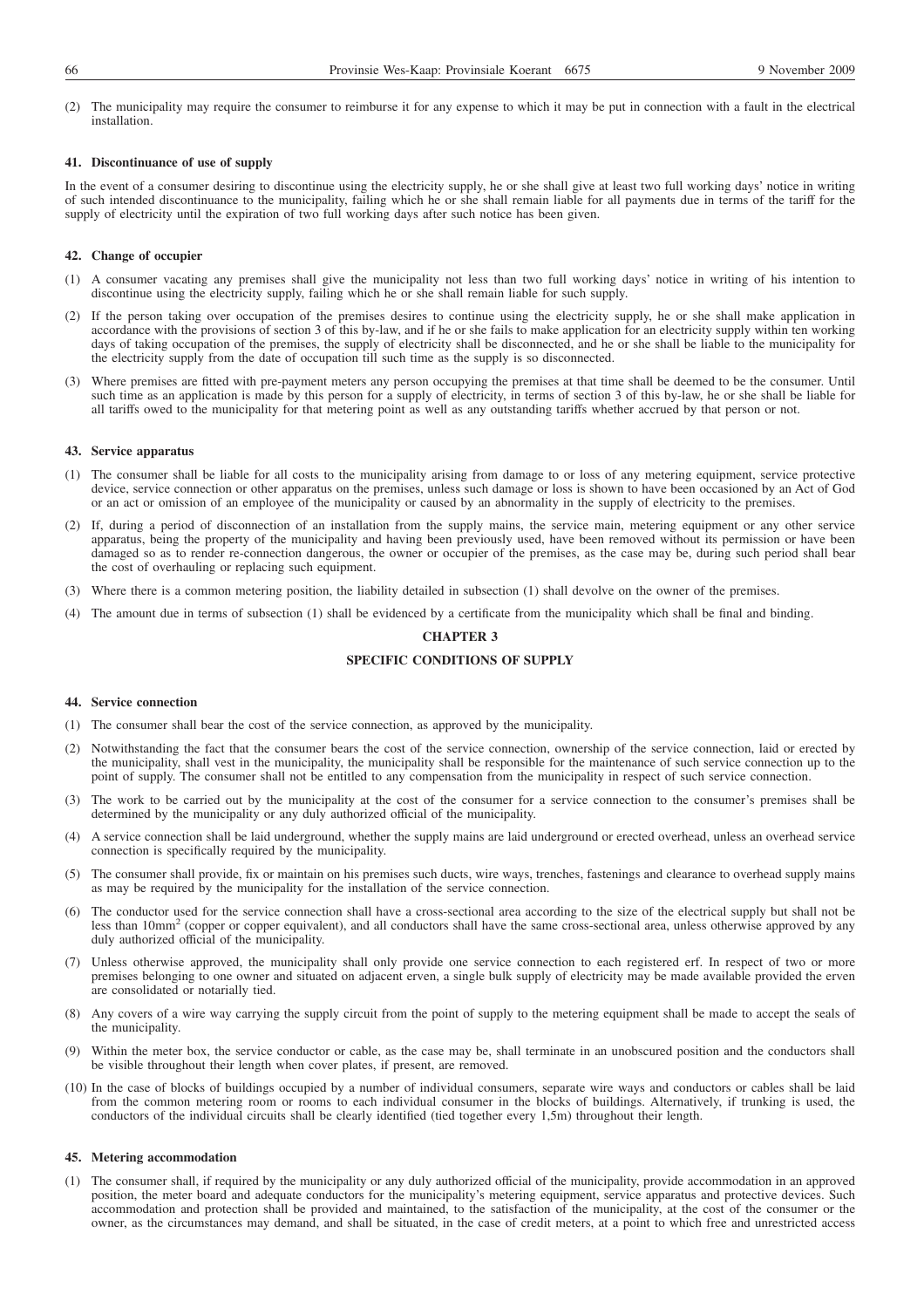(2) The municipality may require the consumer to reimburse it for any expense to which it may be put in connection with a fault in the electrical installation.

## **41. Discontinuance of use of supply**

In the event of a consumer desiring to discontinue using the electricity supply, he or she shall give at least two full working days' notice in writing of such intended discontinuance to the municipality, failing which he or she shall remain liable for all payments due in terms of the tariff for the supply of electricity until the expiration of two full working days after such notice has been given.

#### **42. Change of occupier**

- (1) A consumer vacating any premises shall give the municipality not less than two full working days' notice in writing of his intention to discontinue using the electricity supply, failing which he or she shall remain liable for such supply.
- (2) If the person taking over occupation of the premises desires to continue using the electricity supply, he or she shall make application in accordance with the provisions of section 3 of this by-law, and if he or she fails to make application for an electricity supply within ten working days of taking occupation of the premises, the supply of electricity shall be disconnected, and he or she shall be liable to the municipality for the electricity supply from the date of occupation till such time as the supply is so disconnected.
- (3) Where premises are fitted with pre-payment meters any person occupying the premises at that time shall be deemed to be the consumer. Until such time as an application is made by this person for a supply of electricity, in terms of section 3 of this by-law, he or she shall be liable for all tariffs owed to the municipality for that metering point as well as any outstanding tariffs whether accrued by that person or not.

#### **43. Service apparatus**

- (1) The consumer shall be liable for all costs to the municipality arising from damage to or loss of any metering equipment, service protective device, service connection or other apparatus on the premises, unless such damage or loss is shown to have been occasioned by an Act of God or an act or omission of an employee of the municipality or caused by an abnormality in the supply of electricity to the premises.
- (2) If, during a period of disconnection of an installation from the supply mains, the service main, metering equipment or any other service apparatus, being the property of the municipality and having been previously used, have been removed without its permission or have been damaged so as to render re-connection dangerous, the owner or occupier of the premises, as the case may be, during such period shall bear the cost of overhauling or replacing such equipment.
- (3) Where there is a common metering position, the liability detailed in subsection (1) shall devolve on the owner of the premises.
- (4) The amount due in terms of subsection (1) shall be evidenced by a certificate from the municipality which shall be final and binding.

# **CHAPTER 3**

# **SPECIFIC CONDITIONS OF SUPPLY**

## **44. Service connection**

- (1) The consumer shall bear the cost of the service connection, as approved by the municipality.
- (2) Notwithstanding the fact that the consumer bears the cost of the service connection, ownership of the service connection, laid or erected by the municipality, shall vest in the municipality, the municipality shall be responsible for the maintenance of such service connection up to the point of supply. The consumer shall not be entitled to any compensation from the municipality in respect of such service connection.
- (3) The work to be carried out by the municipality at the cost of the consumer for a service connection to the consumer's premises shall be determined by the municipality or any duly authorized official of the municipality.
- (4) A service connection shall be laid underground, whether the supply mains are laid underground or erected overhead, unless an overhead service connection is specifically required by the municipality.
- (5) The consumer shall provide, fix or maintain on his premises such ducts, wire ways, trenches, fastenings and clearance to overhead supply mains as may be required by the municipality for the installation of the service connection.
- (6) The conductor used for the service connection shall have a cross-sectional area according to the size of the electrical supply but shall not be less than 10mm<sup>2</sup> (copper or copper equivalent), and all conductors shall have the same cross-sectional area, unless otherwise approved by any duly authorized official of the municipality.
- (7) Unless otherwise approved, the municipality shall only provide one service connection to each registered erf. In respect of two or more premises belonging to one owner and situated on adjacent erven, a single bulk supply of electricity may be made available provided the erven are consolidated or notarially tied.
- (8) Any covers of a wire way carrying the supply circuit from the point of supply to the metering equipment shall be made to accept the seals of the municipality.
- (9) Within the meter box, the service conductor or cable, as the case may be, shall terminate in an unobscured position and the conductors shall be visible throughout their length when cover plates, if present, are removed.
- (10) In the case of blocks of buildings occupied by a number of individual consumers, separate wire ways and conductors or cables shall be laid from the common metering room or rooms to each individual consumer in the blocks of buildings. Alternatively, if trunking is used, the conductors of the individual circuits shall be clearly identified (tied together every 1,5m) throughout their length.

#### **45. Metering accommodation**

(1) The consumer shall, if required by the municipality or any duly authorized official of the municipality, provide accommodation in an approved position, the meter board and adequate conductors for the municipality's metering equipment, service apparatus and protective devices. Such accommodation and protection shall be provided and maintained, to the satisfaction of the municipality, at the cost of the consumer or the owner, as the circumstances may demand, and shall be situated, in the case of credit meters, at a point to which free and unrestricted access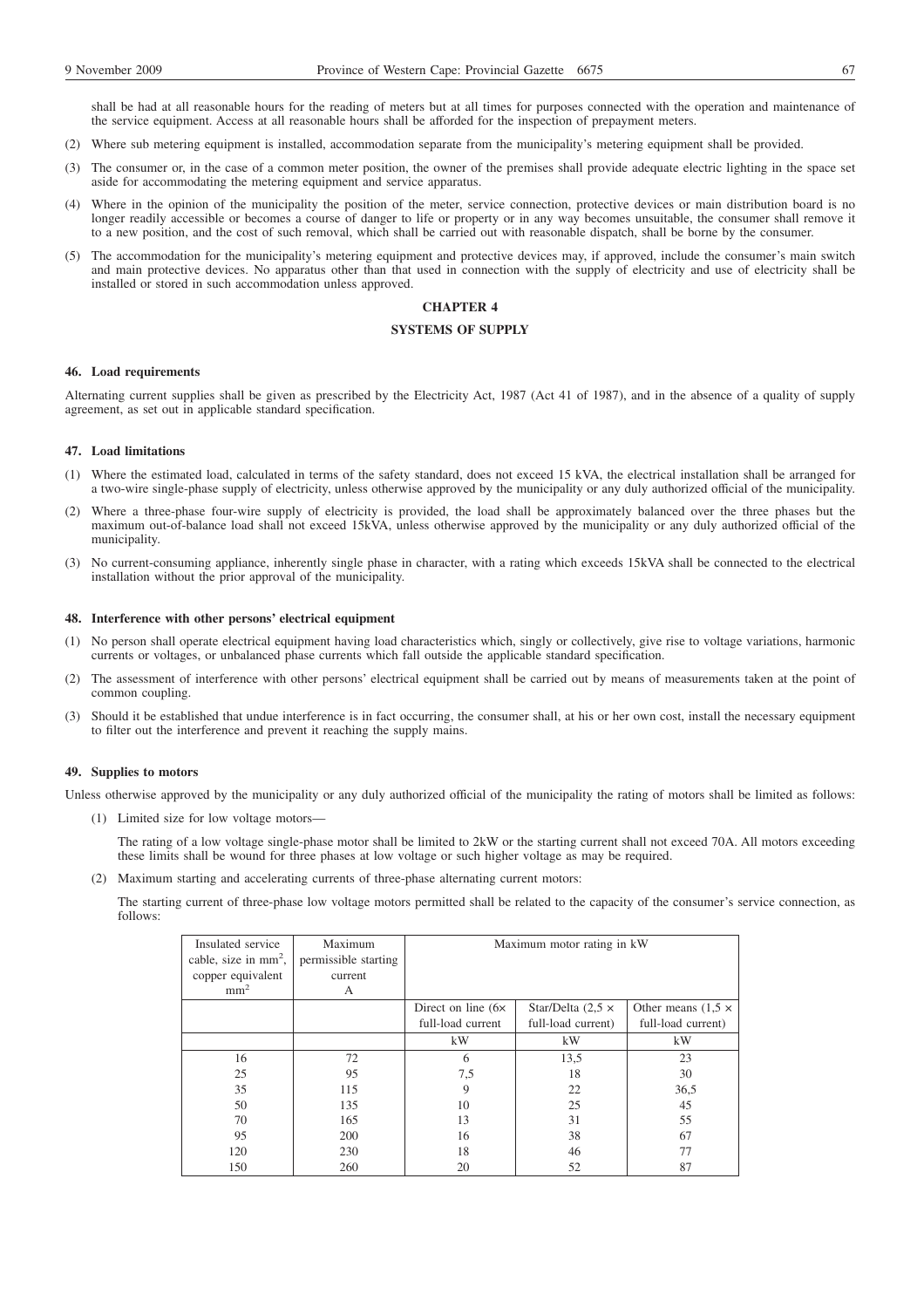shall be had at all reasonable hours for the reading of meters but at all times for purposes connected with the operation and maintenance of the service equipment. Access at all reasonable hours shall be afforded for the inspection of prepayment meters.

- (2) Where sub metering equipment is installed, accommodation separate from the municipality's metering equipment shall be provided.
- (3) The consumer or, in the case of a common meter position, the owner of the premises shall provide adequate electric lighting in the space set aside for accommodating the metering equipment and service apparatus.
- (4) Where in the opinion of the municipality the position of the meter, service connection, protective devices or main distribution board is no longer readily accessible or becomes a course of danger to life or property or in any way becomes unsuitable, the consumer shall remove it to a new position, and the cost of such removal, which shall be carried out with reasonable dispatch, shall be borne by the consumer.
- (5) The accommodation for the municipality's metering equipment and protective devices may, if approved, include the consumer's main switch and main protective devices. No apparatus other than that used in connection with the supply of electricity and use of electricity shall be installed or stored in such accommodation unless approved.

# **CHAPTER 4**

# **SYSTEMS OF SUPPLY**

#### **46. Load requirements**

Alternating current supplies shall be given as prescribed by the Electricity Act, 1987 (Act 41 of 1987), and in the absence of a quality of supply agreement, as set out in applicable standard specification.

#### **47. Load limitations**

- (1) Where the estimated load, calculated in terms of the safety standard, does not exceed 15 kVA, the electrical installation shall be arranged for a two-wire single-phase supply of electricity, unless otherwise approved by the municipality or any duly authorized official of the municipality.
- (2) Where a three-phase four-wire supply of electricity is provided, the load shall be approximately balanced over the three phases but the maximum out-of-balance load shall not exceed 15kVA, unless otherwise approved by the municipality or any duly authorized official of the municipality.
- (3) No current-consuming appliance, inherently single phase in character, with a rating which exceeds 15kVA shall be connected to the electrical installation without the prior approval of the municipality.

### **48. Interference with other persons' electrical equipment**

- (1) No person shall operate electrical equipment having load characteristics which, singly or collectively, give rise to voltage variations, harmonic currents or voltages, or unbalanced phase currents which fall outside the applicable standard specification.
- (2) The assessment of interference with other persons' electrical equipment shall be carried out by means of measurements taken at the point of common coupling.
- (3) Should it be established that undue interference is in fact occurring, the consumer shall, at his or her own cost, install the necessary equipment to filter out the interference and prevent it reaching the supply mains.

### **49. Supplies to motors**

Unless otherwise approved by the municipality or any duly authorized official of the municipality the rating of motors shall be limited as follows:

(1) Limited size for low voltage motors—

The rating of a low voltage single-phase motor shall be limited to 2kW or the starting current shall not exceed 70A. All motors exceeding these limits shall be wound for three phases at low voltage or such higher voltage as may be required.

(2) Maximum starting and accelerating currents of three-phase alternating current motors:

The starting current of three-phase low voltage motors permitted shall be related to the capacity of the consumer's service connection, as follows:

| Insulated service      | Maximum              | Maximum motor rating in kW |                          |                           |
|------------------------|----------------------|----------------------------|--------------------------|---------------------------|
| cable, size in $mm2$ , | permissible starting |                            |                          |                           |
| copper equivalent      | current              |                            |                          |                           |
| mm <sup>2</sup>        | А                    |                            |                          |                           |
|                        |                      | Direct on line $(6x)$      | Star/Delta $(2.5 \times$ | Other means $(1,5 \times$ |
|                        |                      | full-load current          | full-load current)       | full-load current)        |
|                        |                      | kW                         | kW                       | kW                        |
| 16                     | 72                   | 6                          | 13,5                     | 23                        |
| 25                     | 95                   | 7,5                        | 18                       | 30                        |
| 35                     | 115                  | 9                          | 22                       | 36,5                      |
| 50                     | 135                  | 10                         | 25                       | 45                        |
| 70                     | 165                  | 13                         | 31                       | 55                        |
| 95                     | 200                  | 16                         | 38                       | 67                        |
| 120                    | 230                  | 18                         | 46                       | 77                        |
| 150                    | 260                  | 20                         | 52                       | 87                        |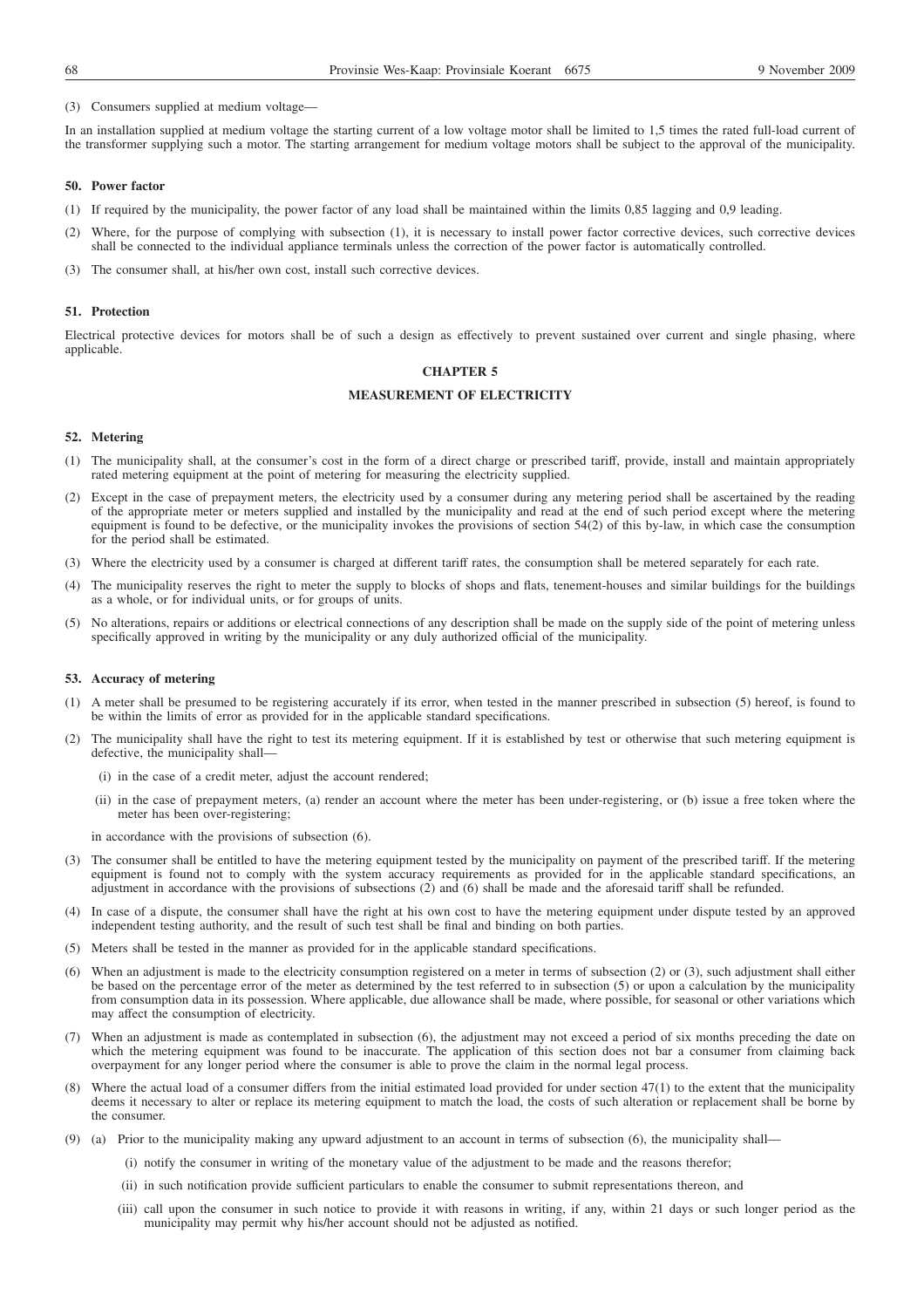### (3) Consumers supplied at medium voltage—

In an installation supplied at medium voltage the starting current of a low voltage motor shall be limited to 1,5 times the rated full-load current of the transformer supplying such a motor. The starting arrangement for medium voltage motors shall be subject to the approval of the municipality.

### **50. Power factor**

- (1) If required by the municipality, the power factor of any load shall be maintained within the limits 0,85 lagging and 0,9 leading.
- (2) Where, for the purpose of complying with subsection (1), it is necessary to install power factor corrective devices, such corrective devices shall be connected to the individual appliance terminals unless the correction of the power factor is automatically controlled.
- (3) The consumer shall, at his/her own cost, install such corrective devices.

#### **51. Protection**

Electrical protective devices for motors shall be of such a design as effectively to prevent sustained over current and single phasing, where applicable.

## **CHAPTER 5**

### **MEASUREMENT OF ELECTRICITY**

### **52. Metering**

- (1) The municipality shall, at the consumer's cost in the form of a direct charge or prescribed tariff, provide, install and maintain appropriately rated metering equipment at the point of metering for measuring the electricity supplied.
- (2) Except in the case of prepayment meters, the electricity used by a consumer during any metering period shall be ascertained by the reading of the appropriate meter or meters supplied and installed by the municipality and read at the end of such period except where the metering equipment is found to be defective, or the municipality invokes the provisions of section 54(2) of this by-law, in which case the consumption for the period shall be estimated.
- (3) Where the electricity used by a consumer is charged at different tariff rates, the consumption shall be metered separately for each rate.
- (4) The municipality reserves the right to meter the supply to blocks of shops and flats, tenement-houses and similar buildings for the buildings as a whole, or for individual units, or for groups of units.
- (5) No alterations, repairs or additions or electrical connections of any description shall be made on the supply side of the point of metering unless specifically approved in writing by the municipality or any duly authorized official of the municipality.

# **53. Accuracy of metering**

- (1) A meter shall be presumed to be registering accurately if its error, when tested in the manner prescribed in subsection (5) hereof, is found to be within the limits of error as provided for in the applicable standard specifications.
- (2) The municipality shall have the right to test its metering equipment. If it is established by test or otherwise that such metering equipment is defective, the municipality shall—
	- (i) in the case of a credit meter, adjust the account rendered;
	- (ii) in the case of prepayment meters, (a) render an account where the meter has been under-registering, or (b) issue a free token where the meter has been over-registering;

in accordance with the provisions of subsection (6).

- (3) The consumer shall be entitled to have the metering equipment tested by the municipality on payment of the prescribed tariff. If the metering equipment is found not to comply with the system accuracy requirements as provided for in the applicable standard specifications, an adjustment in accordance with the provisions of subsections (2) and (6) shall be made and the aforesaid tariff shall be refunded.
- (4) In case of a dispute, the consumer shall have the right at his own cost to have the metering equipment under dispute tested by an approved independent testing authority, and the result of such test shall be final and binding on both parties.
- (5) Meters shall be tested in the manner as provided for in the applicable standard specifications.
- (6) When an adjustment is made to the electricity consumption registered on a meter in terms of subsection (2) or (3), such adjustment shall either be based on the percentage error of the meter as determined by the test referred to in subsection (5) or upon a calculation by the municipality from consumption data in its possession. Where applicable, due allowance shall be made, where possible, for seasonal or other variations which may affect the consumption of electricity.
- (7) When an adjustment is made as contemplated in subsection (6), the adjustment may not exceed a period of six months preceding the date on which the metering equipment was found to be inaccurate. The application of this section does not bar a consumer from claiming back overpayment for any longer period where the consumer is able to prove the claim in the normal legal process.
- (8) Where the actual load of a consumer differs from the initial estimated load provided for under section 47(1) to the extent that the municipality deems it necessary to alter or replace its metering equipment to match the load, the costs of such alteration or replacement shall be borne by the consumer.
- (9) (a) Prior to the municipality making any upward adjustment to an account in terms of subsection (6), the municipality shall—
	- (i) notify the consumer in writing of the monetary value of the adjustment to be made and the reasons therefor;
	- (ii) in such notification provide sufficient particulars to enable the consumer to submit representations thereon, and
	- (iii) call upon the consumer in such notice to provide it with reasons in writing, if any, within 21 days or such longer period as the municipality may permit why his/her account should not be adjusted as notified.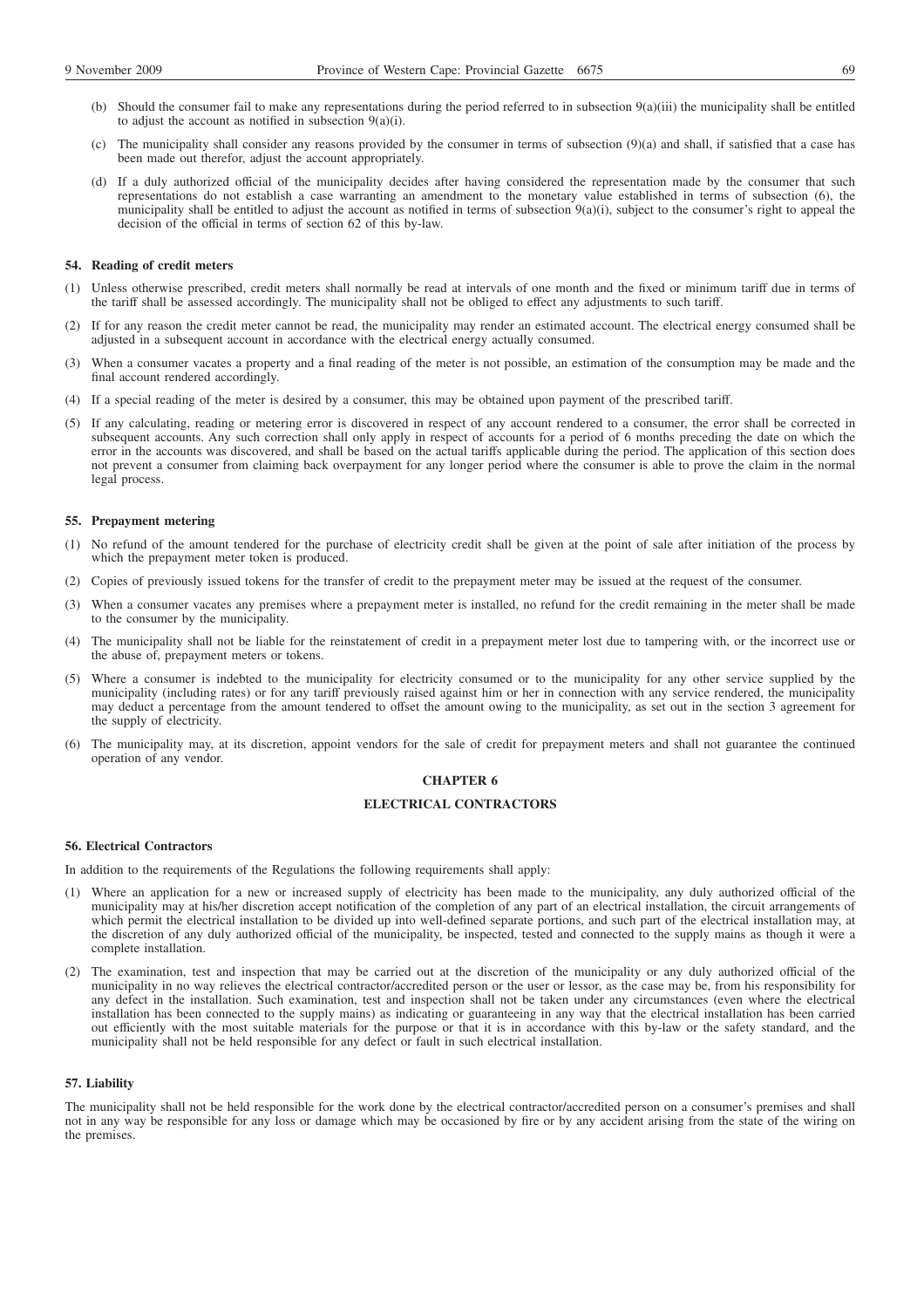- (b) Should the consumer fail to make any representations during the period referred to in subsection 9(a)(iii) the municipality shall be entitled to adjust the account as notified in subsection 9(a)(i).
- (c) The municipality shall consider any reasons provided by the consumer in terms of subsection (9)(a) and shall, if satisfied that a case has been made out therefor, adjust the account appropriately.
- (d) If a duly authorized official of the municipality decides after having considered the representation made by the consumer that such representations do not establish a case warranting an amendment to the monetary value established in terms of subsection (6), the municipality shall be entitled to adjust the account as notified in terms of subsection  $9(a)(i)$ , subject to the consumer's right to appeal the decision of the official in terms of section 62 of this by-law.

## **54. Reading of credit meters**

- (1) Unless otherwise prescribed, credit meters shall normally be read at intervals of one month and the fixed or minimum tariff due in terms of the tariff shall be assessed accordingly. The municipality shall not be obliged to effect any adjustments to such tariff.
- (2) If for any reason the credit meter cannot be read, the municipality may render an estimated account. The electrical energy consumed shall be adjusted in a subsequent account in accordance with the electrical energy actually consumed.
- (3) When a consumer vacates a property and a final reading of the meter is not possible, an estimation of the consumption may be made and the final account rendered accordingly.
- (4) If a special reading of the meter is desired by a consumer, this may be obtained upon payment of the prescribed tariff.
- (5) If any calculating, reading or metering error is discovered in respect of any account rendered to a consumer, the error shall be corrected in subsequent accounts. Any such correction shall only apply in respect of accounts for a period of 6 months preceding the date on which the error in the accounts was discovered, and shall be based on the actual tariffs applicable during the period. The application of this section does not prevent a consumer from claiming back overpayment for any longer period where the consumer is able to prove the claim in the normal legal process.

#### **55. Prepayment metering**

- (1) No refund of the amount tendered for the purchase of electricity credit shall be given at the point of sale after initiation of the process by which the prepayment meter token is produced.
- (2) Copies of previously issued tokens for the transfer of credit to the prepayment meter may be issued at the request of the consumer.
- (3) When a consumer vacates any premises where a prepayment meter is installed, no refund for the credit remaining in the meter shall be made to the consumer by the municipality.
- (4) The municipality shall not be liable for the reinstatement of credit in a prepayment meter lost due to tampering with, or the incorrect use or the abuse of, prepayment meters or tokens.
- (5) Where a consumer is indebted to the municipality for electricity consumed or to the municipality for any other service supplied by the municipality (including rates) or for any tariff previously raised against him or her in connection with any service rendered, the municipality may deduct a percentage from the amount tendered to offset the amount owing to the municipality, as set out in the section 3 agreement for the supply of electricity.
- (6) The municipality may, at its discretion, appoint vendors for the sale of credit for prepayment meters and shall not guarantee the continued operation of any vendor.

# **CHAPTER 6**

# **ELECTRICAL CONTRACTORS**

#### **56. Electrical Contractors**

In addition to the requirements of the Regulations the following requirements shall apply:

- (1) Where an application for a new or increased supply of electricity has been made to the municipality, any duly authorized official of the municipality may at his/her discretion accept notification of the completion of any part of an electrical installation, the circuit arrangements of which permit the electrical installation to be divided up into well-defined separate portions, and such part of the electrical installation may, at the discretion of any duly authorized official of the municipality, be inspected, tested and connected to the supply mains as though it were a complete installation.
- (2) The examination, test and inspection that may be carried out at the discretion of the municipality or any duly authorized official of the municipality in no way relieves the electrical contractor/accredited person or the user or lessor, as the case may be, from his responsibility for any defect in the installation. Such examination, test and inspection shall not be taken under any circumstances (even where the electrical installation has been connected to the supply mains) as indicating or guaranteeing in any way that the electrical installation has been carried out efficiently with the most suitable materials for the purpose or that it is in accordance with this by-law or the safety standard, and the municipality shall not be held responsible for any defect or fault in such electrical installation.

#### **57. Liability**

The municipality shall not be held responsible for the work done by the electrical contractor/accredited person on a consumer's premises and shall not in any way be responsible for any loss or damage which may be occasioned by fire or by any accident arising from the state of the wiring on the premises.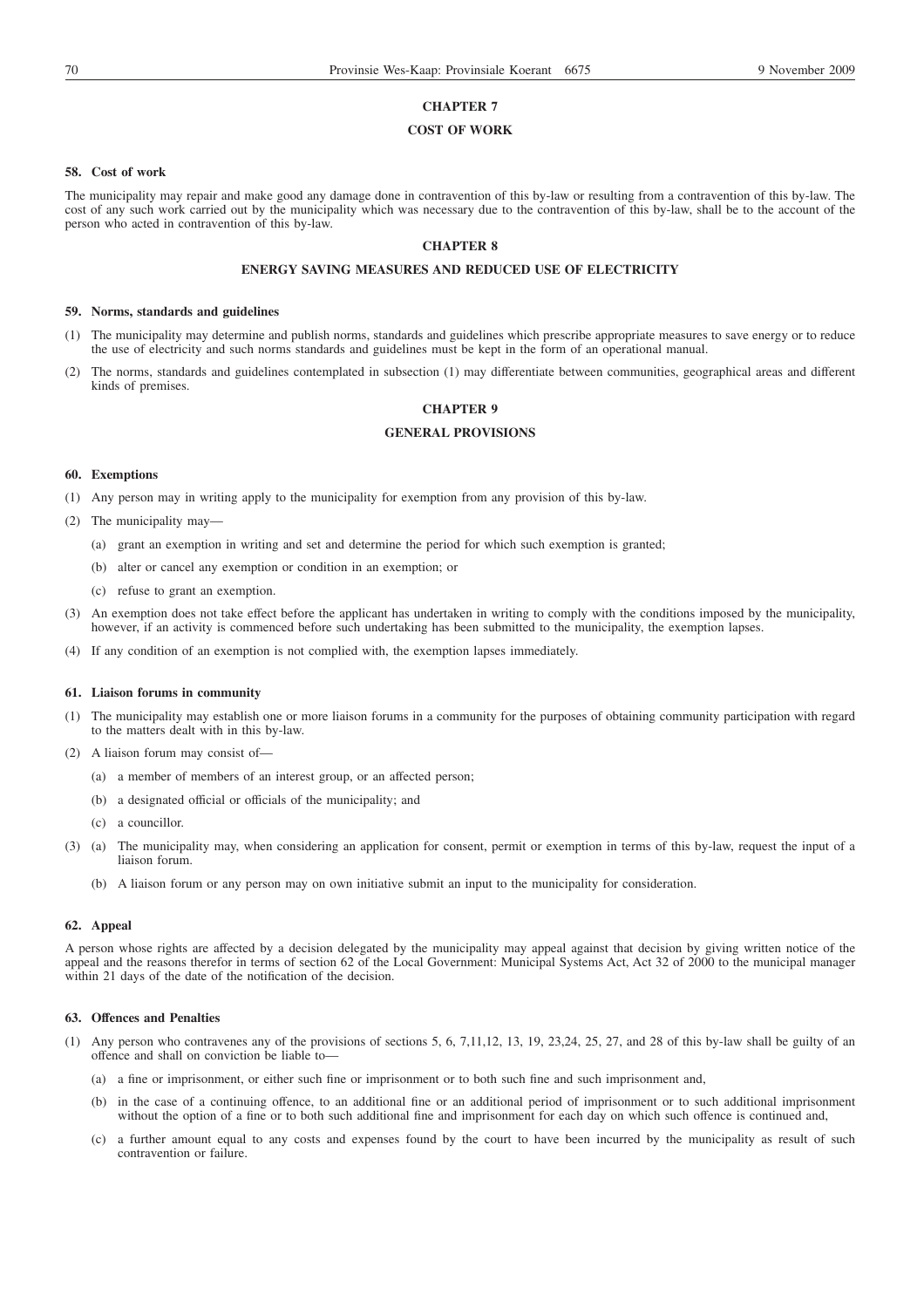# **CHAPTER 7**

## **COST OF WORK**

#### **58. Cost of work**

The municipality may repair and make good any damage done in contravention of this by-law or resulting from a contravention of this by-law. The cost of any such work carried out by the municipality which was necessary due to the contravention of this by-law, shall be to the account of the person who acted in contravention of this by-law.

# **CHAPTER 8**

# **ENERGY SAVING MEASURES AND REDUCED USE OF ELECTRICITY**

#### **59. Norms, standards and guidelines**

- (1) The municipality may determine and publish norms, standards and guidelines which prescribe appropriate measures to save energy or to reduce the use of electricity and such norms standards and guidelines must be kept in the form of an operational manual.
- (2) The norms, standards and guidelines contemplated in subsection (1) may differentiate between communities, geographical areas and different kinds of premises.

#### **CHAPTER 9**

# **GENERAL PROVISIONS**

#### **60. Exemptions**

- (1) Any person may in writing apply to the municipality for exemption from any provision of this by-law.
- (2) The municipality may—
	- (a) grant an exemption in writing and set and determine the period for which such exemption is granted;
	- (b) alter or cancel any exemption or condition in an exemption; or
	- (c) refuse to grant an exemption.
- (3) An exemption does not take effect before the applicant has undertaken in writing to comply with the conditions imposed by the municipality, however, if an activity is commenced before such undertaking has been submitted to the municipality, the exemption lapses.
- (4) If any condition of an exemption is not complied with, the exemption lapses immediately.

#### **61. Liaison forums in community**

- (1) The municipality may establish one or more liaison forums in a community for the purposes of obtaining community participation with regard to the matters dealt with in this by-law.
- (2) A liaison forum may consist of—
	- (a) a member of members of an interest group, or an affected person;
	- (b) a designated official or officials of the municipality; and
	- (c) a councillor.
- (3) (a) The municipality may, when considering an application for consent, permit or exemption in terms of this by-law, request the input of a liaison forum.
	- (b) A liaison forum or any person may on own initiative submit an input to the municipality for consideration.

#### **62. Appeal**

A person whose rights are affected by a decision delegated by the municipality may appeal against that decision by giving written notice of the appeal and the reasons therefor in terms of section 62 of the Local Government: Municipal Systems Act, Act 32 of 2000 to the municipal manager within 21 days of the date of the notification of the decision.

#### **63. Offences and Penalties**

- (1) Any person who contravenes any of the provisions of sections 5, 6, 7,11,12, 13, 19, 23,24, 25, 27, and 28 of this by-law shall be guilty of an offence and shall on conviction be liable to—
	- (a) a fine or imprisonment, or either such fine or imprisonment or to both such fine and such imprisonment and,
	- (b) in the case of a continuing offence, to an additional fine or an additional period of imprisonment or to such additional imprisonment without the option of a fine or to both such additional fine and imprisonment for each day on which such offence is continued and,
	- (c) a further amount equal to any costs and expenses found by the court to have been incurred by the municipality as result of such contravention or failure.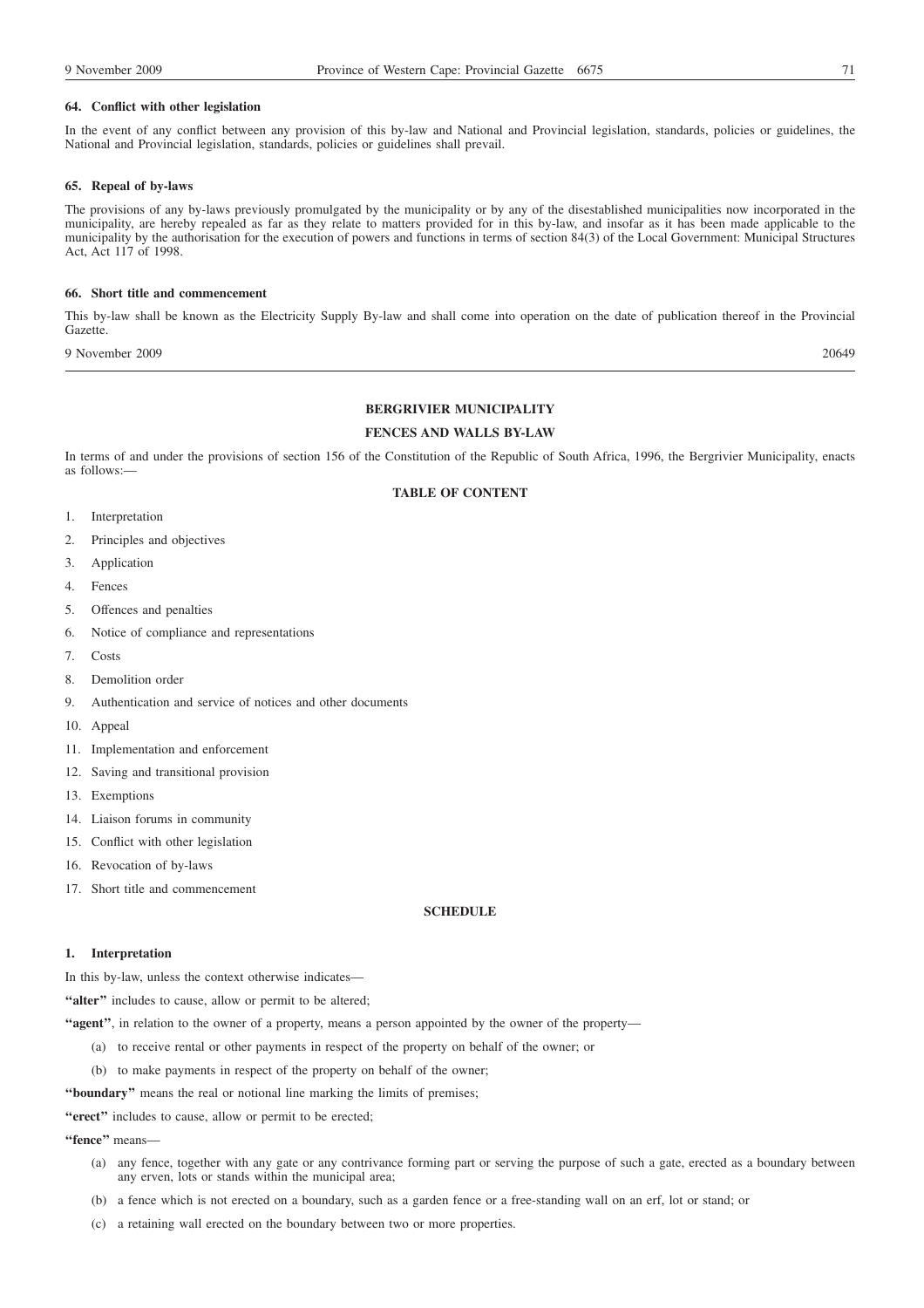### **64. Conflict with other legislation**

In the event of any conflict between any provision of this by-law and National and Provincial legislation, standards, policies or guidelines, the National and Provincial legislation, standards, policies or guidelines shall prevail.

#### **65. Repeal of by-laws**

The provisions of any by-laws previously promulgated by the municipality or by any of the disestablished municipalities now incorporated in the municipality, are hereby repealed as far as they relate to matters provided for in this by-law, and insofar as it has been made applicable to the municipality by the authorisation for the execution of powers and functions in terms of section 84(3) of the Local Government: Municipal Structures Act, Act 117 of 1998.

#### **66. Short title and commencement**

This by-law shall be known as the Electricity Supply By-law and shall come into operation on the date of publication thereof in the Provincial Gazette.

9 November 2009 20649

### **BERGRIVIER MUNICIPALITY**

# **FENCES AND WALLS BY-LAW**

In terms of and under the provisions of section 156 of the Constitution of the Republic of South Africa, 1996, the Bergrivier Municipality, enacts as follows:—

# **TABLE OF CONTENT**

- 1. Interpretation
- 2. Principles and objectives
- 3. Application
- 4. Fences
- 5. Offences and penalties
- 6. Notice of compliance and representations
- 7. Costs
- 8. Demolition order
- 9. Authentication and service of notices and other documents
- 10. Appeal
- 11. Implementation and enforcement
- 12. Saving and transitional provision
- 13. Exemptions
- 14. Liaison forums in community
- 15. Conflict with other legislation
- 16. Revocation of by-laws
- 17. Short title and commencement

# **SCHEDULE**

## **1. Interpretation**

In this by-law, unless the context otherwise indicates-

"alter" includes to cause, allow or permit to be altered;

**''agent''**, in relation to the owner of a property, means a person appointed by the owner of the property—

- (a) to receive rental or other payments in respect of the property on behalf of the owner; or
- (b) to make payments in respect of the property on behalf of the owner;

**''boundary''** means the real or notional line marking the limits of premises;

**''erect''** includes to cause, allow or permit to be erected;

**''fence''** means—

- (a) any fence, together with any gate or any contrivance forming part or serving the purpose of such a gate, erected as a boundary between any erven, lots or stands within the municipal area;
- (b) a fence which is not erected on a boundary, such as a garden fence or a free-standing wall on an erf, lot or stand; or
- (c) a retaining wall erected on the boundary between two or more properties.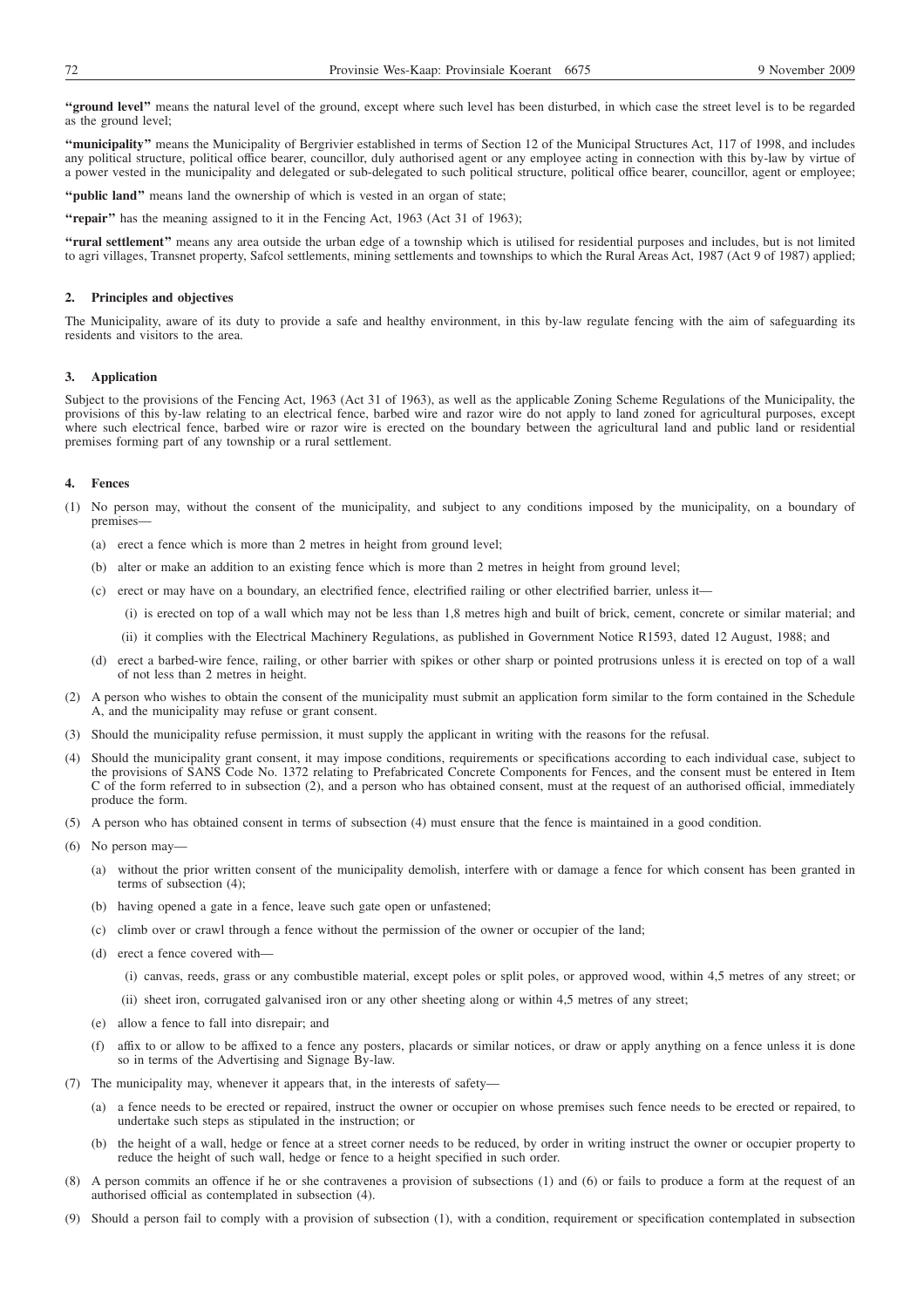**''ground level''** means the natural level of the ground, except where such level has been disturbed, in which case the street level is to be regarded as the ground level;

**''municipality''** means the Municipality of Bergrivier established in terms of Section 12 of the Municipal Structures Act, 117 of 1998, and includes any political structure, political office bearer, councillor, duly authorised agent or any employee acting in connection with this by-law by virtue of a power vested in the municipality and delegated or sub-delegated to such political structure, political office bearer, councillor, agent or employee;

**''public land''** means land the ownership of which is vested in an organ of state;

**''repair''** has the meaning assigned to it in the Fencing Act, 1963 (Act 31 of 1963);

**''rural settlement''** means any area outside the urban edge of a township which is utilised for residential purposes and includes, but is not limited to agri villages, Transnet property, Safcol settlements, mining settlements and townships to which the Rural Areas Act, 1987 (Act 9 of 1987) applied;

## **2. Principles and objectives**

The Municipality, aware of its duty to provide a safe and healthy environment, in this by-law regulate fencing with the aim of safeguarding its residents and visitors to the area.

## **3. Application**

Subject to the provisions of the Fencing Act, 1963 (Act 31 of 1963), as well as the applicable Zoning Scheme Regulations of the Municipality, the provisions of this by-law relating to an electrical fence, barbed wire and razor wire do not apply to land zoned for agricultural purposes, except where such electrical fence, barbed wire or razor wire is erected on the boundary between the agricultural land and public land or residential premises forming part of any township or a rural settlement.

## **4. Fences**

- (1) No person may, without the consent of the municipality, and subject to any conditions imposed by the municipality, on a boundary of premises—
	- (a) erect a fence which is more than 2 metres in height from ground level;
	- (b) alter or make an addition to an existing fence which is more than 2 metres in height from ground level;
	- (c) erect or may have on a boundary, an electrified fence, electrified railing or other electrified barrier, unless it—
		- (i) is erected on top of a wall which may not be less than 1,8 metres high and built of brick, cement, concrete or similar material; and
		- (ii) it complies with the Electrical Machinery Regulations, as published in Government Notice R1593, dated 12 August, 1988; and
	- (d) erect a barbed-wire fence, railing, or other barrier with spikes or other sharp or pointed protrusions unless it is erected on top of a wall of not less than 2 metres in height.
- (2) A person who wishes to obtain the consent of the municipality must submit an application form similar to the form contained in the Schedule A, and the municipality may refuse or grant consent.
- (3) Should the municipality refuse permission, it must supply the applicant in writing with the reasons for the refusal.
- (4) Should the municipality grant consent, it may impose conditions, requirements or specifications according to each individual case, subject to the provisions of SANS Code No. 1372 relating to Prefabricated Concrete Components for Fences, and the consent must be entered in Item C of the form referred to in subsection (2), and a person who has obtained consent, must at the request of an authorised official, immediately produce the form.
- (5) A person who has obtained consent in terms of subsection (4) must ensure that the fence is maintained in a good condition.
- (6) No person may—
	- (a) without the prior written consent of the municipality demolish, interfere with or damage a fence for which consent has been granted in terms of subsection (4);
	- (b) having opened a gate in a fence, leave such gate open or unfastened;
	- (c) climb over or crawl through a fence without the permission of the owner or occupier of the land;
	- (d) erect a fence covered with—
		- (i) canvas, reeds, grass or any combustible material, except poles or split poles, or approved wood, within 4,5 metres of any street; or
			- (ii) sheet iron, corrugated galvanised iron or any other sheeting along or within 4,5 metres of any street;
	- (e) allow a fence to fall into disrepair; and
	- (f) affix to or allow to be affixed to a fence any posters, placards or similar notices, or draw or apply anything on a fence unless it is done so in terms of the Advertising and Signage By-law.
- (7) The municipality may, whenever it appears that, in the interests of safety—
	- (a) a fence needs to be erected or repaired, instruct the owner or occupier on whose premises such fence needs to be erected or repaired, to undertake such steps as stipulated in the instruction; or
	- (b) the height of a wall, hedge or fence at a street corner needs to be reduced, by order in writing instruct the owner or occupier property to reduce the height of such wall, hedge or fence to a height specified in such order.
- (8) A person commits an offence if he or she contravenes a provision of subsections (1) and (6) or fails to produce a form at the request of an authorised official as contemplated in subsection (4).
- (9) Should a person fail to comply with a provision of subsection (1), with a condition, requirement or specification contemplated in subsection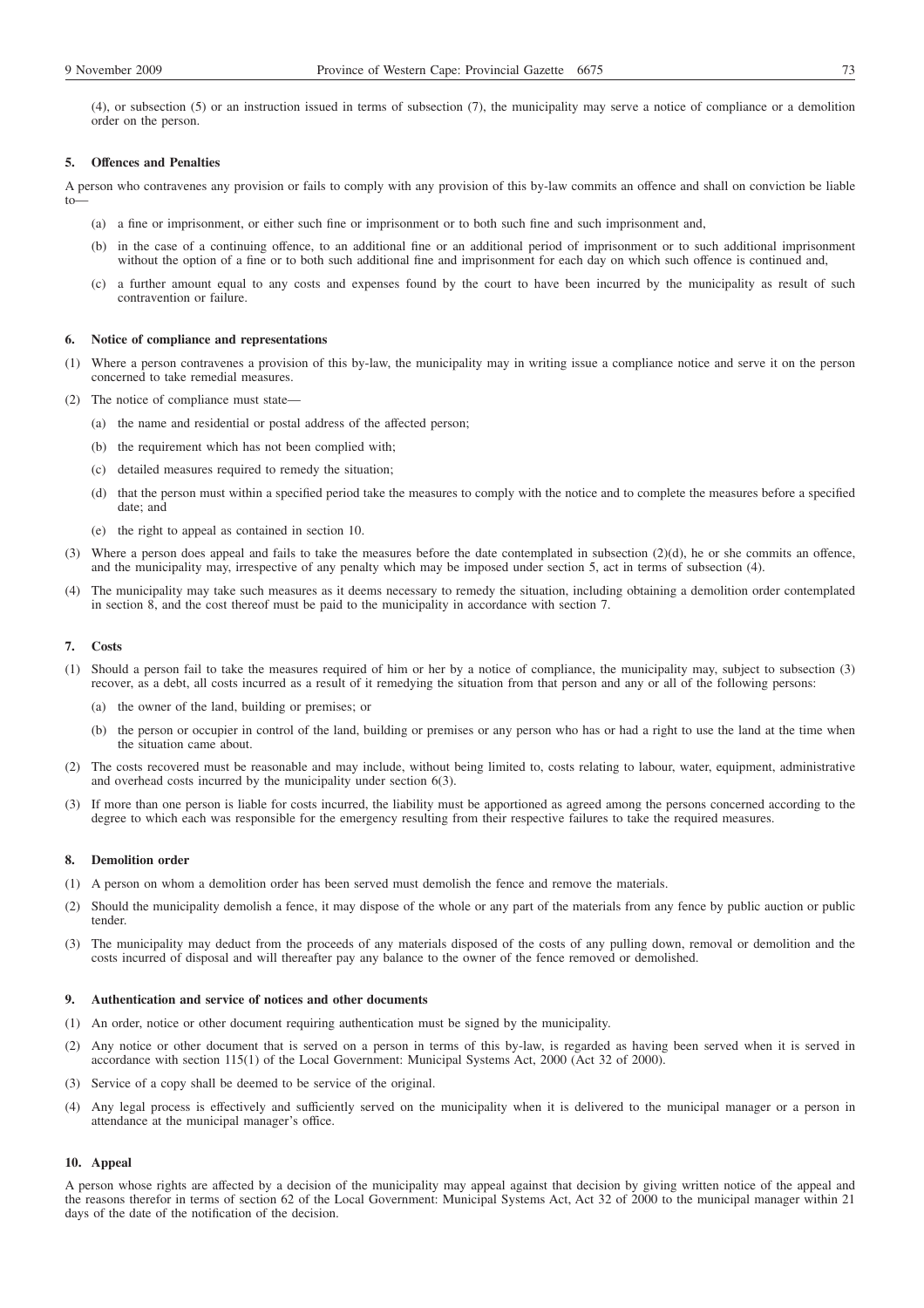(4), or subsection (5) or an instruction issued in terms of subsection (7), the municipality may serve a notice of compliance or a demolition order on the person.

### **5. Offences and Penalties**

A person who contravenes any provision or fails to comply with any provision of this by-law commits an offence and shall on conviction be liable to—

- (a) a fine or imprisonment, or either such fine or imprisonment or to both such fine and such imprisonment and,
- (b) in the case of a continuing offence, to an additional fine or an additional period of imprisonment or to such additional imprisonment without the option of a fine or to both such additional fine and imprisonment for each day on which such offence is continued and,
- (c) a further amount equal to any costs and expenses found by the court to have been incurred by the municipality as result of such contravention or failure.

## **6. Notice of compliance and representations**

- (1) Where a person contravenes a provision of this by-law, the municipality may in writing issue a compliance notice and serve it on the person concerned to take remedial measures.
- (2) The notice of compliance must state—
	- (a) the name and residential or postal address of the affected person;
	- (b) the requirement which has not been complied with;
	- (c) detailed measures required to remedy the situation;
	- (d) that the person must within a specified period take the measures to comply with the notice and to complete the measures before a specified date; and
	- (e) the right to appeal as contained in section 10.
- (3) Where a person does appeal and fails to take the measures before the date contemplated in subsection (2)(d), he or she commits an offence, and the municipality may, irrespective of any penalty which may be imposed under section 5, act in terms of subsection (4).
- (4) The municipality may take such measures as it deems necessary to remedy the situation, including obtaining a demolition order contemplated in section 8, and the cost thereof must be paid to the municipality in accordance with section 7.

#### **7. Costs**

- (1) Should a person fail to take the measures required of him or her by a notice of compliance, the municipality may, subject to subsection (3) recover, as a debt, all costs incurred as a result of it remedying the situation from that person and any or all of the following persons:
	- (a) the owner of the land, building or premises; or
	- (b) the person or occupier in control of the land, building or premises or any person who has or had a right to use the land at the time when the situation came about.
- (2) The costs recovered must be reasonable and may include, without being limited to, costs relating to labour, water, equipment, administrative and overhead costs incurred by the municipality under section 6(3).
- (3) If more than one person is liable for costs incurred, the liability must be apportioned as agreed among the persons concerned according to the degree to which each was responsible for the emergency resulting from their respective failures to take the required measures.

### **8. Demolition order**

- (1) A person on whom a demolition order has been served must demolish the fence and remove the materials.
- (2) Should the municipality demolish a fence, it may dispose of the whole or any part of the materials from any fence by public auction or public tender.
- (3) The municipality may deduct from the proceeds of any materials disposed of the costs of any pulling down, removal or demolition and the costs incurred of disposal and will thereafter pay any balance to the owner of the fence removed or demolished.

#### **9. Authentication and service of notices and other documents**

- (1) An order, notice or other document requiring authentication must be signed by the municipality.
- (2) Any notice or other document that is served on a person in terms of this by-law, is regarded as having been served when it is served in accordance with section 115(1) of the Local Government: Municipal Systems Act, 2000 (Act 32 of 2000).
- (3) Service of a copy shall be deemed to be service of the original.
- (4) Any legal process is effectively and sufficiently served on the municipality when it is delivered to the municipal manager or a person in attendance at the municipal manager's office.

#### **10. Appeal**

A person whose rights are affected by a decision of the municipality may appeal against that decision by giving written notice of the appeal and the reasons therefor in terms of section 62 of the Local Government: Municipal Systems Act, Act 32 of 2000 to the municipal manager within 21 days of the date of the notification of the decision.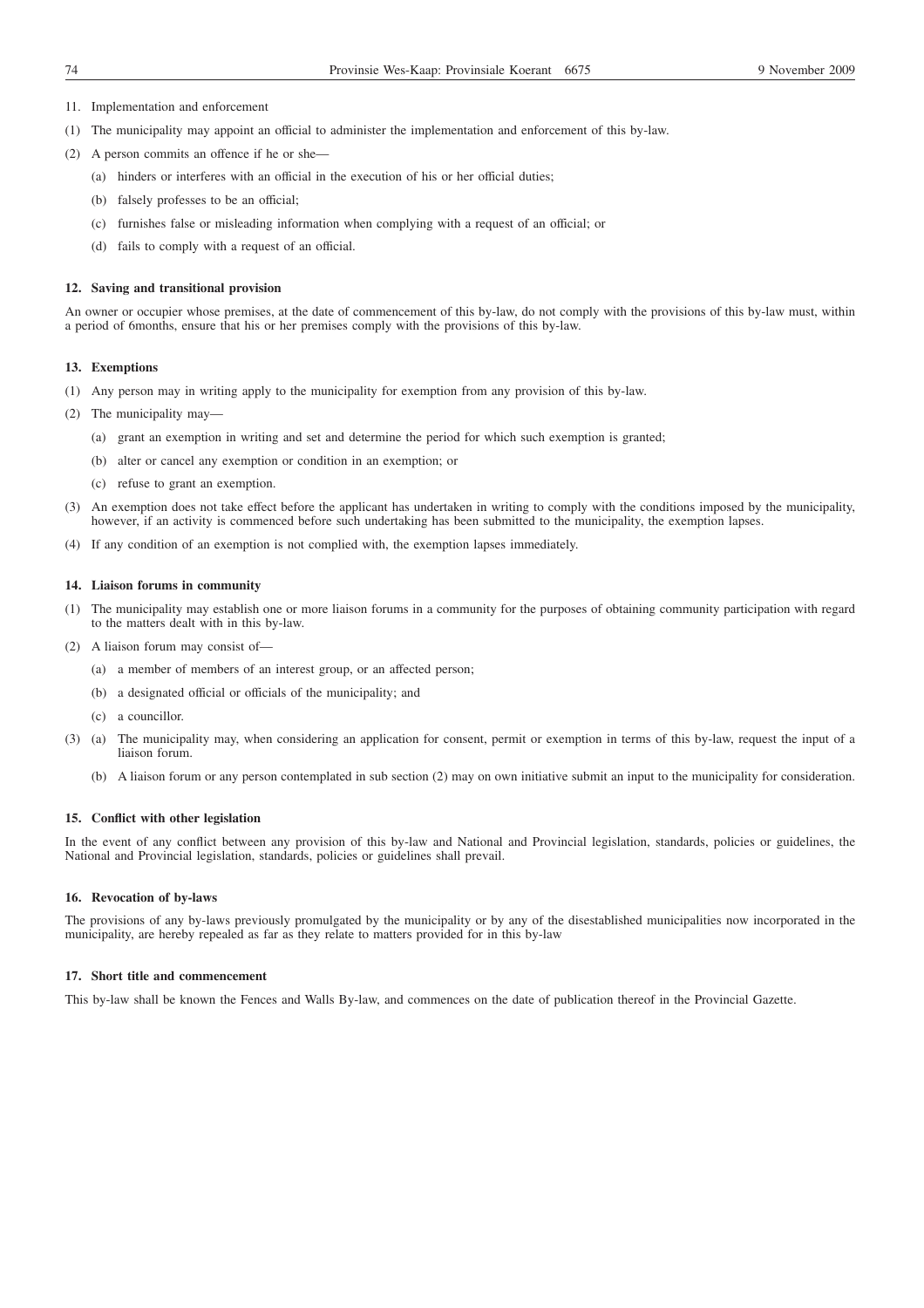- 11. Implementation and enforcement
- (1) The municipality may appoint an official to administer the implementation and enforcement of this by-law.
- (2) A person commits an offence if he or she—
	- (a) hinders or interferes with an official in the execution of his or her official duties;
	- (b) falsely professes to be an official;
	- (c) furnishes false or misleading information when complying with a request of an official; or
	- (d) fails to comply with a request of an official.

#### **12. Saving and transitional provision**

An owner or occupier whose premises, at the date of commencement of this by-law, do not comply with the provisions of this by-law must, within a period of 6months, ensure that his or her premises comply with the provisions of this by-law.

### **13. Exemptions**

- (1) Any person may in writing apply to the municipality for exemption from any provision of this by-law.
- (2) The municipality may—
	- (a) grant an exemption in writing and set and determine the period for which such exemption is granted;
	- (b) alter or cancel any exemption or condition in an exemption; or
	- (c) refuse to grant an exemption.
- (3) An exemption does not take effect before the applicant has undertaken in writing to comply with the conditions imposed by the municipality, however, if an activity is commenced before such undertaking has been submitted to the municipality, the exemption lapses.
- (4) If any condition of an exemption is not complied with, the exemption lapses immediately.

### **14. Liaison forums in community**

- (1) The municipality may establish one or more liaison forums in a community for the purposes of obtaining community participation with regard to the matters dealt with in this by-law.
- (2) A liaison forum may consist of—
	- (a) a member of members of an interest group, or an affected person;
	- (b) a designated official or officials of the municipality; and
	- (c) a councillor.
- (3) (a) The municipality may, when considering an application for consent, permit or exemption in terms of this by-law, request the input of a liaison forum.
	- (b) A liaison forum or any person contemplated in sub section (2) may on own initiative submit an input to the municipality for consideration.

#### **15. Conflict with other legislation**

In the event of any conflict between any provision of this by-law and National and Provincial legislation, standards, policies or guidelines, the National and Provincial legislation, standards, policies or guidelines shall prevail.

## **16. Revocation of by-laws**

The provisions of any by-laws previously promulgated by the municipality or by any of the disestablished municipalities now incorporated in the municipality, are hereby repealed as far as they relate to matters provided for in this by-law

## **17. Short title and commencement**

This by-law shall be known the Fences and Walls By-law, and commences on the date of publication thereof in the Provincial Gazette.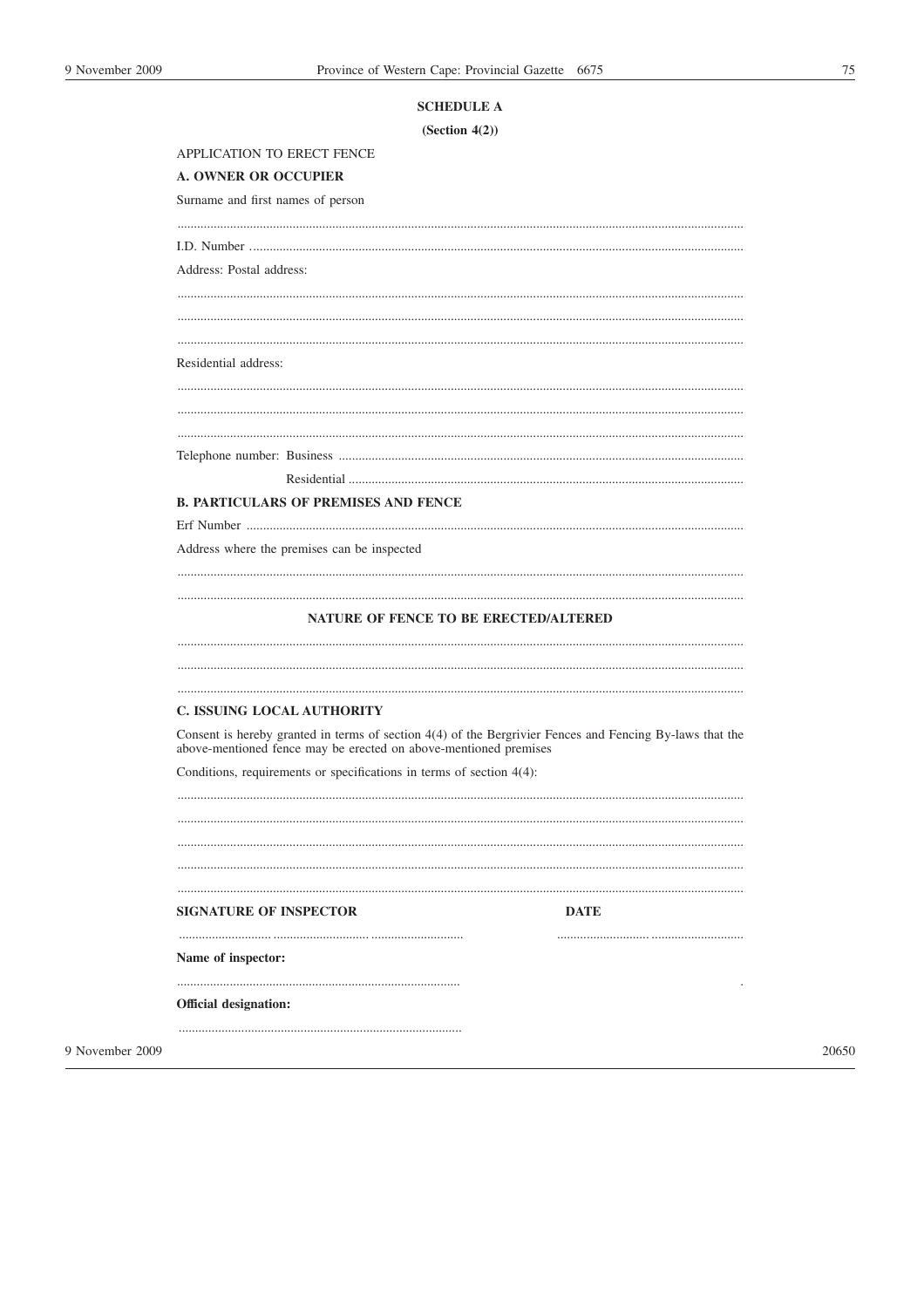# 75

| (Section 4(2))                                                                                                                                                               |
|------------------------------------------------------------------------------------------------------------------------------------------------------------------------------|
| APPLICATION TO ERECT FENCE                                                                                                                                                   |
| <b>A. OWNER OR OCCUPIER</b>                                                                                                                                                  |
| Surname and first names of person                                                                                                                                            |
|                                                                                                                                                                              |
| Address: Postal address:                                                                                                                                                     |
|                                                                                                                                                                              |
|                                                                                                                                                                              |
|                                                                                                                                                                              |
| Residential address:                                                                                                                                                         |
|                                                                                                                                                                              |
|                                                                                                                                                                              |
|                                                                                                                                                                              |
|                                                                                                                                                                              |
|                                                                                                                                                                              |
| <b>B. PARTICULARS OF PREMISES AND FENCE</b>                                                                                                                                  |
|                                                                                                                                                                              |
| Address where the premises can be inspected                                                                                                                                  |
|                                                                                                                                                                              |
| <b>NATURE OF FENCE TO BE ERECTED/ALTERED</b>                                                                                                                                 |
|                                                                                                                                                                              |
|                                                                                                                                                                              |
| C. ISSUING LOCAL AUTHORITY                                                                                                                                                   |
| Consent is hereby granted in terms of section 4(4) of the Bergrivier Fences and Fencing By-laws that the<br>above-mentioned fence may be erected on above-mentioned premises |
| Conditions, requirements or specifications in terms of section $4(4)$ :                                                                                                      |
|                                                                                                                                                                              |
|                                                                                                                                                                              |
|                                                                                                                                                                              |
|                                                                                                                                                                              |
| SIGNATURE OF INSPECTOR<br><b>DATE</b>                                                                                                                                        |
| Name of inspector:                                                                                                                                                           |
|                                                                                                                                                                              |
| <b>Official designation:</b>                                                                                                                                                 |
|                                                                                                                                                                              |

9 November 2009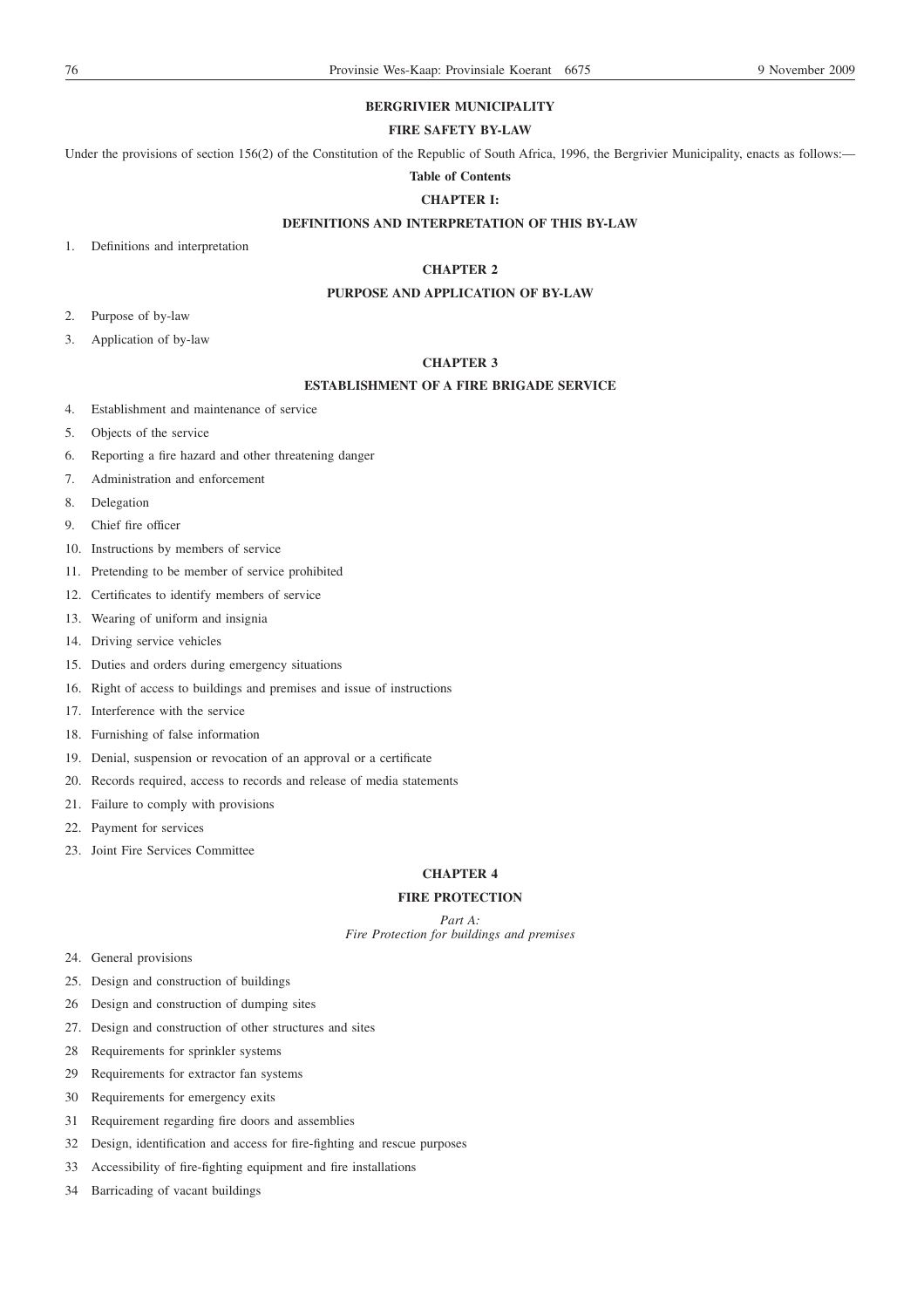# **BERGRIVIER MUNICIPALITY**

## **FIRE SAFETY BY-LAW**

Under the provisions of section 156(2) of the Constitution of the Republic of South Africa, 1996, the Bergrivier Municipality, enacts as follows:-

## **Table of Contents**

# **CHAPTER I:**

## **DEFINITIONS AND INTERPRETATION OF THIS BY-LAW**

1. Definitions and interpretation

## **CHAPTER 2**

## **PURPOSE AND APPLICATION OF BY-LAW**

- 2. Purpose of by-law
- 3. Application of by-law

## **CHAPTER 3**

## **ESTABLISHMENT OF A FIRE BRIGADE SERVICE**

- 4. Establishment and maintenance of service
- 5. Objects of the service
- 6. Reporting a fire hazard and other threatening danger
- 7. Administration and enforcement
- 8. Delegation
- 9. Chief fire officer
- 10. Instructions by members of service
- 11. Pretending to be member of service prohibited
- 12. Certificates to identify members of service
- 13. Wearing of uniform and insignia
- 14. Driving service vehicles
- 15. Duties and orders during emergency situations
- 16. Right of access to buildings and premises and issue of instructions
- 17. Interference with the service
- 18. Furnishing of false information
- 19. Denial, suspension or revocation of an approval or a certificate
- 20. Records required, access to records and release of media statements
- 21. Failure to comply with provisions
- 22. Payment for services
- 23. Joint Fire Services Committee

## **CHAPTER 4**

## **FIRE PROTECTION**

*Part A: Fire Protection for buildings and premises*

- 24. General provisions
- 25. Design and construction of buildings
- 26 Design and construction of dumping sites
- 27. Design and construction of other structures and sites
- 28 Requirements for sprinkler systems
- 29 Requirements for extractor fan systems
- 30 Requirements for emergency exits
- 31 Requirement regarding fire doors and assemblies
- 32 Design, identification and access for fire-fighting and rescue purposes
- 33 Accessibility of fire-fighting equipment and fire installations
- 34 Barricading of vacant buildings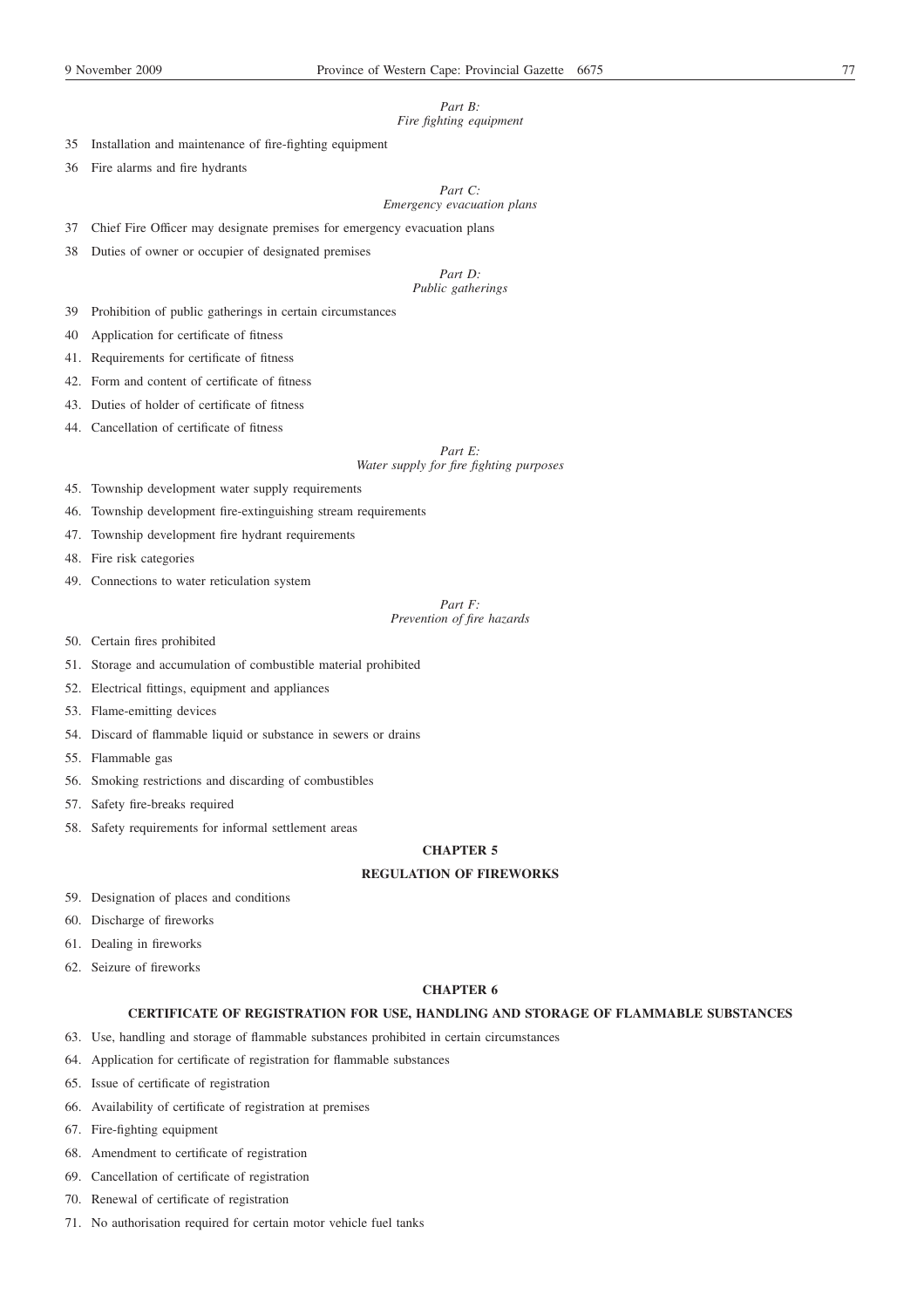# *Part B:*

## *Fire fighting equipment*

35 Installation and maintenance of fire-fighting equipment

36 Fire alarms and fire hydrants

*Part C: Emergency evacuation plans*

37 Chief Fire Officer may designate premises for emergency evacuation plans

38 Duties of owner or occupier of designated premises

## *Part D: Public gatherings*

39 Prohibition of public gatherings in certain circumstances

40 Application for certificate of fitness

41. Requirements for certificate of fitness

- 42. Form and content of certificate of fitness
- 43. Duties of holder of certificate of fitness
- 44. Cancellation of certificate of fitness

*Part E: Water supply for fire fighting purposes*

45. Township development water supply requirements

46. Township development fire-extinguishing stream requirements

- 47. Township development fire hydrant requirements
- 48. Fire risk categories
- 49. Connections to water reticulation system

*Part F: Prevention of fire hazards*

- 50. Certain fires prohibited
- 51. Storage and accumulation of combustible material prohibited
- 52. Electrical fittings, equipment and appliances
- 53. Flame-emitting devices
- 54. Discard of flammable liquid or substance in sewers or drains
- 55. Flammable gas
- 56. Smoking restrictions and discarding of combustibles
- 57. Safety fire-breaks required
- 58. Safety requirements for informal settlement areas

## **CHAPTER 5**

## **REGULATION OF FIREWORKS**

- 59. Designation of places and conditions
- 60. Discharge of fireworks
- 61. Dealing in fireworks
- 62. Seizure of fireworks

## **CHAPTER 6**

## **CERTIFICATE OF REGISTRATION FOR USE, HANDLING AND STORAGE OF FLAMMABLE SUBSTANCES**

- 63. Use, handling and storage of flammable substances prohibited in certain circumstances
- 64. Application for certificate of registration for flammable substances
- 65. Issue of certificate of registration
- 66. Availability of certificate of registration at premises
- 67. Fire-fighting equipment
- 68. Amendment to certificate of registration
- 69. Cancellation of certificate of registration
- 70. Renewal of certificate of registration
- 71. No authorisation required for certain motor vehicle fuel tanks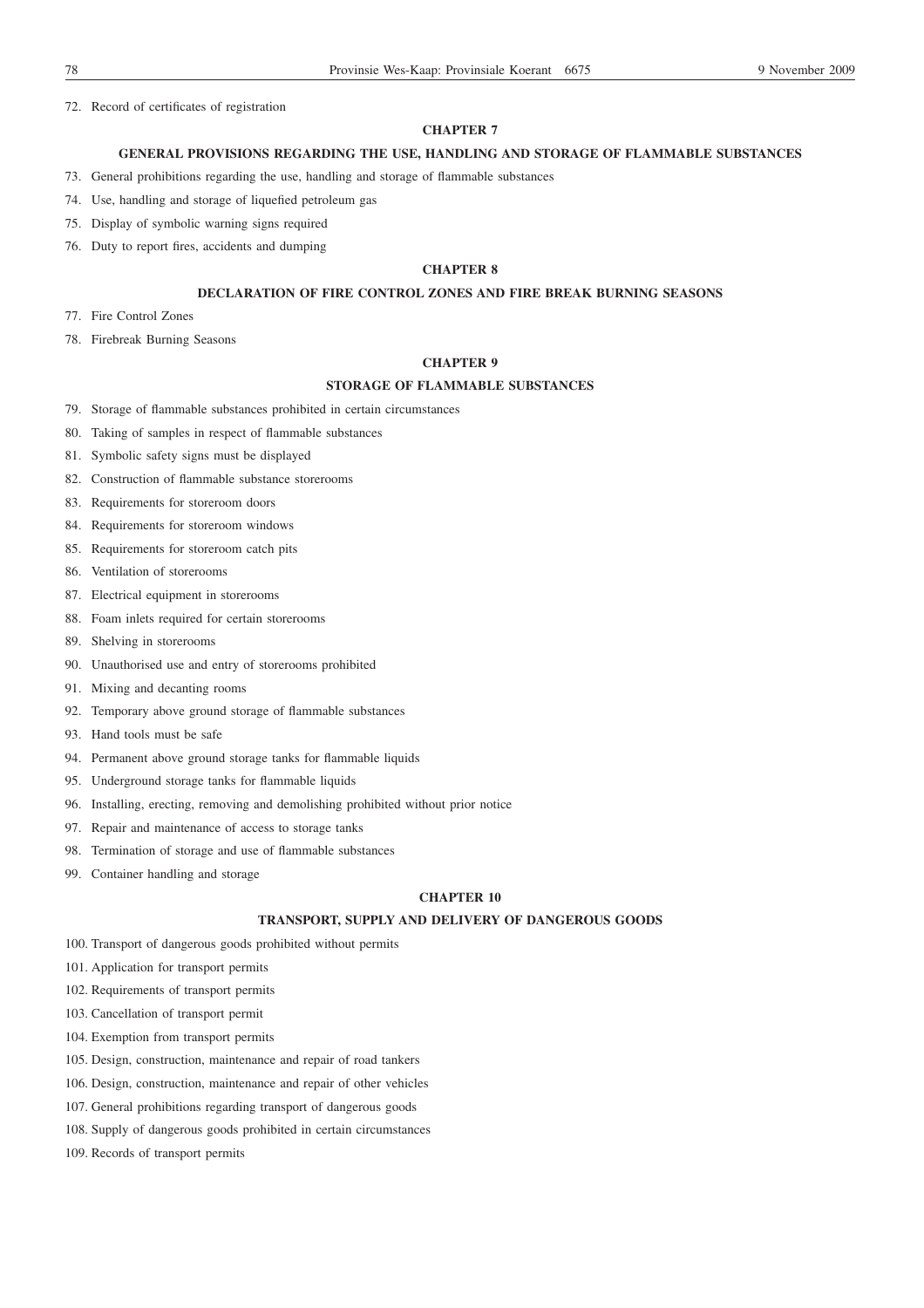72. Record of certificates of registration

### **CHAPTER 7**

## **GENERAL PROVISIONS REGARDING THE USE, HANDLING AND STORAGE OF FLAMMABLE SUBSTANCES**

- 73. General prohibitions regarding the use, handling and storage of flammable substances
- 74. Use, handling and storage of liquefied petroleum gas
- 75. Display of symbolic warning signs required
- 76. Duty to report fires, accidents and dumping

## **CHAPTER 8**

## **DECLARATION OF FIRE CONTROL ZONES AND FIRE BREAK BURNING SEASONS**

- 77. Fire Control Zones
- 78. Firebreak Burning Seasons

## **CHAPTER 9**

## **STORAGE OF FLAMMABLE SUBSTANCES**

- 79. Storage of flammable substances prohibited in certain circumstances
- 80. Taking of samples in respect of flammable substances
- 81. Symbolic safety signs must be displayed
- 82. Construction of flammable substance storerooms
- 83. Requirements for storeroom doors
- 84. Requirements for storeroom windows
- 85. Requirements for storeroom catch pits
- 86. Ventilation of storerooms
- 87. Electrical equipment in storerooms
- 88. Foam inlets required for certain storerooms
- 89. Shelving in storerooms
- 90. Unauthorised use and entry of storerooms prohibited
- 91. Mixing and decanting rooms
- 92. Temporary above ground storage of flammable substances
- 93. Hand tools must be safe
- 94. Permanent above ground storage tanks for flammable liquids
- 95. Underground storage tanks for flammable liquids
- 96. Installing, erecting, removing and demolishing prohibited without prior notice
- 97. Repair and maintenance of access to storage tanks
- 98. Termination of storage and use of flammable substances
- 99. Container handling and storage

## **CHAPTER 10**

## **TRANSPORT, SUPPLY AND DELIVERY OF DANGEROUS GOODS**

- 100. Transport of dangerous goods prohibited without permits
- 101. Application for transport permits
- 102. Requirements of transport permits
- 103. Cancellation of transport permit
- 104. Exemption from transport permits
- 105. Design, construction, maintenance and repair of road tankers
- 106. Design, construction, maintenance and repair of other vehicles
- 107. General prohibitions regarding transport of dangerous goods
- 108. Supply of dangerous goods prohibited in certain circumstances
- 109. Records of transport permits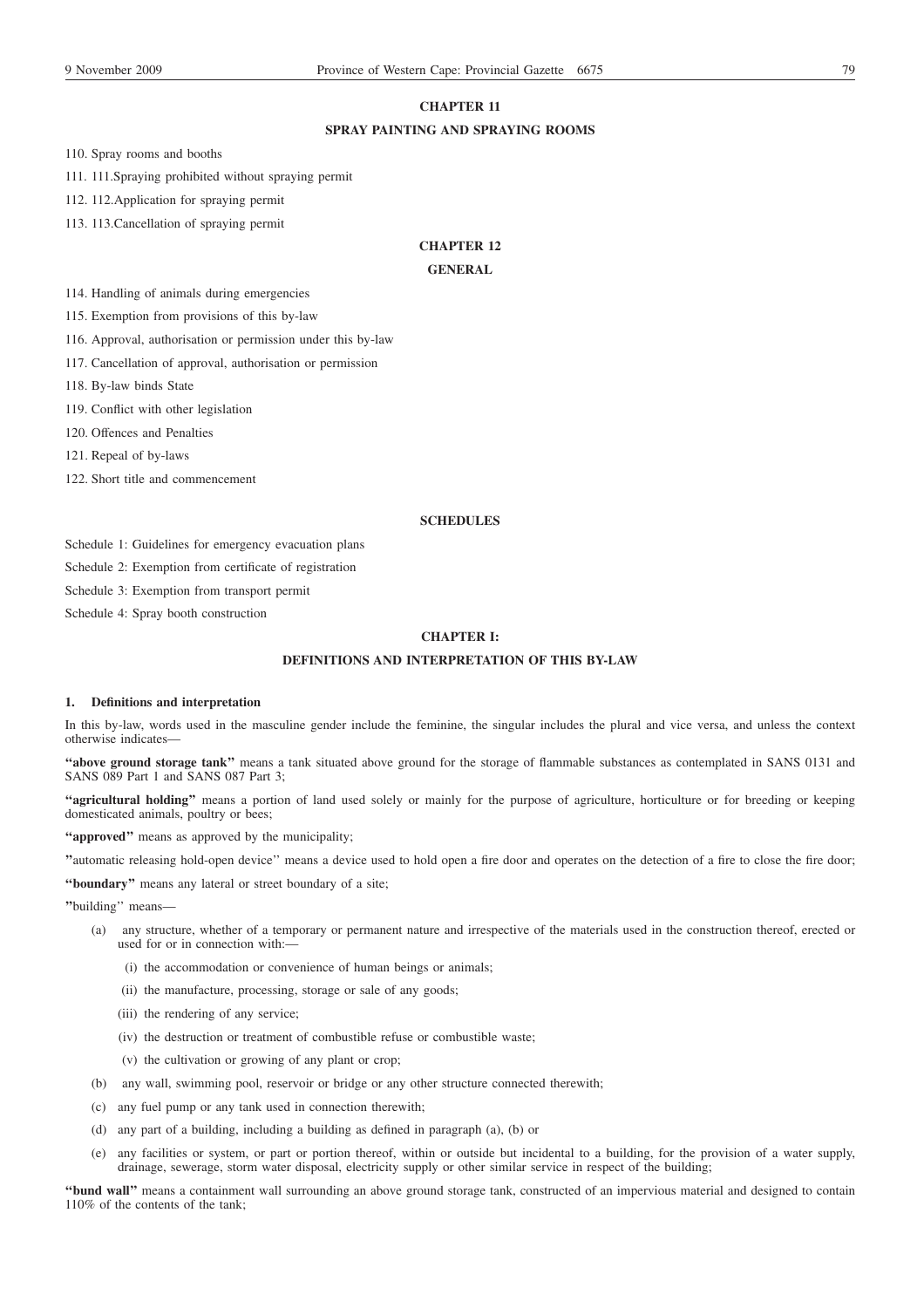## **CHAPTER 11**

## **SPRAY PAINTING AND SPRAYING ROOMS**

110. Spray rooms and booths

111. 111.Spraying prohibited without spraying permit

112. 112.Application for spraying permit

113. 113.Cancellation of spraying permit

# **CHAPTER 12**

## **GENERAL**

114. Handling of animals during emergencies

115. Exemption from provisions of this by-law

116. Approval, authorisation or permission under this by-law

117. Cancellation of approval, authorisation or permission

118. By-law binds State

119. Conflict with other legislation

120. Offences and Penalties

121. Repeal of by-laws

122. Short title and commencement

## **SCHEDULES**

Schedule 1: Guidelines for emergency evacuation plans

Schedule 2: Exemption from certificate of registration

Schedule 3: Exemption from transport permit

Schedule 4: Spray booth construction

## **CHAPTER I:**

## **DEFINITIONS AND INTERPRETATION OF THIS BY-LAW**

## **1. Definitions and interpretation**

In this by-law, words used in the masculine gender include the feminine, the singular includes the plural and vice versa, and unless the context otherwise indicates—

**''above ground storage tank''** means a tank situated above ground for the storage of flammable substances as contemplated in SANS 0131 and SANS 089 Part 1 and SANS 087 Part 3;

**''agricultural holding''** means a portion of land used solely or mainly for the purpose of agriculture, horticulture or for breeding or keeping domesticated animals, poultry or bees;

**''approved''** means as approved by the municipality;

**''**automatic releasing hold-open device'' means a device used to hold open a fire door and operates on the detection of a fire to close the fire door;

**''boundary''** means any lateral or street boundary of a site;

**''**building'' means—

- (a) any structure, whether of a temporary or permanent nature and irrespective of the materials used in the construction thereof, erected or used for or in connection with:-
	- (i) the accommodation or convenience of human beings or animals;
	- (ii) the manufacture, processing, storage or sale of any goods;
	- (iii) the rendering of any service;
	- (iv) the destruction or treatment of combustible refuse or combustible waste;
	- (v) the cultivation or growing of any plant or crop;
- (b) any wall, swimming pool, reservoir or bridge or any other structure connected therewith;
- (c) any fuel pump or any tank used in connection therewith;
- (d) any part of a building, including a building as defined in paragraph (a), (b) or
- (e) any facilities or system, or part or portion thereof, within or outside but incidental to a building, for the provision of a water supply, drainage, sewerage, storm water disposal, electricity supply or other similar service in respect of the building;

**''bund wall''** means a containment wall surrounding an above ground storage tank, constructed of an impervious material and designed to contain 110% of the contents of the tank: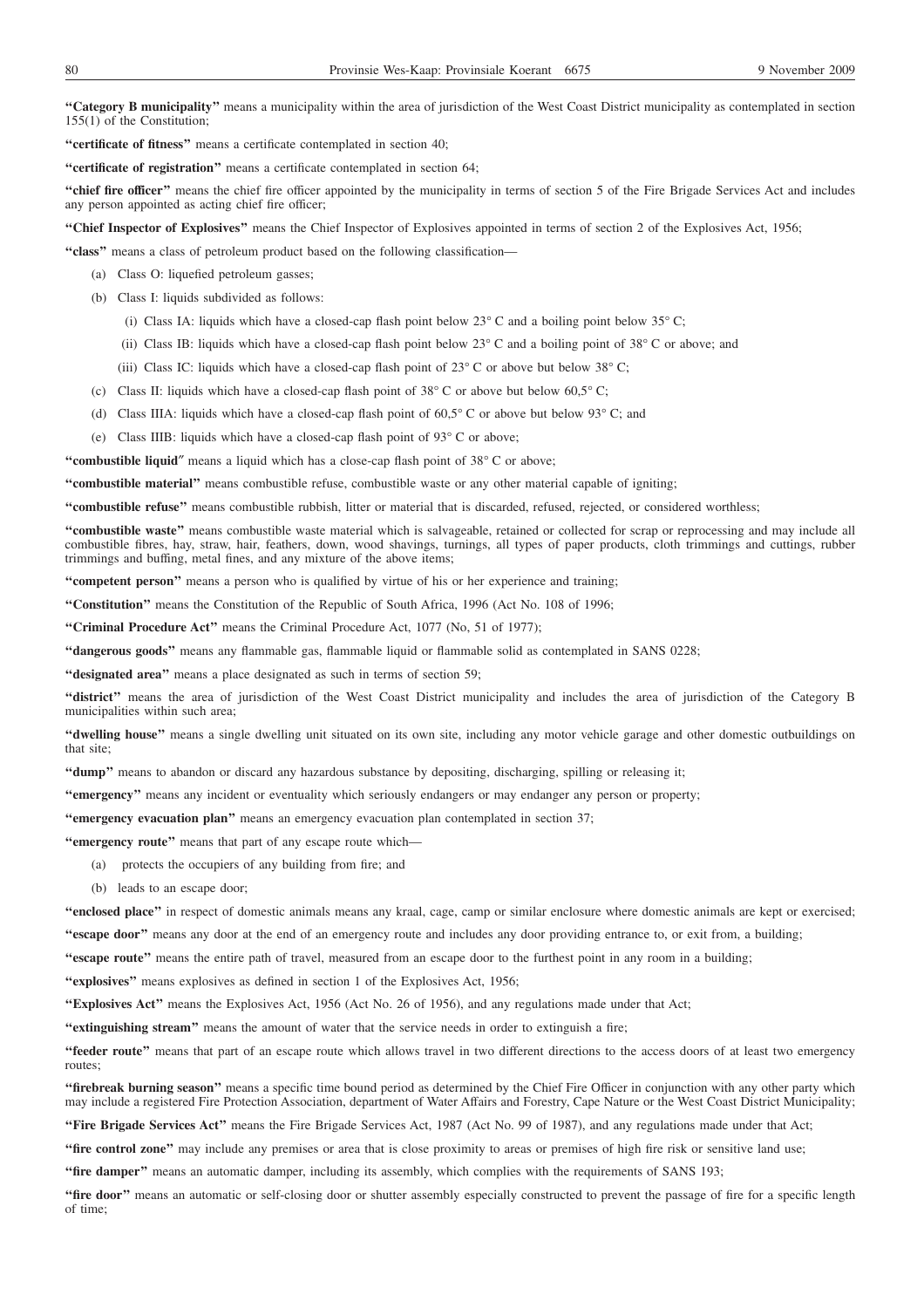**''Category B municipality''** means a municipality within the area of jurisdiction of the West Coast District municipality as contemplated in section 155(1) of the Constitution;

**''certificate of fitness''** means a certificate contemplated in section 40;

**''certificate of registration''** means a certificate contemplated in section 64;

**''chief fire officer''** means the chief fire officer appointed by the municipality in terms of section 5 of the Fire Brigade Services Act and includes any person appointed as acting chief fire officer;

**''Chief Inspector of Explosives''** means the Chief Inspector of Explosives appointed in terms of section 2 of the Explosives Act, 1956;

**''class''** means a class of petroleum product based on the following classification—

- (a) Class O: liquefied petroleum gasses;
- (b) Class I: liquids subdivided as follows:
	- (i) Class IA: liquids which have a closed-cap flash point below  $23^{\circ}$  C and a boiling point below  $35^{\circ}$ C;
	- (ii) Class IB: liquids which have a closed-cap flash point below  $23^{\circ}$ C and a boiling point of  $38^{\circ}$ C or above; and
	- (iii) Class IC: liquids which have a closed-cap flash point of  $23^{\circ}$  C or above but below  $38^{\circ}$  C;
- (c) Class II: liquids which have a closed-cap flash point of  $38^{\circ}$  C or above but below 60,5° C;
- (d) Class IIIA: liquids which have a closed-cap flash point of  $60.5^{\circ}$  C or above but below 93° C; and
- (e) Class IIIB: liquids which have a closed-cap flash point of 93° C or above;

**''combustible liquid**″ means a liquid which has a close-cap flash point of 38° C or above;

**''combustible material''** means combustible refuse, combustible waste or any other material capable of igniting;

**''combustible refuse''** means combustible rubbish, litter or material that is discarded, refused, rejected, or considered worthless;

**''combustible waste''** means combustible waste material which is salvageable, retained or collected for scrap or reprocessing and may include all combustible fibres, hay, straw, hair, feathers, down, wood shavings, turnings, all types of paper products, cloth trimmings and cuttings, rubber trimmings and buffing, metal fines, and any mixture of the above items;

**''competent person''** means a person who is qualified by virtue of his or her experience and training;

**''Constitution''** means the Constitution of the Republic of South Africa, 1996 (Act No. 108 of 1996;

**''Criminal Procedure Act''** means the Criminal Procedure Act, 1077 (No, 51 of 1977);

**''dangerous goods''** means any flammable gas, flammable liquid or flammable solid as contemplated in SANS 0228;

**''designated area''** means a place designated as such in terms of section 59;

**''district''** means the area of jurisdiction of the West Coast District municipality and includes the area of jurisdiction of the Category B municipalities within such area;

**''dwelling house''** means a single dwelling unit situated on its own site, including any motor vehicle garage and other domestic outbuildings on that site;

**''dump''** means to abandon or discard any hazardous substance by depositing, discharging, spilling or releasing it;

**''emergency''** means any incident or eventuality which seriously endangers or may endanger any person or property;

**''emergency evacuation plan''** means an emergency evacuation plan contemplated in section 37;

**''emergency route''** means that part of any escape route which—

- (a) protects the occupiers of any building from fire; and
- (b) leads to an escape door;

**''enclosed place''** in respect of domestic animals means any kraal, cage, camp or similar enclosure where domestic animals are kept or exercised;

**''escape door''** means any door at the end of an emergency route and includes any door providing entrance to, or exit from, a building;

**''escape route''** means the entire path of travel, measured from an escape door to the furthest point in any room in a building;

**''explosives''** means explosives as defined in section 1 of the Explosives Act, 1956;

**''Explosives Act''** means the Explosives Act, 1956 (Act No. 26 of 1956), and any regulations made under that Act;

**''extinguishing stream''** means the amount of water that the service needs in order to extinguish a fire;

**''feeder route''** means that part of an escape route which allows travel in two different directions to the access doors of at least two emergency routes;

**''firebreak burning season''** means a specific time bound period as determined by the Chief Fire Officer in conjunction with any other party which may include a registered Fire Protection Association, department of Water Affairs and Forestry, Cape Nature or the West Coast District Municipality;

**''Fire Brigade Services Act''** means the Fire Brigade Services Act, 1987 (Act No. 99 of 1987), and any regulations made under that Act;

**''fire control zone''** may include any premises or area that is close proximity to areas or premises of high fire risk or sensitive land use;

**''fire damper''** means an automatic damper, including its assembly, which complies with the requirements of SANS 193;

"fire door" means an automatic or self-closing door or shutter assembly especially constructed to prevent the passage of fire for a specific length of time;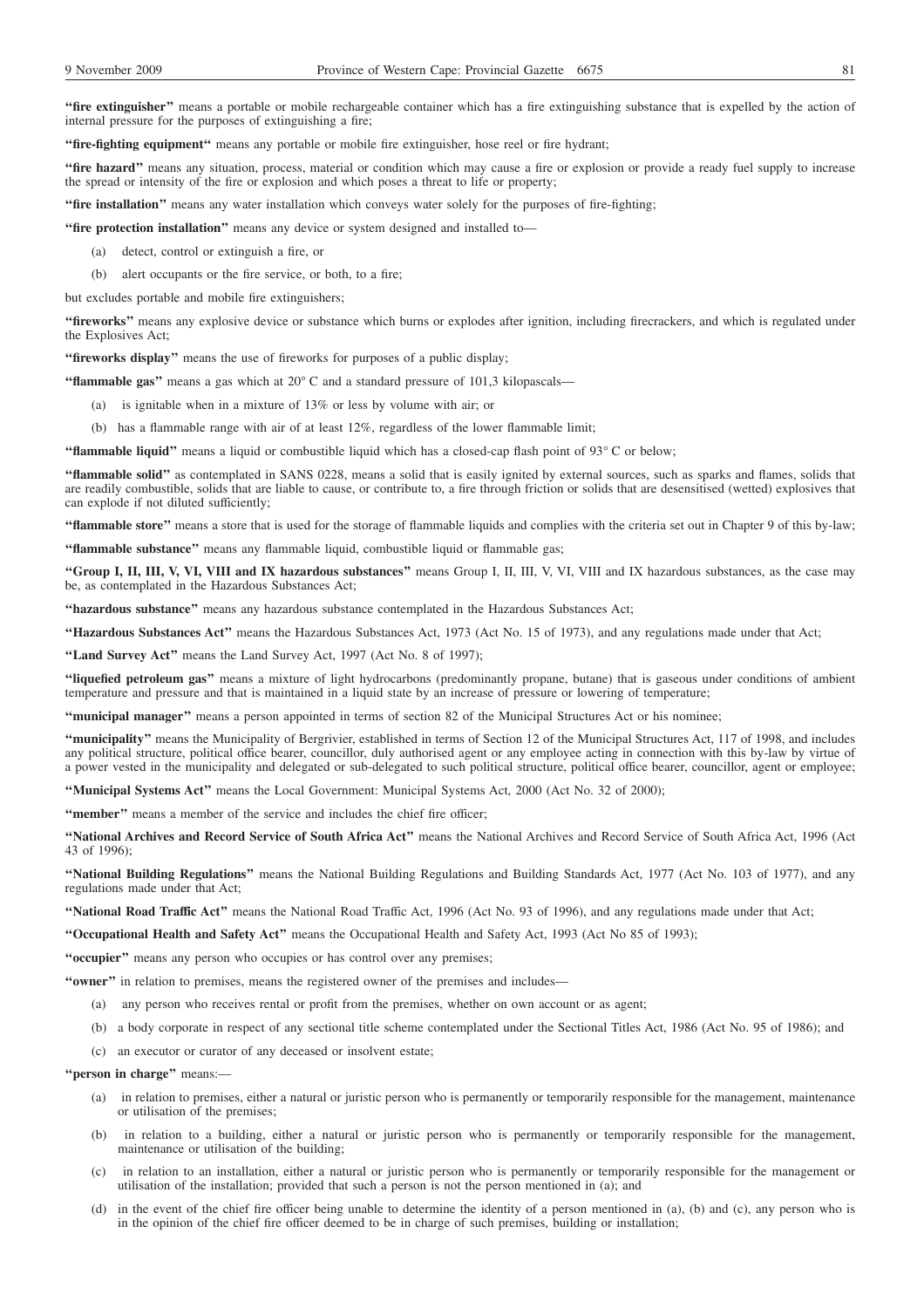**''fire extinguisher''** means a portable or mobile rechargeable container which has a fire extinguishing substance that is expelled by the action of internal pressure for the purposes of extinguishing a fire;

**''fire-fighting equipment''** means any portable or mobile fire extinguisher, hose reel or fire hydrant;

**''fire hazard''** means any situation, process, material or condition which may cause a fire or explosion or provide a ready fuel supply to increase the spread or intensity of the fire or explosion and which poses a threat to life or property;

**''fire installation''** means any water installation which conveys water solely for the purposes of fire-fighting;

**''fire protection installation''** means any device or system designed and installed to—

- (a) detect, control or extinguish a fire, or
- (b) alert occupants or the fire service, or both, to a fire;

but excludes portable and mobile fire extinguishers;

**''fireworks''** means any explosive device or substance which burns or explodes after ignition, including firecrackers, and which is regulated under the Explosives Act;

**''fireworks display''** means the use of fireworks for purposes of a public display;

**''flammable gas''** means a gas which at 20° C and a standard pressure of 101,3 kilopascals—

- (a) is ignitable when in a mixture of 13% or less by volume with air; or
- (b) has a flammable range with air of at least 12%, regardless of the lower flammable limit;

**''flammable liquid''** means a liquid or combustible liquid which has a closed-cap flash point of 93° C or below;

**''flammable solid''** as contemplated in SANS 0228, means a solid that is easily ignited by external sources, such as sparks and flames, solids that are readily combustible, solids that are liable to cause, or contribute to, a fire through friction or solids that are desensitised (wetted) explosives that can explode if not diluted sufficiently;

**''flammable store''** means a store that is used for the storage of flammable liquids and complies with the criteria set out in Chapter 9 of this by-law;

**''flammable substance''** means any flammable liquid, combustible liquid or flammable gas;

**''Group I, II, III, V, VI, VIII and IX hazardous substances''** means Group I, II, III, V, VI, VIII and IX hazardous substances, as the case may be, as contemplated in the Hazardous Substances Act;

**''hazardous substance''** means any hazardous substance contemplated in the Hazardous Substances Act;

**''Hazardous Substances Act''** means the Hazardous Substances Act, 1973 (Act No. 15 of 1973), and any regulations made under that Act;

**''Land Survey Act''** means the Land Survey Act, 1997 (Act No. 8 of 1997);

**''liquefied petroleum gas''** means a mixture of light hydrocarbons (predominantly propane, butane) that is gaseous under conditions of ambient temperature and pressure and that is maintained in a liquid state by an increase of pressure or lowering of temperature;

**''municipal manager''** means a person appointed in terms of section 82 of the Municipal Structures Act or his nominee;

**''municipality''** means the Municipality of Bergrivier, established in terms of Section 12 of the Municipal Structures Act, 117 of 1998, and includes any political structure, political office bearer, councillor, duly authorised agent or any employee acting in connection with this by-law by virtue of a power vested in the municipality and delegated or sub-delegated to such political structure, political office bearer, councillor, agent or employee;

**''Municipal Systems Act''** means the Local Government: Municipal Systems Act, 2000 (Act No. 32 of 2000);

**''member''** means a member of the service and includes the chief fire officer;

**''National Archives and Record Service of South Africa Act''** means the National Archives and Record Service of South Africa Act, 1996 (Act 43 of 1996);

**''National Building Regulations''** means the National Building Regulations and Building Standards Act, 1977 (Act No. 103 of 1977), and any regulations made under that Act;

**''National Road Traffic Act''** means the National Road Traffic Act, 1996 (Act No. 93 of 1996), and any regulations made under that Act;

**''Occupational Health and Safety Act''** means the Occupational Health and Safety Act, 1993 (Act No 85 of 1993);

**''occupier''** means any person who occupies or has control over any premises;

**''owner''** in relation to premises, means the registered owner of the premises and includes—

- (a) any person who receives rental or profit from the premises, whether on own account or as agent;
- (b) a body corporate in respect of any sectional title scheme contemplated under the Sectional Titles Act, 1986 (Act No. 95 of 1986); and
- (c) an executor or curator of any deceased or insolvent estate;

**''person in charge''** means:—

- (a) in relation to premises, either a natural or juristic person who is permanently or temporarily responsible for the management, maintenance or utilisation of the premises;
- (b) in relation to a building, either a natural or juristic person who is permanently or temporarily responsible for the management, maintenance or utilisation of the building;
- (c) in relation to an installation, either a natural or juristic person who is permanently or temporarily responsible for the management or utilisation of the installation; provided that such a person is not the person mentioned in (a); and
- (d) in the event of the chief fire officer being unable to determine the identity of a person mentioned in (a), (b) and (c), any person who is in the opinion of the chief fire officer deemed to be in charge of such premises, building or installation;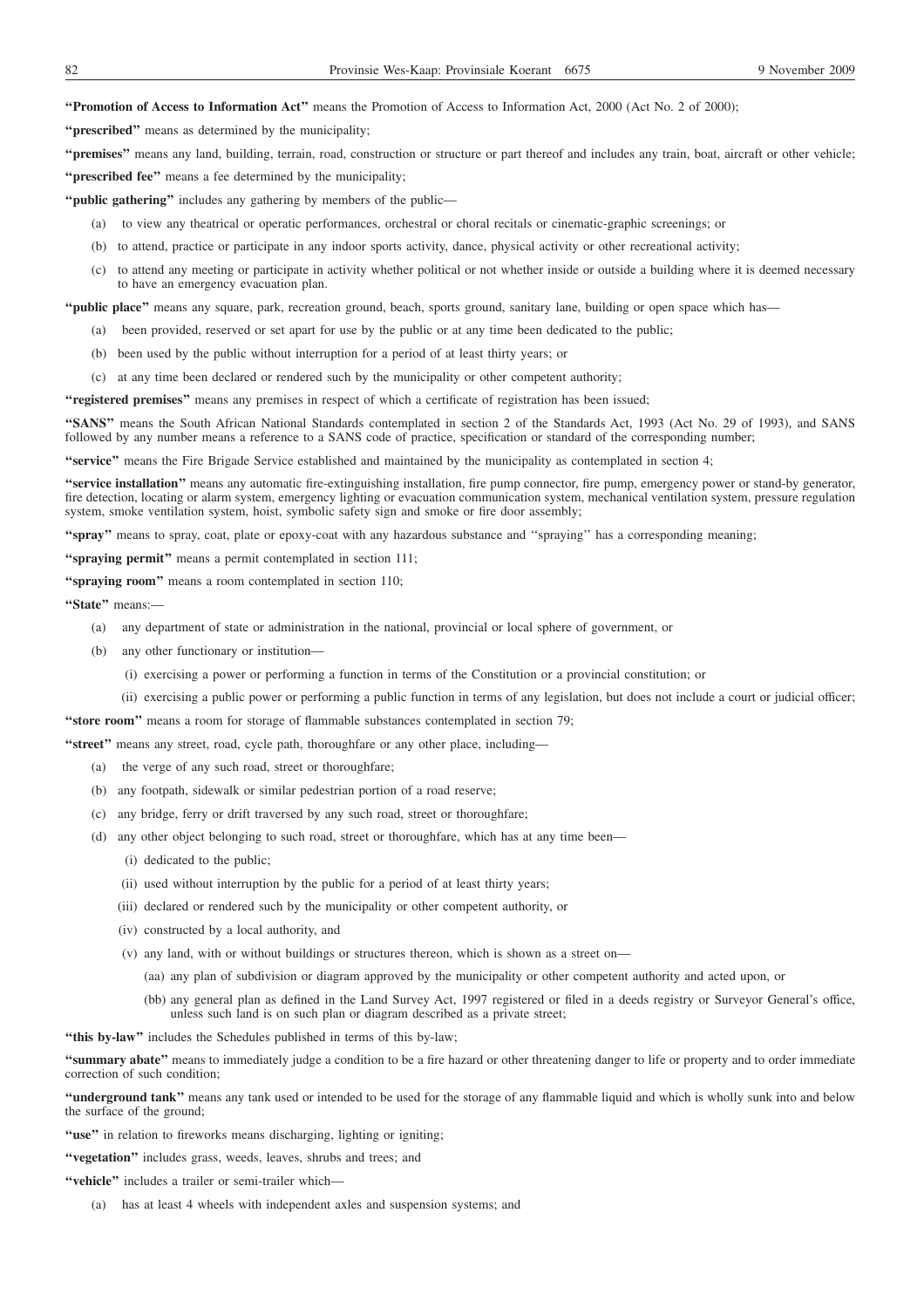### **''Promotion of Access to Information Act''** means the Promotion of Access to Information Act, 2000 (Act No. 2 of 2000);

**''prescribed''** means as determined by the municipality;

**''premises''** means any land, building, terrain, road, construction or structure or part thereof and includes any train, boat, aircraft or other vehicle;

**''prescribed fee''** means a fee determined by the municipality;

**''public gathering''** includes any gathering by members of the public—

- (a) to view any theatrical or operatic performances, orchestral or choral recitals or cinematic-graphic screenings; or
- (b) to attend, practice or participate in any indoor sports activity, dance, physical activity or other recreational activity;
- (c) to attend any meeting or participate in activity whether political or not whether inside or outside a building where it is deemed necessary to have an emergency evacuation plan.

**''public place''** means any square, park, recreation ground, beach, sports ground, sanitary lane, building or open space which has—

- (a) been provided, reserved or set apart for use by the public or at any time been dedicated to the public;
- (b) been used by the public without interruption for a period of at least thirty years; or
- (c) at any time been declared or rendered such by the municipality or other competent authority;

**''registered premises''** means any premises in respect of which a certificate of registration has been issued;

**''SANS''** means the South African National Standards contemplated in section 2 of the Standards Act, 1993 (Act No. 29 of 1993), and SANS followed by any number means a reference to a SANS code of practice, specification or standard of the corresponding number;

**''service''** means the Fire Brigade Service established and maintained by the municipality as contemplated in section 4;

**''service installation''** means any automatic fire-extinguishing installation, fire pump connector, fire pump, emergency power or stand-by generator, fire detection, locating or alarm system, emergency lighting or evacuation communication system, mechanical ventilation system, pressure regulation system, smoke ventilation system, hoist, symbolic safety sign and smoke or fire door assembly;

**''spray''** means to spray, coat, plate or epoxy-coat with any hazardous substance and ''spraying'' has a corresponding meaning;

**''spraying permit''** means a permit contemplated in section 111;

**''spraying room''** means a room contemplated in section 110;

**''State''** means:—

- (a) any department of state or administration in the national, provincial or local sphere of government, or
- (b) any other functionary or institution—
	- (i) exercising a power or performing a function in terms of the Constitution or a provincial constitution; or
	- (ii) exercising a public power or performing a public function in terms of any legislation, but does not include a court or judicial officer;

"store room" means a room for storage of flammable substances contemplated in section 79;

**''street''** means any street, road, cycle path, thoroughfare or any other place, including—

- (a) the verge of any such road, street or thoroughfare;
- (b) any footpath, sidewalk or similar pedestrian portion of a road reserve;
- (c) any bridge, ferry or drift traversed by any such road, street or thoroughfare;
- (d) any other object belonging to such road, street or thoroughfare, which has at any time been—
	- (i) dedicated to the public;
	- (ii) used without interruption by the public for a period of at least thirty years;
	- (iii) declared or rendered such by the municipality or other competent authority, or
	- (iv) constructed by a local authority, and
	- (v) any land, with or without buildings or structures thereon, which is shown as a street on—
		- (aa) any plan of subdivision or diagram approved by the municipality or other competent authority and acted upon, or
		- (bb) any general plan as defined in the Land Survey Act, 1997 registered or filed in a deeds registry or Surveyor General's office, unless such land is on such plan or diagram described as a private street;

**''this by-law''** includes the Schedules published in terms of this by-law;

**''summary abate''** means to immediately judge a condition to be a fire hazard or other threatening danger to life or property and to order immediate correction of such condition;

**''underground tank''** means any tank used or intended to be used for the storage of any flammable liquid and which is wholly sunk into and below the surface of the ground;

"use" in relation to fireworks means discharging, lighting or igniting;

**''vegetation''** includes grass, weeds, leaves, shrubs and trees; and

- **''vehicle''** includes a trailer or semi-trailer which—
	- (a) has at least 4 wheels with independent axles and suspension systems; and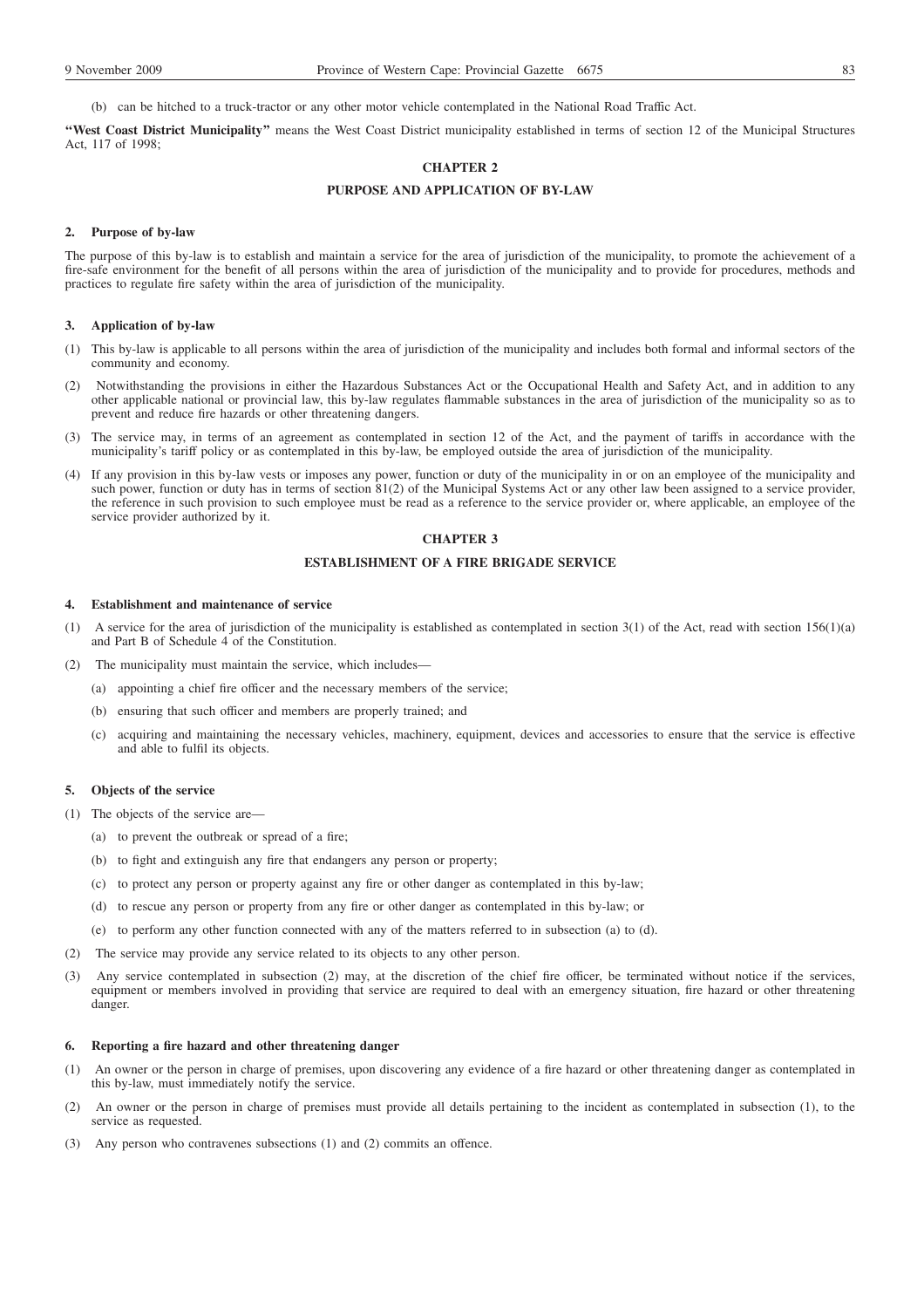(b) can be hitched to a truck-tractor or any other motor vehicle contemplated in the National Road Traffic Act.

**''West Coast District Municipality''** means the West Coast District municipality established in terms of section 12 of the Municipal Structures Act, 117 of 1998;

## **CHAPTER 2**

### **PURPOSE AND APPLICATION OF BY-LAW**

#### **2. Purpose of by-law**

The purpose of this by-law is to establish and maintain a service for the area of jurisdiction of the municipality, to promote the achievement of a fire-safe environment for the benefit of all persons within the area of jurisdiction of the municipality and to provide for procedures, methods and practices to regulate fire safety within the area of jurisdiction of the municipality.

#### **3. Application of by-law**

- (1) This by-law is applicable to all persons within the area of jurisdiction of the municipality and includes both formal and informal sectors of the community and economy.
- (2) Notwithstanding the provisions in either the Hazardous Substances Act or the Occupational Health and Safety Act, and in addition to any other applicable national or provincial law, this by-law regulates flammable substances in the area of jurisdiction of the municipality so as to prevent and reduce fire hazards or other threatening dangers.
- (3) The service may, in terms of an agreement as contemplated in section 12 of the Act, and the payment of tariffs in accordance with the municipality's tariff policy or as contemplated in this by-law, be employed outside the area of jurisdiction of the municipality.
- (4) If any provision in this by-law vests or imposes any power, function or duty of the municipality in or on an employee of the municipality and such power, function or duty has in terms of section 81(2) of the Municipal Systems Act or any other law been assigned to a service provider, the reference in such provision to such employee must be read as a reference to the service provider or, where applicable, an employee of the service provider authorized by it.

## **CHAPTER 3**

## **ESTABLISHMENT OF A FIRE BRIGADE SERVICE**

### **4. Establishment and maintenance of service**

- (1) A service for the area of jurisdiction of the municipality is established as contemplated in section 3(1) of the Act, read with section 156(1)(a) and Part B of Schedule 4 of the Constitution.
- (2) The municipality must maintain the service, which includes—
	- (a) appointing a chief fire officer and the necessary members of the service;
	- (b) ensuring that such officer and members are properly trained; and
	- (c) acquiring and maintaining the necessary vehicles, machinery, equipment, devices and accessories to ensure that the service is effective and able to fulfil its objects.

#### **5. Objects of the service**

(1) The objects of the service are—

- (a) to prevent the outbreak or spread of a fire;
- (b) to fight and extinguish any fire that endangers any person or property;
- (c) to protect any person or property against any fire or other danger as contemplated in this by-law;
- (d) to rescue any person or property from any fire or other danger as contemplated in this by-law; or
- (e) to perform any other function connected with any of the matters referred to in subsection (a) to (d).
- (2) The service may provide any service related to its objects to any other person.
- (3) Any service contemplated in subsection (2) may, at the discretion of the chief fire officer, be terminated without notice if the services, equipment or members involved in providing that service are required to deal with an emergency situation, fire hazard or other threatening danger.

#### **6. Reporting a fire hazard and other threatening danger**

- (1) An owner or the person in charge of premises, upon discovering any evidence of a fire hazard or other threatening danger as contemplated in this by-law, must immediately notify the service.
- (2) An owner or the person in charge of premises must provide all details pertaining to the incident as contemplated in subsection (1), to the service as requested.
- (3) Any person who contravenes subsections (1) and (2) commits an offence.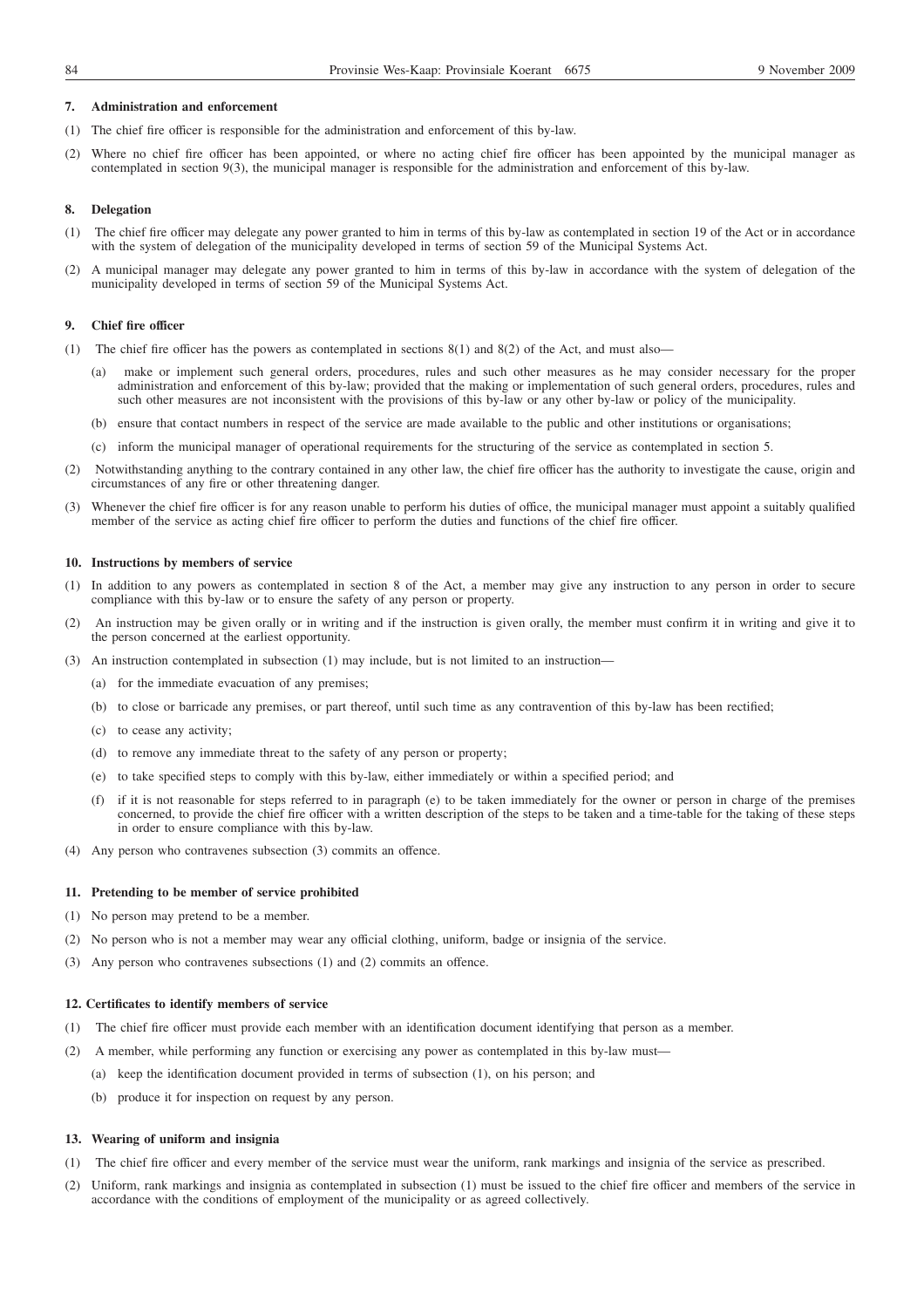### **7. Administration and enforcement**

- (1) The chief fire officer is responsible for the administration and enforcement of this by-law.
- (2) Where no chief fire officer has been appointed, or where no acting chief fire officer has been appointed by the municipal manager as contemplated in section 9(3), the municipal manager is responsible for the administration and enforcement of this by-law.

#### **8. Delegation**

- (1) The chief fire officer may delegate any power granted to him in terms of this by-law as contemplated in section 19 of the Act or in accordance with the system of delegation of the municipality developed in terms of section 59 of the Municipal Systems Act.
- (2) A municipal manager may delegate any power granted to him in terms of this by-law in accordance with the system of delegation of the municipality developed in terms of section 59 of the Municipal Systems Act.

#### **9. Chief fire officer**

- (1) The chief fire officer has the powers as contemplated in sections 8(1) and 8(2) of the Act, and must also
	- make or implement such general orders, procedures, rules and such other measures as he may consider necessary for the proper administration and enforcement of this by-law; provided that the making or implementation of such general orders, procedures, rules and such other measures are not inconsistent with the provisions of this by-law or any other by-law or policy of the municipality.
	- (b) ensure that contact numbers in respect of the service are made available to the public and other institutions or organisations;
	- (c) inform the municipal manager of operational requirements for the structuring of the service as contemplated in section 5.
- (2) Notwithstanding anything to the contrary contained in any other law, the chief fire officer has the authority to investigate the cause, origin and circumstances of any fire or other threatening danger.
- (3) Whenever the chief fire officer is for any reason unable to perform his duties of office, the municipal manager must appoint a suitably qualified member of the service as acting chief fire officer to perform the duties and functions of the chief fire officer.

#### **10. Instructions by members of service**

- (1) In addition to any powers as contemplated in section 8 of the Act, a member may give any instruction to any person in order to secure compliance with this by-law or to ensure the safety of any person or property.
- (2) An instruction may be given orally or in writing and if the instruction is given orally, the member must confirm it in writing and give it to the person concerned at the earliest opportunity.
- (3) An instruction contemplated in subsection (1) may include, but is not limited to an instruction—
	- (a) for the immediate evacuation of any premises;
	- (b) to close or barricade any premises, or part thereof, until such time as any contravention of this by-law has been rectified;
	- (c) to cease any activity;
	- (d) to remove any immediate threat to the safety of any person or property;
	- (e) to take specified steps to comply with this by-law, either immediately or within a specified period; and
	- (f) if it is not reasonable for steps referred to in paragraph (e) to be taken immediately for the owner or person in charge of the premises concerned, to provide the chief fire officer with a written description of the steps to be taken and a time-table for the taking of these steps in order to ensure compliance with this by-law.
- (4) Any person who contravenes subsection (3) commits an offence.

#### **11. Pretending to be member of service prohibited**

- (1) No person may pretend to be a member.
- (2) No person who is not a member may wear any official clothing, uniform, badge or insignia of the service.
- (3) Any person who contravenes subsections (1) and (2) commits an offence.

#### **12. Certificates to identify members of service**

- (1) The chief fire officer must provide each member with an identification document identifying that person as a member.
- (2) A member, while performing any function or exercising any power as contemplated in this by-law must—
	- (a) keep the identification document provided in terms of subsection (1), on his person; and
	- (b) produce it for inspection on request by any person.

#### **13. Wearing of uniform and insignia**

- (1) The chief fire officer and every member of the service must wear the uniform, rank markings and insignia of the service as prescribed.
- (2) Uniform, rank markings and insignia as contemplated in subsection (1) must be issued to the chief fire officer and members of the service in accordance with the conditions of employment of the municipality or as agreed collectively.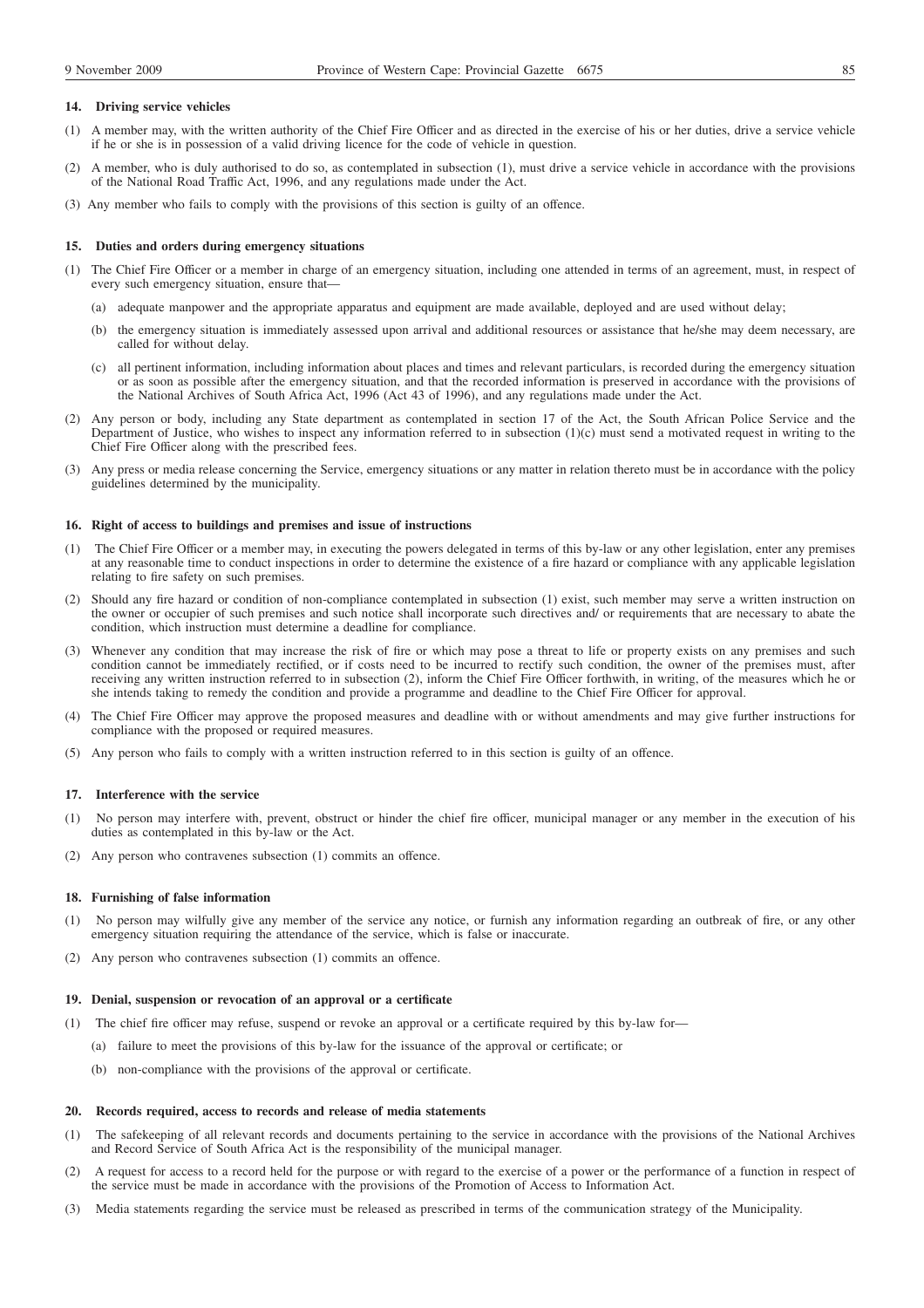## **14. Driving service vehicles**

- (1) A member may, with the written authority of the Chief Fire Officer and as directed in the exercise of his or her duties, drive a service vehicle if he or she is in possession of a valid driving licence for the code of vehicle in question.
- (2) A member, who is duly authorised to do so, as contemplated in subsection (1), must drive a service vehicle in accordance with the provisions of the National Road Traffic Act, 1996, and any regulations made under the Act.
- (3) Any member who fails to comply with the provisions of this section is guilty of an offence.

#### **15. Duties and orders during emergency situations**

- (1) The Chief Fire Officer or a member in charge of an emergency situation, including one attended in terms of an agreement, must, in respect of every such emergency situation, ensure that—
	- (a) adequate manpower and the appropriate apparatus and equipment are made available, deployed and are used without delay;
	- (b) the emergency situation is immediately assessed upon arrival and additional resources or assistance that he/she may deem necessary, are called for without delay.
	- (c) all pertinent information, including information about places and times and relevant particulars, is recorded during the emergency situation or as soon as possible after the emergency situation, and that the recorded information is preserved in accordance with the provisions of the National Archives of South Africa Act, 1996 (Act 43 of 1996), and any regulations made under the Act.
- (2) Any person or body, including any State department as contemplated in section 17 of the Act, the South African Police Service and the Department of Justice, who wishes to inspect any information referred to in subsection (1)(c) must send a motivated request in writing to the Chief Fire Officer along with the prescribed fees.
- (3) Any press or media release concerning the Service, emergency situations or any matter in relation thereto must be in accordance with the policy guidelines determined by the municipality.

#### **16. Right of access to buildings and premises and issue of instructions**

- (1) The Chief Fire Officer or a member may, in executing the powers delegated in terms of this by-law or any other legislation, enter any premises at any reasonable time to conduct inspections in order to determine the existence of a fire hazard or compliance with any applicable legislation relating to fire safety on such premises.
- (2) Should any fire hazard or condition of non-compliance contemplated in subsection (1) exist, such member may serve a written instruction on the owner or occupier of such premises and such notice shall incorporate such directives and/ or requirements that are necessary to abate the condition, which instruction must determine a deadline for compliance.
- (3) Whenever any condition that may increase the risk of fire or which may pose a threat to life or property exists on any premises and such condition cannot be immediately rectified, or if costs need to be incurred to rectify such condition, the owner of the premises must, after receiving any written instruction referred to in subsection (2), inform the Chief Fire Officer forthwith, in writing, of the measures which he or she intends taking to remedy the condition and provide a programme and deadline to the Chief Fire Officer for approval.
- (4) The Chief Fire Officer may approve the proposed measures and deadline with or without amendments and may give further instructions for compliance with the proposed or required measures.
- (5) Any person who fails to comply with a written instruction referred to in this section is guilty of an offence.

#### **17. Interference with the service**

- (1) No person may interfere with, prevent, obstruct or hinder the chief fire officer, municipal manager or any member in the execution of his duties as contemplated in this by-law or the Act.
- (2) Any person who contravenes subsection (1) commits an offence.

### **18. Furnishing of false information**

- (1) No person may wilfully give any member of the service any notice, or furnish any information regarding an outbreak of fire, or any other emergency situation requiring the attendance of the service, which is false or inaccurate.
- (2) Any person who contravenes subsection (1) commits an offence.

## **19. Denial, suspension or revocation of an approval or a certificate**

- (1) The chief fire officer may refuse, suspend or revoke an approval or a certificate required by this by-law for—
	- (a) failure to meet the provisions of this by-law for the issuance of the approval or certificate; or
	- (b) non-compliance with the provisions of the approval or certificate.

### **20. Records required, access to records and release of media statements**

- (1) The safekeeping of all relevant records and documents pertaining to the service in accordance with the provisions of the National Archives and Record Service of South Africa Act is the responsibility of the municipal manager.
- (2) A request for access to a record held for the purpose or with regard to the exercise of a power or the performance of a function in respect of the service must be made in accordance with the provisions of the Promotion of Access to Information Act.
- (3) Media statements regarding the service must be released as prescribed in terms of the communication strategy of the Municipality.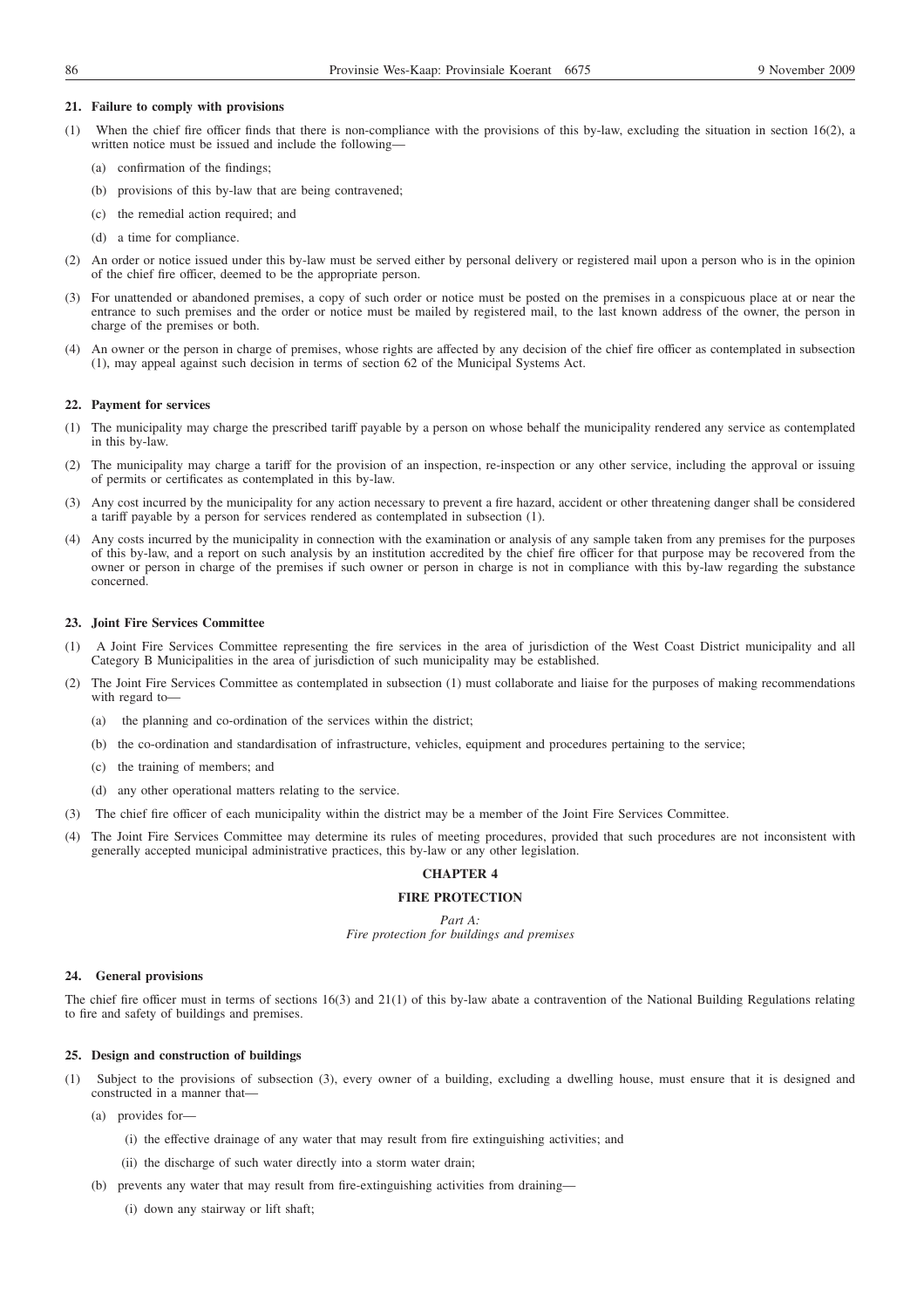#### **21. Failure to comply with provisions**

- (1) When the chief fire officer finds that there is non-compliance with the provisions of this by-law, excluding the situation in section 16(2), a written notice must be issued and include the following—
	- (a) confirmation of the findings;
	- (b) provisions of this by-law that are being contravened;
	- (c) the remedial action required; and
	- (d) a time for compliance.
- (2) An order or notice issued under this by-law must be served either by personal delivery or registered mail upon a person who is in the opinion of the chief fire officer, deemed to be the appropriate person.
- (3) For unattended or abandoned premises, a copy of such order or notice must be posted on the premises in a conspicuous place at or near the entrance to such premises and the order or notice must be mailed by registered mail, to the last known address of the owner, the person in charge of the premises or both.
- (4) An owner or the person in charge of premises, whose rights are affected by any decision of the chief fire officer as contemplated in subsection (1), may appeal against such decision in terms of section 62 of the Municipal Systems Act.

#### **22. Payment for services**

- (1) The municipality may charge the prescribed tariff payable by a person on whose behalf the municipality rendered any service as contemplated in this by-law.
- (2) The municipality may charge a tariff for the provision of an inspection, re-inspection or any other service, including the approval or issuing of permits or certificates as contemplated in this by-law.
- (3) Any cost incurred by the municipality for any action necessary to prevent a fire hazard, accident or other threatening danger shall be considered a tariff payable by a person for services rendered as contemplated in subsection (1).
- (4) Any costs incurred by the municipality in connection with the examination or analysis of any sample taken from any premises for the purposes of this by-law, and a report on such analysis by an institution accredited by the chief fire officer for that purpose may be recovered from the owner or person in charge of the premises if such owner or person in charge is not in compliance with this by-law regarding the substance concerned.

### **23. Joint Fire Services Committee**

- (1) A Joint Fire Services Committee representing the fire services in the area of jurisdiction of the West Coast District municipality and all Category B Municipalities in the area of jurisdiction of such municipality may be established.
- (2) The Joint Fire Services Committee as contemplated in subsection (1) must collaborate and liaise for the purposes of making recommendations with regard to-
	- (a) the planning and co-ordination of the services within the district;
	- (b) the co-ordination and standardisation of infrastructure, vehicles, equipment and procedures pertaining to the service;
	- (c) the training of members; and
	- (d) any other operational matters relating to the service.
- (3) The chief fire officer of each municipality within the district may be a member of the Joint Fire Services Committee.
- (4) The Joint Fire Services Committee may determine its rules of meeting procedures, provided that such procedures are not inconsistent with generally accepted municipal administrative practices, this by-law or any other legislation.

## **CHAPTER 4**

## **FIRE PROTECTION**

*Part A: Fire protection for buildings and premises*

### **24. General provisions**

The chief fire officer must in terms of sections 16(3) and 21(1) of this by-law abate a contravention of the National Building Regulations relating to fire and safety of buildings and premises.

### **25. Design and construction of buildings**

- (1) Subject to the provisions of subsection (3), every owner of a building, excluding a dwelling house, must ensure that it is designed and constructed in a manner that—
	- (a) provides for—
		- (i) the effective drainage of any water that may result from fire extinguishing activities; and
		- (ii) the discharge of such water directly into a storm water drain;
	- (b) prevents any water that may result from fire-extinguishing activities from draining—
		- (i) down any stairway or lift shaft;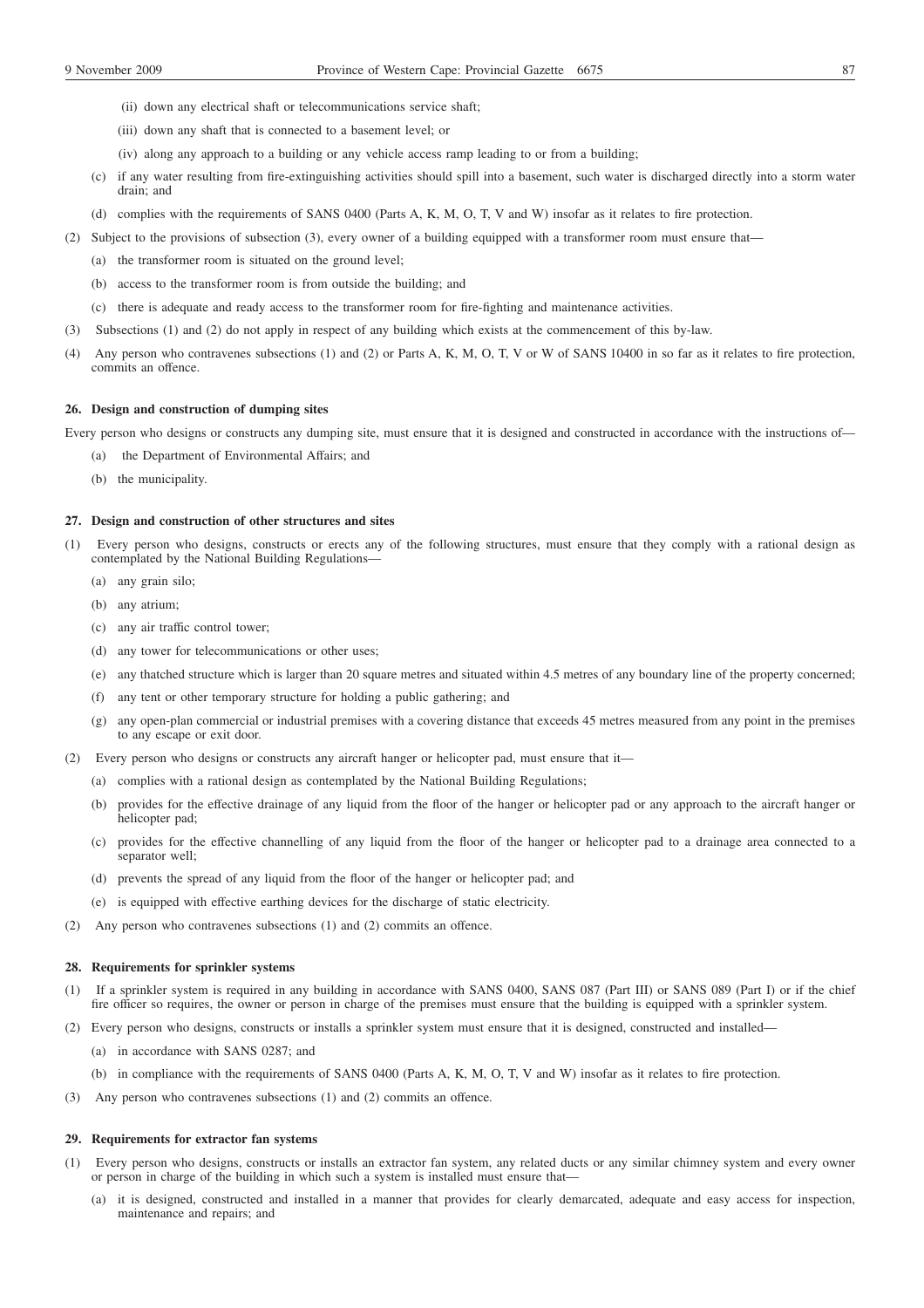- (ii) down any electrical shaft or telecommunications service shaft;
- (iii) down any shaft that is connected to a basement level; or
- (iv) along any approach to a building or any vehicle access ramp leading to or from a building;
- (c) if any water resulting from fire-extinguishing activities should spill into a basement, such water is discharged directly into a storm water drain; and
- (d) complies with the requirements of SANS 0400 (Parts A, K, M, O, T, V and W) insofar as it relates to fire protection.
- (2) Subject to the provisions of subsection (3), every owner of a building equipped with a transformer room must ensure that—
	- (a) the transformer room is situated on the ground level;
	- (b) access to the transformer room is from outside the building; and
	- (c) there is adequate and ready access to the transformer room for fire-fighting and maintenance activities.
- (3) Subsections (1) and (2) do not apply in respect of any building which exists at the commencement of this by-law.
- (4) Any person who contravenes subsections (1) and (2) or Parts A, K, M, O, T, V or W of SANS 10400 in so far as it relates to fire protection, commits an offence.

### **26. Design and construction of dumping sites**

Every person who designs or constructs any dumping site, must ensure that it is designed and constructed in accordance with the instructions of—

- (a) the Department of Environmental Affairs; and
	- (b) the municipality.

#### **27. Design and construction of other structures and sites**

- (1) Every person who designs, constructs or erects any of the following structures, must ensure that they comply with a rational design as contemplated by the National Building Regulations—
	- (a) any grain silo;
	- (b) any atrium;
	- (c) any air traffic control tower;
	- (d) any tower for telecommunications or other uses;
	- (e) any thatched structure which is larger than 20 square metres and situated within 4.5 metres of any boundary line of the property concerned;
	- (f) any tent or other temporary structure for holding a public gathering; and
	- (g) any open-plan commercial or industrial premises with a covering distance that exceeds 45 metres measured from any point in the premises to any escape or exit door.
- (2) Every person who designs or constructs any aircraft hanger or helicopter pad, must ensure that it—
	- (a) complies with a rational design as contemplated by the National Building Regulations;
	- (b) provides for the effective drainage of any liquid from the floor of the hanger or helicopter pad or any approach to the aircraft hanger or helicopter pad;
	- (c) provides for the effective channelling of any liquid from the floor of the hanger or helicopter pad to a drainage area connected to a separator well;
	- (d) prevents the spread of any liquid from the floor of the hanger or helicopter pad; and
	- (e) is equipped with effective earthing devices for the discharge of static electricity.
- (2) Any person who contravenes subsections (1) and (2) commits an offence.

### **28. Requirements for sprinkler systems**

- (1) If a sprinkler system is required in any building in accordance with SANS 0400, SANS 087 (Part III) or SANS 089 (Part I) or if the chief fire officer so requires, the owner or person in charge of the premises must ensure that the building is equipped with a sprinkler system.
- (2) Every person who designs, constructs or installs a sprinkler system must ensure that it is designed, constructed and installed—
	- (a) in accordance with SANS 0287; and
	- (b) in compliance with the requirements of SANS 0400 (Parts A, K, M, O, T, V and W) insofar as it relates to fire protection.
- (3) Any person who contravenes subsections (1) and (2) commits an offence.

#### **29. Requirements for extractor fan systems**

- (1) Every person who designs, constructs or installs an extractor fan system, any related ducts or any similar chimney system and every owner or person in charge of the building in which such a system is installed must ensure that—
	- (a) it is designed, constructed and installed in a manner that provides for clearly demarcated, adequate and easy access for inspection, maintenance and repairs; and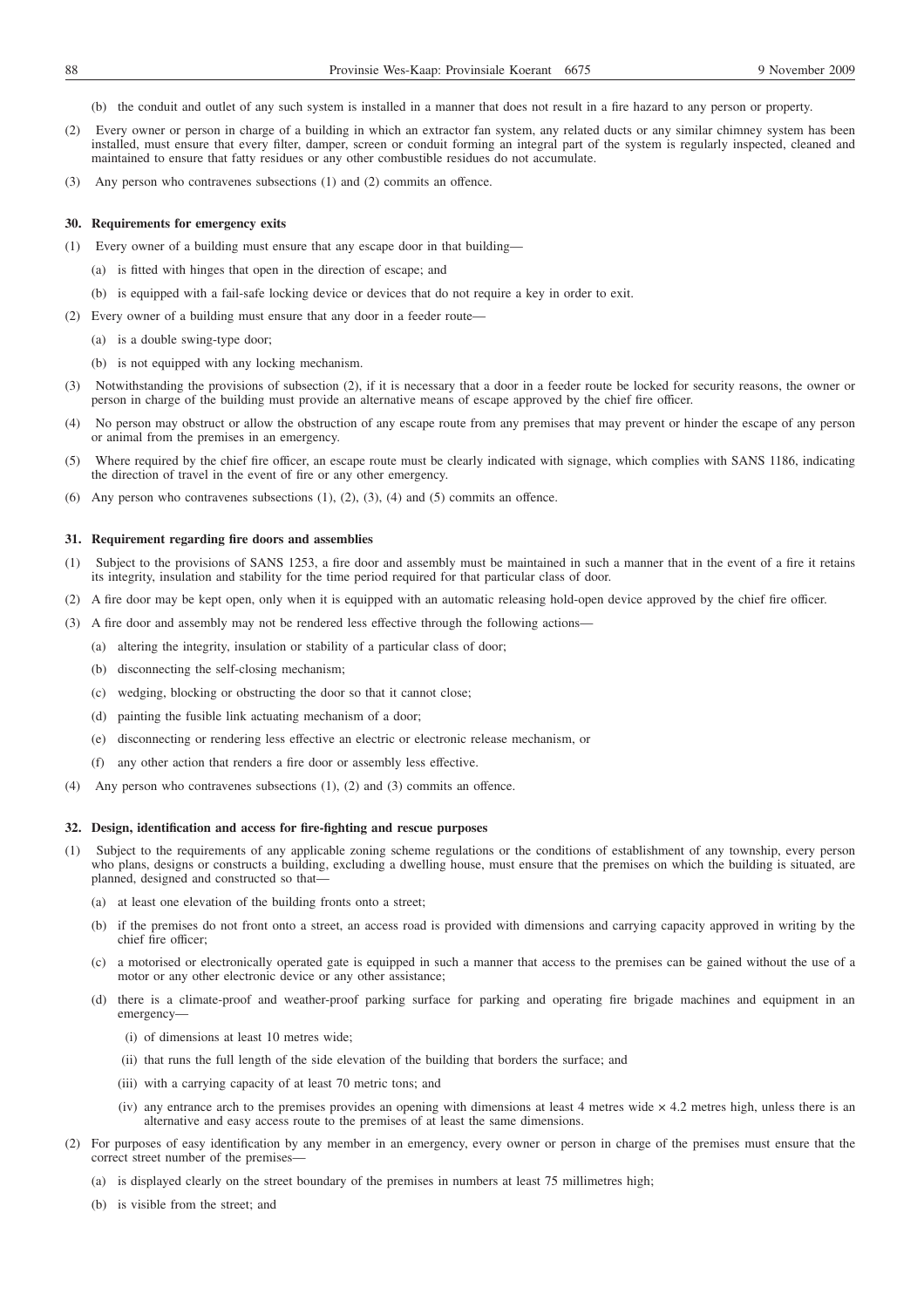- (b) the conduit and outlet of any such system is installed in a manner that does not result in a fire hazard to any person or property.
- (2) Every owner or person in charge of a building in which an extractor fan system, any related ducts or any similar chimney system has been installed, must ensure that every filter, damper, screen or conduit forming an integral part of the system is regularly inspected, cleaned and maintained to ensure that fatty residues or any other combustible residues do not accumulate.
- (3) Any person who contravenes subsections (1) and (2) commits an offence.

## **30. Requirements for emergency exits**

- (1) Every owner of a building must ensure that any escape door in that building—
	- (a) is fitted with hinges that open in the direction of escape; and
	- (b) is equipped with a fail-safe locking device or devices that do not require a key in order to exit.
- (2) Every owner of a building must ensure that any door in a feeder route—
	- (a) is a double swing-type door;
	- (b) is not equipped with any locking mechanism.
- (3) Notwithstanding the provisions of subsection (2), if it is necessary that a door in a feeder route be locked for security reasons, the owner or person in charge of the building must provide an alternative means of escape approved by the chief fire officer.
- (4) No person may obstruct or allow the obstruction of any escape route from any premises that may prevent or hinder the escape of any person or animal from the premises in an emergency.
- (5) Where required by the chief fire officer, an escape route must be clearly indicated with signage, which complies with SANS 1186, indicating the direction of travel in the event of fire or any other emergency.
- (6) Any person who contravenes subsections  $(1)$ ,  $(2)$ ,  $(3)$ ,  $(4)$  and  $(5)$  commits an offence.

## **31. Requirement regarding fire doors and assemblies**

- (1) Subject to the provisions of SANS 1253, a fire door and assembly must be maintained in such a manner that in the event of a fire it retains its integrity, insulation and stability for the time period required for that particular class of door.
- (2) A fire door may be kept open, only when it is equipped with an automatic releasing hold-open device approved by the chief fire officer.
- (3) A fire door and assembly may not be rendered less effective through the following actions—
	- (a) altering the integrity, insulation or stability of a particular class of door;
	- (b) disconnecting the self-closing mechanism;
	- (c) wedging, blocking or obstructing the door so that it cannot close;
	- (d) painting the fusible link actuating mechanism of a door;
	- (e) disconnecting or rendering less effective an electric or electronic release mechanism, or
	- (f) any other action that renders a fire door or assembly less effective.
- (4) Any person who contravenes subsections (1), (2) and (3) commits an offence.

## **32. Design, identification and access for fire-fighting and rescue purposes**

- (1) Subject to the requirements of any applicable zoning scheme regulations or the conditions of establishment of any township, every person who plans, designs or constructs a building, excluding a dwelling house, must ensure that the premises on which the building is situated, are planned, designed and constructed so that—
	- (a) at least one elevation of the building fronts onto a street;
	- (b) if the premises do not front onto a street, an access road is provided with dimensions and carrying capacity approved in writing by the chief fire officer;
	- (c) a motorised or electronically operated gate is equipped in such a manner that access to the premises can be gained without the use of a motor or any other electronic device or any other assistance;
	- (d) there is a climate-proof and weather-proof parking surface for parking and operating fire brigade machines and equipment in an emergency—
		- (i) of dimensions at least 10 metres wide;
		- (ii) that runs the full length of the side elevation of the building that borders the surface; and
		- (iii) with a carrying capacity of at least 70 metric tons; and
		- (iv) any entrance arch to the premises provides an opening with dimensions at least 4 metres wide  $\times$  4.2 metres high, unless there is an alternative and easy access route to the premises of at least the same dimensions.
- (2) For purposes of easy identification by any member in an emergency, every owner or person in charge of the premises must ensure that the correct street number of the premises-
	- (a) is displayed clearly on the street boundary of the premises in numbers at least 75 millimetres high;
	- (b) is visible from the street; and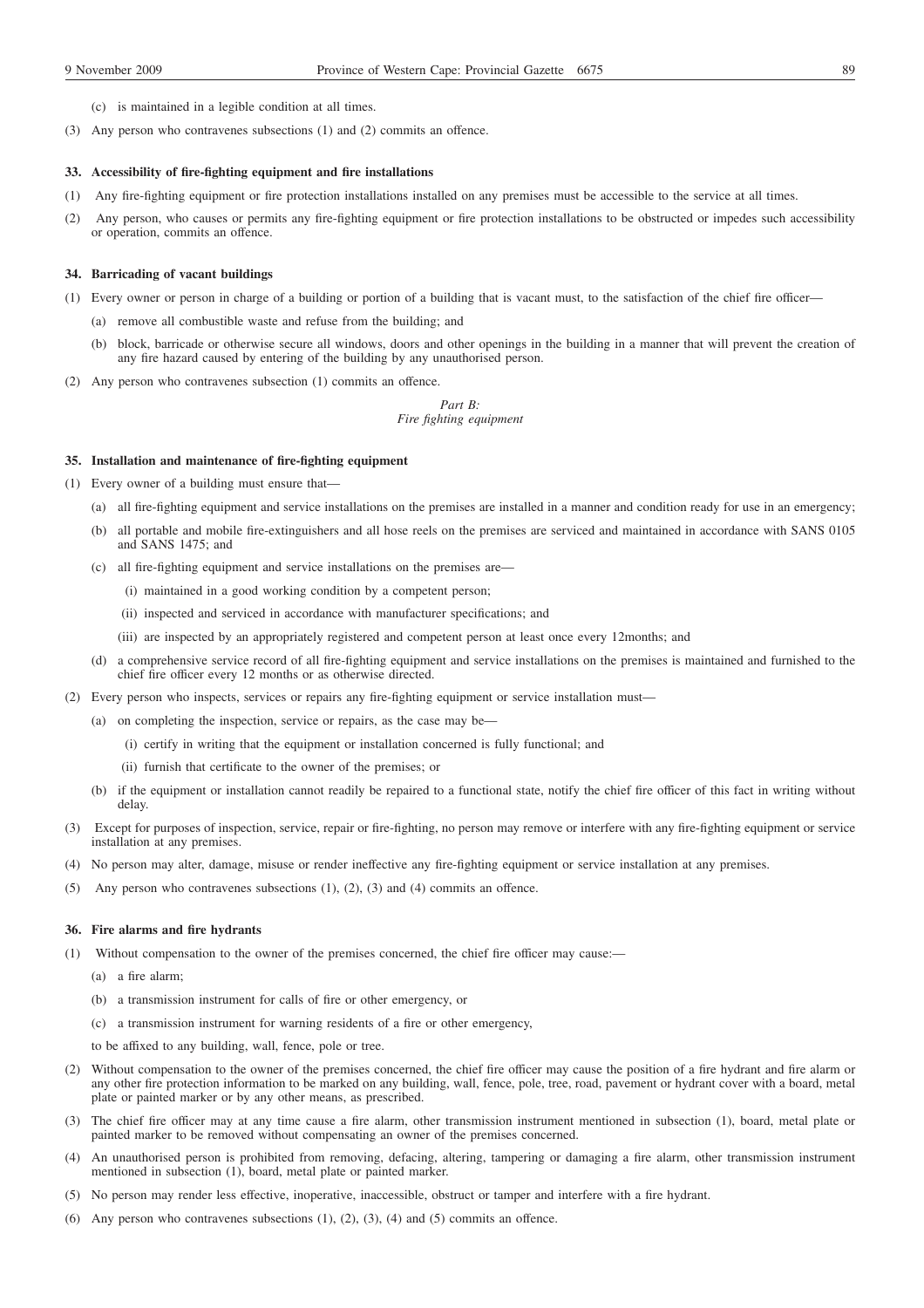- (c) is maintained in a legible condition at all times.
- (3) Any person who contravenes subsections (1) and (2) commits an offence.

#### **33. Accessibility of fire-fighting equipment and fire installations**

- (1) Any fire-fighting equipment or fire protection installations installed on any premises must be accessible to the service at all times.
- (2) Any person, who causes or permits any fire-fighting equipment or fire protection installations to be obstructed or impedes such accessibility or operation, commits an offence.

#### **34. Barricading of vacant buildings**

- (1) Every owner or person in charge of a building or portion of a building that is vacant must, to the satisfaction of the chief fire officer—
	- (a) remove all combustible waste and refuse from the building; and
	- (b) block, barricade or otherwise secure all windows, doors and other openings in the building in a manner that will prevent the creation of any fire hazard caused by entering of the building by any unauthorised person.
- (2) Any person who contravenes subsection (1) commits an offence.

*Part B: Fire fighting equipment*

#### **35. Installation and maintenance of fire-fighting equipment**

- (1) Every owner of a building must ensure that—
	- (a) all fire-fighting equipment and service installations on the premises are installed in a manner and condition ready for use in an emergency;
	- (b) all portable and mobile fire-extinguishers and all hose reels on the premises are serviced and maintained in accordance with SANS 0105 and SANS 1475; and
	- (c) all fire-fighting equipment and service installations on the premises are—
		- (i) maintained in a good working condition by a competent person;
		- (ii) inspected and serviced in accordance with manufacturer specifications; and
		- (iii) are inspected by an appropriately registered and competent person at least once every 12months; and
	- (d) a comprehensive service record of all fire-fighting equipment and service installations on the premises is maintained and furnished to the chief fire officer every 12 months or as otherwise directed.
- (2) Every person who inspects, services or repairs any fire-fighting equipment or service installation must—
	- (a) on completing the inspection, service or repairs, as the case may be—
		- (i) certify in writing that the equipment or installation concerned is fully functional; and
		- (ii) furnish that certificate to the owner of the premises; or
	- (b) if the equipment or installation cannot readily be repaired to a functional state, notify the chief fire officer of this fact in writing without delay.
- (3) Except for purposes of inspection, service, repair or fire-fighting, no person may remove or interfere with any fire-fighting equipment or service installation at any premises.
- (4) No person may alter, damage, misuse or render ineffective any fire-fighting equipment or service installation at any premises.
- (5) Any person who contravenes subsections (1), (2), (3) and (4) commits an offence.

### **36. Fire alarms and fire hydrants**

- (1) Without compensation to the owner of the premises concerned, the chief fire officer may cause:—
	- (a) a fire alarm;
	- (b) a transmission instrument for calls of fire or other emergency, or
	- (c) a transmission instrument for warning residents of a fire or other emergency,

to be affixed to any building, wall, fence, pole or tree.

- (2) Without compensation to the owner of the premises concerned, the chief fire officer may cause the position of a fire hydrant and fire alarm or any other fire protection information to be marked on any building, wall, fence, pole, tree, road, pavement or hydrant cover with a board, metal plate or painted marker or by any other means, as prescribed.
- (3) The chief fire officer may at any time cause a fire alarm, other transmission instrument mentioned in subsection (1), board, metal plate or painted marker to be removed without compensating an owner of the premises concerned.
- (4) An unauthorised person is prohibited from removing, defacing, altering, tampering or damaging a fire alarm, other transmission instrument mentioned in subsection (1), board, metal plate or painted marker.
- (5) No person may render less effective, inoperative, inaccessible, obstruct or tamper and interfere with a fire hydrant.
- (6) Any person who contravenes subsections  $(1)$ ,  $(2)$ ,  $(3)$ ,  $(4)$  and  $(5)$  commits an offence.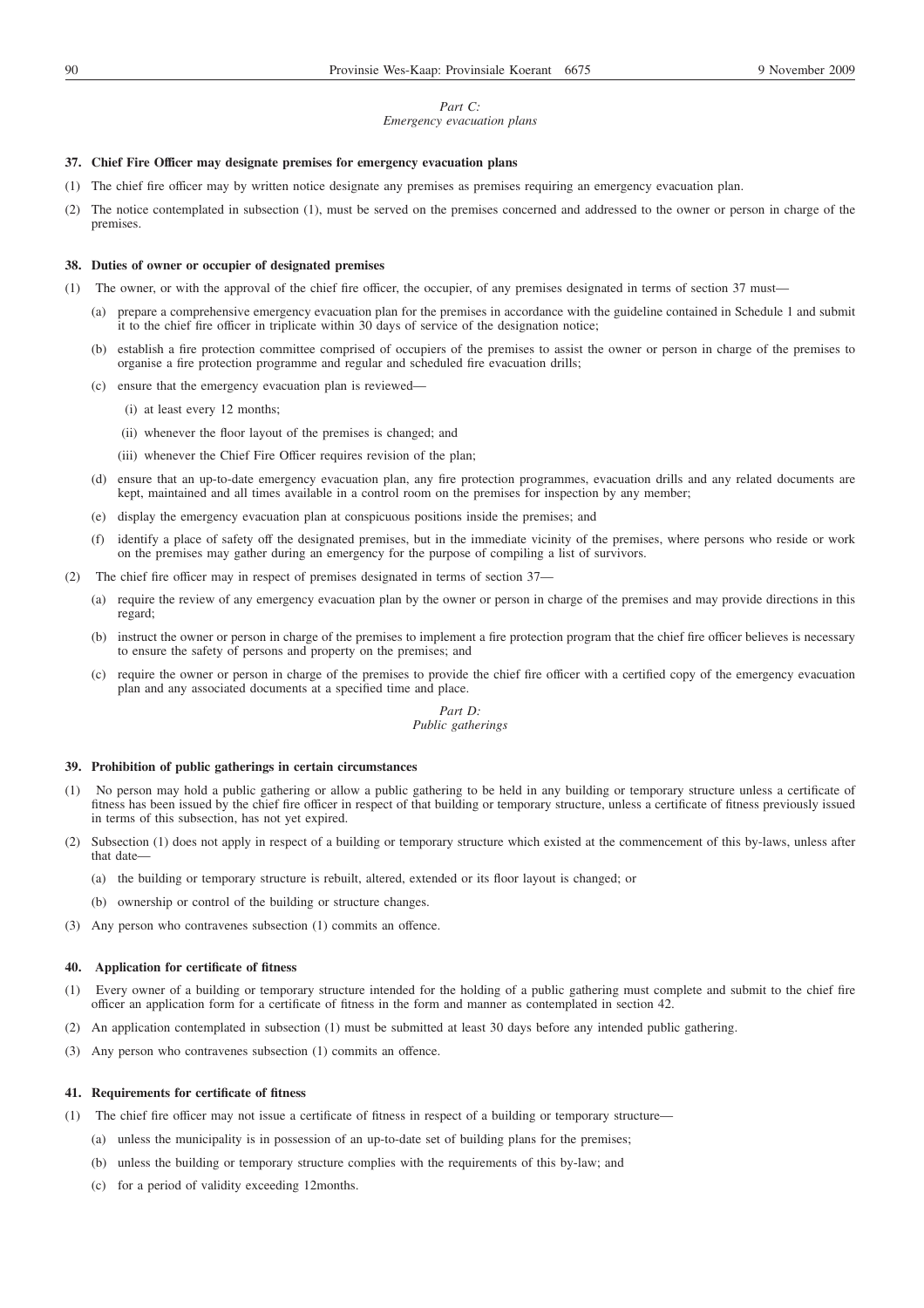## *Part C:*

## *Emergency evacuation plans*

### **37. Chief Fire Officer may designate premises for emergency evacuation plans**

- (1) The chief fire officer may by written notice designate any premises as premises requiring an emergency evacuation plan.
- (2) The notice contemplated in subsection (1), must be served on the premises concerned and addressed to the owner or person in charge of the premises.

### **38. Duties of owner or occupier of designated premises**

- (1) The owner, or with the approval of the chief fire officer, the occupier, of any premises designated in terms of section 37 must—
	- (a) prepare a comprehensive emergency evacuation plan for the premises in accordance with the guideline contained in Schedule 1 and submit it to the chief fire officer in triplicate within 30 days of service of the designation notice;
	- (b) establish a fire protection committee comprised of occupiers of the premises to assist the owner or person in charge of the premises to organise a fire protection programme and regular and scheduled fire evacuation drills;
	- (c) ensure that the emergency evacuation plan is reviewed—
		- (i) at least every 12 months;
		- (ii) whenever the floor layout of the premises is changed; and
		- (iii) whenever the Chief Fire Officer requires revision of the plan;
	- (d) ensure that an up-to-date emergency evacuation plan, any fire protection programmes, evacuation drills and any related documents are kept, maintained and all times available in a control room on the premises for inspection by any member;
	- (e) display the emergency evacuation plan at conspicuous positions inside the premises; and
	- (f) identify a place of safety off the designated premises, but in the immediate vicinity of the premises, where persons who reside or work on the premises may gather during an emergency for the purpose of compiling a list of survivors.
- (2) The chief fire officer may in respect of premises designated in terms of section 37—
	- (a) require the review of any emergency evacuation plan by the owner or person in charge of the premises and may provide directions in this regard;
	- (b) instruct the owner or person in charge of the premises to implement a fire protection program that the chief fire officer believes is necessary to ensure the safety of persons and property on the premises; and
	- (c) require the owner or person in charge of the premises to provide the chief fire officer with a certified copy of the emergency evacuation plan and any associated documents at a specified time and place.

#### *Part D: Public gatherings*

#### **39. Prohibition of public gatherings in certain circumstances**

- (1) No person may hold a public gathering or allow a public gathering to be held in any building or temporary structure unless a certificate of fitness has been issued by the chief fire officer in respect of that building or temporary structure, unless a certificate of fitness previously issued in terms of this subsection, has not yet expired.
- (2) Subsection (1) does not apply in respect of a building or temporary structure which existed at the commencement of this by-laws, unless after that date
	- (a) the building or temporary structure is rebuilt, altered, extended or its floor layout is changed; or
	- (b) ownership or control of the building or structure changes.
- (3) Any person who contravenes subsection (1) commits an offence.

## **40. Application for certificate of fitness**

- (1) Every owner of a building or temporary structure intended for the holding of a public gathering must complete and submit to the chief fire officer an application form for a certificate of fitness in the form and manner as contemplated in section 42.
- (2) An application contemplated in subsection (1) must be submitted at least 30 days before any intended public gathering.
- (3) Any person who contravenes subsection (1) commits an offence.

#### **41. Requirements for certificate of fitness**

- (1) The chief fire officer may not issue a certificate of fitness in respect of a building or temporary structure—
	- (a) unless the municipality is in possession of an up-to-date set of building plans for the premises;
	- (b) unless the building or temporary structure complies with the requirements of this by-law; and
	- (c) for a period of validity exceeding 12months.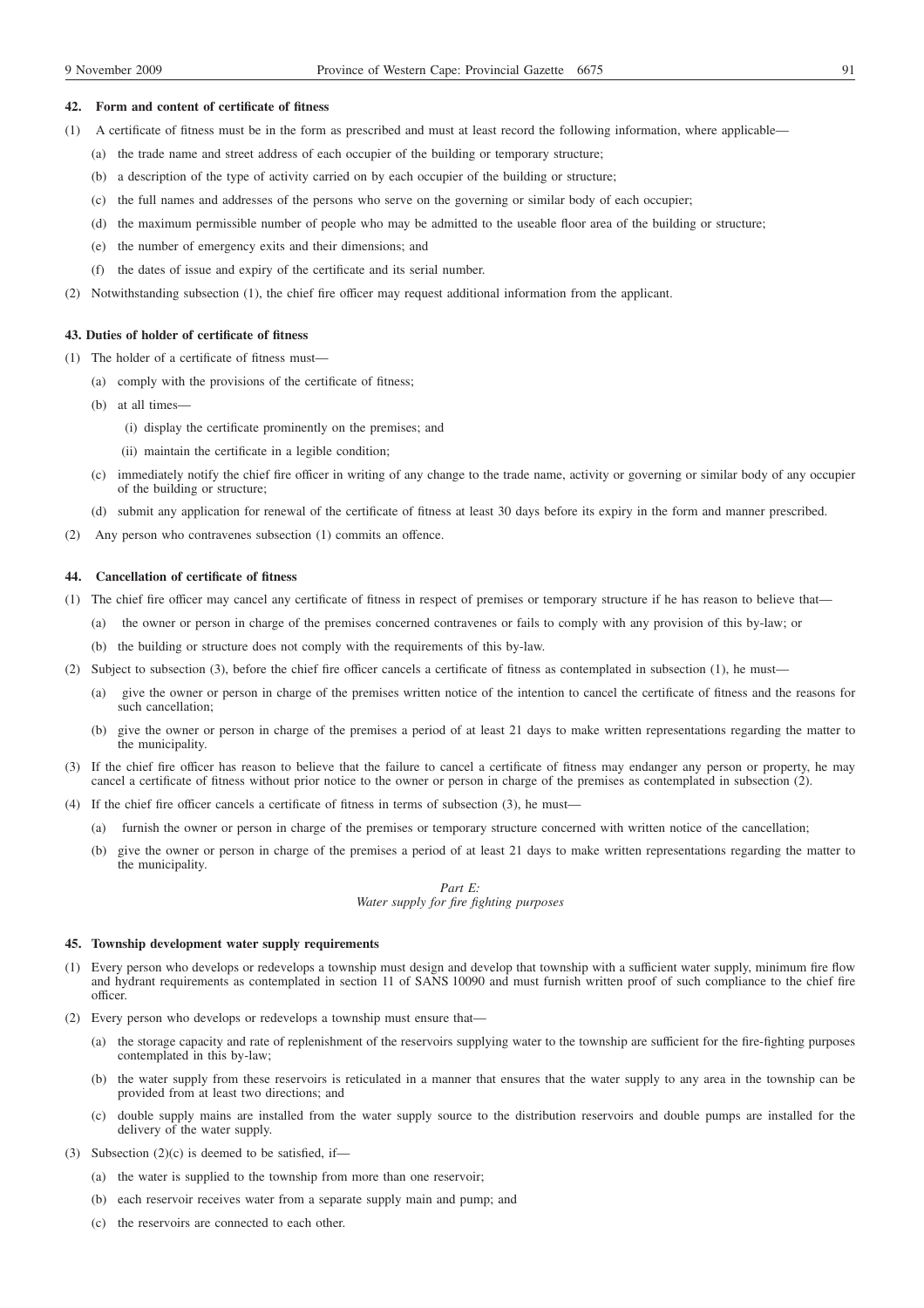### **42. Form and content of certificate of fitness**

- (1) A certificate of fitness must be in the form as prescribed and must at least record the following information, where applicable—
	- (a) the trade name and street address of each occupier of the building or temporary structure;
	- (b) a description of the type of activity carried on by each occupier of the building or structure;
	- (c) the full names and addresses of the persons who serve on the governing or similar body of each occupier;
	- (d) the maximum permissible number of people who may be admitted to the useable floor area of the building or structure;
	- (e) the number of emergency exits and their dimensions; and
	- (f) the dates of issue and expiry of the certificate and its serial number.
- (2) Notwithstanding subsection (1), the chief fire officer may request additional information from the applicant.

### **43. Duties of holder of certificate of fitness**

- (1) The holder of a certificate of fitness must—
	- (a) comply with the provisions of the certificate of fitness;
	- (b) at all times—
		- (i) display the certificate prominently on the premises; and
		- (ii) maintain the certificate in a legible condition;
	- (c) immediately notify the chief fire officer in writing of any change to the trade name, activity or governing or similar body of any occupier of the building or structure;
	- (d) submit any application for renewal of the certificate of fitness at least 30 days before its expiry in the form and manner prescribed.
- (2) Any person who contravenes subsection (1) commits an offence.

## **44. Cancellation of certificate of fitness**

- (1) The chief fire officer may cancel any certificate of fitness in respect of premises or temporary structure if he has reason to believe that—
	- (a) the owner or person in charge of the premises concerned contravenes or fails to comply with any provision of this by-law; or
	- (b) the building or structure does not comply with the requirements of this by-law.
- (2) Subject to subsection (3), before the chief fire officer cancels a certificate of fitness as contemplated in subsection (1), he must—
	- (a) give the owner or person in charge of the premises written notice of the intention to cancel the certificate of fitness and the reasons for such cancellation;
	- (b) give the owner or person in charge of the premises a period of at least 21 days to make written representations regarding the matter to the municipality.
- (3) If the chief fire officer has reason to believe that the failure to cancel a certificate of fitness may endanger any person or property, he may cancel a certificate of fitness without prior notice to the owner or person in charge of the premises as contemplated in subsection (2).
- (4) If the chief fire officer cancels a certificate of fitness in terms of subsection (3), he must—
	- (a) furnish the owner or person in charge of the premises or temporary structure concerned with written notice of the cancellation;
	- (b) give the owner or person in charge of the premises a period of at least 21 days to make written representations regarding the matter to the municipality.

*Part E: Water supply for fire fighting purposes*

### **45. Township development water supply requirements**

- (1) Every person who develops or redevelops a township must design and develop that township with a sufficient water supply, minimum fire flow and hydrant requirements as contemplated in section 11 of SANS 10090 and must furnish written proof of such compliance to the chief fire officer.
- (2) Every person who develops or redevelops a township must ensure that—
	- (a) the storage capacity and rate of replenishment of the reservoirs supplying water to the township are sufficient for the fire-fighting purposes contemplated in this by-law;
	- (b) the water supply from these reservoirs is reticulated in a manner that ensures that the water supply to any area in the township can be provided from at least two directions; and
	- (c) double supply mains are installed from the water supply source to the distribution reservoirs and double pumps are installed for the delivery of the water supply.
- (3) Subsection  $(2)(c)$  is deemed to be satisfied, if-
	- (a) the water is supplied to the township from more than one reservoir;
	- (b) each reservoir receives water from a separate supply main and pump; and
	- (c) the reservoirs are connected to each other.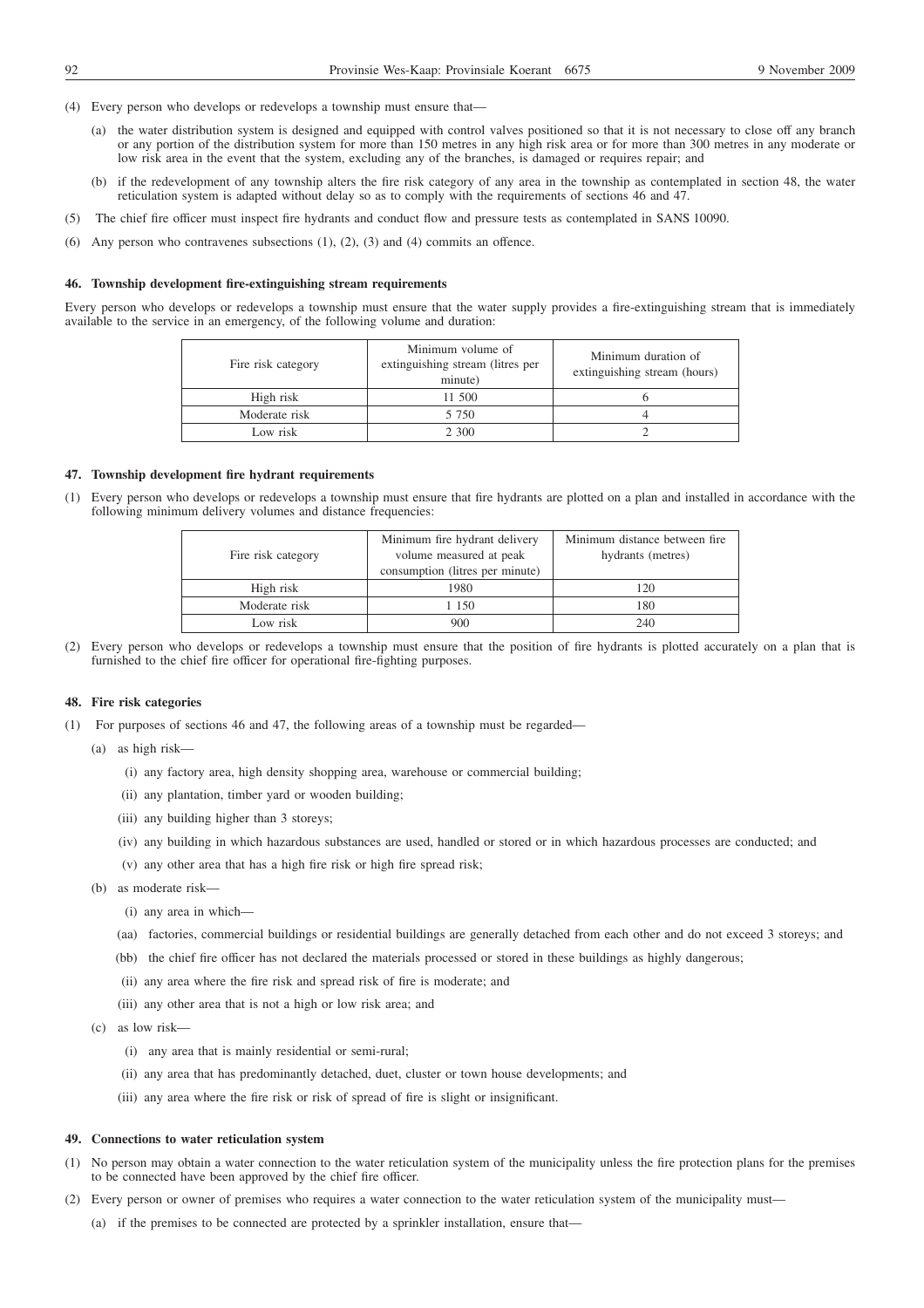- (4) Every person who develops or redevelops a township must ensure that—
	- (a) the water distribution system is designed and equipped with control valves positioned so that it is not necessary to close off any branch or any portion of the distribution system for more than 150 metres in any high risk area or for more than 300 metres in any moderate or low risk area in the event that the system, excluding any of the branches, is damaged or requires repair; and
	- (b) if the redevelopment of any township alters the fire risk category of any area in the township as contemplated in section 48, the water reticulation system is adapted without delay so as to comply with the requirements of sections 46 and 47.
- (5) The chief fire officer must inspect fire hydrants and conduct flow and pressure tests as contemplated in SANS 10090.
- (6) Any person who contravenes subsections (1), (2), (3) and (4) commits an offence.

#### **46. Township development fire-extinguishing stream requirements**

Every person who develops or redevelops a township must ensure that the water supply provides a fire-extinguishing stream that is immediately available to the service in an emergency, of the following volume and duration:

| Fire risk category | Minimum volume of<br>extinguishing stream (litres per<br>minute) | Minimum duration of<br>extinguishing stream (hours) |
|--------------------|------------------------------------------------------------------|-----------------------------------------------------|
| High risk          | 11 500                                                           |                                                     |
| Moderate risk      | 5 750                                                            |                                                     |
| Low risk           | 2 3 0 0                                                          |                                                     |

### **47. Township development fire hydrant requirements**

(1) Every person who develops or redevelops a township must ensure that fire hydrants are plotted on a plan and installed in accordance with the following minimum delivery volumes and distance frequencies:

| Fire risk category | Minimum fire hydrant delivery<br>volume measured at peak<br>consumption (litres per minute) | Minimum distance between fire.<br>hydrants (metres) |
|--------------------|---------------------------------------------------------------------------------------------|-----------------------------------------------------|
| High risk          | 1980                                                                                        | 120                                                 |
| Moderate risk      | l 150                                                                                       | 180                                                 |
| Low risk           | 900                                                                                         | 240                                                 |

(2) Every person who develops or redevelops a township must ensure that the position of fire hydrants is plotted accurately on a plan that is furnished to the chief fire officer for operational fire-fighting purposes.

### **48. Fire risk categories**

- (1) For purposes of sections 46 and 47, the following areas of a township must be regarded—
	- (a) as high risk—
		- (i) any factory area, high density shopping area, warehouse or commercial building;
		- (ii) any plantation, timber yard or wooden building;
		- (iii) any building higher than 3 storeys;
		- (iv) any building in which hazardous substances are used, handled or stored or in which hazardous processes are conducted; and
		- (v) any other area that has a high fire risk or high fire spread risk;
	- (b) as moderate risk—
		- (i) any area in which—
		- (aa) factories, commercial buildings or residential buildings are generally detached from each other and do not exceed 3 storeys; and
		- (bb) the chief fire officer has not declared the materials processed or stored in these buildings as highly dangerous;
		- (ii) any area where the fire risk and spread risk of fire is moderate; and
		- (iii) any other area that is not a high or low risk area; and
	- (c) as low risk—
		- (i) any area that is mainly residential or semi-rural;
		- (ii) any area that has predominantly detached, duet, cluster or town house developments; and
		- (iii) any area where the fire risk or risk of spread of fire is slight or insignificant.

#### **49. Connections to water reticulation system**

- (1) No person may obtain a water connection to the water reticulation system of the municipality unless the fire protection plans for the premises to be connected have been approved by the chief fire officer.
- (2) Every person or owner of premises who requires a water connection to the water reticulation system of the municipality must—
	- (a) if the premises to be connected are protected by a sprinkler installation, ensure that—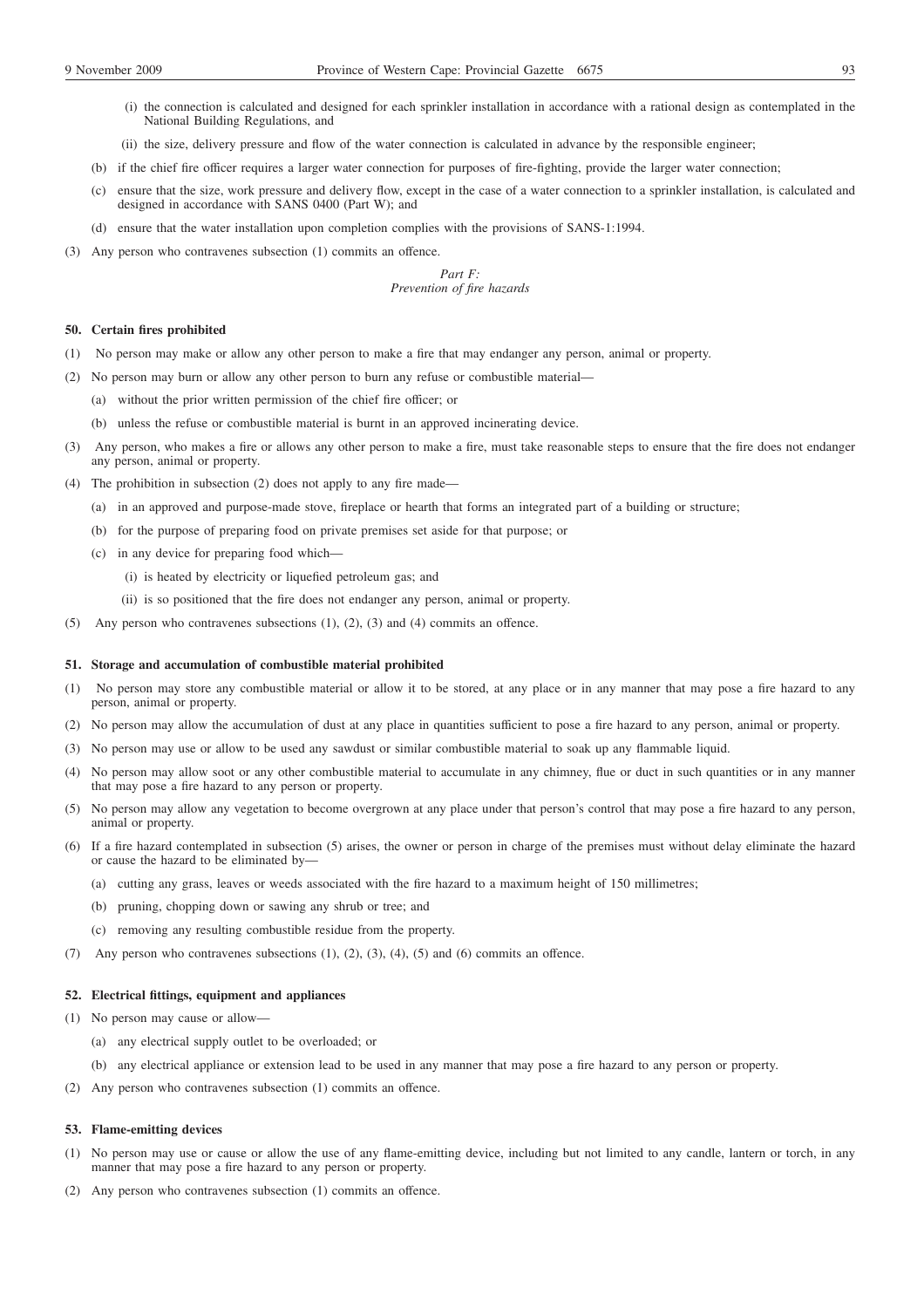- (i) the connection is calculated and designed for each sprinkler installation in accordance with a rational design as contemplated in the National Building Regulations, and
- (ii) the size, delivery pressure and flow of the water connection is calculated in advance by the responsible engineer;
- (b) if the chief fire officer requires a larger water connection for purposes of fire-fighting, provide the larger water connection;
- (c) ensure that the size, work pressure and delivery flow, except in the case of a water connection to a sprinkler installation, is calculated and designed in accordance with SANS 0400 (Part W); and
- (d) ensure that the water installation upon completion complies with the provisions of SANS-1:1994.
- (3) Any person who contravenes subsection (1) commits an offence.

## *Part F: Prevention of fire hazards*

## **50. Certain fires prohibited**

- (1) No person may make or allow any other person to make a fire that may endanger any person, animal or property.
- (2) No person may burn or allow any other person to burn any refuse or combustible material—
	- (a) without the prior written permission of the chief fire officer; or
	- (b) unless the refuse or combustible material is burnt in an approved incinerating device.
- (3) Any person, who makes a fire or allows any other person to make a fire, must take reasonable steps to ensure that the fire does not endanger any person, animal or property.
- (4) The prohibition in subsection (2) does not apply to any fire made—
	- (a) in an approved and purpose-made stove, fireplace or hearth that forms an integrated part of a building or structure;
	- (b) for the purpose of preparing food on private premises set aside for that purpose; or
	- (c) in any device for preparing food which—
		- (i) is heated by electricity or liquefied petroleum gas; and
		- (ii) is so positioned that the fire does not endanger any person, animal or property.
- (5) Any person who contravenes subsections (1), (2), (3) and (4) commits an offence.

#### **51. Storage and accumulation of combustible material prohibited**

- (1) No person may store any combustible material or allow it to be stored, at any place or in any manner that may pose a fire hazard to any person, animal or property.
- (2) No person may allow the accumulation of dust at any place in quantities sufficient to pose a fire hazard to any person, animal or property.
- (3) No person may use or allow to be used any sawdust or similar combustible material to soak up any flammable liquid.
- (4) No person may allow soot or any other combustible material to accumulate in any chimney, flue or duct in such quantities or in any manner that may pose a fire hazard to any person or property.
- (5) No person may allow any vegetation to become overgrown at any place under that person's control that may pose a fire hazard to any person, animal or property.
- (6) If a fire hazard contemplated in subsection (5) arises, the owner or person in charge of the premises must without delay eliminate the hazard or cause the hazard to be eliminated by—
	- (a) cutting any grass, leaves or weeds associated with the fire hazard to a maximum height of 150 millimetres;
	- (b) pruning, chopping down or sawing any shrub or tree; and
	- (c) removing any resulting combustible residue from the property.
- (7) Any person who contravenes subsections  $(1)$ ,  $(2)$ ,  $(3)$ ,  $(4)$ ,  $(5)$  and  $(6)$  commits an offence.

## **52. Electrical fittings, equipment and appliances**

- (1) No person may cause or allow—
	- (a) any electrical supply outlet to be overloaded; or
	- (b) any electrical appliance or extension lead to be used in any manner that may pose a fire hazard to any person or property.
- (2) Any person who contravenes subsection (1) commits an offence.

## **53. Flame-emitting devices**

- (1) No person may use or cause or allow the use of any flame-emitting device, including but not limited to any candle, lantern or torch, in any manner that may pose a fire hazard to any person or property.
- (2) Any person who contravenes subsection (1) commits an offence.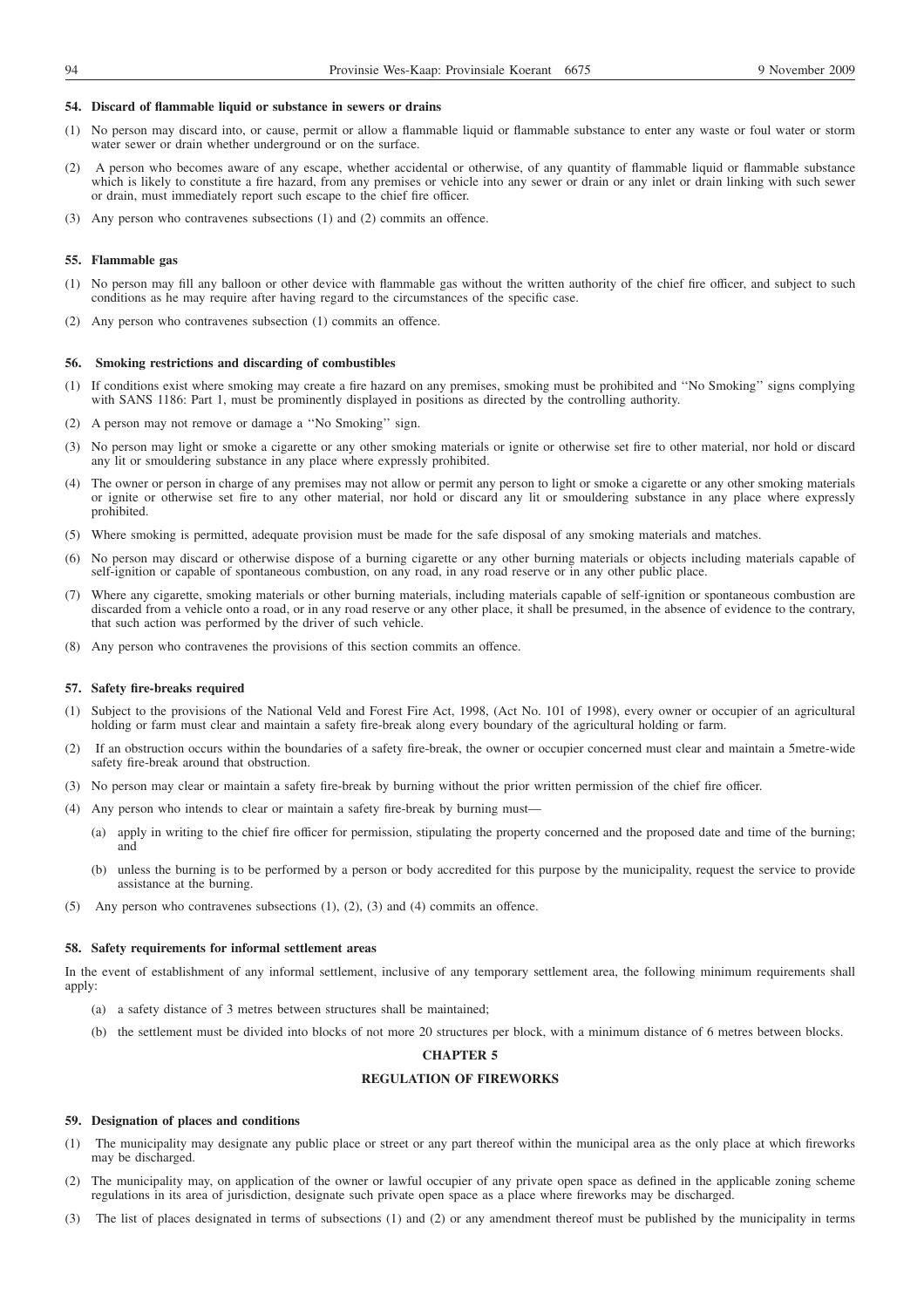#### **54. Discard of flammable liquid or substance in sewers or drains**

- (1) No person may discard into, or cause, permit or allow a flammable liquid or flammable substance to enter any waste or foul water or storm water sewer or drain whether underground or on the surface.
- (2) A person who becomes aware of any escape, whether accidental or otherwise, of any quantity of flammable liquid or flammable substance which is likely to constitute a fire hazard, from any premises or vehicle into any sewer or drain or any inlet or drain linking with such sewer or drain, must immediately report such escape to the chief fire officer.
- (3) Any person who contravenes subsections (1) and (2) commits an offence.

### **55. Flammable gas**

- (1) No person may fill any balloon or other device with flammable gas without the written authority of the chief fire officer, and subject to such conditions as he may require after having regard to the circumstances of the specific case.
- (2) Any person who contravenes subsection (1) commits an offence.

#### **56. Smoking restrictions and discarding of combustibles**

- (1) If conditions exist where smoking may create a fire hazard on any premises, smoking must be prohibited and ''No Smoking'' signs complying with SANS 1186: Part 1, must be prominently displayed in positions as directed by the controlling authority.
- (2) A person may not remove or damage a ''No Smoking'' sign.
- (3) No person may light or smoke a cigarette or any other smoking materials or ignite or otherwise set fire to other material, nor hold or discard any lit or smouldering substance in any place where expressly prohibited.
- (4) The owner or person in charge of any premises may not allow or permit any person to light or smoke a cigarette or any other smoking materials or ignite or otherwise set fire to any other material, nor hold or discard any lit or smouldering substance in any place where expressly prohibited.
- (5) Where smoking is permitted, adequate provision must be made for the safe disposal of any smoking materials and matches.
- (6) No person may discard or otherwise dispose of a burning cigarette or any other burning materials or objects including materials capable of self-ignition or capable of spontaneous combustion, on any road, in any road reserve or in any other public place.
- (7) Where any cigarette, smoking materials or other burning materials, including materials capable of self-ignition or spontaneous combustion are discarded from a vehicle onto a road, or in any road reserve or any other place, it shall be presumed, in the absence of evidence to the contrary, that such action was performed by the driver of such vehicle.
- (8) Any person who contravenes the provisions of this section commits an offence.

#### **57. Safety fire-breaks required**

- (1) Subject to the provisions of the National Veld and Forest Fire Act, 1998, (Act No. 101 of 1998), every owner or occupier of an agricultural holding or farm must clear and maintain a safety fire-break along every boundary of the agricultural holding or farm.
- (2) If an obstruction occurs within the boundaries of a safety fire-break, the owner or occupier concerned must clear and maintain a 5metre-wide safety fire-break around that obstruction.
- (3) No person may clear or maintain a safety fire-break by burning without the prior written permission of the chief fire officer.
- (4) Any person who intends to clear or maintain a safety fire-break by burning must—
	- (a) apply in writing to the chief fire officer for permission, stipulating the property concerned and the proposed date and time of the burning; and
	- (b) unless the burning is to be performed by a person or body accredited for this purpose by the municipality, request the service to provide assistance at the burning.
- (5) Any person who contravenes subsections (1), (2), (3) and (4) commits an offence.

#### **58. Safety requirements for informal settlement areas**

In the event of establishment of any informal settlement, inclusive of any temporary settlement area, the following minimum requirements shall apply:

- (a) a safety distance of 3 metres between structures shall be maintained;
- (b) the settlement must be divided into blocks of not more 20 structures per block, with a minimum distance of 6 metres between blocks.

### **CHAPTER 5**

## **REGULATION OF FIREWORKS**

#### **59. Designation of places and conditions**

- (1) The municipality may designate any public place or street or any part thereof within the municipal area as the only place at which fireworks may be discharged.
- (2) The municipality may, on application of the owner or lawful occupier of any private open space as defined in the applicable zoning scheme regulations in its area of jurisdiction, designate such private open space as a place where fireworks may be discharged.
- (3) The list of places designated in terms of subsections (1) and (2) or any amendment thereof must be published by the municipality in terms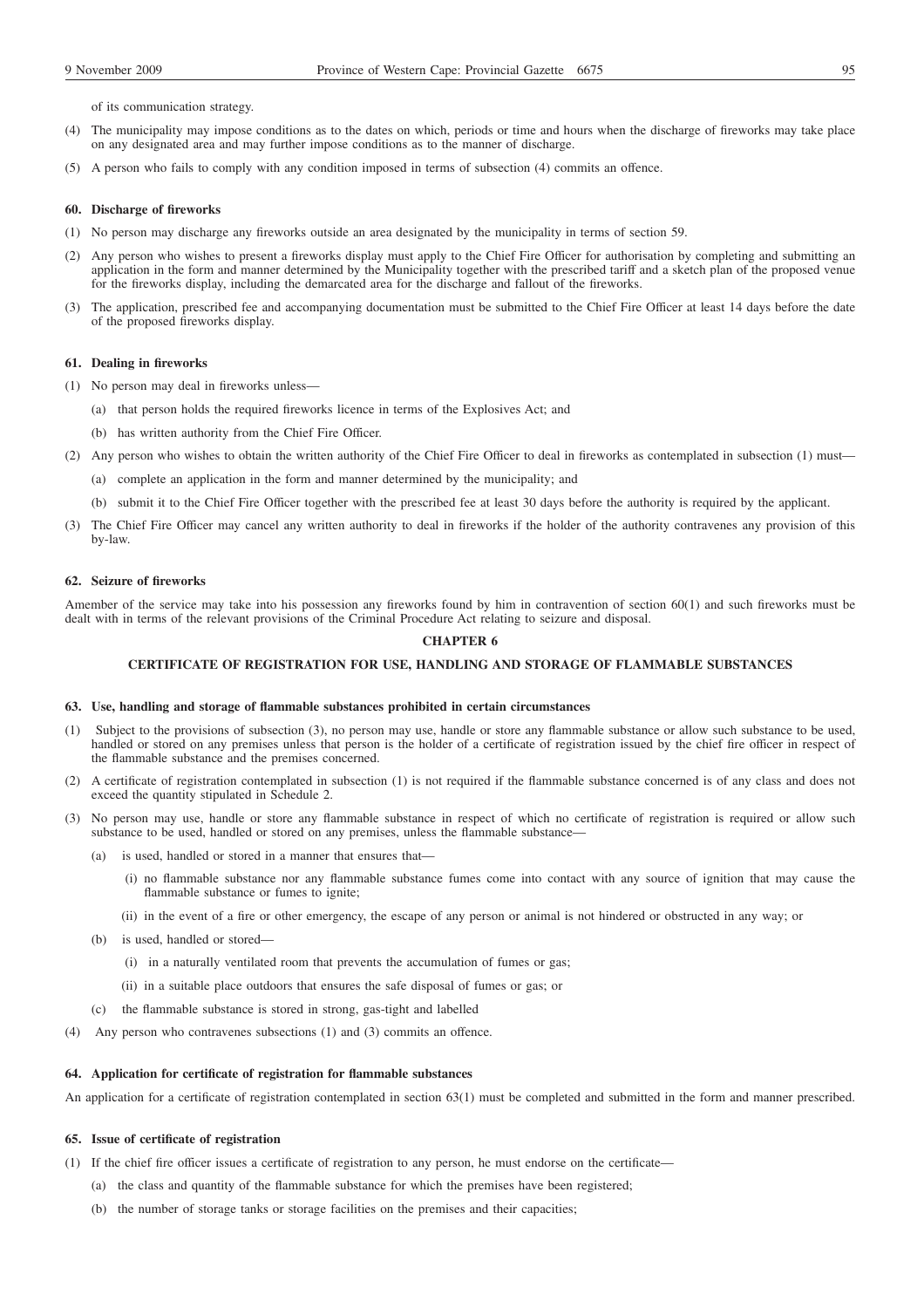of its communication strategy.

- (4) The municipality may impose conditions as to the dates on which, periods or time and hours when the discharge of fireworks may take place on any designated area and may further impose conditions as to the manner of discharge.
- (5) A person who fails to comply with any condition imposed in terms of subsection (4) commits an offence.

#### **60. Discharge of fireworks**

- (1) No person may discharge any fireworks outside an area designated by the municipality in terms of section 59.
- Any person who wishes to present a fireworks display must apply to the Chief Fire Officer for authorisation by completing and submitting an application in the form and manner determined by the Municipality together with the prescribed tariff and a sketch plan of the proposed venue for the fireworks display, including the demarcated area for the discharge and fallout of the fireworks.
- (3) The application, prescribed fee and accompanying documentation must be submitted to the Chief Fire Officer at least 14 days before the date of the proposed fireworks display.

### **61. Dealing in fireworks**

(1) No person may deal in fireworks unless—

- (a) that person holds the required fireworks licence in terms of the Explosives Act; and
- (b) has written authority from the Chief Fire Officer.
- (2) Any person who wishes to obtain the written authority of the Chief Fire Officer to deal in fireworks as contemplated in subsection (1) must—
	- (a) complete an application in the form and manner determined by the municipality; and
	- (b) submit it to the Chief Fire Officer together with the prescribed fee at least 30 days before the authority is required by the applicant.
- (3) The Chief Fire Officer may cancel any written authority to deal in fireworks if the holder of the authority contravenes any provision of this by-law.

#### **62. Seizure of fireworks**

Amember of the service may take into his possession any fireworks found by him in contravention of section 60(1) and such fireworks must be dealt with in terms of the relevant provisions of the Criminal Procedure Act relating to seizure and disposal.

## **CHAPTER 6**

#### **CERTIFICATE OF REGISTRATION FOR USE, HANDLING AND STORAGE OF FLAMMABLE SUBSTANCES**

### **63. Use, handling and storage of flammable substances prohibited in certain circumstances**

- (1) Subject to the provisions of subsection (3), no person may use, handle or store any flammable substance or allow such substance to be used, handled or stored on any premises unless that person is the holder of a certificate of registration issued by the chief fire officer in respect of the flammable substance and the premises concerned.
- (2) A certificate of registration contemplated in subsection (1) is not required if the flammable substance concerned is of any class and does not exceed the quantity stipulated in Schedule 2.
- (3) No person may use, handle or store any flammable substance in respect of which no certificate of registration is required or allow such substance to be used, handled or stored on any premises, unless the flammable substance-
	- (a) is used, handled or stored in a manner that ensures that—
		- (i) no flammable substance nor any flammable substance fumes come into contact with any source of ignition that may cause the flammable substance or fumes to ignite;
		- (ii) in the event of a fire or other emergency, the escape of any person or animal is not hindered or obstructed in any way; or
	- (b) is used, handled or stored—
		- (i) in a naturally ventilated room that prevents the accumulation of fumes or gas;
		- (ii) in a suitable place outdoors that ensures the safe disposal of fumes or gas; or
	- (c) the flammable substance is stored in strong, gas-tight and labelled
- (4) Any person who contravenes subsections (1) and (3) commits an offence.

#### **64. Application for certificate of registration for flammable substances**

An application for a certificate of registration contemplated in section 63(1) must be completed and submitted in the form and manner prescribed.

#### **65. Issue of certificate of registration**

- (1) If the chief fire officer issues a certificate of registration to any person, he must endorse on the certificate—
	- (a) the class and quantity of the flammable substance for which the premises have been registered;
	- (b) the number of storage tanks or storage facilities on the premises and their capacities;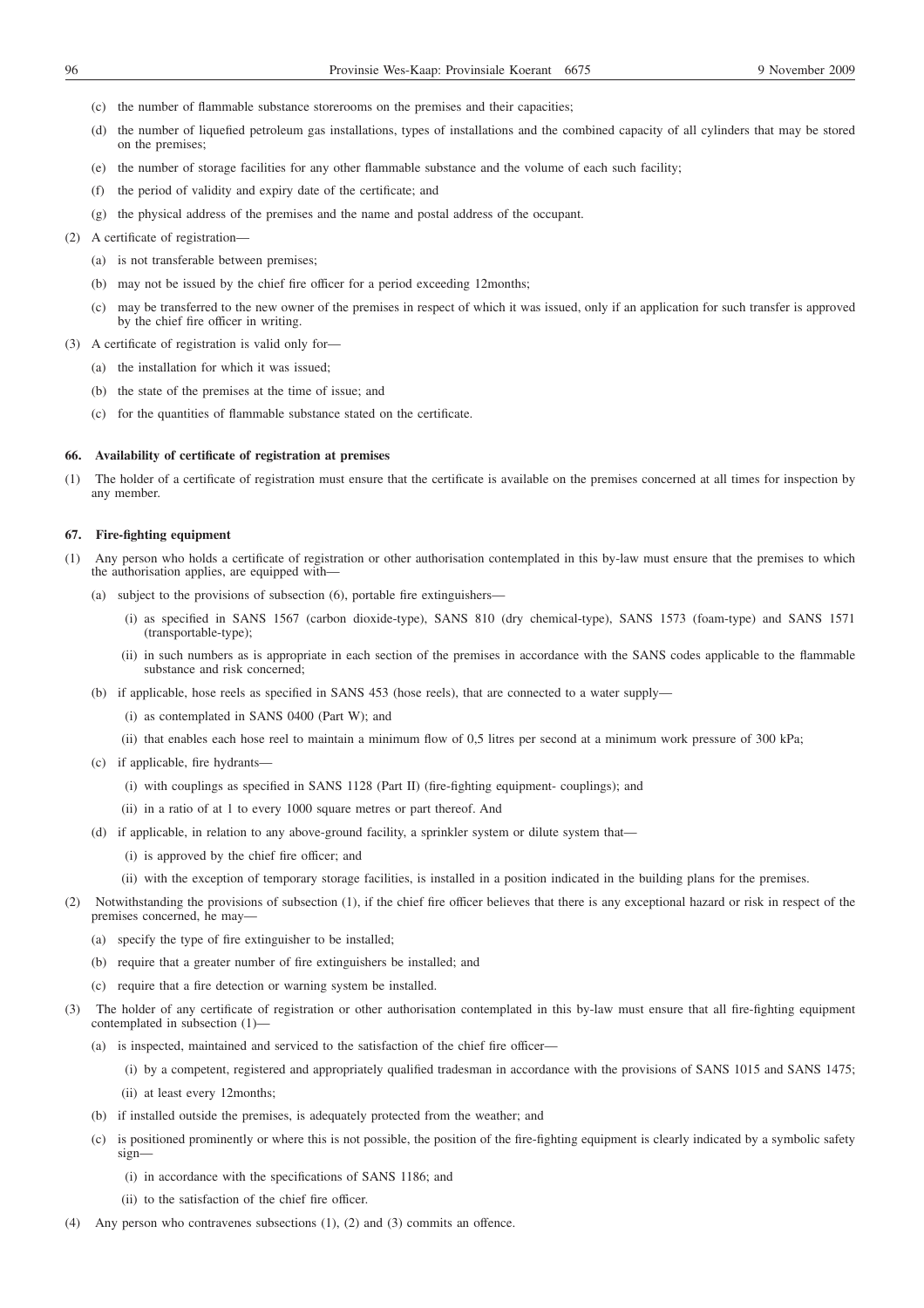- (c) the number of flammable substance storerooms on the premises and their capacities;
- (d) the number of liquefied petroleum gas installations, types of installations and the combined capacity of all cylinders that may be stored on the premises;
- (e) the number of storage facilities for any other flammable substance and the volume of each such facility;
- (f) the period of validity and expiry date of the certificate; and
- (g) the physical address of the premises and the name and postal address of the occupant.
- (2) A certificate of registration—
	- (a) is not transferable between premises;
	- (b) may not be issued by the chief fire officer for a period exceeding 12months;
	- (c) may be transferred to the new owner of the premises in respect of which it was issued, only if an application for such transfer is approved by the chief fire officer in writing.
- (3) A certificate of registration is valid only for—
	- (a) the installation for which it was issued;
	- (b) the state of the premises at the time of issue; and
	- (c) for the quantities of flammable substance stated on the certificate.

#### **66. Availability of certificate of registration at premises**

(1) The holder of a certificate of registration must ensure that the certificate is available on the premises concerned at all times for inspection by any member.

### **67. Fire-fighting equipment**

- (1) Any person who holds a certificate of registration or other authorisation contemplated in this by-law must ensure that the premises to which the authorisation applies, are equipped with—
	- (a) subject to the provisions of subsection (6), portable fire extinguishers—
		- (i) as specified in SANS 1567 (carbon dioxide-type), SANS 810 (dry chemical-type), SANS 1573 (foam-type) and SANS 1571 (transportable-type);
		- (ii) in such numbers as is appropriate in each section of the premises in accordance with the SANS codes applicable to the flammable substance and risk concerned;
	- (b) if applicable, hose reels as specified in SANS 453 (hose reels), that are connected to a water supply—
		- (i) as contemplated in SANS 0400 (Part W); and
		- (ii) that enables each hose reel to maintain a minimum flow of 0,5 litres per second at a minimum work pressure of 300 kPa;
	- (c) if applicable, fire hydrants—
		- (i) with couplings as specified in SANS 1128 (Part II) (fire-fighting equipment- couplings); and
		- (ii) in a ratio of at 1 to every 1000 square metres or part thereof. And
	- (d) if applicable, in relation to any above-ground facility, a sprinkler system or dilute system that—
		- (i) is approved by the chief fire officer; and
		- (ii) with the exception of temporary storage facilities, is installed in a position indicated in the building plans for the premises.
- (2) Notwithstanding the provisions of subsection (1), if the chief fire officer believes that there is any exceptional hazard or risk in respect of the premises concerned, he may—
	- (a) specify the type of fire extinguisher to be installed;
	- (b) require that a greater number of fire extinguishers be installed; and
	- (c) require that a fire detection or warning system be installed.
- (3) The holder of any certificate of registration or other authorisation contemplated in this by-law must ensure that all fire-fighting equipment contemplated in subsection (1)-
	- (a) is inspected, maintained and serviced to the satisfaction of the chief fire officer—

(i) by a competent, registered and appropriately qualified tradesman in accordance with the provisions of SANS 1015 and SANS 1475;

(ii) at least every 12months;

- (b) if installed outside the premises, is adequately protected from the weather; and
- (c) is positioned prominently or where this is not possible, the position of the fire-fighting equipment is clearly indicated by a symbolic safety sign—
	- (i) in accordance with the specifications of SANS 1186; and
	- (ii) to the satisfaction of the chief fire officer.
- (4) Any person who contravenes subsections (1), (2) and (3) commits an offence.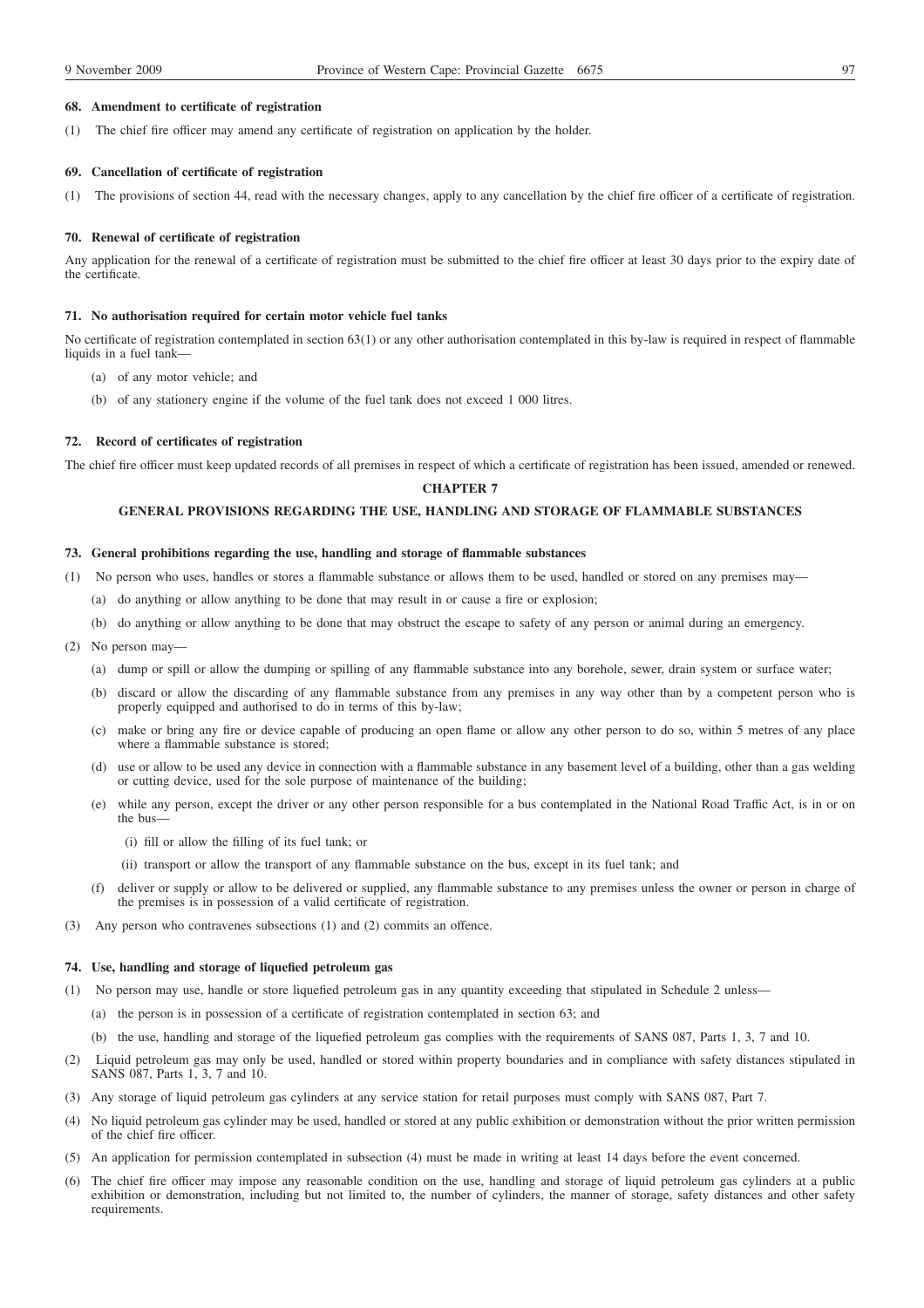#### **68. Amendment to certificate of registration**

(1) The chief fire officer may amend any certificate of registration on application by the holder.

#### **69. Cancellation of certificate of registration**

(1) The provisions of section 44, read with the necessary changes, apply to any cancellation by the chief fire officer of a certificate of registration.

### **70. Renewal of certificate of registration**

Any application for the renewal of a certificate of registration must be submitted to the chief fire officer at least 30 days prior to the expiry date of the certificate.

## **71. No authorisation required for certain motor vehicle fuel tanks**

No certificate of registration contemplated in section 63(1) or any other authorisation contemplated in this by-law is required in respect of flammable liquids in a fuel tank—

- (a) of any motor vehicle; and
- (b) of any stationery engine if the volume of the fuel tank does not exceed 1 000 litres.

### **72. Record of certificates of registration**

The chief fire officer must keep updated records of all premises in respect of which a certificate of registration has been issued, amended or renewed.

## **CHAPTER 7**

## **GENERAL PROVISIONS REGARDING THE USE, HANDLING AND STORAGE OF FLAMMABLE SUBSTANCES**

## **73. General prohibitions regarding the use, handling and storage of flammable substances**

- (1) No person who uses, handles or stores a flammable substance or allows them to be used, handled or stored on any premises may—
	- (a) do anything or allow anything to be done that may result in or cause a fire or explosion;
	- (b) do anything or allow anything to be done that may obstruct the escape to safety of any person or animal during an emergency.
- (2) No person may—
	- (a) dump or spill or allow the dumping or spilling of any flammable substance into any borehole, sewer, drain system or surface water;
	- (b) discard or allow the discarding of any flammable substance from any premises in any way other than by a competent person who is properly equipped and authorised to do in terms of this by-law;
	- (c) make or bring any fire or device capable of producing an open flame or allow any other person to do so, within 5 metres of any place where a flammable substance is stored;
	- (d) use or allow to be used any device in connection with a flammable substance in any basement level of a building, other than a gas welding or cutting device, used for the sole purpose of maintenance of the building;
	- (e) while any person, except the driver or any other person responsible for a bus contemplated in the National Road Traffic Act, is in or on the bus—
		- (i) fill or allow the filling of its fuel tank; or
		- (ii) transport or allow the transport of any flammable substance on the bus, except in its fuel tank; and
	- (f) deliver or supply or allow to be delivered or supplied, any flammable substance to any premises unless the owner or person in charge of the premises is in possession of a valid certificate of registration.
- (3) Any person who contravenes subsections (1) and (2) commits an offence.

#### **74. Use, handling and storage of liquefied petroleum gas**

- (1) No person may use, handle or store liquefied petroleum gas in any quantity exceeding that stipulated in Schedule 2 unless—
	- (a) the person is in possession of a certificate of registration contemplated in section 63; and
	- (b) the use, handling and storage of the liquefied petroleum gas complies with the requirements of SANS 087, Parts 1, 3, 7 and 10.
- (2) Liquid petroleum gas may only be used, handled or stored within property boundaries and in compliance with safety distances stipulated in SANS 087, Parts 1, 3, 7 and 10.
- (3) Any storage of liquid petroleum gas cylinders at any service station for retail purposes must comply with SANS 087, Part 7.
- (4) No liquid petroleum gas cylinder may be used, handled or stored at any public exhibition or demonstration without the prior written permission of the chief fire officer.
- (5) An application for permission contemplated in subsection (4) must be made in writing at least 14 days before the event concerned.
- (6) The chief fire officer may impose any reasonable condition on the use, handling and storage of liquid petroleum gas cylinders at a public exhibition or demonstration, including but not limited to, the number of cylinders, the manner of storage, safety distances and other safety requirements.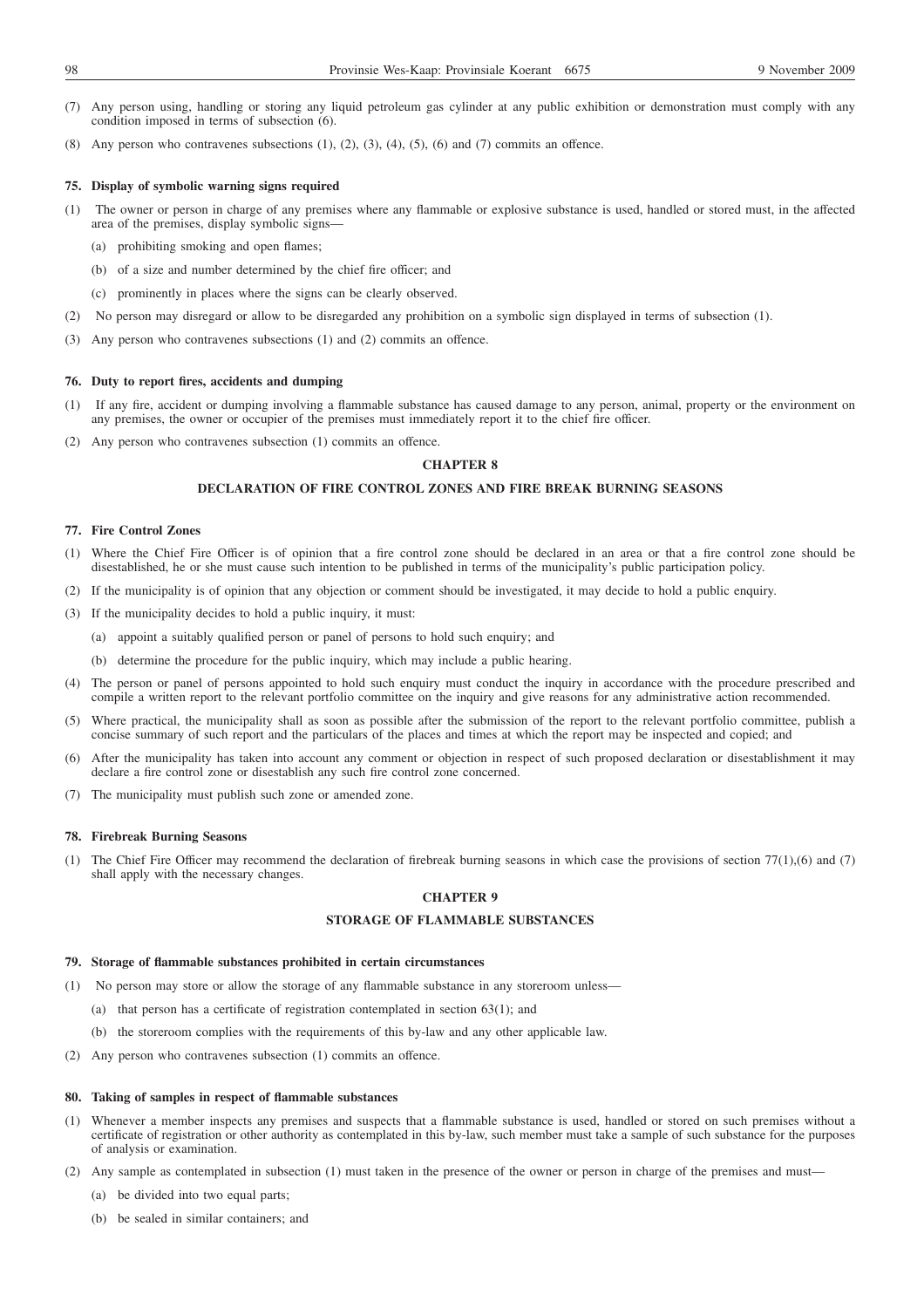- (7) Any person using, handling or storing any liquid petroleum gas cylinder at any public exhibition or demonstration must comply with any condition imposed in terms of subsection (6).
- (8) Any person who contravenes subsections  $(1)$ ,  $(2)$ ,  $(3)$ ,  $(4)$ ,  $(5)$ ,  $(6)$  and  $(7)$  commits an offence.

#### **75. Display of symbolic warning signs required**

- (1) The owner or person in charge of any premises where any flammable or explosive substance is used, handled or stored must, in the affected area of the premises, display symbolic signs—
	- (a) prohibiting smoking and open flames;
	- (b) of a size and number determined by the chief fire officer; and
	- (c) prominently in places where the signs can be clearly observed.
- (2) No person may disregard or allow to be disregarded any prohibition on a symbolic sign displayed in terms of subsection (1).
- (3) Any person who contravenes subsections (1) and (2) commits an offence.

### **76. Duty to report fires, accidents and dumping**

- (1) If any fire, accident or dumping involving a flammable substance has caused damage to any person, animal, property or the environment on any premises, the owner or occupier of the premises must immediately report it to the chief fire officer.
- (2) Any person who contravenes subsection (1) commits an offence.

### **CHAPTER 8**

## **DECLARATION OF FIRE CONTROL ZONES AND FIRE BREAK BURNING SEASONS**

## **77. Fire Control Zones**

- (1) Where the Chief Fire Officer is of opinion that a fire control zone should be declared in an area or that a fire control zone should be disestablished, he or she must cause such intention to be published in terms of the municipality's public participation policy.
- (2) If the municipality is of opinion that any objection or comment should be investigated, it may decide to hold a public enquiry.
- (3) If the municipality decides to hold a public inquiry, it must:
	- (a) appoint a suitably qualified person or panel of persons to hold such enquiry; and
	- (b) determine the procedure for the public inquiry, which may include a public hearing.
- (4) The person or panel of persons appointed to hold such enquiry must conduct the inquiry in accordance with the procedure prescribed and compile a written report to the relevant portfolio committee on the inquiry and give reasons for any administrative action recommended.
- (5) Where practical, the municipality shall as soon as possible after the submission of the report to the relevant portfolio committee, publish a concise summary of such report and the particulars of the places and times at which the report may be inspected and copied; and
- (6) After the municipality has taken into account any comment or objection in respect of such proposed declaration or disestablishment it may declare a fire control zone or disestablish any such fire control zone concerned.
- (7) The municipality must publish such zone or amended zone.

#### **78. Firebreak Burning Seasons**

(1) The Chief Fire Officer may recommend the declaration of firebreak burning seasons in which case the provisions of section 77(1),(6) and (7) shall apply with the necessary changes.

## **CHAPTER 9**

## **STORAGE OF FLAMMABLE SUBSTANCES**

#### **79. Storage of flammable substances prohibited in certain circumstances**

- (1) No person may store or allow the storage of any flammable substance in any storeroom unless—
	- (a) that person has a certificate of registration contemplated in section 63(1); and
	- (b) the storeroom complies with the requirements of this by-law and any other applicable law.
- (2) Any person who contravenes subsection (1) commits an offence.

#### **80. Taking of samples in respect of flammable substances**

- (1) Whenever a member inspects any premises and suspects that a flammable substance is used, handled or stored on such premises without a certificate of registration or other authority as contemplated in this by-law, such member must take a sample of such substance for the purposes of analysis or examination.
- (2) Any sample as contemplated in subsection (1) must taken in the presence of the owner or person in charge of the premises and must—
	- (a) be divided into two equal parts;
	- (b) be sealed in similar containers; and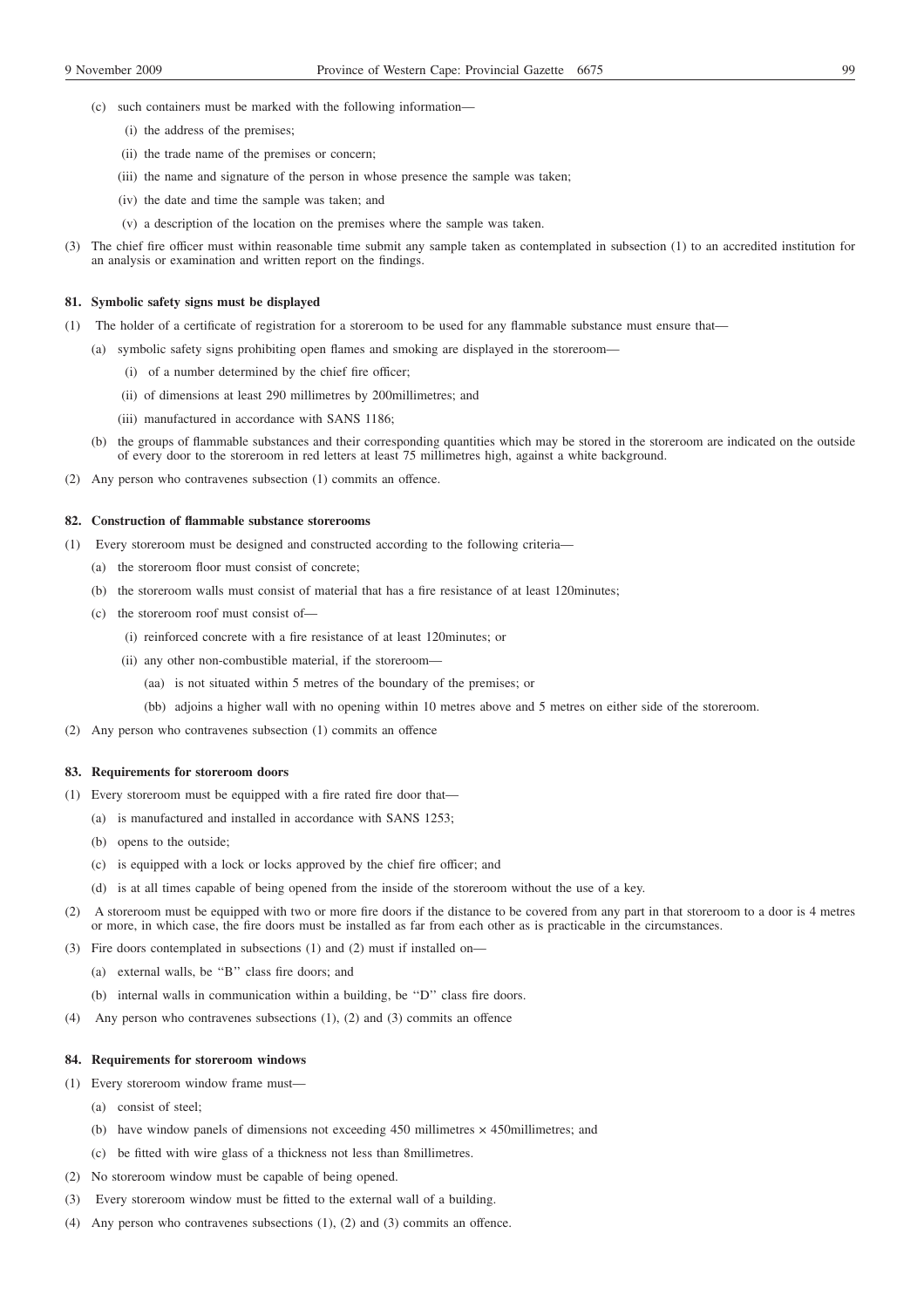- (c) such containers must be marked with the following information—
	- (i) the address of the premises;
	- (ii) the trade name of the premises or concern;
	- (iii) the name and signature of the person in whose presence the sample was taken;
	- (iv) the date and time the sample was taken; and
	- (v) a description of the location on the premises where the sample was taken.
- (3) The chief fire officer must within reasonable time submit any sample taken as contemplated in subsection (1) to an accredited institution for an analysis or examination and written report on the findings.

#### **81. Symbolic safety signs must be displayed**

(1) The holder of a certificate of registration for a storeroom to be used for any flammable substance must ensure that—

- (a) symbolic safety signs prohibiting open flames and smoking are displayed in the storeroom—
	- (i) of a number determined by the chief fire officer;
	- (ii) of dimensions at least 290 millimetres by 200millimetres; and
	- (iii) manufactured in accordance with SANS 1186;
- (b) the groups of flammable substances and their corresponding quantities which may be stored in the storeroom are indicated on the outside of every door to the storeroom in red letters at least 75 millimetres high, against a white background.
- (2) Any person who contravenes subsection (1) commits an offence.

### **82. Construction of flammable substance storerooms**

- (1) Every storeroom must be designed and constructed according to the following criteria—
	- (a) the storeroom floor must consist of concrete;
	- (b) the storeroom walls must consist of material that has a fire resistance of at least 120minutes;
	- (c) the storeroom roof must consist of—
		- (i) reinforced concrete with a fire resistance of at least 120minutes; or
		- (ii) any other non-combustible material, if the storeroom—
			- (aa) is not situated within 5 metres of the boundary of the premises; or
			- (bb) adjoins a higher wall with no opening within 10 metres above and 5 metres on either side of the storeroom.
- (2) Any person who contravenes subsection (1) commits an offence

#### **83. Requirements for storeroom doors**

- (1) Every storeroom must be equipped with a fire rated fire door that—
	- (a) is manufactured and installed in accordance with SANS 1253;
	- (b) opens to the outside;
	- (c) is equipped with a lock or locks approved by the chief fire officer; and
	- (d) is at all times capable of being opened from the inside of the storeroom without the use of a key.
- (2) A storeroom must be equipped with two or more fire doors if the distance to be covered from any part in that storeroom to a door is 4 metres or more, in which case, the fire doors must be installed as far from each other as is practicable in the circumstances.
- (3) Fire doors contemplated in subsections (1) and (2) must if installed on—
	- (a) external walls, be ''B'' class fire doors; and
	- (b) internal walls in communication within a building, be ''D'' class fire doors.
- (4) Any person who contravenes subsections (1), (2) and (3) commits an offence

## **84. Requirements for storeroom windows**

- (1) Every storeroom window frame must—
	- (a) consist of steel;
	- (b) have window panels of dimensions not exceeding 450 millimetres × 450millimetres; and
	- (c) be fitted with wire glass of a thickness not less than 8millimetres.
- (2) No storeroom window must be capable of being opened.
- (3) Every storeroom window must be fitted to the external wall of a building.
- (4) Any person who contravenes subsections (1), (2) and (3) commits an offence.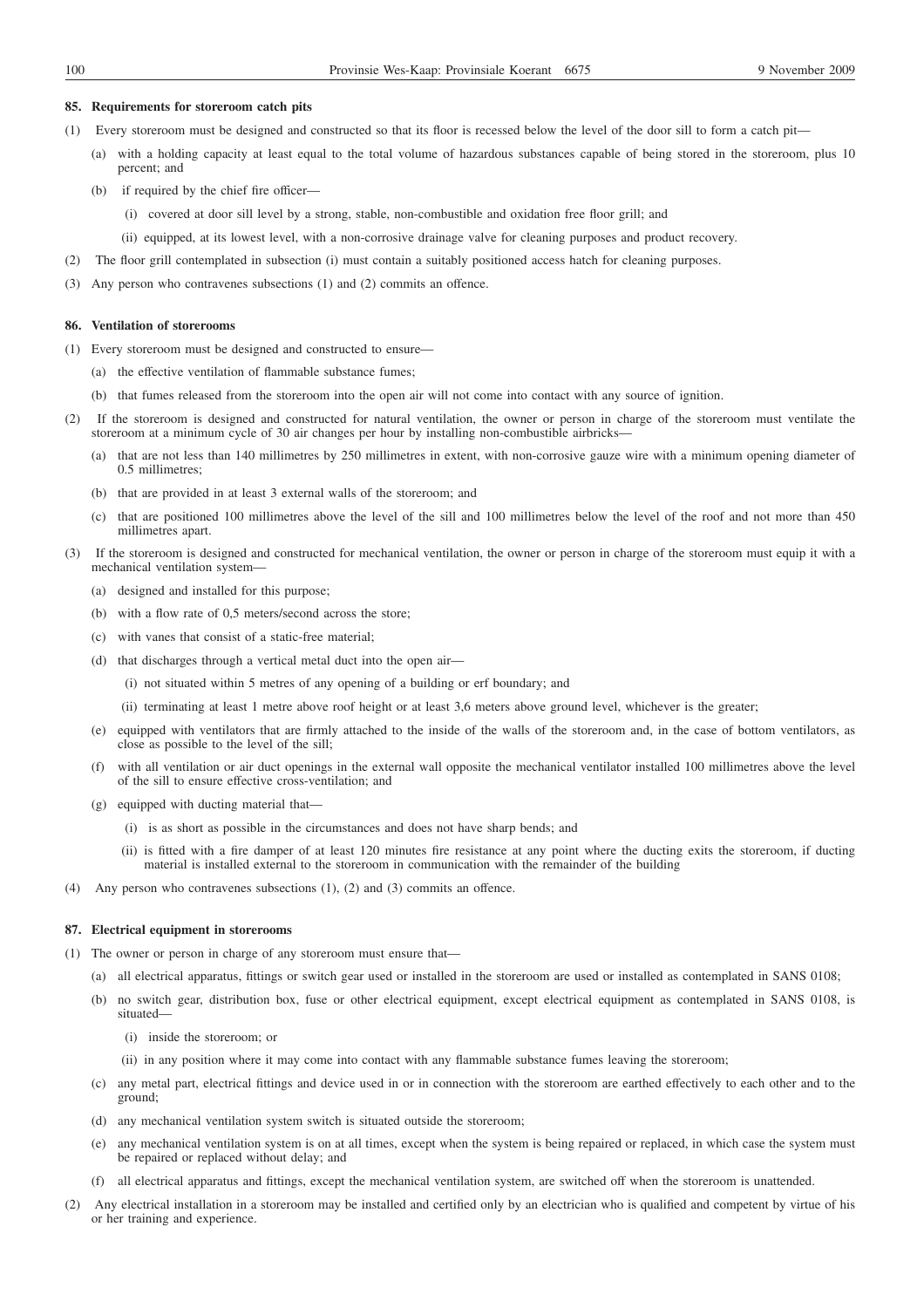#### **85. Requirements for storeroom catch pits**

- (1) Every storeroom must be designed and constructed so that its floor is recessed below the level of the door sill to form a catch pit—
	- (a) with a holding capacity at least equal to the total volume of hazardous substances capable of being stored in the storeroom, plus 10 percent; and
	- (b) if required by the chief fire officer—
		- (i) covered at door sill level by a strong, stable, non-combustible and oxidation free floor grill; and
		- (ii) equipped, at its lowest level, with a non-corrosive drainage valve for cleaning purposes and product recovery.
- (2) The floor grill contemplated in subsection (i) must contain a suitably positioned access hatch for cleaning purposes.
- (3) Any person who contravenes subsections (1) and (2) commits an offence.

#### **86. Ventilation of storerooms**

- (1) Every storeroom must be designed and constructed to ensure—
	- (a) the effective ventilation of flammable substance fumes;
	- (b) that fumes released from the storeroom into the open air will not come into contact with any source of ignition.
- (2) If the storeroom is designed and constructed for natural ventilation, the owner or person in charge of the storeroom must ventilate the storeroom at a minimum cycle of 30 air changes per hour by installing non-combustible airbricks—
	- (a) that are not less than 140 millimetres by 250 millimetres in extent, with non-corrosive gauze wire with a minimum opening diameter of 0.5 millimetres;
	- (b) that are provided in at least 3 external walls of the storeroom; and
	- (c) that are positioned 100 millimetres above the level of the sill and 100 millimetres below the level of the roof and not more than 450 millimetres apart.
- (3) If the storeroom is designed and constructed for mechanical ventilation, the owner or person in charge of the storeroom must equip it with a mechanical ventilation system—
	- (a) designed and installed for this purpose;
	- (b) with a flow rate of 0,5 meters/second across the store;
	- (c) with vanes that consist of a static-free material;
	- (d) that discharges through a vertical metal duct into the open air—
		- (i) not situated within 5 metres of any opening of a building or erf boundary; and
		- (ii) terminating at least 1 metre above roof height or at least 3,6 meters above ground level, whichever is the greater;
	- (e) equipped with ventilators that are firmly attached to the inside of the walls of the storeroom and, in the case of bottom ventilators, as close as possible to the level of the sill;
	- (f) with all ventilation or air duct openings in the external wall opposite the mechanical ventilator installed 100 millimetres above the level of the sill to ensure effective cross-ventilation; and
	- (g) equipped with ducting material that—
		- (i) is as short as possible in the circumstances and does not have sharp bends; and
		- (ii) is fitted with a fire damper of at least 120 minutes fire resistance at any point where the ducting exits the storeroom, if ducting material is installed external to the storeroom in communication with the remainder of the building
- (4) Any person who contravenes subsections (1), (2) and (3) commits an offence.

## **87. Electrical equipment in storerooms**

- (1) The owner or person in charge of any storeroom must ensure that—
	- (a) all electrical apparatus, fittings or switch gear used or installed in the storeroom are used or installed as contemplated in SANS 0108;
	- (b) no switch gear, distribution box, fuse or other electrical equipment, except electrical equipment as contemplated in SANS 0108, is situated—
		- (i) inside the storeroom; or
		- (ii) in any position where it may come into contact with any flammable substance fumes leaving the storeroom;
	- (c) any metal part, electrical fittings and device used in or in connection with the storeroom are earthed effectively to each other and to the ground;
	- (d) any mechanical ventilation system switch is situated outside the storeroom;
	- (e) any mechanical ventilation system is on at all times, except when the system is being repaired or replaced, in which case the system must be repaired or replaced without delay; and
	- (f) all electrical apparatus and fittings, except the mechanical ventilation system, are switched off when the storeroom is unattended.
- (2) Any electrical installation in a storeroom may be installed and certified only by an electrician who is qualified and competent by virtue of his or her training and experience.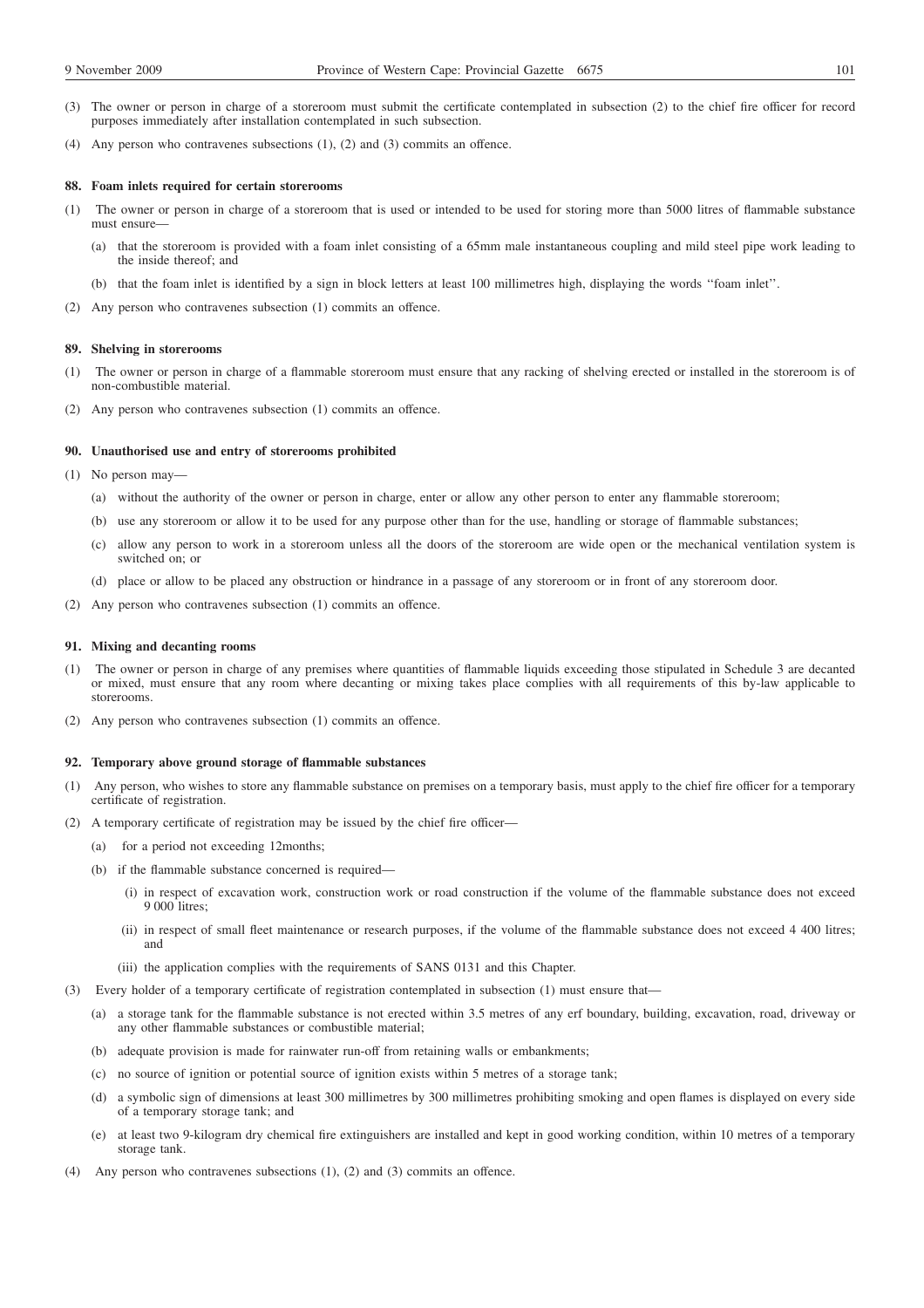- (3) The owner or person in charge of a storeroom must submit the certificate contemplated in subsection (2) to the chief fire officer for record purposes immediately after installation contemplated in such subsection.
- (4) Any person who contravenes subsections (1), (2) and (3) commits an offence.

#### **88. Foam inlets required for certain storerooms**

- (1) The owner or person in charge of a storeroom that is used or intended to be used for storing more than 5000 litres of flammable substance must ensure—
	- (a) that the storeroom is provided with a foam inlet consisting of a 65mm male instantaneous coupling and mild steel pipe work leading to the inside thereof; and
	- (b) that the foam inlet is identified by a sign in block letters at least 100 millimetres high, displaying the words ''foam inlet''.
- (2) Any person who contravenes subsection (1) commits an offence.

### **89. Shelving in storerooms**

- (1) The owner or person in charge of a flammable storeroom must ensure that any racking of shelving erected or installed in the storeroom is of non-combustible material.
- (2) Any person who contravenes subsection (1) commits an offence.

#### **90. Unauthorised use and entry of storerooms prohibited**

- (1) No person may—
	- (a) without the authority of the owner or person in charge, enter or allow any other person to enter any flammable storeroom;
	- (b) use any storeroom or allow it to be used for any purpose other than for the use, handling or storage of flammable substances;
	- (c) allow any person to work in a storeroom unless all the doors of the storeroom are wide open or the mechanical ventilation system is switched on; or
	- (d) place or allow to be placed any obstruction or hindrance in a passage of any storeroom or in front of any storeroom door.
- (2) Any person who contravenes subsection (1) commits an offence.

## **91. Mixing and decanting rooms**

- The owner or person in charge of any premises where quantities of flammable liquids exceeding those stipulated in Schedule 3 are decanted or mixed, must ensure that any room where decanting or mixing takes place complies with all requirements of this by-law applicable to storerooms.
- (2) Any person who contravenes subsection (1) commits an offence.

#### **92. Temporary above ground storage of flammable substances**

- (1) Any person, who wishes to store any flammable substance on premises on a temporary basis, must apply to the chief fire officer for a temporary certificate of registration.
- (2) A temporary certificate of registration may be issued by the chief fire officer—
	- (a) for a period not exceeding 12months;
	- (b) if the flammable substance concerned is required—
		- (i) in respect of excavation work, construction work or road construction if the volume of the flammable substance does not exceed 9 000 litres:
		- (ii) in respect of small fleet maintenance or research purposes, if the volume of the flammable substance does not exceed 4 400 litres; and
		- (iii) the application complies with the requirements of SANS 0131 and this Chapter.
- (3) Every holder of a temporary certificate of registration contemplated in subsection (1) must ensure that—
	- (a) a storage tank for the flammable substance is not erected within 3.5 metres of any erf boundary, building, excavation, road, driveway or any other flammable substances or combustible material;
	- (b) adequate provision is made for rainwater run-off from retaining walls or embankments;
	- (c) no source of ignition or potential source of ignition exists within 5 metres of a storage tank;
	- (d) a symbolic sign of dimensions at least 300 millimetres by 300 millimetres prohibiting smoking and open flames is displayed on every side of a temporary storage tank; and
	- (e) at least two 9-kilogram dry chemical fire extinguishers are installed and kept in good working condition, within 10 metres of a temporary storage tank.
- (4) Any person who contravenes subsections (1), (2) and (3) commits an offence.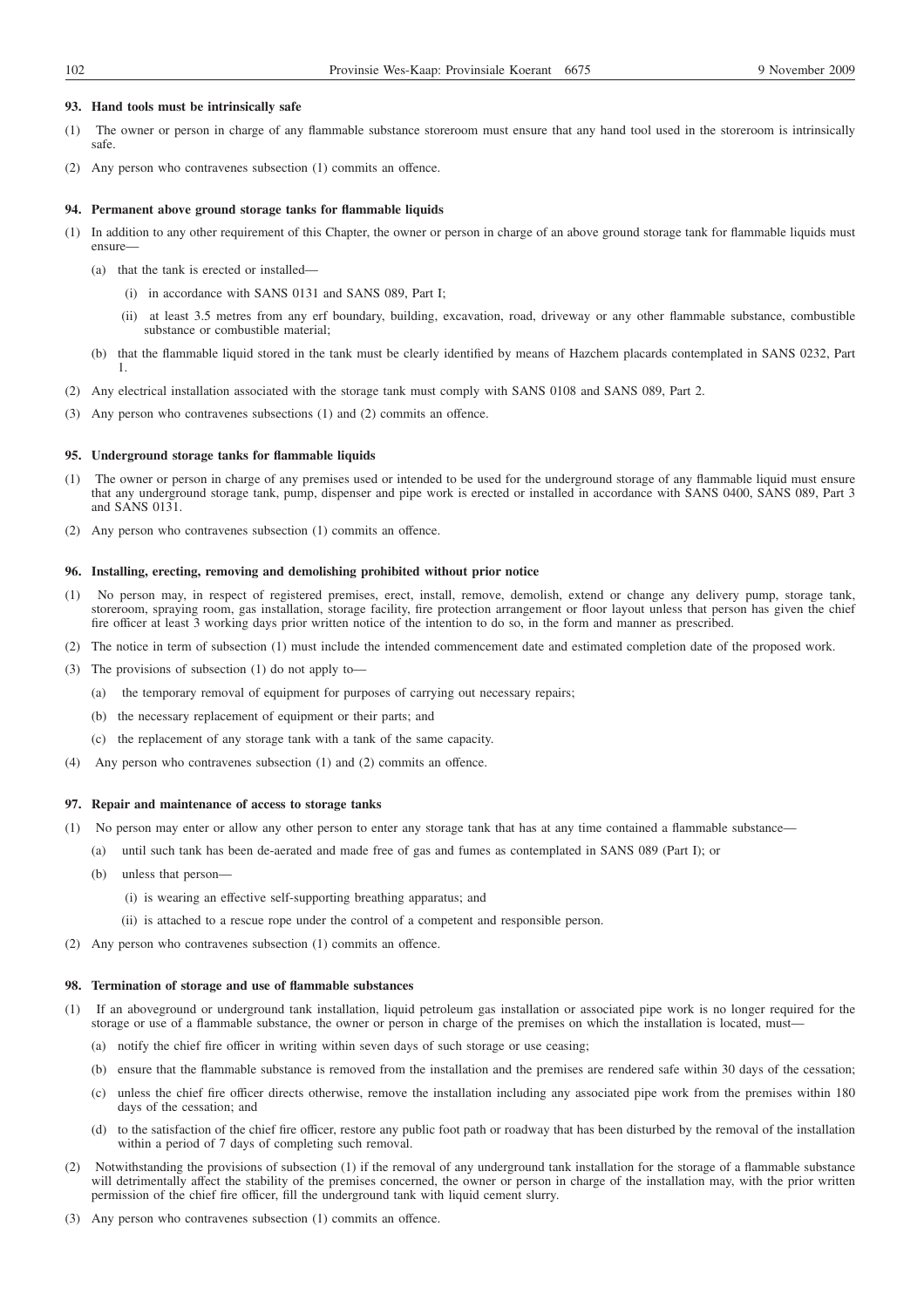#### **93. Hand tools must be intrinsically safe**

- (1) The owner or person in charge of any flammable substance storeroom must ensure that any hand tool used in the storeroom is intrinsically safe.
- (2) Any person who contravenes subsection (1) commits an offence.

#### **94. Permanent above ground storage tanks for flammable liquids**

- (1) In addition to any other requirement of this Chapter, the owner or person in charge of an above ground storage tank for flammable liquids must ensure—
	- (a) that the tank is erected or installed—
		- (i) in accordance with SANS 0131 and SANS 089, Part I;
		- (ii) at least 3.5 metres from any erf boundary, building, excavation, road, driveway or any other flammable substance, combustible substance or combustible material;
	- (b) that the flammable liquid stored in the tank must be clearly identified by means of Hazchem placards contemplated in SANS 0232, Part 1.
- (2) Any electrical installation associated with the storage tank must comply with SANS 0108 and SANS 089, Part 2.
- (3) Any person who contravenes subsections (1) and (2) commits an offence.

#### **95. Underground storage tanks for flammable liquids**

- (1) The owner or person in charge of any premises used or intended to be used for the underground storage of any flammable liquid must ensure that any underground storage tank, pump, dispenser and pipe work is erected or installed in accordance with SANS 0400, SANS 089, Part 3 and SANS 0131.
- (2) Any person who contravenes subsection (1) commits an offence.

### **96. Installing, erecting, removing and demolishing prohibited without prior notice**

- (1) No person may, in respect of registered premises, erect, install, remove, demolish, extend or change any delivery pump, storage tank, storeroom, spraying room, gas installation, storage facility, fire protection arrangement or floor layout unless that person has given the chief fire officer at least 3 working days prior written notice of the intention to do so, in the form and manner as prescribed.
- (2) The notice in term of subsection (1) must include the intended commencement date and estimated completion date of the proposed work.
- (3) The provisions of subsection (1) do not apply to—
	- (a) the temporary removal of equipment for purposes of carrying out necessary repairs;
	- (b) the necessary replacement of equipment or their parts; and
	- (c) the replacement of any storage tank with a tank of the same capacity.
- (4) Any person who contravenes subsection (1) and (2) commits an offence.

#### **97. Repair and maintenance of access to storage tanks**

- (1) No person may enter or allow any other person to enter any storage tank that has at any time contained a flammable substance—
	- (a) until such tank has been de-aerated and made free of gas and fumes as contemplated in SANS 089 (Part I); or
	- (b) unless that person—
		- (i) is wearing an effective self-supporting breathing apparatus; and
		- (ii) is attached to a rescue rope under the control of a competent and responsible person.
- (2) Any person who contravenes subsection (1) commits an offence.

#### **98. Termination of storage and use of flammable substances**

- (1) If an aboveground or underground tank installation, liquid petroleum gas installation or associated pipe work is no longer required for the storage or use of a flammable substance, the owner or person in charge of the premises on which the installation is located, must—
	- (a) notify the chief fire officer in writing within seven days of such storage or use ceasing;
	- (b) ensure that the flammable substance is removed from the installation and the premises are rendered safe within 30 days of the cessation;
	- (c) unless the chief fire officer directs otherwise, remove the installation including any associated pipe work from the premises within 180 days of the cessation; and
	- (d) to the satisfaction of the chief fire officer, restore any public foot path or roadway that has been disturbed by the removal of the installation within a period of 7 days of completing such removal.
- (2) Notwithstanding the provisions of subsection (1) if the removal of any underground tank installation for the storage of a flammable substance will detrimentally affect the stability of the premises concerned, the owner or person in charge of the installation may, with the prior written permission of the chief fire officer, fill the underground tank with liquid cement slurry.
- (3) Any person who contravenes subsection (1) commits an offence.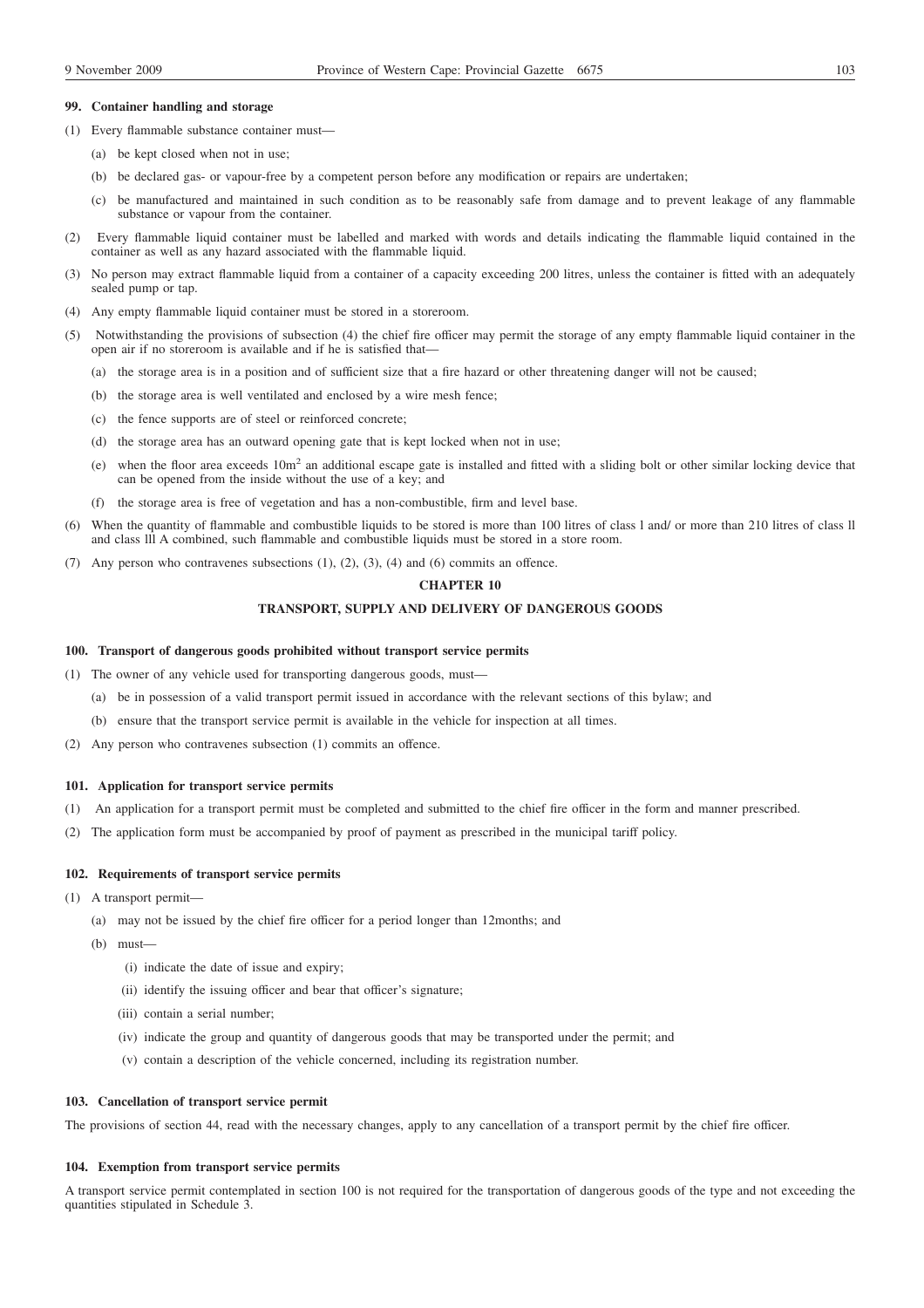#### **99. Container handling and storage**

- (1) Every flammable substance container must—
	- (a) be kept closed when not in use;
	- (b) be declared gas- or vapour-free by a competent person before any modification or repairs are undertaken;
	- (c) be manufactured and maintained in such condition as to be reasonably safe from damage and to prevent leakage of any flammable substance or vapour from the container.
- (2) Every flammable liquid container must be labelled and marked with words and details indicating the flammable liquid contained in the container as well as any hazard associated with the flammable liquid.
- (3) No person may extract flammable liquid from a container of a capacity exceeding 200 litres, unless the container is fitted with an adequately sealed pump or tap.
- (4) Any empty flammable liquid container must be stored in a storeroom.
- (5) Notwithstanding the provisions of subsection (4) the chief fire officer may permit the storage of any empty flammable liquid container in the open air if no storeroom is available and if he is satisfied that—
	- (a) the storage area is in a position and of sufficient size that a fire hazard or other threatening danger will not be caused;
	- (b) the storage area is well ventilated and enclosed by a wire mesh fence;
	- (c) the fence supports are of steel or reinforced concrete;
	- (d) the storage area has an outward opening gate that is kept locked when not in use;
	- (e) when the floor area exceeds 10m2 an additional escape gate is installed and fitted with a sliding bolt or other similar locking device that can be opened from the inside without the use of a key; and
	- (f) the storage area is free of vegetation and has a non-combustible, firm and level base.
- (6) When the quantity of flammable and combustible liquids to be stored is more than 100 litres of class l and/ or more than 210 litres of class ll and class lll A combined, such flammable and combustible liquids must be stored in a store room.
- (7) Any person who contravenes subsections (1), (2), (3), (4) and (6) commits an offence.

### **CHAPTER 10**

## **TRANSPORT, SUPPLY AND DELIVERY OF DANGEROUS GOODS**

### **100. Transport of dangerous goods prohibited without transport service permits**

- (1) The owner of any vehicle used for transporting dangerous goods, must—
	- (a) be in possession of a valid transport permit issued in accordance with the relevant sections of this bylaw; and
	- (b) ensure that the transport service permit is available in the vehicle for inspection at all times.
- (2) Any person who contravenes subsection (1) commits an offence.

### **101. Application for transport service permits**

- (1) An application for a transport permit must be completed and submitted to the chief fire officer in the form and manner prescribed.
- (2) The application form must be accompanied by proof of payment as prescribed in the municipal tariff policy.

## **102. Requirements of transport service permits**

- (1) A transport permit—
	- (a) may not be issued by the chief fire officer for a period longer than 12months; and
	- (b) must—
		- (i) indicate the date of issue and expiry;
		- (ii) identify the issuing officer and bear that officer's signature;
		- (iii) contain a serial number;
		- (iv) indicate the group and quantity of dangerous goods that may be transported under the permit; and
		- (v) contain a description of the vehicle concerned, including its registration number.

## **103. Cancellation of transport service permit**

The provisions of section 44, read with the necessary changes, apply to any cancellation of a transport permit by the chief fire officer.

## **104. Exemption from transport service permits**

A transport service permit contemplated in section 100 is not required for the transportation of dangerous goods of the type and not exceeding the quantities stipulated in Schedule 3.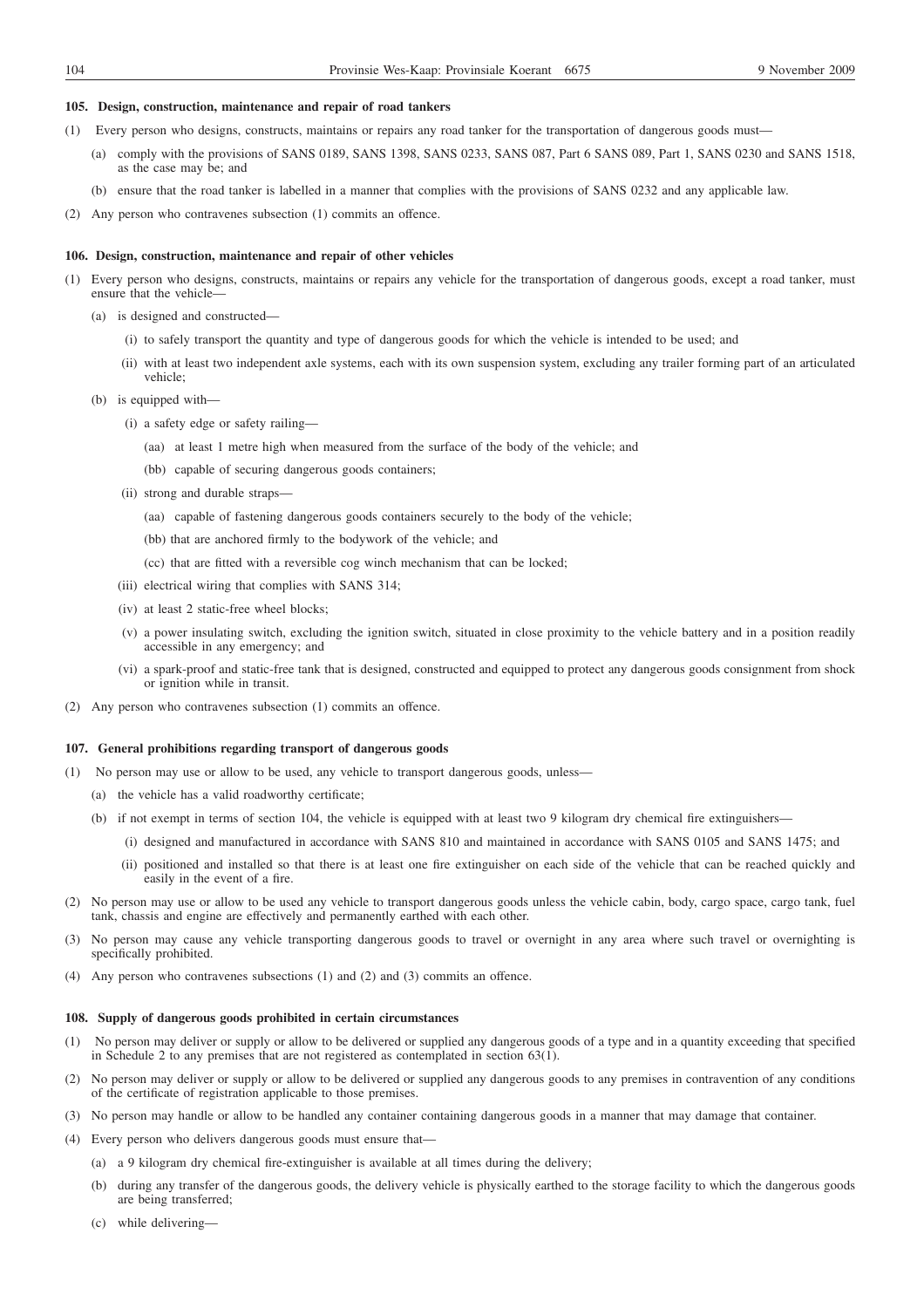#### **105. Design, construction, maintenance and repair of road tankers**

- (1) Every person who designs, constructs, maintains or repairs any road tanker for the transportation of dangerous goods must—
	- (a) comply with the provisions of SANS 0189, SANS 1398, SANS 0233, SANS 087, Part 6 SANS 089, Part 1, SANS 0230 and SANS 1518, as the case may be; and
	- (b) ensure that the road tanker is labelled in a manner that complies with the provisions of SANS 0232 and any applicable law.
- (2) Any person who contravenes subsection (1) commits an offence.

#### **106. Design, construction, maintenance and repair of other vehicles**

- (1) Every person who designs, constructs, maintains or repairs any vehicle for the transportation of dangerous goods, except a road tanker, must ensure that the vehicle—
	- (a) is designed and constructed—
		- (i) to safely transport the quantity and type of dangerous goods for which the vehicle is intended to be used; and
		- (ii) with at least two independent axle systems, each with its own suspension system, excluding any trailer forming part of an articulated vehicle;
	- (b) is equipped with—
		- (i) a safety edge or safety railing—
			- (aa) at least 1 metre high when measured from the surface of the body of the vehicle; and
			- (bb) capable of securing dangerous goods containers;
		- (ii) strong and durable straps—
			- (aa) capable of fastening dangerous goods containers securely to the body of the vehicle;
			- (bb) that are anchored firmly to the bodywork of the vehicle; and
			- (cc) that are fitted with a reversible cog winch mechanism that can be locked;
		- (iii) electrical wiring that complies with SANS 314;
		- (iv) at least 2 static-free wheel blocks;
		- (v) a power insulating switch, excluding the ignition switch, situated in close proximity to the vehicle battery and in a position readily accessible in any emergency; and
		- (vi) a spark-proof and static-free tank that is designed, constructed and equipped to protect any dangerous goods consignment from shock or ignition while in transit.
- (2) Any person who contravenes subsection (1) commits an offence.

#### **107. General prohibitions regarding transport of dangerous goods**

- (1) No person may use or allow to be used, any vehicle to transport dangerous goods, unless—
	- (a) the vehicle has a valid roadworthy certificate;
	- (b) if not exempt in terms of section 104, the vehicle is equipped with at least two 9 kilogram dry chemical fire extinguishers—
		- (i) designed and manufactured in accordance with SANS 810 and maintained in accordance with SANS 0105 and SANS 1475; and
		- (ii) positioned and installed so that there is at least one fire extinguisher on each side of the vehicle that can be reached quickly and easily in the event of a fire.
- (2) No person may use or allow to be used any vehicle to transport dangerous goods unless the vehicle cabin, body, cargo space, cargo tank, fuel tank, chassis and engine are effectively and permanently earthed with each other.
- (3) No person may cause any vehicle transporting dangerous goods to travel or overnight in any area where such travel or overnighting is specifically prohibited.
- (4) Any person who contravenes subsections (1) and (2) and (3) commits an offence.

#### **108. Supply of dangerous goods prohibited in certain circumstances**

- (1) No person may deliver or supply or allow to be delivered or supplied any dangerous goods of a type and in a quantity exceeding that specified in Schedule 2 to any premises that are not registered as contemplated in section 63(1).
- (2) No person may deliver or supply or allow to be delivered or supplied any dangerous goods to any premises in contravention of any conditions of the certificate of registration applicable to those premises.
- (3) No person may handle or allow to be handled any container containing dangerous goods in a manner that may damage that container.
- (4) Every person who delivers dangerous goods must ensure that—
	- (a) a 9 kilogram dry chemical fire-extinguisher is available at all times during the delivery;
	- (b) during any transfer of the dangerous goods, the delivery vehicle is physically earthed to the storage facility to which the dangerous goods are being transferred;
	- (c) while delivering—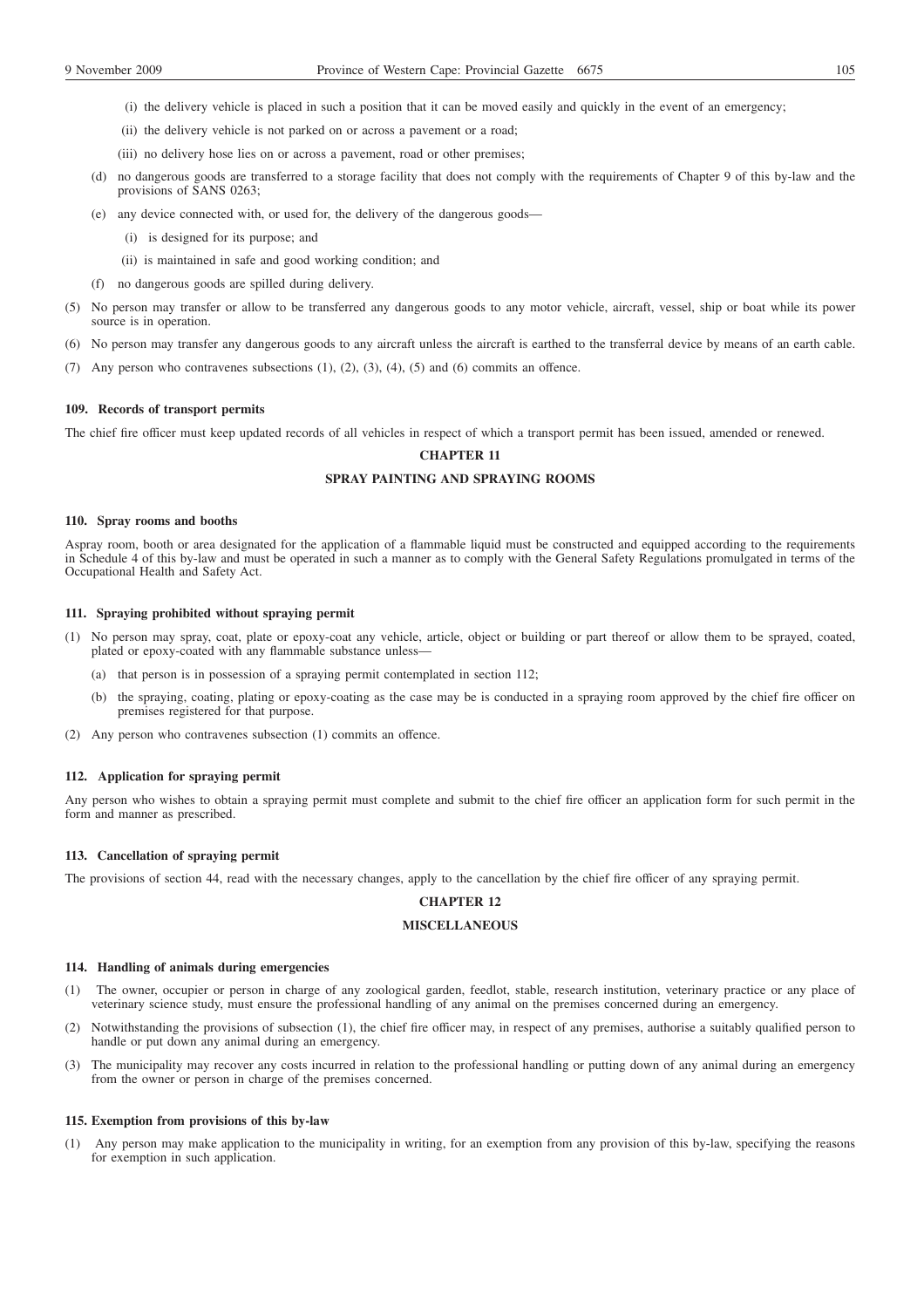- (i) the delivery vehicle is placed in such a position that it can be moved easily and quickly in the event of an emergency;
- (ii) the delivery vehicle is not parked on or across a pavement or a road;
- (iii) no delivery hose lies on or across a pavement, road or other premises;
- (d) no dangerous goods are transferred to a storage facility that does not comply with the requirements of Chapter 9 of this by-law and the provisions of SANS 0263;
- (e) any device connected with, or used for, the delivery of the dangerous goods—
	- (i) is designed for its purpose; and
	- (ii) is maintained in safe and good working condition; and
- (f) no dangerous goods are spilled during delivery.
- (5) No person may transfer or allow to be transferred any dangerous goods to any motor vehicle, aircraft, vessel, ship or boat while its power source is in operation.
- (6) No person may transfer any dangerous goods to any aircraft unless the aircraft is earthed to the transferral device by means of an earth cable.
- (7) Any person who contravenes subsections (1), (2), (3), (4), (5) and (6) commits an offence.

## **109. Records of transport permits**

The chief fire officer must keep updated records of all vehicles in respect of which a transport permit has been issued, amended or renewed.

# **CHAPTER 11**

## **SPRAY PAINTING AND SPRAYING ROOMS**

#### **110. Spray rooms and booths**

Aspray room, booth or area designated for the application of a flammable liquid must be constructed and equipped according to the requirements in Schedule 4 of this by-law and must be operated in such a manner as to comply with the General Safety Regulations promulgated in terms of the Occupational Health and Safety Act.

#### **111. Spraying prohibited without spraying permit**

- (1) No person may spray, coat, plate or epoxy-coat any vehicle, article, object or building or part thereof or allow them to be sprayed, coated, plated or epoxy-coated with any flammable substance unless—
	- (a) that person is in possession of a spraying permit contemplated in section 112;
	- (b) the spraying, coating, plating or epoxy-coating as the case may be is conducted in a spraying room approved by the chief fire officer on premises registered for that purpose.
- (2) Any person who contravenes subsection (1) commits an offence.

## **112. Application for spraying permit**

Any person who wishes to obtain a spraying permit must complete and submit to the chief fire officer an application form for such permit in the form and manner as prescribed.

### **113. Cancellation of spraying permit**

The provisions of section 44, read with the necessary changes, apply to the cancellation by the chief fire officer of any spraying permit.

## **CHAPTER 12**

## **MISCELLANEOUS**

#### **114. Handling of animals during emergencies**

- (1) The owner, occupier or person in charge of any zoological garden, feedlot, stable, research institution, veterinary practice or any place of veterinary science study, must ensure the professional handling of any animal on the premises concerned during an emergency.
- (2) Notwithstanding the provisions of subsection (1), the chief fire officer may, in respect of any premises, authorise a suitably qualified person to handle or put down any animal during an emergency.
- (3) The municipality may recover any costs incurred in relation to the professional handling or putting down of any animal during an emergency from the owner or person in charge of the premises concerned.

#### **115. Exemption from provisions of this by-law**

(1) Any person may make application to the municipality in writing, for an exemption from any provision of this by-law, specifying the reasons for exemption in such application.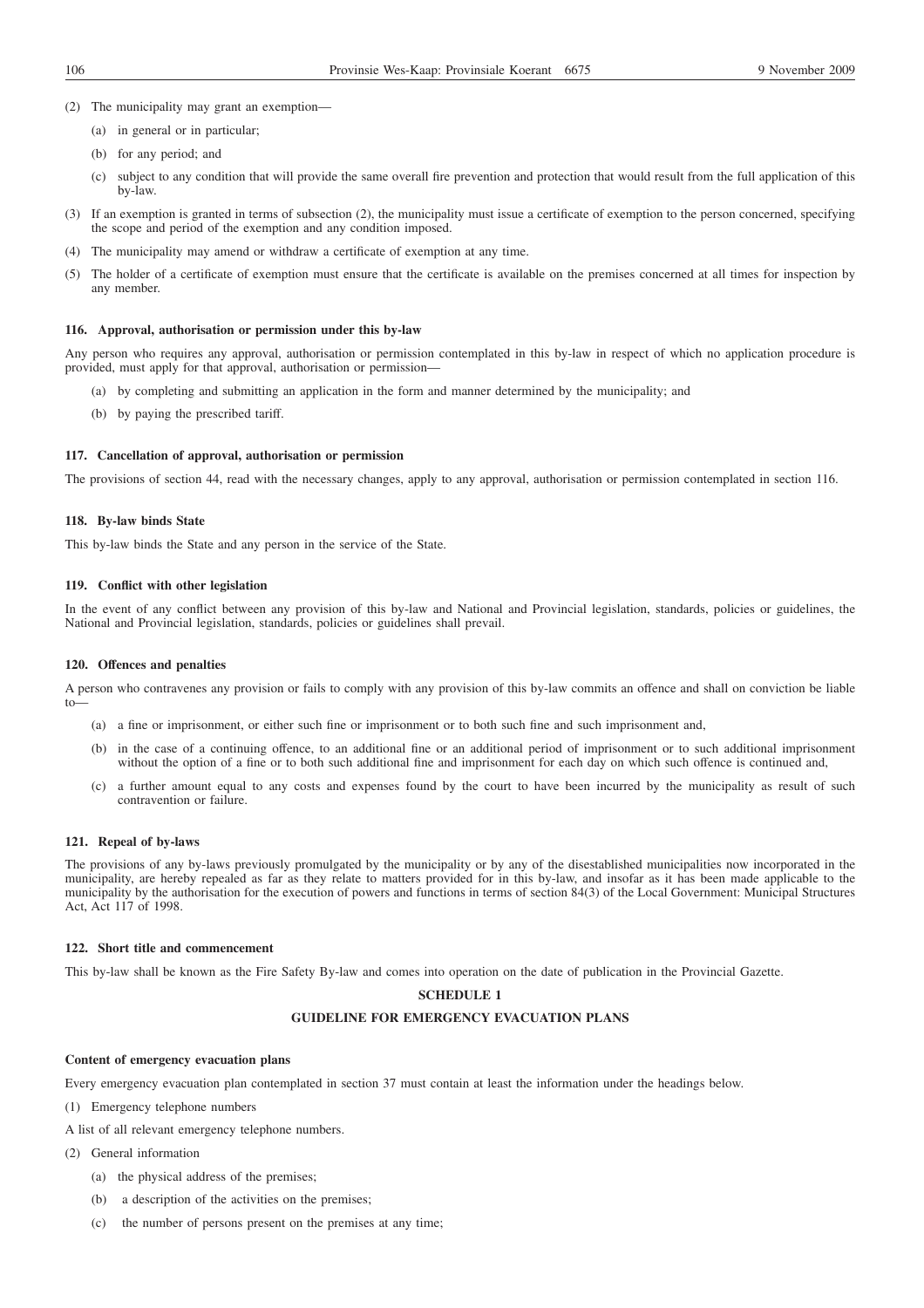- (2) The municipality may grant an exemption—
	- (a) in general or in particular;
	- (b) for any period; and
	- (c) subject to any condition that will provide the same overall fire prevention and protection that would result from the full application of this by-law.
- (3) If an exemption is granted in terms of subsection (2), the municipality must issue a certificate of exemption to the person concerned, specifying the scope and period of the exemption and any condition imposed.
- (4) The municipality may amend or withdraw a certificate of exemption at any time.
- (5) The holder of a certificate of exemption must ensure that the certificate is available on the premises concerned at all times for inspection by any member.

#### **116. Approval, authorisation or permission under this by-law**

Any person who requires any approval, authorisation or permission contemplated in this by-law in respect of which no application procedure is provided, must apply for that approval, authorisation or permission—

- (a) by completing and submitting an application in the form and manner determined by the municipality; and
- (b) by paying the prescribed tariff.

#### **117. Cancellation of approval, authorisation or permission**

The provisions of section 44, read with the necessary changes, apply to any approval, authorisation or permission contemplated in section 116.

#### **118. By-law binds State**

This by-law binds the State and any person in the service of the State.

#### **119. Conflict with other legislation**

In the event of any conflict between any provision of this by-law and National and Provincial legislation, standards, policies or guidelines, the National and Provincial legislation, standards, policies or guidelines shall prevail.

#### **120. Offences and penalties**

A person who contravenes any provision or fails to comply with any provision of this by-law commits an offence and shall on conviction be liable to—

- (a) a fine or imprisonment, or either such fine or imprisonment or to both such fine and such imprisonment and,
- (b) in the case of a continuing offence, to an additional fine or an additional period of imprisonment or to such additional imprisonment without the option of a fine or to both such additional fine and imprisonment for each day on which such offence is continued and,
- (c) a further amount equal to any costs and expenses found by the court to have been incurred by the municipality as result of such contravention or failure.

### **121. Repeal of by-laws**

The provisions of any by-laws previously promulgated by the municipality or by any of the disestablished municipalities now incorporated in the municipality, are hereby repealed as far as they relate to matters provided for in this by-law, and insofar as it has been made applicable to the municipality by the authorisation for the execution of powers and functions in terms of section 84(3) of the Local Government: Municipal Structures Act, Act 117 of 1998.

### **122. Short title and commencement**

This by-law shall be known as the Fire Safety By-law and comes into operation on the date of publication in the Provincial Gazette.

## **SCHEDULE 1**

## **GUIDELINE FOR EMERGENCY EVACUATION PLANS**

### **Content of emergency evacuation plans**

Every emergency evacuation plan contemplated in section 37 must contain at least the information under the headings below.

(1) Emergency telephone numbers

A list of all relevant emergency telephone numbers.

- (2) General information
	- (a) the physical address of the premises;
	- (b) a description of the activities on the premises;
	- (c) the number of persons present on the premises at any time;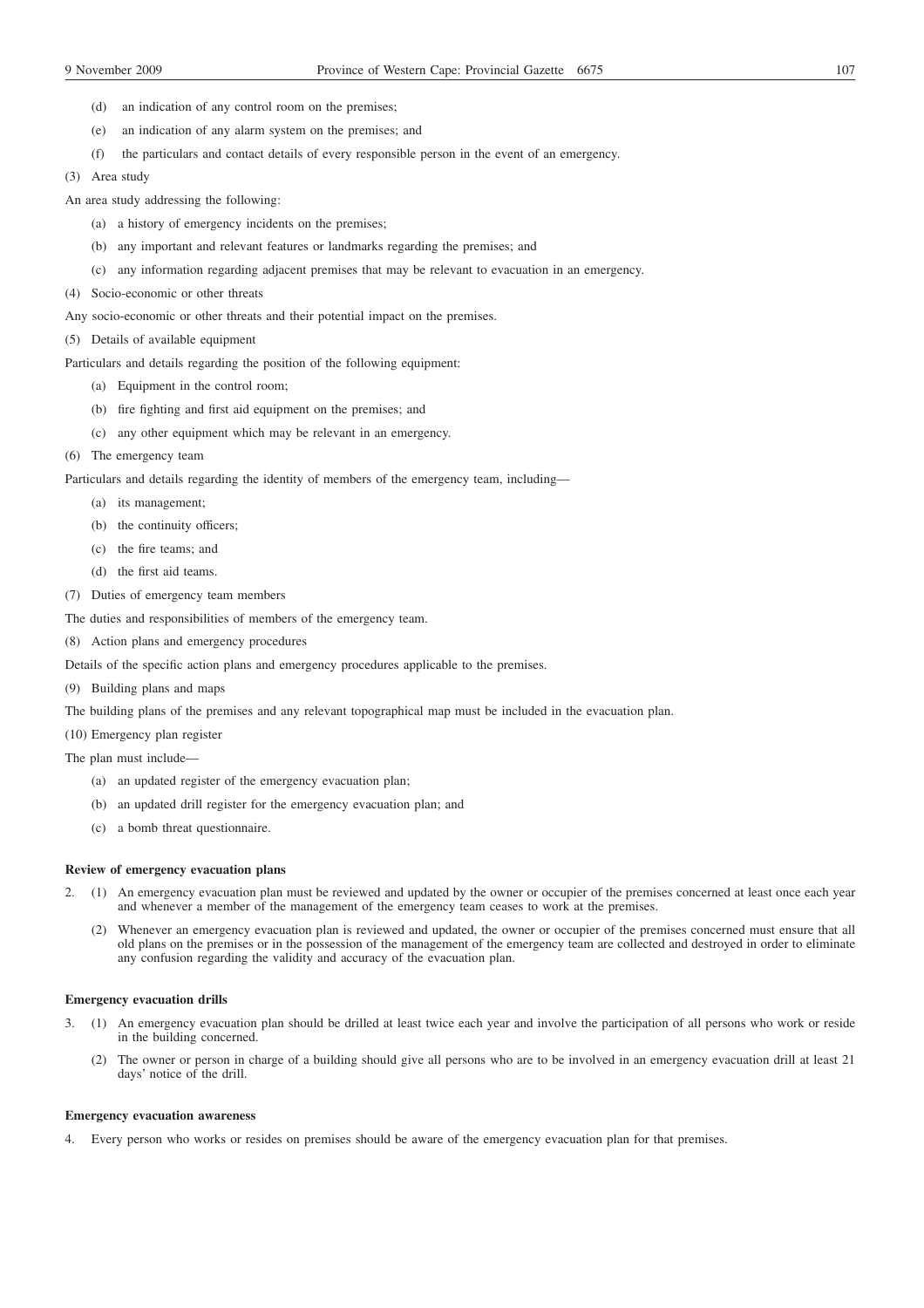- (d) an indication of any control room on the premises;
- (e) an indication of any alarm system on the premises; and
- (f) the particulars and contact details of every responsible person in the event of an emergency.
- (3) Area study
- An area study addressing the following:
	- (a) a history of emergency incidents on the premises;
	- (b) any important and relevant features or landmarks regarding the premises; and
	- (c) any information regarding adjacent premises that may be relevant to evacuation in an emergency.
- (4) Socio-economic or other threats
- Any socio-economic or other threats and their potential impact on the premises.
- (5) Details of available equipment

Particulars and details regarding the position of the following equipment:

- (a) Equipment in the control room;
- (b) fire fighting and first aid equipment on the premises; and
- (c) any other equipment which may be relevant in an emergency.
- (6) The emergency team

Particulars and details regarding the identity of members of the emergency team, including—

- (a) its management;
- (b) the continuity officers;
- (c) the fire teams; and
- (d) the first aid teams.
- (7) Duties of emergency team members
- The duties and responsibilities of members of the emergency team.
- (8) Action plans and emergency procedures

Details of the specific action plans and emergency procedures applicable to the premises.

(9) Building plans and maps

The building plans of the premises and any relevant topographical map must be included in the evacuation plan.

- (10) Emergency plan register
- The plan must include—
	- (a) an updated register of the emergency evacuation plan;
	- (b) an updated drill register for the emergency evacuation plan; and
	- (c) a bomb threat questionnaire.

## **Review of emergency evacuation plans**

- 2. (1) An emergency evacuation plan must be reviewed and updated by the owner or occupier of the premises concerned at least once each year and whenever a member of the management of the emergency team ceases to work at the premises.
	- (2) Whenever an emergency evacuation plan is reviewed and updated, the owner or occupier of the premises concerned must ensure that all old plans on the premises or in the possession of the management of the emergency team are collected and destroyed in order to eliminate any confusion regarding the validity and accuracy of the evacuation plan.

## **Emergency evacuation drills**

- 3. (1) An emergency evacuation plan should be drilled at least twice each year and involve the participation of all persons who work or reside in the building concerned.
	- (2) The owner or person in charge of a building should give all persons who are to be involved in an emergency evacuation drill at least 21 days' notice of the drill.

#### **Emergency evacuation awareness**

4. Every person who works or resides on premises should be aware of the emergency evacuation plan for that premises.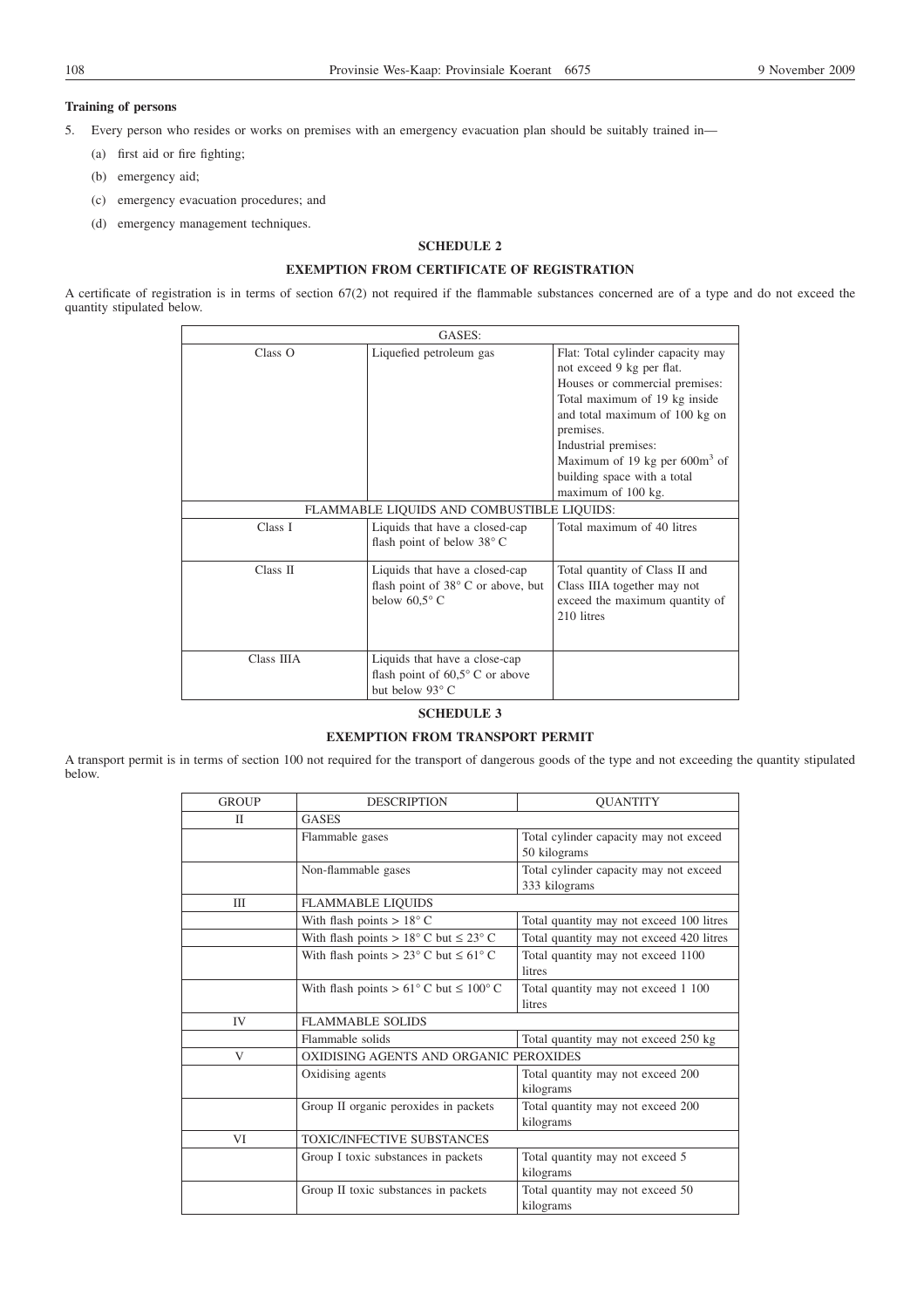## **Training of persons**

5. Every person who resides or works on premises with an emergency evacuation plan should be suitably trained in—

- (a) first aid or fire fighting;
- (b) emergency aid;
- (c) emergency evacuation procedures; and
- (d) emergency management techniques.

## **SCHEDULE 2**

# **EXEMPTION FROM CERTIFICATE OF REGISTRATION**

A certificate of registration is in terms of section 67(2) not required if the flammable substances concerned are of a type and do not exceed the quantity stipulated below.

| GASES:     |                                                                                               |                                                                                                                                                                                                                                                                                                   |  |  |
|------------|-----------------------------------------------------------------------------------------------|---------------------------------------------------------------------------------------------------------------------------------------------------------------------------------------------------------------------------------------------------------------------------------------------------|--|--|
| Class O    | Liquefied petroleum gas                                                                       | Flat: Total cylinder capacity may<br>not exceed 9 kg per flat.<br>Houses or commercial premises:<br>Total maximum of 19 kg inside<br>and total maximum of 100 kg on<br>premises.<br>Industrial premises:<br>Maximum of 19 kg per $600m^3$ of<br>building space with a total<br>maximum of 100 kg. |  |  |
|            | FLAMMABLE LIQUIDS AND COMBUSTIBLE LIQUIDS:                                                    |                                                                                                                                                                                                                                                                                                   |  |  |
| Class I    | Liquids that have a closed-cap<br>flash point of below 38° C                                  | Total maximum of 40 litres                                                                                                                                                                                                                                                                        |  |  |
| Class II   | Liquids that have a closed-cap<br>flash point of 38°C or above, but<br>below $60.5^{\circ}$ C | Total quantity of Class II and<br>Class IIIA together may not<br>exceed the maximum quantity of<br>210 litres                                                                                                                                                                                     |  |  |
| Class IIIA | Liquids that have a close-cap<br>flash point of $60,5^{\circ}$ C or above<br>but below 93° C  |                                                                                                                                                                                                                                                                                                   |  |  |

### **SCHEDULE 3**

## **EXEMPTION FROM TRANSPORT PERMIT**

A transport permit is in terms of section 100 not required for the transport of dangerous goods of the type and not exceeding the quantity stipulated below.

| <b>GROUP</b>   | <b>DESCRIPTION</b>                                          | <b>OUANTITY</b>                          |  |
|----------------|-------------------------------------------------------------|------------------------------------------|--|
| П              | <b>GASES</b>                                                |                                          |  |
|                | Flammable gases                                             | Total cylinder capacity may not exceed   |  |
|                |                                                             | 50 kilograms                             |  |
|                | Non-flammable gases                                         | Total cylinder capacity may not exceed   |  |
|                |                                                             | 333 kilograms                            |  |
| III            | <b>FLAMMABLE LIQUIDS</b>                                    |                                          |  |
|                | With flash points $> 18^{\circ}$ C                          | Total quantity may not exceed 100 litres |  |
|                | With flash points > $18^{\circ}$ C but $\leq 23^{\circ}$ C  | Total quantity may not exceed 420 litres |  |
|                | With flash points > 23 $\degree$ C but $\leq 61\degree$ C   | Total quantity may not exceed 1100       |  |
|                |                                                             | litres                                   |  |
|                | With flash points > $61^{\circ}$ C but $\leq 100^{\circ}$ C | Total quantity may not exceed 1 100      |  |
|                |                                                             | litres                                   |  |
| IV <sub></sub> | <b>FLAMMABLE SOLIDS</b>                                     |                                          |  |
|                | Flammable solids                                            | Total quantity may not exceed 250 kg     |  |
| V              | OXIDISING AGENTS AND ORGANIC PEROXIDES                      |                                          |  |
|                | Oxidising agents                                            | Total quantity may not exceed 200        |  |
|                |                                                             | kilograms                                |  |
|                | Group II organic peroxides in packets                       | Total quantity may not exceed 200        |  |
|                |                                                             | kilograms                                |  |
| VI             | TOXIC/INFECTIVE SUBSTANCES                                  |                                          |  |
|                | Group I toxic substances in packets                         | Total quantity may not exceed 5          |  |
|                |                                                             | kilograms                                |  |
|                | Group II toxic substances in packets                        | Total quantity may not exceed 50         |  |
|                |                                                             | kilograms                                |  |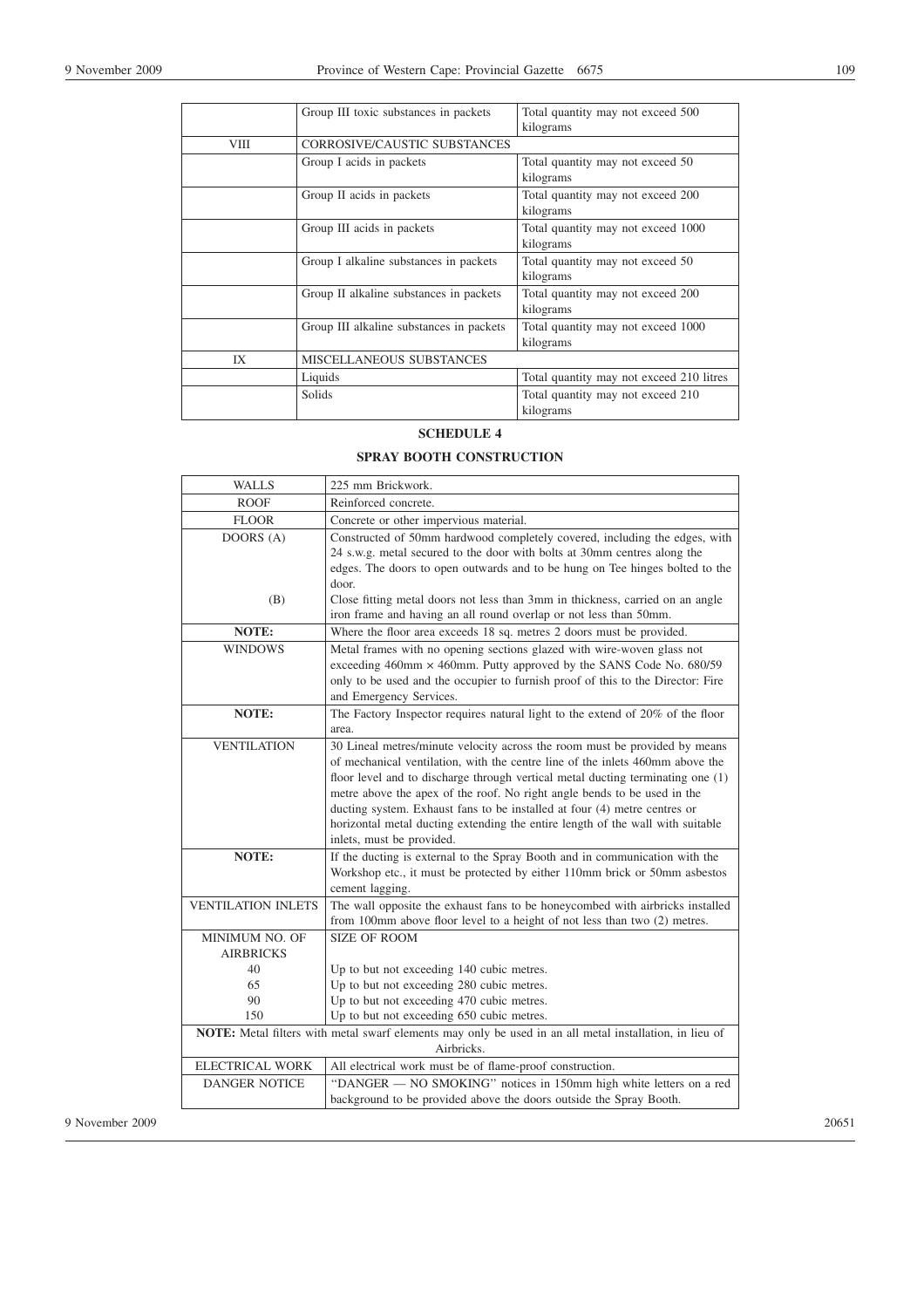|      | Group III toxic substances in packets    | Total quantity may not exceed 500        |  |  |
|------|------------------------------------------|------------------------------------------|--|--|
|      |                                          | kilograms                                |  |  |
| VIII | CORROSIVE/CAUSTIC SUBSTANCES             |                                          |  |  |
|      | Group I acids in packets                 | Total quantity may not exceed 50         |  |  |
|      |                                          | kilograms                                |  |  |
|      | Group II acids in packets                | Total quantity may not exceed 200        |  |  |
|      |                                          | kilograms                                |  |  |
|      | Group III acids in packets               | Total quantity may not exceed 1000       |  |  |
|      |                                          | kilograms                                |  |  |
|      | Group I alkaline substances in packets   | Total quantity may not exceed 50         |  |  |
|      |                                          | kilograms                                |  |  |
|      | Group II alkaline substances in packets  | Total quantity may not exceed 200        |  |  |
|      |                                          | kilograms                                |  |  |
|      | Group III alkaline substances in packets | Total quantity may not exceed 1000       |  |  |
|      |                                          | kilograms                                |  |  |
| IX   | MISCELLANEOUS SUBSTANCES                 |                                          |  |  |
|      | Liquids                                  | Total quantity may not exceed 210 litres |  |  |
|      | Solids                                   | Total quantity may not exceed 210        |  |  |
|      |                                          | kilograms                                |  |  |

# **SCHEDULE 4**

# **SPRAY BOOTH CONSTRUCTION**

|                 | <b>WALLS</b>                                                                                                          | 225 mm Brickwork.                                                                                                                                                                                                                                                                                                                                                                                                                                                                                                      |  |
|-----------------|-----------------------------------------------------------------------------------------------------------------------|------------------------------------------------------------------------------------------------------------------------------------------------------------------------------------------------------------------------------------------------------------------------------------------------------------------------------------------------------------------------------------------------------------------------------------------------------------------------------------------------------------------------|--|
|                 | <b>ROOF</b>                                                                                                           | Reinforced concrete.                                                                                                                                                                                                                                                                                                                                                                                                                                                                                                   |  |
|                 | <b>FLOOR</b>                                                                                                          | Concrete or other impervious material.                                                                                                                                                                                                                                                                                                                                                                                                                                                                                 |  |
|                 | DOORS (A)                                                                                                             | Constructed of 50mm hardwood completely covered, including the edges, with<br>24 s.w.g. metal secured to the door with bolts at 30mm centres along the<br>edges. The doors to open outwards and to be hung on Tee hinges bolted to the                                                                                                                                                                                                                                                                                 |  |
|                 | (B)                                                                                                                   | door.<br>Close fitting metal doors not less than 3mm in thickness, carried on an angle<br>iron frame and having an all round overlap or not less than 50mm.                                                                                                                                                                                                                                                                                                                                                            |  |
|                 | NOTE:                                                                                                                 | Where the floor area exceeds 18 sq. metres 2 doors must be provided.                                                                                                                                                                                                                                                                                                                                                                                                                                                   |  |
|                 | <b>WINDOWS</b>                                                                                                        | Metal frames with no opening sections glazed with wire-woven glass not<br>exceeding 460mm × 460mm. Putty approved by the SANS Code No. 680/59<br>only to be used and the occupier to furnish proof of this to the Director: Fire<br>and Emergency Services.                                                                                                                                                                                                                                                            |  |
|                 | NOTE:                                                                                                                 | The Factory Inspector requires natural light to the extend of 20% of the floor<br>area.                                                                                                                                                                                                                                                                                                                                                                                                                                |  |
|                 | <b>VENTILATION</b>                                                                                                    | 30 Lineal metres/minute velocity across the room must be provided by means<br>of mechanical ventilation, with the centre line of the inlets 460mm above the<br>floor level and to discharge through vertical metal ducting terminating one (1)<br>metre above the apex of the roof. No right angle bends to be used in the<br>ducting system. Exhaust fans to be installed at four (4) metre centres or<br>horizontal metal ducting extending the entire length of the wall with suitable<br>inlets, must be provided. |  |
|                 | NOTE:                                                                                                                 | If the ducting is external to the Spray Booth and in communication with the<br>Workshop etc., it must be protected by either 110mm brick or 50mm asbestos<br>cement lagging.                                                                                                                                                                                                                                                                                                                                           |  |
|                 | <b>VENTILATION INLETS</b>                                                                                             | The wall opposite the exhaust fans to be honeycombed with airbricks installed<br>from 100mm above floor level to a height of not less than two (2) metres.                                                                                                                                                                                                                                                                                                                                                             |  |
|                 | MINIMUM NO. OF<br><b>AIRBRICKS</b>                                                                                    | <b>SIZE OF ROOM</b>                                                                                                                                                                                                                                                                                                                                                                                                                                                                                                    |  |
|                 | 40                                                                                                                    | Up to but not exceeding 140 cubic metres.                                                                                                                                                                                                                                                                                                                                                                                                                                                                              |  |
|                 | 65                                                                                                                    | Up to but not exceeding 280 cubic metres.                                                                                                                                                                                                                                                                                                                                                                                                                                                                              |  |
|                 | 90                                                                                                                    | Up to but not exceeding 470 cubic metres.                                                                                                                                                                                                                                                                                                                                                                                                                                                                              |  |
|                 | 150                                                                                                                   | Up to but not exceeding 650 cubic metres.                                                                                                                                                                                                                                                                                                                                                                                                                                                                              |  |
|                 | NOTE: Metal filters with metal swarf elements may only be used in an all metal installation, in lieu of<br>Airbricks. |                                                                                                                                                                                                                                                                                                                                                                                                                                                                                                                        |  |
|                 | <b>ELECTRICAL WORK</b>                                                                                                | All electrical work must be of flame-proof construction.                                                                                                                                                                                                                                                                                                                                                                                                                                                               |  |
|                 | <b>DANGER NOTICE</b>                                                                                                  | "DANGER - NO SMOKING" notices in 150mm high white letters on a red<br>background to be provided above the doors outside the Spray Booth.                                                                                                                                                                                                                                                                                                                                                                               |  |
| 9 November 2009 |                                                                                                                       |                                                                                                                                                                                                                                                                                                                                                                                                                                                                                                                        |  |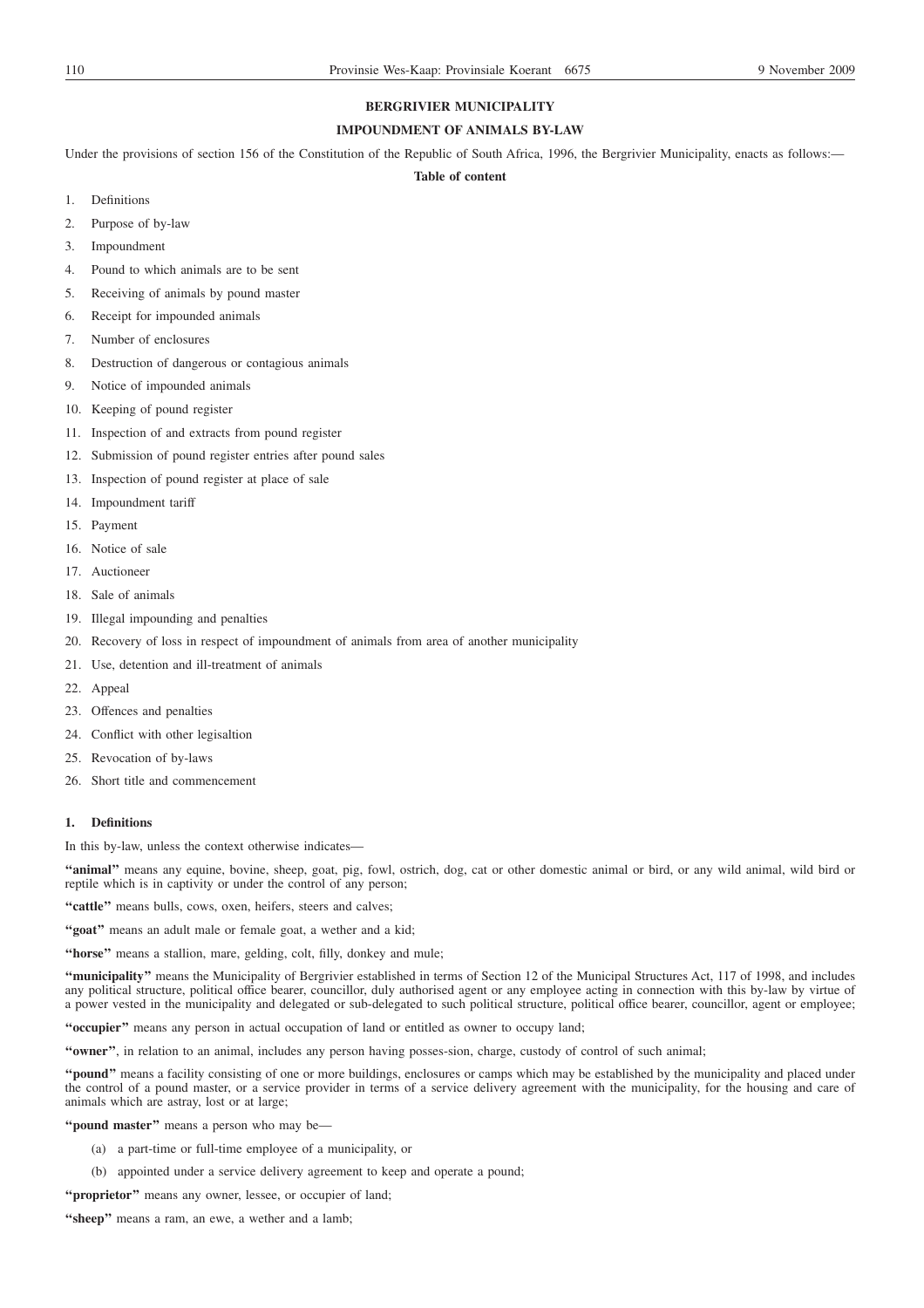# **BERGRIVIER MUNICIPALITY**

# **IMPOUNDMENT OF ANIMALS BY-LAW**

Under the provisions of section 156 of the Constitution of the Republic of South Africa, 1996, the Bergrivier Municipality, enacts as follows:-

# **Table of content**

- 1. Definitions
- 2. Purpose of by-law
- 3. Impoundment
- 4. Pound to which animals are to be sent
- 5. Receiving of animals by pound master
- 6. Receipt for impounded animals
- 7. Number of enclosures
- 8. Destruction of dangerous or contagious animals
- 9. Notice of impounded animals
- 10. Keeping of pound register
- 11. Inspection of and extracts from pound register
- 12. Submission of pound register entries after pound sales
- 13. Inspection of pound register at place of sale
- 14. Impoundment tariff
- 15. Payment
- 16. Notice of sale
- 17. Auctioneer
- 18. Sale of animals
- 19. Illegal impounding and penalties
- 20. Recovery of loss in respect of impoundment of animals from area of another municipality
- 21. Use, detention and ill-treatment of animals
- 22. Appeal
- 23. Offences and penalties
- 24. Conflict with other legisaltion
- 25. Revocation of by-laws
- 26. Short title and commencement

# **1. Definitions**

In this by-law, unless the context otherwise indicates-

**''animal''** means any equine, bovine, sheep, goat, pig, fowl, ostrich, dog, cat or other domestic animal or bird, or any wild animal, wild bird or reptile which is in captivity or under the control of any person;

"cattle" means bulls, cows, oxen, heifers, steers and calves;

**''goat''** means an adult male or female goat, a wether and a kid;

**''horse''** means a stallion, mare, gelding, colt, filly, donkey and mule;

**''municipality''** means the Municipality of Bergrivier established in terms of Section 12 of the Municipal Structures Act, 117 of 1998, and includes any political structure, political office bearer, councillor, duly authorised agent or any employee acting in connection with this by-law by virtue of a power vested in the municipality and delegated or sub-delegated to such political structure, political office bearer, councillor, agent or employee;

**''occupier''** means any person in actual occupation of land or entitled as owner to occupy land;

**''owner''**, in relation to an animal, includes any person having posses-sion, charge, custody of control of such animal;

**''pound''** means a facility consisting of one or more buildings, enclosures or camps which may be established by the municipality and placed under the control of a pound master, or a service provider in terms of a service delivery agreement with the municipality, for the housing and care of animals which are astray, lost or at large;

**''pound master''** means a person who may be—

- (a) a part-time or full-time employee of a municipality, or
- (b) appointed under a service delivery agreement to keep and operate a pound;

"**proprietor**" means any owner, lessee, or occupier of land;

"sheep" means a ram, an ewe, a wether and a lamb;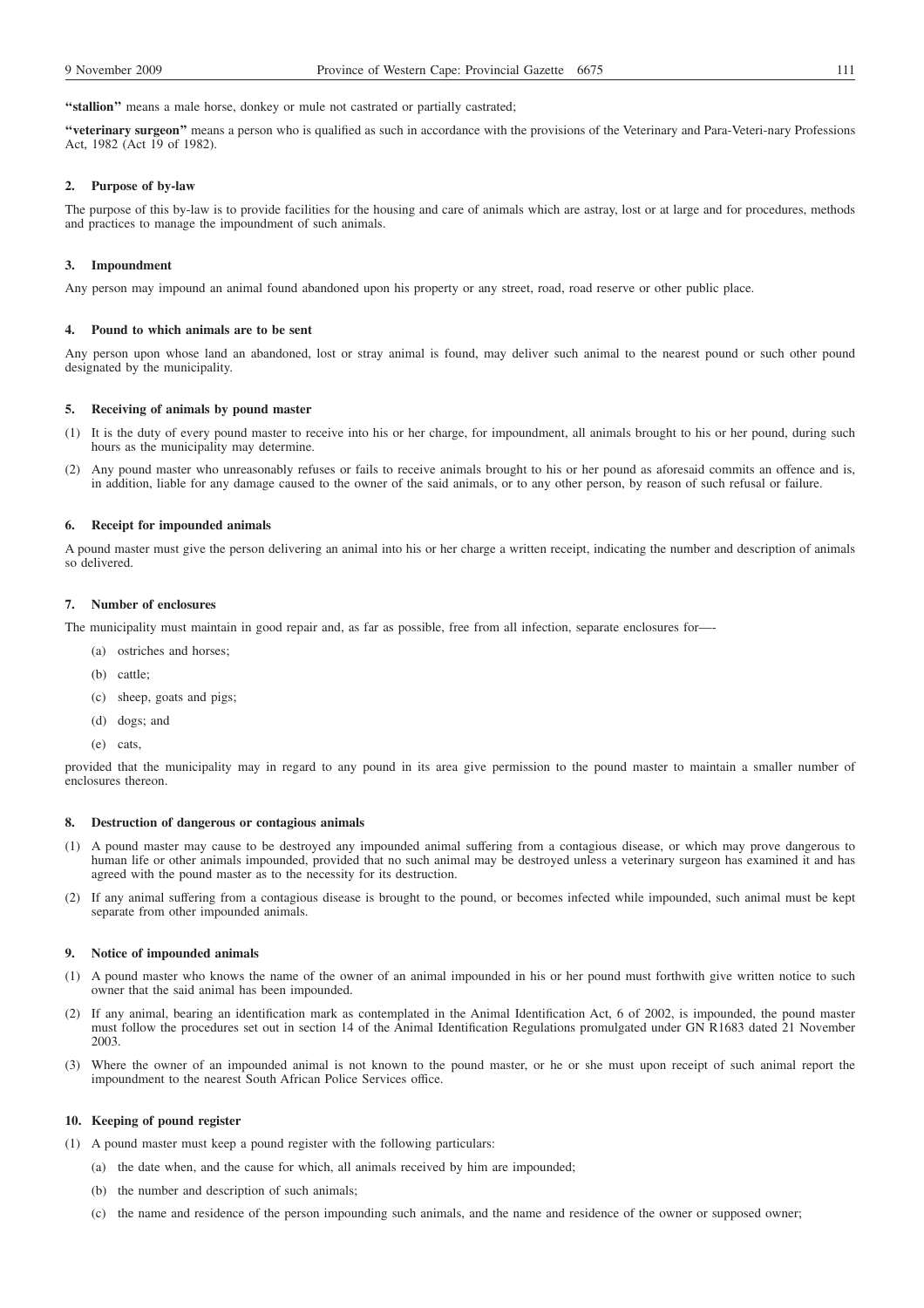**''veterinary surgeon''** means a person who is qualified as such in accordance with the provisions of the Veterinary and Para-Veteri-nary Professions Act, 1982 (Act 19 of 1982).

### **2. Purpose of by-law**

The purpose of this by-law is to provide facilities for the housing and care of animals which are astray, lost or at large and for procedures, methods and practices to manage the impoundment of such animals.

## **3. Impoundment**

Any person may impound an animal found abandoned upon his property or any street, road, road reserve or other public place.

### **4. Pound to which animals are to be sent**

Any person upon whose land an abandoned, lost or stray animal is found, may deliver such animal to the nearest pound or such other pound designated by the municipality.

### **5. Receiving of animals by pound master**

- (1) It is the duty of every pound master to receive into his or her charge, for impoundment, all animals brought to his or her pound, during such hours as the municipality may determine.
- (2) Any pound master who unreasonably refuses or fails to receive animals brought to his or her pound as aforesaid commits an offence and is, in addition, liable for any damage caused to the owner of the said animals, or to any other person, by reason of such refusal or failure.

#### **6. Receipt for impounded animals**

A pound master must give the person delivering an animal into his or her charge a written receipt, indicating the number and description of animals so delivered.

# **7. Number of enclosures**

The municipality must maintain in good repair and, as far as possible, free from all infection, separate enclosures for—-

- (a) ostriches and horses;
- (b) cattle;
- (c) sheep, goats and pigs;
- (d) dogs; and
- (e) cats,

provided that the municipality may in regard to any pound in its area give permission to the pound master to maintain a smaller number of enclosures thereon.

### **8. Destruction of dangerous or contagious animals**

- (1) A pound master may cause to be destroyed any impounded animal suffering from a contagious disease, or which may prove dangerous to human life or other animals impounded, provided that no such animal may be destroyed unless a veterinary surgeon has examined it and has agreed with the pound master as to the necessity for its destruction.
- (2) If any animal suffering from a contagious disease is brought to the pound, or becomes infected while impounded, such animal must be kept separate from other impounded animals.

#### **9. Notice of impounded animals**

- (1) A pound master who knows the name of the owner of an animal impounded in his or her pound must forthwith give written notice to such owner that the said animal has been impounded.
- (2) If any animal, bearing an identification mark as contemplated in the Animal Identification Act, 6 of 2002, is impounded, the pound master must follow the procedures set out in section 14 of the Animal Identification Regulations promulgated under GN R1683 dated 21 November 2003.
- (3) Where the owner of an impounded animal is not known to the pound master, or he or she must upon receipt of such animal report the impoundment to the nearest South African Police Services office.

#### **10. Keeping of pound register**

(1) A pound master must keep a pound register with the following particulars:

- (a) the date when, and the cause for which, all animals received by him are impounded;
	- (b) the number and description of such animals;
	- (c) the name and residence of the person impounding such animals, and the name and residence of the owner or supposed owner;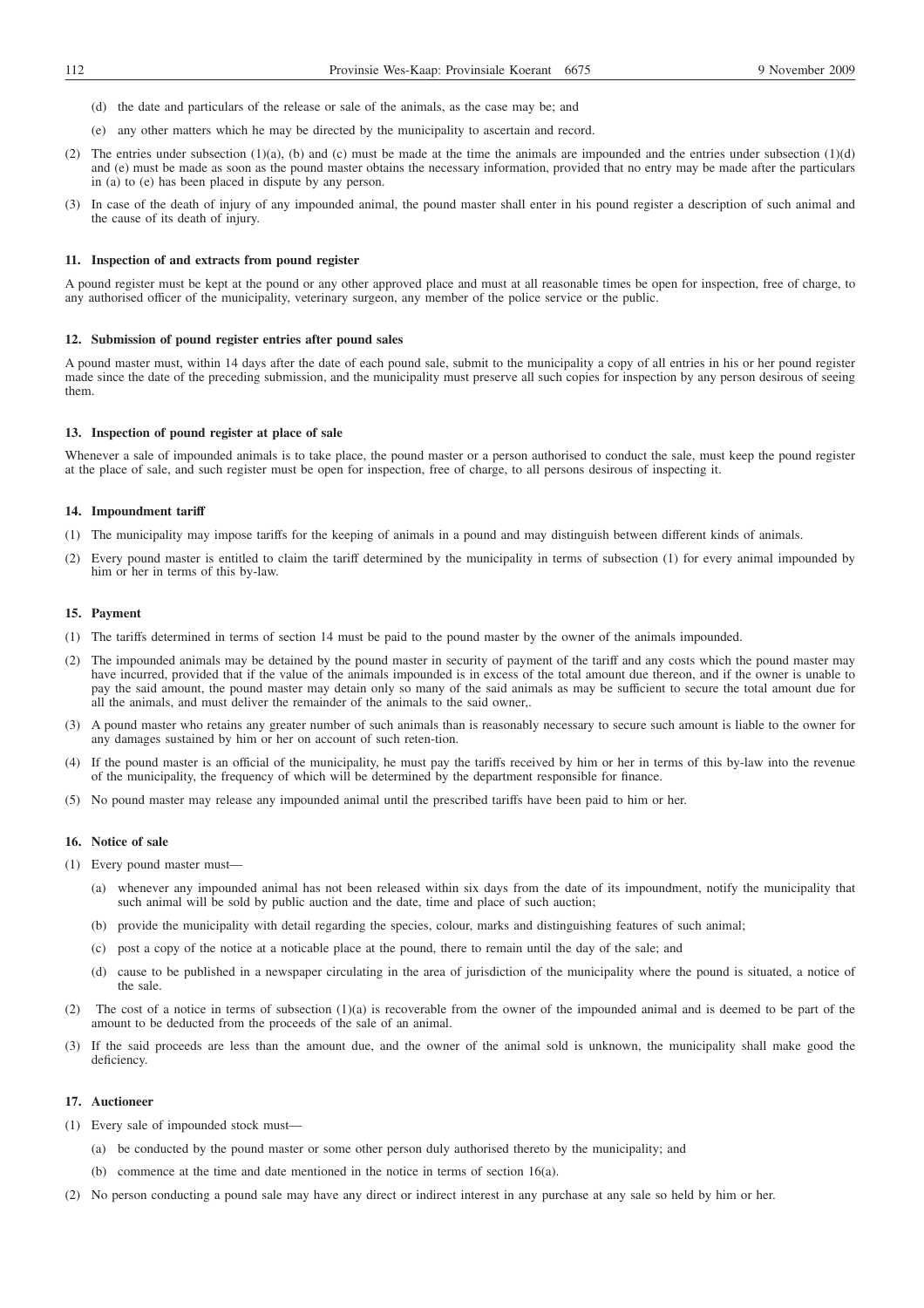- (d) the date and particulars of the release or sale of the animals, as the case may be; and
- (e) any other matters which he may be directed by the municipality to ascertain and record.
- (2) The entries under subsection  $(1)(a)$ , (b) and (c) must be made at the time the animals are impounded and the entries under subsection  $(1)(d)$ and (e) must be made as soon as the pound master obtains the necessary information, provided that no entry may be made after the particulars in (a) to (e) has been placed in dispute by any person.
- (3) In case of the death of injury of any impounded animal, the pound master shall enter in his pound register a description of such animal and the cause of its death of injury.

### **11. Inspection of and extracts from pound register**

A pound register must be kept at the pound or any other approved place and must at all reasonable times be open for inspection, free of charge, to any authorised officer of the municipality, veterinary surgeon, any member of the police service or the public.

### **12. Submission of pound register entries after pound sales**

A pound master must, within 14 days after the date of each pound sale, submit to the municipality a copy of all entries in his or her pound register made since the date of the preceding submission, and the municipality must preserve all such copies for inspection by any person desirous of seeing them.

# **13. Inspection of pound register at place of sale**

Whenever a sale of impounded animals is to take place, the pound master or a person authorised to conduct the sale, must keep the pound register at the place of sale, and such register must be open for inspection, free of charge, to all persons desirous of inspecting it.

#### **14. Impoundment tariff**

- (1) The municipality may impose tariffs for the keeping of animals in a pound and may distinguish between different kinds of animals.
- (2) Every pound master is entitled to claim the tariff determined by the municipality in terms of subsection (1) for every animal impounded by him or her in terms of this by-law.

# **15. Payment**

- (1) The tariffs determined in terms of section 14 must be paid to the pound master by the owner of the animals impounded.
- (2) The impounded animals may be detained by the pound master in security of payment of the tariff and any costs which the pound master may have incurred, provided that if the value of the animals impounded is in excess of the total amount due thereon, and if the owner is unable to pay the said amount, the pound master may detain only so many of the said animals as may be sufficient to secure the total amount due for all the animals, and must deliver the remainder of the animals to the said owner,.
- (3) A pound master who retains any greater number of such animals than is reasonably necessary to secure such amount is liable to the owner for any damages sustained by him or her on account of such reten-tion.
- (4) If the pound master is an official of the municipality, he must pay the tariffs received by him or her in terms of this by-law into the revenue of the municipality, the frequency of which will be determined by the department responsible for finance.
- (5) No pound master may release any impounded animal until the prescribed tariffs have been paid to him or her.

# **16. Notice of sale**

- (1) Every pound master must—
	- (a) whenever any impounded animal has not been released within six days from the date of its impoundment, notify the municipality that such animal will be sold by public auction and the date, time and place of such auction;
	- (b) provide the municipality with detail regarding the species, colour, marks and distinguishing features of such animal;
	- (c) post a copy of the notice at a noticable place at the pound, there to remain until the day of the sale; and
	- (d) cause to be published in a newspaper circulating in the area of jurisdiction of the municipality where the pound is situated, a notice of the sale.
- (2) The cost of a notice in terms of subsection (1)(a) is recoverable from the owner of the impounded animal and is deemed to be part of the amount to be deducted from the proceeds of the sale of an animal.
- (3) If the said proceeds are less than the amount due, and the owner of the animal sold is unknown, the municipality shall make good the deficiency.

# **17. Auctioneer**

- (1) Every sale of impounded stock must—
	- (a) be conducted by the pound master or some other person duly authorised thereto by the municipality; and
	- (b) commence at the time and date mentioned in the notice in terms of section 16(a).
- (2) No person conducting a pound sale may have any direct or indirect interest in any purchase at any sale so held by him or her.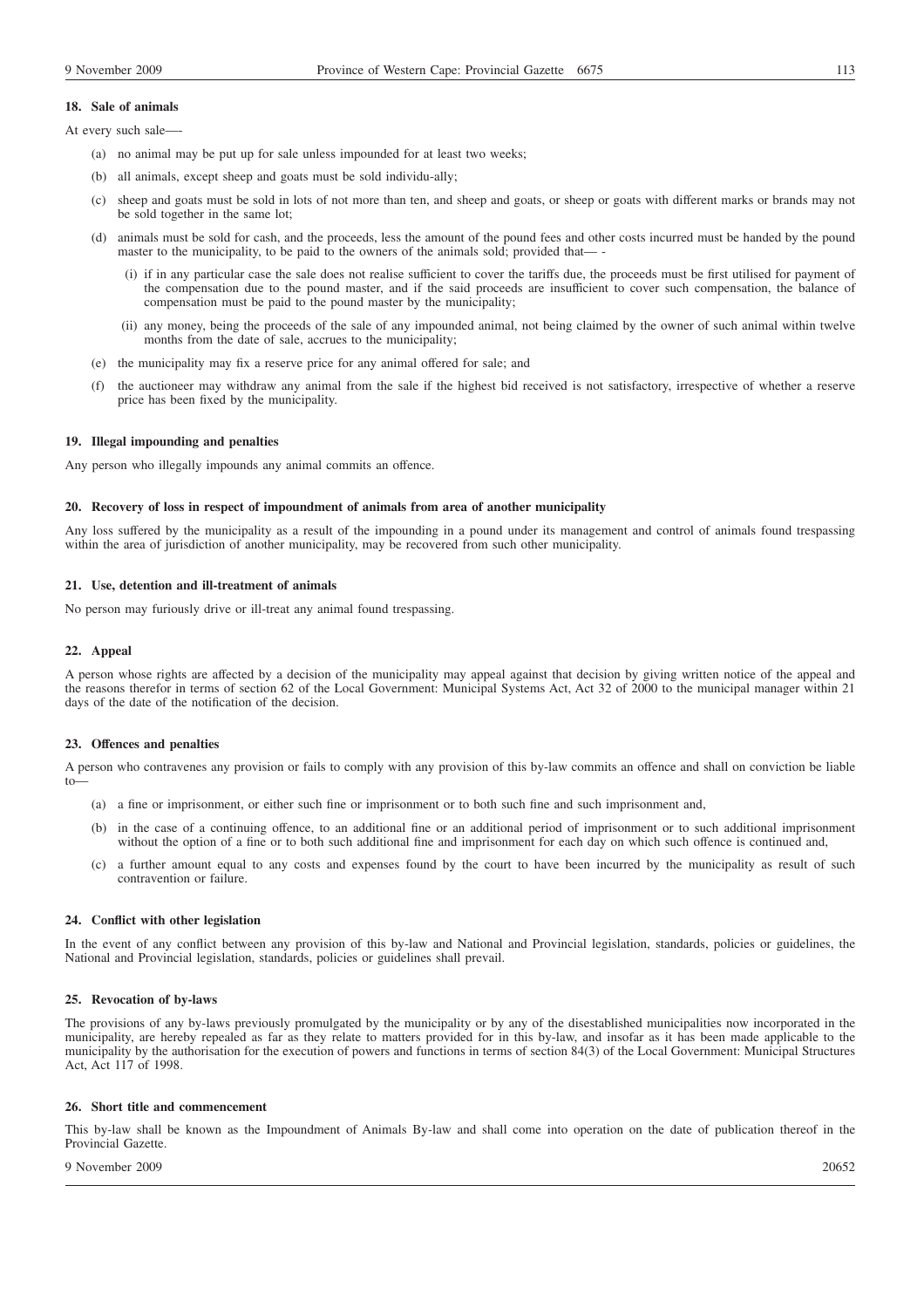# **18. Sale of animals**

- At every such sale-
	- (a) no animal may be put up for sale unless impounded for at least two weeks;
	- (b) all animals, except sheep and goats must be sold individu-ally;
	- (c) sheep and goats must be sold in lots of not more than ten, and sheep and goats, or sheep or goats with different marks or brands may not be sold together in the same lot;
	- (d) animals must be sold for cash, and the proceeds, less the amount of the pound fees and other costs incurred must be handed by the pound master to the municipality, to be paid to the owners of the animals sold; provided that—
		- (i) if in any particular case the sale does not realise sufficient to cover the tariffs due, the proceeds must be first utilised for payment of the compensation due to the pound master, and if the said proceeds are insufficient to cover such compensation, the balance of compensation must be paid to the pound master by the municipality;
		- (ii) any money, being the proceeds of the sale of any impounded animal, not being claimed by the owner of such animal within twelve months from the date of sale, accrues to the municipality;
	- (e) the municipality may fix a reserve price for any animal offered for sale; and
	- (f) the auctioneer may withdraw any animal from the sale if the highest bid received is not satisfactory, irrespective of whether a reserve price has been fixed by the municipality.

# **19. Illegal impounding and penalties**

Any person who illegally impounds any animal commits an offence.

### **20. Recovery of loss in respect of impoundment of animals from area of another municipality**

Any loss suffered by the municipality as a result of the impounding in a pound under its management and control of animals found trespassing within the area of jurisdiction of another municipality, may be recovered from such other municipality.

# **21. Use, detention and ill-treatment of animals**

No person may furiously drive or ill-treat any animal found trespassing.

# **22. Appeal**

A person whose rights are affected by a decision of the municipality may appeal against that decision by giving written notice of the appeal and the reasons therefor in terms of section 62 of the Local Government: Municipal Systems Act, Act 32 of 2000 to the municipal manager within 21 days of the date of the notification of the decision.

## **23. Offences and penalties**

A person who contravenes any provision or fails to comply with any provision of this by-law commits an offence and shall on conviction be liable to—

- (a) a fine or imprisonment, or either such fine or imprisonment or to both such fine and such imprisonment and,
- (b) in the case of a continuing offence, to an additional fine or an additional period of imprisonment or to such additional imprisonment without the option of a fine or to both such additional fine and imprisonment for each day on which such offence is continued and,
- (c) a further amount equal to any costs and expenses found by the court to have been incurred by the municipality as result of such contravention or failure.

### **24. Conflict with other legislation**

In the event of any conflict between any provision of this by-law and National and Provincial legislation, standards, policies or guidelines, the National and Provincial legislation, standards, policies or guidelines shall prevail.

#### **25. Revocation of by-laws**

The provisions of any by-laws previously promulgated by the municipality or by any of the disestablished municipalities now incorporated in the municipality, are hereby repealed as far as they relate to matters provided for in this by-law, and insofar as it has been made applicable to the municipality by the authorisation for the execution of powers and functions in terms of section 84(3) of the Local Government: Municipal Structures Act, Act 117 of 1998.

#### **26. Short title and commencement**

This by-law shall be known as the Impoundment of Animals By-law and shall come into operation on the date of publication thereof in the Provincial Gazette.

## 9 November 2009 20652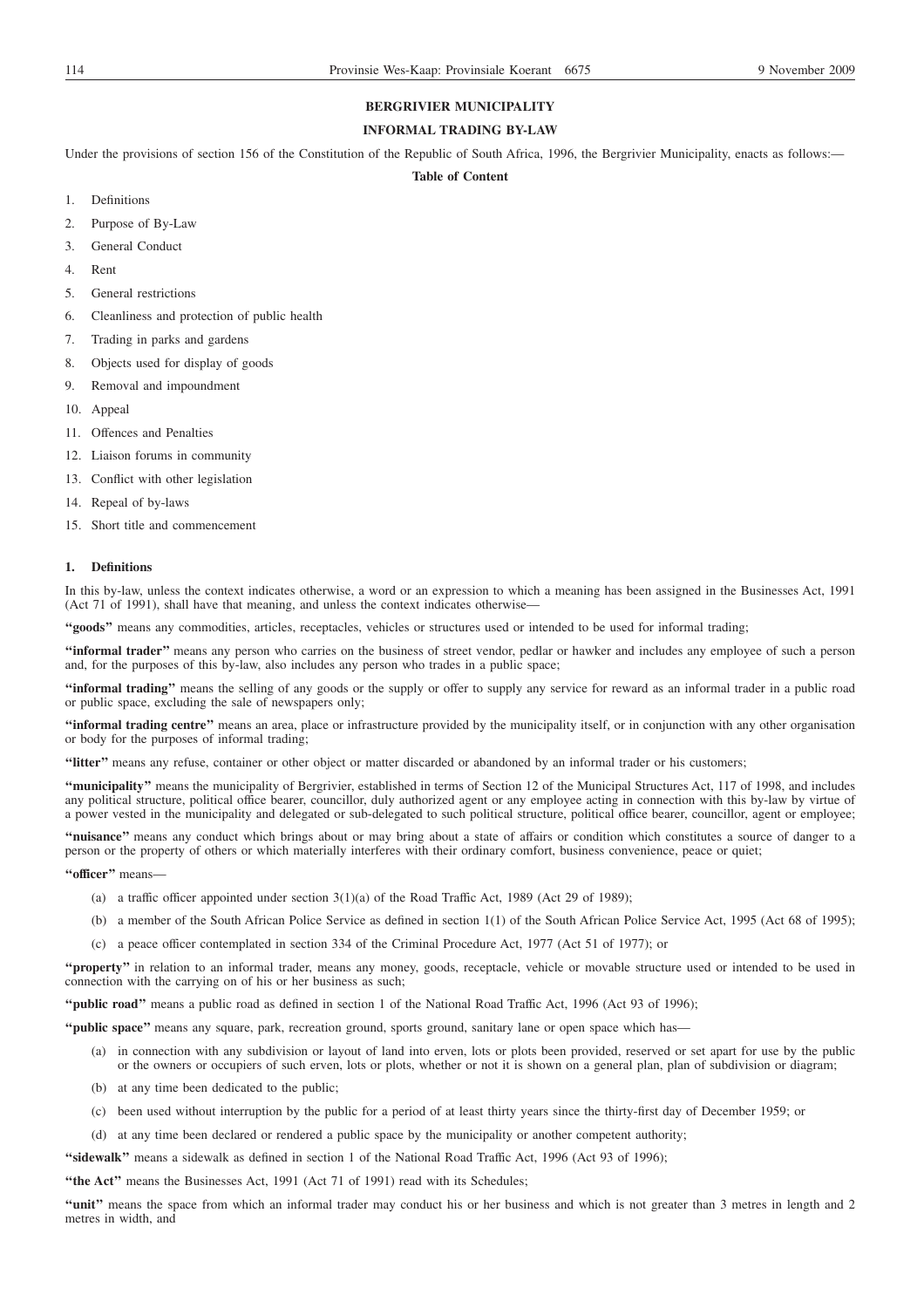# **BERGRIVIER MUNICIPALITY**

# **INFORMAL TRADING BY-LAW**

Under the provisions of section 156 of the Constitution of the Republic of South Africa, 1996, the Bergrivier Municipality, enacts as follows:-

# **Table of Content**

- 1. Definitions
- 2. Purpose of By-Law
- 3. General Conduct
- 4. Rent
- 5. General restrictions
- 6. Cleanliness and protection of public health
- 7. Trading in parks and gardens
- 8. Objects used for display of goods
- 9. Removal and impoundment
- 10. Appeal
- 11. Offences and Penalties
- 12. Liaison forums in community
- 13. Conflict with other legislation
- 14. Repeal of by-laws
- 15. Short title and commencement

# **1. Definitions**

In this by-law, unless the context indicates otherwise, a word or an expression to which a meaning has been assigned in the Businesses Act, 1991 (Act 71 of 1991), shall have that meaning, and unless the context indicates otherwise—

**''goods''** means any commodities, articles, receptacles, vehicles or structures used or intended to be used for informal trading;

**''informal trader''** means any person who carries on the business of street vendor, pedlar or hawker and includes any employee of such a person and, for the purposes of this by-law, also includes any person who trades in a public space;

**''informal trading''** means the selling of any goods or the supply or offer to supply any service for reward as an informal trader in a public road or public space, excluding the sale of newspapers only;

**''informal trading centre''** means an area, place or infrastructure provided by the municipality itself, or in conjunction with any other organisation or body for the purposes of informal trading;

**''litter''** means any refuse, container or other object or matter discarded or abandoned by an informal trader or his customers;

**''municipality''** means the municipality of Bergrivier, established in terms of Section 12 of the Municipal Structures Act, 117 of 1998, and includes any political structure, political office bearer, councillor, duly authorized agent or any employee acting in connection with this by-law by virtue of a power vested in the municipality and delegated or sub-delegated to such political structure, political office bearer, councillor, agent or employee;

**''nuisance''** means any conduct which brings about or may bring about a state of affairs or condition which constitutes a source of danger to a person or the property of others or which materially interferes with their ordinary comfort, business convenience, peace or quiet;

**''officer''** means—

- (a) a traffic officer appointed under section  $3(1)(a)$  of the Road Traffic Act, 1989 (Act 29 of 1989);
- (b) a member of the South African Police Service as defined in section 1(1) of the South African Police Service Act, 1995 (Act 68 of 1995);
- (c) a peace officer contemplated in section 334 of the Criminal Procedure Act, 1977 (Act 51 of 1977); or

**''property''** in relation to an informal trader, means any money, goods, receptacle, vehicle or movable structure used or intended to be used in connection with the carrying on of his or her business as such;

**''public road''** means a public road as defined in section 1 of the National Road Traffic Act, 1996 (Act 93 of 1996);

- **''public space''** means any square, park, recreation ground, sports ground, sanitary lane or open space which has—
	- (a) in connection with any subdivision or layout of land into erven, lots or plots been provided, reserved or set apart for use by the public or the owners or occupiers of such erven, lots or plots, whether or not it is shown on a general plan, plan of subdivision or diagram;
	- (b) at any time been dedicated to the public;
	- (c) been used without interruption by the public for a period of at least thirty years since the thirty-first day of December 1959; or
	- (d) at any time been declared or rendered a public space by the municipality or another competent authority;

**''sidewalk''** means a sidewalk as defined in section 1 of the National Road Traffic Act, 1996 (Act 93 of 1996);

"the Act" means the Businesses Act, 1991 (Act 71 of 1991) read with its Schedules;

**''unit''** means the space from which an informal trader may conduct his or her business and which is not greater than 3 metres in length and 2 metres in width, and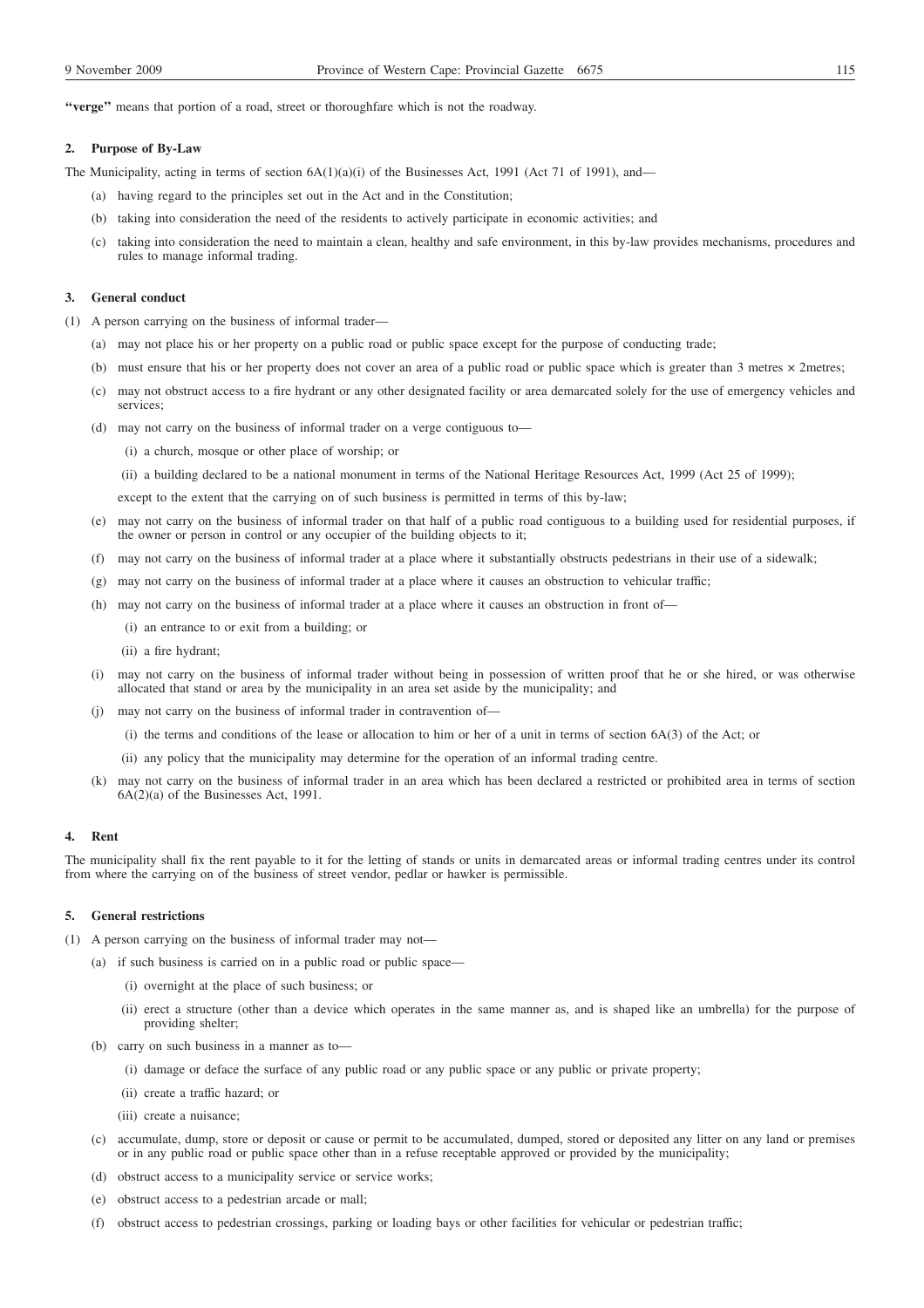**''verge''** means that portion of a road, street or thoroughfare which is not the roadway.

## **2. Purpose of By-Law**

The Municipality, acting in terms of section  $6A(1)(a)(i)$  of the Businesses Act, 1991 (Act 71 of 1991), and—

- (a) having regard to the principles set out in the Act and in the Constitution;
- (b) taking into consideration the need of the residents to actively participate in economic activities; and
- (c) taking into consideration the need to maintain a clean, healthy and safe environment, in this by-law provides mechanisms, procedures and rules to manage informal trading.

# **3. General conduct**

- (1) A person carrying on the business of informal trader—
	- (a) may not place his or her property on a public road or public space except for the purpose of conducting trade;
	- (b) must ensure that his or her property does not cover an area of a public road or public space which is greater than 3 metres  $\times$  2metres;
	- (c) may not obstruct access to a fire hydrant or any other designated facility or area demarcated solely for the use of emergency vehicles and services;
	- (d) may not carry on the business of informal trader on a verge contiguous to—
		- (i) a church, mosque or other place of worship; or
		- (ii) a building declared to be a national monument in terms of the National Heritage Resources Act, 1999 (Act 25 of 1999);

except to the extent that the carrying on of such business is permitted in terms of this by-law;

- (e) may not carry on the business of informal trader on that half of a public road contiguous to a building used for residential purposes, if the owner or person in control or any occupier of the building objects to it;
- (f) may not carry on the business of informal trader at a place where it substantially obstructs pedestrians in their use of a sidewalk;
- (g) may not carry on the business of informal trader at a place where it causes an obstruction to vehicular traffic;
- (h) may not carry on the business of informal trader at a place where it causes an obstruction in front of—
	- (i) an entrance to or exit from a building; or
	- (ii) a fire hydrant;
- (i) may not carry on the business of informal trader without being in possession of written proof that he or she hired, or was otherwise allocated that stand or area by the municipality in an area set aside by the municipality; and
- (j) may not carry on the business of informal trader in contravention of—
	- (i) the terms and conditions of the lease or allocation to him or her of a unit in terms of section 6A(3) of the Act; or
	- (ii) any policy that the municipality may determine for the operation of an informal trading centre.
- (k) may not carry on the business of informal trader in an area which has been declared a restricted or prohibited area in terms of section 6A(2)(a) of the Businesses Act, 1991.

## **4. Rent**

The municipality shall fix the rent payable to it for the letting of stands or units in demarcated areas or informal trading centres under its control from where the carrying on of the business of street vendor, pedlar or hawker is permissible.

#### **5. General restrictions**

- (1) A person carrying on the business of informal trader may not—
	- (a) if such business is carried on in a public road or public space—
		- (i) overnight at the place of such business; or
		- (ii) erect a structure (other than a device which operates in the same manner as, and is shaped like an umbrella) for the purpose of providing shelter;
	- (b) carry on such business in a manner as to—
		- (i) damage or deface the surface of any public road or any public space or any public or private property;
		- (ii) create a traffic hazard; or
		- (iii) create a nuisance;
	- (c) accumulate, dump, store or deposit or cause or permit to be accumulated, dumped, stored or deposited any litter on any land or premises or in any public road or public space other than in a refuse receptable approved or provided by the municipality;
	- (d) obstruct access to a municipality service or service works;
	- (e) obstruct access to a pedestrian arcade or mall;
	- (f) obstruct access to pedestrian crossings, parking or loading bays or other facilities for vehicular or pedestrian traffic;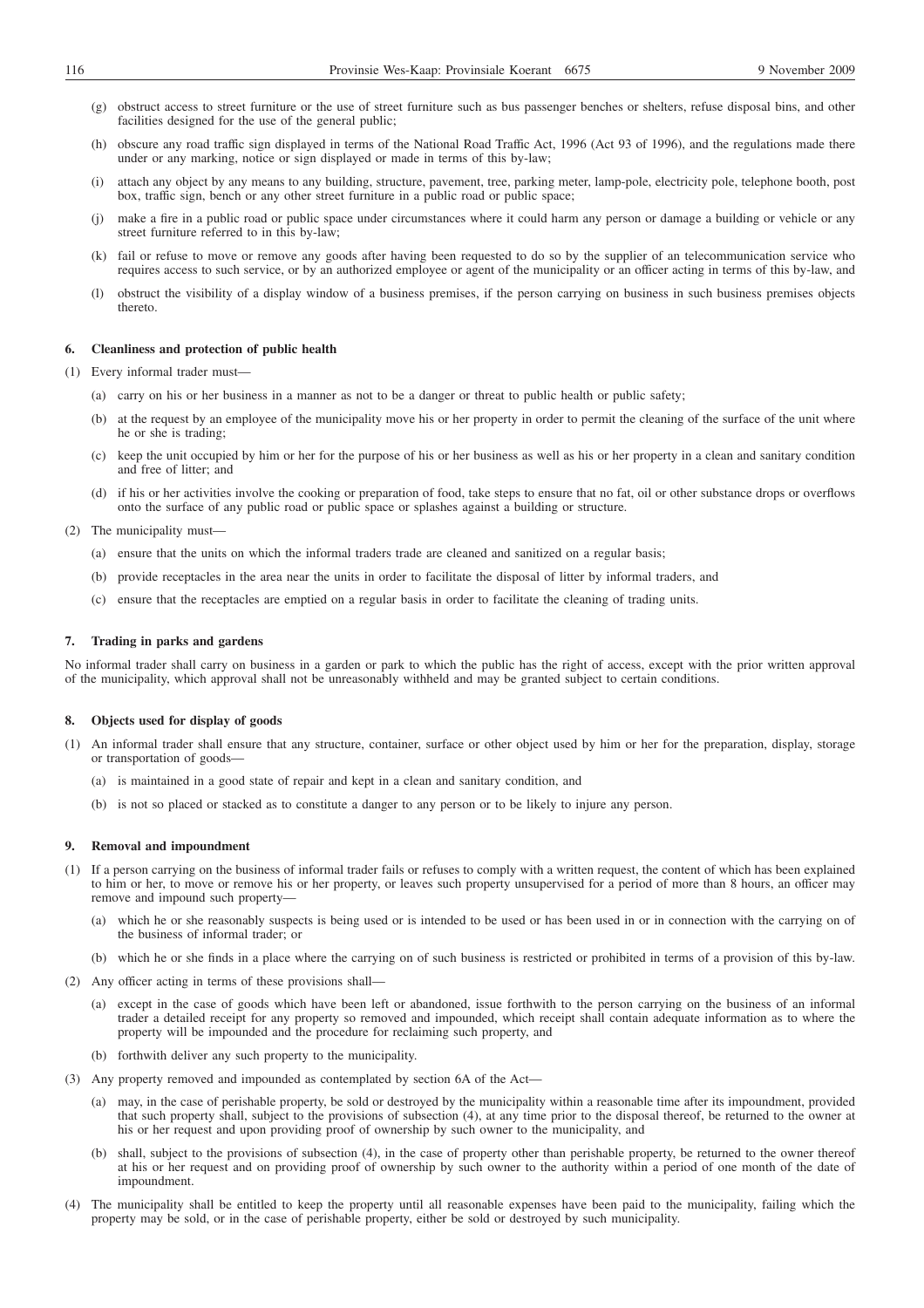- (g) obstruct access to street furniture or the use of street furniture such as bus passenger benches or shelters, refuse disposal bins, and other facilities designed for the use of the general public;
- (h) obscure any road traffic sign displayed in terms of the National Road Traffic Act, 1996 (Act 93 of 1996), and the regulations made there under or any marking, notice or sign displayed or made in terms of this by-law;
- (i) attach any object by any means to any building, structure, pavement, tree, parking meter, lamp-pole, electricity pole, telephone booth, post box, traffic sign, bench or any other street furniture in a public road or public space;
- (j) make a fire in a public road or public space under circumstances where it could harm any person or damage a building or vehicle or any street furniture referred to in this by-law;
- (k) fail or refuse to move or remove any goods after having been requested to do so by the supplier of an telecommunication service who requires access to such service, or by an authorized employee or agent of the municipality or an officer acting in terms of this by-law, and
- (l) obstruct the visibility of a display window of a business premises, if the person carrying on business in such business premises objects thereto.

### **6. Cleanliness and protection of public health**

- (1) Every informal trader must—
	- (a) carry on his or her business in a manner as not to be a danger or threat to public health or public safety;
	- (b) at the request by an employee of the municipality move his or her property in order to permit the cleaning of the surface of the unit where he or she is trading;
	- (c) keep the unit occupied by him or her for the purpose of his or her business as well as his or her property in a clean and sanitary condition and free of litter; and
	- (d) if his or her activities involve the cooking or preparation of food, take steps to ensure that no fat, oil or other substance drops or overflows onto the surface of any public road or public space or splashes against a building or structure.
- (2) The municipality must—
	- (a) ensure that the units on which the informal traders trade are cleaned and sanitized on a regular basis;
	- (b) provide receptacles in the area near the units in order to facilitate the disposal of litter by informal traders, and
	- (c) ensure that the receptacles are emptied on a regular basis in order to facilitate the cleaning of trading units.

## **7. Trading in parks and gardens**

No informal trader shall carry on business in a garden or park to which the public has the right of access, except with the prior written approval of the municipality, which approval shall not be unreasonably withheld and may be granted subject to certain conditions.

# **8. Objects used for display of goods**

- (1) An informal trader shall ensure that any structure, container, surface or other object used by him or her for the preparation, display, storage or transportation of goods—
	- (a) is maintained in a good state of repair and kept in a clean and sanitary condition, and
	- (b) is not so placed or stacked as to constitute a danger to any person or to be likely to injure any person.

# **9. Removal and impoundment**

- (1) If a person carrying on the business of informal trader fails or refuses to comply with a written request, the content of which has been explained to him or her, to move or remove his or her property, or leaves such property unsupervised for a period of more than 8 hours, an officer may remove and impound such property—
	- (a) which he or she reasonably suspects is being used or is intended to be used or has been used in or in connection with the carrying on of the business of informal trader; or
	- (b) which he or she finds in a place where the carrying on of such business is restricted or prohibited in terms of a provision of this by-law.
- (2) Any officer acting in terms of these provisions shall—
	- (a) except in the case of goods which have been left or abandoned, issue forthwith to the person carrying on the business of an informal trader a detailed receipt for any property so removed and impounded, which receipt shall contain adequate information as to where the property will be impounded and the procedure for reclaiming such property, and
	- (b) forthwith deliver any such property to the municipality.
- (3) Any property removed and impounded as contemplated by section 6A of the Act—
	- (a) may, in the case of perishable property, be sold or destroyed by the municipality within a reasonable time after its impoundment, provided that such property shall, subject to the provisions of subsection (4), at any time prior to the disposal thereof, be returned to the owner at his or her request and upon providing proof of ownership by such owner to the municipality, and
	- (b) shall, subject to the provisions of subsection (4), in the case of property other than perishable property, be returned to the owner thereof at his or her request and on providing proof of ownership by such owner to the authority within a period of one month of the date of impoundment.
- (4) The municipality shall be entitled to keep the property until all reasonable expenses have been paid to the municipality, failing which the property may be sold, or in the case of perishable property, either be sold or destroyed by such municipality.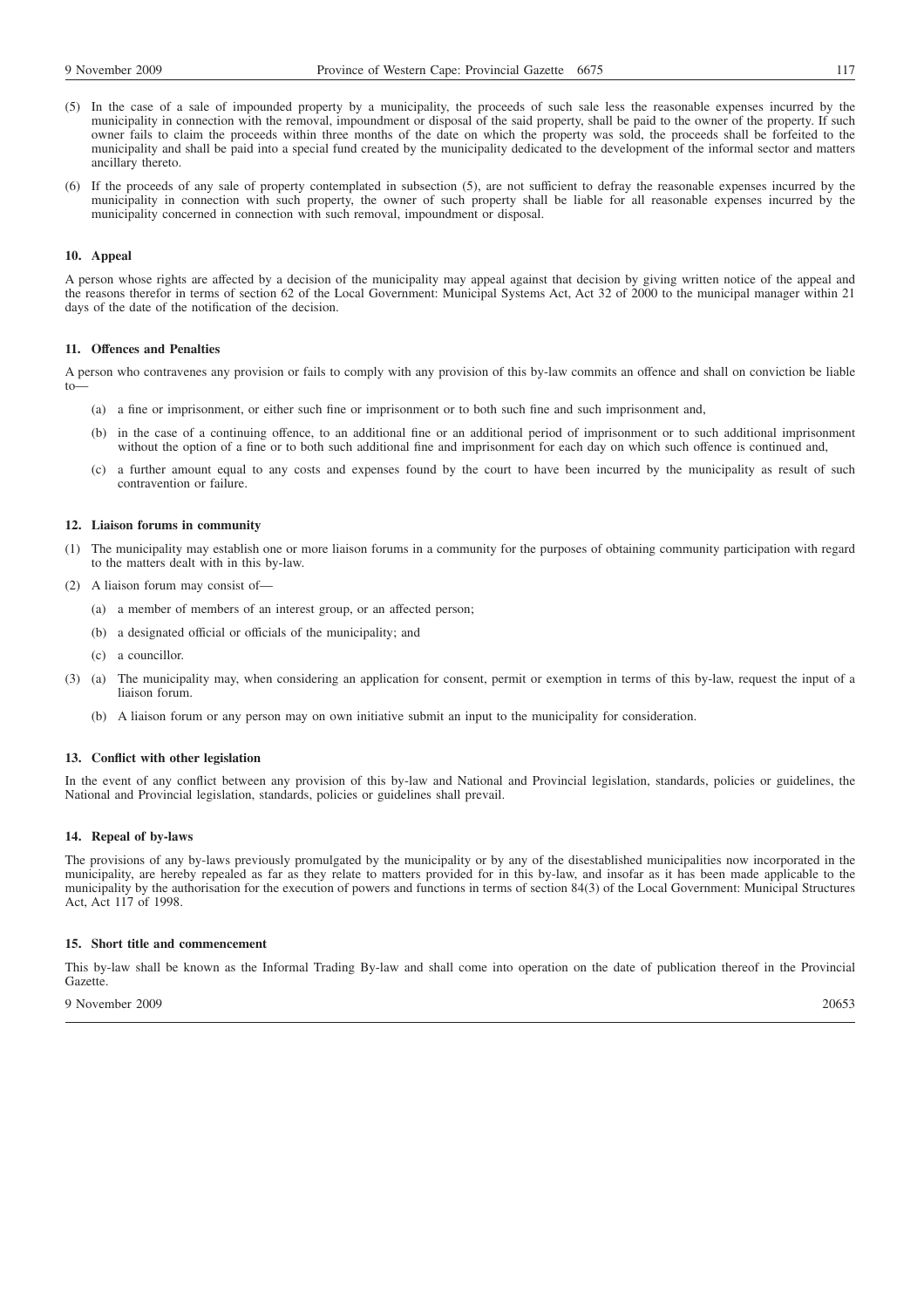- (5) In the case of a sale of impounded property by a municipality, the proceeds of such sale less the reasonable expenses incurred by the municipality in connection with the removal, impoundment or disposal of the said property, shall be paid to the owner of the property. If such owner fails to claim the proceeds within three months of the date on which the property was sold, the proceeds shall be forfeited to the municipality and shall be paid into a special fund created by the municipality dedicated to the development of the informal sector and matters ancillary thereto.
- (6) If the proceeds of any sale of property contemplated in subsection (5), are not sufficient to defray the reasonable expenses incurred by the municipality in connection with such property, the owner of such property shall be liable for all reasonable expenses incurred by the municipality concerned in connection with such removal, impoundment or disposal.

### **10. Appeal**

A person whose rights are affected by a decision of the municipality may appeal against that decision by giving written notice of the appeal and the reasons therefor in terms of section 62 of the Local Government: Municipal Systems Act, Act 32 of 2000 to the municipal manager within 21 days of the date of the notification of the decision.

### **11. Offences and Penalties**

A person who contravenes any provision or fails to comply with any provision of this by-law commits an offence and shall on conviction be liable to—

- (a) a fine or imprisonment, or either such fine or imprisonment or to both such fine and such imprisonment and,
- (b) in the case of a continuing offence, to an additional fine or an additional period of imprisonment or to such additional imprisonment without the option of a fine or to both such additional fine and imprisonment for each day on which such offence is continued and,
- (c) a further amount equal to any costs and expenses found by the court to have been incurred by the municipality as result of such contravention or failure.

#### **12. Liaison forums in community**

- (1) The municipality may establish one or more liaison forums in a community for the purposes of obtaining community participation with regard to the matters dealt with in this by-law.
- (2) A liaison forum may consist of—
	- (a) a member of members of an interest group, or an affected person;
	- (b) a designated official or officials of the municipality; and
	- (c) a councillor.
- (3) (a) The municipality may, when considering an application for consent, permit or exemption in terms of this by-law, request the input of a liaison forum.
	- (b) A liaison forum or any person may on own initiative submit an input to the municipality for consideration.

# **13. Conflict with other legislation**

In the event of any conflict between any provision of this by-law and National and Provincial legislation, standards, policies or guidelines, the National and Provincial legislation, standards, policies or guidelines shall prevail.

#### **14. Repeal of by-laws**

The provisions of any by-laws previously promulgated by the municipality or by any of the disestablished municipalities now incorporated in the municipality, are hereby repealed as far as they relate to matters provided for in this by-law, and insofar as it has been made applicable to the municipality by the authorisation for the execution of powers and functions in terms of section 84(3) of the Local Government: Municipal Structures Act, Act 117 of 1998.

# **15. Short title and commencement**

This by-law shall be known as the Informal Trading By-law and shall come into operation on the date of publication thereof in the Provincial Gazette.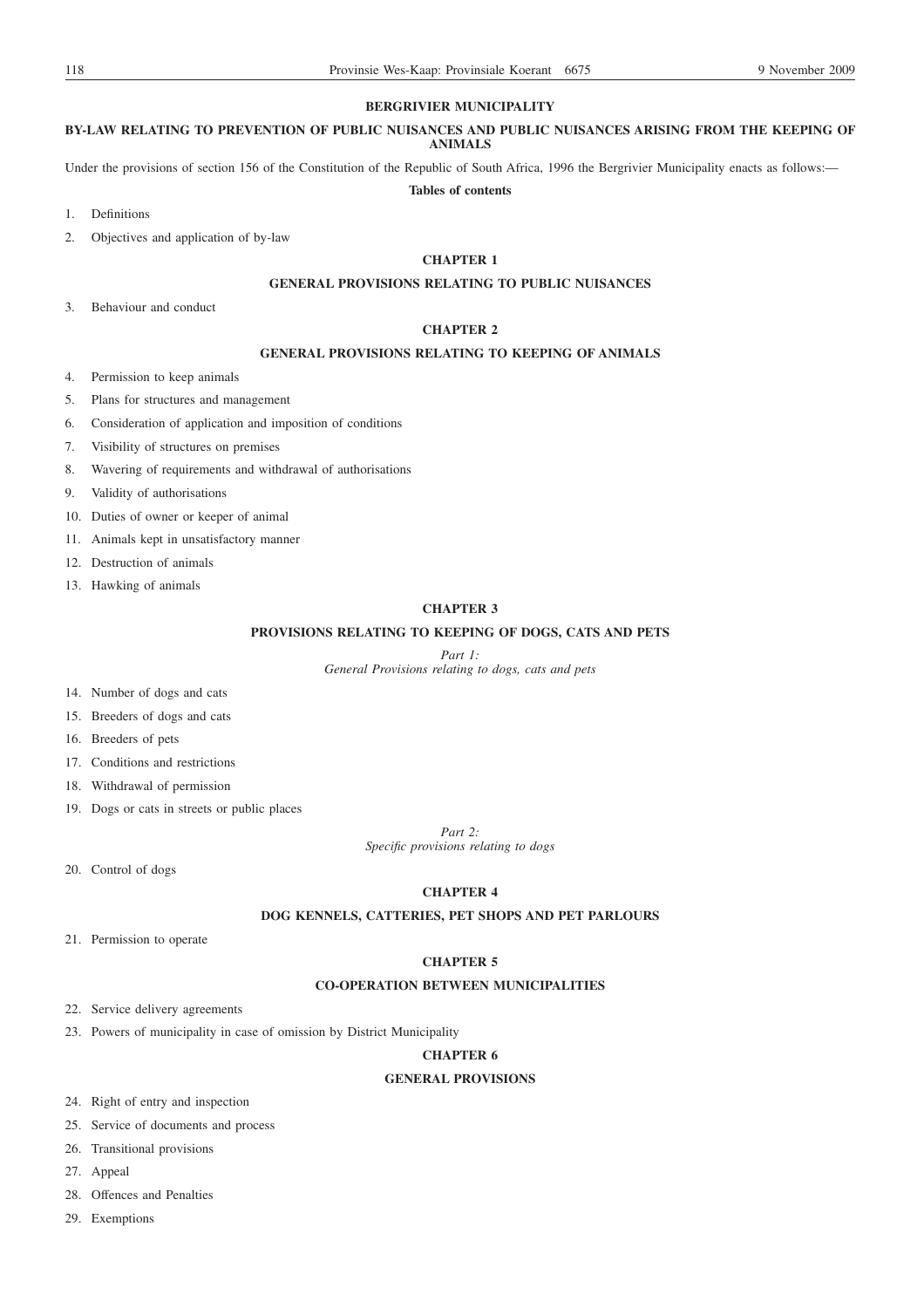# **BERGRIVIER MUNICIPALITY**

### **BY-LAW RELATING TO PREVENTION OF PUBLIC NUISANCES AND PUBLIC NUISANCES ARISING FROM THE KEEPING OF ANIMALS**

Under the provisions of section 156 of the Constitution of the Republic of South Africa, 1996 the Bergrivier Municipality enacts as follows:— **Tables of contents**

- 1. Definitions
- 2. Objectives and application of by-law

# **CHAPTER 1**

# **GENERAL PROVISIONS RELATING TO PUBLIC NUISANCES**

3. Behaviour and conduct

# **CHAPTER 2**

# **GENERAL PROVISIONS RELATING TO KEEPING OF ANIMALS**

- 4. Permission to keep animals
- 5. Plans for structures and management
- 6. Consideration of application and imposition of conditions
- 7. Visibility of structures on premises
- 8. Wavering of requirements and withdrawal of authorisations
- 9. Validity of authorisations
- 10. Duties of owner or keeper of animal
- 11. Animals kept in unsatisfactory manner
- 12. Destruction of animals
- 13. Hawking of animals

# **CHAPTER 3**

# **PROVISIONS RELATING TO KEEPING OF DOGS, CATS AND PETS**

*Part 1:*

*General Provisions relating to dogs, cats and pets*

- 14. Number of dogs and cats
- 15. Breeders of dogs and cats
- 16. Breeders of pets
- 17. Conditions and restrictions
- 18. Withdrawal of permission
- 19. Dogs or cats in streets or public places

*Part 2:*

*Specific provisions relating to dogs*

20. Control of dogs

# **CHAPTER 4**

# **DOG KENNELS, CATTERIES, PET SHOPS AND PET PARLOURS**

21. Permission to operate

# **CHAPTER 5**

# **CO-OPERATION BETWEEN MUNICIPALITIES**

- 22. Service delivery agreements
- 23. Powers of municipality in case of omission by District Municipality

## **CHAPTER 6**

# **GENERAL PROVISIONS**

24. Right of entry and inspection

- 25. Service of documents and process
- 26. Transitional provisions
- 27. Appeal
- 28. Offences and Penalties
- 29. Exemptions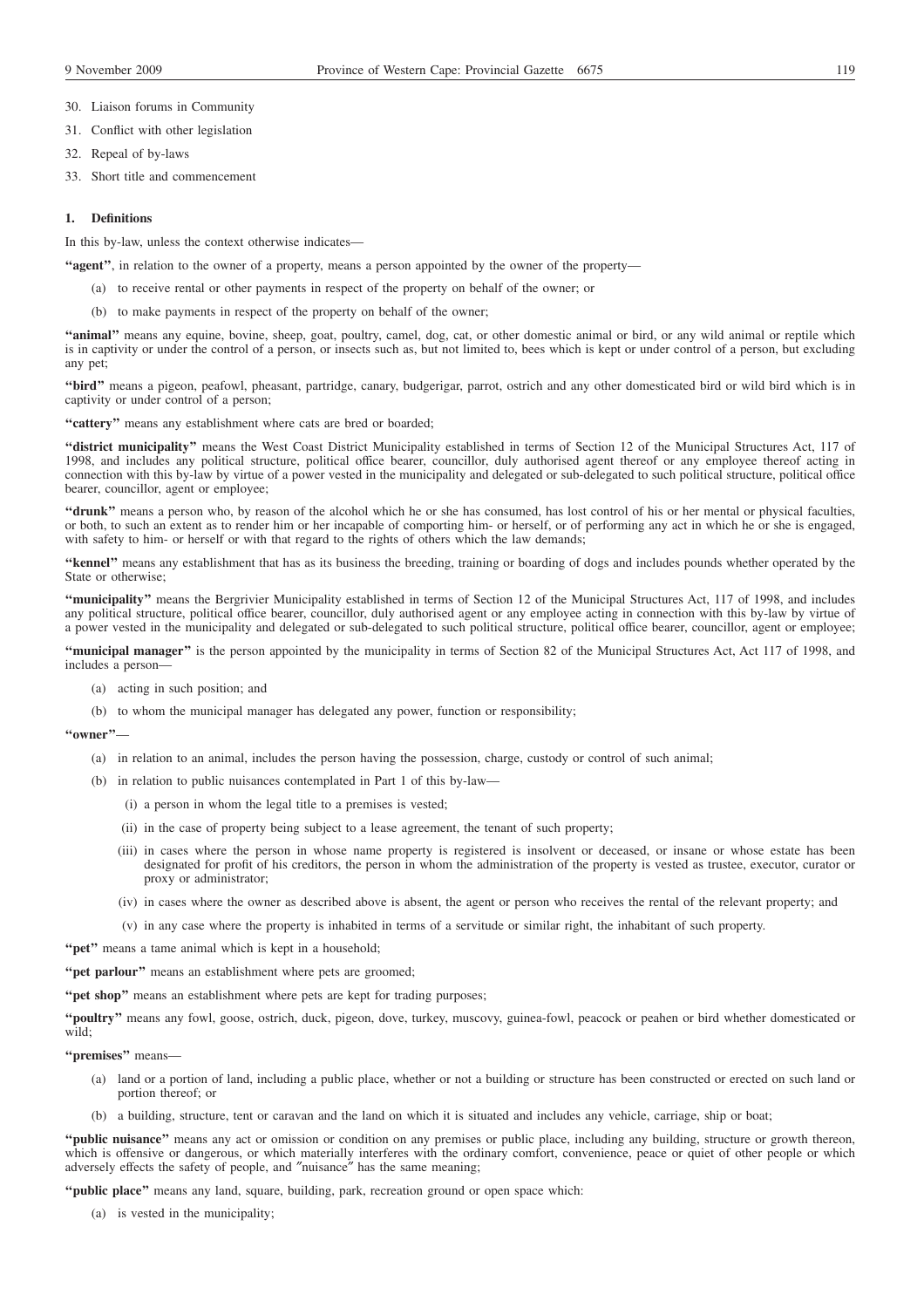30. Liaison forums in Community

- 31. Conflict with other legislation
- 32. Repeal of by-laws
- 33. Short title and commencement

# **1. Definitions**

In this by-law, unless the context otherwise indicates—

- **''agent''**, in relation to the owner of a property, means a person appointed by the owner of the property—
	- (a) to receive rental or other payments in respect of the property on behalf of the owner; or
	- (b) to make payments in respect of the property on behalf of the owner;

**''animal''** means any equine, bovine, sheep, goat, poultry, camel, dog, cat, or other domestic animal or bird, or any wild animal or reptile which is in captivity or under the control of a person, or insects such as, but not limited to, bees which is kept or under control of a person, but excluding any pet;

**''bird''** means a pigeon, peafowl, pheasant, partridge, canary, budgerigar, parrot, ostrich and any other domesticated bird or wild bird which is in captivity or under control of a person;

**''cattery''** means any establishment where cats are bred or boarded;

**''district municipality''** means the West Coast District Municipality established in terms of Section 12 of the Municipal Structures Act, 117 of 1998, and includes any political structure, political office bearer, councillor, duly authorised agent thereof or any employee thereof acting in connection with this by-law by virtue of a power vested in the municipality and delegated or sub-delegated to such political structure, political office bearer, councillor, agent or employee;

"drunk" means a person who, by reason of the alcohol which he or she has consumed, has lost control of his or her mental or physical faculties, or both, to such an extent as to render him or her incapable of comporting him- or herself, or of performing any act in which he or she is engaged, with safety to him- or herself or with that regard to the rights of others which the law demands;

**''kennel''** means any establishment that has as its business the breeding, training or boarding of dogs and includes pounds whether operated by the State or otherwise;

**''municipality''** means the Bergrivier Municipality established in terms of Section 12 of the Municipal Structures Act, 117 of 1998, and includes any political structure, political office bearer, councillor, duly authorised agent or any employee acting in connection with this by-law by virtue of a power vested in the municipality and delegated or sub-delegated to such political structure, political office bearer, councillor, agent or employee;

**''municipal manager''** is the person appointed by the municipality in terms of Section 82 of the Municipal Structures Act, Act 117 of 1998, and includes a person—

- (a) acting in such position; and
- (b) to whom the municipal manager has delegated any power, function or responsibility;

**''owner''**—

- (a) in relation to an animal, includes the person having the possession, charge, custody or control of such animal;
- (b) in relation to public nuisances contemplated in Part 1 of this by-law—
	- (i) a person in whom the legal title to a premises is vested;
	- (ii) in the case of property being subject to a lease agreement, the tenant of such property;
	- (iii) in cases where the person in whose name property is registered is insolvent or deceased, or insane or whose estate has been designated for profit of his creditors, the person in whom the administration of the property is vested as trustee, executor, curator or proxy or administrator;
	- (iv) in cases where the owner as described above is absent, the agent or person who receives the rental of the relevant property; and
	- (v) in any case where the property is inhabited in terms of a servitude or similar right, the inhabitant of such property.

"pet" means a tame animal which is kept in a household;

"**pet parlour**" means an establishment where pets are groomed;

"**pet shop**" means an establishment where pets are kept for trading purposes;

**''poultry''** means any fowl, goose, ostrich, duck, pigeon, dove, turkey, muscovy, guinea-fowl, peacock or peahen or bird whether domesticated or wild;

**''premises''** means—

- (a) land or a portion of land, including a public place, whether or not a building or structure has been constructed or erected on such land or portion thereof; or
- (b) a building, structure, tent or caravan and the land on which it is situated and includes any vehicle, carriage, ship or boat;

**''public nuisance''** means any act or omission or condition on any premises or public place, including any building, structure or growth thereon, which is offensive or dangerous, or which materially interferes with the ordinary comfort, convenience, peace or quiet of other people or which adversely effects the safety of people, and ″nuisance″ has the same meaning;

**''public place''** means any land, square, building, park, recreation ground or open space which:

(a) is vested in the municipality;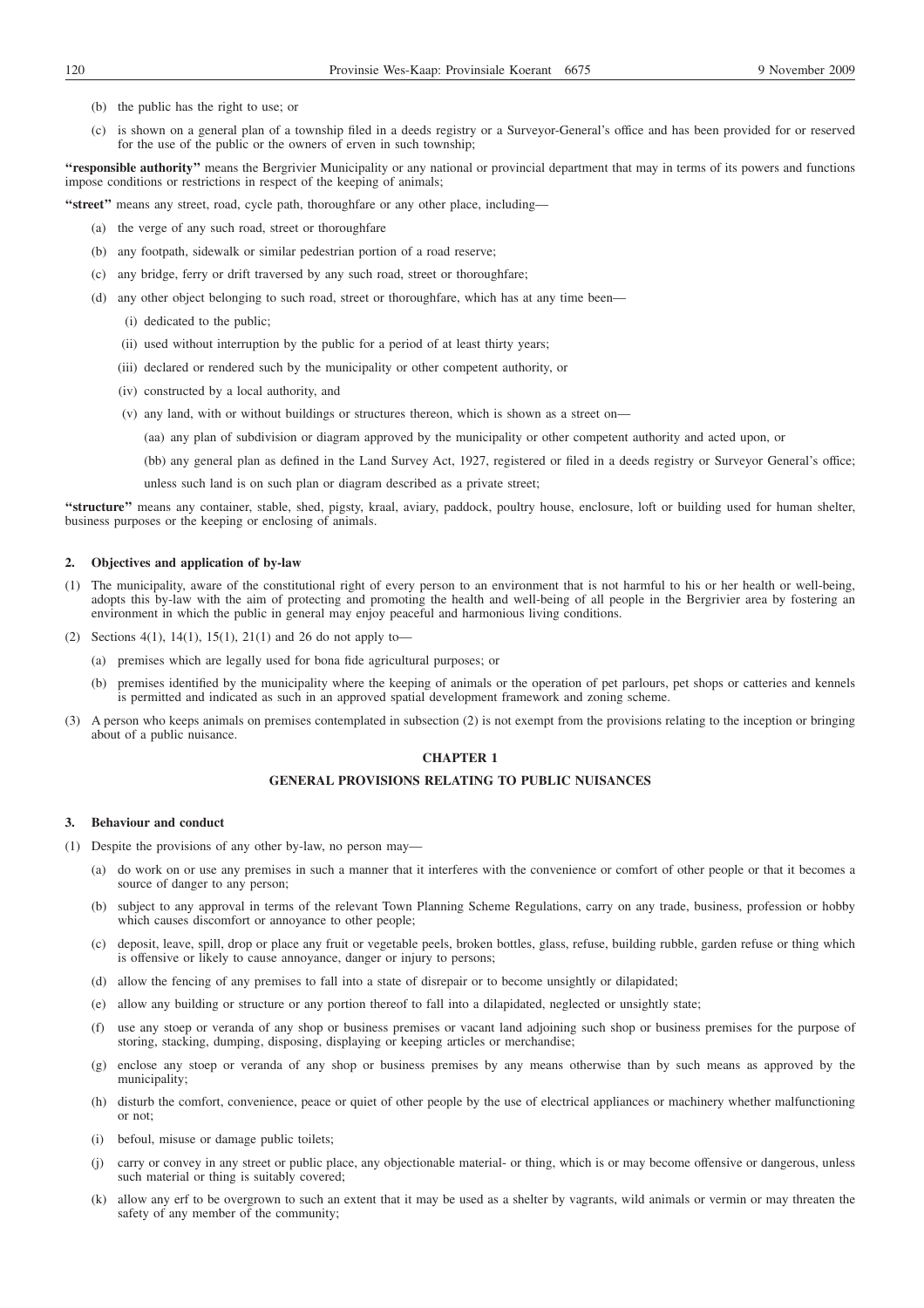- (b) the public has the right to use; or
- (c) is shown on a general plan of a township filed in a deeds registry or a Surveyor-General's office and has been provided for or reserved for the use of the public or the owners of erven in such township;

**''responsible authority''** means the Bergrivier Municipality or any national or provincial department that may in terms of its powers and functions impose conditions or restrictions in respect of the keeping of animals;

**''street''** means any street, road, cycle path, thoroughfare or any other place, including—

- (a) the verge of any such road, street or thoroughfare
- (b) any footpath, sidewalk or similar pedestrian portion of a road reserve;
- (c) any bridge, ferry or drift traversed by any such road, street or thoroughfare;
- (d) any other object belonging to such road, street or thoroughfare, which has at any time been—
	- (i) dedicated to the public;
	- (ii) used without interruption by the public for a period of at least thirty years;
	- (iii) declared or rendered such by the municipality or other competent authority, or
	- (iv) constructed by a local authority, and
	- (v) any land, with or without buildings or structures thereon, which is shown as a street on—
		- (aa) any plan of subdivision or diagram approved by the municipality or other competent authority and acted upon, or
		- (bb) any general plan as defined in the Land Survey Act, 1927, registered or filed in a deeds registry or Surveyor General's office;

unless such land is on such plan or diagram described as a private street;

**''structure''** means any container, stable, shed, pigsty, kraal, aviary, paddock, poultry house, enclosure, loft or building used for human shelter, business purposes or the keeping or enclosing of animals.

## **2. Objectives and application of by-law**

- (1) The municipality, aware of the constitutional right of every person to an environment that is not harmful to his or her health or well-being, adopts this by-law with the aim of protecting and promoting the health and well-being of all people in the Bergrivier area by fostering an environment in which the public in general may enjoy peaceful and harmonious living conditions.
- (2) Sections 4(1), 14(1), 15(1), 21(1) and 26 do not apply to-
	- (a) premises which are legally used for bona fide agricultural purposes; or
	- (b) premises identified by the municipality where the keeping of animals or the operation of pet parlours, pet shops or catteries and kennels is permitted and indicated as such in an approved spatial development framework and zoning scheme.
- (3) A person who keeps animals on premises contemplated in subsection (2) is not exempt from the provisions relating to the inception or bringing about of a public nuisance.

# **CHAPTER 1**

# **GENERAL PROVISIONS RELATING TO PUBLIC NUISANCES**

### **3. Behaviour and conduct**

- (1) Despite the provisions of any other by-law, no person may—
	- (a) do work on or use any premises in such a manner that it interferes with the convenience or comfort of other people or that it becomes a source of danger to any person;
	- (b) subject to any approval in terms of the relevant Town Planning Scheme Regulations, carry on any trade, business, profession or hobby which causes discomfort or annoyance to other people;
	- (c) deposit, leave, spill, drop or place any fruit or vegetable peels, broken bottles, glass, refuse, building rubble, garden refuse or thing which is offensive or likely to cause annoyance, danger or injury to persons;
	- (d) allow the fencing of any premises to fall into a state of disrepair or to become unsightly or dilapidated;
	- (e) allow any building or structure or any portion thereof to fall into a dilapidated, neglected or unsightly state;
	- (f) use any stoep or veranda of any shop or business premises or vacant land adjoining such shop or business premises for the purpose of storing, stacking, dumping, disposing, displaying or keeping articles or merchandise;
	- (g) enclose any stoep or veranda of any shop or business premises by any means otherwise than by such means as approved by the municipality;
	- (h) disturb the comfort, convenience, peace or quiet of other people by the use of electrical appliances or machinery whether malfunctioning or not;
	- (i) befoul, misuse or damage public toilets;
	- carry or convey in any street or public place, any objectionable material- or thing, which is or may become offensive or dangerous, unless such material or thing is suitably covered;
	- (k) allow any erf to be overgrown to such an extent that it may be used as a shelter by vagrants, wild animals or vermin or may threaten the safety of any member of the community;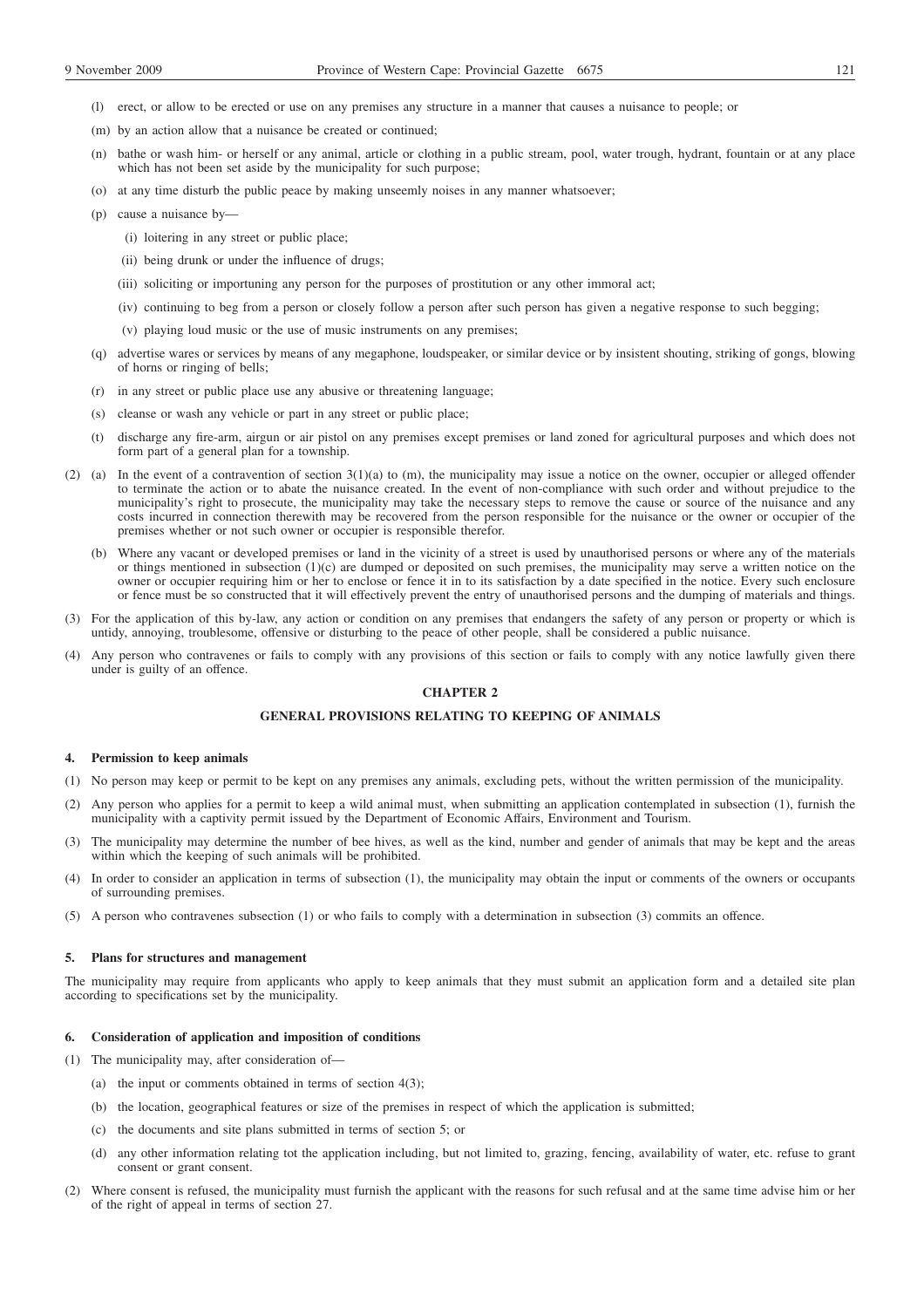- (m) by an action allow that a nuisance be created or continued;
- (n) bathe or wash him- or herself or any animal, article or clothing in a public stream, pool, water trough, hydrant, fountain or at any place which has not been set aside by the municipality for such purpose;
- (o) at any time disturb the public peace by making unseemly noises in any manner whatsoever;
- (p) cause a nuisance by—
	- (i) loitering in any street or public place;
	- (ii) being drunk or under the influence of drugs;
	- (iii) soliciting or importuning any person for the purposes of prostitution or any other immoral act;
	- (iv) continuing to beg from a person or closely follow a person after such person has given a negative response to such begging;
	- (v) playing loud music or the use of music instruments on any premises;
- (q) advertise wares or services by means of any megaphone, loudspeaker, or similar device or by insistent shouting, striking of gongs, blowing of horns or ringing of bells;
- (r) in any street or public place use any abusive or threatening language;
- (s) cleanse or wash any vehicle or part in any street or public place;
- (t) discharge any fire-arm, airgun or air pistol on any premises except premises or land zoned for agricultural purposes and which does not form part of a general plan for a township.
- (2) (a) In the event of a contravention of section 3(1)(a) to (m), the municipality may issue a notice on the owner, occupier or alleged offender to terminate the action or to abate the nuisance created. In the event of non-compliance with such order and without prejudice to the municipality's right to prosecute, the municipality may take the necessary steps to remove the cause or source of the nuisance and any costs incurred in connection therewith may be recovered from the person responsible for the nuisance or the owner or occupier of the premises whether or not such owner or occupier is responsible therefor.
	- (b) Where any vacant or developed premises or land in the vicinity of a street is used by unauthorised persons or where any of the materials or things mentioned in subsection (1)(c) are dumped or deposited on such premises, the municipality may serve a written notice on the owner or occupier requiring him or her to enclose or fence it in to its satisfaction by a date specified in the notice. Every such enclosure or fence must be so constructed that it will effectively prevent the entry of unauthorised persons and the dumping of materials and things.
- (3) For the application of this by-law, any action or condition on any premises that endangers the safety of any person or property or which is untidy, annoying, troublesome, offensive or disturbing to the peace of other people, shall be considered a public nuisance.
- (4) Any person who contravenes or fails to comply with any provisions of this section or fails to comply with any notice lawfully given there under is guilty of an offence.

# **CHAPTER 2**

# **GENERAL PROVISIONS RELATING TO KEEPING OF ANIMALS**

# **4. Permission to keep animals**

- (1) No person may keep or permit to be kept on any premises any animals, excluding pets, without the written permission of the municipality.
- (2) Any person who applies for a permit to keep a wild animal must, when submitting an application contemplated in subsection (1), furnish the municipality with a captivity permit issued by the Department of Economic Affairs, Environment and Tourism.
- (3) The municipality may determine the number of bee hives, as well as the kind, number and gender of animals that may be kept and the areas within which the keeping of such animals will be prohibited.
- (4) In order to consider an application in terms of subsection (1), the municipality may obtain the input or comments of the owners or occupants of surrounding premises.
- (5) A person who contravenes subsection (1) or who fails to comply with a determination in subsection (3) commits an offence.

# **5. Plans for structures and management**

The municipality may require from applicants who apply to keep animals that they must submit an application form and a detailed site plan according to specifications set by the municipality.

# **6. Consideration of application and imposition of conditions**

(1) The municipality may, after consideration of—

- (a) the input or comments obtained in terms of section 4(3);
- (b) the location, geographical features or size of the premises in respect of which the application is submitted;
- (c) the documents and site plans submitted in terms of section 5; or
- (d) any other information relating tot the application including, but not limited to, grazing, fencing, availability of water, etc. refuse to grant consent or grant consent.
- (2) Where consent is refused, the municipality must furnish the applicant with the reasons for such refusal and at the same time advise him or her of the right of appeal in terms of section 27.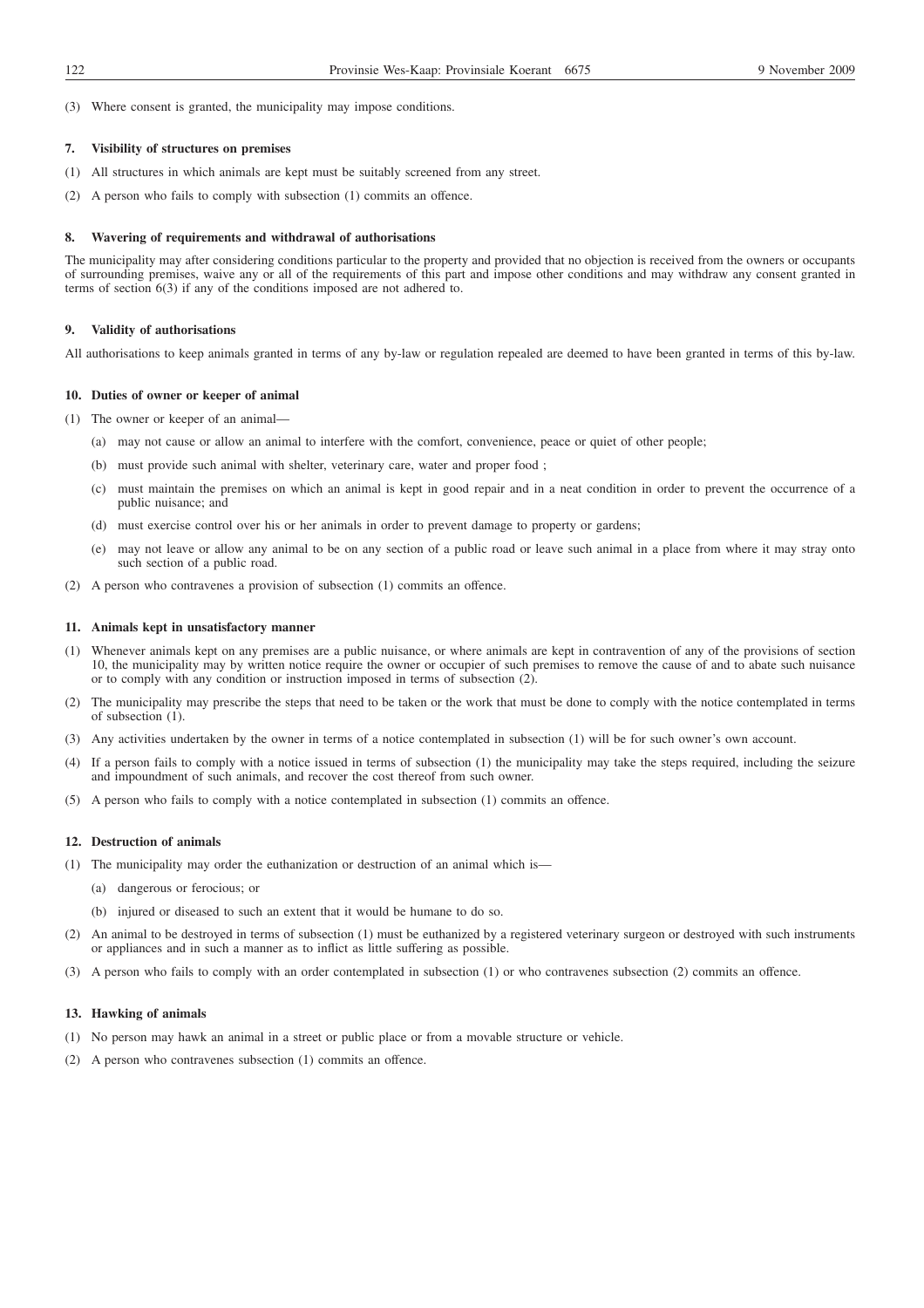(3) Where consent is granted, the municipality may impose conditions.

## **7. Visibility of structures on premises**

- (1) All structures in which animals are kept must be suitably screened from any street.
- (2) A person who fails to comply with subsection (1) commits an offence.

#### **8. Wavering of requirements and withdrawal of authorisations**

The municipality may after considering conditions particular to the property and provided that no objection is received from the owners or occupants of surrounding premises, waive any or all of the requirements of this part and impose other conditions and may withdraw any consent granted in terms of section 6(3) if any of the conditions imposed are not adhered to.

### **9. Validity of authorisations**

All authorisations to keep animals granted in terms of any by-law or regulation repealed are deemed to have been granted in terms of this by-law.

#### **10. Duties of owner or keeper of animal**

- (1) The owner or keeper of an animal—
	- (a) may not cause or allow an animal to interfere with the comfort, convenience, peace or quiet of other people;
	- (b) must provide such animal with shelter, veterinary care, water and proper food ;
	- (c) must maintain the premises on which an animal is kept in good repair and in a neat condition in order to prevent the occurrence of a public nuisance; and
	- (d) must exercise control over his or her animals in order to prevent damage to property or gardens;
	- (e) may not leave or allow any animal to be on any section of a public road or leave such animal in a place from where it may stray onto such section of a public road.
- (2) A person who contravenes a provision of subsection (1) commits an offence.

### **11. Animals kept in unsatisfactory manner**

- (1) Whenever animals kept on any premises are a public nuisance, or where animals are kept in contravention of any of the provisions of section 10, the municipality may by written notice require the owner or occupier of such premises to remove the cause of and to abate such nuisance or to comply with any condition or instruction imposed in terms of subsection (2).
- (2) The municipality may prescribe the steps that need to be taken or the work that must be done to comply with the notice contemplated in terms of subsection (1).
- (3) Any activities undertaken by the owner in terms of a notice contemplated in subsection (1) will be for such owner's own account.
- (4) If a person fails to comply with a notice issued in terms of subsection (1) the municipality may take the steps required, including the seizure and impoundment of such animals, and recover the cost thereof from such owner.
- (5) A person who fails to comply with a notice contemplated in subsection (1) commits an offence.

# **12. Destruction of animals**

- (1) The municipality may order the euthanization or destruction of an animal which is—
	- (a) dangerous or ferocious; or
	- (b) injured or diseased to such an extent that it would be humane to do so.
- (2) An animal to be destroyed in terms of subsection (1) must be euthanized by a registered veterinary surgeon or destroyed with such instruments or appliances and in such a manner as to inflict as little suffering as possible.
- (3) A person who fails to comply with an order contemplated in subsection (1) or who contravenes subsection (2) commits an offence.

# **13. Hawking of animals**

- (1) No person may hawk an animal in a street or public place or from a movable structure or vehicle.
- (2) A person who contravenes subsection (1) commits an offence.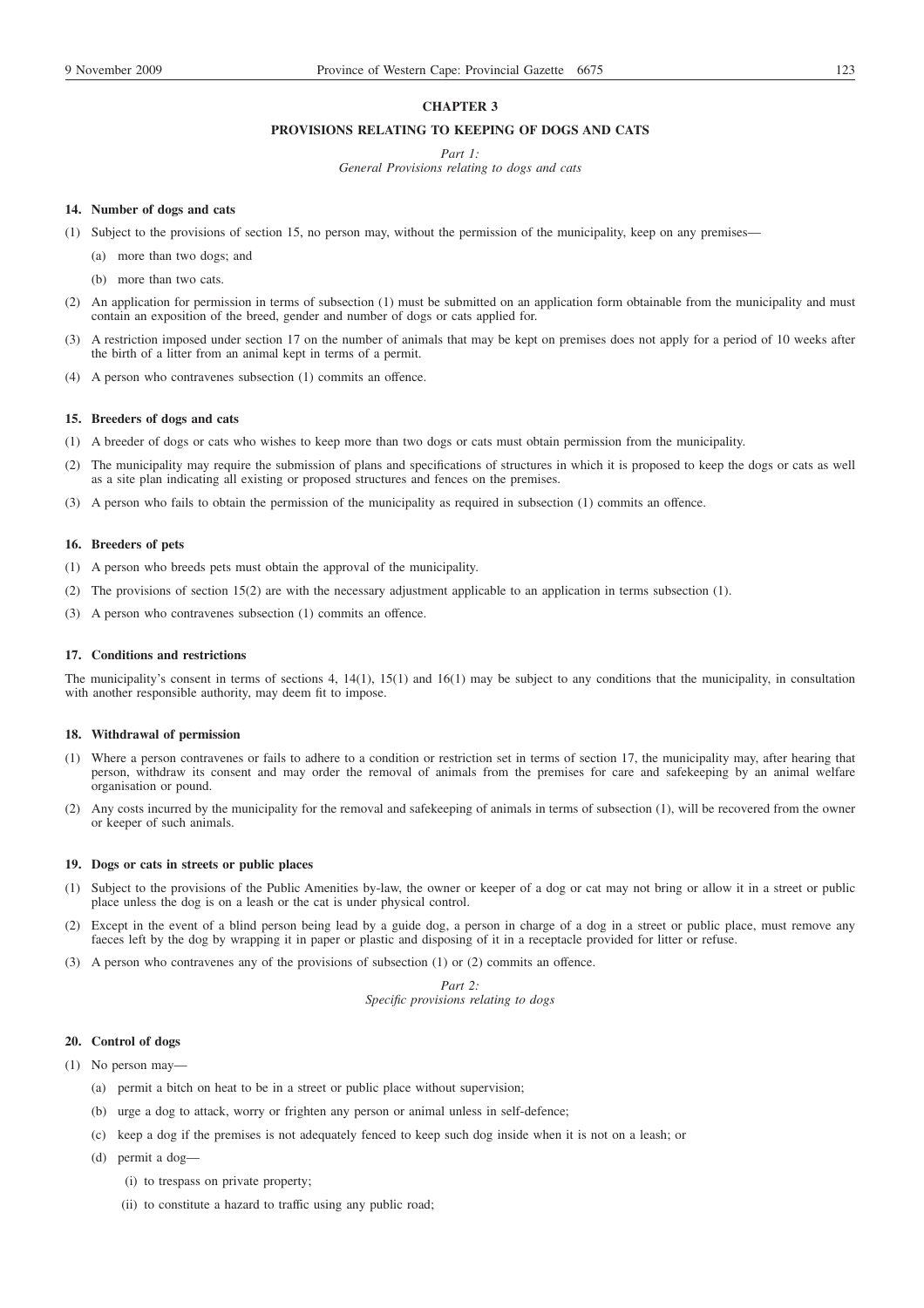# **CHAPTER 3**

# **PROVISIONS RELATING TO KEEPING OF DOGS AND CATS**

*Part 1:*

*General Provisions relating to dogs and cats*

### **14. Number of dogs and cats**

- (1) Subject to the provisions of section 15, no person may, without the permission of the municipality, keep on any premises—
	- (a) more than two dogs; and
	- (b) more than two cats.
- (2) An application for permission in terms of subsection (1) must be submitted on an application form obtainable from the municipality and must contain an exposition of the breed, gender and number of dogs or cats applied for.
- (3) A restriction imposed under section 17 on the number of animals that may be kept on premises does not apply for a period of 10 weeks after the birth of a litter from an animal kept in terms of a permit.
- (4) A person who contravenes subsection (1) commits an offence.

### **15. Breeders of dogs and cats**

- (1) A breeder of dogs or cats who wishes to keep more than two dogs or cats must obtain permission from the municipality.
- The municipality may require the submission of plans and specifications of structures in which it is proposed to keep the dogs or cats as well as a site plan indicating all existing or proposed structures and fences on the premises.
- (3) A person who fails to obtain the permission of the municipality as required in subsection (1) commits an offence.

# **16. Breeders of pets**

- (1) A person who breeds pets must obtain the approval of the municipality.
- (2) The provisions of section 15(2) are with the necessary adjustment applicable to an application in terms subsection (1).
- (3) A person who contravenes subsection (1) commits an offence.

### **17. Conditions and restrictions**

The municipality's consent in terms of sections 4, 14(1), 15(1) and 16(1) may be subject to any conditions that the municipality, in consultation with another responsible authority, may deem fit to impose.

#### **18. Withdrawal of permission**

- (1) Where a person contravenes or fails to adhere to a condition or restriction set in terms of section 17, the municipality may, after hearing that person, withdraw its consent and may order the removal of animals from the premises for care and safekeeping by an animal welfare organisation or pound.
- (2) Any costs incurred by the municipality for the removal and safekeeping of animals in terms of subsection (1), will be recovered from the owner or keeper of such animals.

#### **19. Dogs or cats in streets or public places**

- (1) Subject to the provisions of the Public Amenities by-law, the owner or keeper of a dog or cat may not bring or allow it in a street or public place unless the dog is on a leash or the cat is under physical control.
- (2) Except in the event of a blind person being lead by a guide dog, a person in charge of a dog in a street or public place, must remove any faeces left by the dog by wrapping it in paper or plastic and disposing of it in a receptacle provided for litter or refuse.
- (3) A person who contravenes any of the provisions of subsection (1) or (2) commits an offence.

# *Part 2: Specific provisions relating to dogs*

# **20. Control of dogs**

- (1) No person may—
	- (a) permit a bitch on heat to be in a street or public place without supervision;
	- (b) urge a dog to attack, worry or frighten any person or animal unless in self-defence;
	- (c) keep a dog if the premises is not adequately fenced to keep such dog inside when it is not on a leash; or
	- (d) permit a dog—
		- (i) to trespass on private property;
		- (ii) to constitute a hazard to traffic using any public road;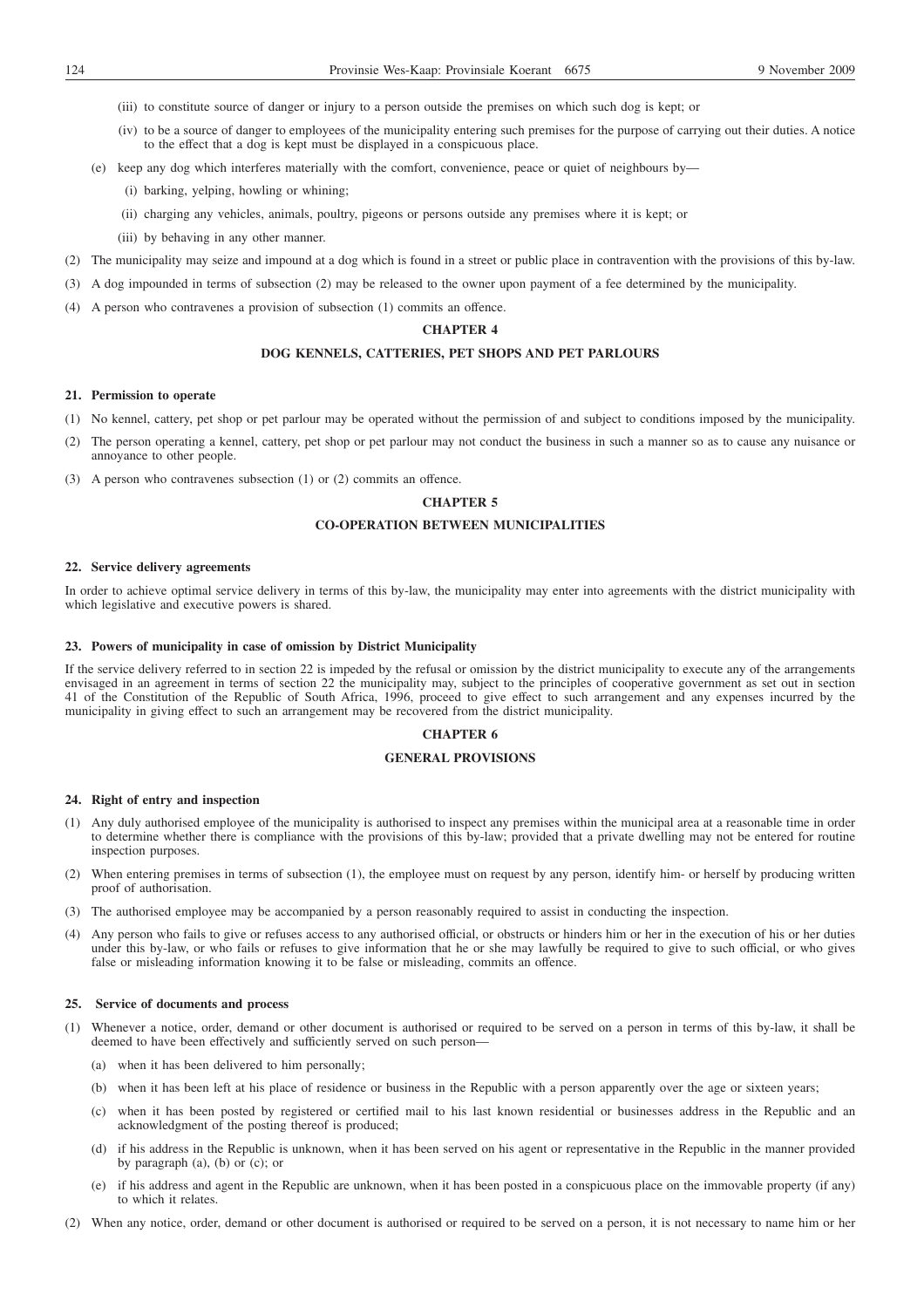- (iii) to constitute source of danger or injury to a person outside the premises on which such dog is kept; or
- (iv) to be a source of danger to employees of the municipality entering such premises for the purpose of carrying out their duties. A notice to the effect that a dog is kept must be displayed in a conspicuous place.
- (e) keep any dog which interferes materially with the comfort, convenience, peace or quiet of neighbours by—
	- (i) barking, yelping, howling or whining;
	- (ii) charging any vehicles, animals, poultry, pigeons or persons outside any premises where it is kept; or
	- (iii) by behaving in any other manner.
- (2) The municipality may seize and impound at a dog which is found in a street or public place in contravention with the provisions of this by-law.
- (3) A dog impounded in terms of subsection (2) may be released to the owner upon payment of a fee determined by the municipality.
- (4) A person who contravenes a provision of subsection (1) commits an offence.

# **CHAPTER 4**

# **DOG KENNELS, CATTERIES, PET SHOPS AND PET PARLOURS**

#### **21. Permission to operate**

- (1) No kennel, cattery, pet shop or pet parlour may be operated without the permission of and subject to conditions imposed by the municipality.
- (2) The person operating a kennel, cattery, pet shop or pet parlour may not conduct the business in such a manner so as to cause any nuisance or annoyance to other people.
- (3) A person who contravenes subsection (1) or (2) commits an offence.

# **CHAPTER 5**

# **CO-OPERATION BETWEEN MUNICIPALITIES**

# **22. Service delivery agreements**

In order to achieve optimal service delivery in terms of this by-law, the municipality may enter into agreements with the district municipality with which legislative and executive powers is shared.

#### **23. Powers of municipality in case of omission by District Municipality**

If the service delivery referred to in section 22 is impeded by the refusal or omission by the district municipality to execute any of the arrangements envisaged in an agreement in terms of section 22 the municipality may, subject to the principles of cooperative government as set out in section 41 of the Constitution of the Republic of South Africa, 1996, proceed to give effect to such arrangement and any expenses incurred by the municipality in giving effect to such an arrangement may be recovered from the district municipality.

# **CHAPTER 6**

## **GENERAL PROVISIONS**

### **24. Right of entry and inspection**

- (1) Any duly authorised employee of the municipality is authorised to inspect any premises within the municipal area at a reasonable time in order to determine whether there is compliance with the provisions of this by-law; provided that a private dwelling may not be entered for routine inspection purposes.
- (2) When entering premises in terms of subsection (1), the employee must on request by any person, identify him- or herself by producing written proof of authorisation.
- (3) The authorised employee may be accompanied by a person reasonably required to assist in conducting the inspection.
- (4) Any person who fails to give or refuses access to any authorised official, or obstructs or hinders him or her in the execution of his or her duties under this by-law, or who fails or refuses to give information that he or she may lawfully be required to give to such official, or who gives false or misleading information knowing it to be false or misleading, commits an offence.

# **25. Service of documents and process**

- (1) Whenever a notice, order, demand or other document is authorised or required to be served on a person in terms of this by-law, it shall be deemed to have been effectively and sufficiently served on such person—
	- (a) when it has been delivered to him personally;
	- (b) when it has been left at his place of residence or business in the Republic with a person apparently over the age or sixteen years;
	- (c) when it has been posted by registered or certified mail to his last known residential or businesses address in the Republic and an acknowledgment of the posting thereof is produced;
	- (d) if his address in the Republic is unknown, when it has been served on his agent or representative in the Republic in the manner provided by paragraph (a), (b) or (c); or
	- (e) if his address and agent in the Republic are unknown, when it has been posted in a conspicuous place on the immovable property (if any) to which it relates.
- (2) When any notice, order, demand or other document is authorised or required to be served on a person, it is not necessary to name him or her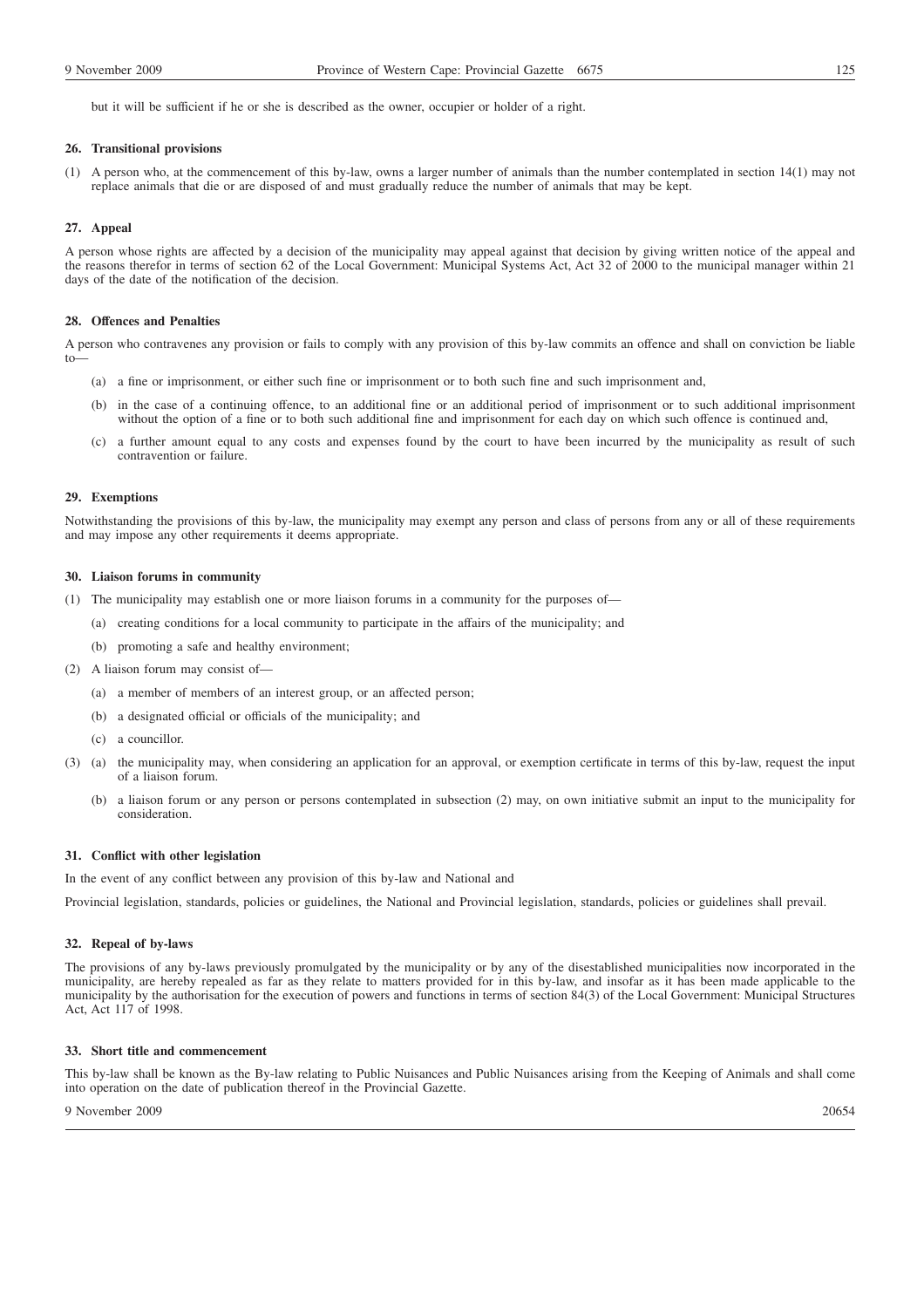but it will be sufficient if he or she is described as the owner, occupier or holder of a right.

### **26. Transitional provisions**

(1) A person who, at the commencement of this by-law, owns a larger number of animals than the number contemplated in section 14(1) may not replace animals that die or are disposed of and must gradually reduce the number of animals that may be kept.

### **27. Appeal**

A person whose rights are affected by a decision of the municipality may appeal against that decision by giving written notice of the appeal and the reasons therefor in terms of section 62 of the Local Government: Municipal Systems Act, Act 32 of 2000 to the municipal manager within 21 days of the date of the notification of the decision.

#### **28. Offences and Penalties**

A person who contravenes any provision or fails to comply with any provision of this by-law commits an offence and shall on conviction be liable to—

- (a) a fine or imprisonment, or either such fine or imprisonment or to both such fine and such imprisonment and,
- (b) in the case of a continuing offence, to an additional fine or an additional period of imprisonment or to such additional imprisonment without the option of a fine or to both such additional fine and imprisonment for each day on which such offence is continued and,
- (c) a further amount equal to any costs and expenses found by the court to have been incurred by the municipality as result of such contravention or failure.

# **29. Exemptions**

Notwithstanding the provisions of this by-law, the municipality may exempt any person and class of persons from any or all of these requirements and may impose any other requirements it deems appropriate.

# **30. Liaison forums in community**

(1) The municipality may establish one or more liaison forums in a community for the purposes of—

- (a) creating conditions for a local community to participate in the affairs of the municipality; and
- (b) promoting a safe and healthy environment;
- (2) A liaison forum may consist of—
	- (a) a member of members of an interest group, or an affected person;
	- (b) a designated official or officials of the municipality; and
	- (c) a councillor.
- (3) (a) the municipality may, when considering an application for an approval, or exemption certificate in terms of this by-law, request the input of a liaison forum.
	- (b) a liaison forum or any person or persons contemplated in subsection (2) may, on own initiative submit an input to the municipality for consideration.

# **31. Conflict with other legislation**

In the event of any conflict between any provision of this by-law and National and

Provincial legislation, standards, policies or guidelines, the National and Provincial legislation, standards, policies or guidelines shall prevail.

### **32. Repeal of by-laws**

The provisions of any by-laws previously promulgated by the municipality or by any of the disestablished municipalities now incorporated in the municipality, are hereby repealed as far as they relate to matters provided for in this by-law, and insofar as it has been made applicable to the municipality by the authorisation for the execution of powers and functions in terms of section 84(3) of the Local Government: Municipal Structures Act, Act 117 of 1998.

# **33. Short title and commencement**

This by-law shall be known as the By-law relating to Public Nuisances and Public Nuisances arising from the Keeping of Animals and shall come into operation on the date of publication thereof in the Provincial Gazette.

9 November 2009 20654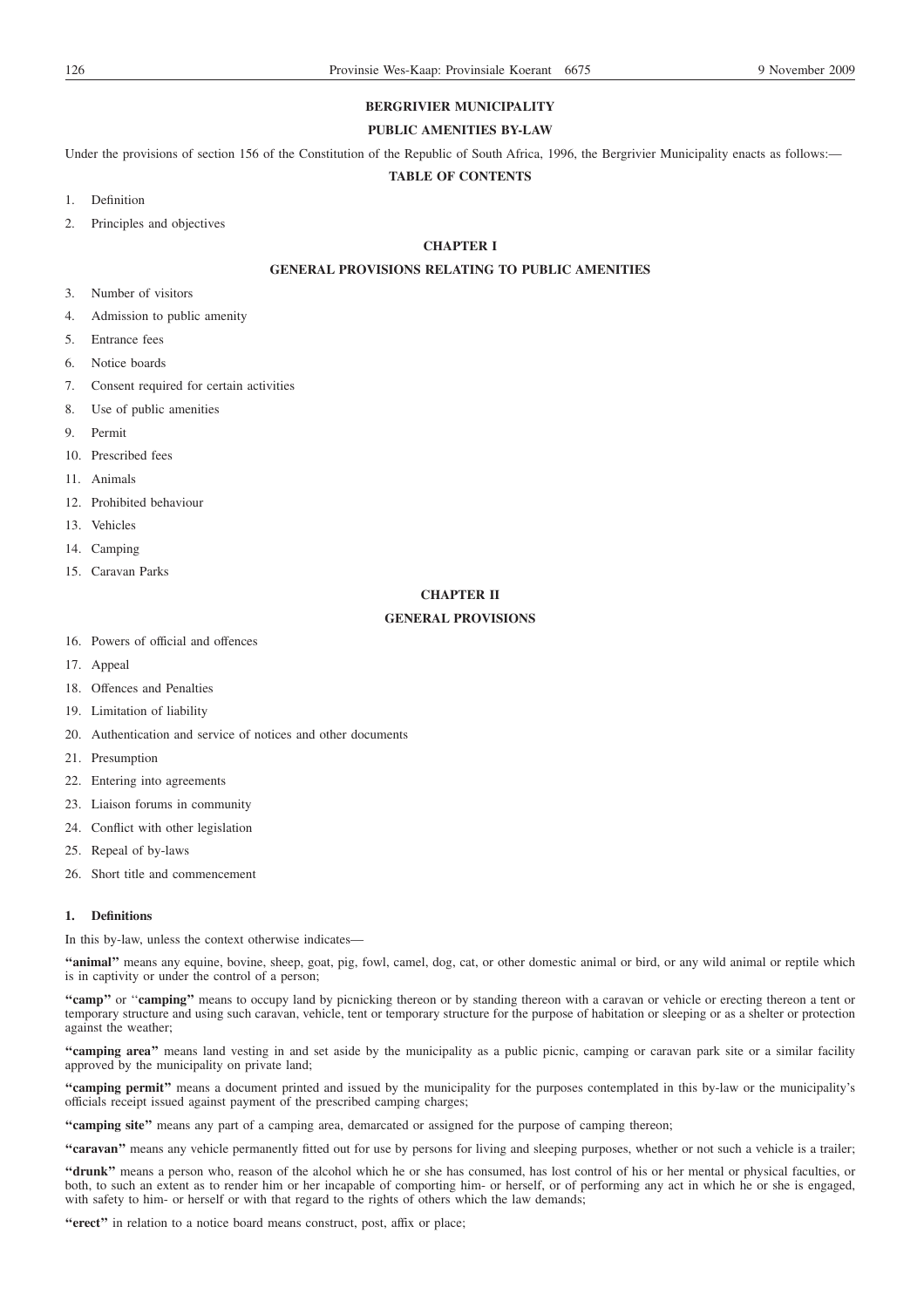# **BERGRIVIER MUNICIPALITY**

# **PUBLIC AMENITIES BY-LAW**

Under the provisions of section 156 of the Constitution of the Republic of South Africa, 1996, the Bergrivier Municipality enacts as follows:—

# **TABLE OF CONTENTS**

- 1. Definition
- 2. Principles and objectives

# **CHAPTER I**

# **GENERAL PROVISIONS RELATING TO PUBLIC AMENITIES**

- 3. Number of visitors
- 4. Admission to public amenity
- 5. Entrance fees
- 6. Notice boards
- 7. Consent required for certain activities
- 8. Use of public amenities
- 9. Permit
- 10. Prescribed fees
- 11. Animals
- 12. Prohibited behaviour
- 13. Vehicles
- 14. Camping
- 15. Caravan Parks

# **CHAPTER II**

# **GENERAL PROVISIONS**

- 16. Powers of official and offences
- 17. Appeal
- 18. Offences and Penalties
- 19. Limitation of liability
- 20. Authentication and service of notices and other documents
- 21. Presumption
- 22. Entering into agreements
- 23. Liaison forums in community
- 24. Conflict with other legislation
- 25. Repeal of by-laws
- 26. Short title and commencement

# **1. Definitions**

In this by-law, unless the context otherwise indicates—

**''animal''** means any equine, bovine, sheep, goat, pig, fowl, camel, dog, cat, or other domestic animal or bird, or any wild animal or reptile which is in captivity or under the control of a person;

**''camp''** or ''**camping''** means to occupy land by picnicking thereon or by standing thereon with a caravan or vehicle or erecting thereon a tent or temporary structure and using such caravan, vehicle, tent or temporary structure for the purpose of habitation or sleeping or as a shelter or protection against the weather;

**''camping area''** means land vesting in and set aside by the municipality as a public picnic, camping or caravan park site or a similar facility approved by the municipality on private land;

**''camping permit''** means a document printed and issued by the municipality for the purposes contemplated in this by-law or the municipality's officials receipt issued against payment of the prescribed camping charges;

**''camping site''** means any part of a camping area, demarcated or assigned for the purpose of camping thereon;

**''caravan''** means any vehicle permanently fitted out for use by persons for living and sleeping purposes, whether or not such a vehicle is a trailer;

**''drunk''** means a person who, reason of the alcohol which he or she has consumed, has lost control of his or her mental or physical faculties, or both, to such an extent as to render him or her incapable of comporting him- or herself, or of performing any act in which he or she is engaged, with safety to him- or herself or with that regard to the rights of others which the law demands;

**''erect''** in relation to a notice board means construct, post, affix or place;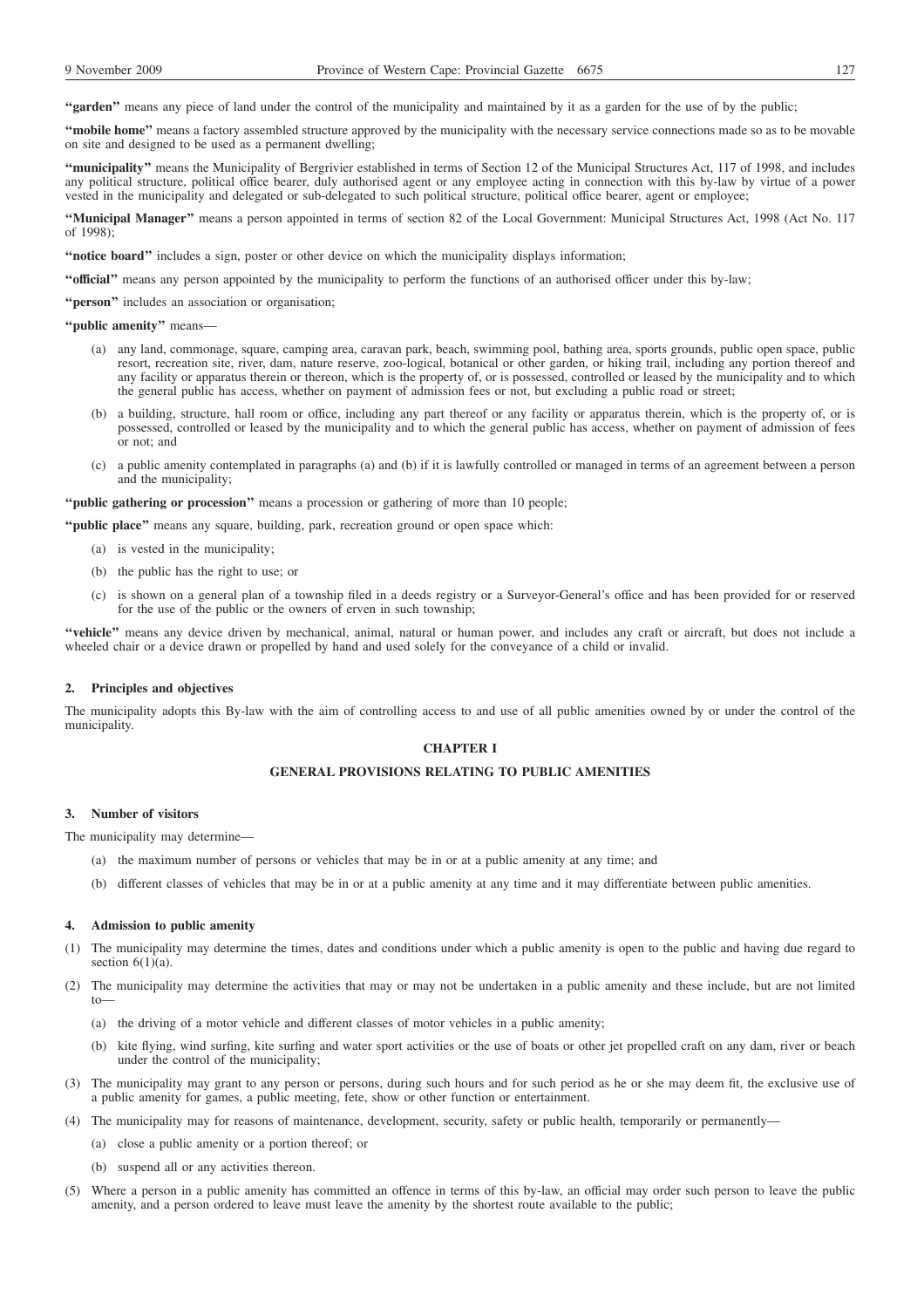**''garden''** means any piece of land under the control of the municipality and maintained by it as a garden for the use of by the public;

**''mobile home''** means a factory assembled structure approved by the municipality with the necessary service connections made so as to be movable on site and designed to be used as a permanent dwelling;

**''municipality''** means the Municipality of Bergrivier established in terms of Section 12 of the Municipal Structures Act, 117 of 1998, and includes any political structure, political office bearer, duly authorised agent or any employee acting in connection with this by-law by virtue of a power vested in the municipality and delegated or sub-delegated to such political structure, political office bearer, agent or employee;

**''Municipal Manager''** means a person appointed in terms of section 82 of the Local Government: Municipal Structures Act, 1998 (Act No. 117 of 1998);

**''notice board''** includes a sign, poster or other device on which the municipality displays information;

**''official''** means any person appointed by the municipality to perform the functions of an authorised officer under this by-law;

**''person''** includes an association or organisation;

**''public amenity''** means—

- (a) any land, commonage, square, camping area, caravan park, beach, swimming pool, bathing area, sports grounds, public open space, public resort, recreation site, river, dam, nature reserve, zoo-logical, botanical or other garden, or hiking trail, including any portion thereof and any facility or apparatus therein or thereon, which is the property of, or is possessed, controlled or leased by the municipality and to which the general public has access, whether on payment of admission fees or not, but excluding a public road or street;
- (b) a building, structure, hall room or office, including any part thereof or any facility or apparatus therein, which is the property of, or is possessed, controlled or leased by the municipality and to which the general public has access, whether on payment of admission of fees or not; and
- (c) a public amenity contemplated in paragraphs (a) and (b) if it is lawfully controlled or managed in terms of an agreement between a person and the municipality;

**''public gathering or procession''** means a procession or gathering of more than 10 people;

**''public place''** means any square, building, park, recreation ground or open space which:

- (a) is vested in the municipality;
- (b) the public has the right to use; or
- (c) is shown on a general plan of a township filed in a deeds registry or a Surveyor-General's office and has been provided for or reserved for the use of the public or the owners of erven in such township;

**''vehicle''** means any device driven by mechanical, animal, natural or human power, and includes any craft or aircraft, but does not include a wheeled chair or a device drawn or propelled by hand and used solely for the conveyance of a child or invalid.

### **2. Principles and objectives**

The municipality adopts this By-law with the aim of controlling access to and use of all public amenities owned by or under the control of the municipality.

# **CHAPTER I**

# **GENERAL PROVISIONS RELATING TO PUBLIC AMENITIES**

### **3. Number of visitors**

The municipality may determine—

- (a) the maximum number of persons or vehicles that may be in or at a public amenity at any time; and
- (b) different classes of vehicles that may be in or at a public amenity at any time and it may differentiate between public amenities.

### **4. Admission to public amenity**

- (1) The municipality may determine the times, dates and conditions under which a public amenity is open to the public and having due regard to section  $6(1)(a)$ .
- (2) The municipality may determine the activities that may or may not be undertaken in a public amenity and these include, but are not limited to—
	- (a) the driving of a motor vehicle and different classes of motor vehicles in a public amenity;
	- (b) kite flying, wind surfing, kite surfing and water sport activities or the use of boats or other jet propelled craft on any dam, river or beach under the control of the municipality;
- (3) The municipality may grant to any person or persons, during such hours and for such period as he or she may deem fit, the exclusive use of a public amenity for games, a public meeting, fete, show or other function or entertainment.
- (4) The municipality may for reasons of maintenance, development, security, safety or public health, temporarily or permanently—
	- (a) close a public amenity or a portion thereof; or
	- (b) suspend all or any activities thereon.
- (5) Where a person in a public amenity has committed an offence in terms of this by-law, an official may order such person to leave the public amenity, and a person ordered to leave must leave the amenity by the shortest route available to the public;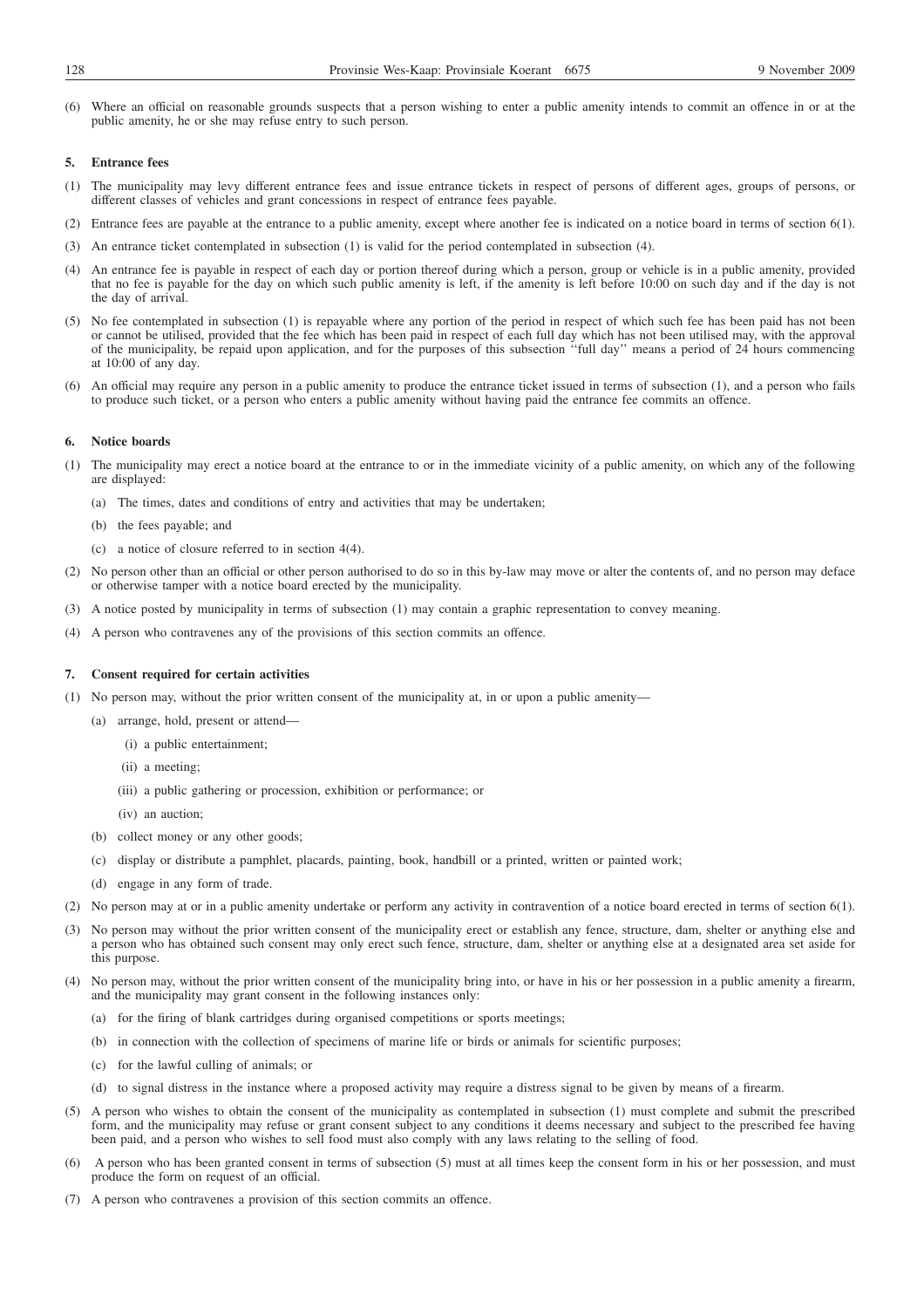(6) Where an official on reasonable grounds suspects that a person wishing to enter a public amenity intends to commit an offence in or at the public amenity, he or she may refuse entry to such person.

# **5. Entrance fees**

- (1) The municipality may levy different entrance fees and issue entrance tickets in respect of persons of different ages, groups of persons, or different classes of vehicles and grant concessions in respect of entrance fees payable.
- (2) Entrance fees are payable at the entrance to a public amenity, except where another fee is indicated on a notice board in terms of section 6(1).
- (3) An entrance ticket contemplated in subsection (1) is valid for the period contemplated in subsection (4).
- (4) An entrance fee is payable in respect of each day or portion thereof during which a person, group or vehicle is in a public amenity, provided that no fee is payable for the day on which such public amenity is left, if the amenity is left before 10:00 on such day and if the day is not the day of arrival.
- (5) No fee contemplated in subsection (1) is repayable where any portion of the period in respect of which such fee has been paid has not been or cannot be utilised, provided that the fee which has been paid in respect of each full day which has not been utilised may, with the approval of the municipality, be repaid upon application, and for the purposes of this subsection ''full day'' means a period of 24 hours commencing at 10:00 of any day.
- (6) An official may require any person in a public amenity to produce the entrance ticket issued in terms of subsection (1), and a person who fails to produce such ticket, or a person who enters a public amenity without having paid the entrance fee commits an offence.

#### **6. Notice boards**

- (1) The municipality may erect a notice board at the entrance to or in the immediate vicinity of a public amenity, on which any of the following are displayed:
	- (a) The times, dates and conditions of entry and activities that may be undertaken;
	- (b) the fees payable; and
	- (c) a notice of closure referred to in section 4(4).
- (2) No person other than an official or other person authorised to do so in this by-law may move or alter the contents of, and no person may deface or otherwise tamper with a notice board erected by the municipality.
- (3) A notice posted by municipality in terms of subsection (1) may contain a graphic representation to convey meaning.
- (4) A person who contravenes any of the provisions of this section commits an offence.

# **7. Consent required for certain activities**

- (1) No person may, without the prior written consent of the municipality at, in or upon a public amenity—
	- (a) arrange, hold, present or attend—
		- (i) a public entertainment;
		- (ii) a meeting;
		- (iii) a public gathering or procession, exhibition or performance; or
		- (iv) an auction;
	- (b) collect money or any other goods;
	- (c) display or distribute a pamphlet, placards, painting, book, handbill or a printed, written or painted work;
	- (d) engage in any form of trade.
- (2) No person may at or in a public amenity undertake or perform any activity in contravention of a notice board erected in terms of section 6(1).
- (3) No person may without the prior written consent of the municipality erect or establish any fence, structure, dam, shelter or anything else and a person who has obtained such consent may only erect such fence, structure, dam, shelter or anything else at a designated area set aside for this purpose.
- (4) No person may, without the prior written consent of the municipality bring into, or have in his or her possession in a public amenity a firearm, and the municipality may grant consent in the following instances only:
	- (a) for the firing of blank cartridges during organised competitions or sports meetings;
	- (b) in connection with the collection of specimens of marine life or birds or animals for scientific purposes;
	- (c) for the lawful culling of animals; or
	- (d) to signal distress in the instance where a proposed activity may require a distress signal to be given by means of a firearm.
- (5) A person who wishes to obtain the consent of the municipality as contemplated in subsection (1) must complete and submit the prescribed form, and the municipality may refuse or grant consent subject to any conditions it deems necessary and subject to the prescribed fee having been paid, and a person who wishes to sell food must also comply with any laws relating to the selling of food.
- (6) A person who has been granted consent in terms of subsection (5) must at all times keep the consent form in his or her possession, and must produce the form on request of an official.
- (7) A person who contravenes a provision of this section commits an offence.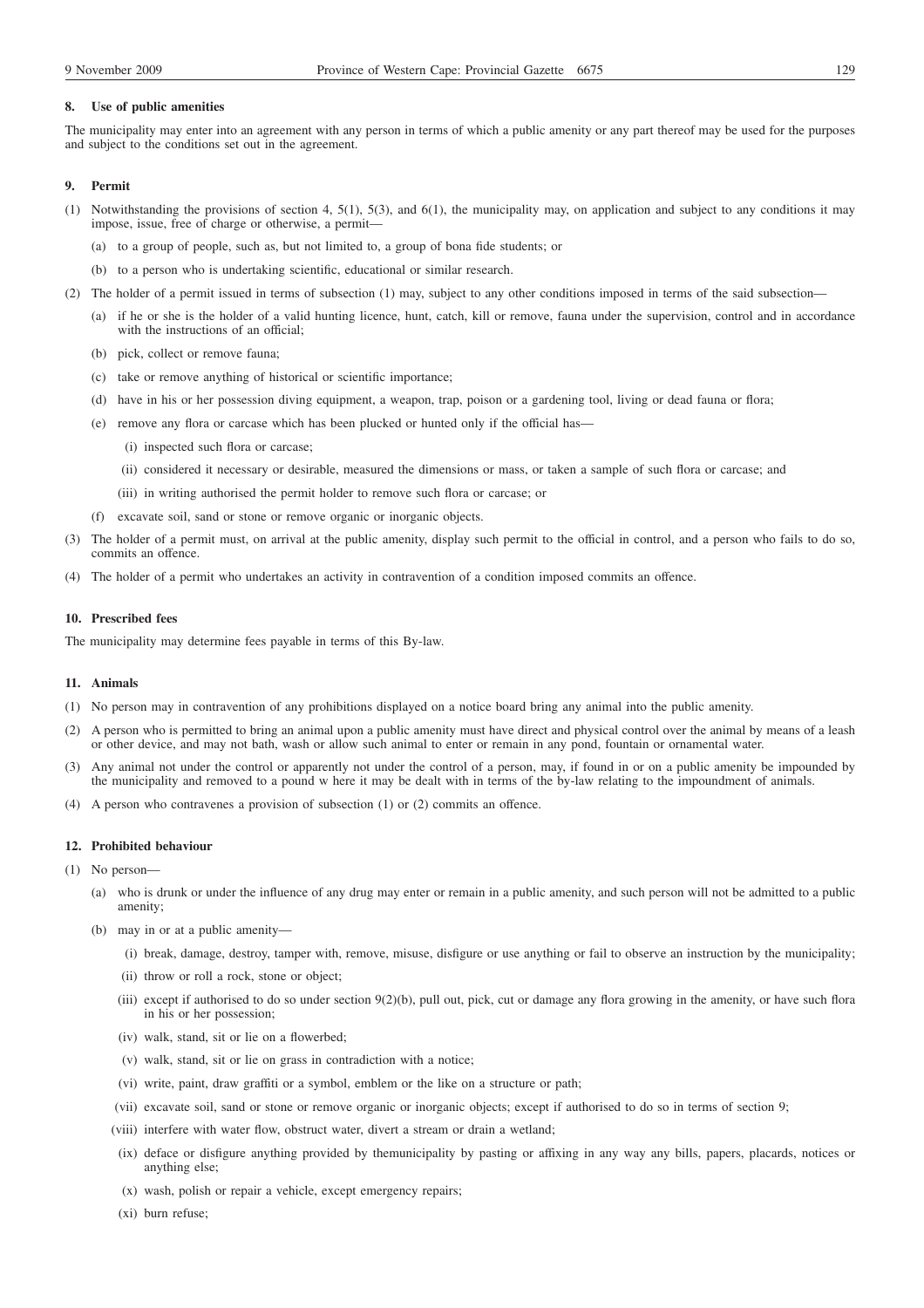# **8. Use of public amenities**

The municipality may enter into an agreement with any person in terms of which a public amenity or any part thereof may be used for the purposes and subject to the conditions set out in the agreement.

### **9. Permit**

- (1) Notwithstanding the provisions of section 4, 5(1), 5(3), and 6(1), the municipality may, on application and subject to any conditions it may impose, issue, free of charge or otherwise, a permit—
	- (a) to a group of people, such as, but not limited to, a group of bona fide students; or
	- (b) to a person who is undertaking scientific, educational or similar research.
- (2) The holder of a permit issued in terms of subsection (1) may, subject to any other conditions imposed in terms of the said subsection—
	- (a) if he or she is the holder of a valid hunting licence, hunt, catch, kill or remove, fauna under the supervision, control and in accordance with the instructions of an official;
	- (b) pick, collect or remove fauna;
	- (c) take or remove anything of historical or scientific importance;
	- (d) have in his or her possession diving equipment, a weapon, trap, poison or a gardening tool, living or dead fauna or flora;
	- (e) remove any flora or carcase which has been plucked or hunted only if the official has—
		- (i) inspected such flora or carcase;
		- (ii) considered it necessary or desirable, measured the dimensions or mass, or taken a sample of such flora or carcase; and
		- (iii) in writing authorised the permit holder to remove such flora or carcase; or
	- (f) excavate soil, sand or stone or remove organic or inorganic objects.
- (3) The holder of a permit must, on arrival at the public amenity, display such permit to the official in control, and a person who fails to do so, commits an offence.
- (4) The holder of a permit who undertakes an activity in contravention of a condition imposed commits an offence.

### **10. Prescribed fees**

The municipality may determine fees payable in terms of this By-law.

#### **11. Animals**

- (1) No person may in contravention of any prohibitions displayed on a notice board bring any animal into the public amenity.
- (2) A person who is permitted to bring an animal upon a public amenity must have direct and physical control over the animal by means of a leash or other device, and may not bath, wash or allow such animal to enter or remain in any pond, fountain or ornamental water.
- (3) Any animal not under the control or apparently not under the control of a person, may, if found in or on a public amenity be impounded by the municipality and removed to a pound w here it may be dealt with in terms of the by-law relating to the impoundment of animals.
- (4) A person who contravenes a provision of subsection (1) or (2) commits an offence.

# **12. Prohibited behaviour**

- (1) No person—
	- (a) who is drunk or under the influence of any drug may enter or remain in a public amenity, and such person will not be admitted to a public amenity;
	- (b) may in or at a public amenity—
		- (i) break, damage, destroy, tamper with, remove, misuse, disfigure or use anything or fail to observe an instruction by the municipality;
		- (ii) throw or roll a rock, stone or object;
		- (iii) except if authorised to do so under section 9(2)(b), pull out, pick, cut or damage any flora growing in the amenity, or have such flora in his or her possession;
		- (iv) walk, stand, sit or lie on a flowerbed;
		- (v) walk, stand, sit or lie on grass in contradiction with a notice;
		- (vi) write, paint, draw graffiti or a symbol, emblem or the like on a structure or path;
		- (vii) excavate soil, sand or stone or remove organic or inorganic objects; except if authorised to do so in terms of section 9;
		- (viii) interfere with water flow, obstruct water, divert a stream or drain a wetland;
		- (ix) deface or disfigure anything provided by themunicipality by pasting or affixing in any way any bills, papers, placards, notices or anything else;
		- (x) wash, polish or repair a vehicle, except emergency repairs;
		- (xi) burn refuse;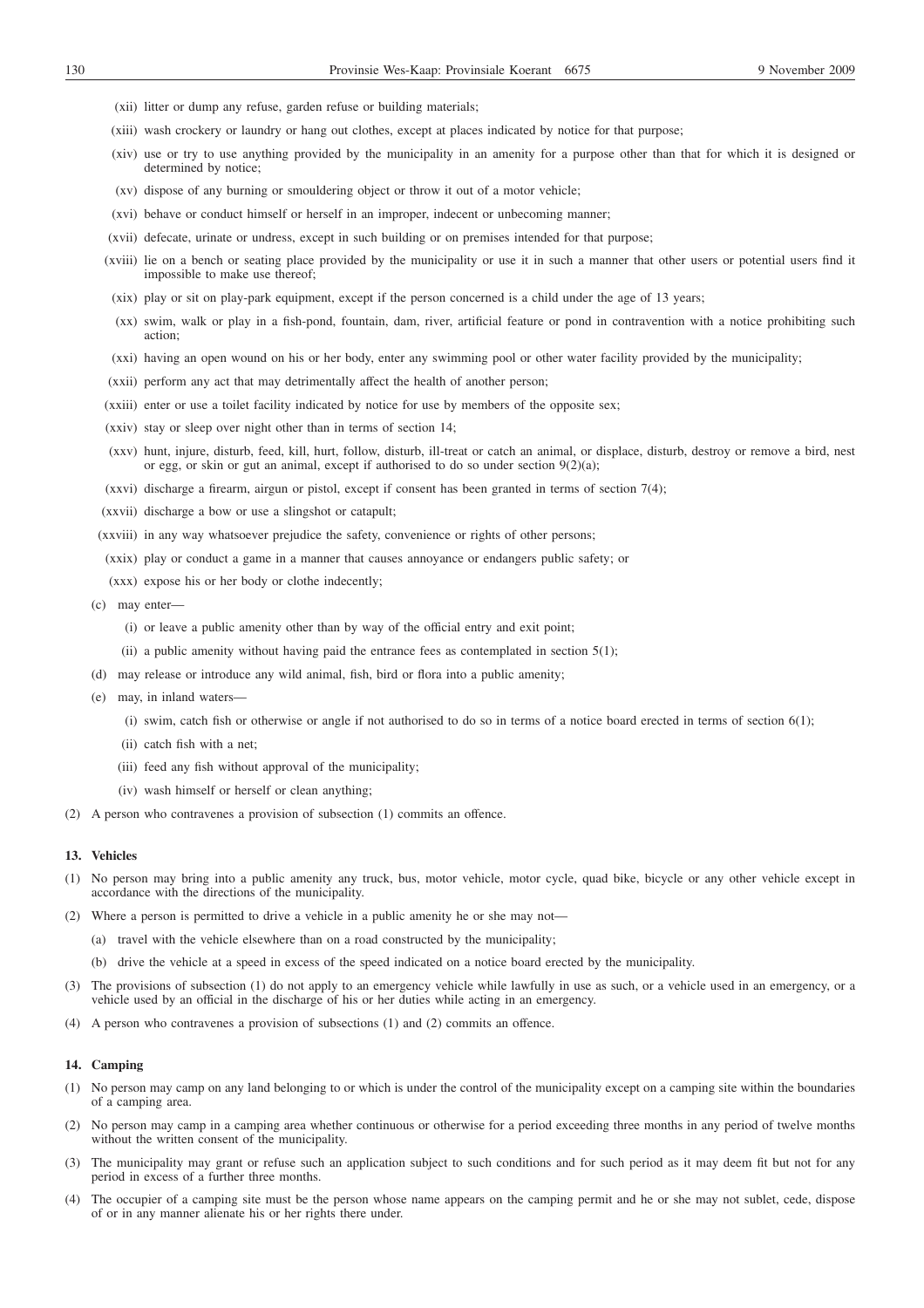- (xii) litter or dump any refuse, garden refuse or building materials;
- (xiii) wash crockery or laundry or hang out clothes, except at places indicated by notice for that purpose;
- (xiv) use or try to use anything provided by the municipality in an amenity for a purpose other than that for which it is designed or determined by notice;
- (xv) dispose of any burning or smouldering object or throw it out of a motor vehicle;
- (xvi) behave or conduct himself or herself in an improper, indecent or unbecoming manner;
- (xvii) defecate, urinate or undress, except in such building or on premises intended for that purpose;
- (xviii) lie on a bench or seating place provided by the municipality or use it in such a manner that other users or potential users find it impossible to make use thereof;
- (xix) play or sit on play-park equipment, except if the person concerned is a child under the age of 13 years;
- (xx) swim, walk or play in a fish-pond, fountain, dam, river, artificial feature or pond in contravention with a notice prohibiting such action;
- (xxi) having an open wound on his or her body, enter any swimming pool or other water facility provided by the municipality;
- (xxii) perform any act that may detrimentally affect the health of another person;
- (xxiii) enter or use a toilet facility indicated by notice for use by members of the opposite sex;
- (xxiv) stay or sleep over night other than in terms of section 14;
- (xxv) hunt, injure, disturb, feed, kill, hurt, follow, disturb, ill-treat or catch an animal, or displace, disturb, destroy or remove a bird, nest or egg, or skin or gut an animal, except if authorised to do so under section 9(2)(a);
- (xxvi) discharge a firearm, airgun or pistol, except if consent has been granted in terms of section 7(4);
- (xxvii) discharge a bow or use a slingshot or catapult;
- (xxviii) in any way whatsoever prejudice the safety, convenience or rights of other persons;
- (xxix) play or conduct a game in a manner that causes annoyance or endangers public safety; or
- (xxx) expose his or her body or clothe indecently;
- (c) may enter—
	- (i) or leave a public amenity other than by way of the official entry and exit point;
	- (ii) a public amenity without having paid the entrance fees as contemplated in section  $5(1)$ ;
- (d) may release or introduce any wild animal, fish, bird or flora into a public amenity;
- (e) may, in inland waters—
	- (i) swim, catch fish or otherwise or angle if not authorised to do so in terms of a notice board erected in terms of section 6(1);
	- (ii) catch fish with a net;
	- (iii) feed any fish without approval of the municipality;
	- (iv) wash himself or herself or clean anything;
- (2) A person who contravenes a provision of subsection (1) commits an offence.

### **13. Vehicles**

- (1) No person may bring into a public amenity any truck, bus, motor vehicle, motor cycle, quad bike, bicycle or any other vehicle except in accordance with the directions of the municipality.
- (2) Where a person is permitted to drive a vehicle in a public amenity he or she may not—
	- (a) travel with the vehicle elsewhere than on a road constructed by the municipality;
	- (b) drive the vehicle at a speed in excess of the speed indicated on a notice board erected by the municipality.
- (3) The provisions of subsection (1) do not apply to an emergency vehicle while lawfully in use as such, or a vehicle used in an emergency, or a vehicle used by an official in the discharge of his or her duties while acting in an emergency.
- (4) A person who contravenes a provision of subsections (1) and (2) commits an offence.

### **14. Camping**

- (1) No person may camp on any land belonging to or which is under the control of the municipality except on a camping site within the boundaries of a camping area.
- (2) No person may camp in a camping area whether continuous or otherwise for a period exceeding three months in any period of twelve months without the written consent of the municipality.
- (3) The municipality may grant or refuse such an application subject to such conditions and for such period as it may deem fit but not for any period in excess of a further three months.
- (4) The occupier of a camping site must be the person whose name appears on the camping permit and he or she may not sublet, cede, dispose of or in any manner alienate his or her rights there under.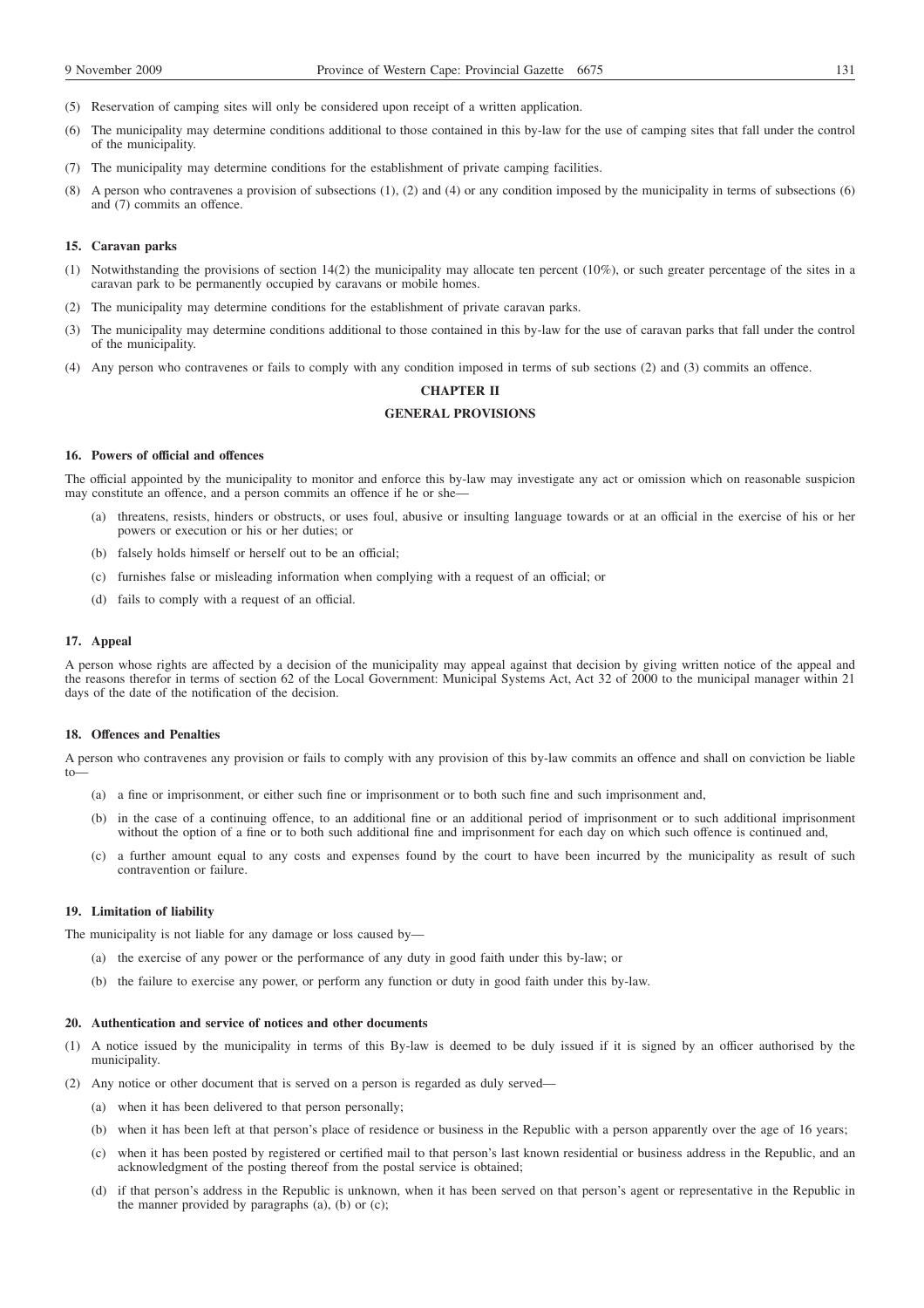- (5) Reservation of camping sites will only be considered upon receipt of a written application.
- (6) The municipality may determine conditions additional to those contained in this by-law for the use of camping sites that fall under the control of the municipality.
- (7) The municipality may determine conditions for the establishment of private camping facilities.
- (8) A person who contravenes a provision of subsections (1), (2) and (4) or any condition imposed by the municipality in terms of subsections (6) and (7) commits an offence.

#### **15. Caravan parks**

- (1) Notwithstanding the provisions of section 14(2) the municipality may allocate ten percent (10%), or such greater percentage of the sites in a caravan park to be permanently occupied by caravans or mobile homes.
- (2) The municipality may determine conditions for the establishment of private caravan parks.
- (3) The municipality may determine conditions additional to those contained in this by-law for the use of caravan parks that fall under the control of the municipality.
- (4) Any person who contravenes or fails to comply with any condition imposed in terms of sub sections (2) and (3) commits an offence.

# **CHAPTER II**

# **GENERAL PROVISIONS**

#### **16. Powers of official and offences**

The official appointed by the municipality to monitor and enforce this by-law may investigate any act or omission which on reasonable suspicion may constitute an offence, and a person commits an offence if he or she—

- (a) threatens, resists, hinders or obstructs, or uses foul, abusive or insulting language towards or at an official in the exercise of his or her powers or execution or his or her duties; or
- (b) falsely holds himself or herself out to be an official;
- (c) furnishes false or misleading information when complying with a request of an official; or
- (d) fails to comply with a request of an official.

# **17. Appeal**

A person whose rights are affected by a decision of the municipality may appeal against that decision by giving written notice of the appeal and the reasons therefor in terms of section 62 of the Local Government: Municipal Systems Act, Act 32 of 2000 to the municipal manager within 21 days of the date of the notification of the decision.

#### **18. Offences and Penalties**

A person who contravenes any provision or fails to comply with any provision of this by-law commits an offence and shall on conviction be liable to—

- (a) a fine or imprisonment, or either such fine or imprisonment or to both such fine and such imprisonment and,
- (b) in the case of a continuing offence, to an additional fine or an additional period of imprisonment or to such additional imprisonment without the option of a fine or to both such additional fine and imprisonment for each day on which such offence is continued and,
- (c) a further amount equal to any costs and expenses found by the court to have been incurred by the municipality as result of such contravention or failure.

# **19. Limitation of liability**

The municipality is not liable for any damage or loss caused by—

- (a) the exercise of any power or the performance of any duty in good faith under this by-law; or
- (b) the failure to exercise any power, or perform any function or duty in good faith under this by-law.

#### **20. Authentication and service of notices and other documents**

- (1) A notice issued by the municipality in terms of this By-law is deemed to be duly issued if it is signed by an officer authorised by the municipality.
- (2) Any notice or other document that is served on a person is regarded as duly served—
	- (a) when it has been delivered to that person personally;
	- (b) when it has been left at that person's place of residence or business in the Republic with a person apparently over the age of 16 years;
	- (c) when it has been posted by registered or certified mail to that person's last known residential or business address in the Republic, and an acknowledgment of the posting thereof from the postal service is obtained;
	- (d) if that person's address in the Republic is unknown, when it has been served on that person's agent or representative in the Republic in the manner provided by paragraphs (a), (b) or (c);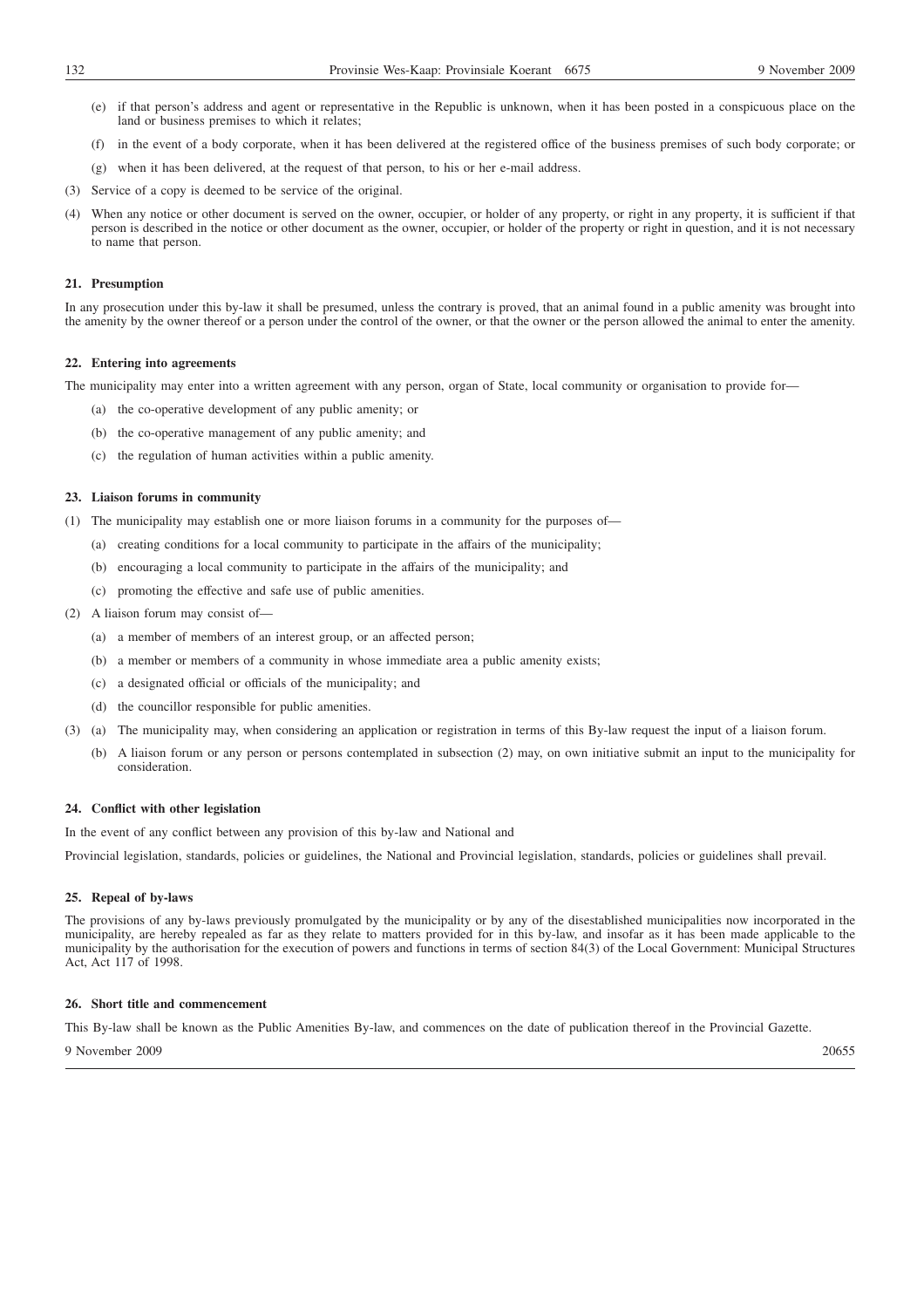- (e) if that person's address and agent or representative in the Republic is unknown, when it has been posted in a conspicuous place on the land or business premises to which it relates;
- (f) in the event of a body corporate, when it has been delivered at the registered office of the business premises of such body corporate; or
- (g) when it has been delivered, at the request of that person, to his or her e-mail address.
- (3) Service of a copy is deemed to be service of the original.
- (4) When any notice or other document is served on the owner, occupier, or holder of any property, or right in any property, it is sufficient if that person is described in the notice or other document as the owner, occupier, or holder of the property or right in question, and it is not necessary to name that person.

### **21. Presumption**

In any prosecution under this by-law it shall be presumed, unless the contrary is proved, that an animal found in a public amenity was brought into the amenity by the owner thereof or a person under the control of the owner, or that the owner or the person allowed the animal to enter the amenity.

### **22. Entering into agreements**

The municipality may enter into a written agreement with any person, organ of State, local community or organisation to provide for—

- (a) the co-operative development of any public amenity; or
- (b) the co-operative management of any public amenity; and
- (c) the regulation of human activities within a public amenity.

# **23. Liaison forums in community**

(1) The municipality may establish one or more liaison forums in a community for the purposes of—

- (a) creating conditions for a local community to participate in the affairs of the municipality;
- (b) encouraging a local community to participate in the affairs of the municipality; and
- (c) promoting the effective and safe use of public amenities.

# (2) A liaison forum may consist of—

- (a) a member of members of an interest group, or an affected person;
- (b) a member or members of a community in whose immediate area a public amenity exists;
- (c) a designated official or officials of the municipality; and
- (d) the councillor responsible for public amenities.
- (3) (a) The municipality may, when considering an application or registration in terms of this By-law request the input of a liaison forum.
	- (b) A liaison forum or any person or persons contemplated in subsection (2) may, on own initiative submit an input to the municipality for consideration.

# **24. Conflict with other legislation**

In the event of any conflict between any provision of this by-law and National and

Provincial legislation, standards, policies or guidelines, the National and Provincial legislation, standards, policies or guidelines shall prevail.

# **25. Repeal of by-laws**

The provisions of any by-laws previously promulgated by the municipality or by any of the disestablished municipalities now incorporated in the municipality, are hereby repealed as far as they relate to matters provided for in this by-law, and insofar as it has been made applicable to the municipality by the authorisation for the execution of powers and functions in terms of section 84(3) of the Local Government: Municipal Structures Act, Act 117 of 1998.

# **26. Short title and commencement**

This By-law shall be known as the Public Amenities By-law, and commences on the date of publication thereof in the Provincial Gazette.

9 November 2009 20655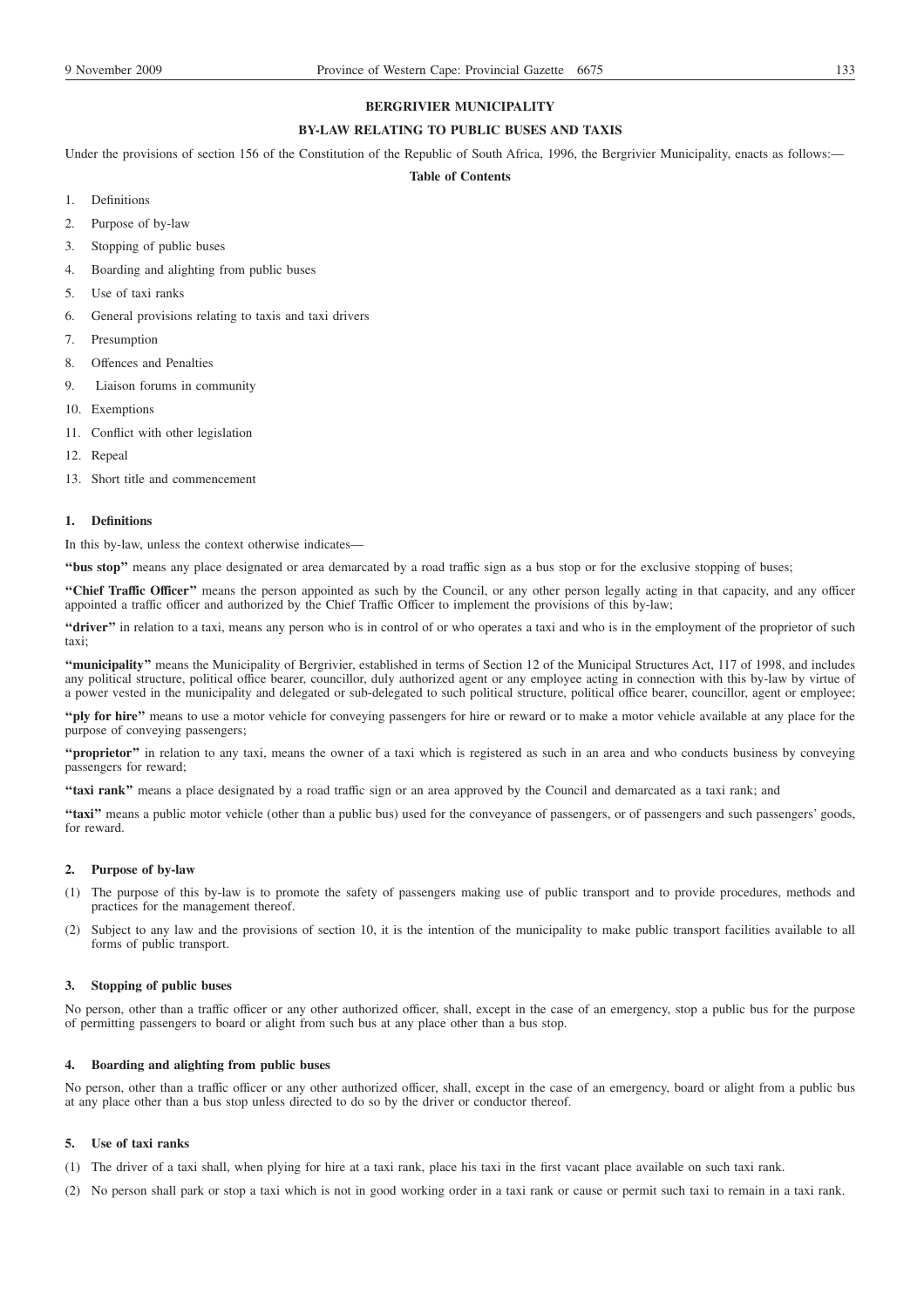# **BERGRIVIER MUNICIPALITY**

# **BY-LAW RELATING TO PUBLIC BUSES AND TAXIS**

Under the provisions of section 156 of the Constitution of the Republic of South Africa, 1996, the Bergrivier Municipality, enacts as follows:-

# **Table of Contents**

- 1. Definitions
- 2. Purpose of by-law
- 3. Stopping of public buses
- 4. Boarding and alighting from public buses
- 5. Use of taxi ranks
- 6. General provisions relating to taxis and taxi drivers
- 7. Presumption
- 8. Offences and Penalties
- 9. Liaison forums in community
- 10. Exemptions
- 11. Conflict with other legislation
- 12. Repeal
- 13. Short title and commencement

# **1. Definitions**

In this by-law, unless the context otherwise indicates—

**''bus stop''** means any place designated or area demarcated by a road traffic sign as a bus stop or for the exclusive stopping of buses;

"Chief Traffic Officer" means the person appointed as such by the Council, or any other person legally acting in that capacity, and any officer appointed a traffic officer and authorized by the Chief Traffic Officer to implement the provisions of this by-law;

**"driver"** in relation to a taxi, means any person who is in control of or who operates a taxi and who is in the employment of the proprietor of such taxi;

**''municipality''** means the Municipality of Bergrivier, established in terms of Section 12 of the Municipal Structures Act, 117 of 1998, and includes any political structure, political office bearer, councillor, duly authorized agent or any employee acting in connection with this by-law by virtue of a power vested in the municipality and delegated or sub-delegated to such political structure, political office bearer, councillor, agent or employee;

**''ply for hire''** means to use a motor vehicle for conveying passengers for hire or reward or to make a motor vehicle available at any place for the purpose of conveying passengers;

**''proprietor''** in relation to any taxi, means the owner of a taxi which is registered as such in an area and who conducts business by conveying passengers for reward;

**''taxi rank''** means a place designated by a road traffic sign or an area approved by the Council and demarcated as a taxi rank; and

**''taxi''** means a public motor vehicle (other than a public bus) used for the conveyance of passengers, or of passengers and such passengers' goods, for reward.

### **2. Purpose of by-law**

- (1) The purpose of this by-law is to promote the safety of passengers making use of public transport and to provide procedures, methods and practices for the management thereof.
- (2) Subject to any law and the provisions of section 10, it is the intention of the municipality to make public transport facilities available to all forms of public transport.

### **3. Stopping of public buses**

No person, other than a traffic officer or any other authorized officer, shall, except in the case of an emergency, stop a public bus for the purpose of permitting passengers to board or alight from such bus at any place other than a bus stop.

# **4. Boarding and alighting from public buses**

No person, other than a traffic officer or any other authorized officer, shall, except in the case of an emergency, board or alight from a public bus at any place other than a bus stop unless directed to do so by the driver or conductor thereof.

# **5. Use of taxi ranks**

(1) The driver of a taxi shall, when plying for hire at a taxi rank, place his taxi in the first vacant place available on such taxi rank.

(2) No person shall park or stop a taxi which is not in good working order in a taxi rank or cause or permit such taxi to remain in a taxi rank.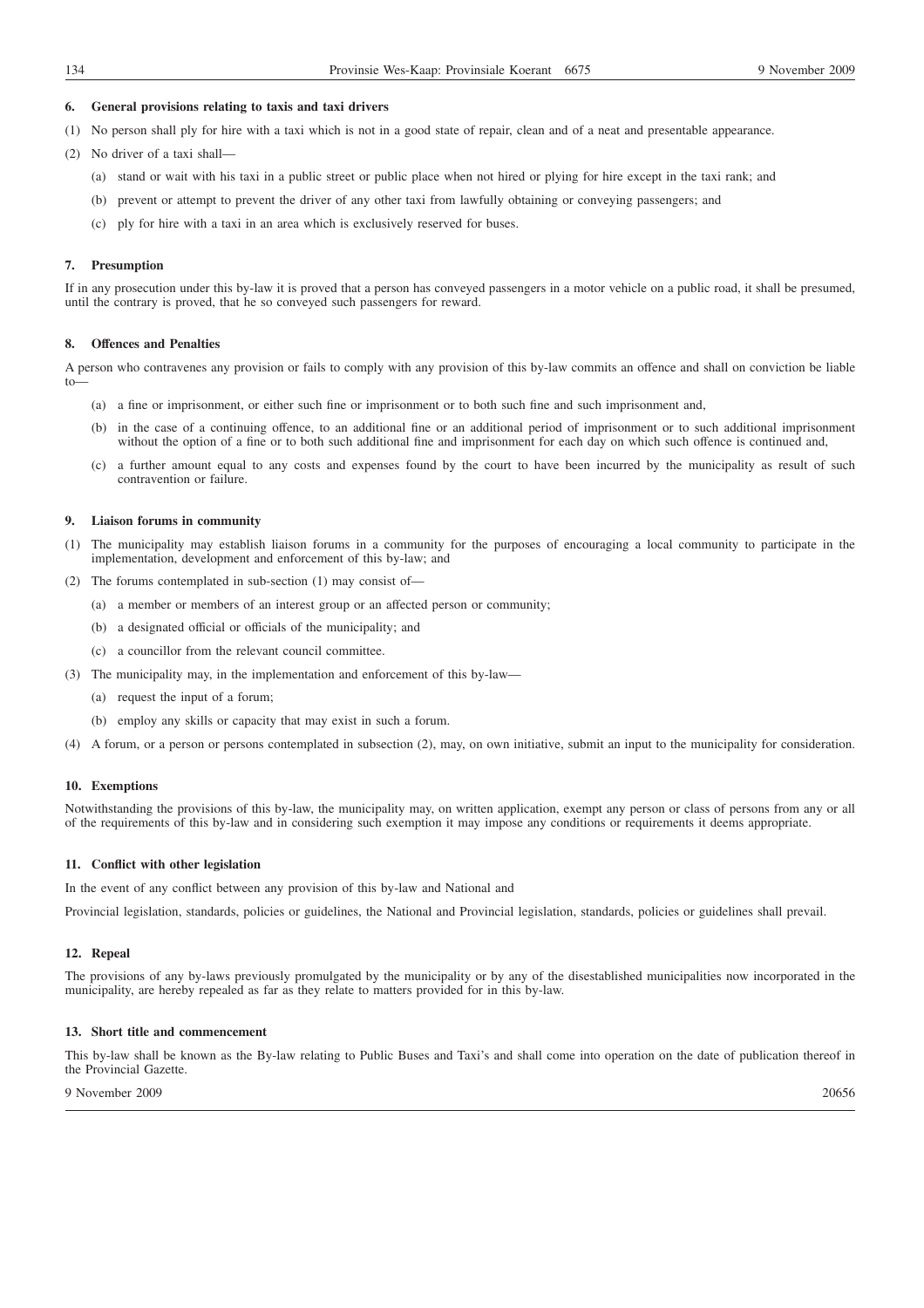# **6. General provisions relating to taxis and taxi drivers**

- (1) No person shall ply for hire with a taxi which is not in a good state of repair, clean and of a neat and presentable appearance.
- (2) No driver of a taxi shall—
	- (a) stand or wait with his taxi in a public street or public place when not hired or plying for hire except in the taxi rank; and
	- (b) prevent or attempt to prevent the driver of any other taxi from lawfully obtaining or conveying passengers; and
	- (c) ply for hire with a taxi in an area which is exclusively reserved for buses.

### **7. Presumption**

If in any prosecution under this by-law it is proved that a person has conveyed passengers in a motor vehicle on a public road, it shall be presumed, until the contrary is proved, that he so conveyed such passengers for reward.

### **8. Offences and Penalties**

A person who contravenes any provision or fails to comply with any provision of this by-law commits an offence and shall on conviction be liable to—

- (a) a fine or imprisonment, or either such fine or imprisonment or to both such fine and such imprisonment and,
- (b) in the case of a continuing offence, to an additional fine or an additional period of imprisonment or to such additional imprisonment without the option of a fine or to both such additional fine and imprisonment for each day on which such offence is continued and,
- a further amount equal to any costs and expenses found by the court to have been incurred by the municipality as result of such contravention or failure.

# **9. Liaison forums in community**

- (1) The municipality may establish liaison forums in a community for the purposes of encouraging a local community to participate in the implementation, development and enforcement of this by-law; and
- (2) The forums contemplated in sub-section (1) may consist of—
	- (a) a member or members of an interest group or an affected person or community;
	- (b) a designated official or officials of the municipality; and
	- (c) a councillor from the relevant council committee.
- (3) The municipality may, in the implementation and enforcement of this by-law—
	- (a) request the input of a forum;
	- (b) employ any skills or capacity that may exist in such a forum.
- (4) A forum, or a person or persons contemplated in subsection (2), may, on own initiative, submit an input to the municipality for consideration.

### **10. Exemptions**

Notwithstanding the provisions of this by-law, the municipality may, on written application, exempt any person or class of persons from any or all of the requirements of this by-law and in considering such exemption it may impose any conditions or requirements it deems appropriate.

# **11. Conflict with other legislation**

In the event of any conflict between any provision of this by-law and National and

Provincial legislation, standards, policies or guidelines, the National and Provincial legislation, standards, policies or guidelines shall prevail.

# **12. Repeal**

The provisions of any by-laws previously promulgated by the municipality or by any of the disestablished municipalities now incorporated in the municipality, are hereby repealed as far as they relate to matters provided for in this by-law.

# **13. Short title and commencement**

This by-law shall be known as the By-law relating to Public Buses and Taxi's and shall come into operation on the date of publication thereof in the Provincial Gazette.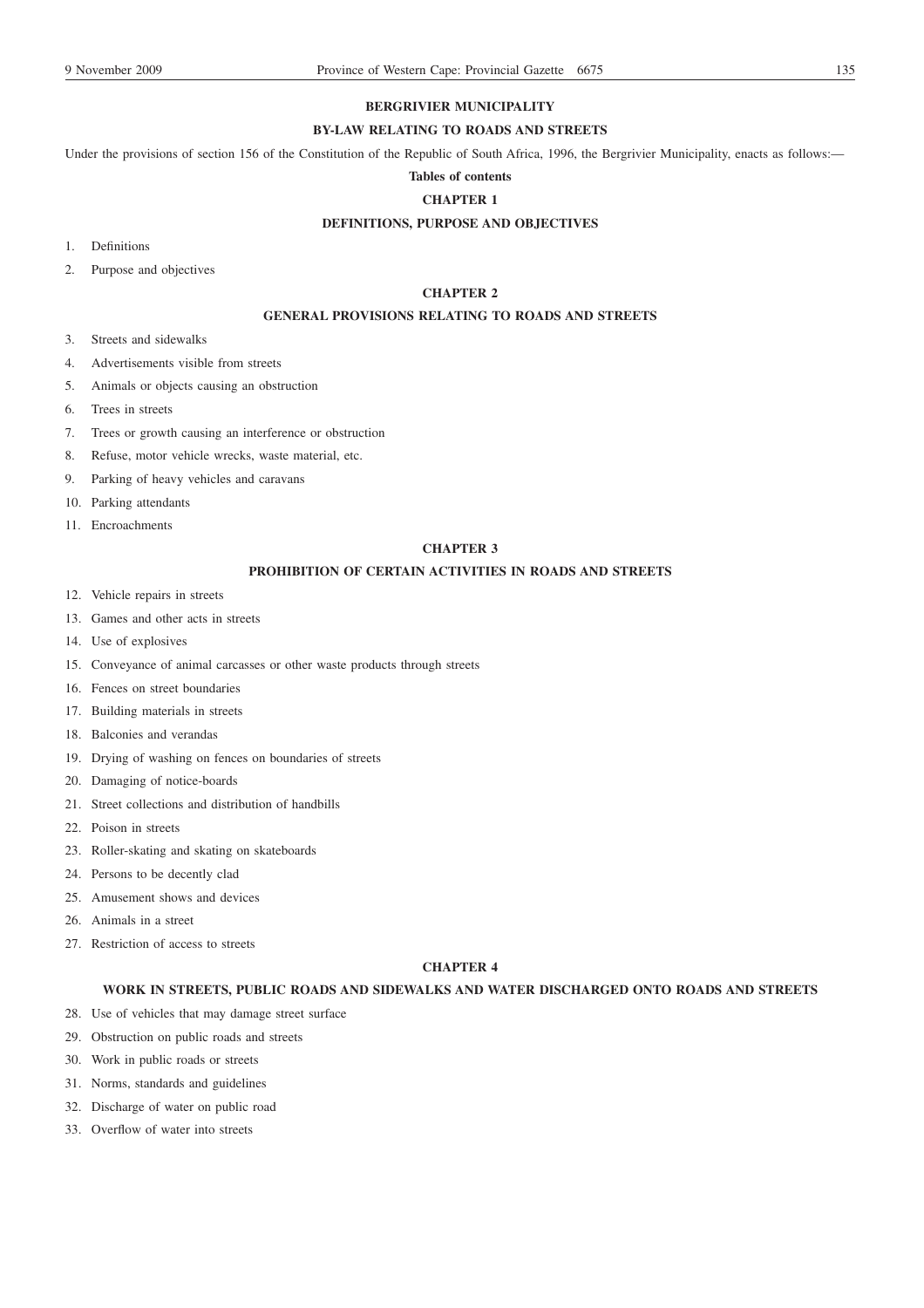# **BERGRIVIER MUNICIPALITY**

# **BY-LAW RELATING TO ROADS AND STREETS**

Under the provisions of section 156 of the Constitution of the Republic of South Africa, 1996, the Bergrivier Municipality, enacts as follows:-

# **Tables of contents**

# **CHAPTER 1**

# **DEFINITIONS, PURPOSE AND OBJECTIVES**

- 1. Definitions
- 2. Purpose and objectives

# **CHAPTER 2**

# **GENERAL PROVISIONS RELATING TO ROADS AND STREETS**

- 3. Streets and sidewalks
- 4. Advertisements visible from streets
- 5. Animals or objects causing an obstruction
- 6. Trees in streets
- 7. Trees or growth causing an interference or obstruction
- 8. Refuse, motor vehicle wrecks, waste material, etc.
- 9. Parking of heavy vehicles and caravans
- 10. Parking attendants
- 11. Encroachments

# **CHAPTER 3**

# **PROHIBITION OF CERTAIN ACTIVITIES IN ROADS AND STREETS**

- 12. Vehicle repairs in streets
- 13. Games and other acts in streets
- 14. Use of explosives
- 15. Conveyance of animal carcasses or other waste products through streets
- 16. Fences on street boundaries
- 17. Building materials in streets
- 18. Balconies and verandas
- 19. Drying of washing on fences on boundaries of streets
- 20. Damaging of notice-boards
- 21. Street collections and distribution of handbills
- 22. Poison in streets
- 23. Roller-skating and skating on skateboards
- 24. Persons to be decently clad
- 25. Amusement shows and devices
- 26. Animals in a street
- 27. Restriction of access to streets

### **CHAPTER 4**

## **WORK IN STREETS, PUBLIC ROADS AND SIDEWALKS AND WATER DISCHARGED ONTO ROADS AND STREETS**

- 28. Use of vehicles that may damage street surface
- 29. Obstruction on public roads and streets
- 30. Work in public roads or streets
- 31. Norms, standards and guidelines
- 32. Discharge of water on public road
- 33. Overflow of water into streets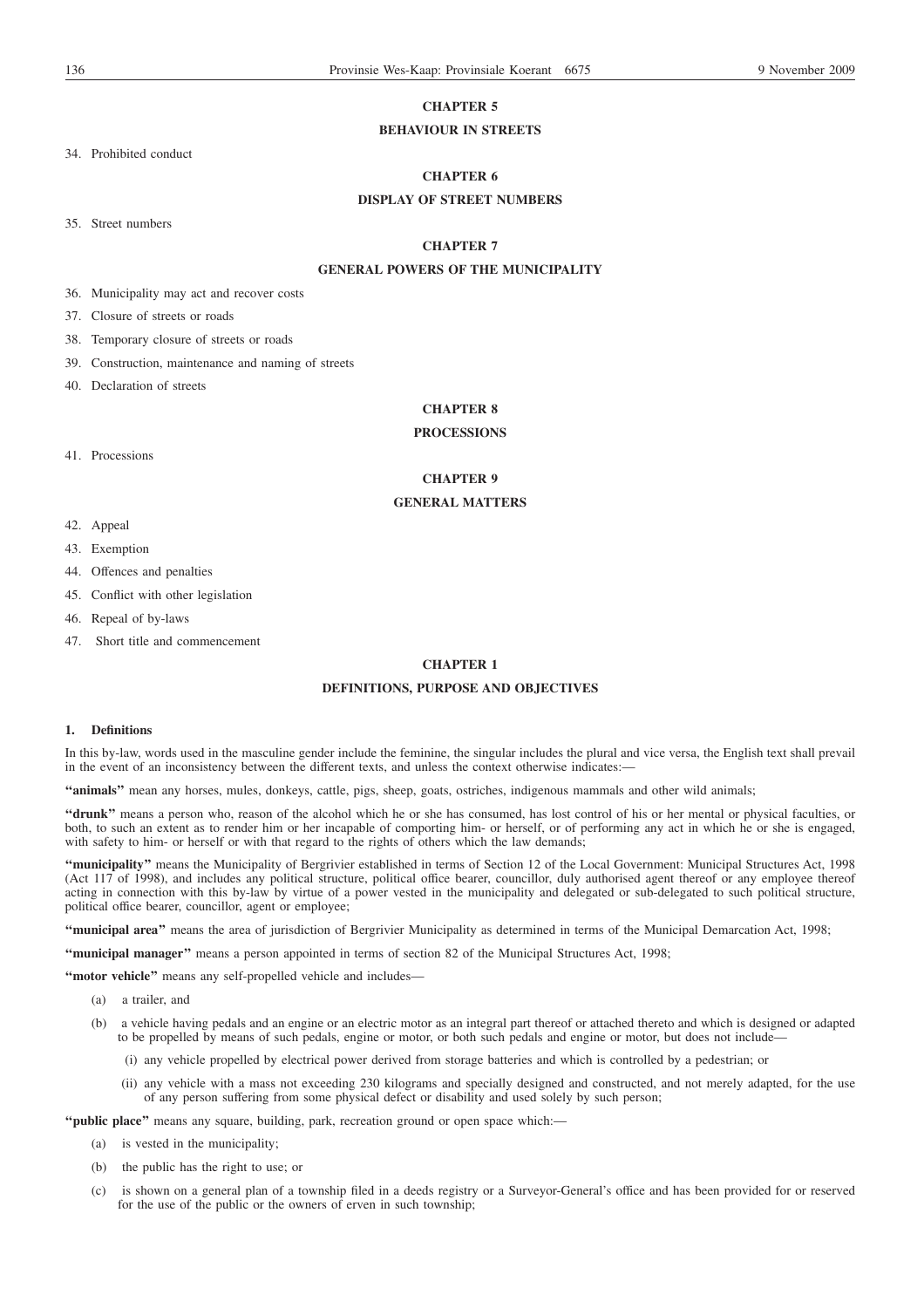# **CHAPTER 5**

# **BEHAVIOUR IN STREETS**

34. Prohibited conduct

# **CHAPTER 6**

# **DISPLAY OF STREET NUMBERS**

35. Street numbers

# **CHAPTER 7**

# **GENERAL POWERS OF THE MUNICIPALITY**

36. Municipality may act and recover costs

37. Closure of streets or roads

38. Temporary closure of streets or roads

39. Construction, maintenance and naming of streets

40. Declaration of streets

# **CHAPTER 8**

# **PROCESSIONS**

41. Processions

# **CHAPTER 9**

# **GENERAL MATTERS**

- 42. Appeal
- 43. Exemption
- 44. Offences and penalties
- 45. Conflict with other legislation

46. Repeal of by-laws

47. Short title and commencement

# **CHAPTER 1**

# **DEFINITIONS, PURPOSE AND OBJECTIVES**

## **1. Definitions**

In this by-law, words used in the masculine gender include the feminine, the singular includes the plural and vice versa, the English text shall prevail in the event of an inconsistency between the different texts, and unless the context otherwise indicates:-

**''animals''** mean any horses, mules, donkeys, cattle, pigs, sheep, goats, ostriches, indigenous mammals and other wild animals;

**''drunk''** means a person who, reason of the alcohol which he or she has consumed, has lost control of his or her mental or physical faculties, or both, to such an extent as to render him or her incapable of comporting him- or herself, or of performing any act in which he or she is engaged, with safety to him- or herself or with that regard to the rights of others which the law demands;

**''municipality''** means the Municipality of Bergrivier established in terms of Section 12 of the Local Government: Municipal Structures Act, 1998 (Act 117 of 1998), and includes any political structure, political office bearer, councillor, duly authorised agent thereof or any employee thereof acting in connection with this by-law by virtue of a power vested in the municipality and delegated or sub-delegated to such political structure, political office bearer, councillor, agent or employee;

**''municipal area''** means the area of jurisdiction of Bergrivier Municipality as determined in terms of the Municipal Demarcation Act, 1998;

**''municipal manager''** means a person appointed in terms of section 82 of the Municipal Structures Act, 1998;

**''motor vehicle''** means any self-propelled vehicle and includes—

- (a) a trailer, and
- (b) a vehicle having pedals and an engine or an electric motor as an integral part thereof or attached thereto and which is designed or adapted to be propelled by means of such pedals, engine or motor, or both such pedals and engine or motor, but does not include-
	- (i) any vehicle propelled by electrical power derived from storage batteries and which is controlled by a pedestrian; or
	- (ii) any vehicle with a mass not exceeding 230 kilograms and specially designed and constructed, and not merely adapted, for the use of any person suffering from some physical defect or disability and used solely by such person;

**''public place''** means any square, building, park, recreation ground or open space which:—

- (a) is vested in the municipality;
- (b) the public has the right to use; or
- (c) is shown on a general plan of a township filed in a deeds registry or a Surveyor-General's office and has been provided for or reserved for the use of the public or the owners of erven in such township;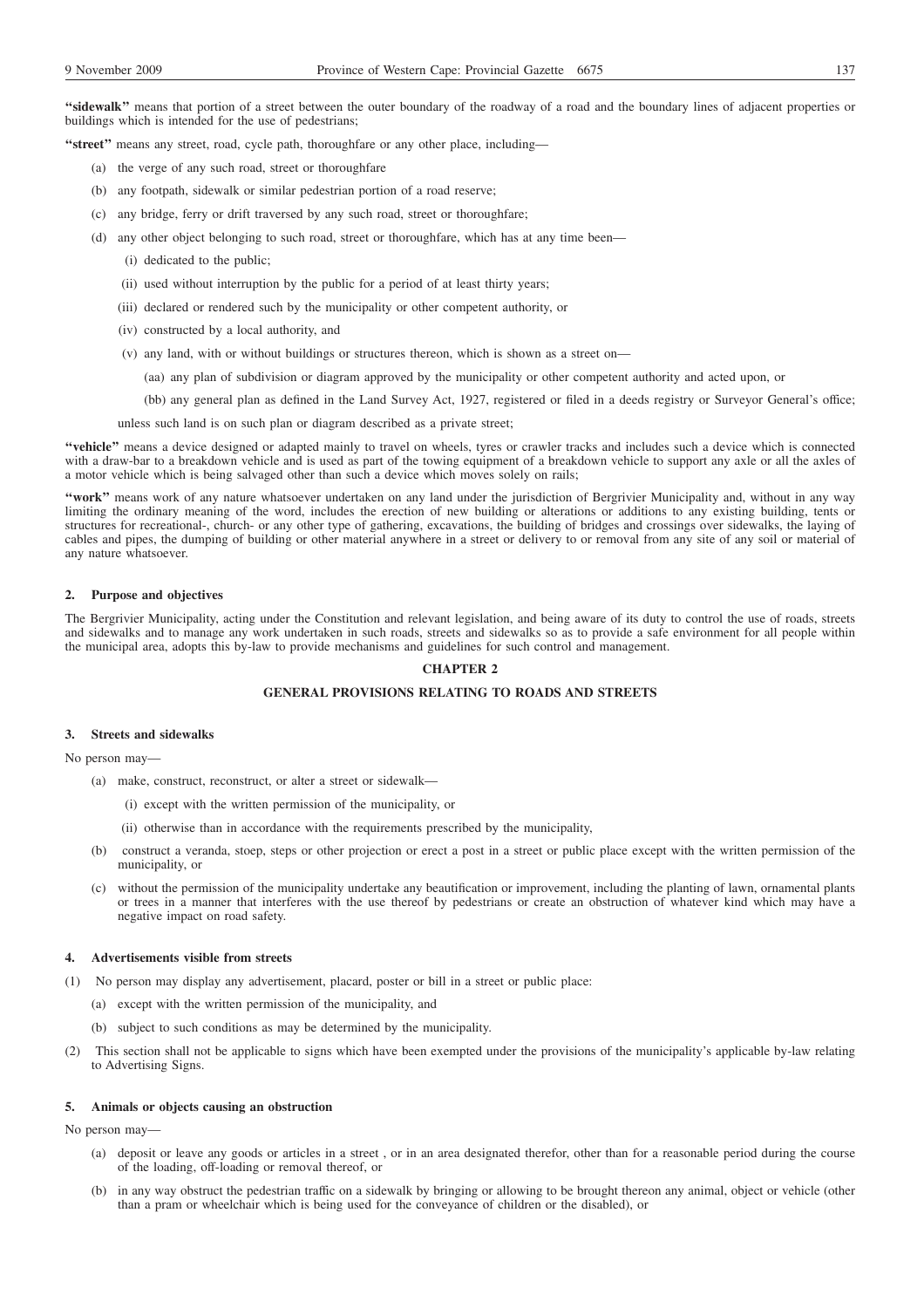**''sidewalk''** means that portion of a street between the outer boundary of the roadway of a road and the boundary lines of adjacent properties or buildings which is intended for the use of pedestrians;

**''street''** means any street, road, cycle path, thoroughfare or any other place, including—

- (a) the verge of any such road, street or thoroughfare
- (b) any footpath, sidewalk or similar pedestrian portion of a road reserve;
- (c) any bridge, ferry or drift traversed by any such road, street or thoroughfare;
- (d) any other object belonging to such road, street or thoroughfare, which has at any time been—
	- (i) dedicated to the public;
	- (ii) used without interruption by the public for a period of at least thirty years;
	- (iii) declared or rendered such by the municipality or other competent authority, or
	- (iv) constructed by a local authority, and
	- (v) any land, with or without buildings or structures thereon, which is shown as a street on—
		- (aa) any plan of subdivision or diagram approved by the municipality or other competent authority and acted upon, or
		- (bb) any general plan as defined in the Land Survey Act, 1927, registered or filed in a deeds registry or Surveyor General's office;

unless such land is on such plan or diagram described as a private street;

**''vehicle''** means a device designed or adapted mainly to travel on wheels, tyres or crawler tracks and includes such a device which is connected with a draw-bar to a breakdown vehicle and is used as part of the towing equipment of a breakdown vehicle to support any axle or all the axles of a motor vehicle which is being salvaged other than such a device which moves solely on rails;

**''work''** means work of any nature whatsoever undertaken on any land under the jurisdiction of Bergrivier Municipality and, without in any way limiting the ordinary meaning of the word, includes the erection of new building or alterations or additions to any existing building, tents or structures for recreational-, church- or any other type of gathering, excavations, the building of bridges and crossings over sidewalks, the laying of cables and pipes, the dumping of building or other material anywhere in a street or delivery to or removal from any site of any soil or material of any nature whatsoever.

#### **2. Purpose and objectives**

The Bergrivier Municipality, acting under the Constitution and relevant legislation, and being aware of its duty to control the use of roads, streets and sidewalks and to manage any work undertaken in such roads, streets and sidewalks so as to provide a safe environment for all people within the municipal area, adopts this by-law to provide mechanisms and guidelines for such control and management.

### **CHAPTER 2**

# **GENERAL PROVISIONS RELATING TO ROADS AND STREETS**

#### **3. Streets and sidewalks**

No person may—

- (a) make, construct, reconstruct, or alter a street or sidewalk—
	- (i) except with the written permission of the municipality, or
	- (ii) otherwise than in accordance with the requirements prescribed by the municipality,
- (b) construct a veranda, stoep, steps or other projection or erect a post in a street or public place except with the written permission of the municipality, or
- (c) without the permission of the municipality undertake any beautification or improvement, including the planting of lawn, ornamental plants or trees in a manner that interferes with the use thereof by pedestrians or create an obstruction of whatever kind which may have a negative impact on road safety.

### **4. Advertisements visible from streets**

- (1) No person may display any advertisement, placard, poster or bill in a street or public place:
	- (a) except with the written permission of the municipality, and
	- (b) subject to such conditions as may be determined by the municipality.
- (2) This section shall not be applicable to signs which have been exempted under the provisions of the municipality's applicable by-law relating to Advertising Signs.

#### **5. Animals or objects causing an obstruction**

No person may—

- (a) deposit or leave any goods or articles in a street , or in an area designated therefor, other than for a reasonable period during the course of the loading, off-loading or removal thereof, or
- (b) in any way obstruct the pedestrian traffic on a sidewalk by bringing or allowing to be brought thereon any animal, object or vehicle (other than a pram or wheelchair which is being used for the conveyance of children or the disabled), or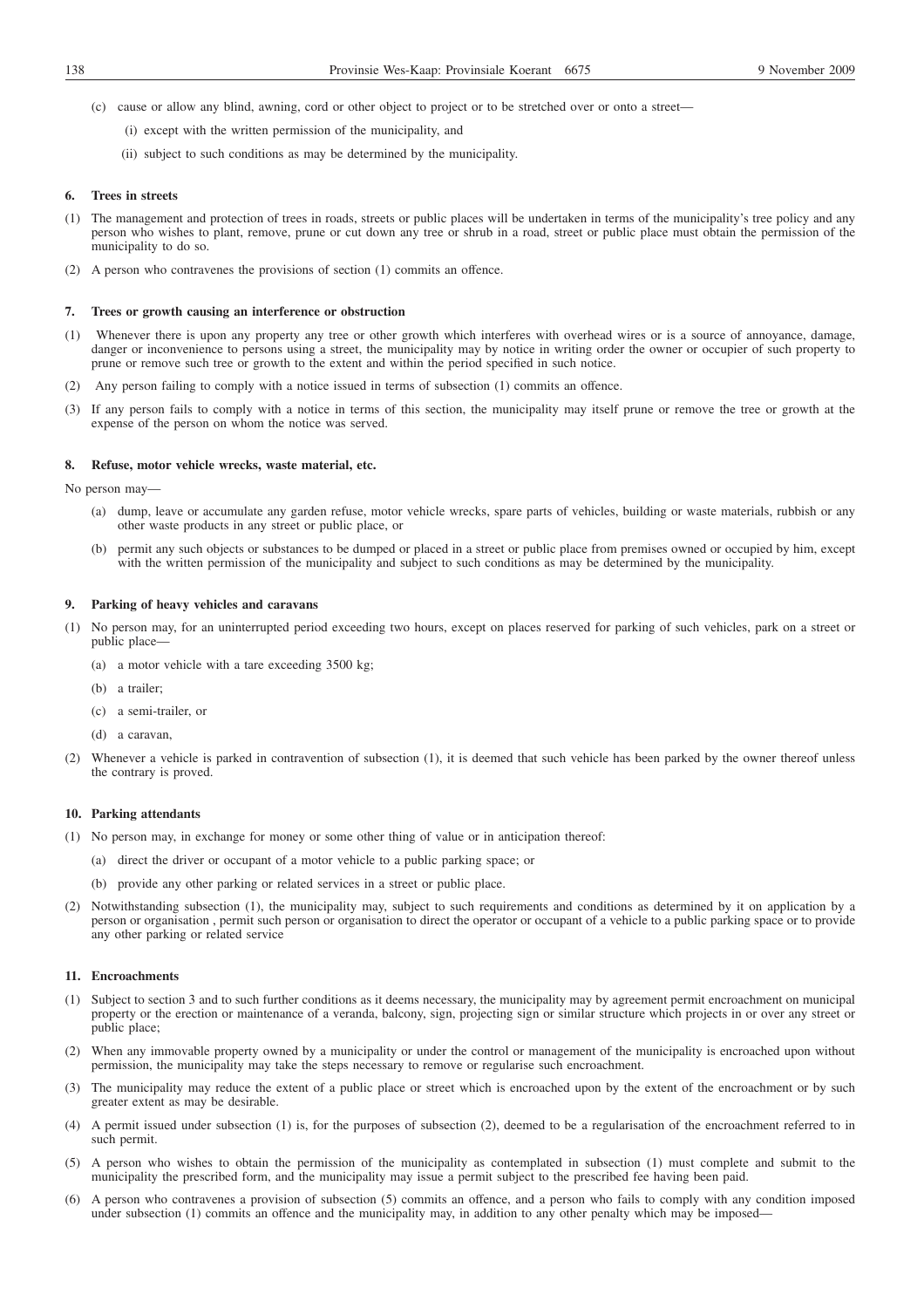- (c) cause or allow any blind, awning, cord or other object to project or to be stretched over or onto a street—
	- (i) except with the written permission of the municipality, and
	- (ii) subject to such conditions as may be determined by the municipality.

### **6. Trees in streets**

- (1) The management and protection of trees in roads, streets or public places will be undertaken in terms of the municipality's tree policy and any person who wishes to plant, remove, prune or cut down any tree or shrub in a road, street or public place must obtain the permission of the municipality to do so.
- (2) A person who contravenes the provisions of section (1) commits an offence.

### **7. Trees or growth causing an interference or obstruction**

- (1) Whenever there is upon any property any tree or other growth which interferes with overhead wires or is a source of annoyance, damage, danger or inconvenience to persons using a street, the municipality may by notice in writing order the owner or occupier of such property to prune or remove such tree or growth to the extent and within the period specified in such notice.
- (2) Any person failing to comply with a notice issued in terms of subsection (1) commits an offence.
- (3) If any person fails to comply with a notice in terms of this section, the municipality may itself prune or remove the tree or growth at the expense of the person on whom the notice was served.

### **8. Refuse, motor vehicle wrecks, waste material, etc.**

No person may—

- (a) dump, leave or accumulate any garden refuse, motor vehicle wrecks, spare parts of vehicles, building or waste materials, rubbish or any other waste products in any street or public place, or
- (b) permit any such objects or substances to be dumped or placed in a street or public place from premises owned or occupied by him, except with the written permission of the municipality and subject to such conditions as may be determined by the municipality.

### **9. Parking of heavy vehicles and caravans**

- (1) No person may, for an uninterrupted period exceeding two hours, except on places reserved for parking of such vehicles, park on a street or public place-
	- (a) a motor vehicle with a tare exceeding 3500 kg;
	- (b) a trailer;
	- (c) a semi-trailer, or
	- (d) a caravan,
- (2) Whenever a vehicle is parked in contravention of subsection (1), it is deemed that such vehicle has been parked by the owner thereof unless the contrary is proved.

#### **10. Parking attendants**

- (1) No person may, in exchange for money or some other thing of value or in anticipation thereof:
	- (a) direct the driver or occupant of a motor vehicle to a public parking space; or
	- (b) provide any other parking or related services in a street or public place.
- (2) Notwithstanding subsection (1), the municipality may, subject to such requirements and conditions as determined by it on application by a person or organisation , permit such person or organisation to direct the operator or occupant of a vehicle to a public parking space or to provide any other parking or related service

# **11. Encroachments**

- (1) Subject to section 3 and to such further conditions as it deems necessary, the municipality may by agreement permit encroachment on municipal property or the erection or maintenance of a veranda, balcony, sign, projecting sign or similar structure which projects in or over any street or public place;
- (2) When any immovable property owned by a municipality or under the control or management of the municipality is encroached upon without permission, the municipality may take the steps necessary to remove or regularise such encroachment.
- (3) The municipality may reduce the extent of a public place or street which is encroached upon by the extent of the encroachment or by such greater extent as may be desirable.
- (4) A permit issued under subsection (1) is, for the purposes of subsection (2), deemed to be a regularisation of the encroachment referred to in such permit.
- (5) A person who wishes to obtain the permission of the municipality as contemplated in subsection (1) must complete and submit to the municipality the prescribed form, and the municipality may issue a permit subject to the prescribed fee having been paid.
- (6) A person who contravenes a provision of subsection (5) commits an offence, and a person who fails to comply with any condition imposed under subsection (1) commits an offence and the municipality may, in addition to any other penalty which may be imposed—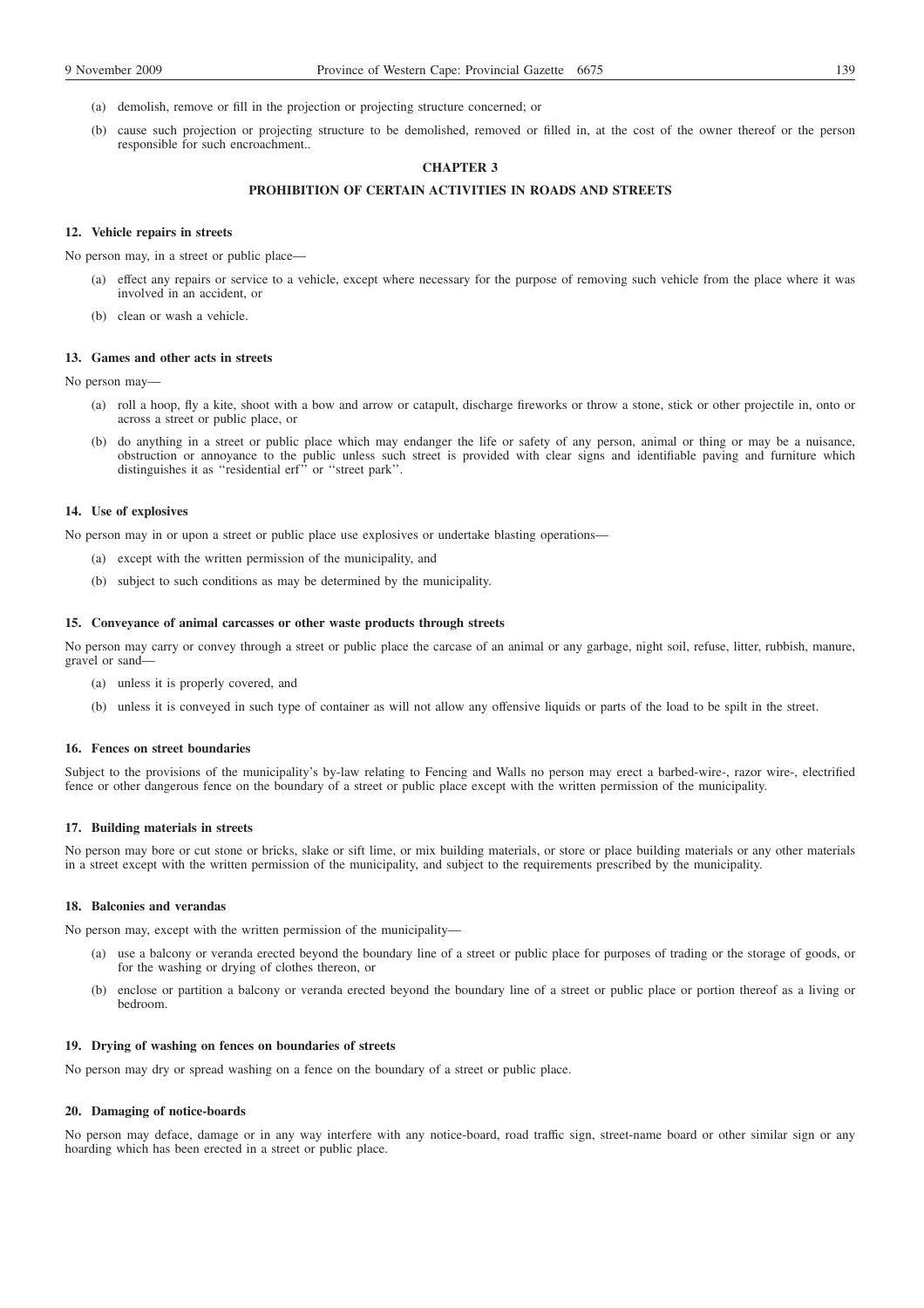- (a) demolish, remove or fill in the projection or projecting structure concerned; or
- (b) cause such projection or projecting structure to be demolished, removed or filled in, at the cost of the owner thereof or the person responsible for such encroachment..

# **CHAPTER 3**

# **PROHIBITION OF CERTAIN ACTIVITIES IN ROADS AND STREETS**

### **12. Vehicle repairs in streets**

No person may, in a street or public place—

- (a) effect any repairs or service to a vehicle, except where necessary for the purpose of removing such vehicle from the place where it was involved in an accident, or
- (b) clean or wash a vehicle.

### **13. Games and other acts in streets**

No person may—

- (a) roll a hoop, fly a kite, shoot with a bow and arrow or catapult, discharge fireworks or throw a stone, stick or other projectile in, onto or across a street or public place, or
- (b) do anything in a street or public place which may endanger the life or safety of any person, animal or thing or may be a nuisance, obstruction or annoyance to the public unless such street is provided with clear signs and identifiable paving and furniture which distinguishes it as ''residential erf'' or ''street park''.

# **14. Use of explosives**

No person may in or upon a street or public place use explosives or undertake blasting operations—

- (a) except with the written permission of the municipality, and
- (b) subject to such conditions as may be determined by the municipality.

# **15. Conveyance of animal carcasses or other waste products through streets**

No person may carry or convey through a street or public place the carcase of an animal or any garbage, night soil, refuse, litter, rubbish, manure, gravel or sand—

- (a) unless it is properly covered, and
- (b) unless it is conveyed in such type of container as will not allow any offensive liquids or parts of the load to be spilt in the street.

### **16. Fences on street boundaries**

Subject to the provisions of the municipality's by-law relating to Fencing and Walls no person may erect a barbed-wire-, razor wire-, electrified fence or other dangerous fence on the boundary of a street or public place except with the written permission of the municipality.

#### **17. Building materials in streets**

No person may bore or cut stone or bricks, slake or sift lime, or mix building materials, or store or place building materials or any other materials in a street except with the written permission of the municipality, and subject to the requirements prescribed by the municipality.

# **18. Balconies and verandas**

No person may, except with the written permission of the municipality—

- (a) use a balcony or veranda erected beyond the boundary line of a street or public place for purposes of trading or the storage of goods, or for the washing or drying of clothes thereon, or
- (b) enclose or partition a balcony or veranda erected beyond the boundary line of a street or public place or portion thereof as a living or bedroom.

### **19. Drying of washing on fences on boundaries of streets**

No person may dry or spread washing on a fence on the boundary of a street or public place.

### **20. Damaging of notice-boards**

No person may deface, damage or in any way interfere with any notice-board, road traffic sign, street-name board or other similar sign or any hoarding which has been erected in a street or public place.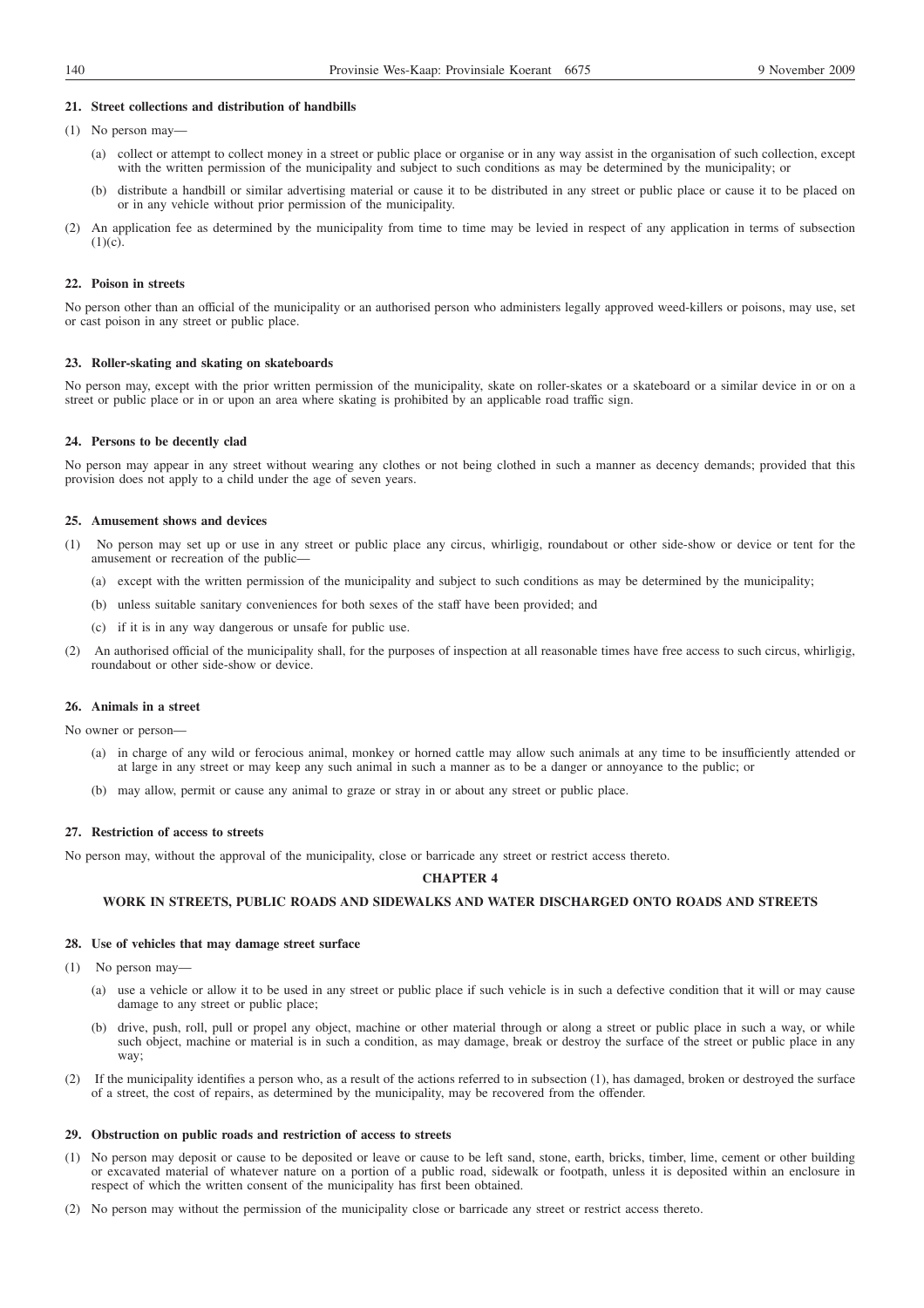### **21. Street collections and distribution of handbills**

- (1) No person may—
	- (a) collect or attempt to collect money in a street or public place or organise or in any way assist in the organisation of such collection, except with the written permission of the municipality and subject to such conditions as may be determined by the municipality; or
	- (b) distribute a handbill or similar advertising material or cause it to be distributed in any street or public place or cause it to be placed on or in any vehicle without prior permission of the municipality.
- (2) An application fee as determined by the municipality from time to time may be levied in respect of any application in terms of subsection  $(1)(c)$ .

### **22. Poison in streets**

No person other than an official of the municipality or an authorised person who administers legally approved weed-killers or poisons, may use, set or cast poison in any street or public place.

### **23. Roller-skating and skating on skateboards**

No person may, except with the prior written permission of the municipality, skate on roller-skates or a skateboard or a similar device in or on a street or public place or in or upon an area where skating is prohibited by an applicable road traffic sign.

#### **24. Persons to be decently clad**

No person may appear in any street without wearing any clothes or not being clothed in such a manner as decency demands; provided that this provision does not apply to a child under the age of seven years.

#### **25. Amusement shows and devices**

- (1) No person may set up or use in any street or public place any circus, whirligig, roundabout or other side-show or device or tent for the amusement or recreation of the public—
	- (a) except with the written permission of the municipality and subject to such conditions as may be determined by the municipality;
	- (b) unless suitable sanitary conveniences for both sexes of the staff have been provided; and
	- (c) if it is in any way dangerous or unsafe for public use.
- (2) An authorised official of the municipality shall, for the purposes of inspection at all reasonable times have free access to such circus, whirligig, roundabout or other side-show or device.

# **26. Animals in a street**

No owner or person—

- (a) in charge of any wild or ferocious animal, monkey or horned cattle may allow such animals at any time to be insufficiently attended or at large in any street or may keep any such animal in such a manner as to be a danger or annoyance to the public; or
- (b) may allow, permit or cause any animal to graze or stray in or about any street or public place.

# **27. Restriction of access to streets**

No person may, without the approval of the municipality, close or barricade any street or restrict access thereto.

# **CHAPTER 4**

### **WORK IN STREETS, PUBLIC ROADS AND SIDEWALKS AND WATER DISCHARGED ONTO ROADS AND STREETS**

# **28. Use of vehicles that may damage street surface**

- (1) No person may—
	- (a) use a vehicle or allow it to be used in any street or public place if such vehicle is in such a defective condition that it will or may cause damage to any street or public place;
	- (b) drive, push, roll, pull or propel any object, machine or other material through or along a street or public place in such a way, or while such object, machine or material is in such a condition, as may damage, break or destroy the surface of the street or public place in any way;
- (2) If the municipality identifies a person who, as a result of the actions referred to in subsection (1), has damaged, broken or destroyed the surface of a street, the cost of repairs, as determined by the municipality, may be recovered from the offender.

#### **29. Obstruction on public roads and restriction of access to streets**

- (1) No person may deposit or cause to be deposited or leave or cause to be left sand, stone, earth, bricks, timber, lime, cement or other building or excavated material of whatever nature on a portion of a public road, sidewalk or footpath, unless it is deposited within an enclosure in respect of which the written consent of the municipality has first been obtained.
- (2) No person may without the permission of the municipality close or barricade any street or restrict access thereto.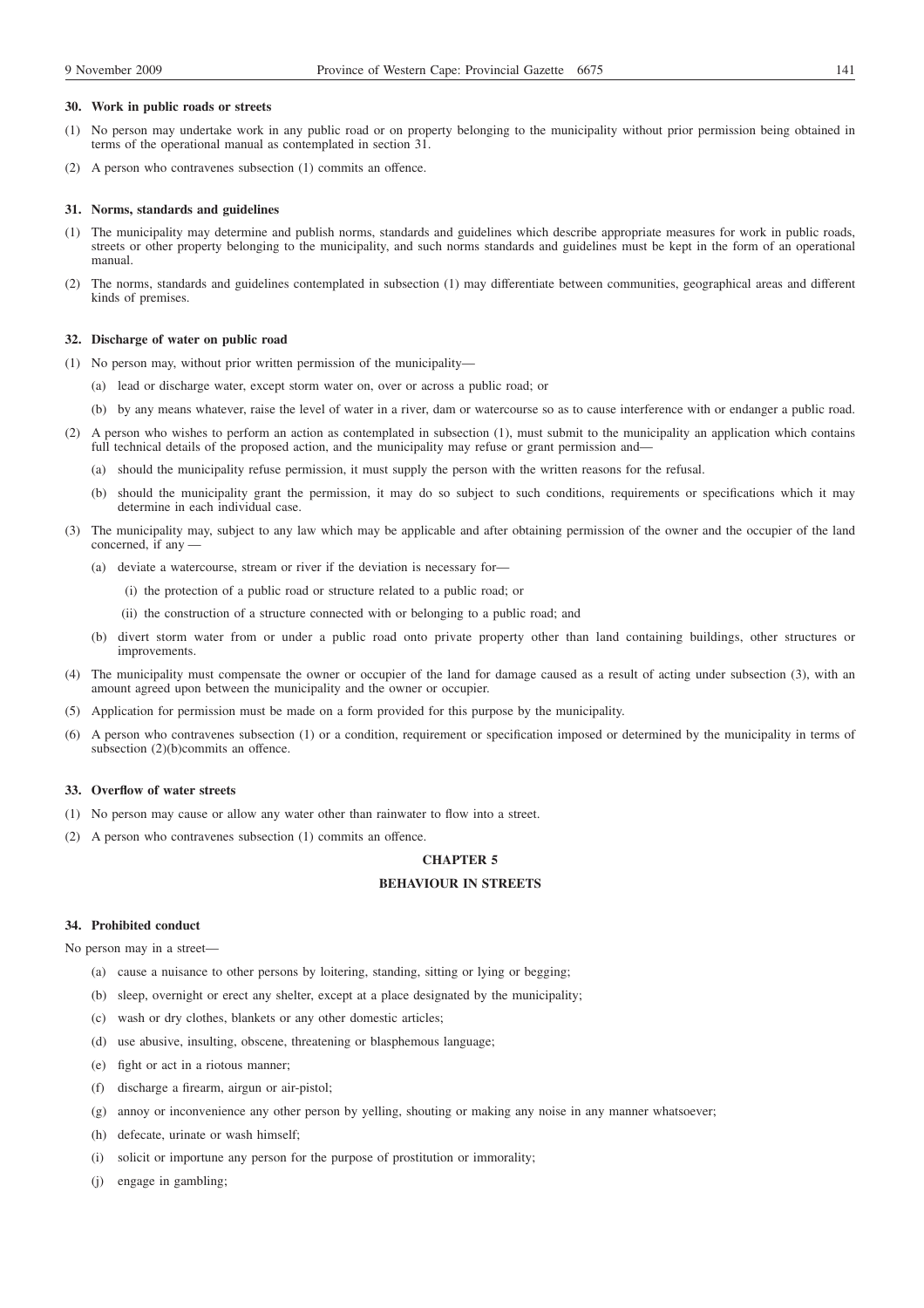## **30. Work in public roads or streets**

- (1) No person may undertake work in any public road or on property belonging to the municipality without prior permission being obtained in terms of the operational manual as contemplated in section 31.
- (2) A person who contravenes subsection (1) commits an offence.

## **31. Norms, standards and guidelines**

- (1) The municipality may determine and publish norms, standards and guidelines which describe appropriate measures for work in public roads, streets or other property belonging to the municipality, and such norms standards and guidelines must be kept in the form of an operational manual.
- (2) The norms, standards and guidelines contemplated in subsection (1) may differentiate between communities, geographical areas and different kinds of premises.

### **32. Discharge of water on public road**

- (1) No person may, without prior written permission of the municipality—
	- (a) lead or discharge water, except storm water on, over or across a public road; or
	- (b) by any means whatever, raise the level of water in a river, dam or watercourse so as to cause interference with or endanger a public road.
- (2) A person who wishes to perform an action as contemplated in subsection (1), must submit to the municipality an application which contains full technical details of the proposed action, and the municipality may refuse or grant permission and—
	- (a) should the municipality refuse permission, it must supply the person with the written reasons for the refusal.
	- (b) should the municipality grant the permission, it may do so subject to such conditions, requirements or specifications which it may determine in each individual case.
- (3) The municipality may, subject to any law which may be applicable and after obtaining permission of the owner and the occupier of the land concerned, if any —
	- (a) deviate a watercourse, stream or river if the deviation is necessary for—
		- (i) the protection of a public road or structure related to a public road; or
		- (ii) the construction of a structure connected with or belonging to a public road; and
	- (b) divert storm water from or under a public road onto private property other than land containing buildings, other structures or improvements.
- (4) The municipality must compensate the owner or occupier of the land for damage caused as a result of acting under subsection (3), with an amount agreed upon between the municipality and the owner or occupier.
- (5) Application for permission must be made on a form provided for this purpose by the municipality.
- (6) A person who contravenes subsection (1) or a condition, requirement or specification imposed or determined by the municipality in terms of subsection (2)(b)commits an offence.

## **33. Overflow of water streets**

- (1) No person may cause or allow any water other than rainwater to flow into a street.
- (2) A person who contravenes subsection (1) commits an offence.

# **CHAPTER 5**

# **BEHAVIOUR IN STREETS**

# **34. Prohibited conduct**

No person may in a street—

- (a) cause a nuisance to other persons by loitering, standing, sitting or lying or begging;
- (b) sleep, overnight or erect any shelter, except at a place designated by the municipality;
- (c) wash or dry clothes, blankets or any other domestic articles;
- (d) use abusive, insulting, obscene, threatening or blasphemous language;
- (e) fight or act in a riotous manner;
- (f) discharge a firearm, airgun or air-pistol;
- (g) annoy or inconvenience any other person by yelling, shouting or making any noise in any manner whatsoever;
- (h) defecate, urinate or wash himself;
- (i) solicit or importune any person for the purpose of prostitution or immorality;
- (j) engage in gambling;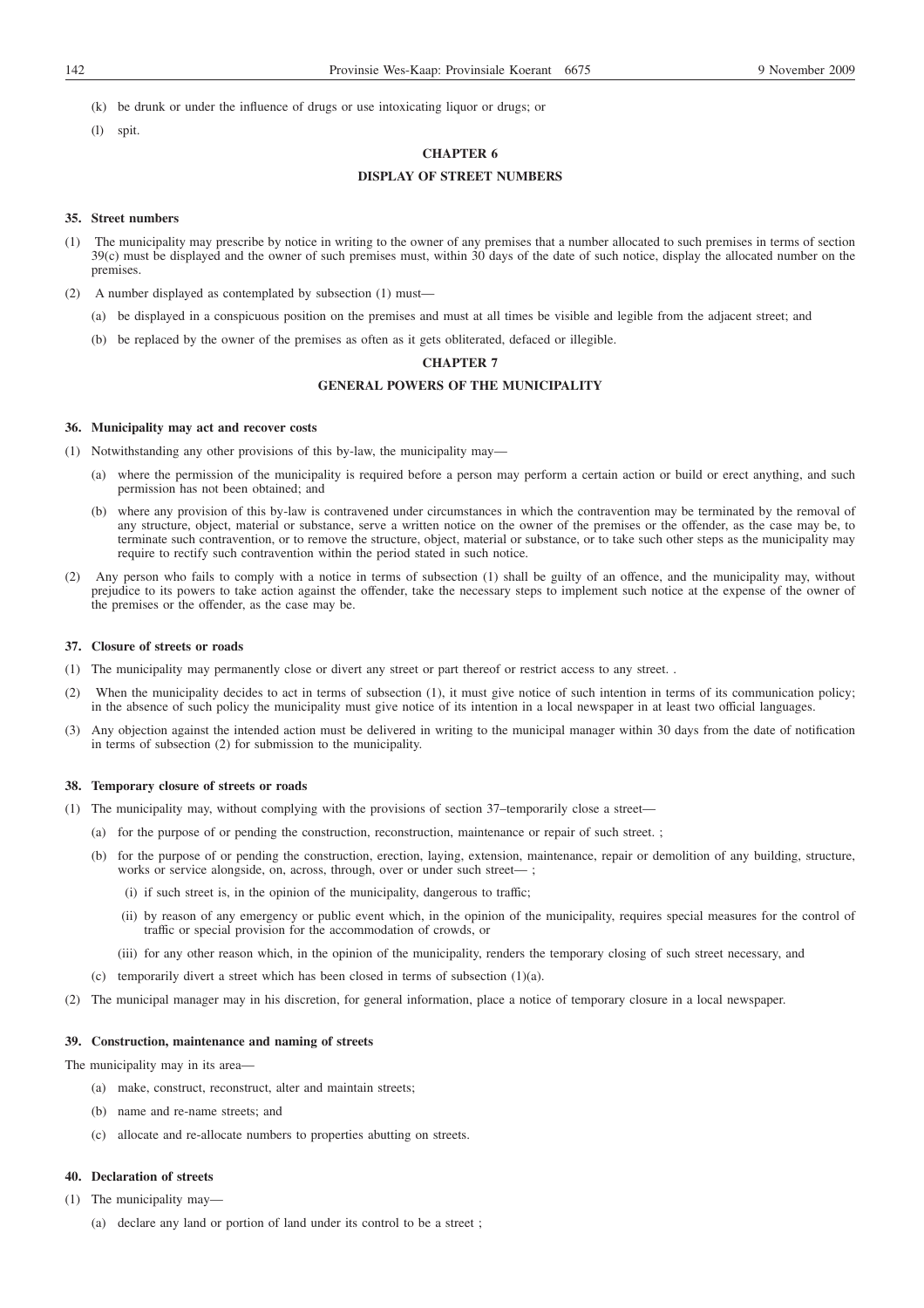- (k) be drunk or under the influence of drugs or use intoxicating liquor or drugs; or
- (l) spit.

# **CHAPTER 6**

# **DISPLAY OF STREET NUMBERS**

# **35. Street numbers**

- (1) The municipality may prescribe by notice in writing to the owner of any premises that a number allocated to such premises in terms of section 39(c) must be displayed and the owner of such premises must, within 30 days of the date of such notice, display the allocated number on the premises.
- (2) A number displayed as contemplated by subsection (1) must—
	- (a) be displayed in a conspicuous position on the premises and must at all times be visible and legible from the adjacent street; and
	- (b) be replaced by the owner of the premises as often as it gets obliterated, defaced or illegible.

# **CHAPTER 7**

# **GENERAL POWERS OF THE MUNICIPALITY**

## **36. Municipality may act and recover costs**

- (1) Notwithstanding any other provisions of this by-law, the municipality may—
	- (a) where the permission of the municipality is required before a person may perform a certain action or build or erect anything, and such permission has not been obtained; and
	- (b) where any provision of this by-law is contravened under circumstances in which the contravention may be terminated by the removal of any structure, object, material or substance, serve a written notice on the owner of the premises or the offender, as the case may be, to terminate such contravention, or to remove the structure, object, material or substance, or to take such other steps as the municipality may require to rectify such contravention within the period stated in such notice.
- (2) Any person who fails to comply with a notice in terms of subsection (1) shall be guilty of an offence, and the municipality may, without prejudice to its powers to take action against the offender, take the necessary steps to implement such notice at the expense of the owner of the premises or the offender, as the case may be.

#### **37. Closure of streets or roads**

- (1) The municipality may permanently close or divert any street or part thereof or restrict access to any street. .
- (2) When the municipality decides to act in terms of subsection (1), it must give notice of such intention in terms of its communication policy; in the absence of such policy the municipality must give notice of its intention in a local newspaper in at least two official languages.
- (3) Any objection against the intended action must be delivered in writing to the municipal manager within 30 days from the date of notification in terms of subsection (2) for submission to the municipality.

# **38. Temporary closure of streets or roads**

- (1) The municipality may, without complying with the provisions of section 37–temporarily close a street—
	- (a) for the purpose of or pending the construction, reconstruction, maintenance or repair of such street. ;
	- (b) for the purpose of or pending the construction, erection, laying, extension, maintenance, repair or demolition of any building, structure, works or service alongside, on, across, through, over or under such street— ;
		- (i) if such street is, in the opinion of the municipality, dangerous to traffic;
		- (ii) by reason of any emergency or public event which, in the opinion of the municipality, requires special measures for the control of traffic or special provision for the accommodation of crowds, or
		- (iii) for any other reason which, in the opinion of the municipality, renders the temporary closing of such street necessary, and
	- (c) temporarily divert a street which has been closed in terms of subsection (1)(a).
- (2) The municipal manager may in his discretion, for general information, place a notice of temporary closure in a local newspaper.

# **39. Construction, maintenance and naming of streets**

The municipality may in its area—

- (a) make, construct, reconstruct, alter and maintain streets;
- (b) name and re-name streets; and
- (c) allocate and re-allocate numbers to properties abutting on streets.

# **40. Declaration of streets**

- (1) The municipality may—
	- (a) declare any land or portion of land under its control to be a street ;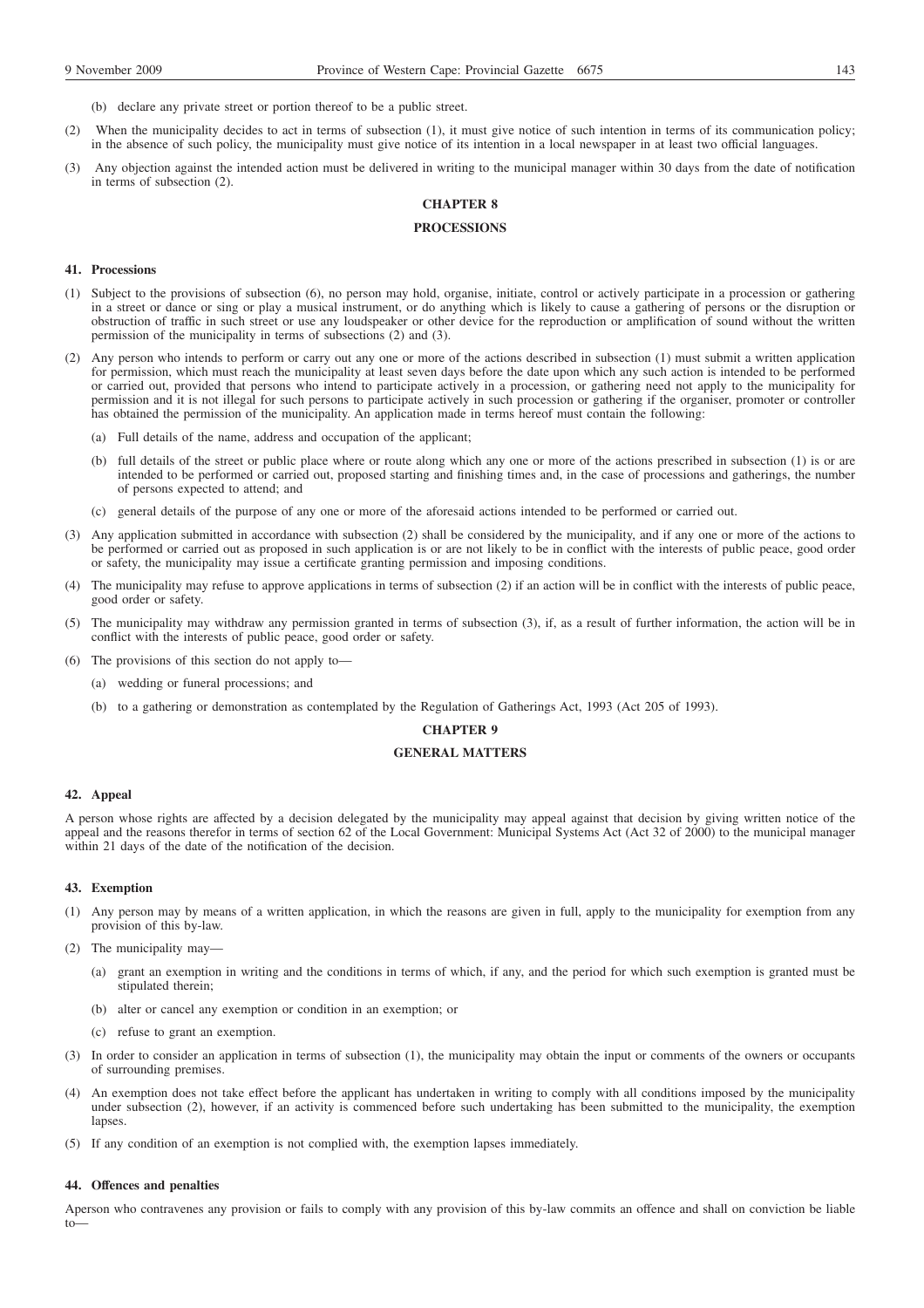(b) declare any private street or portion thereof to be a public street.

- (2) When the municipality decides to act in terms of subsection (1), it must give notice of such intention in terms of its communication policy; in the absence of such policy, the municipality must give notice of its intention in a local newspaper in at least two official languages.
- (3) Any objection against the intended action must be delivered in writing to the municipal manager within 30 days from the date of notification in terms of subsection (2).

# **CHAPTER 8**

# **PROCESSIONS**

# **41. Processions**

- (1) Subject to the provisions of subsection (6), no person may hold, organise, initiate, control or actively participate in a procession or gathering in a street or dance or sing or play a musical instrument, or do anything which is likely to cause a gathering of persons or the disruption or obstruction of traffic in such street or use any loudspeaker or other device for the reproduction or amplification of sound without the written permission of the municipality in terms of subsections (2) and (3).
- (2) Any person who intends to perform or carry out any one or more of the actions described in subsection (1) must submit a written application for permission, which must reach the municipality at least seven days before the date upon which any such action is intended to be performed or carried out, provided that persons who intend to participate actively in a procession, or gathering need not apply to the municipality for permission and it is not illegal for such persons to participate actively in such procession or gathering if the organiser, promoter or controller has obtained the permission of the municipality. An application made in terms hereof must contain the following:
	- (a) Full details of the name, address and occupation of the applicant;
	- (b) full details of the street or public place where or route along which any one or more of the actions prescribed in subsection (1) is or are intended to be performed or carried out, proposed starting and finishing times and, in the case of processions and gatherings, the number of persons expected to attend; and
	- (c) general details of the purpose of any one or more of the aforesaid actions intended to be performed or carried out.
- (3) Any application submitted in accordance with subsection (2) shall be considered by the municipality, and if any one or more of the actions to be performed or carried out as proposed in such application is or are not likely to be in conflict with the interests of public peace, good order or safety, the municipality may issue a certificate granting permission and imposing conditions.
- (4) The municipality may refuse to approve applications in terms of subsection (2) if an action will be in conflict with the interests of public peace, good order or safety.
- (5) The municipality may withdraw any permission granted in terms of subsection (3), if, as a result of further information, the action will be in conflict with the interests of public peace, good order or safety.
- (6) The provisions of this section do not apply to—
	- (a) wedding or funeral processions; and
	- (b) to a gathering or demonstration as contemplated by the Regulation of Gatherings Act, 1993 (Act 205 of 1993).

# **CHAPTER 9**

# **GENERAL MATTERS**

### **42. Appeal**

A person whose rights are affected by a decision delegated by the municipality may appeal against that decision by giving written notice of the appeal and the reasons therefor in terms of section 62 of the Local Government: Municipal Systems Act (Act 32 of 2000) to the municipal manager within 21 days of the date of the notification of the decision.

### **43. Exemption**

- (1) Any person may by means of a written application, in which the reasons are given in full, apply to the municipality for exemption from any provision of this by-law.
- (2) The municipality may—
	- (a) grant an exemption in writing and the conditions in terms of which, if any, and the period for which such exemption is granted must be stipulated therein;
	- (b) alter or cancel any exemption or condition in an exemption; or
	- (c) refuse to grant an exemption.
- (3) In order to consider an application in terms of subsection (1), the municipality may obtain the input or comments of the owners or occupants of surrounding premises.
- (4) An exemption does not take effect before the applicant has undertaken in writing to comply with all conditions imposed by the municipality under subsection (2), however, if an activity is commenced before such undertaking has been submitted to the municipality, the exemption lapses
- (5) If any condition of an exemption is not complied with, the exemption lapses immediately.

# **44. Offences and penalties**

Aperson who contravenes any provision or fails to comply with any provision of this by-law commits an offence and shall on conviction be liable to—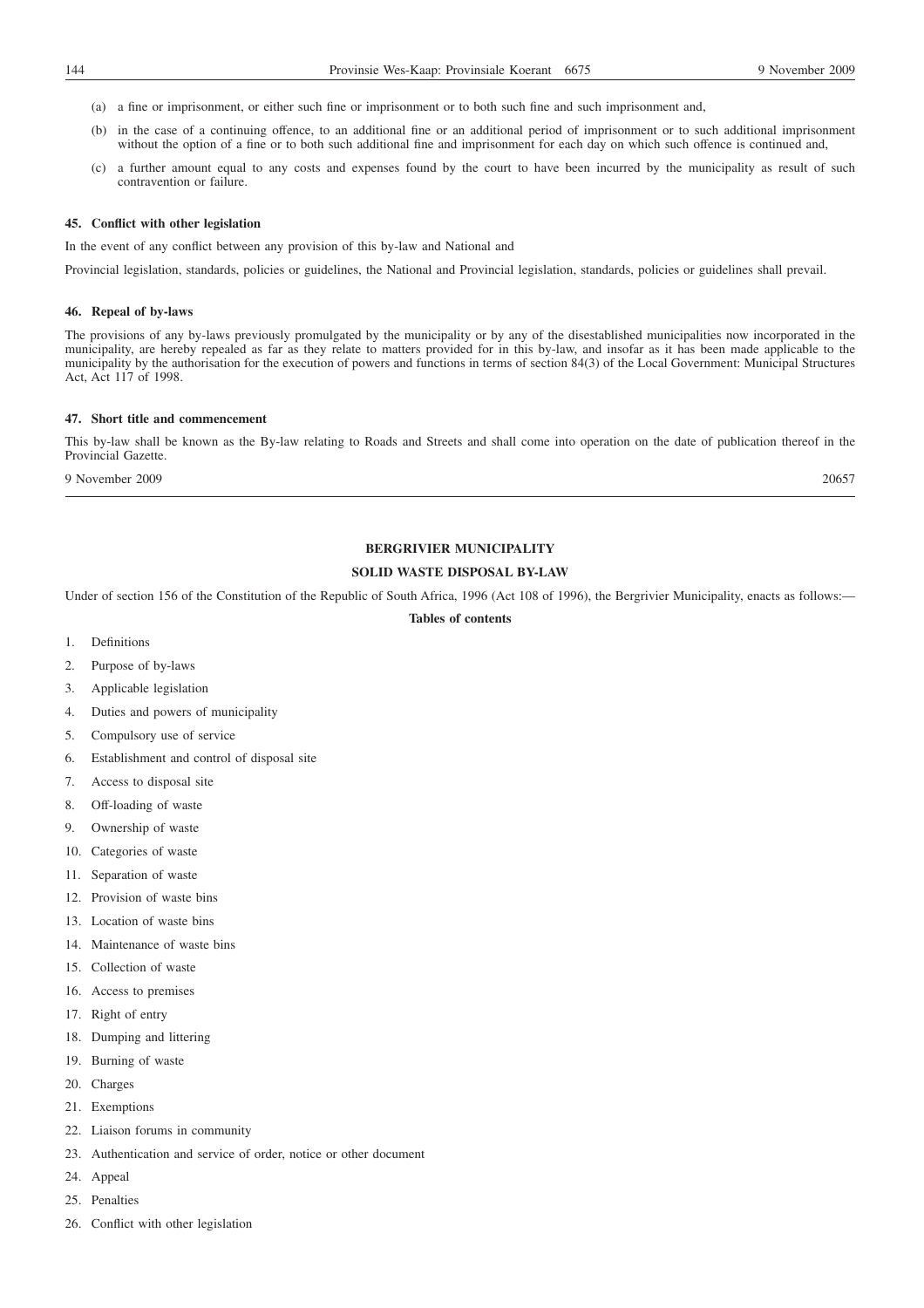- (a) a fine or imprisonment, or either such fine or imprisonment or to both such fine and such imprisonment and,
- (b) in the case of a continuing offence, to an additional fine or an additional period of imprisonment or to such additional imprisonment without the option of a fine or to both such additional fine and imprisonment for each day on which such offence is continued and,
- (c) a further amount equal to any costs and expenses found by the court to have been incurred by the municipality as result of such contravention or failure.

# **45. Conflict with other legislation**

In the event of any conflict between any provision of this by-law and National and

Provincial legislation, standards, policies or guidelines, the National and Provincial legislation, standards, policies or guidelines shall prevail.

# **46. Repeal of by-laws**

The provisions of any by-laws previously promulgated by the municipality or by any of the disestablished municipalities now incorporated in the municipality, are hereby repealed as far as they relate to matters provided for in this by-law, and insofar as it has been made applicable to the municipality by the authorisation for the execution of powers and functions in terms of section 84(3) of the Local Government: Municipal Structures Act, Act 117 of 1998.

#### **47. Short title and commencement**

This by-law shall be known as the By-law relating to Roads and Streets and shall come into operation on the date of publication thereof in the Provincial Gazette.

9 November 2009 20657

# **BERGRIVIER MUNICIPALITY**

# **SOLID WASTE DISPOSAL BY-LAW**

Under of section 156 of the Constitution of the Republic of South Africa, 1996 (Act 108 of 1996), the Bergrivier Municipality, enacts as follows:—

# **Tables of contents**

- 1. Definitions
- 2. Purpose of by-laws
- 3. Applicable legislation
- 4. Duties and powers of municipality
- 5. Compulsory use of service
- 6. Establishment and control of disposal site
- 7. Access to disposal site
- 8. Off-loading of waste
- 9. Ownership of waste
- 10. Categories of waste
- 11. Separation of waste
- 12. Provision of waste bins
- 13. Location of waste bins
- 14. Maintenance of waste bins
- 15. Collection of waste
- 16. Access to premises
- 17. Right of entry
- 18. Dumping and littering
- 19. Burning of waste
- 20. Charges
- 21. Exemptions
- 22. Liaison forums in community
- 23. Authentication and service of order, notice or other document
- 24. Appeal
- 25. Penalties
- 26. Conflict with other legislation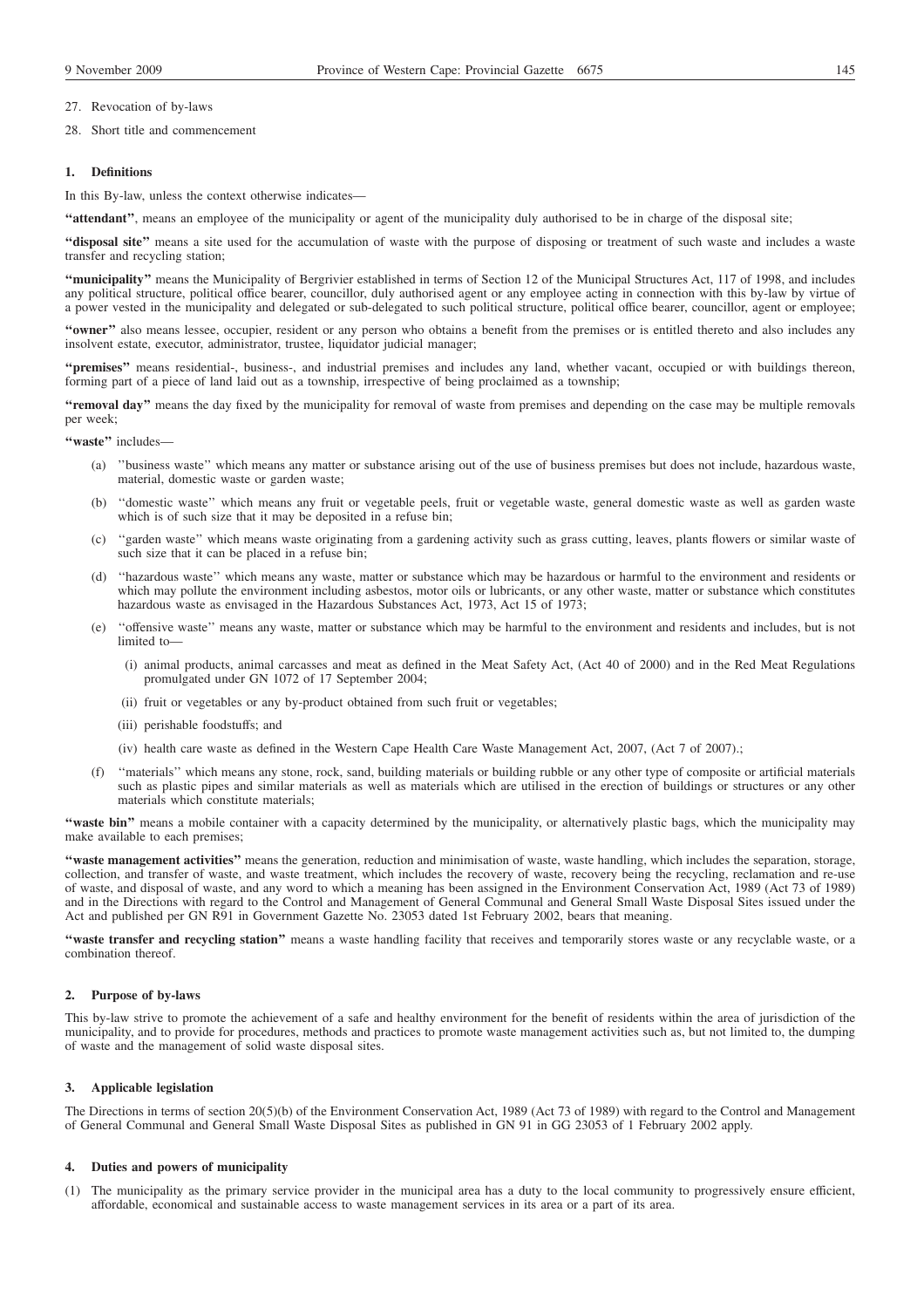28. Short title and commencement

#### **1. Definitions**

In this By-law, unless the context otherwise indicates—

**''attendant''**, means an employee of the municipality or agent of the municipality duly authorised to be in charge of the disposal site;

**''disposal site''** means a site used for the accumulation of waste with the purpose of disposing or treatment of such waste and includes a waste transfer and recycling station;

**''municipality''** means the Municipality of Bergrivier established in terms of Section 12 of the Municipal Structures Act, 117 of 1998, and includes any political structure, political office bearer, councillor, duly authorised agent or any employee acting in connection with this by-law by virtue of a power vested in the municipality and delegated or sub-delegated to such political structure, political office bearer, councillor, agent or employee;

"owner" also means lessee, occupier, resident or any person who obtains a benefit from the premises or is entitled thereto and also includes any insolvent estate, executor, administrator, trustee, liquidator judicial manager;

**''premises''** means residential-, business-, and industrial premises and includes any land, whether vacant, occupied or with buildings thereon, forming part of a piece of land laid out as a township, irrespective of being proclaimed as a township;

**''removal day''** means the day fixed by the municipality for removal of waste from premises and depending on the case may be multiple removals per week;

**''waste''** includes—

- (a) ''business waste'' which means any matter or substance arising out of the use of business premises but does not include, hazardous waste, material, domestic waste or garden waste;
- (b) ''domestic waste'' which means any fruit or vegetable peels, fruit or vegetable waste, general domestic waste as well as garden waste which is of such size that it may be deposited in a refuse bin;
- (c) ''garden waste'' which means waste originating from a gardening activity such as grass cutting, leaves, plants flowers or similar waste of such size that it can be placed in a refuse bin;
- (d) ''hazardous waste'' which means any waste, matter or substance which may be hazardous or harmful to the environment and residents or which may pollute the environment including asbestos, motor oils or lubricants, or any other waste, matter or substance which constitutes hazardous waste as envisaged in the Hazardous Substances Act, 1973, Act 15 of 1973;
- (e) ''offensive waste'' means any waste, matter or substance which may be harmful to the environment and residents and includes, but is not limited to
	- (i) animal products, animal carcasses and meat as defined in the Meat Safety Act, (Act 40 of 2000) and in the Red Meat Regulations promulgated under GN 1072 of 17 September 2004;
	- (ii) fruit or vegetables or any by-product obtained from such fruit or vegetables;
	- (iii) perishable foodstuffs; and
	- (iv) health care waste as defined in the Western Cape Health Care Waste Management Act, 2007, (Act 7 of 2007).;
- (f) ''materials'' which means any stone, rock, sand, building materials or building rubble or any other type of composite or artificial materials such as plastic pipes and similar materials as well as materials which are utilised in the erection of buildings or structures or any other materials which constitute materials;

**''waste bin''** means a mobile container with a capacity determined by the municipality, or alternatively plastic bags, which the municipality may make available to each premises;

**''waste management activities''** means the generation, reduction and minimisation of waste, waste handling, which includes the separation, storage, collection, and transfer of waste, and waste treatment, which includes the recovery of waste, recovery being the recycling, reclamation and re-use of waste, and disposal of waste, and any word to which a meaning has been assigned in the Environment Conservation Act, 1989 (Act 73 of 1989) and in the Directions with regard to the Control and Management of General Communal and General Small Waste Disposal Sites issued under the Act and published per GN R91 in Government Gazette No. 23053 dated 1st February 2002, bears that meaning.

"waste transfer and recycling station" means a waste handling facility that receives and temporarily stores waste or any recyclable waste, or a combination thereof.

### **2. Purpose of by-laws**

This by-law strive to promote the achievement of a safe and healthy environment for the benefit of residents within the area of jurisdiction of the municipality, and to provide for procedures, methods and practices to promote waste management activities such as, but not limited to, the dumping of waste and the management of solid waste disposal sites.

#### **3. Applicable legislation**

The Directions in terms of section 20(5)(b) of the Environment Conservation Act, 1989 (Act 73 of 1989) with regard to the Control and Management of General Communal and General Small Waste Disposal Sites as published in GN 91 in GG 23053 of 1 February 2002 apply.

## **4. Duties and powers of municipality**

(1) The municipality as the primary service provider in the municipal area has a duty to the local community to progressively ensure efficient, affordable, economical and sustainable access to waste management services in its area or a part of its area.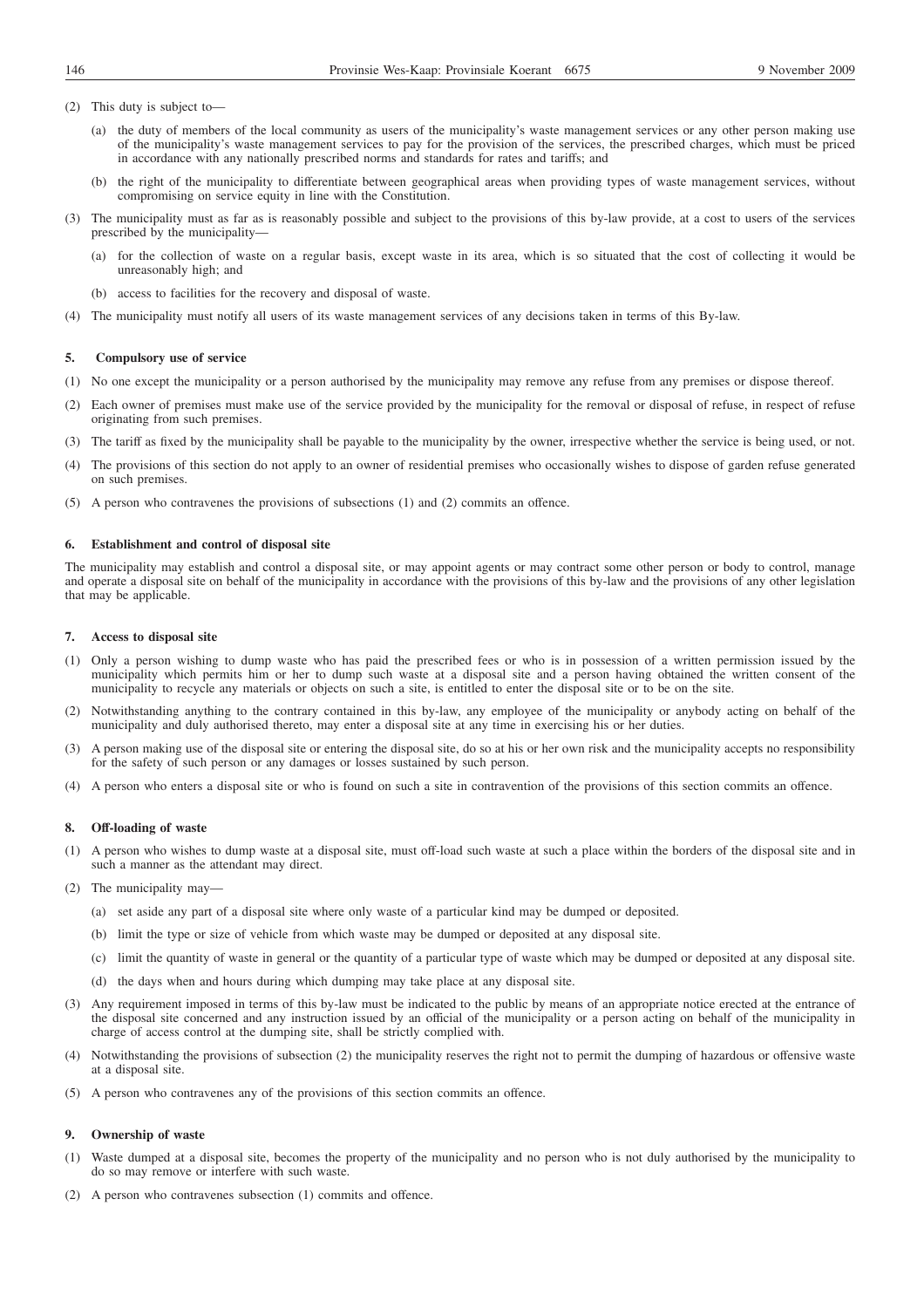- (2) This duty is subject to—
	- (a) the duty of members of the local community as users of the municipality's waste management services or any other person making use of the municipality's waste management services to pay for the provision of the services, the prescribed charges, which must be priced in accordance with any nationally prescribed norms and standards for rates and tariffs; and
	- (b) the right of the municipality to differentiate between geographical areas when providing types of waste management services, without compromising on service equity in line with the Constitution.
- (3) The municipality must as far as is reasonably possible and subject to the provisions of this by-law provide, at a cost to users of the services prescribed by the municipality—
	- (a) for the collection of waste on a regular basis, except waste in its area, which is so situated that the cost of collecting it would be unreasonably high; and
	- (b) access to facilities for the recovery and disposal of waste.
- (4) The municipality must notify all users of its waste management services of any decisions taken in terms of this By-law.

#### **5. Compulsory use of service**

- (1) No one except the municipality or a person authorised by the municipality may remove any refuse from any premises or dispose thereof.
- (2) Each owner of premises must make use of the service provided by the municipality for the removal or disposal of refuse, in respect of refuse originating from such premises.
- (3) The tariff as fixed by the municipality shall be payable to the municipality by the owner, irrespective whether the service is being used, or not.
- (4) The provisions of this section do not apply to an owner of residential premises who occasionally wishes to dispose of garden refuse generated on such premises.
- (5) A person who contravenes the provisions of subsections (1) and (2) commits an offence.

## **6. Establishment and control of disposal site**

The municipality may establish and control a disposal site, or may appoint agents or may contract some other person or body to control, manage and operate a disposal site on behalf of the municipality in accordance with the provisions of this by-law and the provisions of any other legislation that may be applicable.

## **7. Access to disposal site**

- (1) Only a person wishing to dump waste who has paid the prescribed fees or who is in possession of a written permission issued by the municipality which permits him or her to dump such waste at a disposal site and a person having obtained the written consent of the municipality to recycle any materials or objects on such a site, is entitled to enter the disposal site or to be on the site.
- (2) Notwithstanding anything to the contrary contained in this by-law, any employee of the municipality or anybody acting on behalf of the municipality and duly authorised thereto, may enter a disposal site at any time in exercising his or her duties.
- (3) A person making use of the disposal site or entering the disposal site, do so at his or her own risk and the municipality accepts no responsibility for the safety of such person or any damages or losses sustained by such person.
- (4) A person who enters a disposal site or who is found on such a site in contravention of the provisions of this section commits an offence.

#### **8. Off-loading of waste**

- (1) A person who wishes to dump waste at a disposal site, must off-load such waste at such a place within the borders of the disposal site and in such a manner as the attendant may direct.
- (2) The municipality may—
	- (a) set aside any part of a disposal site where only waste of a particular kind may be dumped or deposited.
	- (b) limit the type or size of vehicle from which waste may be dumped or deposited at any disposal site.
	- (c) limit the quantity of waste in general or the quantity of a particular type of waste which may be dumped or deposited at any disposal site.
	- (d) the days when and hours during which dumping may take place at any disposal site.
- (3) Any requirement imposed in terms of this by-law must be indicated to the public by means of an appropriate notice erected at the entrance of the disposal site concerned and any instruction issued by an official of the municipality or a person acting on behalf of the municipality in charge of access control at the dumping site, shall be strictly complied with.
- (4) Notwithstanding the provisions of subsection (2) the municipality reserves the right not to permit the dumping of hazardous or offensive waste at a disposal site.
- (5) A person who contravenes any of the provisions of this section commits an offence.

## **9. Ownership of waste**

- (1) Waste dumped at a disposal site, becomes the property of the municipality and no person who is not duly authorised by the municipality to do so may remove or interfere with such waste.
- (2) A person who contravenes subsection (1) commits and offence.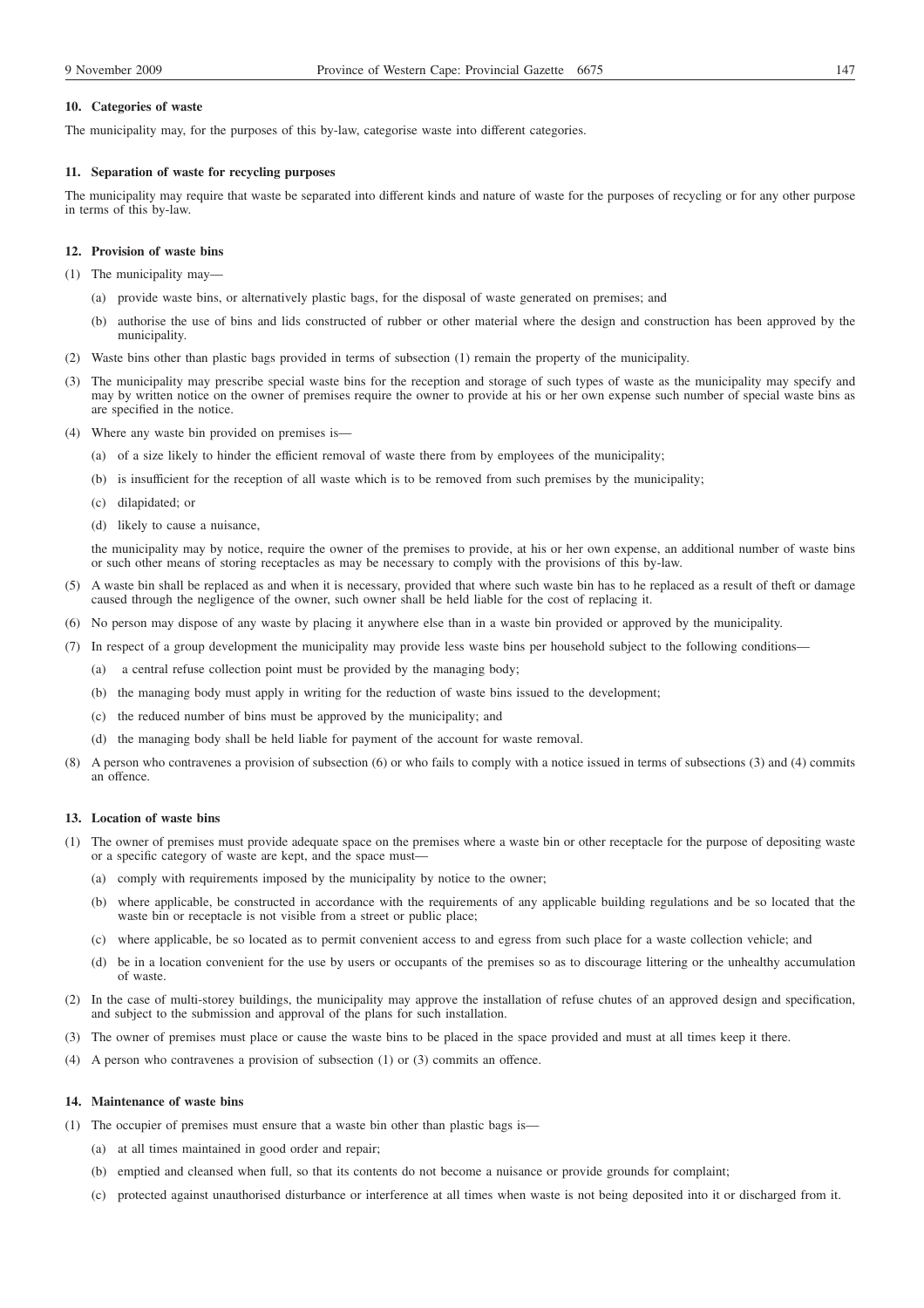## **10. Categories of waste**

The municipality may, for the purposes of this by-law, categorise waste into different categories.

#### **11. Separation of waste for recycling purposes**

The municipality may require that waste be separated into different kinds and nature of waste for the purposes of recycling or for any other purpose in terms of this by-law.

## **12. Provision of waste bins**

- (1) The municipality may—
	- (a) provide waste bins, or alternatively plastic bags, for the disposal of waste generated on premises; and
	- (b) authorise the use of bins and lids constructed of rubber or other material where the design and construction has been approved by the municipality.
- (2) Waste bins other than plastic bags provided in terms of subsection (1) remain the property of the municipality.
- (3) The municipality may prescribe special waste bins for the reception and storage of such types of waste as the municipality may specify and may by written notice on the owner of premises require the owner to provide at his or her own expense such number of special waste bins as are specified in the notice.
- (4) Where any waste bin provided on premises is—
	- (a) of a size likely to hinder the efficient removal of waste there from by employees of the municipality;
	- (b) is insufficient for the reception of all waste which is to be removed from such premises by the municipality;
	- (c) dilapidated; or
	- (d) likely to cause a nuisance,

the municipality may by notice, require the owner of the premises to provide, at his or her own expense, an additional number of waste bins or such other means of storing receptacles as may be necessary to comply with the provisions of this by-law.

- (5) A waste bin shall be replaced as and when it is necessary, provided that where such waste bin has to he replaced as a result of theft or damage caused through the negligence of the owner, such owner shall be held liable for the cost of replacing it.
- (6) No person may dispose of any waste by placing it anywhere else than in a waste bin provided or approved by the municipality.
- (7) In respect of a group development the municipality may provide less waste bins per household subject to the following conditions—
	- (a) a central refuse collection point must be provided by the managing body;
	- (b) the managing body must apply in writing for the reduction of waste bins issued to the development;
	- (c) the reduced number of bins must be approved by the municipality; and
	- (d) the managing body shall be held liable for payment of the account for waste removal.
- (8) A person who contravenes a provision of subsection (6) or who fails to comply with a notice issued in terms of subsections (3) and (4) commits an offence.

## **13. Location of waste bins**

- (1) The owner of premises must provide adequate space on the premises where a waste bin or other receptacle for the purpose of depositing waste or a specific category of waste are kept, and the space must-
	- (a) comply with requirements imposed by the municipality by notice to the owner;
	- (b) where applicable, be constructed in accordance with the requirements of any applicable building regulations and be so located that the waste bin or receptacle is not visible from a street or public place;
	- (c) where applicable, be so located as to permit convenient access to and egress from such place for a waste collection vehicle; and
	- (d) be in a location convenient for the use by users or occupants of the premises so as to discourage littering or the unhealthy accumulation of waste.
- (2) In the case of multi-storey buildings, the municipality may approve the installation of refuse chutes of an approved design and specification, and subject to the submission and approval of the plans for such installation.
- (3) The owner of premises must place or cause the waste bins to be placed in the space provided and must at all times keep it there.
- (4) A person who contravenes a provision of subsection (1) or (3) commits an offence.

## **14. Maintenance of waste bins**

- (1) The occupier of premises must ensure that a waste bin other than plastic bags is—
	- (a) at all times maintained in good order and repair;
	- (b) emptied and cleansed when full, so that its contents do not become a nuisance or provide grounds for complaint;
	- (c) protected against unauthorised disturbance or interference at all times when waste is not being deposited into it or discharged from it.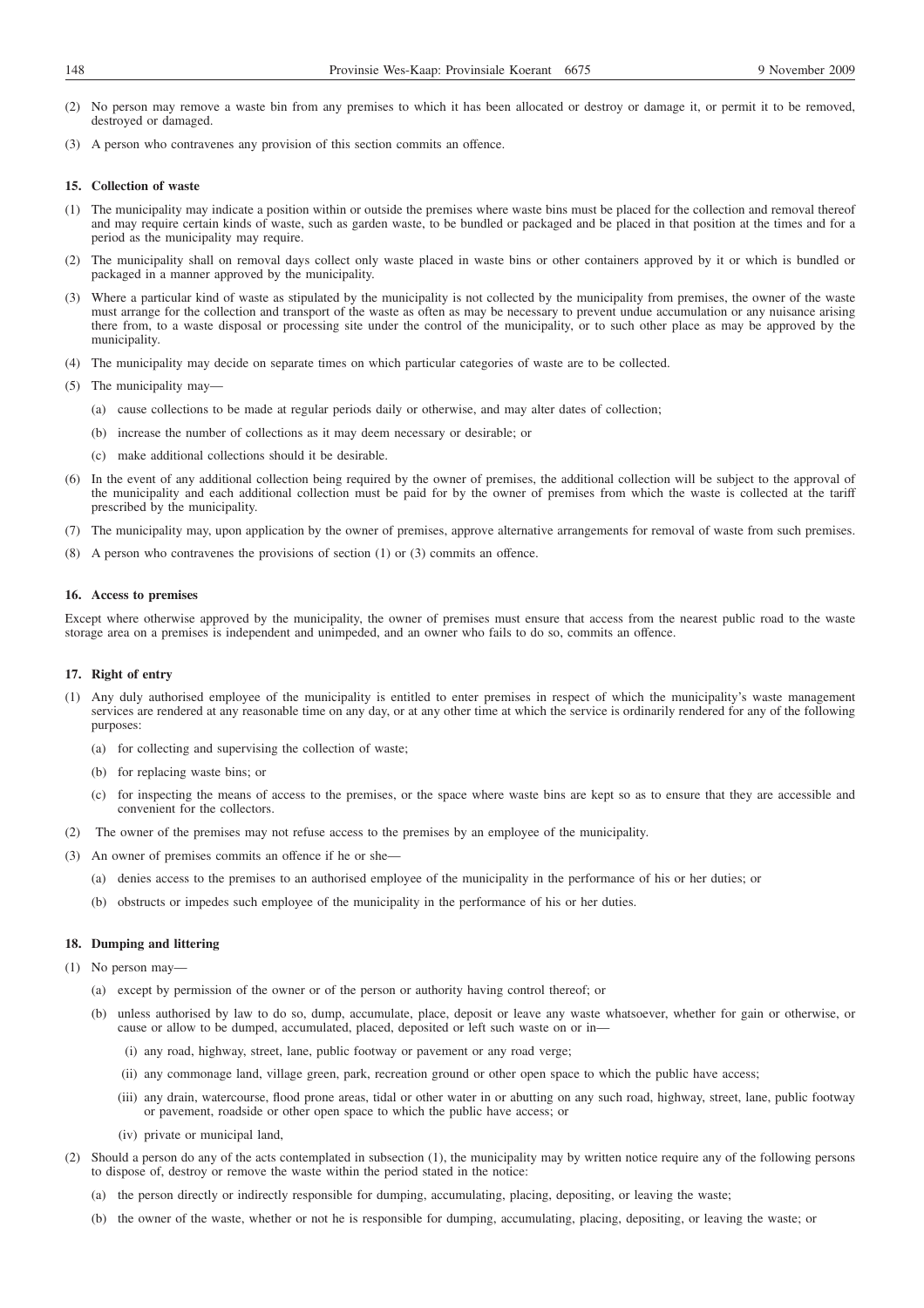- (2) No person may remove a waste bin from any premises to which it has been allocated or destroy or damage it, or permit it to be removed, destroyed or damaged.
- (3) A person who contravenes any provision of this section commits an offence.

#### **15. Collection of waste**

- (1) The municipality may indicate a position within or outside the premises where waste bins must be placed for the collection and removal thereof and may require certain kinds of waste, such as garden waste, to be bundled or packaged and be placed in that position at the times and for a period as the municipality may require.
- (2) The municipality shall on removal days collect only waste placed in waste bins or other containers approved by it or which is bundled or packaged in a manner approved by the municipality.
- (3) Where a particular kind of waste as stipulated by the municipality is not collected by the municipality from premises, the owner of the waste must arrange for the collection and transport of the waste as often as may be necessary to prevent undue accumulation or any nuisance arising there from, to a waste disposal or processing site under the control of the municipality, or to such other place as may be approved by the municipality.
- (4) The municipality may decide on separate times on which particular categories of waste are to be collected.
- (5) The municipality may—
	- (a) cause collections to be made at regular periods daily or otherwise, and may alter dates of collection;
	- (b) increase the number of collections as it may deem necessary or desirable; or
	- (c) make additional collections should it be desirable.
- (6) In the event of any additional collection being required by the owner of premises, the additional collection will be subject to the approval of the municipality and each additional collection must be paid for by the owner of premises from which the waste is collected at the tariff prescribed by the municipality.
- (7) The municipality may, upon application by the owner of premises, approve alternative arrangements for removal of waste from such premises.
- (8) A person who contravenes the provisions of section (1) or (3) commits an offence.

#### **16. Access to premises**

Except where otherwise approved by the municipality, the owner of premises must ensure that access from the nearest public road to the waste storage area on a premises is independent and unimpeded, and an owner who fails to do so, commits an offence.

#### **17. Right of entry**

- (1) Any duly authorised employee of the municipality is entitled to enter premises in respect of which the municipality's waste management services are rendered at any reasonable time on any day, or at any other time at which the service is ordinarily rendered for any of the following purposes:
	- (a) for collecting and supervising the collection of waste;
	- (b) for replacing waste bins; or
	- (c) for inspecting the means of access to the premises, or the space where waste bins are kept so as to ensure that they are accessible and convenient for the collectors.
- (2) The owner of the premises may not refuse access to the premises by an employee of the municipality.
- (3) An owner of premises commits an offence if he or she—
	- (a) denies access to the premises to an authorised employee of the municipality in the performance of his or her duties; or
	- (b) obstructs or impedes such employee of the municipality in the performance of his or her duties.

#### **18. Dumping and littering**

(1) No person may—

- (a) except by permission of the owner or of the person or authority having control thereof; or
- (b) unless authorised by law to do so, dump, accumulate, place, deposit or leave any waste whatsoever, whether for gain or otherwise, or cause or allow to be dumped, accumulated, placed, deposited or left such waste on or in—
	- (i) any road, highway, street, lane, public footway or pavement or any road verge;
	- (ii) any commonage land, village green, park, recreation ground or other open space to which the public have access;
	- (iii) any drain, watercourse, flood prone areas, tidal or other water in or abutting on any such road, highway, street, lane, public footway or pavement, roadside or other open space to which the public have access; or
	- (iv) private or municipal land,
- (2) Should a person do any of the acts contemplated in subsection (1), the municipality may by written notice require any of the following persons to dispose of, destroy or remove the waste within the period stated in the notice:
	- (a) the person directly or indirectly responsible for dumping, accumulating, placing, depositing, or leaving the waste;
	- (b) the owner of the waste, whether or not he is responsible for dumping, accumulating, placing, depositing, or leaving the waste; or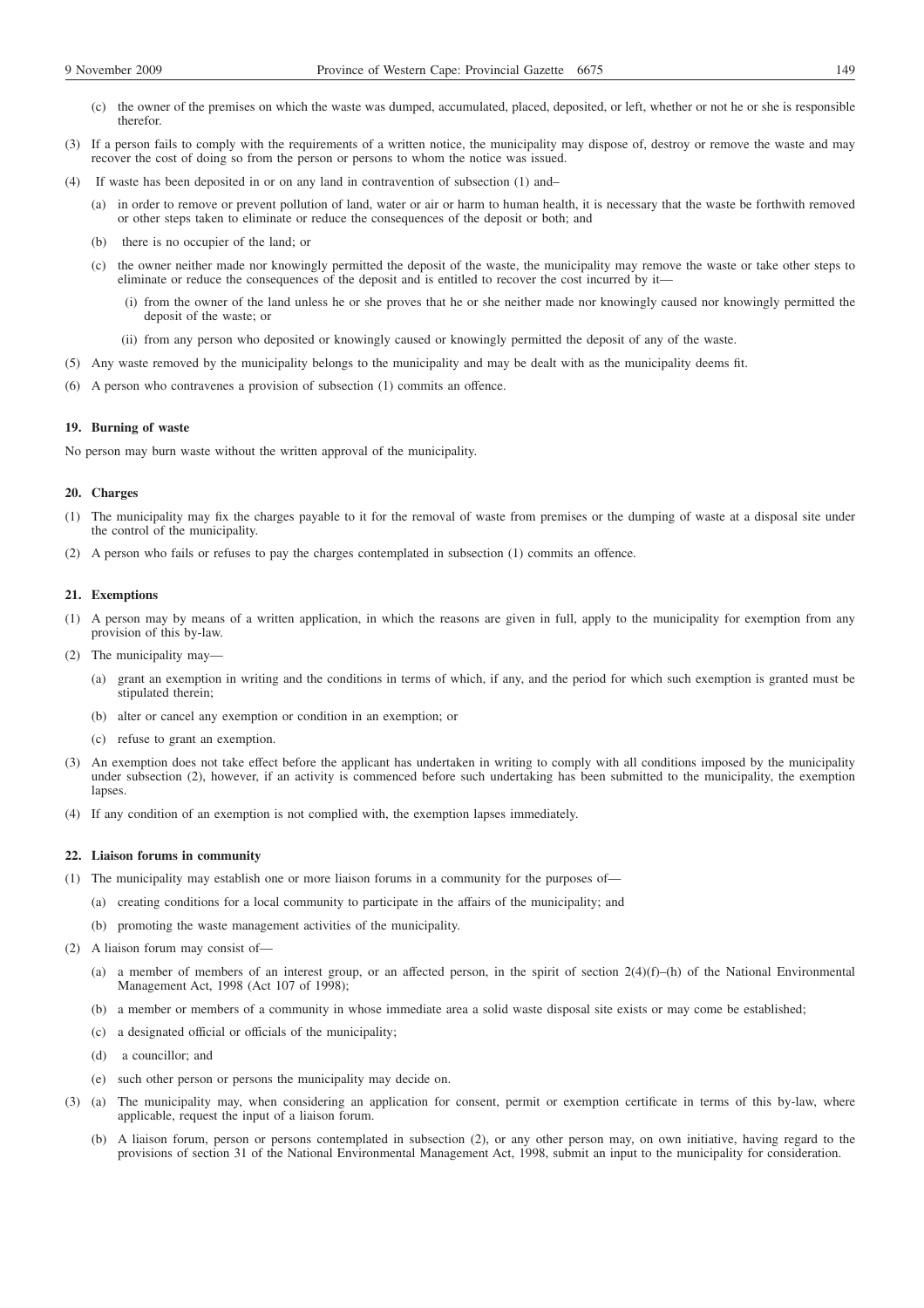- (c) the owner of the premises on which the waste was dumped, accumulated, placed, deposited, or left, whether or not he or she is responsible therefor.
- (3) If a person fails to comply with the requirements of a written notice, the municipality may dispose of, destroy or remove the waste and may recover the cost of doing so from the person or persons to whom the notice was issued.
- (4) If waste has been deposited in or on any land in contravention of subsection (1) and–
	- (a) in order to remove or prevent pollution of land, water or air or harm to human health, it is necessary that the waste be forthwith removed or other steps taken to eliminate or reduce the consequences of the deposit or both; and
	- (b) there is no occupier of the land; or
	- (c) the owner neither made nor knowingly permitted the deposit of the waste, the municipality may remove the waste or take other steps to eliminate or reduce the consequences of the deposit and is entitled to recover the cost incurred by it—
		- (i) from the owner of the land unless he or she proves that he or she neither made nor knowingly caused nor knowingly permitted the deposit of the waste; or
		- (ii) from any person who deposited or knowingly caused or knowingly permitted the deposit of any of the waste.
- (5) Any waste removed by the municipality belongs to the municipality and may be dealt with as the municipality deems fit.
- (6) A person who contravenes a provision of subsection (1) commits an offence.

## **19. Burning of waste**

No person may burn waste without the written approval of the municipality.

## **20. Charges**

- (1) The municipality may fix the charges payable to it for the removal of waste from premises or the dumping of waste at a disposal site under the control of the municipality.
- (2) A person who fails or refuses to pay the charges contemplated in subsection (1) commits an offence.

#### **21. Exemptions**

- (1) A person may by means of a written application, in which the reasons are given in full, apply to the municipality for exemption from any provision of this by-law.
- (2) The municipality may—
	- (a) grant an exemption in writing and the conditions in terms of which, if any, and the period for which such exemption is granted must be stipulated therein;
	- (b) alter or cancel any exemption or condition in an exemption; or
	- (c) refuse to grant an exemption.
- (3) An exemption does not take effect before the applicant has undertaken in writing to comply with all conditions imposed by the municipality under subsection (2), however, if an activity is commenced before such undertaking has been submitted to the municipality, the exemption lapses
- (4) If any condition of an exemption is not complied with, the exemption lapses immediately.

## **22. Liaison forums in community**

- (1) The municipality may establish one or more liaison forums in a community for the purposes of—
	- (a) creating conditions for a local community to participate in the affairs of the municipality; and
	- (b) promoting the waste management activities of the municipality.
- (2) A liaison forum may consist of—
	- (a) a member of members of an interest group, or an affected person, in the spirit of section  $2(4)(f)$ –(h) of the National Environmental Management Act, 1998 (Act 107 of 1998);
	- (b) a member or members of a community in whose immediate area a solid waste disposal site exists or may come be established;
	- (c) a designated official or officials of the municipality;
	- (d) a councillor; and
	- (e) such other person or persons the municipality may decide on.
- (3) (a) The municipality may, when considering an application for consent, permit or exemption certificate in terms of this by-law, where applicable, request the input of a liaison forum.
	- (b) A liaison forum, person or persons contemplated in subsection (2), or any other person may, on own initiative, having regard to the provisions of section 31 of the National Environmental Management Act, 1998, submit an input to the municipality for consideration.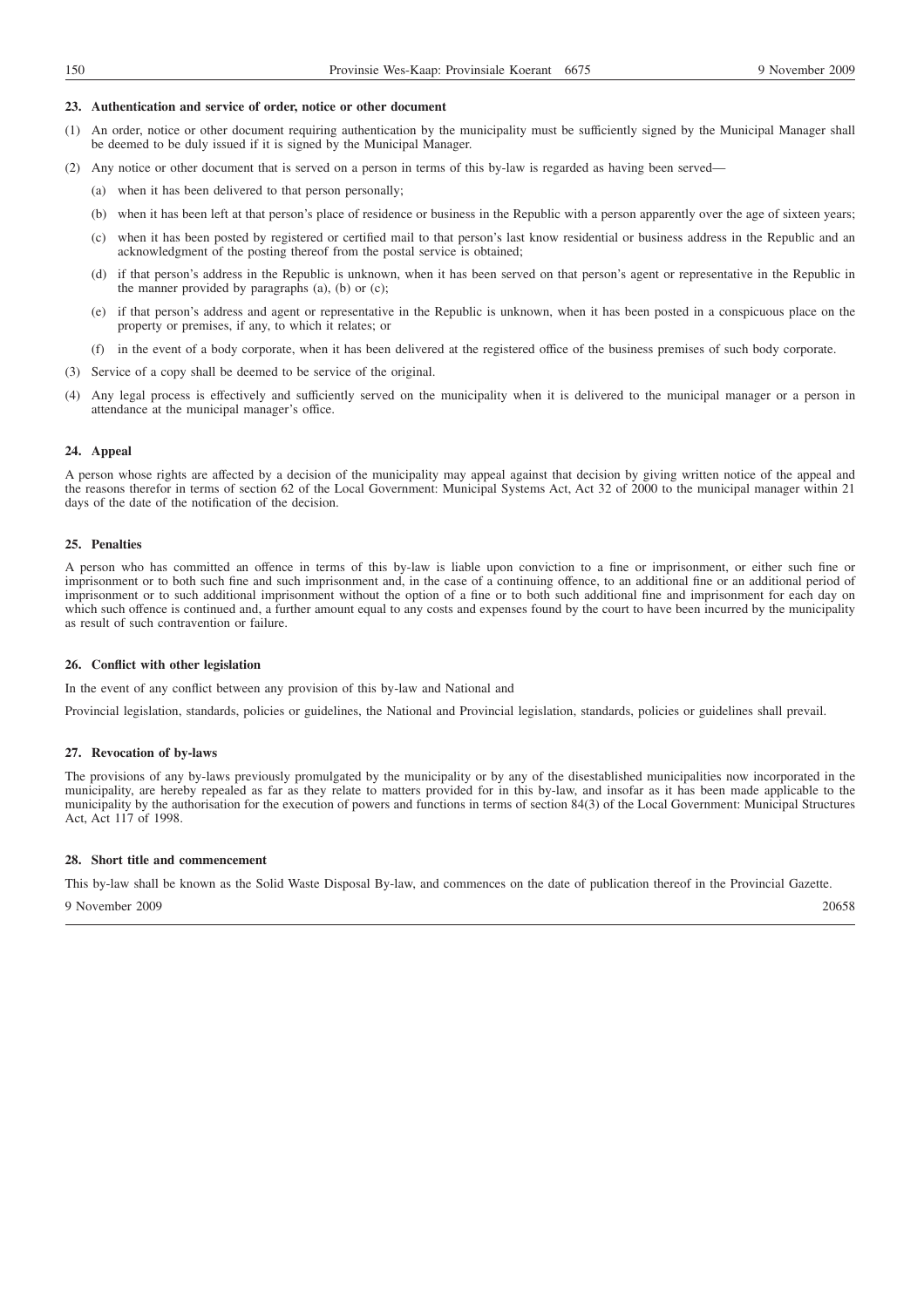#### **23. Authentication and service of order, notice or other document**

- (1) An order, notice or other document requiring authentication by the municipality must be sufficiently signed by the Municipal Manager shall be deemed to be duly issued if it is signed by the Municipal Manager.
- (2) Any notice or other document that is served on a person in terms of this by-law is regarded as having been served—
	- (a) when it has been delivered to that person personally;
	- (b) when it has been left at that person's place of residence or business in the Republic with a person apparently over the age of sixteen years;
	- (c) when it has been posted by registered or certified mail to that person's last know residential or business address in the Republic and an acknowledgment of the posting thereof from the postal service is obtained;
	- (d) if that person's address in the Republic is unknown, when it has been served on that person's agent or representative in the Republic in the manner provided by paragraphs  $(a)$ ,  $(b)$  or  $(c)$ ;
	- (e) if that person's address and agent or representative in the Republic is unknown, when it has been posted in a conspicuous place on the property or premises, if any, to which it relates; or
	- (f) in the event of a body corporate, when it has been delivered at the registered office of the business premises of such body corporate.
- (3) Service of a copy shall be deemed to be service of the original.
- Any legal process is effectively and sufficiently served on the municipality when it is delivered to the municipal manager or a person in attendance at the municipal manager's office.

#### **24. Appeal**

A person whose rights are affected by a decision of the municipality may appeal against that decision by giving written notice of the appeal and the reasons therefor in terms of section 62 of the Local Government: Municipal Systems Act, Act 32 of 2000 to the municipal manager within 21 days of the date of the notification of the decision.

#### **25. Penalties**

A person who has committed an offence in terms of this by-law is liable upon conviction to a fine or imprisonment, or either such fine or imprisonment or to both such fine and such imprisonment and, in the case of a continuing offence, to an additional fine or an additional period of imprisonment or to such additional imprisonment without the option of a fine or to both such additional fine and imprisonment for each day on which such offence is continued and, a further amount equal to any costs and expenses found by the court to have been incurred by the municipality as result of such contravention or failure.

#### **26. Conflict with other legislation**

In the event of any conflict between any provision of this by-law and National and

Provincial legislation, standards, policies or guidelines, the National and Provincial legislation, standards, policies or guidelines shall prevail.

## **27. Revocation of by-laws**

The provisions of any by-laws previously promulgated by the municipality or by any of the disestablished municipalities now incorporated in the municipality, are hereby repealed as far as they relate to matters provided for in this by-law, and insofar as it has been made applicable to the municipality by the authorisation for the execution of powers and functions in terms of section 84(3) of the Local Government: Municipal Structures Act, Act 117 of 1998.

# **28. Short title and commencement**

This by-law shall be known as the Solid Waste Disposal By-law, and commences on the date of publication thereof in the Provincial Gazette.

9 November 2009 20658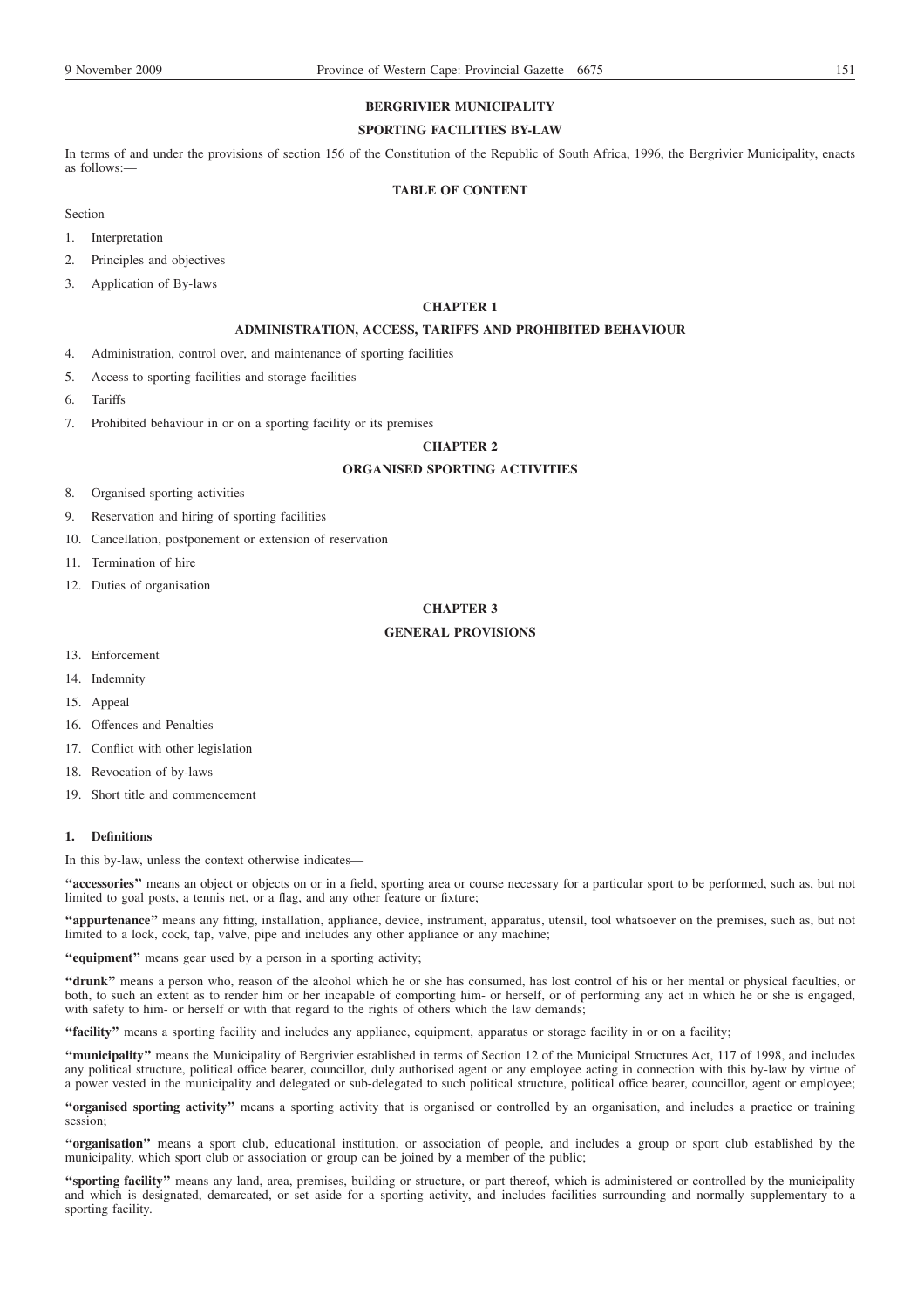# **BERGRIVIER MUNICIPALITY**

# **SPORTING FACILITIES BY-LAW**

In terms of and under the provisions of section 156 of the Constitution of the Republic of South Africa, 1996, the Bergrivier Municipality, enacts as follows:—

## **TABLE OF CONTENT**

- Section
- 1. Interpretation
- 2. Principles and objectives
- 3. Application of By-laws

# **CHAPTER 1**

# **ADMINISTRATION, ACCESS, TARIFFS AND PROHIBITED BEHAVIOUR**

- 4. Administration, control over, and maintenance of sporting facilities
- 5. Access to sporting facilities and storage facilities
- 6. Tariffs
- 7. Prohibited behaviour in or on a sporting facility or its premises

# **CHAPTER 2**

# **ORGANISED SPORTING ACTIVITIES**

- 8. Organised sporting activities
- 9. Reservation and hiring of sporting facilities
- 10. Cancellation, postponement or extension of reservation
- 11. Termination of hire
- 12. Duties of organisation

# **CHAPTER 3**

## **GENERAL PROVISIONS**

- 13. Enforcement
- 14. Indemnity
- 15. Appeal
- 16. Offences and Penalties
- 17. Conflict with other legislation
- 18. Revocation of by-laws
- 19. Short title and commencement

## **1. Definitions**

In this by-law, unless the context otherwise indicates—

**''accessories''** means an object or objects on or in a field, sporting area or course necessary for a particular sport to be performed, such as, but not limited to goal posts, a tennis net, or a flag, and any other feature or fixture;

**''appurtenance''** means any fitting, installation, appliance, device, instrument, apparatus, utensil, tool whatsoever on the premises, such as, but not limited to a lock, cock, tap, valve, pipe and includes any other appliance or any machine;

**''equipment''** means gear used by a person in a sporting activity;

**''drunk''** means a person who, reason of the alcohol which he or she has consumed, has lost control of his or her mental or physical faculties, or both, to such an extent as to render him or her incapable of comporting him- or herself, or of performing any act in which he or she is engaged, with safety to him- or herself or with that regard to the rights of others which the law demands;

**''facility''** means a sporting facility and includes any appliance, equipment, apparatus or storage facility in or on a facility;

**''municipality''** means the Municipality of Bergrivier established in terms of Section 12 of the Municipal Structures Act, 117 of 1998, and includes any political structure, political office bearer, councillor, duly authorised agent or any employee acting in connection with this by-law by virtue of a power vested in the municipality and delegated or sub-delegated to such political structure, political office bearer, councillor, agent or employee;

**''organised sporting activity''** means a sporting activity that is organised or controlled by an organisation, and includes a practice or training session;

**''organisation''** means a sport club, educational institution, or association of people, and includes a group or sport club established by the municipality, which sport club or association or group can be joined by a member of the public;

**''sporting facility''** means any land, area, premises, building or structure, or part thereof, which is administered or controlled by the municipality and which is designated, demarcated, or set aside for a sporting activity, and includes facilities surrounding and normally supplementary to a sporting facility.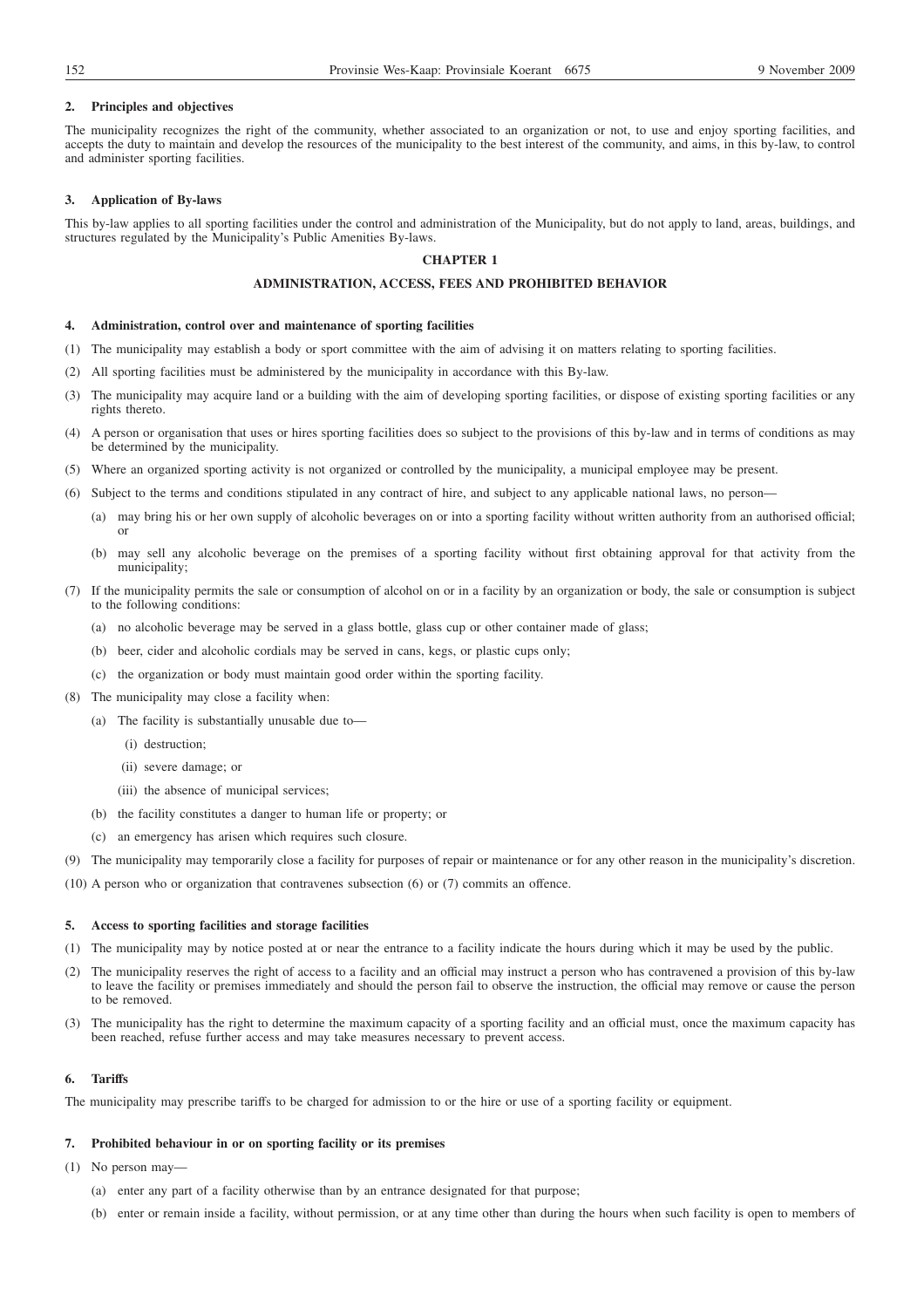## **2. Principles and objectives**

The municipality recognizes the right of the community, whether associated to an organization or not, to use and enjoy sporting facilities, and accepts the duty to maintain and develop the resources of the municipality to the best interest of the community, and aims, in this by-law, to control and administer sporting facilities.

## **3. Application of By-laws**

This by-law applies to all sporting facilities under the control and administration of the Municipality, but do not apply to land, areas, buildings, and structures regulated by the Municipality's Public Amenities By-laws.

## **CHAPTER 1**

# **ADMINISTRATION, ACCESS, FEES AND PROHIBITED BEHAVIOR**

#### **4. Administration, control over and maintenance of sporting facilities**

- (1) The municipality may establish a body or sport committee with the aim of advising it on matters relating to sporting facilities.
- (2) All sporting facilities must be administered by the municipality in accordance with this By-law.
- (3) The municipality may acquire land or a building with the aim of developing sporting facilities, or dispose of existing sporting facilities or any rights thereto.
- (4) A person or organisation that uses or hires sporting facilities does so subject to the provisions of this by-law and in terms of conditions as may be determined by the municipality.
- (5) Where an organized sporting activity is not organized or controlled by the municipality, a municipal employee may be present.
- (6) Subject to the terms and conditions stipulated in any contract of hire, and subject to any applicable national laws, no person—
	- (a) may bring his or her own supply of alcoholic beverages on or into a sporting facility without written authority from an authorised official; or
	- (b) may sell any alcoholic beverage on the premises of a sporting facility without first obtaining approval for that activity from the municipality;
- (7) If the municipality permits the sale or consumption of alcohol on or in a facility by an organization or body, the sale or consumption is subject to the following conditions:
	- (a) no alcoholic beverage may be served in a glass bottle, glass cup or other container made of glass;
	- (b) beer, cider and alcoholic cordials may be served in cans, kegs, or plastic cups only;
	- (c) the organization or body must maintain good order within the sporting facility.
- (8) The municipality may close a facility when:
	- (a) The facility is substantially unusable due to—
		- (i) destruction;
		- (ii) severe damage; or
		- (iii) the absence of municipal services;
	- (b) the facility constitutes a danger to human life or property; or
	- (c) an emergency has arisen which requires such closure.
- (9) The municipality may temporarily close a facility for purposes of repair or maintenance or for any other reason in the municipality's discretion.
- (10) A person who or organization that contravenes subsection (6) or (7) commits an offence.

# **5. Access to sporting facilities and storage facilities**

- (1) The municipality may by notice posted at or near the entrance to a facility indicate the hours during which it may be used by the public.
- (2) The municipality reserves the right of access to a facility and an official may instruct a person who has contravened a provision of this by-law to leave the facility or premises immediately and should the person fail to observe the instruction, the official may remove or cause the person to be removed.
- (3) The municipality has the right to determine the maximum capacity of a sporting facility and an official must, once the maximum capacity has been reached, refuse further access and may take measures necessary to prevent access.

## **6. Tariffs**

The municipality may prescribe tariffs to be charged for admission to or the hire or use of a sporting facility or equipment.

## **7. Prohibited behaviour in or on sporting facility or its premises**

(1) No person may—

- (a) enter any part of a facility otherwise than by an entrance designated for that purpose;
- (b) enter or remain inside a facility, without permission, or at any time other than during the hours when such facility is open to members of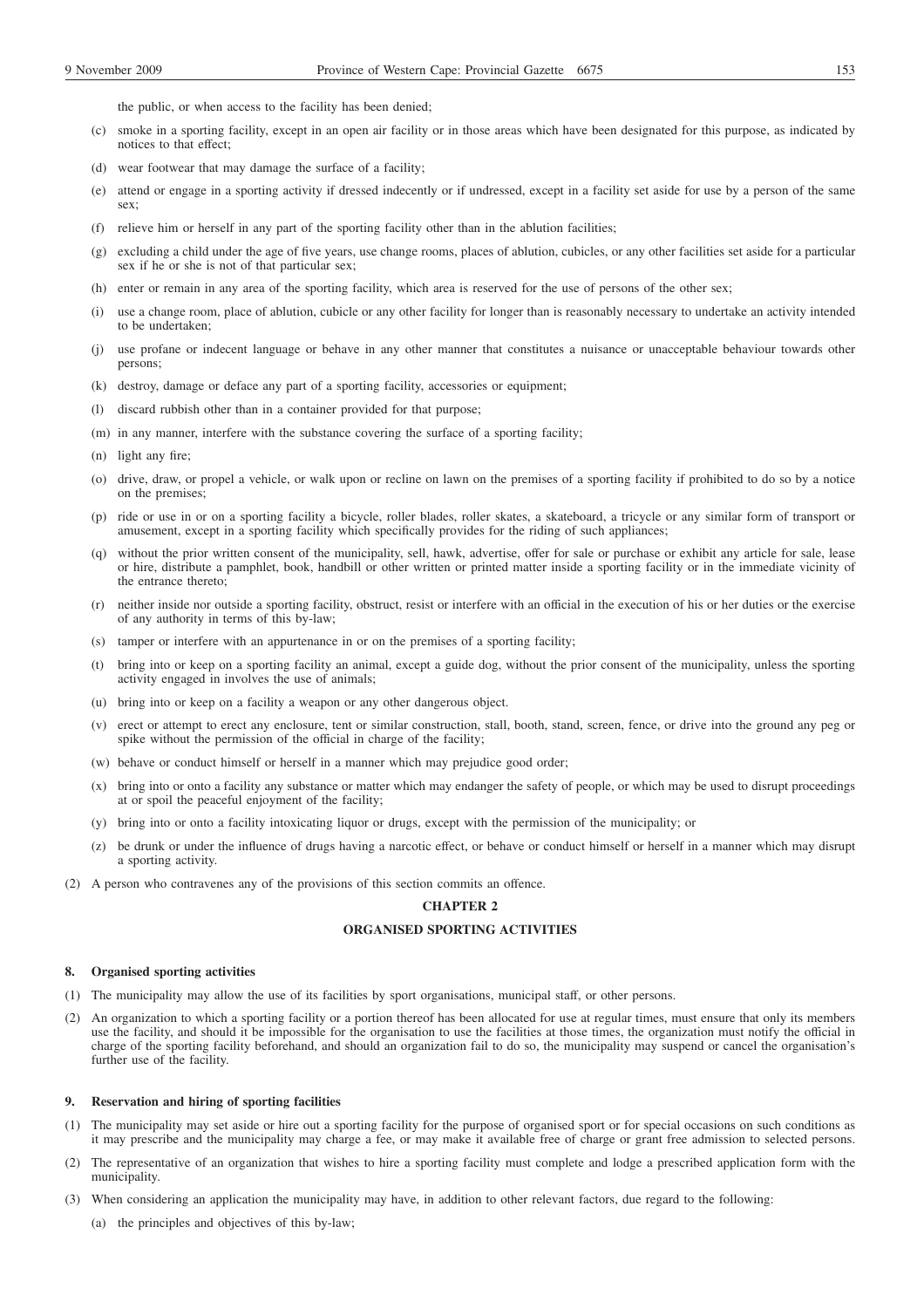- (c) smoke in a sporting facility, except in an open air facility or in those areas which have been designated for this purpose, as indicated by notices to that effect;
- (d) wear footwear that may damage the surface of a facility;
- (e) attend or engage in a sporting activity if dressed indecently or if undressed, except in a facility set aside for use by a person of the same sex:
- (f) relieve him or herself in any part of the sporting facility other than in the ablution facilities;
- (g) excluding a child under the age of five years, use change rooms, places of ablution, cubicles, or any other facilities set aside for a particular sex if he or she is not of that particular sex;
- (h) enter or remain in any area of the sporting facility, which area is reserved for the use of persons of the other sex;
- (i) use a change room, place of ablution, cubicle or any other facility for longer than is reasonably necessary to undertake an activity intended to be undertaken;
- (j) use profane or indecent language or behave in any other manner that constitutes a nuisance or unacceptable behaviour towards other persons;
- (k) destroy, damage or deface any part of a sporting facility, accessories or equipment;
- (l) discard rubbish other than in a container provided for that purpose;
- (m) in any manner, interfere with the substance covering the surface of a sporting facility;
- (n) light any fire;
- (o) drive, draw, or propel a vehicle, or walk upon or recline on lawn on the premises of a sporting facility if prohibited to do so by a notice on the premises;
- (p) ride or use in or on a sporting facility a bicycle, roller blades, roller skates, a skateboard, a tricycle or any similar form of transport or amusement, except in a sporting facility which specifically provides for the riding of such appliances;
- (q) without the prior written consent of the municipality, sell, hawk, advertise, offer for sale or purchase or exhibit any article for sale, lease or hire, distribute a pamphlet, book, handbill or other written or printed matter inside a sporting facility or in the immediate vicinity of the entrance thereto;
- (r) neither inside nor outside a sporting facility, obstruct, resist or interfere with an official in the execution of his or her duties or the exercise of any authority in terms of this by-law;
- (s) tamper or interfere with an appurtenance in or on the premises of a sporting facility;
- (t) bring into or keep on a sporting facility an animal, except a guide dog, without the prior consent of the municipality, unless the sporting activity engaged in involves the use of animals;
- (u) bring into or keep on a facility a weapon or any other dangerous object.
- (v) erect or attempt to erect any enclosure, tent or similar construction, stall, booth, stand, screen, fence, or drive into the ground any peg or spike without the permission of the official in charge of the facility;
- (w) behave or conduct himself or herself in a manner which may prejudice good order;
- (x) bring into or onto a facility any substance or matter which may endanger the safety of people, or which may be used to disrupt proceedings at or spoil the peaceful enjoyment of the facility;
- (y) bring into or onto a facility intoxicating liquor or drugs, except with the permission of the municipality; or
- (z) be drunk or under the influence of drugs having a narcotic effect, or behave or conduct himself or herself in a manner which may disrupt a sporting activity.
- (2) A person who contravenes any of the provisions of this section commits an offence.

# **CHAPTER 2**

# **ORGANISED SPORTING ACTIVITIES**

#### **8. Organised sporting activities**

- (1) The municipality may allow the use of its facilities by sport organisations, municipal staff, or other persons.
- (2) An organization to which a sporting facility or a portion thereof has been allocated for use at regular times, must ensure that only its members use the facility, and should it be impossible for the organisation to use the facilities at those times, the organization must notify the official in charge of the sporting facility beforehand, and should an organization fail to do so, the municipality may suspend or cancel the organisation's further use of the facility.

## **9. Reservation and hiring of sporting facilities**

- (1) The municipality may set aside or hire out a sporting facility for the purpose of organised sport or for special occasions on such conditions as it may prescribe and the municipality may charge a fee, or may make it available free of charge or grant free admission to selected persons.
- (2) The representative of an organization that wishes to hire a sporting facility must complete and lodge a prescribed application form with the municipality.
- (3) When considering an application the municipality may have, in addition to other relevant factors, due regard to the following:
	- (a) the principles and objectives of this by-law;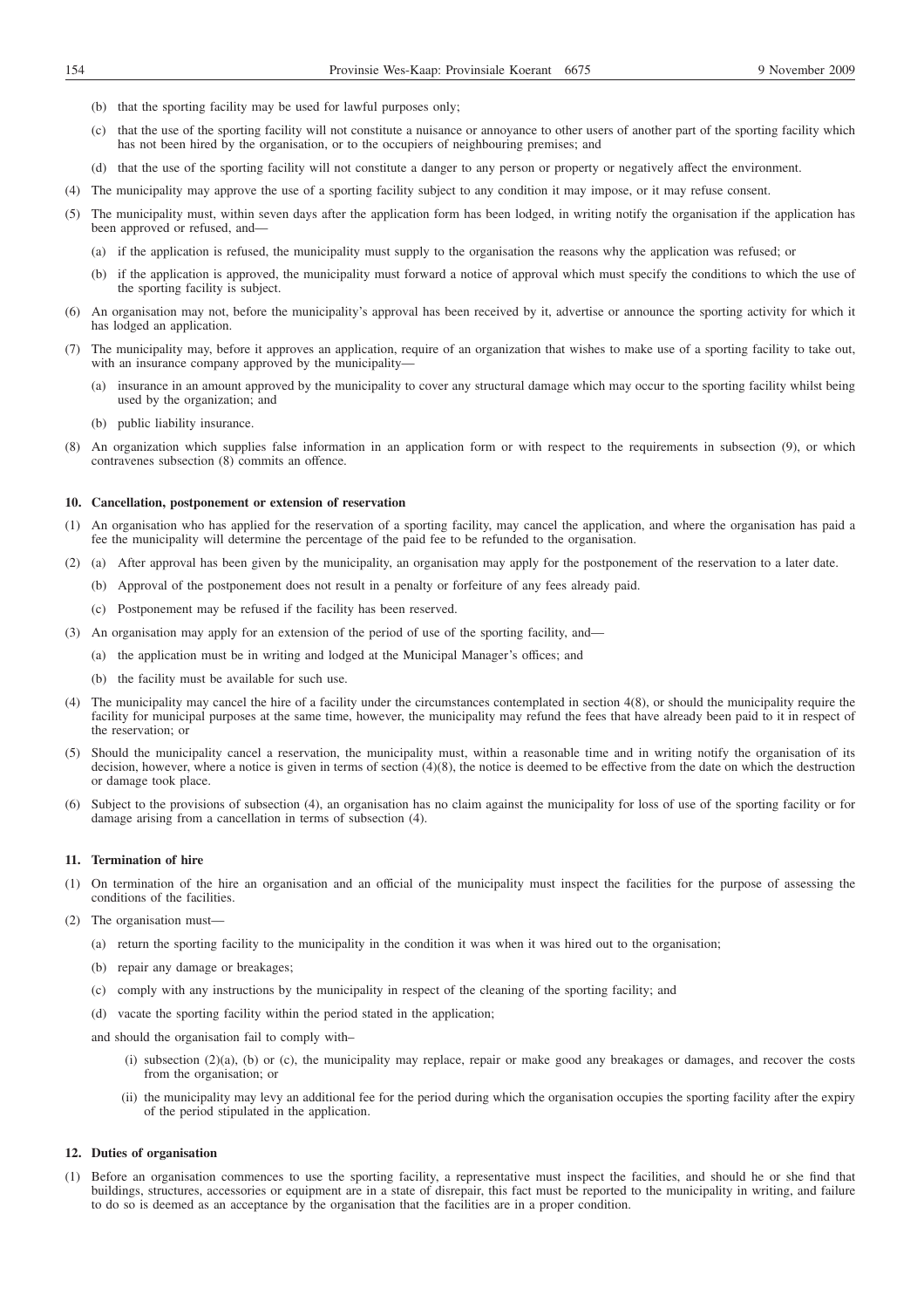- (b) that the sporting facility may be used for lawful purposes only;
- (c) that the use of the sporting facility will not constitute a nuisance or annoyance to other users of another part of the sporting facility which has not been hired by the organisation, or to the occupiers of neighbouring premises; and
- (d) that the use of the sporting facility will not constitute a danger to any person or property or negatively affect the environment.
- (4) The municipality may approve the use of a sporting facility subject to any condition it may impose, or it may refuse consent.
- (5) The municipality must, within seven days after the application form has been lodged, in writing notify the organisation if the application has been approved or refused, and—
	- (a) if the application is refused, the municipality must supply to the organisation the reasons why the application was refused; or
	- (b) if the application is approved, the municipality must forward a notice of approval which must specify the conditions to which the use of the sporting facility is subject.
- (6) An organisation may not, before the municipality's approval has been received by it, advertise or announce the sporting activity for which it has lodged an application.
- (7) The municipality may, before it approves an application, require of an organization that wishes to make use of a sporting facility to take out, with an insurance company approved by the municipality-
	- (a) insurance in an amount approved by the municipality to cover any structural damage which may occur to the sporting facility whilst being used by the organization; and
	- (b) public liability insurance.
- (8) An organization which supplies false information in an application form or with respect to the requirements in subsection (9), or which contravenes subsection (8) commits an offence.

#### **10. Cancellation, postponement or extension of reservation**

- (1) An organisation who has applied for the reservation of a sporting facility, may cancel the application, and where the organisation has paid a fee the municipality will determine the percentage of the paid fee to be refunded to the organisation.
- (2) (a) After approval has been given by the municipality, an organisation may apply for the postponement of the reservation to a later date.
	- (b) Approval of the postponement does not result in a penalty or forfeiture of any fees already paid.
	- (c) Postponement may be refused if the facility has been reserved.
- (3) An organisation may apply for an extension of the period of use of the sporting facility, and—
	- (a) the application must be in writing and lodged at the Municipal Manager's offices; and
	- (b) the facility must be available for such use.
- (4) The municipality may cancel the hire of a facility under the circumstances contemplated in section 4(8), or should the municipality require the facility for municipal purposes at the same time, however, the municipality may refund the fees that have already been paid to it in respect of the reservation; or
- (5) Should the municipality cancel a reservation, the municipality must, within a reasonable time and in writing notify the organisation of its decision, however, where a notice is given in terms of section (4)(8), the notice is deemed to be effective from the date on which the destruction or damage took place.
- (6) Subject to the provisions of subsection (4), an organisation has no claim against the municipality for loss of use of the sporting facility or for damage arising from a cancellation in terms of subsection (4).

## **11. Termination of hire**

- (1) On termination of the hire an organisation and an official of the municipality must inspect the facilities for the purpose of assessing the conditions of the facilities.
- (2) The organisation must—
	- (a) return the sporting facility to the municipality in the condition it was when it was hired out to the organisation;
	- (b) repair any damage or breakages;
	- (c) comply with any instructions by the municipality in respect of the cleaning of the sporting facility; and
	- (d) vacate the sporting facility within the period stated in the application;

and should the organisation fail to comply with–

- (i) subsection (2)(a), (b) or (c), the municipality may replace, repair or make good any breakages or damages, and recover the costs from the organisation; or
- (ii) the municipality may levy an additional fee for the period during which the organisation occupies the sporting facility after the expiry of the period stipulated in the application.

#### **12. Duties of organisation**

(1) Before an organisation commences to use the sporting facility, a representative must inspect the facilities, and should he or she find that buildings, structures, accessories or equipment are in a state of disrepair, this fact must be reported to the municipality in writing, and failure to do so is deemed as an acceptance by the organisation that the facilities are in a proper condition.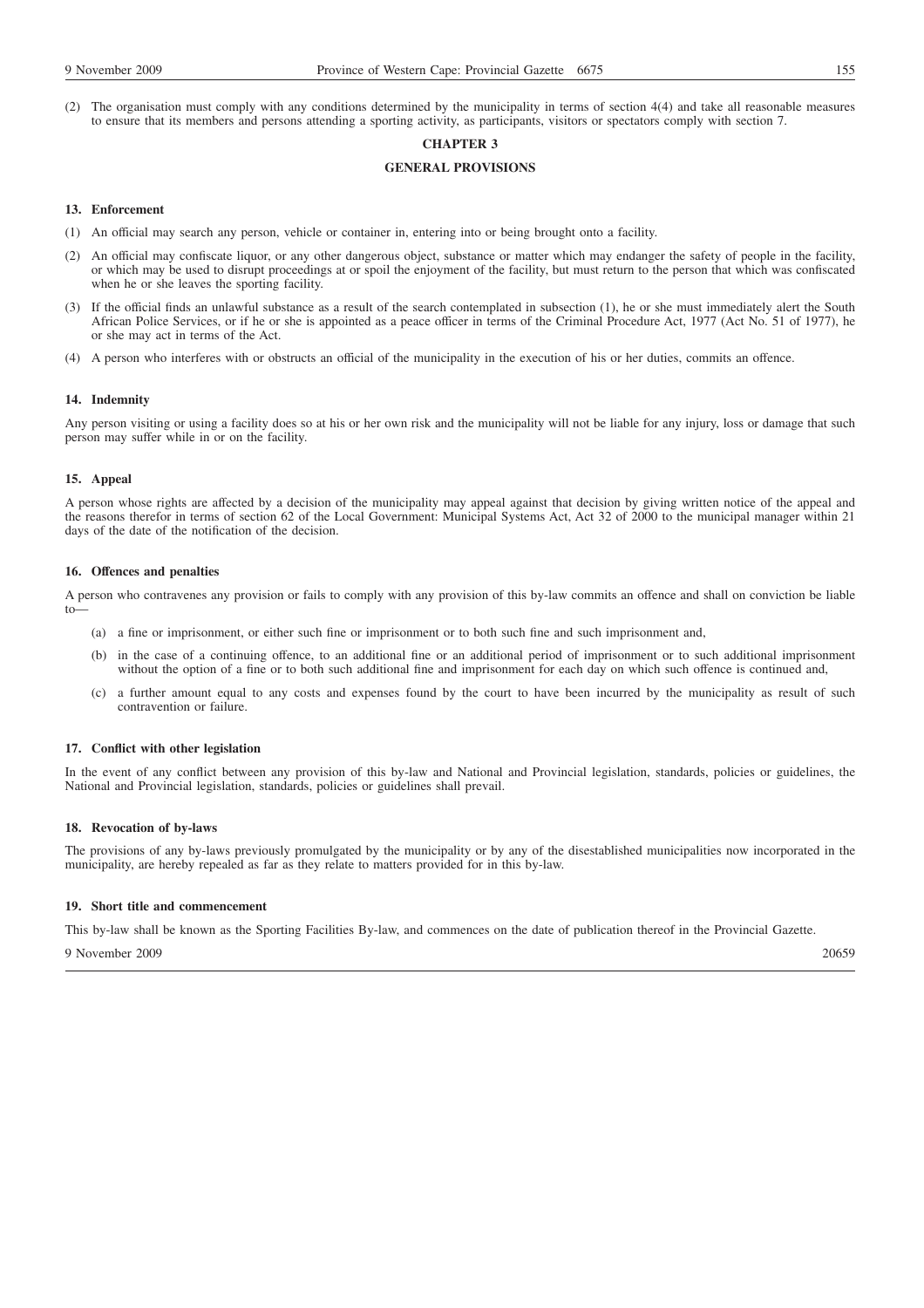(2) The organisation must comply with any conditions determined by the municipality in terms of section 4(4) and take all reasonable measures to ensure that its members and persons attending a sporting activity, as participants, visitors or spectators comply with section 7.

# **CHAPTER 3**

## **GENERAL PROVISIONS**

## **13. Enforcement**

- (1) An official may search any person, vehicle or container in, entering into or being brought onto a facility.
- (2) An official may confiscate liquor, or any other dangerous object, substance or matter which may endanger the safety of people in the facility, or which may be used to disrupt proceedings at or spoil the enjoyment of the facility, but must return to the person that which was confiscated when he or she leaves the sporting facility.
- (3) If the official finds an unlawful substance as a result of the search contemplated in subsection (1), he or she must immediately alert the South African Police Services, or if he or she is appointed as a peace officer in terms of the Criminal Procedure Act, 1977 (Act No. 51 of 1977), he or she may act in terms of the Act.
- (4) A person who interferes with or obstructs an official of the municipality in the execution of his or her duties, commits an offence.

## **14. Indemnity**

Any person visiting or using a facility does so at his or her own risk and the municipality will not be liable for any injury, loss or damage that such person may suffer while in or on the facility.

## **15. Appeal**

A person whose rights are affected by a decision of the municipality may appeal against that decision by giving written notice of the appeal and the reasons therefor in terms of section 62 of the Local Government: Municipal Systems Act, Act 32 of 2000 to the municipal manager within 21 days of the date of the notification of the decision.

#### **16. Offences and penalties**

A person who contravenes any provision or fails to comply with any provision of this by-law commits an offence and shall on conviction be liable to—

- (a) a fine or imprisonment, or either such fine or imprisonment or to both such fine and such imprisonment and,
- (b) in the case of a continuing offence, to an additional fine or an additional period of imprisonment or to such additional imprisonment without the option of a fine or to both such additional fine and imprisonment for each day on which such offence is continued and,
- (c) a further amount equal to any costs and expenses found by the court to have been incurred by the municipality as result of such contravention or failure.

#### **17. Conflict with other legislation**

In the event of any conflict between any provision of this by-law and National and Provincial legislation, standards, policies or guidelines, the National and Provincial legislation, standards, policies or guidelines shall prevail.

#### **18. Revocation of by-laws**

The provisions of any by-laws previously promulgated by the municipality or by any of the disestablished municipalities now incorporated in the municipality, are hereby repealed as far as they relate to matters provided for in this by-law.

#### **19. Short title and commencement**

This by-law shall be known as the Sporting Facilities By-law, and commences on the date of publication thereof in the Provincial Gazette.

9 November 2009 20659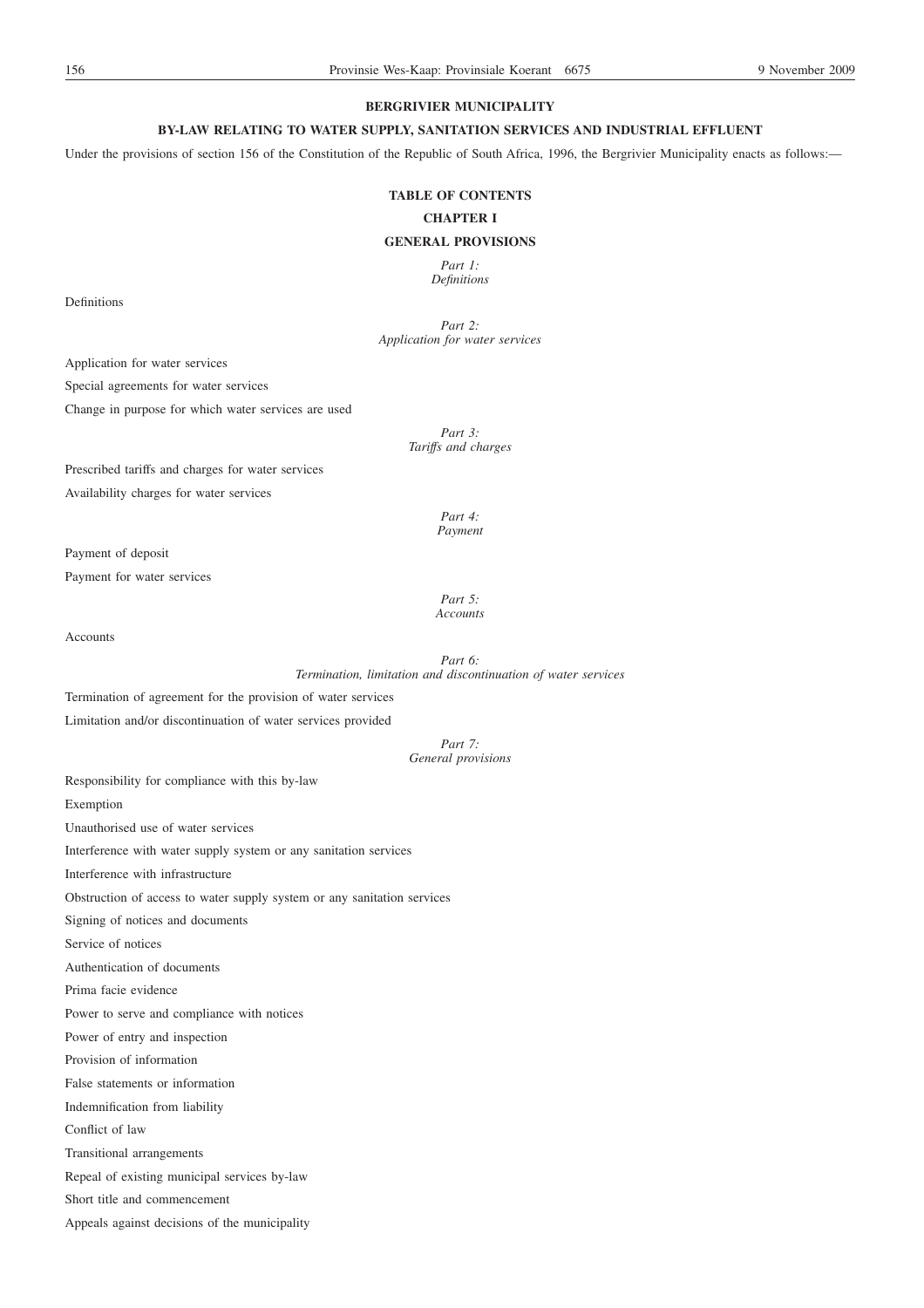# **BERGRIVIER MUNICIPALITY**

# **BY-LAW RELATING TO WATER SUPPLY, SANITATION SERVICES AND INDUSTRIAL EFFLUENT**

Under the provisions of section 156 of the Constitution of the Republic of South Africa, 1996, the Bergrivier Municipality enacts as follows:—

# **TABLE OF CONTENTS**

#### **CHAPTER I**

# **GENERAL PROVISIONS**

*Part 1: Definitions*

Definitions

*Part 2: Application for water services*

Application for water services

Special agreements for water services

Change in purpose for which water services are used

*Part 3: Tariffs and charges*

Prescribed tariffs and charges for water services

Availability charges for water services

*Part 4: Payment*

Payment of deposit

Payment for water services

*Part 5: Accounts*

Accounts

*Part 6: Termination, limitation and discontinuation of water services*

Termination of agreement for the provision of water services

Limitation and/or discontinuation of water services provided

*Part 7: General provisions*

Responsibility for compliance with this by-law Exemption Unauthorised use of water services

Interference with water supply system or any sanitation services

Interference with infrastructure

Obstruction of access to water supply system or any sanitation services

Signing of notices and documents

Service of notices

Authentication of documents

Prima facie evidence

Power to serve and compliance with notices

Power of entry and inspection

Provision of information

False statements or information

Indemnification from liability

Conflict of law

Transitional arrangements

Repeal of existing municipal services by-law

Short title and commencement

Appeals against decisions of the municipality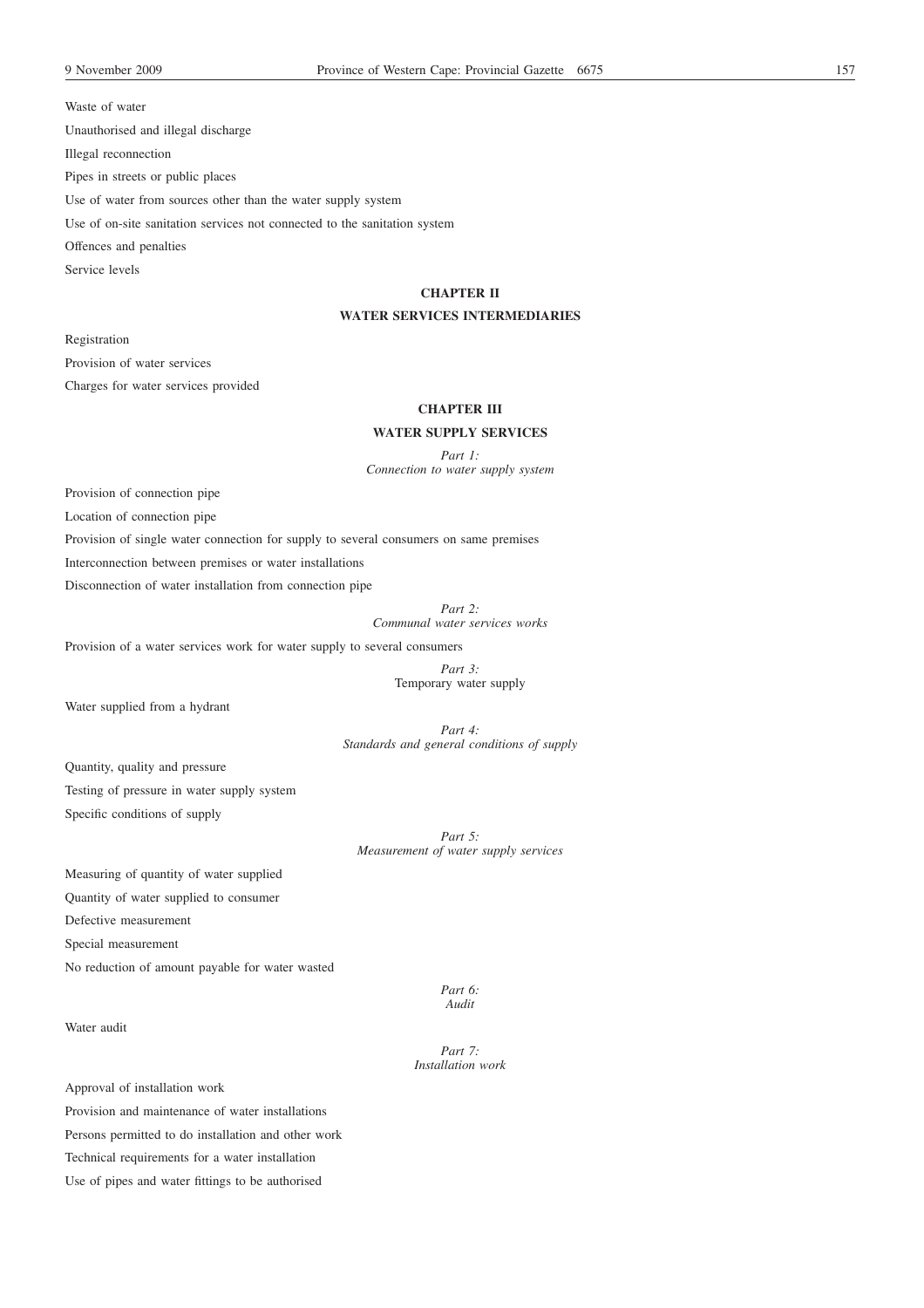Waste of water Unauthorised and illegal discharge Illegal reconnection Pipes in streets or public places Use of water from sources other than the water supply system Use of on-site sanitation services not connected to the sanitation system Offences and penalties Service levels

## **CHAPTER II**

## **WATER SERVICES INTERMEDIARIES**

Registration

Provision of water services

Charges for water services provided

# **CHAPTER III**

# **WATER SUPPLY SERVICES**

*Part 1:*

*Connection to water supply system*

Provision of connection pipe

Location of connection pipe

Provision of single water connection for supply to several consumers on same premises

Interconnection between premises or water installations

Disconnection of water installation from connection pipe

*Part 2: Communal water services works*

Provision of a water services work for water supply to several consumers

*Part 3:*

Temporary water supply

Water supplied from a hydrant

*Part 4: Standards and general conditions of supply*

Quantity, quality and pressure Testing of pressure in water supply system Specific conditions of supply

> *Part 5: Measurement of water supply services*

Measuring of quantity of water supplied Quantity of water supplied to consumer

Defective measurement

Special measurement

No reduction of amount payable for water wasted

*Part 6: Audit*

Water audit

*Part 7: Installation work*

Approval of installation work

Provision and maintenance of water installations Persons permitted to do installation and other work

Technical requirements for a water installation

Use of pipes and water fittings to be authorised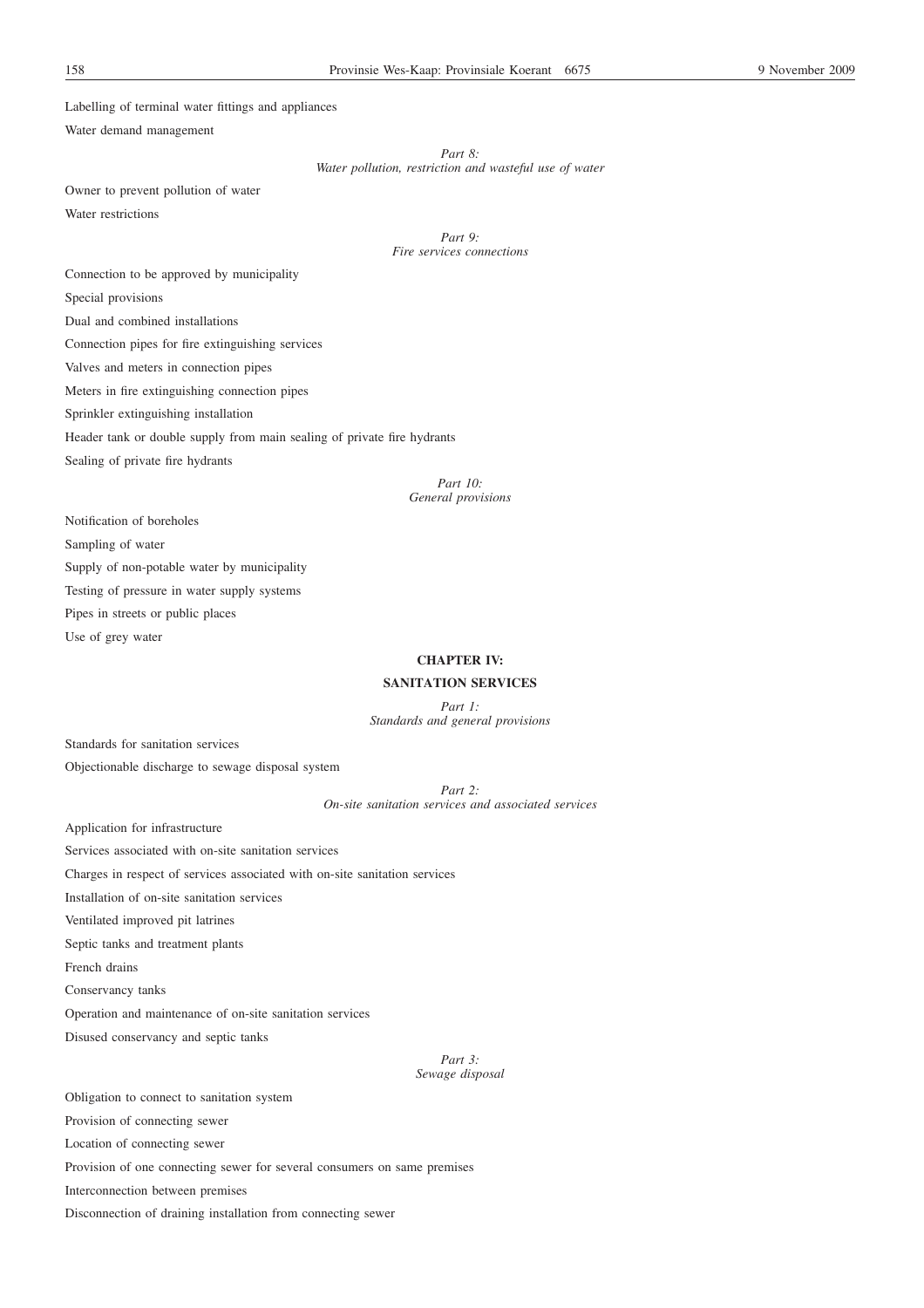Labelling of terminal water fittings and appliances

Water demand management

*Part 8:*

*Water pollution, restriction and wasteful use of water*

Owner to prevent pollution of water Water restrictions

> *Part 9: Fire services connections*

Connection to be approved by municipality

Special provisions

Dual and combined installations

Connection pipes for fire extinguishing services

Valves and meters in connection pipes

Meters in fire extinguishing connection pipes

Sprinkler extinguishing installation

Header tank or double supply from main sealing of private fire hydrants

Sealing of private fire hydrants

*Part 10: General provisions*

Notification of boreholes

Sampling of water

Supply of non-potable water by municipality

Testing of pressure in water supply systems

Pipes in streets or public places

Use of grey water

# **CHAPTER IV:**

## **SANITATION SERVICES**

*Part 1: Standards and general provisions*

Standards for sanitation services

Objectionable discharge to sewage disposal system

*Part 2: On-site sanitation services and associated services*

Application for infrastructure

Services associated with on-site sanitation services

Charges in respect of services associated with on-site sanitation services

Installation of on-site sanitation services

Ventilated improved pit latrines

Septic tanks and treatment plants

French drains

Conservancy tanks

Operation and maintenance of on-site sanitation services

Disused conservancy and septic tanks

*Part 3: Sewage disposal*

Obligation to connect to sanitation system Provision of connecting sewer Location of connecting sewer Provision of one connecting sewer for several consumers on same premises Interconnection between premises Disconnection of draining installation from connecting sewer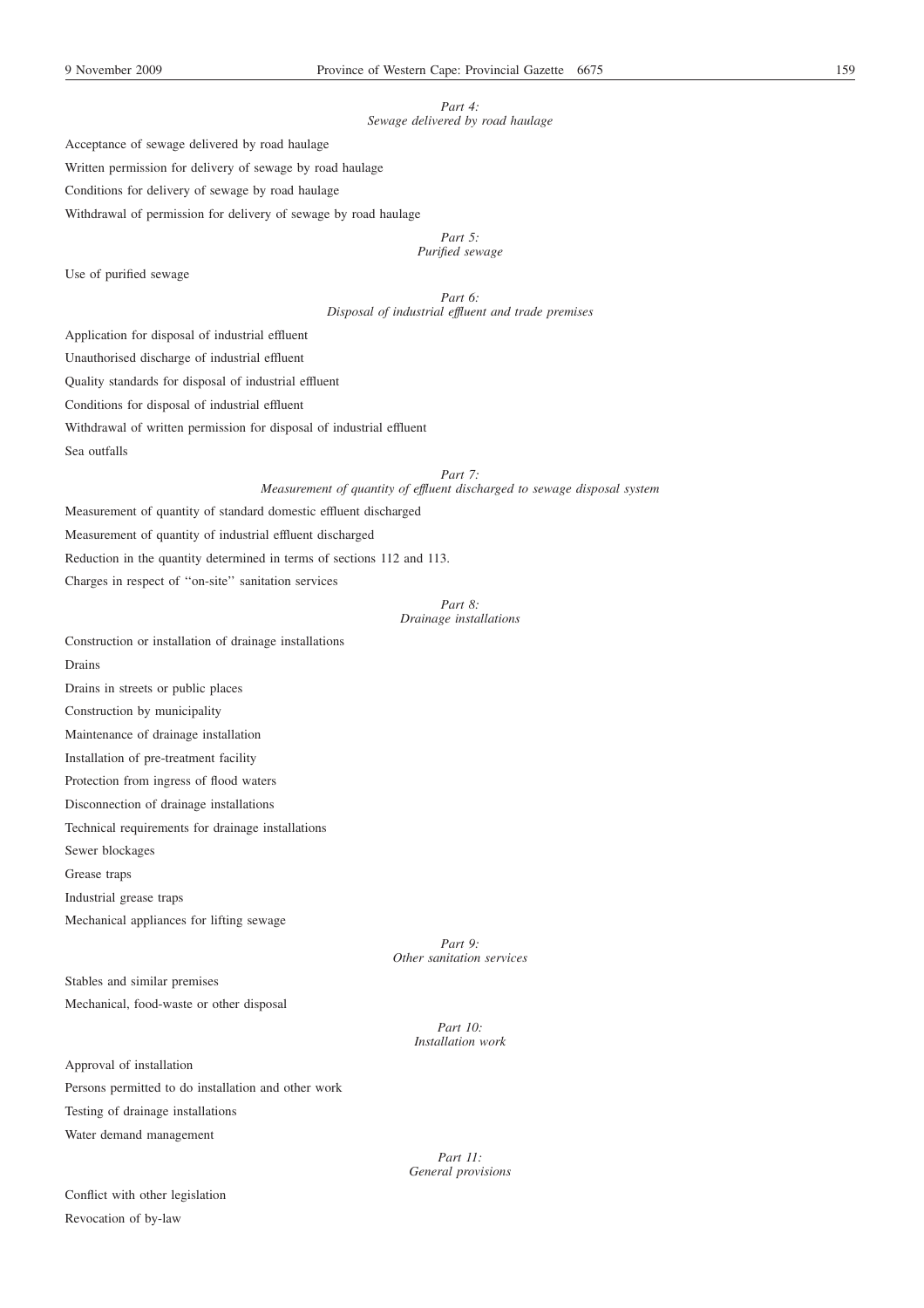## *Part 4: Sewage delivered by road haulage*

Acceptance of sewage delivered by road haulage

Written permission for delivery of sewage by road haulage

Conditions for delivery of sewage by road haulage

Withdrawal of permission for delivery of sewage by road haulage

*Part 5:*

*Purified sewage*

Use of purified sewage

*Part 6: Disposal of industrial effluent and trade premises*

Application for disposal of industrial effluent

Unauthorised discharge of industrial effluent

Quality standards for disposal of industrial effluent

Conditions for disposal of industrial effluent

Withdrawal of written permission for disposal of industrial effluent

Sea outfalls

*Part 7:*

*Measurement of quantity of effluent discharged to sewage disposal system*

Measurement of quantity of standard domestic effluent discharged

Measurement of quantity of industrial effluent discharged

Reduction in the quantity determined in terms of sections 112 and 113.

Charges in respect of ''on-site'' sanitation services

# *Part 8: Drainage installations*

Construction or installation of drainage installations

Drains

Drains in streets or public places

Construction by municipality

Maintenance of drainage installation

Installation of pre-treatment facility

Protection from ingress of flood waters

Disconnection of drainage installations

Technical requirements for drainage installations

Sewer blockages

Grease traps

Industrial grease traps

Mechanical appliances for lifting sewage

*Part 9: Other sanitation services*

Stables and similar premises Mechanical, food-waste or other disposal

> *Part 10: Installation work*

Approval of installation Persons permitted to do installation and other work Testing of drainage installations Water demand management

Conflict with other legislation Revocation of by-law

*Part 11: General provisions*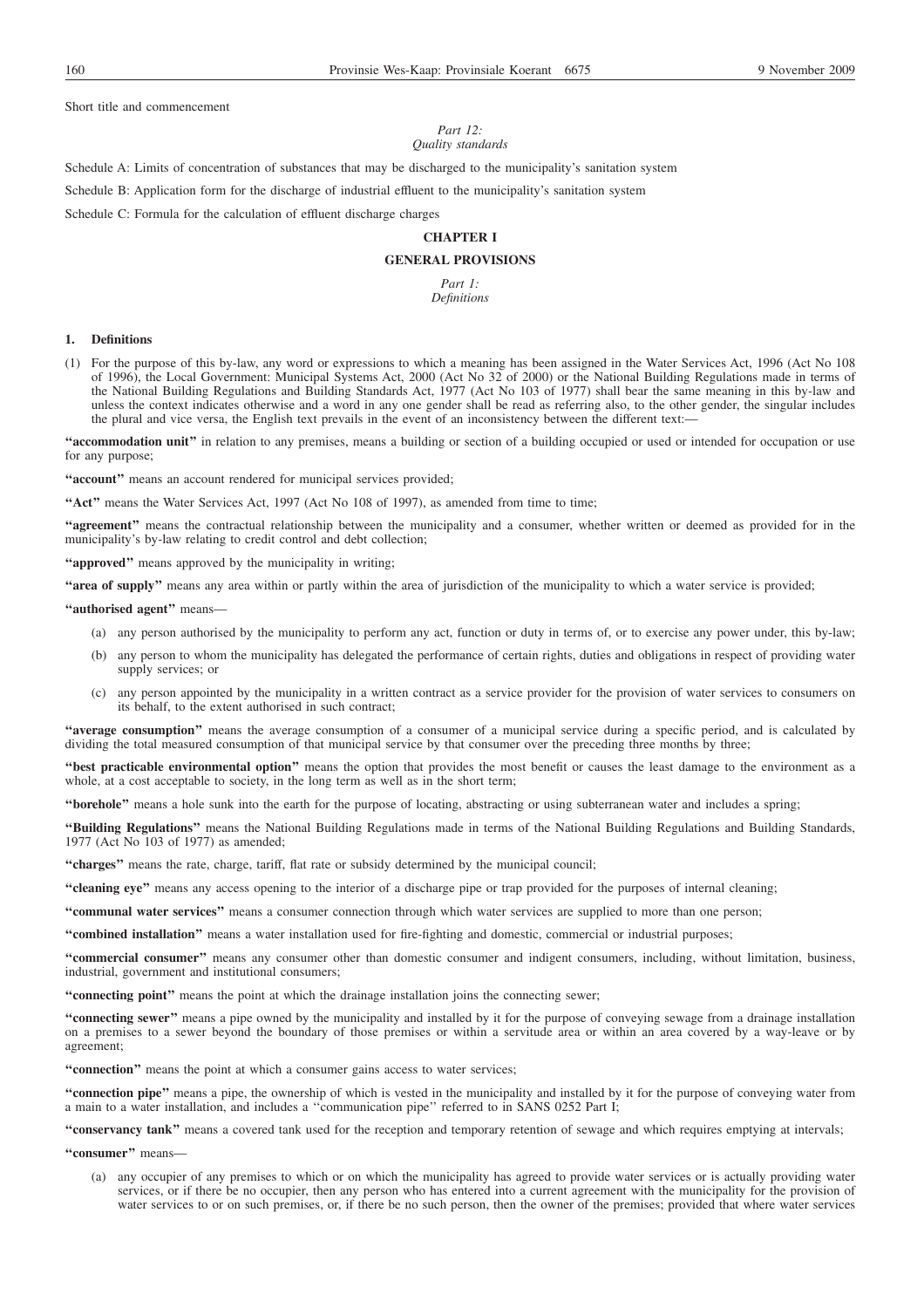Short title and commencement

#### *Part 12: Quality standards*

Schedule A: Limits of concentration of substances that may be discharged to the municipality's sanitation system

Schedule B: Application form for the discharge of industrial effluent to the municipality's sanitation system

Schedule C: Formula for the calculation of effluent discharge charges

## **CHAPTER I**

## **GENERAL PROVISIONS**

*Part 1: Definitions*

#### **1. Definitions**

(1) For the purpose of this by-law, any word or expressions to which a meaning has been assigned in the Water Services Act, 1996 (Act No 108 of 1996), the Local Government: Municipal Systems Act, 2000 (Act No 32 of 2000) or the National Building Regulations made in terms of the National Building Regulations and Building Standards Act, 1977 (Act No 103 of 1977) shall bear the same meaning in this by-law and unless the context indicates otherwise and a word in any one gender shall be read as referring also, to the other gender, the singular includes the plural and vice versa, the English text prevails in the event of an inconsistency between the different text:—

**''accommodation unit''** in relation to any premises, means a building or section of a building occupied or used or intended for occupation or use for any purpose;

"account" means an account rendered for municipal services provided;

**''Act''** means the Water Services Act, 1997 (Act No 108 of 1997), as amended from time to time;

**''agreement''** means the contractual relationship between the municipality and a consumer, whether written or deemed as provided for in the municipality's by-law relating to credit control and debt collection;

**''approved''** means approved by the municipality in writing;

**''area of supply''** means any area within or partly within the area of jurisdiction of the municipality to which a water service is provided;

#### **''authorised agent''** means—

- (a) any person authorised by the municipality to perform any act, function or duty in terms of, or to exercise any power under, this by-law;
- (b) any person to whom the municipality has delegated the performance of certain rights, duties and obligations in respect of providing water supply services; or
- (c) any person appointed by the municipality in a written contract as a service provider for the provision of water services to consumers on its behalf, to the extent authorised in such contract;

**''average consumption''** means the average consumption of a consumer of a municipal service during a specific period, and is calculated by dividing the total measured consumption of that municipal service by that consumer over the preceding three months by three;

**''best practicable environmental option''** means the option that provides the most benefit or causes the least damage to the environment as a whole, at a cost acceptable to society, in the long term as well as in the short term;

**''borehole''** means a hole sunk into the earth for the purpose of locating, abstracting or using subterranean water and includes a spring;

**''Building Regulations''** means the National Building Regulations made in terms of the National Building Regulations and Building Standards, 1977 (Act No 103 of 1977) as amended;

**''charges''** means the rate, charge, tariff, flat rate or subsidy determined by the municipal council;

**''cleaning eye''** means any access opening to the interior of a discharge pipe or trap provided for the purposes of internal cleaning;

**''communal water services''** means a consumer connection through which water services are supplied to more than one person;

**''combined installation''** means a water installation used for fire-fighting and domestic, commercial or industrial purposes;

**''commercial consumer''** means any consumer other than domestic consumer and indigent consumers, including, without limitation, business, industrial, government and institutional consumers;

**''connecting point''** means the point at which the drainage installation joins the connecting sewer;

**''connecting sewer''** means a pipe owned by the municipality and installed by it for the purpose of conveying sewage from a drainage installation on a premises to a sewer beyond the boundary of those premises or within a servitude area or within an area covered by a way-leave or by agreement;

**''connection''** means the point at which a consumer gains access to water services;

**''connection pipe''** means a pipe, the ownership of which is vested in the municipality and installed by it for the purpose of conveying water from a main to a water installation, and includes a ''communication pipe'' referred to in SANS 0252 Part I;

**''conservancy tank''** means a covered tank used for the reception and temporary retention of sewage and which requires emptying at intervals;

**''consumer''** means—

(a) any occupier of any premises to which or on which the municipality has agreed to provide water services or is actually providing water services, or if there be no occupier, then any person who has entered into a current agreement with the municipality for the provision of water services to or on such premises, or, if there be no such person, then the owner of the premises; provided that where water services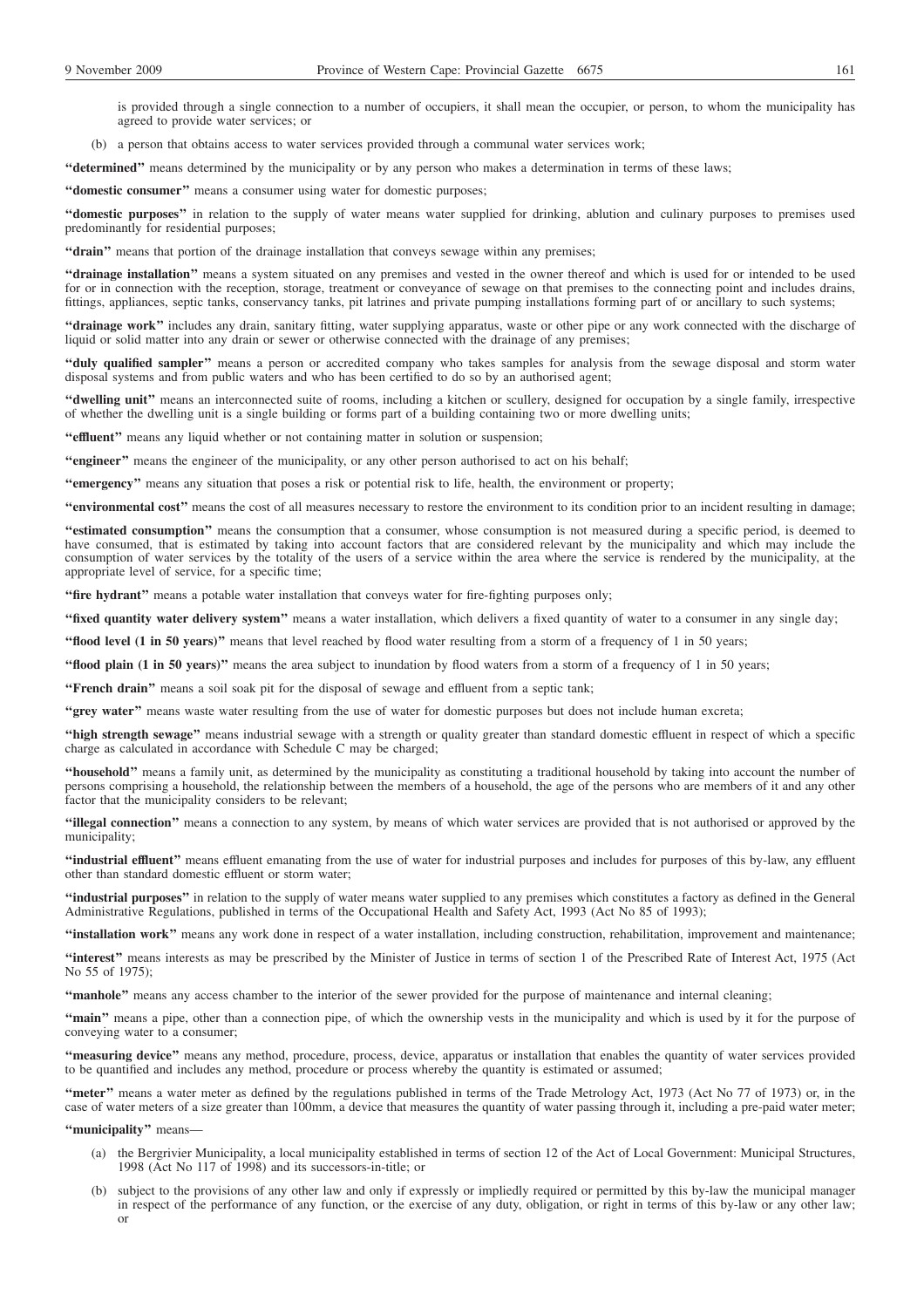is provided through a single connection to a number of occupiers, it shall mean the occupier, or person, to whom the municipality has agreed to provide water services; or

(b) a person that obtains access to water services provided through a communal water services work;

**''determined''** means determined by the municipality or by any person who makes a determination in terms of these laws;

**''domestic consumer''** means a consumer using water for domestic purposes;

**''domestic purposes''** in relation to the supply of water means water supplied for drinking, ablution and culinary purposes to premises used predominantly for residential purposes;

"drain" means that portion of the drainage installation that conveys sewage within any premises;

**''drainage installation''** means a system situated on any premises and vested in the owner thereof and which is used for or intended to be used for or in connection with the reception, storage, treatment or conveyance of sewage on that premises to the connecting point and includes drains, fittings, appliances, septic tanks, conservancy tanks, pit latrines and private pumping installations forming part of or ancillary to such systems;

**''drainage work''** includes any drain, sanitary fitting, water supplying apparatus, waste or other pipe or any work connected with the discharge of liquid or solid matter into any drain or sewer or otherwise connected with the drainage of any premises;

**''duly qualified sampler''** means a person or accredited company who takes samples for analysis from the sewage disposal and storm water disposal systems and from public waters and who has been certified to do so by an authorised agent;

**''dwelling unit''** means an interconnected suite of rooms, including a kitchen or scullery, designed for occupation by a single family, irrespective of whether the dwelling unit is a single building or forms part of a building containing two or more dwelling units;

"effluent" means any liquid whether or not containing matter in solution or suspension;

**''engineer''** means the engineer of the municipality, or any other person authorised to act on his behalf;

**''emergency''** means any situation that poses a risk or potential risk to life, health, the environment or property;

**''environmental cost''** means the cost of all measures necessary to restore the environment to its condition prior to an incident resulting in damage;

**''estimated consumption''** means the consumption that a consumer, whose consumption is not measured during a specific period, is deemed to have consumed, that is estimated by taking into account factors that are considered relevant by the municipality and which may include the consumption of water services by the totality of the users of a service within the area where the service is rendered by the municipality, at the appropriate level of service, for a specific time;

**''fire hydrant''** means a potable water installation that conveys water for fire-fighting purposes only;

**''fixed quantity water delivery system''** means a water installation, which delivers a fixed quantity of water to a consumer in any single day;

**''flood level (1 in 50 years)''** means that level reached by flood water resulting from a storm of a frequency of 1 in 50 years;

**''flood plain (1 in 50 years)''** means the area subject to inundation by flood waters from a storm of a frequency of 1 in 50 years;

**''French drain''** means a soil soak pit for the disposal of sewage and effluent from a septic tank;

**''grey water''** means waste water resulting from the use of water for domestic purposes but does not include human excreta;

**''high strength sewage''** means industrial sewage with a strength or quality greater than standard domestic effluent in respect of which a specific charge as calculated in accordance with Schedule C may be charged;

**''household''** means a family unit, as determined by the municipality as constituting a traditional household by taking into account the number of persons comprising a household, the relationship between the members of a household, the age of the persons who are members of it and any other factor that the municipality considers to be relevant;

**''illegal connection''** means a connection to any system, by means of which water services are provided that is not authorised or approved by the municipality;

**''industrial effluent''** means effluent emanating from the use of water for industrial purposes and includes for purposes of this by-law, any effluent other than standard domestic effluent or storm water;

**''industrial purposes''** in relation to the supply of water means water supplied to any premises which constitutes a factory as defined in the General Administrative Regulations, published in terms of the Occupational Health and Safety Act, 1993 (Act No 85 of 1993);

**''installation work''** means any work done in respect of a water installation, including construction, rehabilitation, improvement and maintenance;

**''interest''** means interests as may be prescribed by the Minister of Justice in terms of section 1 of the Prescribed Rate of Interest Act, 1975 (Act No 55 of 1975);

**''manhole''** means any access chamber to the interior of the sewer provided for the purpose of maintenance and internal cleaning;

**''main''** means a pipe, other than a connection pipe, of which the ownership vests in the municipality and which is used by it for the purpose of conveying water to a consumer;

**''measuring device''** means any method, procedure, process, device, apparatus or installation that enables the quantity of water services provided to be quantified and includes any method, procedure or process whereby the quantity is estimated or assumed;

**''meter''** means a water meter as defined by the regulations published in terms of the Trade Metrology Act, 1973 (Act No 77 of 1973) or, in the case of water meters of a size greater than 100mm, a device that measures the quantity of water passing through it, including a pre-paid water meter;

**''municipality''** means—

- (a) the Bergrivier Municipality, a local municipality established in terms of section 12 of the Act of Local Government: Municipal Structures, 1998 (Act No 117 of 1998) and its successors-in-title; or
- (b) subject to the provisions of any other law and only if expressly or impliedly required or permitted by this by-law the municipal manager in respect of the performance of any function, or the exercise of any duty, obligation, or right in terms of this by-law or any other law; or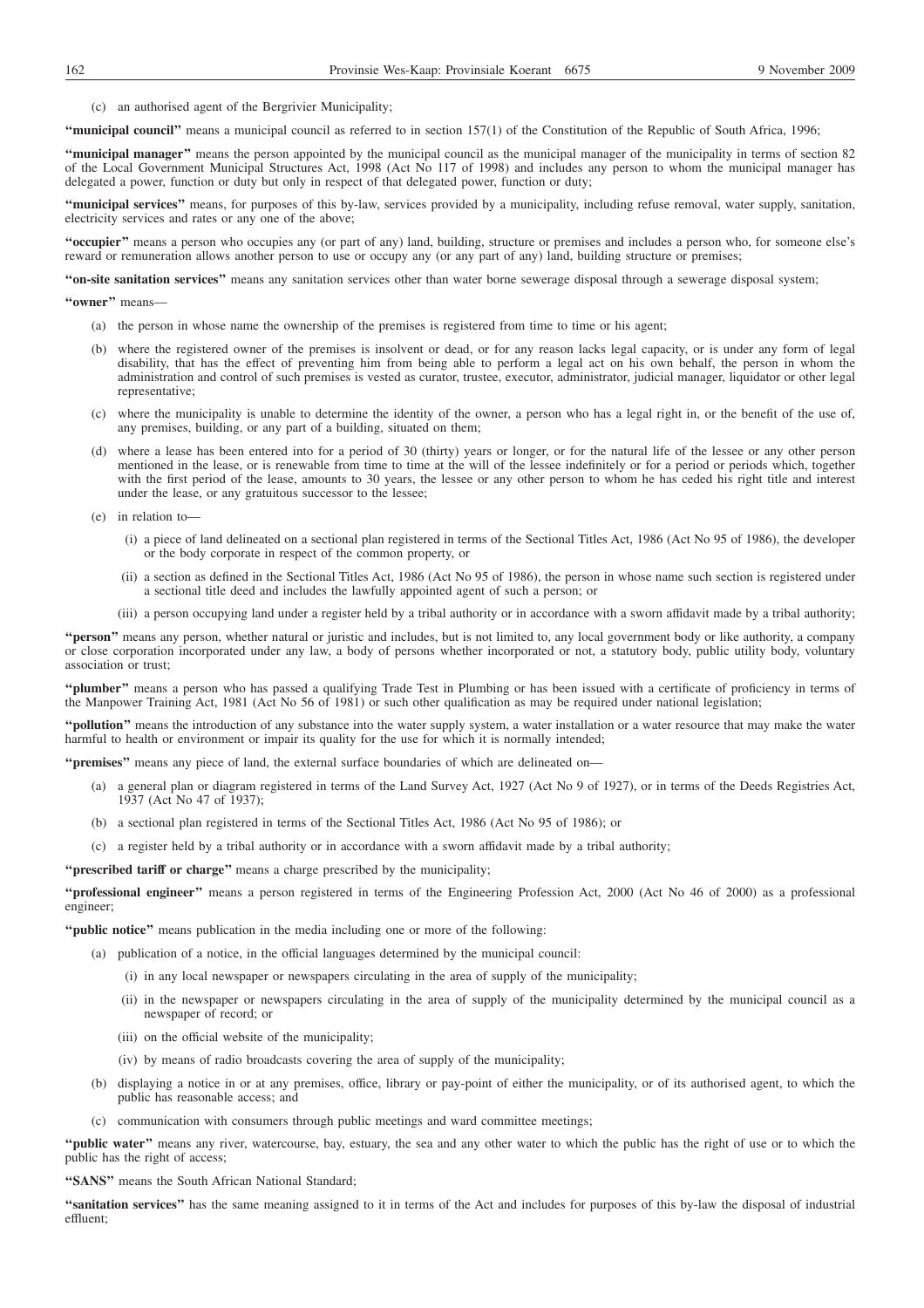(c) an authorised agent of the Bergrivier Municipality;

**''municipal council''** means a municipal council as referred to in section 157(1) of the Constitution of the Republic of South Africa, 1996;

**''municipal manager''** means the person appointed by the municipal council as the municipal manager of the municipality in terms of section 82 of the Local Government Municipal Structures Act, 1998 (Act No 117 of 1998) and includes any person to whom the municipal manager has delegated a power, function or duty but only in respect of that delegated power, function or duty;

**''municipal services''** means, for purposes of this by-law, services provided by a municipality, including refuse removal, water supply, sanitation, electricity services and rates or any one of the above:

**''occupier''** means a person who occupies any (or part of any) land, building, structure or premises and includes a person who, for someone else's reward or remuneration allows another person to use or occupy any (or any part of any) land, building structure or premises;

**''on-site sanitation services''** means any sanitation services other than water borne sewerage disposal through a sewerage disposal system;

## **''owner''** means—

- (a) the person in whose name the ownership of the premises is registered from time to time or his agent;
- (b) where the registered owner of the premises is insolvent or dead, or for any reason lacks legal capacity, or is under any form of legal disability, that has the effect of preventing him from being able to perform a legal act on his own behalf, the person in whom the administration and control of such premises is vested as curator, trustee, executor, administrator, judicial manager, liquidator or other legal representative;
- (c) where the municipality is unable to determine the identity of the owner, a person who has a legal right in, or the benefit of the use of, any premises, building, or any part of a building, situated on them;
- (d) where a lease has been entered into for a period of 30 (thirty) years or longer, or for the natural life of the lessee or any other person mentioned in the lease, or is renewable from time to time at the will of the lessee indefinitely or for a period or periods which, together with the first period of the lease, amounts to 30 years, the lessee or any other person to whom he has ceded his right title and interest under the lease, or any gratuitous successor to the lessee;
- (e) in relation to—
	- (i) a piece of land delineated on a sectional plan registered in terms of the Sectional Titles Act, 1986 (Act No 95 of 1986), the developer or the body corporate in respect of the common property, or
	- (ii) a section as defined in the Sectional Titles Act, 1986 (Act No 95 of 1986), the person in whose name such section is registered under a sectional title deed and includes the lawfully appointed agent of such a person; or
	- (iii) a person occupying land under a register held by a tribal authority or in accordance with a sworn affidavit made by a tribal authority;

**''person''** means any person, whether natural or juristic and includes, but is not limited to, any local government body or like authority, a company or close corporation incorporated under any law, a body of persons whether incorporated or not, a statutory body, public utility body, voluntary association or trust;

**''plumber''** means a person who has passed a qualifying Trade Test in Plumbing or has been issued with a certificate of proficiency in terms of the Manpower Training Act, 1981 (Act No 56 of 1981) or such other qualification as may be required under national legislation;

**''pollution''** means the introduction of any substance into the water supply system, a water installation or a water resource that may make the water harmful to health or environment or impair its quality for the use for which it is normally intended;

**''premises''** means any piece of land, the external surface boundaries of which are delineated on—

- (a) a general plan or diagram registered in terms of the Land Survey Act, 1927 (Act No 9 of 1927), or in terms of the Deeds Registries Act, 1937 (Act No 47 of 1937);
- (b) a sectional plan registered in terms of the Sectional Titles Act, 1986 (Act No 95 of 1986); or
- (c) a register held by a tribal authority or in accordance with a sworn affidavit made by a tribal authority;

**''prescribed tariff or charge''** means a charge prescribed by the municipality;

**''professional engineer''** means a person registered in terms of the Engineering Profession Act, 2000 (Act No 46 of 2000) as a professional engineer;

**''public notice''** means publication in the media including one or more of the following:

- (a) publication of a notice, in the official languages determined by the municipal council:
	- (i) in any local newspaper or newspapers circulating in the area of supply of the municipality;
	- (ii) in the newspaper or newspapers circulating in the area of supply of the municipality determined by the municipal council as a newspaper of record; or
	- (iii) on the official website of the municipality;
	- (iv) by means of radio broadcasts covering the area of supply of the municipality;
- (b) displaying a notice in or at any premises, office, library or pay-point of either the municipality, or of its authorised agent, to which the public has reasonable access; and
- (c) communication with consumers through public meetings and ward committee meetings;

**''public water''** means any river, watercourse, bay, estuary, the sea and any other water to which the public has the right of use or to which the public has the right of access;

**''SANS''** means the South African National Standard;

**''sanitation services''** has the same meaning assigned to it in terms of the Act and includes for purposes of this by-law the disposal of industrial effluent;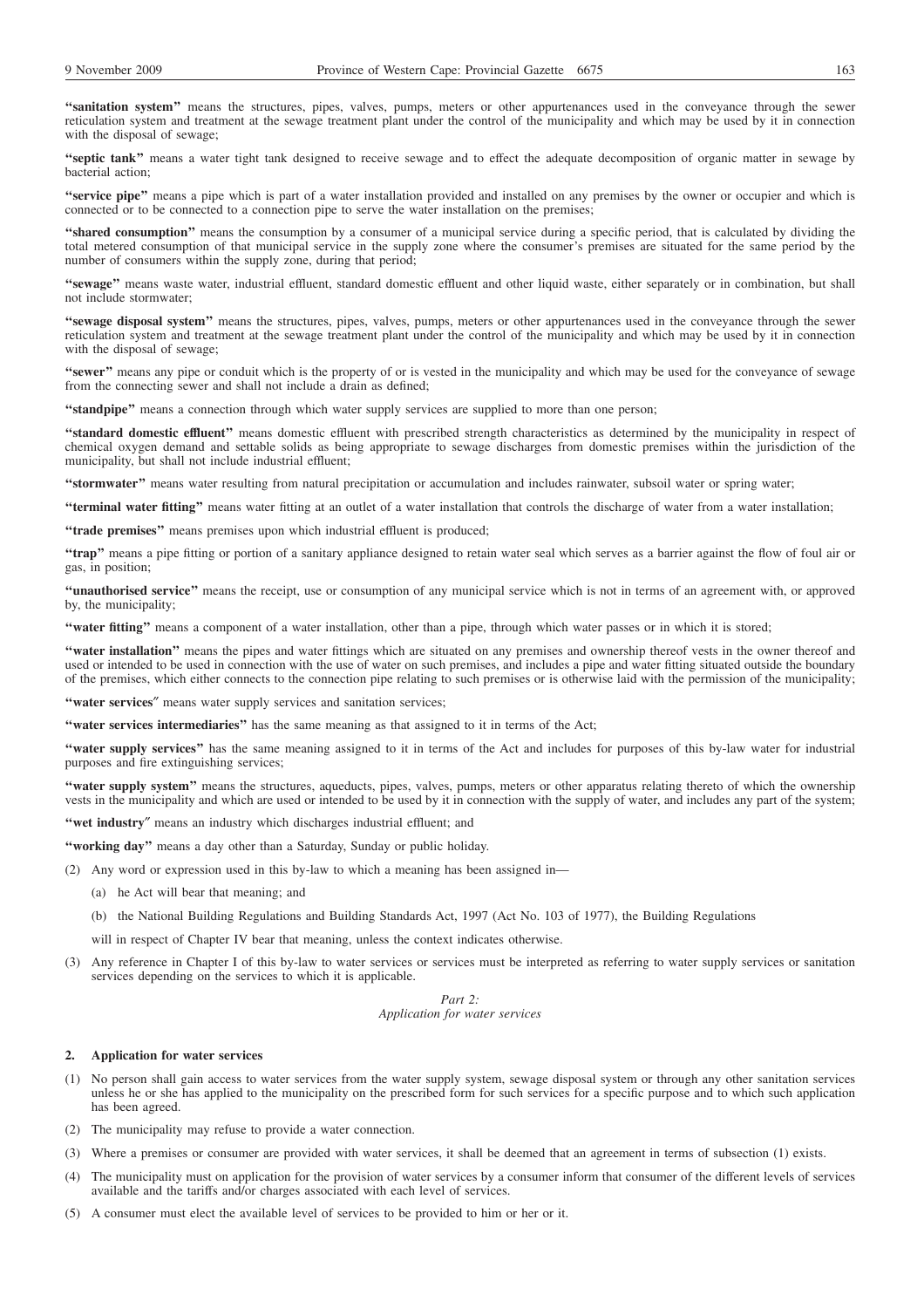**''sanitation system''** means the structures, pipes, valves, pumps, meters or other appurtenances used in the conveyance through the sewer reticulation system and treatment at the sewage treatment plant under the control of the municipality and which may be used by it in connection with the disposal of sewage;

**''septic tank''** means a water tight tank designed to receive sewage and to effect the adequate decomposition of organic matter in sewage by bacterial action;

**''service pipe''** means a pipe which is part of a water installation provided and installed on any premises by the owner or occupier and which is connected or to be connected to a connection pipe to serve the water installation on the premises;

**''shared consumption''** means the consumption by a consumer of a municipal service during a specific period, that is calculated by dividing the total metered consumption of that municipal service in the supply zone where the consumer's premises are situated for the same period by the number of consumers within the supply zone, during that period;

**''sewage''** means waste water, industrial effluent, standard domestic effluent and other liquid waste, either separately or in combination, but shall not include stormwater;

**''sewage disposal system''** means the structures, pipes, valves, pumps, meters or other appurtenances used in the conveyance through the sewer reticulation system and treatment at the sewage treatment plant under the control of the municipality and which may be used by it in connection with the disposal of sewage;

**''sewer''** means any pipe or conduit which is the property of or is vested in the municipality and which may be used for the conveyance of sewage from the connecting sewer and shall not include a drain as defined;

**"standpipe"** means a connection through which water supply services are supplied to more than one person;

**''standard domestic effluent''** means domestic effluent with prescribed strength characteristics as determined by the municipality in respect of chemical oxygen demand and settable solids as being appropriate to sewage discharges from domestic premises within the jurisdiction of the municipality, but shall not include industrial effluent;

**''stormwater''** means water resulting from natural precipitation or accumulation and includes rainwater, subsoil water or spring water;

**''terminal water fitting''** means water fitting at an outlet of a water installation that controls the discharge of water from a water installation;

"trade premises" means premises upon which industrial effluent is produced;

**''trap''** means a pipe fitting or portion of a sanitary appliance designed to retain water seal which serves as a barrier against the flow of foul air or gas, in position;

**''unauthorised service''** means the receipt, use or consumption of any municipal service which is not in terms of an agreement with, or approved by, the municipality;

**''water fitting''** means a component of a water installation, other than a pipe, through which water passes or in which it is stored;

**''water installation''** means the pipes and water fittings which are situated on any premises and ownership thereof vests in the owner thereof and used or intended to be used in connection with the use of water on such premises, and includes a pipe and water fitting situated outside the boundary of the premises, which either connects to the connection pipe relating to such premises or is otherwise laid with the permission of the municipality;

"water services" means water supply services and sanitation services;

**''water services intermediaries''** has the same meaning as that assigned to it in terms of the Act;

**''water supply services''** has the same meaning assigned to it in terms of the Act and includes for purposes of this by-law water for industrial purposes and fire extinguishing services;

**''water supply system''** means the structures, aqueducts, pipes, valves, pumps, meters or other apparatus relating thereto of which the ownership vests in the municipality and which are used or intended to be used by it in connection with the supply of water, and includes any part of the system;

**''wet industry**″ means an industry which discharges industrial effluent; and

**''working day''** means a day other than a Saturday, Sunday or public holiday.

- (2) Any word or expression used in this by-law to which a meaning has been assigned in—
	- (a) he Act will bear that meaning; and
	- (b) the National Building Regulations and Building Standards Act, 1997 (Act No. 103 of 1977), the Building Regulations

will in respect of Chapter IV bear that meaning, unless the context indicates otherwise.

(3) Any reference in Chapter I of this by-law to water services or services must be interpreted as referring to water supply services or sanitation services depending on the services to which it is applicable.

> *Part 2: Application for water services*

#### **2. Application for water services**

(1) No person shall gain access to water services from the water supply system, sewage disposal system or through any other sanitation services unless he or she has applied to the municipality on the prescribed form for such services for a specific purpose and to which such application has been agreed.

(2) The municipality may refuse to provide a water connection.

- (3) Where a premises or consumer are provided with water services, it shall be deemed that an agreement in terms of subsection (1) exists.
- (4) The municipality must on application for the provision of water services by a consumer inform that consumer of the different levels of services available and the tariffs and/or charges associated with each level of services.
- (5) A consumer must elect the available level of services to be provided to him or her or it.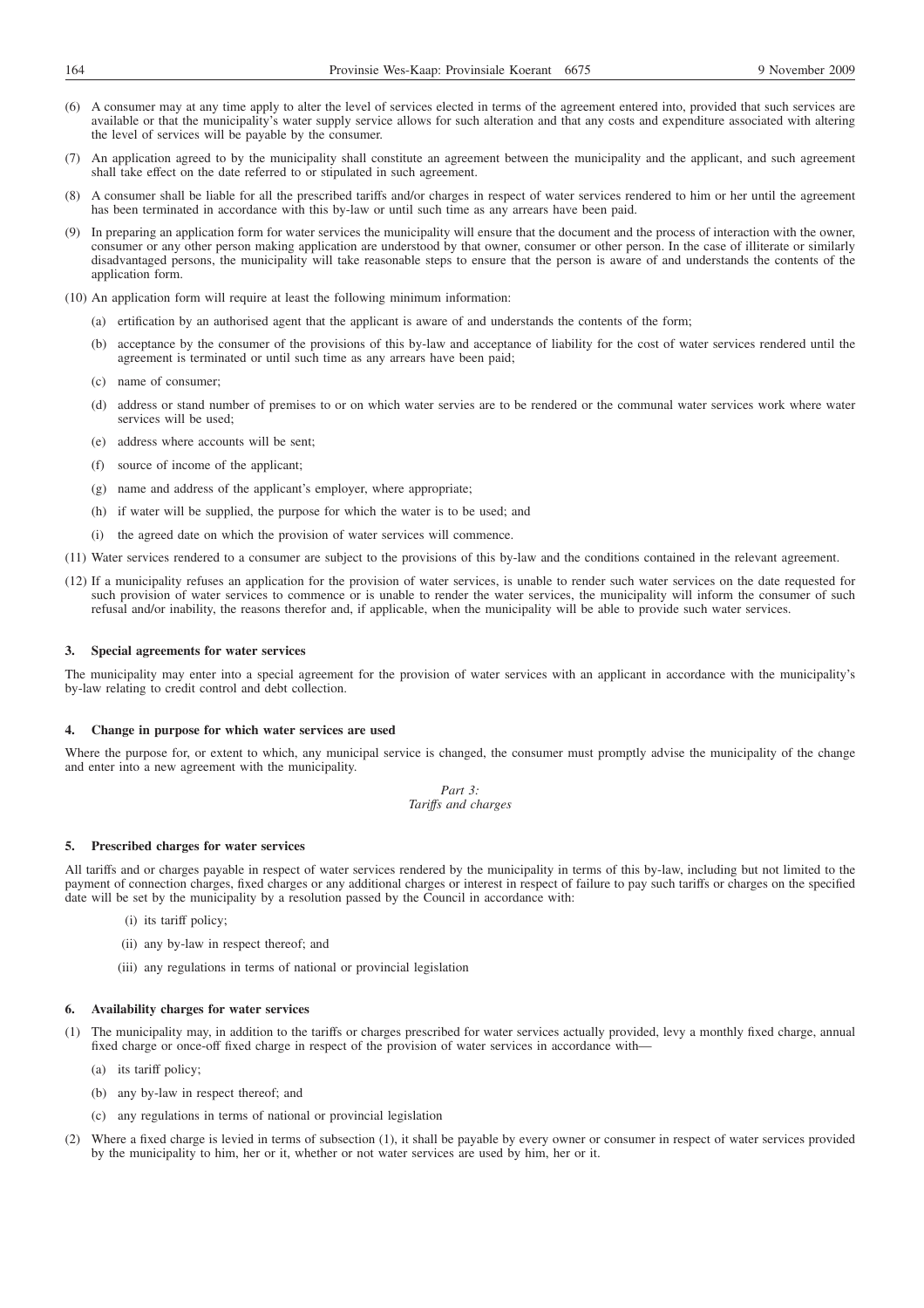- (6) A consumer may at any time apply to alter the level of services elected in terms of the agreement entered into, provided that such services are available or that the municipality's water supply service allows for such alteration and that any costs and expenditure associated with altering the level of services will be payable by the consumer.
- (7) An application agreed to by the municipality shall constitute an agreement between the municipality and the applicant, and such agreement shall take effect on the date referred to or stipulated in such agreement.
- (8) A consumer shall be liable for all the prescribed tariffs and/or charges in respect of water services rendered to him or her until the agreement has been terminated in accordance with this by-law or until such time as any arrears have been paid.
- (9) In preparing an application form for water services the municipality will ensure that the document and the process of interaction with the owner, consumer or any other person making application are understood by that owner, consumer or other person. In the case of illiterate or similarly disadvantaged persons, the municipality will take reasonable steps to ensure that the person is aware of and understands the contents of the application form.
- (10) An application form will require at least the following minimum information:
	- (a) ertification by an authorised agent that the applicant is aware of and understands the contents of the form;
	- (b) acceptance by the consumer of the provisions of this by-law and acceptance of liability for the cost of water services rendered until the agreement is terminated or until such time as any arrears have been paid;
	- (c) name of consumer;
	- (d) address or stand number of premises to or on which water servies are to be rendered or the communal water services work where water services will be used;
	- (e) address where accounts will be sent;
	- (f) source of income of the applicant;
	- (g) name and address of the applicant's employer, where appropriate;
	- (h) if water will be supplied, the purpose for which the water is to be used; and
	- (i) the agreed date on which the provision of water services will commence.
- (11) Water services rendered to a consumer are subject to the provisions of this by-law and the conditions contained in the relevant agreement.
- (12) If a municipality refuses an application for the provision of water services, is unable to render such water services on the date requested for such provision of water services to commence or is unable to render the water services, the municipality will inform the consumer of such refusal and/or inability, the reasons therefor and, if applicable, when the municipality will be able to provide such water services.

#### **3. Special agreements for water services**

The municipality may enter into a special agreement for the provision of water services with an applicant in accordance with the municipality's by-law relating to credit control and debt collection.

#### **4. Change in purpose for which water services are used**

Where the purpose for, or extent to which, any municipal service is changed, the consumer must promptly advise the municipality of the change and enter into a new agreement with the municipality.

> *Part 3: Tariffs and charges*

#### **5. Prescribed charges for water services**

All tariffs and or charges payable in respect of water services rendered by the municipality in terms of this by-law, including but not limited to the payment of connection charges, fixed charges or any additional charges or interest in respect of failure to pay such tariffs or charges on the specified date will be set by the municipality by a resolution passed by the Council in accordance with:

- (i) its tariff policy;
- (ii) any by-law in respect thereof; and
- (iii) any regulations in terms of national or provincial legislation

## **6. Availability charges for water services**

- (1) The municipality may, in addition to the tariffs or charges prescribed for water services actually provided, levy a monthly fixed charge, annual fixed charge or once-off fixed charge in respect of the provision of water services in accordance with—
	- (a) its tariff policy;
	- (b) any by-law in respect thereof; and
	- (c) any regulations in terms of national or provincial legislation
- (2) Where a fixed charge is levied in terms of subsection (1), it shall be payable by every owner or consumer in respect of water services provided by the municipality to him, her or it, whether or not water services are used by him, her or it.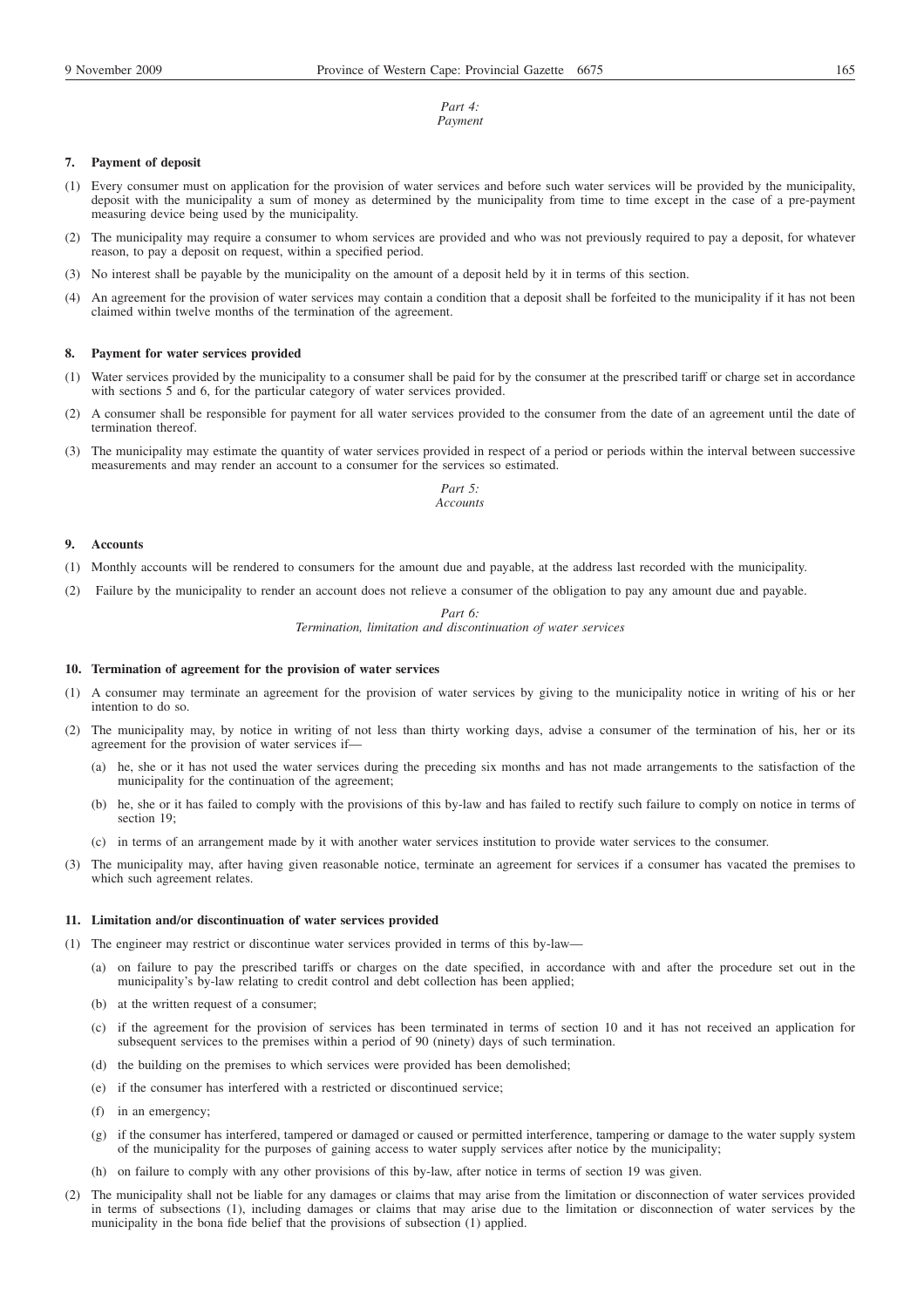#### *Part 4: Payment*

#### **7. Payment of deposit**

- Every consumer must on application for the provision of water services and before such water services will be provided by the municipality, deposit with the municipality a sum of money as determined by the municipality from time to time except in the case of a pre-payment measuring device being used by the municipality.
- (2) The municipality may require a consumer to whom services are provided and who was not previously required to pay a deposit, for whatever reason, to pay a deposit on request, within a specified period.
- (3) No interest shall be payable by the municipality on the amount of a deposit held by it in terms of this section.
- (4) An agreement for the provision of water services may contain a condition that a deposit shall be forfeited to the municipality if it has not been claimed within twelve months of the termination of the agreement.

## **8. Payment for water services provided**

- (1) Water services provided by the municipality to a consumer shall be paid for by the consumer at the prescribed tariff or charge set in accordance with sections 5 and 6, for the particular category of water services provided.
- (2) A consumer shall be responsible for payment for all water services provided to the consumer from the date of an agreement until the date of termination thereof.
- (3) The municipality may estimate the quantity of water services provided in respect of a period or periods within the interval between successive measurements and may render an account to a consumer for the services so estimated.

*Part 5: Accounts*

#### **9. Accounts**

- (1) Monthly accounts will be rendered to consumers for the amount due and payable, at the address last recorded with the municipality.
- (2) Failure by the municipality to render an account does not relieve a consumer of the obligation to pay any amount due and payable.

*Part 6: Termination, limitation and discontinuation of water services*

#### **10. Termination of agreement for the provision of water services**

- (1) A consumer may terminate an agreement for the provision of water services by giving to the municipality notice in writing of his or her intention to do so.
- (2) The municipality may, by notice in writing of not less than thirty working days, advise a consumer of the termination of his, her or its agreement for the provision of water services if—
	- (a) he, she or it has not used the water services during the preceding six months and has not made arrangements to the satisfaction of the municipality for the continuation of the agreement;
	- (b) he, she or it has failed to comply with the provisions of this by-law and has failed to rectify such failure to comply on notice in terms of section 19;
	- (c) in terms of an arrangement made by it with another water services institution to provide water services to the consumer.
- (3) The municipality may, after having given reasonable notice, terminate an agreement for services if a consumer has vacated the premises to which such agreement relates.

#### **11. Limitation and/or discontinuation of water services provided**

- (1) The engineer may restrict or discontinue water services provided in terms of this by-law—
	- (a) on failure to pay the prescribed tariffs or charges on the date specified, in accordance with and after the procedure set out in the municipality's by-law relating to credit control and debt collection has been applied;
	- (b) at the written request of a consumer;
	- (c) if the agreement for the provision of services has been terminated in terms of section 10 and it has not received an application for subsequent services to the premises within a period of 90 (ninety) days of such termination.
	- (d) the building on the premises to which services were provided has been demolished;
	- (e) if the consumer has interfered with a restricted or discontinued service;
	- (f) in an emergency;
	- (g) if the consumer has interfered, tampered or damaged or caused or permitted interference, tampering or damage to the water supply system of the municipality for the purposes of gaining access to water supply services after notice by the municipality;
	- (h) on failure to comply with any other provisions of this by-law, after notice in terms of section 19 was given.
- (2) The municipality shall not be liable for any damages or claims that may arise from the limitation or disconnection of water services provided in terms of subsections (1), including damages or claims that may arise due to the limitation or disconnection of water services by the municipality in the bona fide belief that the provisions of subsection (1) applied.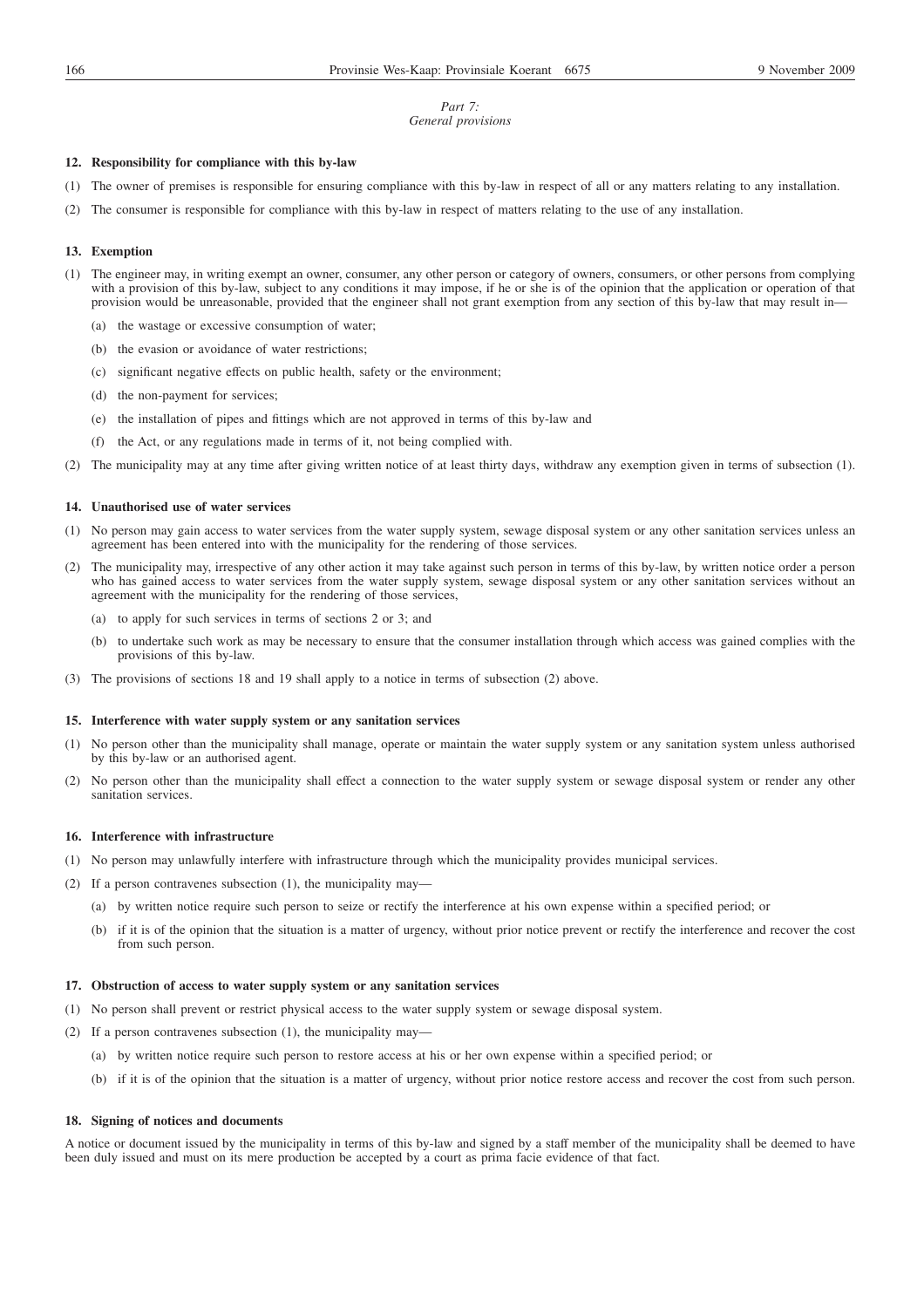#### *Part 7: General provisions*

## **12. Responsibility for compliance with this by-law**

- (1) The owner of premises is responsible for ensuring compliance with this by-law in respect of all or any matters relating to any installation.
- (2) The consumer is responsible for compliance with this by-law in respect of matters relating to the use of any installation.

#### **13. Exemption**

- (1) The engineer may, in writing exempt an owner, consumer, any other person or category of owners, consumers, or other persons from complying with a provision of this by-law, subject to any conditions it may impose, if he or she is of the opinion that the application or operation of that provision would be unreasonable, provided that the engineer shall not grant exemption from any section of this by-law that may result in—
	- (a) the wastage or excessive consumption of water;
	- (b) the evasion or avoidance of water restrictions;
	- (c) significant negative effects on public health, safety or the environment;
	- (d) the non-payment for services;
	- (e) the installation of pipes and fittings which are not approved in terms of this by-law and
	- (f) the Act, or any regulations made in terms of it, not being complied with.
- (2) The municipality may at any time after giving written notice of at least thirty days, withdraw any exemption given in terms of subsection (1).

## **14. Unauthorised use of water services**

- (1) No person may gain access to water services from the water supply system, sewage disposal system or any other sanitation services unless an agreement has been entered into with the municipality for the rendering of those services.
- (2) The municipality may, irrespective of any other action it may take against such person in terms of this by-law, by written notice order a person who has gained access to water services from the water supply system, sewage disposal system or any other sanitation services without an agreement with the municipality for the rendering of those services,
	- (a) to apply for such services in terms of sections 2 or 3; and
	- (b) to undertake such work as may be necessary to ensure that the consumer installation through which access was gained complies with the provisions of this by-law.
- (3) The provisions of sections 18 and 19 shall apply to a notice in terms of subsection (2) above.

## **15. Interference with water supply system or any sanitation services**

- (1) No person other than the municipality shall manage, operate or maintain the water supply system or any sanitation system unless authorised by this by-law or an authorised agent.
- (2) No person other than the municipality shall effect a connection to the water supply system or sewage disposal system or render any other sanitation services.

# **16. Interference with infrastructure**

- (1) No person may unlawfully interfere with infrastructure through which the municipality provides municipal services.
- (2) If a person contravenes subsection (1), the municipality may—
	- (a) by written notice require such person to seize or rectify the interference at his own expense within a specified period; or
	- (b) if it is of the opinion that the situation is a matter of urgency, without prior notice prevent or rectify the interference and recover the cost from such person.

## **17. Obstruction of access to water supply system or any sanitation services**

- (1) No person shall prevent or restrict physical access to the water supply system or sewage disposal system.
- (2) If a person contravenes subsection (1), the municipality may—
	- (a) by written notice require such person to restore access at his or her own expense within a specified period; or
	- (b) if it is of the opinion that the situation is a matter of urgency, without prior notice restore access and recover the cost from such person.

## **18. Signing of notices and documents**

A notice or document issued by the municipality in terms of this by-law and signed by a staff member of the municipality shall be deemed to have been duly issued and must on its mere production be accepted by a court as prima facie evidence of that fact.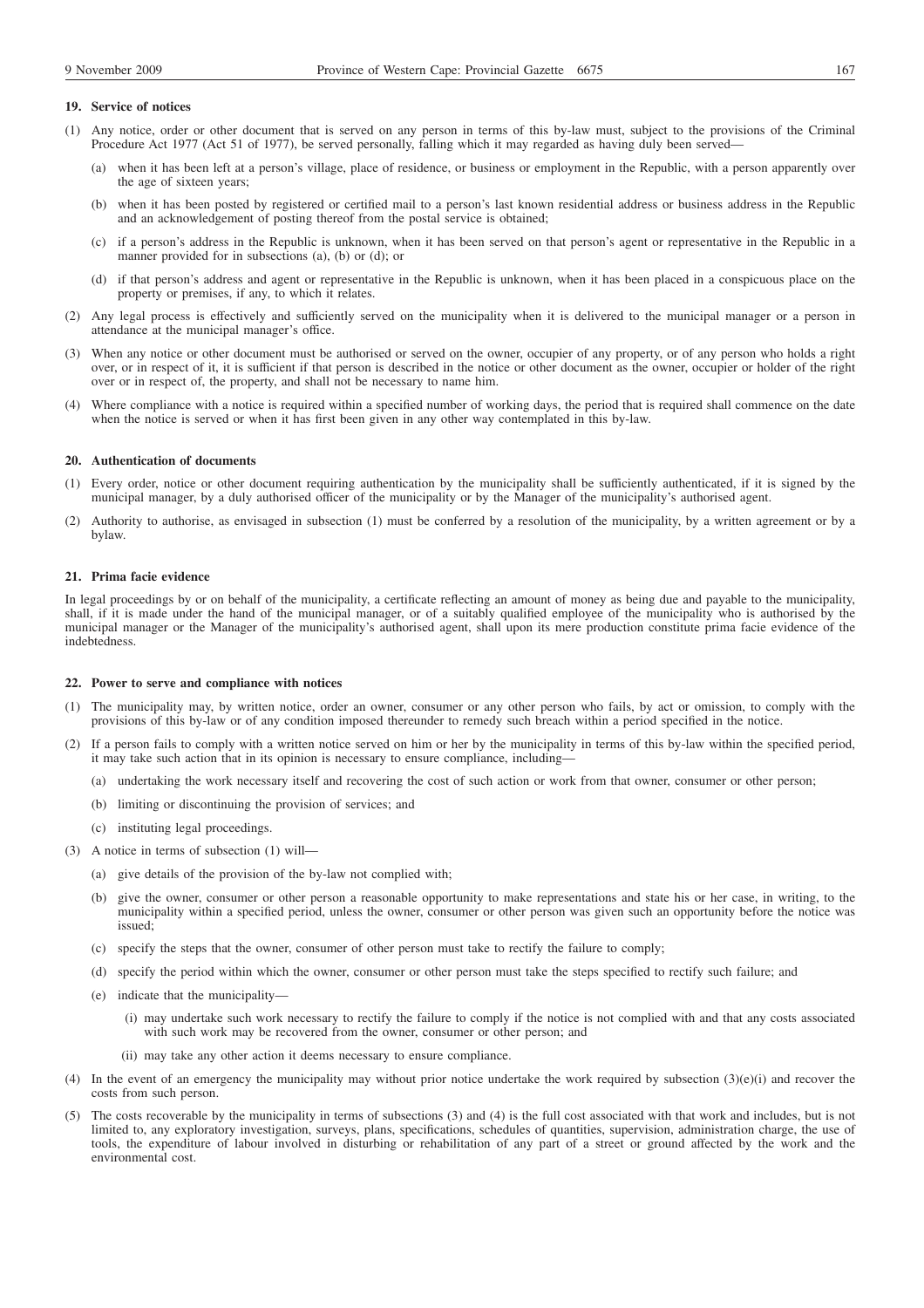## **19. Service of notices**

- (1) Any notice, order or other document that is served on any person in terms of this by-law must, subject to the provisions of the Criminal Procedure Act 1977 (Act 51 of 1977), be served personally, falling which it may regarded as having duly been served—
	- (a) when it has been left at a person's village, place of residence, or business or employment in the Republic, with a person apparently over the age of sixteen years;
	- (b) when it has been posted by registered or certified mail to a person's last known residential address or business address in the Republic and an acknowledgement of posting thereof from the postal service is obtained;
	- (c) if a person's address in the Republic is unknown, when it has been served on that person's agent or representative in the Republic in a manner provided for in subsections (a), (b) or (d); or
	- (d) if that person's address and agent or representative in the Republic is unknown, when it has been placed in a conspicuous place on the property or premises, if any, to which it relates.
- (2) Any legal process is effectively and sufficiently served on the municipality when it is delivered to the municipal manager or a person in attendance at the municipal manager's office.
- (3) When any notice or other document must be authorised or served on the owner, occupier of any property, or of any person who holds a right over, or in respect of it, it is sufficient if that person is described in the notice or other document as the owner, occupier or holder of the right over or in respect of, the property, and shall not be necessary to name him.
- (4) Where compliance with a notice is required within a specified number of working days, the period that is required shall commence on the date when the notice is served or when it has first been given in any other way contemplated in this by-law.

#### **20. Authentication of documents**

- (1) Every order, notice or other document requiring authentication by the municipality shall be sufficiently authenticated, if it is signed by the municipal manager, by a duly authorised officer of the municipality or by the Manager of the municipality's authorised agent.
- (2) Authority to authorise, as envisaged in subsection (1) must be conferred by a resolution of the municipality, by a written agreement or by a bylaw.

#### **21. Prima facie evidence**

In legal proceedings by or on behalf of the municipality, a certificate reflecting an amount of money as being due and payable to the municipality, shall, if it is made under the hand of the municipal manager, or of a suitably qualified employee of the municipality who is authorised by the municipal manager or the Manager of the municipality's authorised agent, shall upon its mere production constitute prima facie evidence of the indebtedness.

#### **22. Power to serve and compliance with notices**

- (1) The municipality may, by written notice, order an owner, consumer or any other person who fails, by act or omission, to comply with the provisions of this by-law or of any condition imposed thereunder to remedy such breach within a period specified in the notice.
- (2) If a person fails to comply with a written notice served on him or her by the municipality in terms of this by-law within the specified period, it may take such action that in its opinion is necessary to ensure compliance, including—
	- (a) undertaking the work necessary itself and recovering the cost of such action or work from that owner, consumer or other person;
	- (b) limiting or discontinuing the provision of services; and
	- (c) instituting legal proceedings.
- (3) A notice in terms of subsection (1) will—
	- (a) give details of the provision of the by-law not complied with;
	- (b) give the owner, consumer or other person a reasonable opportunity to make representations and state his or her case, in writing, to the municipality within a specified period, unless the owner, consumer or other person was given such an opportunity before the notice was issued;
	- (c) specify the steps that the owner, consumer of other person must take to rectify the failure to comply;
	- (d) specify the period within which the owner, consumer or other person must take the steps specified to rectify such failure; and
	- (e) indicate that the municipality—
		- (i) may undertake such work necessary to rectify the failure to comply if the notice is not complied with and that any costs associated with such work may be recovered from the owner, consumer or other person; and
		- (ii) may take any other action it deems necessary to ensure compliance.
- (4) In the event of an emergency the municipality may without prior notice undertake the work required by subsection  $(3)(e)(i)$  and recover the costs from such person.
- (5) The costs recoverable by the municipality in terms of subsections (3) and (4) is the full cost associated with that work and includes, but is not limited to, any exploratory investigation, surveys, plans, specifications, schedules of quantities, supervision, administration charge, the use of tools, the expenditure of labour involved in disturbing or rehabilitation of any part of a street or ground affected by the work and the environmental cost.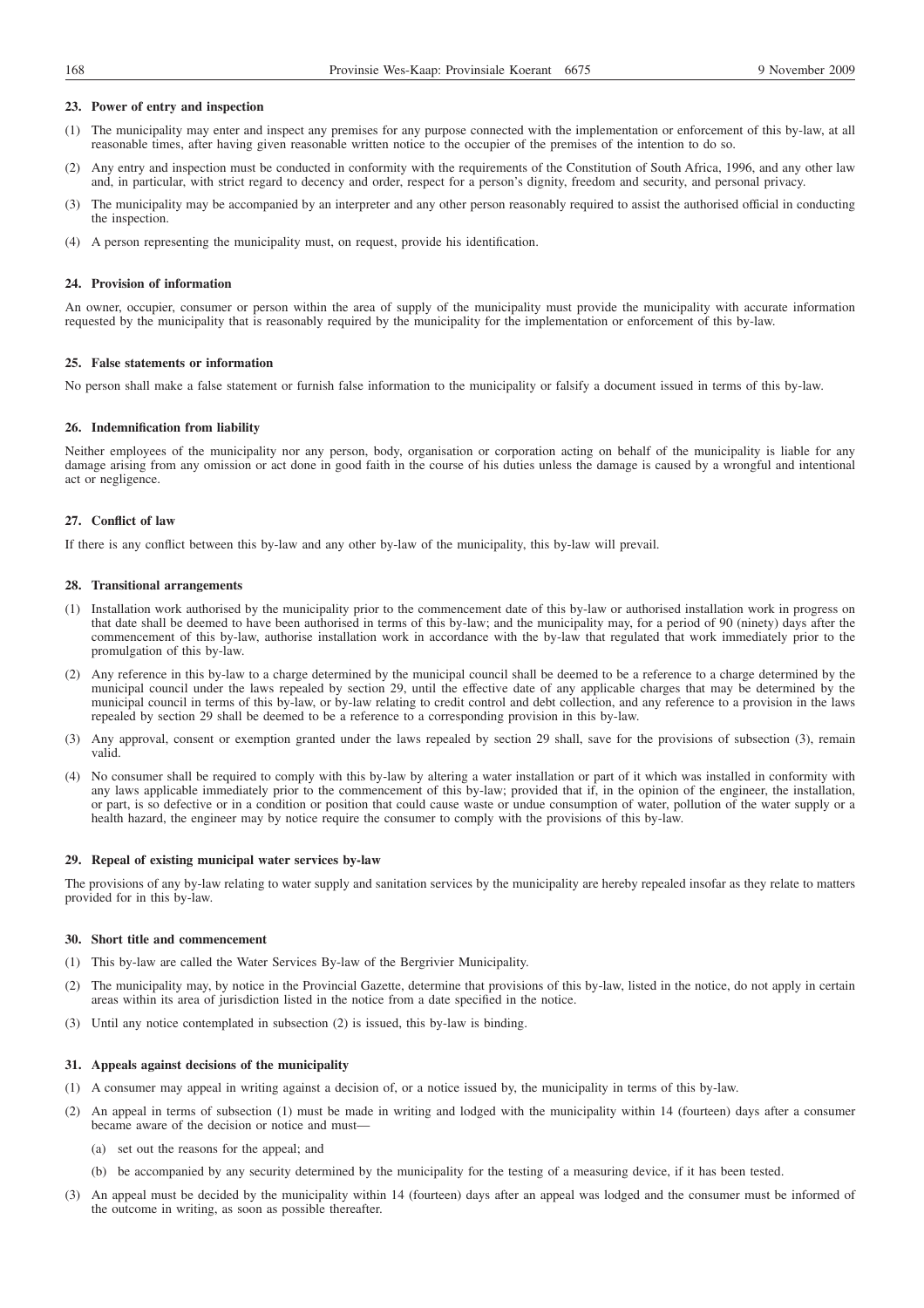## **23. Power of entry and inspection**

- (1) The municipality may enter and inspect any premises for any purpose connected with the implementation or enforcement of this by-law, at all reasonable times, after having given reasonable written notice to the occupier of the premises of the intention to do so.
- (2) Any entry and inspection must be conducted in conformity with the requirements of the Constitution of South Africa, 1996, and any other law and, in particular, with strict regard to decency and order, respect for a person's dignity, freedom and security, and personal privacy.
- (3) The municipality may be accompanied by an interpreter and any other person reasonably required to assist the authorised official in conducting the inspection.
- (4) A person representing the municipality must, on request, provide his identification.

#### **24. Provision of information**

An owner, occupier, consumer or person within the area of supply of the municipality must provide the municipality with accurate information requested by the municipality that is reasonably required by the municipality for the implementation or enforcement of this by-law.

## **25. False statements or information**

No person shall make a false statement or furnish false information to the municipality or falsify a document issued in terms of this by-law.

## **26. Indemnification from liability**

Neither employees of the municipality nor any person, body, organisation or corporation acting on behalf of the municipality is liable for any damage arising from any omission or act done in good faith in the course of his duties unless the damage is caused by a wrongful and intentional act or negligence.

## **27. Conflict of law**

If there is any conflict between this by-law and any other by-law of the municipality, this by-law will prevail.

#### **28. Transitional arrangements**

- (1) Installation work authorised by the municipality prior to the commencement date of this by-law or authorised installation work in progress on that date shall be deemed to have been authorised in terms of this by-law; and the municipality may, for a period of 90 (ninety) days after the commencement of this by-law, authorise installation work in accordance with the by-law that regulated that work immediately prior to the promulgation of this by-law.
- (2) Any reference in this by-law to a charge determined by the municipal council shall be deemed to be a reference to a charge determined by the municipal council under the laws repealed by section 29, until the effective date of any applicable charges that may be determined by the municipal council in terms of this by-law, or by-law relating to credit control and debt collection, and any reference to a provision in the laws repealed by section 29 shall be deemed to be a reference to a corresponding provision in this by-law.
- (3) Any approval, consent or exemption granted under the laws repealed by section 29 shall, save for the provisions of subsection (3), remain valid.
- (4) No consumer shall be required to comply with this by-law by altering a water installation or part of it which was installed in conformity with any laws applicable immediately prior to the commencement of this by-law; provided that if, in the opinion of the engineer, the installation, or part, is so defective or in a condition or position that could cause waste or undue consumption of water, pollution of the water supply or a health hazard, the engineer may by notice require the consumer to comply with the provisions of this by-law.

## **29. Repeal of existing municipal water services by-law**

The provisions of any by-law relating to water supply and sanitation services by the municipality are hereby repealed insofar as they relate to matters provided for in this by-law.

#### **30. Short title and commencement**

- (1) This by-law are called the Water Services By-law of the Bergrivier Municipality.
- (2) The municipality may, by notice in the Provincial Gazette, determine that provisions of this by-law, listed in the notice, do not apply in certain areas within its area of jurisdiction listed in the notice from a date specified in the notice.
- (3) Until any notice contemplated in subsection (2) is issued, this by-law is binding.

## **31. Appeals against decisions of the municipality**

- (1) A consumer may appeal in writing against a decision of, or a notice issued by, the municipality in terms of this by-law.
- (2) An appeal in terms of subsection (1) must be made in writing and lodged with the municipality within 14 (fourteen) days after a consumer became aware of the decision or notice and must—
	- (a) set out the reasons for the appeal; and
	- (b) be accompanied by any security determined by the municipality for the testing of a measuring device, if it has been tested.
- (3) An appeal must be decided by the municipality within 14 (fourteen) days after an appeal was lodged and the consumer must be informed of the outcome in writing, as soon as possible thereafter.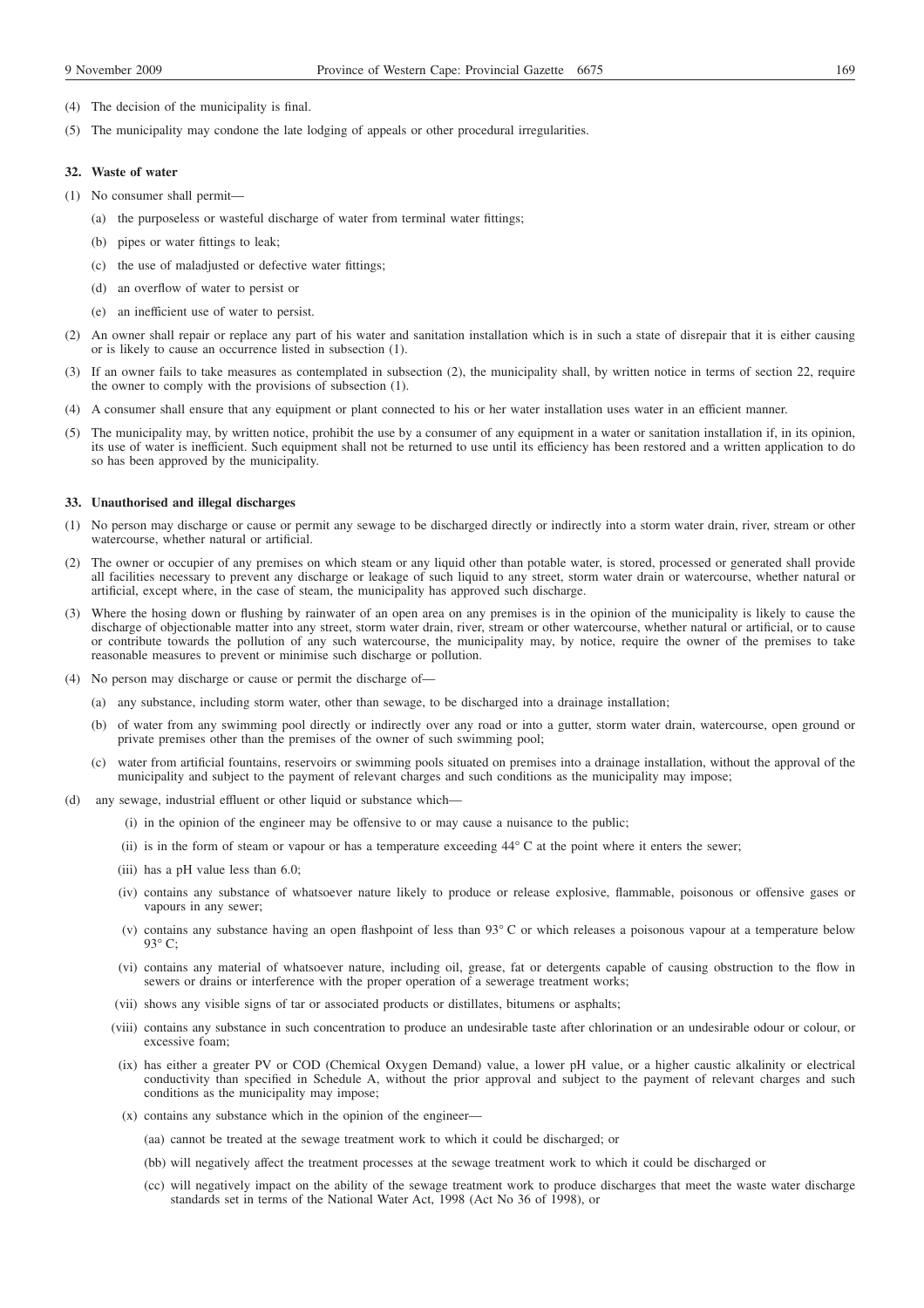- (4) The decision of the municipality is final.
- (5) The municipality may condone the late lodging of appeals or other procedural irregularities.

#### **32. Waste of water**

- (1) No consumer shall permit—
	- (a) the purposeless or wasteful discharge of water from terminal water fittings;
	- (b) pipes or water fittings to leak;
	- (c) the use of maladjusted or defective water fittings;
	- (d) an overflow of water to persist or
	- (e) an inefficient use of water to persist.
- (2) An owner shall repair or replace any part of his water and sanitation installation which is in such a state of disrepair that it is either causing or is likely to cause an occurrence listed in subsection (1).
- (3) If an owner fails to take measures as contemplated in subsection (2), the municipality shall, by written notice in terms of section 22, require the owner to comply with the provisions of subsection (1).
- (4) A consumer shall ensure that any equipment or plant connected to his or her water installation uses water in an efficient manner.
- (5) The municipality may, by written notice, prohibit the use by a consumer of any equipment in a water or sanitation installation if, in its opinion, its use of water is inefficient. Such equipment shall not be returned to use until its efficiency has been restored and a written application to do so has been approved by the municipality.

## **33. Unauthorised and illegal discharges**

- (1) No person may discharge or cause or permit any sewage to be discharged directly or indirectly into a storm water drain, river, stream or other watercourse, whether natural or artificial.
- (2) The owner or occupier of any premises on which steam or any liquid other than potable water, is stored, processed or generated shall provide all facilities necessary to prevent any discharge or leakage of such liquid to any street, storm water drain or watercourse, whether natural or artificial, except where, in the case of steam, the municipality has approved such discharge.
- (3) Where the hosing down or flushing by rainwater of an open area on any premises is in the opinion of the municipality is likely to cause the discharge of objectionable matter into any street, storm water drain, river, stream or other watercourse, whether natural or artificial, or to cause or contribute towards the pollution of any such watercourse, the municipality may, by notice, require the owner of the premises to take reasonable measures to prevent or minimise such discharge or pollution.
- (4) No person may discharge or cause or permit the discharge of—
	- (a) any substance, including storm water, other than sewage, to be discharged into a drainage installation;
	- (b) of water from any swimming pool directly or indirectly over any road or into a gutter, storm water drain, watercourse, open ground or private premises other than the premises of the owner of such swimming pool;
	- (c) water from artificial fountains, reservoirs or swimming pools situated on premises into a drainage installation, without the approval of the municipality and subject to the payment of relevant charges and such conditions as the municipality may impose;
- (d) any sewage, industrial effluent or other liquid or substance which—
	- (i) in the opinion of the engineer may be offensive to or may cause a nuisance to the public;
	- (ii) is in the form of steam or vapour or has a temperature exceeding  $44^{\circ}$ C at the point where it enters the sewer;
	- (iii) has a pH value less than 6.0;
	- (iv) contains any substance of whatsoever nature likely to produce or release explosive, flammable, poisonous or offensive gases or vapours in any sewer;
	- (v) contains any substance having an open flashpoint of less than 93° C or which releases a poisonous vapour at a temperature below  $93^\circ$  C:
	- (vi) contains any material of whatsoever nature, including oil, grease, fat or detergents capable of causing obstruction to the flow in sewers or drains or interference with the proper operation of a sewerage treatment works;
	- (vii) shows any visible signs of tar or associated products or distillates, bitumens or asphalts;
	- (viii) contains any substance in such concentration to produce an undesirable taste after chlorination or an undesirable odour or colour, or excessive foam;
	- (ix) has either a greater PV or COD (Chemical Oxygen Demand) value, a lower pH value, or a higher caustic alkalinity or electrical conductivity than specified in Schedule A, without the prior approval and subject to the payment of relevant charges and such conditions as the municipality may impose;
	- (x) contains any substance which in the opinion of the engineer—
		- (aa) cannot be treated at the sewage treatment work to which it could be discharged; or
		- (bb) will negatively affect the treatment processes at the sewage treatment work to which it could be discharged or
		- (cc) will negatively impact on the ability of the sewage treatment work to produce discharges that meet the waste water discharge standards set in terms of the National Water Act, 1998 (Act No 36 of 1998), or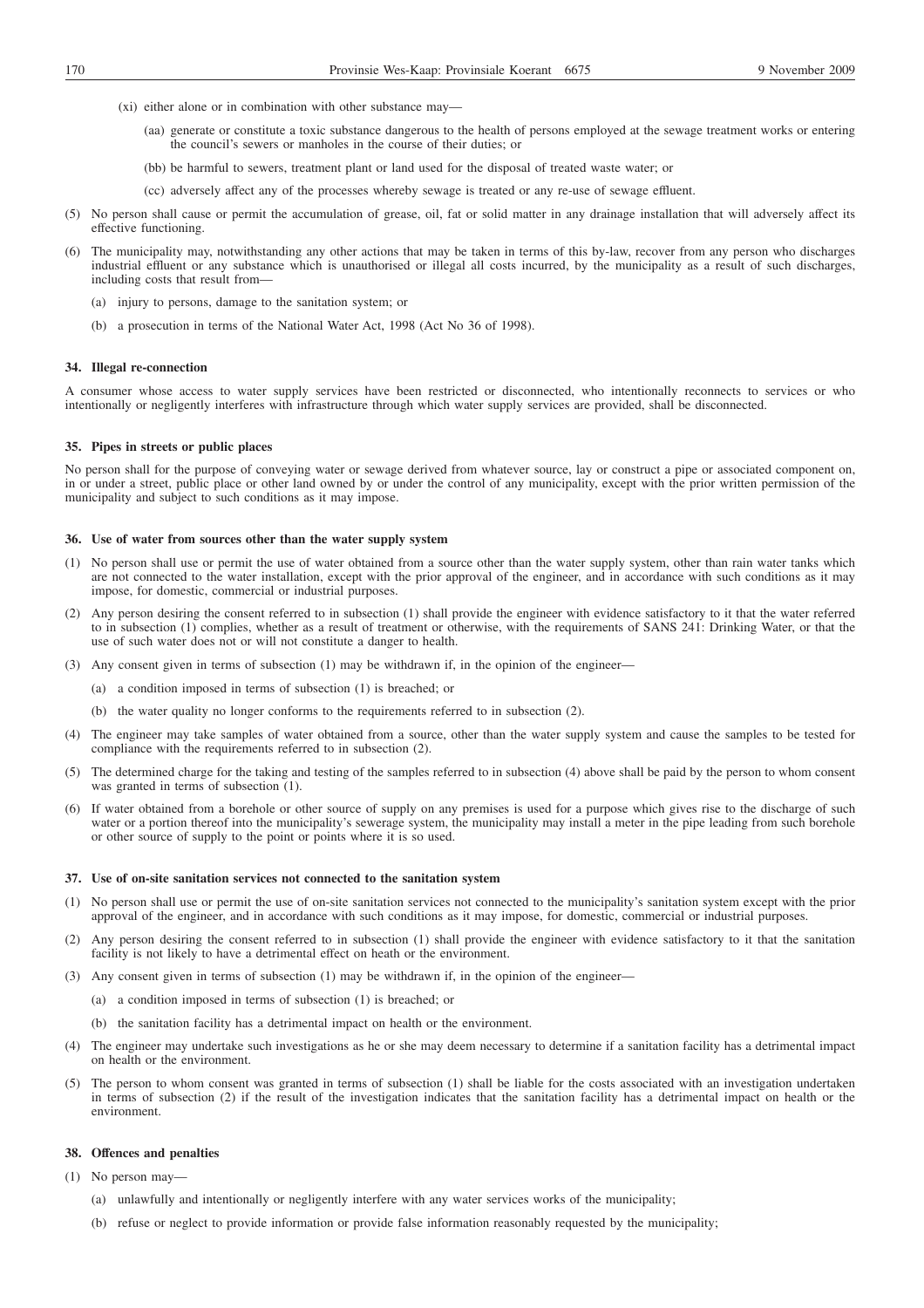- (xi) either alone or in combination with other substance may—
	- (aa) generate or constitute a toxic substance dangerous to the health of persons employed at the sewage treatment works or entering the council's sewers or manholes in the course of their duties; or
	- (bb) be harmful to sewers, treatment plant or land used for the disposal of treated waste water; or
	- (cc) adversely affect any of the processes whereby sewage is treated or any re-use of sewage effluent.
- (5) No person shall cause or permit the accumulation of grease, oil, fat or solid matter in any drainage installation that will adversely affect its effective functioning.
- (6) The municipality may, notwithstanding any other actions that may be taken in terms of this by-law, recover from any person who discharges industrial effluent or any substance which is unauthorised or illegal all costs incurred, by the municipality as a result of such discharges, including costs that result from—
	- (a) injury to persons, damage to the sanitation system; or
	- (b) a prosecution in terms of the National Water Act, 1998 (Act No 36 of 1998).

#### **34. Illegal re-connection**

A consumer whose access to water supply services have been restricted or disconnected, who intentionally reconnects to services or who intentionally or negligently interferes with infrastructure through which water supply services are provided, shall be disconnected.

#### **35. Pipes in streets or public places**

No person shall for the purpose of conveying water or sewage derived from whatever source, lay or construct a pipe or associated component on, in or under a street, public place or other land owned by or under the control of any municipality, except with the prior written permission of the municipality and subject to such conditions as it may impose.

## **36. Use of water from sources other than the water supply system**

- (1) No person shall use or permit the use of water obtained from a source other than the water supply system, other than rain water tanks which are not connected to the water installation, except with the prior approval of the engineer, and in accordance with such conditions as it may impose, for domestic, commercial or industrial purposes.
- (2) Any person desiring the consent referred to in subsection (1) shall provide the engineer with evidence satisfactory to it that the water referred to in subsection (1) complies, whether as a result of treatment or otherwise, with the requirements of SANS 241: Drinking Water, or that the use of such water does not or will not constitute a danger to health.
- (3) Any consent given in terms of subsection (1) may be withdrawn if, in the opinion of the engineer—
	- (a) a condition imposed in terms of subsection (1) is breached; or
	- (b) the water quality no longer conforms to the requirements referred to in subsection (2).
- (4) The engineer may take samples of water obtained from a source, other than the water supply system and cause the samples to be tested for compliance with the requirements referred to in subsection (2).
- (5) The determined charge for the taking and testing of the samples referred to in subsection (4) above shall be paid by the person to whom consent was granted in terms of subsection (1).
- (6) If water obtained from a borehole or other source of supply on any premises is used for a purpose which gives rise to the discharge of such water or a portion thereof into the municipality's sewerage system, the municipality may install a meter in the pipe leading from such borehole or other source of supply to the point or points where it is so used.

#### **37. Use of on-site sanitation services not connected to the sanitation system**

- (1) No person shall use or permit the use of on-site sanitation services not connected to the municipality's sanitation system except with the prior approval of the engineer, and in accordance with such conditions as it may impose, for domestic, commercial or industrial purposes.
- (2) Any person desiring the consent referred to in subsection (1) shall provide the engineer with evidence satisfactory to it that the sanitation facility is not likely to have a detrimental effect on heath or the environment.
- (3) Any consent given in terms of subsection (1) may be withdrawn if, in the opinion of the engineer—
	- (a) a condition imposed in terms of subsection (1) is breached; or
	- (b) the sanitation facility has a detrimental impact on health or the environment.
- (4) The engineer may undertake such investigations as he or she may deem necessary to determine if a sanitation facility has a detrimental impact on health or the environment.
- (5) The person to whom consent was granted in terms of subsection (1) shall be liable for the costs associated with an investigation undertaken in terms of subsection (2) if the result of the investigation indicates that the sanitation facility has a detrimental impact on health or the environment.

#### **38. Offences and penalties**

- (1) No person may—
	- (a) unlawfully and intentionally or negligently interfere with any water services works of the municipality;
	- (b) refuse or neglect to provide information or provide false information reasonably requested by the municipality;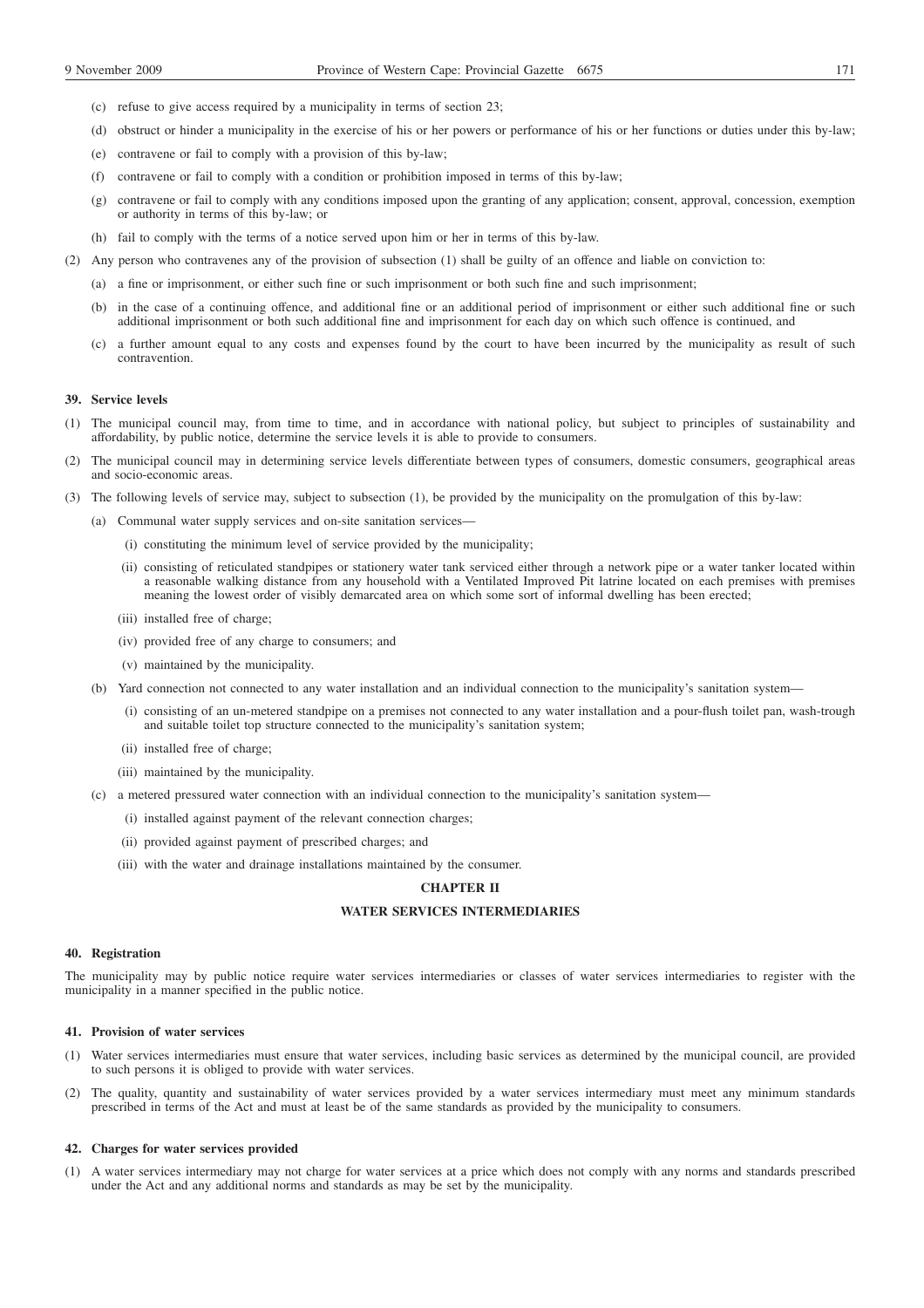- (c) refuse to give access required by a municipality in terms of section 23;
- (d) obstruct or hinder a municipality in the exercise of his or her powers or performance of his or her functions or duties under this by-law;
- (e) contravene or fail to comply with a provision of this by-law;
- (f) contravene or fail to comply with a condition or prohibition imposed in terms of this by-law;
- (g) contravene or fail to comply with any conditions imposed upon the granting of any application; consent, approval, concession, exemption or authority in terms of this by-law; or
- (h) fail to comply with the terms of a notice served upon him or her in terms of this by-law.
- (2) Any person who contravenes any of the provision of subsection (1) shall be guilty of an offence and liable on conviction to:
	- (a) a fine or imprisonment, or either such fine or such imprisonment or both such fine and such imprisonment;
	- (b) in the case of a continuing offence, and additional fine or an additional period of imprisonment or either such additional fine or such additional imprisonment or both such additional fine and imprisonment for each day on which such offence is continued, and
	- (c) a further amount equal to any costs and expenses found by the court to have been incurred by the municipality as result of such contravention.

#### **39. Service levels**

- (1) The municipal council may, from time to time, and in accordance with national policy, but subject to principles of sustainability and affordability, by public notice, determine the service levels it is able to provide to consumers.
- (2) The municipal council may in determining service levels differentiate between types of consumers, domestic consumers, geographical areas and socio-economic areas.
- (3) The following levels of service may, subject to subsection (1), be provided by the municipality on the promulgation of this by-law:
	- (a) Communal water supply services and on-site sanitation services—
		- (i) constituting the minimum level of service provided by the municipality;
		- (ii) consisting of reticulated standpipes or stationery water tank serviced either through a network pipe or a water tanker located within a reasonable walking distance from any household with a Ventilated Improved Pit latrine located on each premises with premises meaning the lowest order of visibly demarcated area on which some sort of informal dwelling has been erected;
		- (iii) installed free of charge;
		- (iv) provided free of any charge to consumers; and
		- (v) maintained by the municipality.
	- (b) Yard connection not connected to any water installation and an individual connection to the municipality's sanitation system—
		- (i) consisting of an un-metered standpipe on a premises not connected to any water installation and a pour-flush toilet pan, wash-trough and suitable toilet top structure connected to the municipality's sanitation system;
		- (ii) installed free of charge;
		- (iii) maintained by the municipality.
	- (c) a metered pressured water connection with an individual connection to the municipality's sanitation system—
		- (i) installed against payment of the relevant connection charges;
		- (ii) provided against payment of prescribed charges; and
		- (iii) with the water and drainage installations maintained by the consumer.

# **CHAPTER II**

# **WATER SERVICES INTERMEDIARIES**

#### **40. Registration**

The municipality may by public notice require water services intermediaries or classes of water services intermediaries to register with the municipality in a manner specified in the public notice.

## **41. Provision of water services**

- (1) Water services intermediaries must ensure that water services, including basic services as determined by the municipal council, are provided to such persons it is obliged to provide with water services.
- (2) The quality, quantity and sustainability of water services provided by a water services intermediary must meet any minimum standards prescribed in terms of the Act and must at least be of the same standards as provided by the municipality to consumers.

#### **42. Charges for water services provided**

(1) A water services intermediary may not charge for water services at a price which does not comply with any norms and standards prescribed under the Act and any additional norms and standards as may be set by the municipality.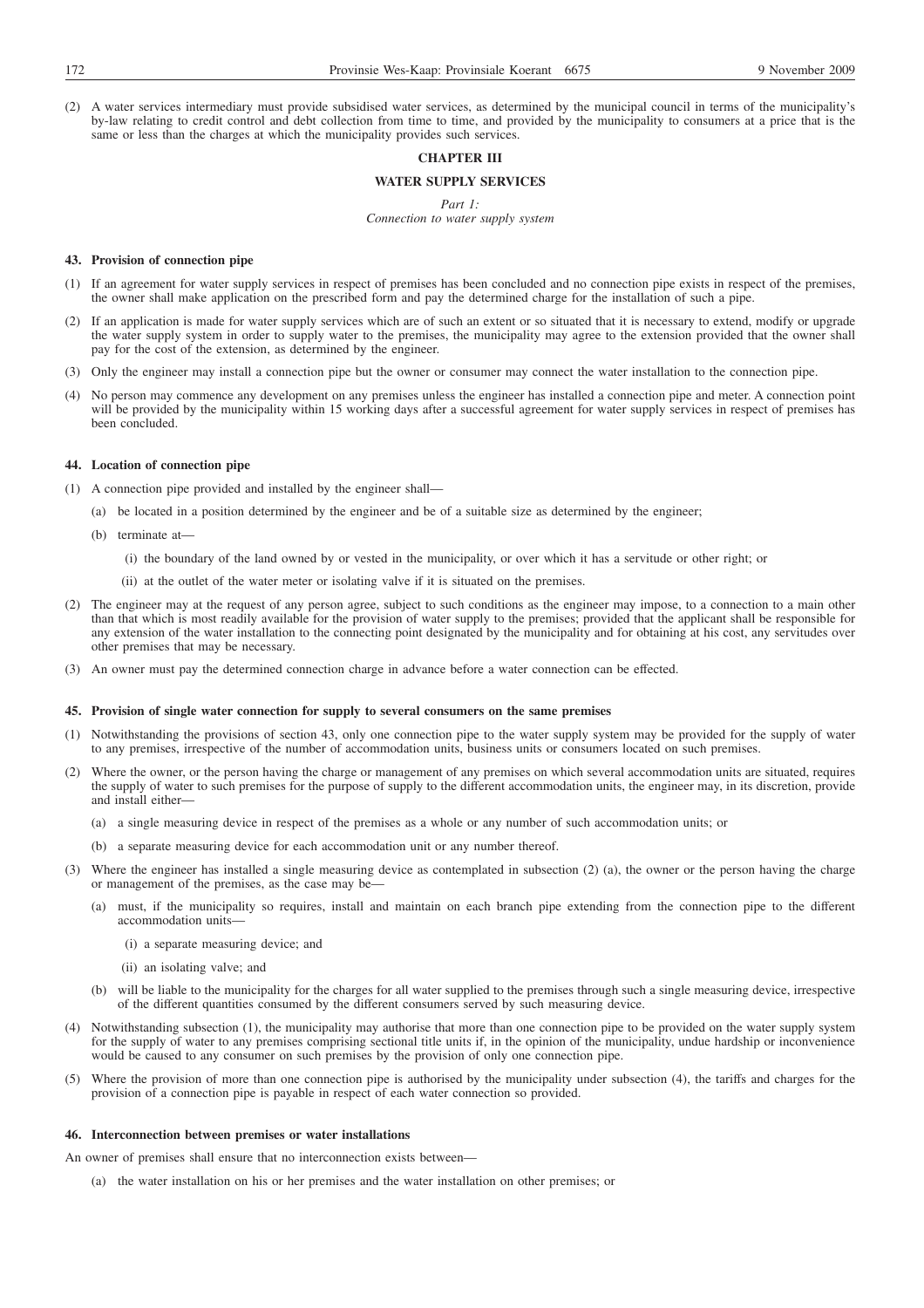(2) A water services intermediary must provide subsidised water services, as determined by the municipal council in terms of the municipality's by-law relating to credit control and debt collection from time to time, and provided by the municipality to consumers at a price that is the same or less than the charges at which the municipality provides such services.

## **CHAPTER III**

# **WATER SUPPLY SERVICES**

*Part 1:*

*Connection to water supply system*

## **43. Provision of connection pipe**

- (1) If an agreement for water supply services in respect of premises has been concluded and no connection pipe exists in respect of the premises, the owner shall make application on the prescribed form and pay the determined charge for the installation of such a pipe.
- (2) If an application is made for water supply services which are of such an extent or so situated that it is necessary to extend, modify or upgrade the water supply system in order to supply water to the premises, the municipality may agree to the extension provided that the owner shall pay for the cost of the extension, as determined by the engineer.
- (3) Only the engineer may install a connection pipe but the owner or consumer may connect the water installation to the connection pipe.
- (4) No person may commence any development on any premises unless the engineer has installed a connection pipe and meter. A connection point will be provided by the municipality within 15 working days after a successful agreement for water supply services in respect of premises has been concluded.

#### **44. Location of connection pipe**

- (1) A connection pipe provided and installed by the engineer shall—
	- (a) be located in a position determined by the engineer and be of a suitable size as determined by the engineer;
		- (b) terminate at—
			- (i) the boundary of the land owned by or vested in the municipality, or over which it has a servitude or other right; or
			- (ii) at the outlet of the water meter or isolating valve if it is situated on the premises.
- (2) The engineer may at the request of any person agree, subject to such conditions as the engineer may impose, to a connection to a main other than that which is most readily available for the provision of water supply to the premises; provided that the applicant shall be responsible for any extension of the water installation to the connecting point designated by the municipality and for obtaining at his cost, any servitudes over other premises that may be necessary.
- (3) An owner must pay the determined connection charge in advance before a water connection can be effected.

## **45. Provision of single water connection for supply to several consumers on the same premises**

- (1) Notwithstanding the provisions of section 43, only one connection pipe to the water supply system may be provided for the supply of water to any premises, irrespective of the number of accommodation units, business units or consumers located on such premises.
- (2) Where the owner, or the person having the charge or management of any premises on which several accommodation units are situated, requires the supply of water to such premises for the purpose of supply to the different accommodation units, the engineer may, in its discretion, provide and install either—
	- (a) a single measuring device in respect of the premises as a whole or any number of such accommodation units; or
	- (b) a separate measuring device for each accommodation unit or any number thereof.
- (3) Where the engineer has installed a single measuring device as contemplated in subsection (2) (a), the owner or the person having the charge or management of the premises, as the case may be—
	- (a) must, if the municipality so requires, install and maintain on each branch pipe extending from the connection pipe to the different accommodation units—
		- (i) a separate measuring device; and
		- (ii) an isolating valve; and
	- (b) will be liable to the municipality for the charges for all water supplied to the premises through such a single measuring device, irrespective of the different quantities consumed by the different consumers served by such measuring device.
- (4) Notwithstanding subsection (1), the municipality may authorise that more than one connection pipe to be provided on the water supply system for the supply of water to any premises comprising sectional title units if, in the opinion of the municipality, undue hardship or inconvenience would be caused to any consumer on such premises by the provision of only one connection pipe.
- (5) Where the provision of more than one connection pipe is authorised by the municipality under subsection (4), the tariffs and charges for the provision of a connection pipe is payable in respect of each water connection so provided.

## **46. Interconnection between premises or water installations**

An owner of premises shall ensure that no interconnection exists between—

(a) the water installation on his or her premises and the water installation on other premises; or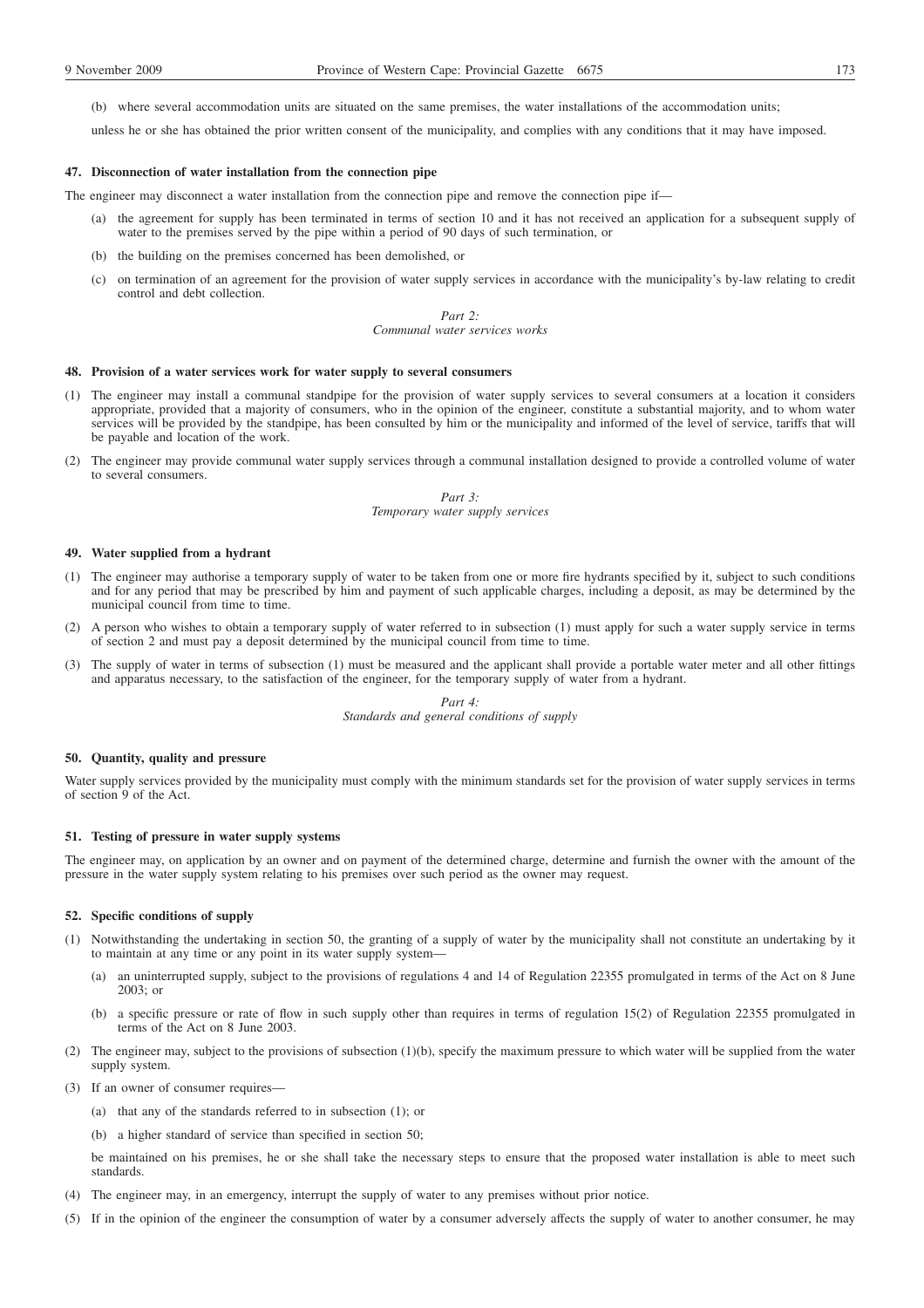(b) where several accommodation units are situated on the same premises, the water installations of the accommodation units;

unless he or she has obtained the prior written consent of the municipality, and complies with any conditions that it may have imposed.

#### **47. Disconnection of water installation from the connection pipe**

The engineer may disconnect a water installation from the connection pipe and remove the connection pipe if—

- (a) the agreement for supply has been terminated in terms of section 10 and it has not received an application for a subsequent supply of water to the premises served by the pipe within a period of 90 days of such termination, or
- (b) the building on the premises concerned has been demolished, or
- (c) on termination of an agreement for the provision of water supply services in accordance with the municipality's by-law relating to credit control and debt collection.

#### *Part 2: Communal water services works*

#### **48. Provision of a water services work for water supply to several consumers**

- (1) The engineer may install a communal standpipe for the provision of water supply services to several consumers at a location it considers appropriate, provided that a majority of consumers, who in the opinion of the engineer, constitute a substantial majority, and to whom water services will be provided by the standpipe, has been consulted by him or the municipality and informed of the level of service, tariffs that will be payable and location of the work.
- (2) The engineer may provide communal water supply services through a communal installation designed to provide a controlled volume of water to several consumers.

## *Part 3: Temporary water supply services*

## **49. Water supplied from a hydrant**

- (1) The engineer may authorise a temporary supply of water to be taken from one or more fire hydrants specified by it, subject to such conditions and for any period that may be prescribed by him and payment of such applicable charges, including a deposit, as may be determined by the municipal council from time to time.
- (2) A person who wishes to obtain a temporary supply of water referred to in subsection (1) must apply for such a water supply service in terms of section 2 and must pay a deposit determined by the municipal council from time to time.
- (3) The supply of water in terms of subsection (1) must be measured and the applicant shall provide a portable water meter and all other fittings and apparatus necessary, to the satisfaction of the engineer, for the temporary supply of water from a hydrant.

*Part 4: Standards and general conditions of supply*

## **50. Quantity, quality and pressure**

Water supply services provided by the municipality must comply with the minimum standards set for the provision of water supply services in terms of section 9 of the Act.

#### **51. Testing of pressure in water supply systems**

The engineer may, on application by an owner and on payment of the determined charge, determine and furnish the owner with the amount of the pressure in the water supply system relating to his premises over such period as the owner may request.

## **52. Specific conditions of supply**

- (1) Notwithstanding the undertaking in section 50, the granting of a supply of water by the municipality shall not constitute an undertaking by it to maintain at any time or any point in its water supply system—
	- (a) an uninterrupted supply, subject to the provisions of regulations 4 and 14 of Regulation 22355 promulgated in terms of the Act on 8 June 2003; or
	- (b) a specific pressure or rate of flow in such supply other than requires in terms of regulation 15(2) of Regulation 22355 promulgated in terms of the Act on 8 June 2003.
- (2) The engineer may, subject to the provisions of subsection (1)(b), specify the maximum pressure to which water will be supplied from the water supply system.
- (3) If an owner of consumer requires—
	- (a) that any of the standards referred to in subsection (1); or
	- (b) a higher standard of service than specified in section 50;

be maintained on his premises, he or she shall take the necessary steps to ensure that the proposed water installation is able to meet such standards.

- (4) The engineer may, in an emergency, interrupt the supply of water to any premises without prior notice.
- (5) If in the opinion of the engineer the consumption of water by a consumer adversely affects the supply of water to another consumer, he may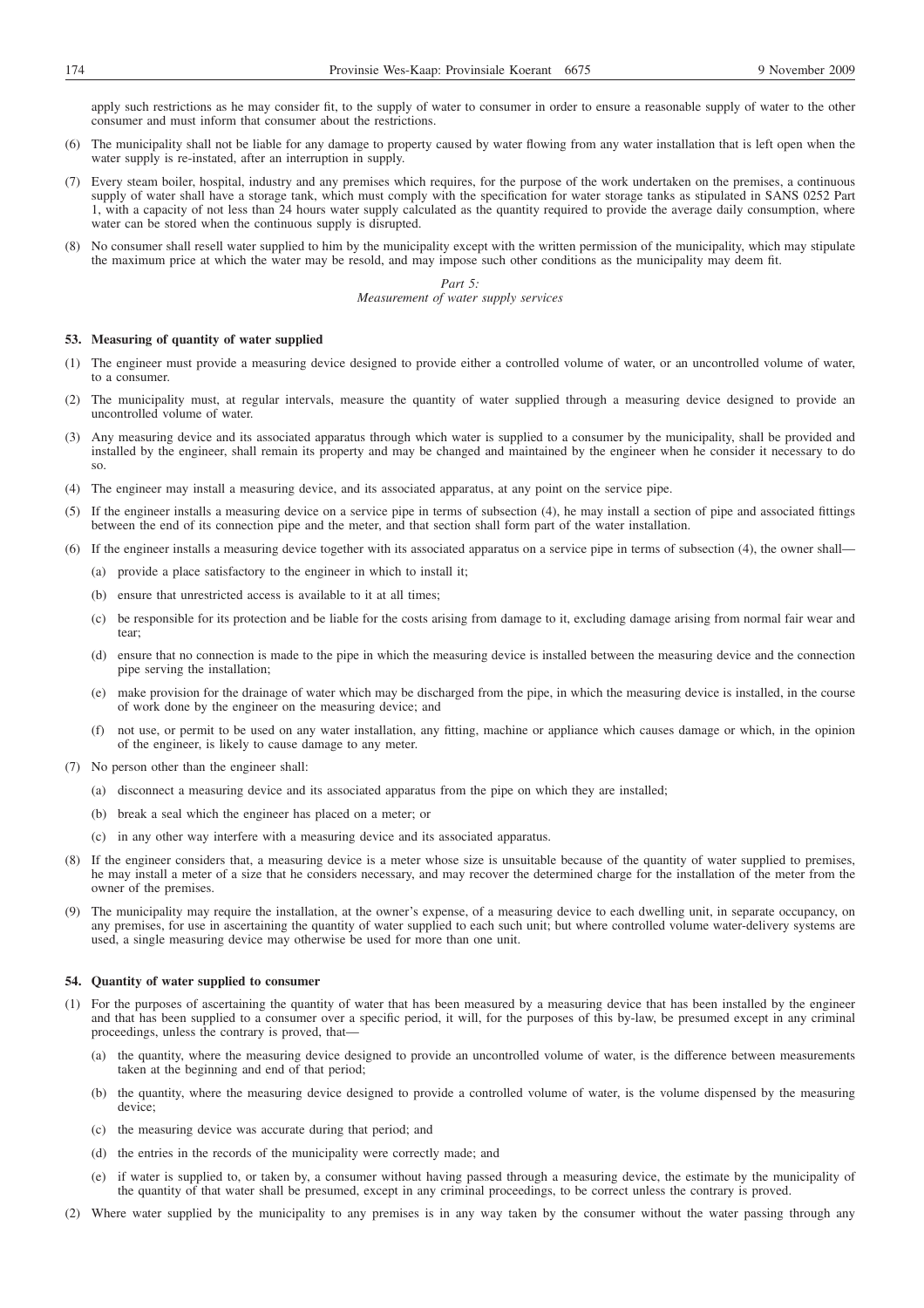apply such restrictions as he may consider fit, to the supply of water to consumer in order to ensure a reasonable supply of water to the other consumer and must inform that consumer about the restrictions.

- (6) The municipality shall not be liable for any damage to property caused by water flowing from any water installation that is left open when the water supply is re-instated, after an interruption in supply.
- (7) Every steam boiler, hospital, industry and any premises which requires, for the purpose of the work undertaken on the premises, a continuous supply of water shall have a storage tank, which must comply with the specification for water storage tanks as stipulated in SANS 0252 Part 1, with a capacity of not less than 24 hours water supply calculated as the quantity required to provide the average daily consumption, where water can be stored when the continuous supply is disrupted.
- (8) No consumer shall resell water supplied to him by the municipality except with the written permission of the municipality, which may stipulate the maximum price at which the water may be resold, and may impose such other conditions as the municipality may deem fit.

*Part 5: Measurement of water supply services*

## **53. Measuring of quantity of water supplied**

- (1) The engineer must provide a measuring device designed to provide either a controlled volume of water, or an uncontrolled volume of water, to a consumer.
- (2) The municipality must, at regular intervals, measure the quantity of water supplied through a measuring device designed to provide an uncontrolled volume of water.
- (3) Any measuring device and its associated apparatus through which water is supplied to a consumer by the municipality, shall be provided and installed by the engineer, shall remain its property and may be changed and maintained by the engineer when he consider it necessary to do so.
- (4) The engineer may install a measuring device, and its associated apparatus, at any point on the service pipe.
- (5) If the engineer installs a measuring device on a service pipe in terms of subsection (4), he may install a section of pipe and associated fittings between the end of its connection pipe and the meter, and that section shall form part of the water installation.
- (6) If the engineer installs a measuring device together with its associated apparatus on a service pipe in terms of subsection (4), the owner shall—
	- (a) provide a place satisfactory to the engineer in which to install it;
	- (b) ensure that unrestricted access is available to it at all times;
	- (c) be responsible for its protection and be liable for the costs arising from damage to it, excluding damage arising from normal fair wear and tear;
	- (d) ensure that no connection is made to the pipe in which the measuring device is installed between the measuring device and the connection pipe serving the installation;
	- (e) make provision for the drainage of water which may be discharged from the pipe, in which the measuring device is installed, in the course of work done by the engineer on the measuring device; and
	- (f) not use, or permit to be used on any water installation, any fitting, machine or appliance which causes damage or which, in the opinion of the engineer, is likely to cause damage to any meter.
- (7) No person other than the engineer shall:
	- (a) disconnect a measuring device and its associated apparatus from the pipe on which they are installed;
	- (b) break a seal which the engineer has placed on a meter; or
	- (c) in any other way interfere with a measuring device and its associated apparatus.
- (8) If the engineer considers that, a measuring device is a meter whose size is unsuitable because of the quantity of water supplied to premises, he may install a meter of a size that he considers necessary, and may recover the determined charge for the installation of the meter from the owner of the premises.
- (9) The municipality may require the installation, at the owner's expense, of a measuring device to each dwelling unit, in separate occupancy, on any premises, for use in ascertaining the quantity of water supplied to each such unit; but where controlled volume water-delivery systems are used, a single measuring device may otherwise be used for more than one unit.

## **54. Quantity of water supplied to consumer**

- (1) For the purposes of ascertaining the quantity of water that has been measured by a measuring device that has been installed by the engineer and that has been supplied to a consumer over a specific period, it will, for the purposes of this by-law, be presumed except in any criminal proceedings, unless the contrary is proved, that—
	- (a) the quantity, where the measuring device designed to provide an uncontrolled volume of water, is the difference between measurements taken at the beginning and end of that period;
	- (b) the quantity, where the measuring device designed to provide a controlled volume of water, is the volume dispensed by the measuring device;
	- (c) the measuring device was accurate during that period; and
	- (d) the entries in the records of the municipality were correctly made; and
	- if water is supplied to, or taken by, a consumer without having passed through a measuring device, the estimate by the municipality of the quantity of that water shall be presumed, except in any criminal proceedings, to be correct unless the contrary is proved.
- (2) Where water supplied by the municipality to any premises is in any way taken by the consumer without the water passing through any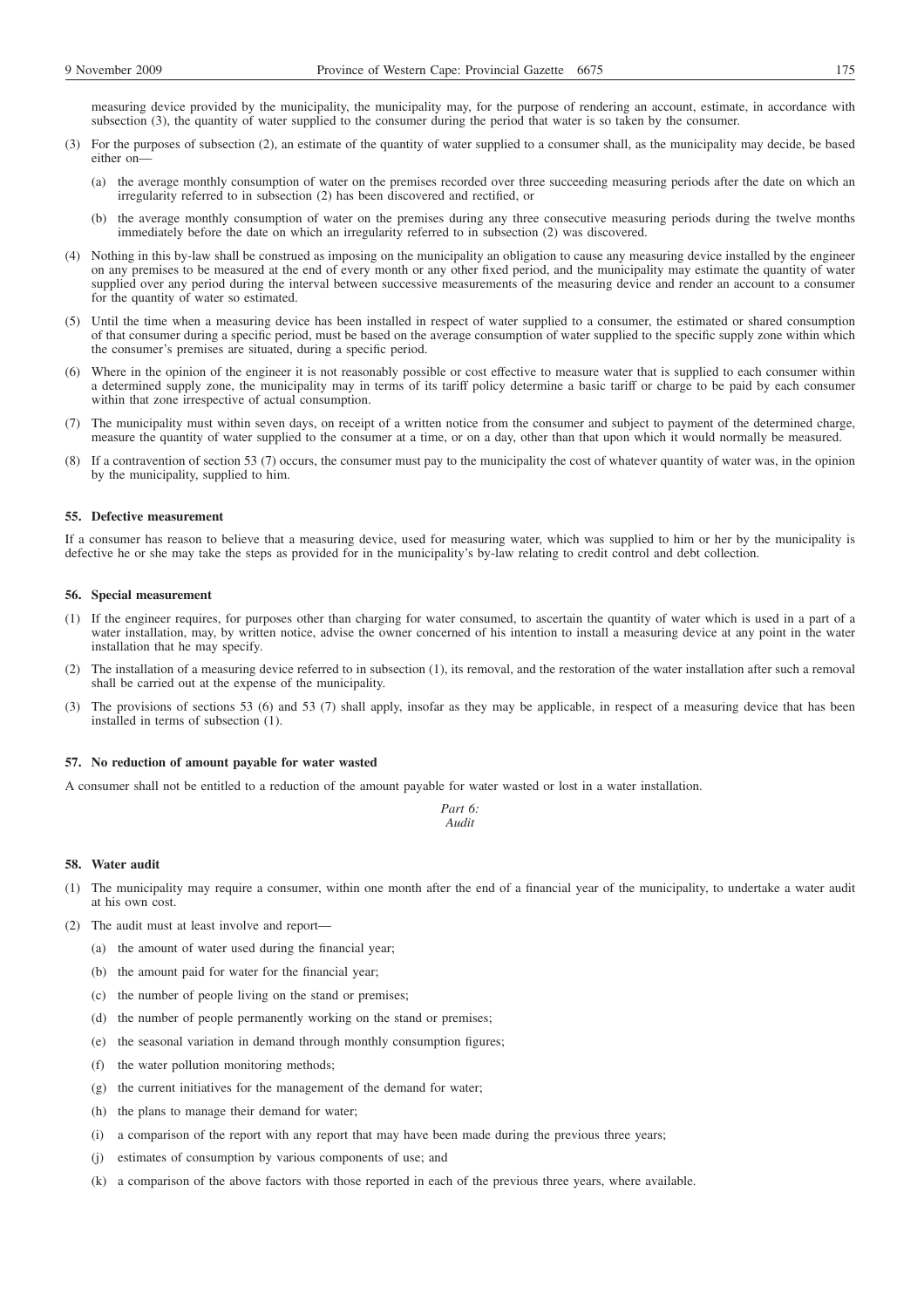measuring device provided by the municipality, the municipality may, for the purpose of rendering an account, estimate, in accordance with subsection (3), the quantity of water supplied to the consumer during the period that water is so taken by the consumer.

- (3) For the purposes of subsection (2), an estimate of the quantity of water supplied to a consumer shall, as the municipality may decide, be based either on—
	- (a) the average monthly consumption of water on the premises recorded over three succeeding measuring periods after the date on which an irregularity referred to in subsection (2) has been discovered and rectified, or
	- (b) the average monthly consumption of water on the premises during any three consecutive measuring periods during the twelve months immediately before the date on which an irregularity referred to in subsection (2) was discovered.
- (4) Nothing in this by-law shall be construed as imposing on the municipality an obligation to cause any measuring device installed by the engineer on any premises to be measured at the end of every month or any other fixed period, and the municipality may estimate the quantity of water supplied over any period during the interval between successive measurements of the measuring device and render an account to a consumer for the quantity of water so estimated.
- (5) Until the time when a measuring device has been installed in respect of water supplied to a consumer, the estimated or shared consumption of that consumer during a specific period, must be based on the average consumption of water supplied to the specific supply zone within which the consumer's premises are situated, during a specific period.
- (6) Where in the opinion of the engineer it is not reasonably possible or cost effective to measure water that is supplied to each consumer within a determined supply zone, the municipality may in terms of its tariff policy determine a basic tariff or charge to be paid by each consumer within that zone irrespective of actual consumption.
- (7) The municipality must within seven days, on receipt of a written notice from the consumer and subject to payment of the determined charge, measure the quantity of water supplied to the consumer at a time, or on a day, other than that upon which it would normally be measured.
- (8) If a contravention of section 53 (7) occurs, the consumer must pay to the municipality the cost of whatever quantity of water was, in the opinion by the municipality, supplied to him.

## **55. Defective measurement**

If a consumer has reason to believe that a measuring device, used for measuring water, which was supplied to him or her by the municipality is defective he or she may take the steps as provided for in the municipality's by-law relating to credit control and debt collection.

#### **56. Special measurement**

- (1) If the engineer requires, for purposes other than charging for water consumed, to ascertain the quantity of water which is used in a part of a water installation, may, by written notice, advise the owner concerned of his intention to install a measuring device at any point in the water installation that he may specify.
- (2) The installation of a measuring device referred to in subsection (1), its removal, and the restoration of the water installation after such a removal shall be carried out at the expense of the municipality.
- (3) The provisions of sections 53 (6) and 53 (7) shall apply, insofar as they may be applicable, in respect of a measuring device that has been installed in terms of subsection (1).

## **57. No reduction of amount payable for water wasted**

A consumer shall not be entitled to a reduction of the amount payable for water wasted or lost in a water installation.

*Part 6: Audit*

#### **58. Water audit**

- The municipality may require a consumer, within one month after the end of a financial year of the municipality, to undertake a water audit at his own cost.
- (2) The audit must at least involve and report—
	- (a) the amount of water used during the financial year;
	- (b) the amount paid for water for the financial year;
	- (c) the number of people living on the stand or premises;
	- (d) the number of people permanently working on the stand or premises;
	- (e) the seasonal variation in demand through monthly consumption figures;
	- (f) the water pollution monitoring methods;
	- (g) the current initiatives for the management of the demand for water;
	- (h) the plans to manage their demand for water;
	- (i) a comparison of the report with any report that may have been made during the previous three years;
	- (j) estimates of consumption by various components of use; and
	- (k) a comparison of the above factors with those reported in each of the previous three years, where available.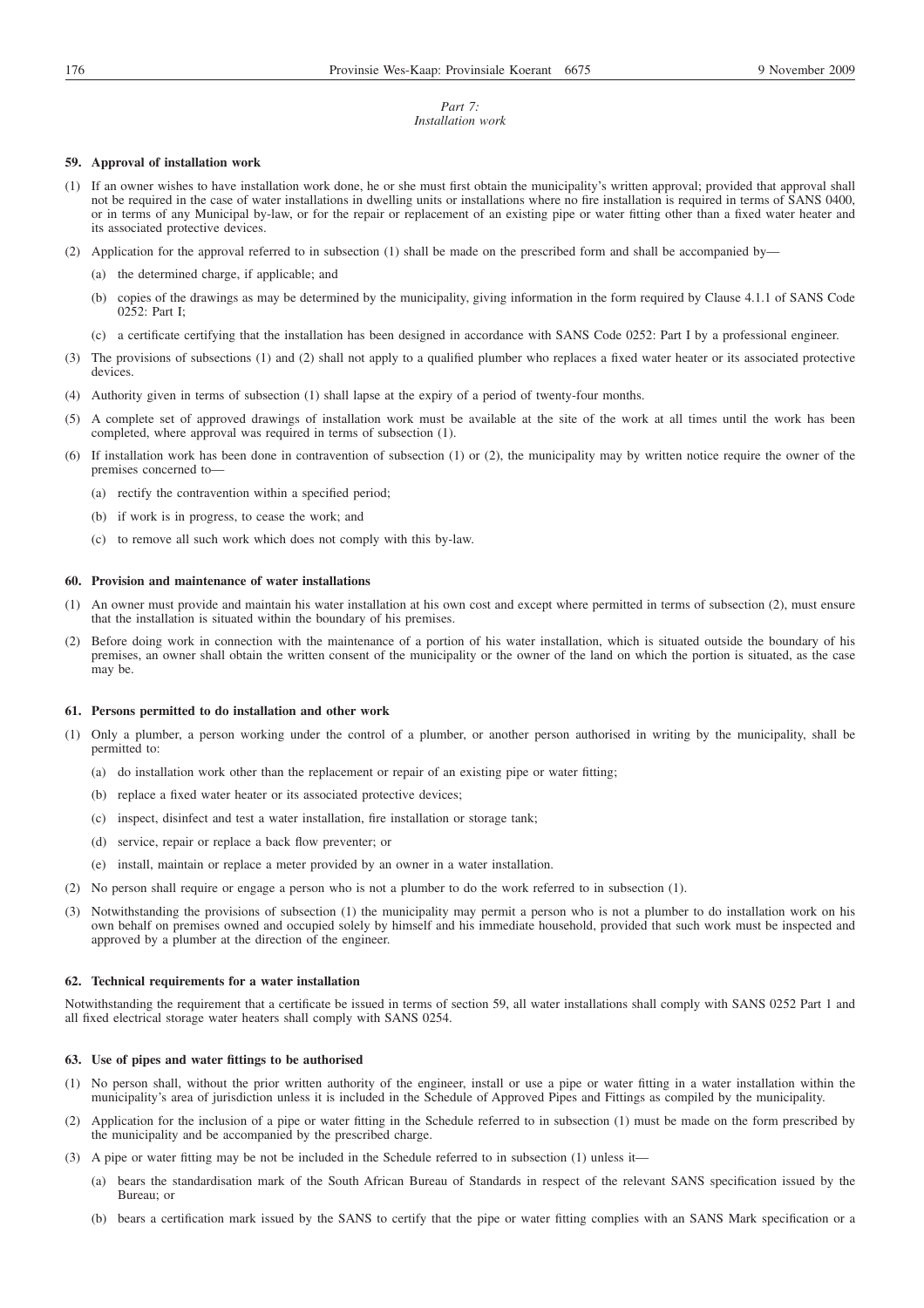#### *Part 7: Installation work*

## **59. Approval of installation work**

- (1) If an owner wishes to have installation work done, he or she must first obtain the municipality's written approval; provided that approval shall not be required in the case of water installations in dwelling units or installations where no fire installation is required in terms of SANS 0400, or in terms of any Municipal by-law, or for the repair or replacement of an existing pipe or water fitting other than a fixed water heater and its associated protective devices.
- (2) Application for the approval referred to in subsection (1) shall be made on the prescribed form and shall be accompanied by—
	- (a) the determined charge, if applicable; and
	- (b) copies of the drawings as may be determined by the municipality, giving information in the form required by Clause 4.1.1 of SANS Code 0252: Part I;
	- (c) a certificate certifying that the installation has been designed in accordance with SANS Code 0252: Part I by a professional engineer.
- (3) The provisions of subsections (1) and (2) shall not apply to a qualified plumber who replaces a fixed water heater or its associated protective devices.
- (4) Authority given in terms of subsection (1) shall lapse at the expiry of a period of twenty-four months.
- (5) A complete set of approved drawings of installation work must be available at the site of the work at all times until the work has been completed, where approval was required in terms of subsection (1).
- (6) If installation work has been done in contravention of subsection (1) or (2), the municipality may by written notice require the owner of the premises concerned to—
	- (a) rectify the contravention within a specified period;
	- (b) if work is in progress, to cease the work; and
	- (c) to remove all such work which does not comply with this by-law.

#### **60. Provision and maintenance of water installations**

- (1) An owner must provide and maintain his water installation at his own cost and except where permitted in terms of subsection (2), must ensure that the installation is situated within the boundary of his premises.
- (2) Before doing work in connection with the maintenance of a portion of his water installation, which is situated outside the boundary of his premises, an owner shall obtain the written consent of the municipality or the owner of the land on which the portion is situated, as the case may be.

#### **61. Persons permitted to do installation and other work**

- (1) Only a plumber, a person working under the control of a plumber, or another person authorised in writing by the municipality, shall be permitted to:
	- (a) do installation work other than the replacement or repair of an existing pipe or water fitting;
	- (b) replace a fixed water heater or its associated protective devices;
	- (c) inspect, disinfect and test a water installation, fire installation or storage tank;
	- (d) service, repair or replace a back flow preventer; or
	- (e) install, maintain or replace a meter provided by an owner in a water installation.
- (2) No person shall require or engage a person who is not a plumber to do the work referred to in subsection (1).
- (3) Notwithstanding the provisions of subsection (1) the municipality may permit a person who is not a plumber to do installation work on his own behalf on premises owned and occupied solely by himself and his immediate household, provided that such work must be inspected and approved by a plumber at the direction of the engineer.

## **62. Technical requirements for a water installation**

Notwithstanding the requirement that a certificate be issued in terms of section 59, all water installations shall comply with SANS 0252 Part 1 and all fixed electrical storage water heaters shall comply with SANS 0254.

#### **63. Use of pipes and water fittings to be authorised**

- (1) No person shall, without the prior written authority of the engineer, install or use a pipe or water fitting in a water installation within the municipality's area of jurisdiction unless it is included in the Schedule of Approved Pipes and Fittings as compiled by the municipality.
- (2) Application for the inclusion of a pipe or water fitting in the Schedule referred to in subsection (1) must be made on the form prescribed by the municipality and be accompanied by the prescribed charge.
- (3) A pipe or water fitting may be not be included in the Schedule referred to in subsection (1) unless it—
	- (a) bears the standardisation mark of the South African Bureau of Standards in respect of the relevant SANS specification issued by the Bureau; or
	- (b) bears a certification mark issued by the SANS to certify that the pipe or water fitting complies with an SANS Mark specification or a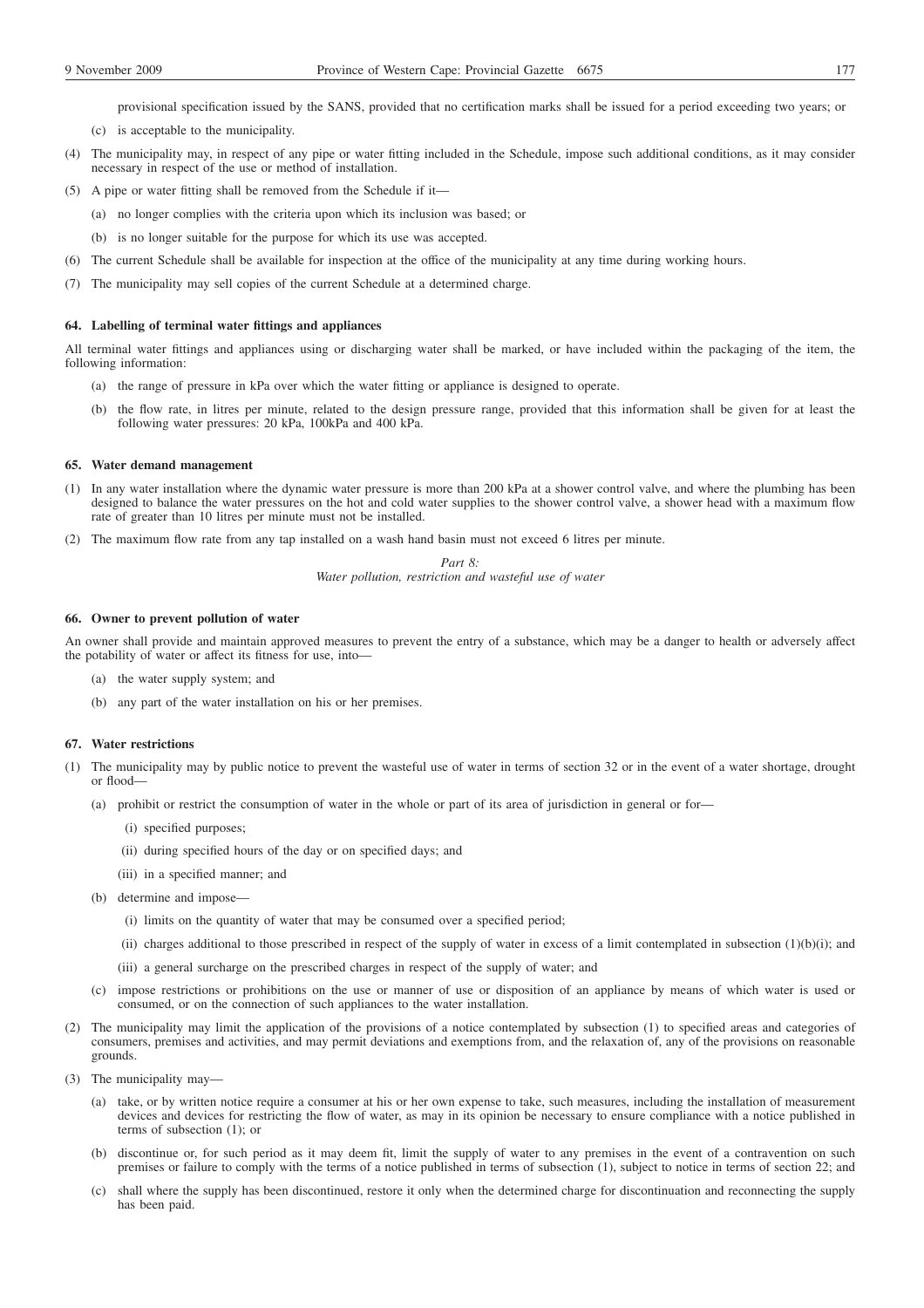provisional specification issued by the SANS, provided that no certification marks shall be issued for a period exceeding two years; or

- (c) is acceptable to the municipality.
- (4) The municipality may, in respect of any pipe or water fitting included in the Schedule, impose such additional conditions, as it may consider necessary in respect of the use or method of installation.
- (5) A pipe or water fitting shall be removed from the Schedule if it—
	- (a) no longer complies with the criteria upon which its inclusion was based; or
	- (b) is no longer suitable for the purpose for which its use was accepted.
- (6) The current Schedule shall be available for inspection at the office of the municipality at any time during working hours.
- (7) The municipality may sell copies of the current Schedule at a determined charge.

#### **64. Labelling of terminal water fittings and appliances**

All terminal water fittings and appliances using or discharging water shall be marked, or have included within the packaging of the item, the following information:

- (a) the range of pressure in kPa over which the water fitting or appliance is designed to operate.
- (b) the flow rate, in litres per minute, related to the design pressure range, provided that this information shall be given for at least the following water pressures: 20 kPa, 100kPa and 400 kPa.

#### **65. Water demand management**

- (1) In any water installation where the dynamic water pressure is more than 200 kPa at a shower control valve, and where the plumbing has been designed to balance the water pressures on the hot and cold water supplies to the shower control valve, a shower head with a maximum flow rate of greater than 10 litres per minute must not be installed.
- (2) The maximum flow rate from any tap installed on a wash hand basin must not exceed 6 litres per minute.

*Part 8:*

*Water pollution, restriction and wasteful use of water*

## **66. Owner to prevent pollution of water**

An owner shall provide and maintain approved measures to prevent the entry of a substance, which may be a danger to health or adversely affect the potability of water or affect its fitness for use, into—

- (a) the water supply system; and
- (b) any part of the water installation on his or her premises.

## **67. Water restrictions**

- (1) The municipality may by public notice to prevent the wasteful use of water in terms of section 32 or in the event of a water shortage, drought or flood—
	- (a) prohibit or restrict the consumption of water in the whole or part of its area of jurisdiction in general or for—
		- (i) specified purposes;
		- (ii) during specified hours of the day or on specified days; and
		- (iii) in a specified manner; and
	- (b) determine and impose—
		- (i) limits on the quantity of water that may be consumed over a specified period;
		- (ii) charges additional to those prescribed in respect of the supply of water in excess of a limit contemplated in subsection  $(1)(b)(i)$ ; and
		- (iii) a general surcharge on the prescribed charges in respect of the supply of water; and
	- (c) impose restrictions or prohibitions on the use or manner of use or disposition of an appliance by means of which water is used or consumed, or on the connection of such appliances to the water installation.
- (2) The municipality may limit the application of the provisions of a notice contemplated by subsection (1) to specified areas and categories of consumers, premises and activities, and may permit deviations and exemptions from, and the relaxation of, any of the provisions on reasonable grounds.
- (3) The municipality may—
	- (a) take, or by written notice require a consumer at his or her own expense to take, such measures, including the installation of measurement devices and devices for restricting the flow of water, as may in its opinion be necessary to ensure compliance with a notice published in terms of subsection (1); or
	- (b) discontinue or, for such period as it may deem fit, limit the supply of water to any premises in the event of a contravention on such premises or failure to comply with the terms of a notice published in terms of subsection (1), subject to notice in terms of section 22; and
	- (c) shall where the supply has been discontinued, restore it only when the determined charge for discontinuation and reconnecting the supply has been paid.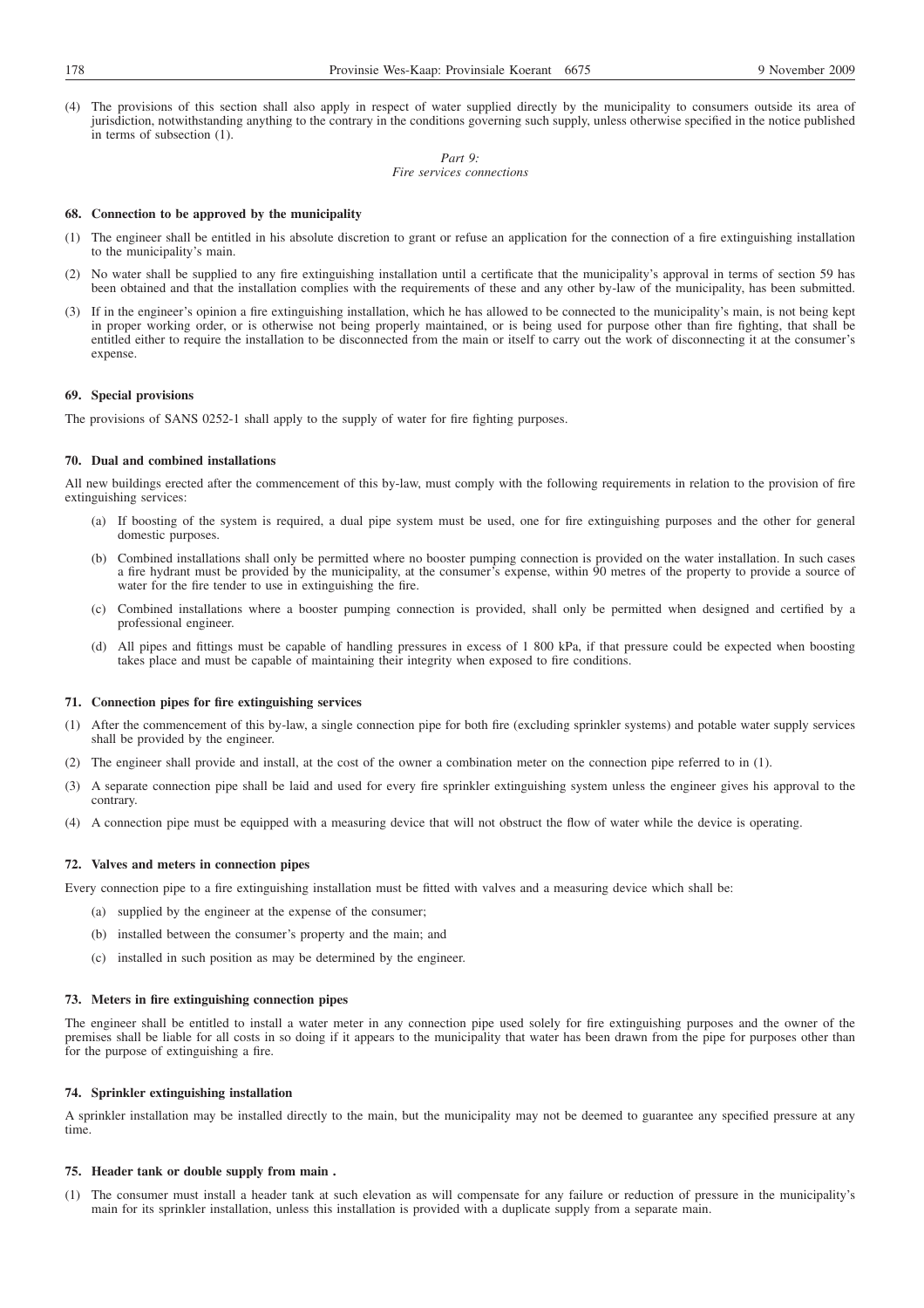(4) The provisions of this section shall also apply in respect of water supplied directly by the municipality to consumers outside its area of jurisdiction, notwithstanding anything to the contrary in the conditions governing such supply, unless otherwise specified in the notice published in terms of subsection (1).

> *Part 9: Fire services connections*

## **68. Connection to be approved by the municipality**

- (1) The engineer shall be entitled in his absolute discretion to grant or refuse an application for the connection of a fire extinguishing installation to the municipality's main.
- (2) No water shall be supplied to any fire extinguishing installation until a certificate that the municipality's approval in terms of section 59 has been obtained and that the installation complies with the requirements of these and any other by-law of the municipality, has been submitted.
- (3) If in the engineer's opinion a fire extinguishing installation, which he has allowed to be connected to the municipality's main, is not being kept in proper working order, or is otherwise not being properly maintained, or is being used for purpose other than fire fighting, that shall be entitled either to require the installation to be disconnected from the main or itself to carry out the work of disconnecting it at the consumer's expense.

#### **69. Special provisions**

The provisions of SANS 0252-1 shall apply to the supply of water for fire fighting purposes.

#### **70. Dual and combined installations**

All new buildings erected after the commencement of this by-law, must comply with the following requirements in relation to the provision of fire extinguishing services:

- (a) If boosting of the system is required, a dual pipe system must be used, one for fire extinguishing purposes and the other for general domestic purposes.
- (b) Combined installations shall only be permitted where no booster pumping connection is provided on the water installation. In such cases a fire hydrant must be provided by the municipality, at the consumer's expense, within 90 metres of the property to provide a source of water for the fire tender to use in extinguishing the fire.
- (c) Combined installations where a booster pumping connection is provided, shall only be permitted when designed and certified by a professional engineer.
- (d) All pipes and fittings must be capable of handling pressures in excess of 1 800 kPa, if that pressure could be expected when boosting takes place and must be capable of maintaining their integrity when exposed to fire conditions.

## **71. Connection pipes for fire extinguishing services**

- (1) After the commencement of this by-law, a single connection pipe for both fire (excluding sprinkler systems) and potable water supply services shall be provided by the engineer.
- (2) The engineer shall provide and install, at the cost of the owner a combination meter on the connection pipe referred to in (1).
- (3) A separate connection pipe shall be laid and used for every fire sprinkler extinguishing system unless the engineer gives his approval to the contrary.
- (4) A connection pipe must be equipped with a measuring device that will not obstruct the flow of water while the device is operating.

## **72. Valves and meters in connection pipes**

Every connection pipe to a fire extinguishing installation must be fitted with valves and a measuring device which shall be:

- (a) supplied by the engineer at the expense of the consumer;
- (b) installed between the consumer's property and the main; and
- (c) installed in such position as may be determined by the engineer.

#### **73. Meters in fire extinguishing connection pipes**

The engineer shall be entitled to install a water meter in any connection pipe used solely for fire extinguishing purposes and the owner of the premises shall be liable for all costs in so doing if it appears to the municipality that water has been drawn from the pipe for purposes other than for the purpose of extinguishing a fire.

#### **74. Sprinkler extinguishing installation**

A sprinkler installation may be installed directly to the main, but the municipality may not be deemed to guarantee any specified pressure at any time.

#### **75. Header tank or double supply from main .**

(1) The consumer must install a header tank at such elevation as will compensate for any failure or reduction of pressure in the municipality's main for its sprinkler installation, unless this installation is provided with a duplicate supply from a separate main.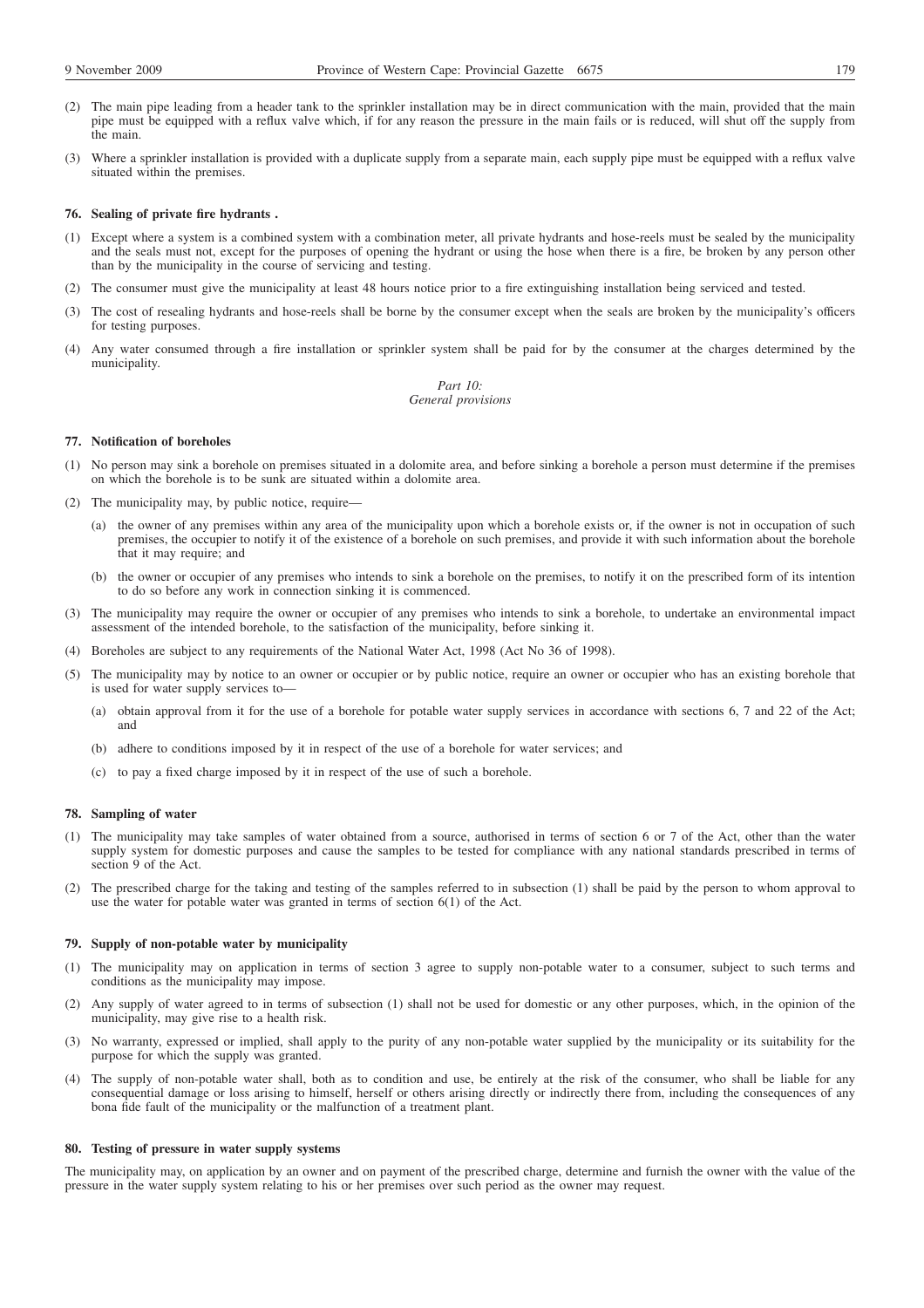- (2) The main pipe leading from a header tank to the sprinkler installation may be in direct communication with the main, provided that the main pipe must be equipped with a reflux valve which, if for any reason the pressure in the main fails or is reduced, will shut off the supply from the main.
- (3) Where a sprinkler installation is provided with a duplicate supply from a separate main, each supply pipe must be equipped with a reflux valve situated within the premises.

#### **76. Sealing of private fire hydrants .**

- (1) Except where a system is a combined system with a combination meter, all private hydrants and hose-reels must be sealed by the municipality and the seals must not, except for the purposes of opening the hydrant or using the hose when there is a fire, be broken by any person other than by the municipality in the course of servicing and testing.
- (2) The consumer must give the municipality at least 48 hours notice prior to a fire extinguishing installation being serviced and tested.
- (3) The cost of resealing hydrants and hose-reels shall be borne by the consumer except when the seals are broken by the municipality's officers for testing purposes.
- (4) Any water consumed through a fire installation or sprinkler system shall be paid for by the consumer at the charges determined by the municipality.

*Part 10: General provisions*

#### **77. Notification of boreholes**

- (1) No person may sink a borehole on premises situated in a dolomite area, and before sinking a borehole a person must determine if the premises on which the borehole is to be sunk are situated within a dolomite area.
- (2) The municipality may, by public notice, require—
	- (a) the owner of any premises within any area of the municipality upon which a borehole exists or, if the owner is not in occupation of such premises, the occupier to notify it of the existence of a borehole on such premises, and provide it with such information about the borehole that it may require; and
	- (b) the owner or occupier of any premises who intends to sink a borehole on the premises, to notify it on the prescribed form of its intention to do so before any work in connection sinking it is commenced.
- (3) The municipality may require the owner or occupier of any premises who intends to sink a borehole, to undertake an environmental impact assessment of the intended borehole, to the satisfaction of the municipality, before sinking it.
- (4) Boreholes are subject to any requirements of the National Water Act, 1998 (Act No 36 of 1998).
- (5) The municipality may by notice to an owner or occupier or by public notice, require an owner or occupier who has an existing borehole that is used for water supply services to—
	- (a) obtain approval from it for the use of a borehole for potable water supply services in accordance with sections 6, 7 and 22 of the Act; and
	- (b) adhere to conditions imposed by it in respect of the use of a borehole for water services; and
	- (c) to pay a fixed charge imposed by it in respect of the use of such a borehole.

#### **78. Sampling of water**

- (1) The municipality may take samples of water obtained from a source, authorised in terms of section 6 or 7 of the Act, other than the water supply system for domestic purposes and cause the samples to be tested for compliance with any national standards prescribed in terms of section 9 of the Act.
- (2) The prescribed charge for the taking and testing of the samples referred to in subsection (1) shall be paid by the person to whom approval to use the water for potable water was granted in terms of section 6(1) of the Act.

#### **79. Supply of non-potable water by municipality**

- (1) The municipality may on application in terms of section 3 agree to supply non-potable water to a consumer, subject to such terms and conditions as the municipality may impose.
- (2) Any supply of water agreed to in terms of subsection (1) shall not be used for domestic or any other purposes, which, in the opinion of the municipality, may give rise to a health risk.
- (3) No warranty, expressed or implied, shall apply to the purity of any non-potable water supplied by the municipality or its suitability for the purpose for which the supply was granted.
- (4) The supply of non-potable water shall, both as to condition and use, be entirely at the risk of the consumer, who shall be liable for any consequential damage or loss arising to himself, herself or others arising directly or indirectly there from, including the consequences of any bona fide fault of the municipality or the malfunction of a treatment plant.

#### **80. Testing of pressure in water supply systems**

The municipality may, on application by an owner and on payment of the prescribed charge, determine and furnish the owner with the value of the pressure in the water supply system relating to his or her premises over such period as the owner may request.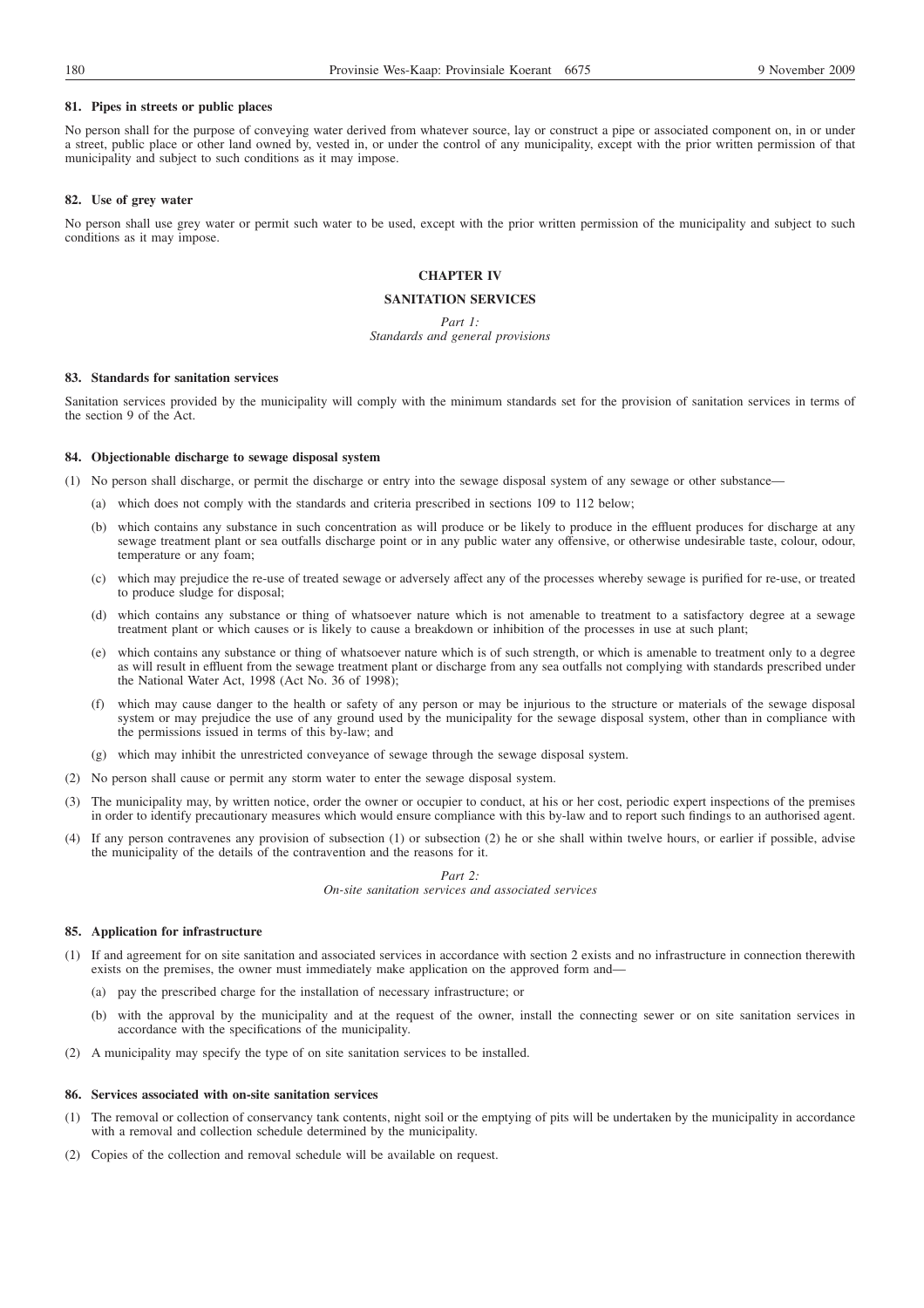#### **81. Pipes in streets or public places**

No person shall for the purpose of conveying water derived from whatever source, lay or construct a pipe or associated component on, in or under a street, public place or other land owned by, vested in, or under the control of any municipality, except with the prior written permission of that municipality and subject to such conditions as it may impose.

## **82. Use of grey water**

No person shall use grey water or permit such water to be used, except with the prior written permission of the municipality and subject to such conditions as it may impose.

# **CHAPTER IV**

## **SANITATION SERVICES**

#### *Part 1:*

# *Standards and general provisions*

## **83. Standards for sanitation services**

Sanitation services provided by the municipality will comply with the minimum standards set for the provision of sanitation services in terms of the section 9 of the Act.

## **84. Objectionable discharge to sewage disposal system**

- (1) No person shall discharge, or permit the discharge or entry into the sewage disposal system of any sewage or other substance—
	- (a) which does not comply with the standards and criteria prescribed in sections 109 to 112 below;
	- (b) which contains any substance in such concentration as will produce or be likely to produce in the effluent produces for discharge at any sewage treatment plant or sea outfalls discharge point or in any public water any offensive, or otherwise undesirable taste, colour, odour, temperature or any foam;
	- (c) which may prejudice the re-use of treated sewage or adversely affect any of the processes whereby sewage is purified for re-use, or treated to produce sludge for disposal;
	- (d) which contains any substance or thing of whatsoever nature which is not amenable to treatment to a satisfactory degree at a sewage treatment plant or which causes or is likely to cause a breakdown or inhibition of the processes in use at such plant;
	- (e) which contains any substance or thing of whatsoever nature which is of such strength, or which is amenable to treatment only to a degree as will result in effluent from the sewage treatment plant or discharge from any sea outfalls not complying with standards prescribed under the National Water Act, 1998 (Act No. 36 of 1998);
	- (f) which may cause danger to the health or safety of any person or may be injurious to the structure or materials of the sewage disposal system or may prejudice the use of any ground used by the municipality for the sewage disposal system, other than in compliance with the permissions issued in terms of this by-law; and
	- (g) which may inhibit the unrestricted conveyance of sewage through the sewage disposal system.
- (2) No person shall cause or permit any storm water to enter the sewage disposal system.
- (3) The municipality may, by written notice, order the owner or occupier to conduct, at his or her cost, periodic expert inspections of the premises in order to identify precautionary measures which would ensure compliance with this by-law and to report such findings to an authorised agent.
- (4) If any person contravenes any provision of subsection (1) or subsection (2) he or she shall within twelve hours, or earlier if possible, advise the municipality of the details of the contravention and the reasons for it.

*Part 2: On-site sanitation services and associated services*

#### **85. Application for infrastructure**

- (1) If and agreement for on site sanitation and associated services in accordance with section 2 exists and no infrastructure in connection therewith exists on the premises, the owner must immediately make application on the approved form and—
	- (a) pay the prescribed charge for the installation of necessary infrastructure; or
	- (b) with the approval by the municipality and at the request of the owner, install the connecting sewer or on site sanitation services in accordance with the specifications of the municipality.
- (2) A municipality may specify the type of on site sanitation services to be installed.

# **86. Services associated with on-site sanitation services**

- (1) The removal or collection of conservancy tank contents, night soil or the emptying of pits will be undertaken by the municipality in accordance with a removal and collection schedule determined by the municipality.
- (2) Copies of the collection and removal schedule will be available on request.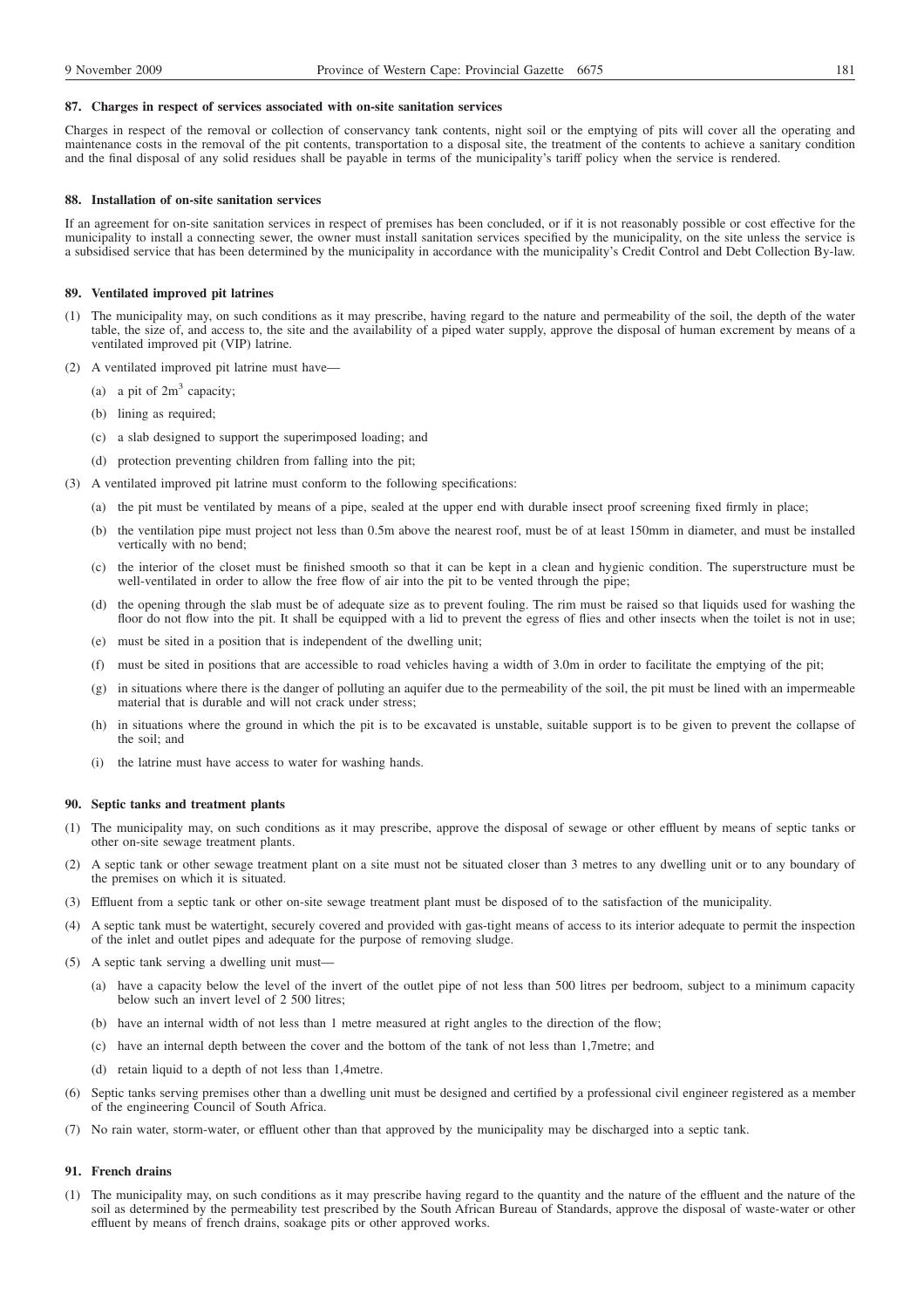#### **87. Charges in respect of services associated with on-site sanitation services**

Charges in respect of the removal or collection of conservancy tank contents, night soil or the emptying of pits will cover all the operating and maintenance costs in the removal of the pit contents, transportation to a disposal site, the treatment of the contents to achieve a sanitary condition and the final disposal of any solid residues shall be payable in terms of the municipality's tariff policy when the service is rendered.

## **88. Installation of on-site sanitation services**

If an agreement for on-site sanitation services in respect of premises has been concluded, or if it is not reasonably possible or cost effective for the municipality to install a connecting sewer, the owner must install sanitation services specified by the municipality, on the site unless the service is a subsidised service that has been determined by the municipality in accordance with the municipality's Credit Control and Debt Collection By-law.

## **89. Ventilated improved pit latrines**

- (1) The municipality may, on such conditions as it may prescribe, having regard to the nature and permeability of the soil, the depth of the water table, the size of, and access to, the site and the availability of a piped water supply, approve the disposal of human excrement by means of a ventilated improved pit (VIP) latrine.
- (2) A ventilated improved pit latrine must have—
	- (a) a pit of  $2m<sup>3</sup>$  capacity;
	- (b) lining as required;
	- (c) a slab designed to support the superimposed loading; and
	- (d) protection preventing children from falling into the pit;
- (3) A ventilated improved pit latrine must conform to the following specifications:
	- (a) the pit must be ventilated by means of a pipe, sealed at the upper end with durable insect proof screening fixed firmly in place;
	- (b) the ventilation pipe must project not less than 0.5m above the nearest roof, must be of at least 150mm in diameter, and must be installed vertically with no bend;
	- (c) the interior of the closet must be finished smooth so that it can be kept in a clean and hygienic condition. The superstructure must be well-ventilated in order to allow the free flow of air into the pit to be vented through the pipe;
	- (d) the opening through the slab must be of adequate size as to prevent fouling. The rim must be raised so that liquids used for washing the floor do not flow into the pit. It shall be equipped with a lid to prevent the egress of flies and other insects when the toilet is not in use;
	- (e) must be sited in a position that is independent of the dwelling unit;
	- (f) must be sited in positions that are accessible to road vehicles having a width of 3.0m in order to facilitate the emptying of the pit;
	- (g) in situations where there is the danger of polluting an aquifer due to the permeability of the soil, the pit must be lined with an impermeable material that is durable and will not crack under stress;
	- (h) in situations where the ground in which the pit is to be excavated is unstable, suitable support is to be given to prevent the collapse of the soil; and
	- (i) the latrine must have access to water for washing hands.

#### **90. Septic tanks and treatment plants**

- (1) The municipality may, on such conditions as it may prescribe, approve the disposal of sewage or other effluent by means of septic tanks or other on-site sewage treatment plants.
- (2) A septic tank or other sewage treatment plant on a site must not be situated closer than 3 metres to any dwelling unit or to any boundary of the premises on which it is situated.
- (3) Effluent from a septic tank or other on-site sewage treatment plant must be disposed of to the satisfaction of the municipality.
- (4) A septic tank must be watertight, securely covered and provided with gas-tight means of access to its interior adequate to permit the inspection of the inlet and outlet pipes and adequate for the purpose of removing sludge.
- (5) A septic tank serving a dwelling unit must—
	- (a) have a capacity below the level of the invert of the outlet pipe of not less than 500 litres per bedroom, subject to a minimum capacity below such an invert level of 2 500 litres;
	- (b) have an internal width of not less than 1 metre measured at right angles to the direction of the flow;
	- (c) have an internal depth between the cover and the bottom of the tank of not less than 1,7metre; and
	- (d) retain liquid to a depth of not less than 1,4metre.
- (6) Septic tanks serving premises other than a dwelling unit must be designed and certified by a professional civil engineer registered as a member of the engineering Council of South Africa.
- (7) No rain water, storm-water, or effluent other than that approved by the municipality may be discharged into a septic tank.

## **91. French drains**

(1) The municipality may, on such conditions as it may prescribe having regard to the quantity and the nature of the effluent and the nature of the soil as determined by the permeability test prescribed by the South African Bureau of Standards, approve the disposal of waste-water or other effluent by means of french drains, soakage pits or other approved works.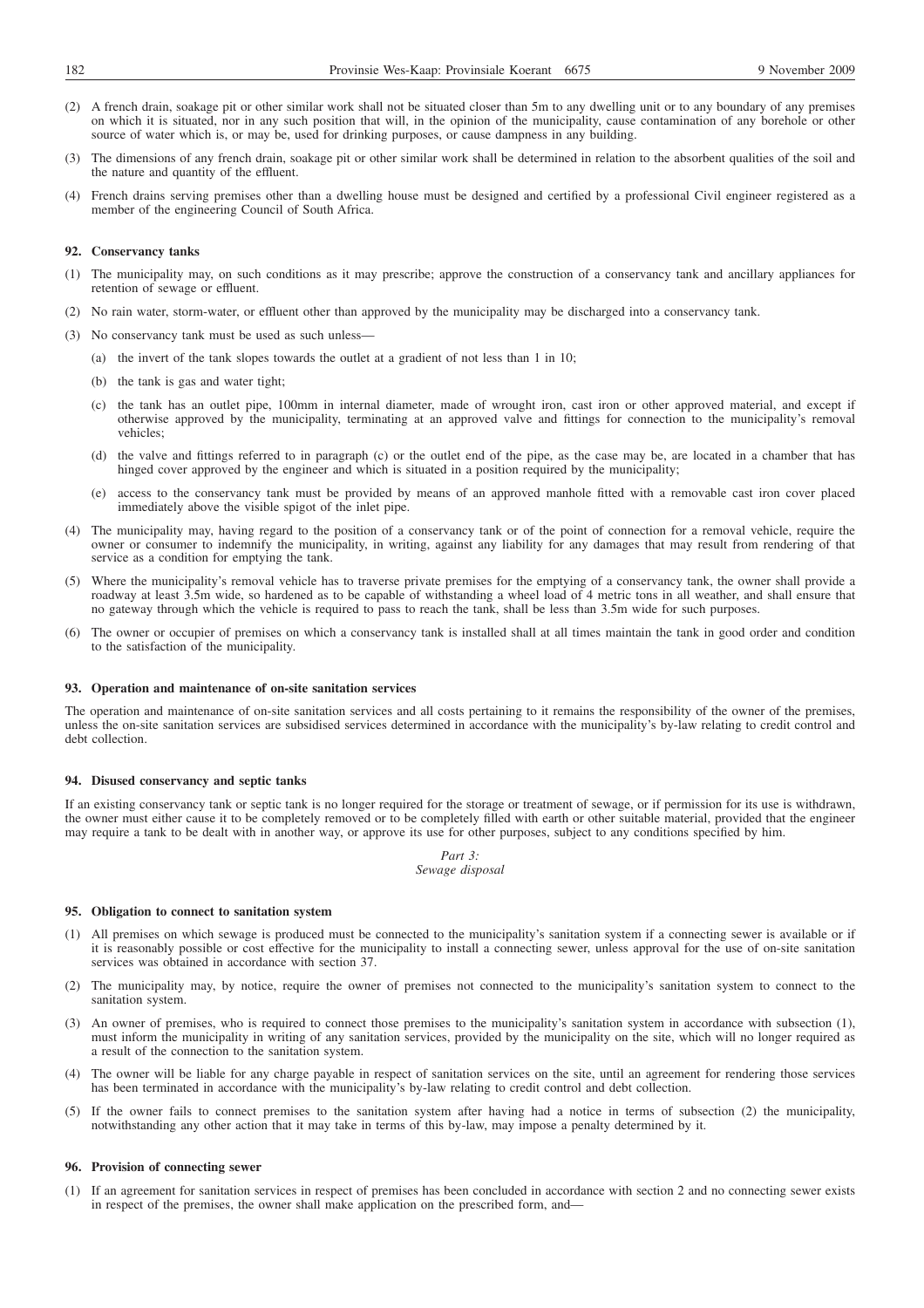- (2) A french drain, soakage pit or other similar work shall not be situated closer than 5m to any dwelling unit or to any boundary of any premises on which it is situated, nor in any such position that will, in the opinion of the municipality, cause contamination of any borehole or other source of water which is, or may be, used for drinking purposes, or cause dampness in any building.
- (3) The dimensions of any french drain, soakage pit or other similar work shall be determined in relation to the absorbent qualities of the soil and the nature and quantity of the effluent.
- (4) French drains serving premises other than a dwelling house must be designed and certified by a professional Civil engineer registered as a member of the engineering Council of South Africa.

## **92. Conservancy tanks**

- (1) The municipality may, on such conditions as it may prescribe; approve the construction of a conservancy tank and ancillary appliances for retention of sewage or effluent.
- (2) No rain water, storm-water, or effluent other than approved by the municipality may be discharged into a conservancy tank.
- (3) No conservancy tank must be used as such unless—
	- (a) the invert of the tank slopes towards the outlet at a gradient of not less than 1 in 10;
	- (b) the tank is gas and water tight;
	- (c) the tank has an outlet pipe, 100mm in internal diameter, made of wrought iron, cast iron or other approved material, and except if otherwise approved by the municipality, terminating at an approved valve and fittings for connection to the municipality's removal vehicles;
	- (d) the valve and fittings referred to in paragraph (c) or the outlet end of the pipe, as the case may be, are located in a chamber that has hinged cover approved by the engineer and which is situated in a position required by the municipality;
	- (e) access to the conservancy tank must be provided by means of an approved manhole fitted with a removable cast iron cover placed immediately above the visible spigot of the inlet pipe.
- (4) The municipality may, having regard to the position of a conservancy tank or of the point of connection for a removal vehicle, require the owner or consumer to indemnify the municipality, in writing, against any liability for any damages that may result from rendering of that service as a condition for emptying the tank.
- (5) Where the municipality's removal vehicle has to traverse private premises for the emptying of a conservancy tank, the owner shall provide a roadway at least 3.5m wide, so hardened as to be capable of withstanding a wheel load of 4 metric tons in all weather, and shall ensure that no gateway through which the vehicle is required to pass to reach the tank, shall be less than 3.5m wide for such purposes.
- (6) The owner or occupier of premises on which a conservancy tank is installed shall at all times maintain the tank in good order and condition to the satisfaction of the municipality.

## **93. Operation and maintenance of on-site sanitation services**

The operation and maintenance of on-site sanitation services and all costs pertaining to it remains the responsibility of the owner of the premises, unless the on-site sanitation services are subsidised services determined in accordance with the municipality's by-law relating to credit control and debt collection.

## **94. Disused conservancy and septic tanks**

If an existing conservancy tank or septic tank is no longer required for the storage or treatment of sewage, or if permission for its use is withdrawn, the owner must either cause it to be completely removed or to be completely filled with earth or other suitable material, provided that the engineer may require a tank to be dealt with in another way, or approve its use for other purposes, subject to any conditions specified by him.

> *Part 3: Sewage disposal*

## **95. Obligation to connect to sanitation system**

- (1) All premises on which sewage is produced must be connected to the municipality's sanitation system if a connecting sewer is available or if it is reasonably possible or cost effective for the municipality to install a connecting sewer, unless approval for the use of on-site sanitation services was obtained in accordance with section 37.
- (2) The municipality may, by notice, require the owner of premises not connected to the municipality's sanitation system to connect to the sanitation system.
- (3) An owner of premises, who is required to connect those premises to the municipality's sanitation system in accordance with subsection (1), must inform the municipality in writing of any sanitation services, provided by the municipality on the site, which will no longer required as a result of the connection to the sanitation system.
- (4) The owner will be liable for any charge payable in respect of sanitation services on the site, until an agreement for rendering those services has been terminated in accordance with the municipality's by-law relating to credit control and debt collection.
- (5) If the owner fails to connect premises to the sanitation system after having had a notice in terms of subsection (2) the municipality, notwithstanding any other action that it may take in terms of this by-law, may impose a penalty determined by it.

#### **96. Provision of connecting sewer**

(1) If an agreement for sanitation services in respect of premises has been concluded in accordance with section 2 and no connecting sewer exists in respect of the premises, the owner shall make application on the prescribed form, and—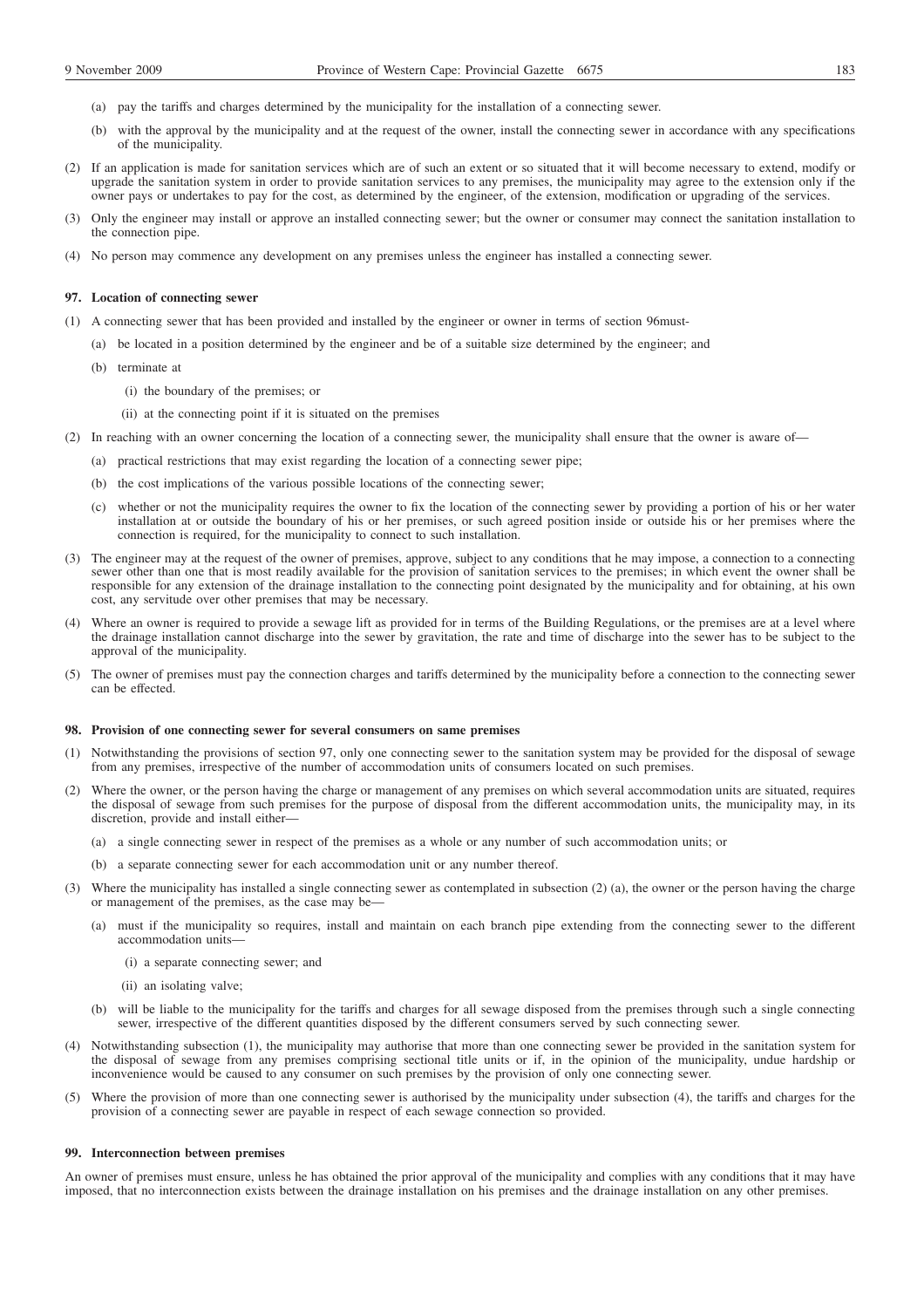- (a) pay the tariffs and charges determined by the municipality for the installation of a connecting sewer.
- (b) with the approval by the municipality and at the request of the owner, install the connecting sewer in accordance with any specifications of the municipality.
- (2) If an application is made for sanitation services which are of such an extent or so situated that it will become necessary to extend, modify or upgrade the sanitation system in order to provide sanitation services to any premises, the municipality may agree to the extension only if the owner pays or undertakes to pay for the cost, as determined by the engineer, of the extension, modification or upgrading of the services.
- (3) Only the engineer may install or approve an installed connecting sewer; but the owner or consumer may connect the sanitation installation to the connection pipe.
- (4) No person may commence any development on any premises unless the engineer has installed a connecting sewer.

## **97. Location of connecting sewer**

- (1) A connecting sewer that has been provided and installed by the engineer or owner in terms of section 96must-
	- (a) be located in a position determined by the engineer and be of a suitable size determined by the engineer; and
	- (b) terminate at
		- (i) the boundary of the premises; or
		- (ii) at the connecting point if it is situated on the premises
- (2) In reaching with an owner concerning the location of a connecting sewer, the municipality shall ensure that the owner is aware of—
	- (a) practical restrictions that may exist regarding the location of a connecting sewer pipe;
	- (b) the cost implications of the various possible locations of the connecting sewer;
	- (c) whether or not the municipality requires the owner to fix the location of the connecting sewer by providing a portion of his or her water installation at or outside the boundary of his or her premises, or such agreed position inside or outside his or her premises where the connection is required, for the municipality to connect to such installation.
- (3) The engineer may at the request of the owner of premises, approve, subject to any conditions that he may impose, a connection to a connecting sewer other than one that is most readily available for the provision of sanitation services to the premises; in which event the owner shall be responsible for any extension of the drainage installation to the connecting point designated by the municipality and for obtaining, at his own cost, any servitude over other premises that may be necessary.
- (4) Where an owner is required to provide a sewage lift as provided for in terms of the Building Regulations, or the premises are at a level where the drainage installation cannot discharge into the sewer by gravitation, the rate and time of discharge into the sewer has to be subject to the approval of the municipality.
- (5) The owner of premises must pay the connection charges and tariffs determined by the municipality before a connection to the connecting sewer can be effected.

#### **98. Provision of one connecting sewer for several consumers on same premises**

- (1) Notwithstanding the provisions of section 97, only one connecting sewer to the sanitation system may be provided for the disposal of sewage from any premises, irrespective of the number of accommodation units of consumers located on such premises.
- (2) Where the owner, or the person having the charge or management of any premises on which several accommodation units are situated, requires the disposal of sewage from such premises for the purpose of disposal from the different accommodation units, the municipality may, in its discretion, provide and install either—
	- (a) a single connecting sewer in respect of the premises as a whole or any number of such accommodation units; or
	- (b) a separate connecting sewer for each accommodation unit or any number thereof.
- (3) Where the municipality has installed a single connecting sewer as contemplated in subsection (2) (a), the owner or the person having the charge or management of the premises, as the case may be—
	- (a) must if the municipality so requires, install and maintain on each branch pipe extending from the connecting sewer to the different accommodation units—
		- (i) a separate connecting sewer; and
		- (ii) an isolating valve;
	- (b) will be liable to the municipality for the tariffs and charges for all sewage disposed from the premises through such a single connecting sewer, irrespective of the different quantities disposed by the different consumers served by such connecting sewer.
- (4) Notwithstanding subsection (1), the municipality may authorise that more than one connecting sewer be provided in the sanitation system for the disposal of sewage from any premises comprising sectional title units or if, in the opinion of the municipality, undue hardship or inconvenience would be caused to any consumer on such premises by the provision of only one connecting sewer.
- (5) Where the provision of more than one connecting sewer is authorised by the municipality under subsection (4), the tariffs and charges for the provision of a connecting sewer are payable in respect of each sewage connection so provided.

#### **99. Interconnection between premises**

An owner of premises must ensure, unless he has obtained the prior approval of the municipality and complies with any conditions that it may have imposed, that no interconnection exists between the drainage installation on his premises and the drainage installation on any other premises.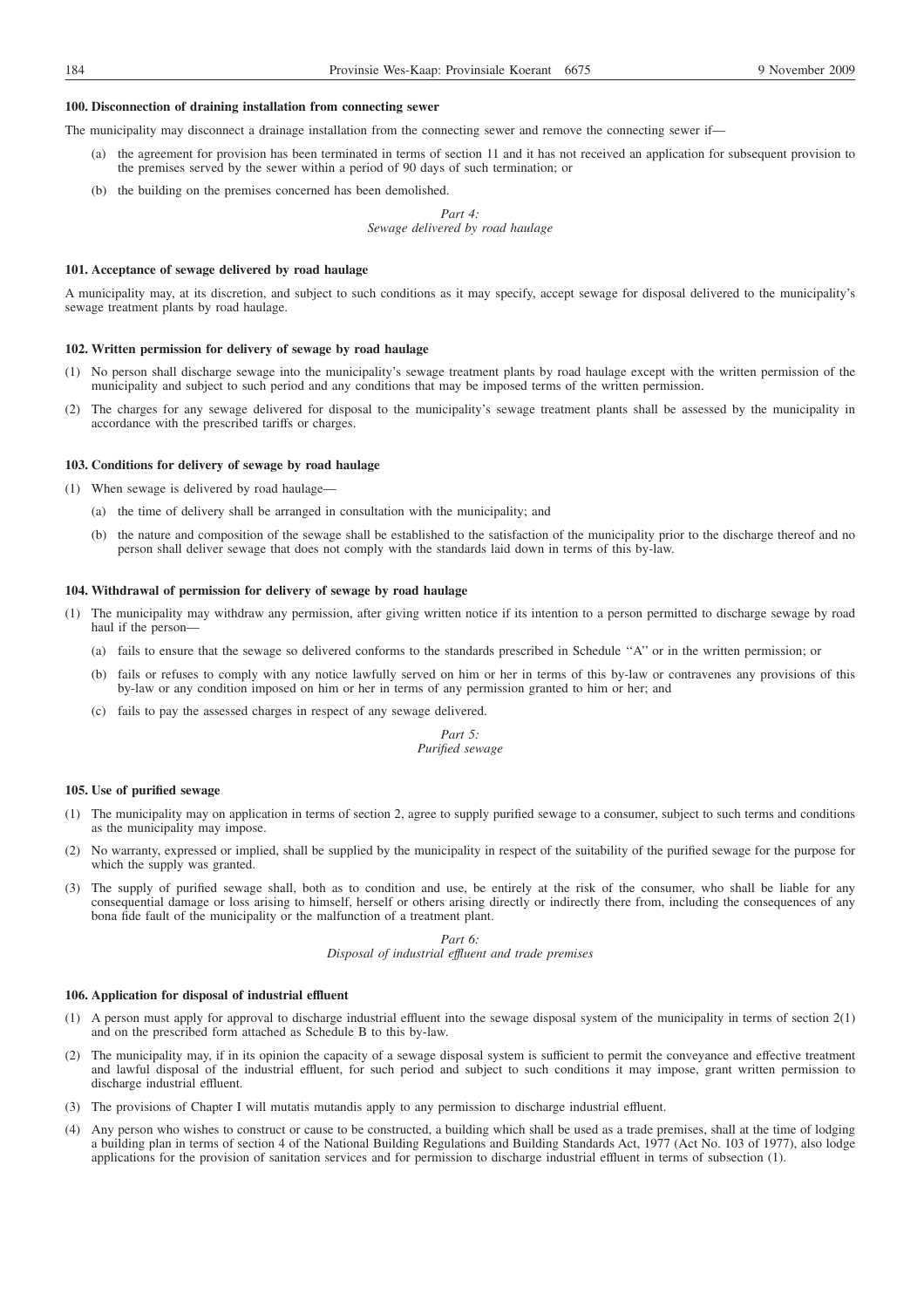### **100. Disconnection of draining installation from connecting sewer**

The municipality may disconnect a drainage installation from the connecting sewer and remove the connecting sewer if—

- (a) the agreement for provision has been terminated in terms of section 11 and it has not received an application for subsequent provision to the premises served by the sewer within a period of 90 days of such termination; or
- (b) the building on the premises concerned has been demolished.

*Part 4: Sewage delivered by road haulage*

## **101. Acceptance of sewage delivered by road haulage**

A municipality may, at its discretion, and subject to such conditions as it may specify, accept sewage for disposal delivered to the municipality's sewage treatment plants by road haulage.

## **102. Written permission for delivery of sewage by road haulage**

- (1) No person shall discharge sewage into the municipality's sewage treatment plants by road haulage except with the written permission of the municipality and subject to such period and any conditions that may be imposed terms of the written permission.
- (2) The charges for any sewage delivered for disposal to the municipality's sewage treatment plants shall be assessed by the municipality in accordance with the prescribed tariffs or charges.

## **103. Conditions for delivery of sewage by road haulage**

- (1) When sewage is delivered by road haulage—
	- (a) the time of delivery shall be arranged in consultation with the municipality; and
	- (b) the nature and composition of the sewage shall be established to the satisfaction of the municipality prior to the discharge thereof and no person shall deliver sewage that does not comply with the standards laid down in terms of this by-law.

# **104. Withdrawal of permission for delivery of sewage by road haulage**

- (1) The municipality may withdraw any permission, after giving written notice if its intention to a person permitted to discharge sewage by road haul if the person—
	- (a) fails to ensure that the sewage so delivered conforms to the standards prescribed in Schedule ''A'' or in the written permission; or
	- (b) fails or refuses to comply with any notice lawfully served on him or her in terms of this by-law or contravenes any provisions of this by-law or any condition imposed on him or her in terms of any permission granted to him or her; and
	- (c) fails to pay the assessed charges in respect of any sewage delivered.

## *Part 5: Purified sewage*

#### **105. Use of purified sewage**

- (1) The municipality may on application in terms of section 2, agree to supply purified sewage to a consumer, subject to such terms and conditions as the municipality may impose.
- (2) No warranty, expressed or implied, shall be supplied by the municipality in respect of the suitability of the purified sewage for the purpose for which the supply was granted.
- (3) The supply of purified sewage shall, both as to condition and use, be entirely at the risk of the consumer, who shall be liable for any consequential damage or loss arising to himself, herself or others arising directly or indirectly there from, including the consequences of any bona fide fault of the municipality or the malfunction of a treatment plant.

*Part 6: Disposal of industrial effluent and trade premises*

## **106. Application for disposal of industrial effluent**

- (1) A person must apply for approval to discharge industrial effluent into the sewage disposal system of the municipality in terms of section 2(1) and on the prescribed form attached as Schedule B to this by-law.
- (2) The municipality may, if in its opinion the capacity of a sewage disposal system is sufficient to permit the conveyance and effective treatment and lawful disposal of the industrial effluent, for such period and subject to such conditions it may impose, grant written permission to discharge industrial effluent.
- (3) The provisions of Chapter I will mutatis mutandis apply to any permission to discharge industrial effluent.
- (4) Any person who wishes to construct or cause to be constructed, a building which shall be used as a trade premises, shall at the time of lodging a building plan in terms of section 4 of the National Building Regulations and Building Standards Act, 1977 (Act No. 103 of 1977), also lodge applications for the provision of sanitation services and for permission to discharge industrial effluent in terms of subsection (1).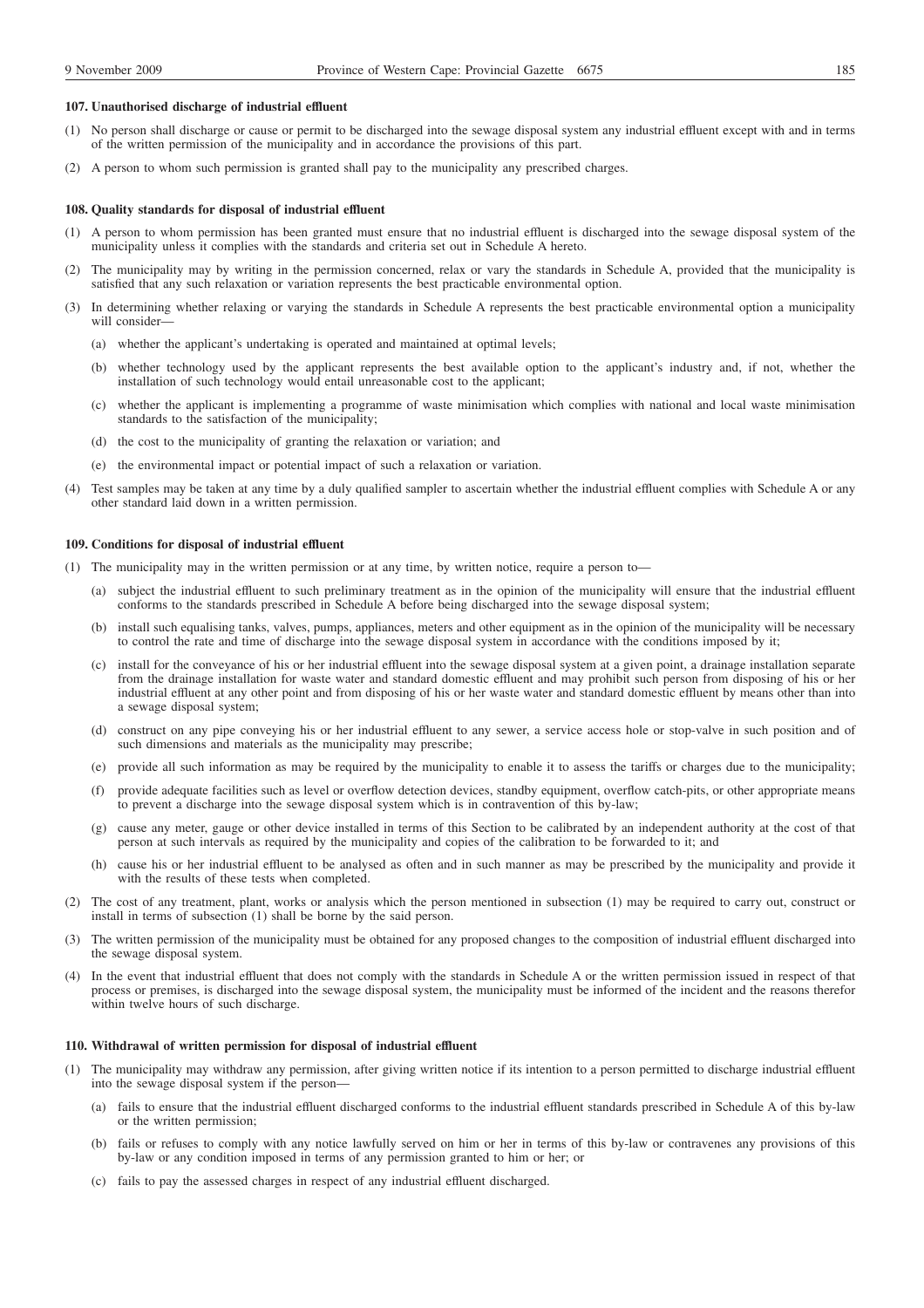## **107. Unauthorised discharge of industrial effluent**

- (1) No person shall discharge or cause or permit to be discharged into the sewage disposal system any industrial effluent except with and in terms of the written permission of the municipality and in accordance the provisions of this part.
- (2) A person to whom such permission is granted shall pay to the municipality any prescribed charges.

#### **108. Quality standards for disposal of industrial effluent**

- (1) A person to whom permission has been granted must ensure that no industrial effluent is discharged into the sewage disposal system of the municipality unless it complies with the standards and criteria set out in Schedule A hereto.
- (2) The municipality may by writing in the permission concerned, relax or vary the standards in Schedule A, provided that the municipality is satisfied that any such relaxation or variation represents the best practicable environmental option.
- (3) In determining whether relaxing or varying the standards in Schedule A represents the best practicable environmental option a municipality will consider-
	- (a) whether the applicant's undertaking is operated and maintained at optimal levels;
	- (b) whether technology used by the applicant represents the best available option to the applicant's industry and, if not, whether the installation of such technology would entail unreasonable cost to the applicant;
	- (c) whether the applicant is implementing a programme of waste minimisation which complies with national and local waste minimisation standards to the satisfaction of the municipality;
	- (d) the cost to the municipality of granting the relaxation or variation; and
	- (e) the environmental impact or potential impact of such a relaxation or variation.
- (4) Test samples may be taken at any time by a duly qualified sampler to ascertain whether the industrial effluent complies with Schedule A or any other standard laid down in a written permission.

#### **109. Conditions for disposal of industrial effluent**

- (1) The municipality may in the written permission or at any time, by written notice, require a person to—
	- (a) subject the industrial effluent to such preliminary treatment as in the opinion of the municipality will ensure that the industrial effluent conforms to the standards prescribed in Schedule A before being discharged into the sewage disposal system;
	- (b) install such equalising tanks, valves, pumps, appliances, meters and other equipment as in the opinion of the municipality will be necessary to control the rate and time of discharge into the sewage disposal system in accordance with the conditions imposed by it;
	- (c) install for the conveyance of his or her industrial effluent into the sewage disposal system at a given point, a drainage installation separate from the drainage installation for waste water and standard domestic effluent and may prohibit such person from disposing of his or her industrial effluent at any other point and from disposing of his or her waste water and standard domestic effluent by means other than into a sewage disposal system;
	- (d) construct on any pipe conveying his or her industrial effluent to any sewer, a service access hole or stop-valve in such position and of such dimensions and materials as the municipality may prescribe;
	- (e) provide all such information as may be required by the municipality to enable it to assess the tariffs or charges due to the municipality;
	- (f) provide adequate facilities such as level or overflow detection devices, standby equipment, overflow catch-pits, or other appropriate means to prevent a discharge into the sewage disposal system which is in contravention of this by-law;
	- (g) cause any meter, gauge or other device installed in terms of this Section to be calibrated by an independent authority at the cost of that person at such intervals as required by the municipality and copies of the calibration to be forwarded to it; and
	- (h) cause his or her industrial effluent to be analysed as often and in such manner as may be prescribed by the municipality and provide it with the results of these tests when completed.
- (2) The cost of any treatment, plant, works or analysis which the person mentioned in subsection (1) may be required to carry out, construct or install in terms of subsection (1) shall be borne by the said person.
- (3) The written permission of the municipality must be obtained for any proposed changes to the composition of industrial effluent discharged into the sewage disposal system.
- (4) In the event that industrial effluent that does not comply with the standards in Schedule A or the written permission issued in respect of that process or premises, is discharged into the sewage disposal system, the municipality must be informed of the incident and the reasons therefor within twelve hours of such discharge.

#### **110. Withdrawal of written permission for disposal of industrial effluent**

- (1) The municipality may withdraw any permission, after giving written notice if its intention to a person permitted to discharge industrial effluent into the sewage disposal system if the person—
	- (a) fails to ensure that the industrial effluent discharged conforms to the industrial effluent standards prescribed in Schedule A of this by-law or the written permission;
	- (b) fails or refuses to comply with any notice lawfully served on him or her in terms of this by-law or contravenes any provisions of this by-law or any condition imposed in terms of any permission granted to him or her; or
	- (c) fails to pay the assessed charges in respect of any industrial effluent discharged.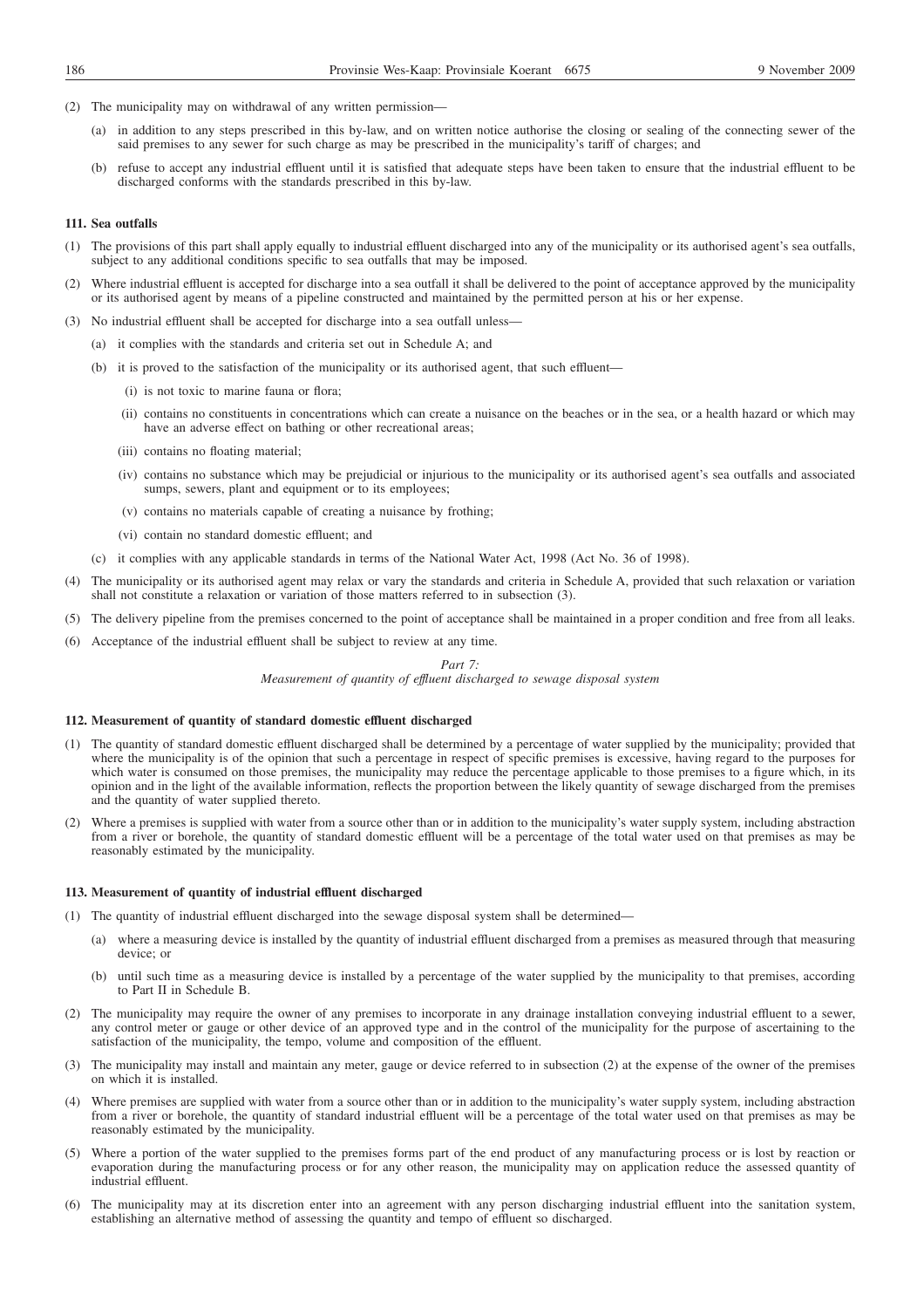- (2) The municipality may on withdrawal of any written permission—
	- (a) in addition to any steps prescribed in this by-law, and on written notice authorise the closing or sealing of the connecting sewer of the said premises to any sewer for such charge as may be prescribed in the municipality's tariff of charges; and
	- (b) refuse to accept any industrial effluent until it is satisfied that adequate steps have been taken to ensure that the industrial effluent to be discharged conforms with the standards prescribed in this by-law.

### **111. Sea outfalls**

- (1) The provisions of this part shall apply equally to industrial effluent discharged into any of the municipality or its authorised agent's sea outfalls, subject to any additional conditions specific to sea outfalls that may be imposed.
- (2) Where industrial effluent is accepted for discharge into a sea outfall it shall be delivered to the point of acceptance approved by the municipality or its authorised agent by means of a pipeline constructed and maintained by the permitted person at his or her expense.
- (3) No industrial effluent shall be accepted for discharge into a sea outfall unless—
	- (a) it complies with the standards and criteria set out in Schedule A; and
	- (b) it is proved to the satisfaction of the municipality or its authorised agent, that such effluent—
		- (i) is not toxic to marine fauna or flora;
		- (ii) contains no constituents in concentrations which can create a nuisance on the beaches or in the sea, or a health hazard or which may have an adverse effect on bathing or other recreational areas;
		- (iii) contains no floating material;
		- (iv) contains no substance which may be prejudicial or injurious to the municipality or its authorised agent's sea outfalls and associated sumps, sewers, plant and equipment or to its employees;
		- (v) contains no materials capable of creating a nuisance by frothing;
		- (vi) contain no standard domestic effluent; and
	- (c) it complies with any applicable standards in terms of the National Water Act, 1998 (Act No. 36 of 1998).
- (4) The municipality or its authorised agent may relax or vary the standards and criteria in Schedule A, provided that such relaxation or variation shall not constitute a relaxation or variation of those matters referred to in subsection (3).
- (5) The delivery pipeline from the premises concerned to the point of acceptance shall be maintained in a proper condition and free from all leaks.
- (6) Acceptance of the industrial effluent shall be subject to review at any time.

#### *Part 7:*

*Measurement of quantity of effluent discharged to sewage disposal system*

## **112. Measurement of quantity of standard domestic effluent discharged**

- (1) The quantity of standard domestic effluent discharged shall be determined by a percentage of water supplied by the municipality; provided that where the municipality is of the opinion that such a percentage in respect of specific premises is excessive, having regard to the purposes for which water is consumed on those premises, the municipality may reduce the percentage applicable to those premises to a figure which, in its opinion and in the light of the available information, reflects the proportion between the likely quantity of sewage discharged from the premises and the quantity of water supplied thereto.
- (2) Where a premises is supplied with water from a source other than or in addition to the municipality's water supply system, including abstraction from a river or borehole, the quantity of standard domestic effluent will be a percentage of the total water used on that premises as may be reasonably estimated by the municipality.

#### **113. Measurement of quantity of industrial effluent discharged**

- (1) The quantity of industrial effluent discharged into the sewage disposal system shall be determined—
	- (a) where a measuring device is installed by the quantity of industrial effluent discharged from a premises as measured through that measuring device; or
	- (b) until such time as a measuring device is installed by a percentage of the water supplied by the municipality to that premises, according to Part II in Schedule B.
- (2) The municipality may require the owner of any premises to incorporate in any drainage installation conveying industrial effluent to a sewer, any control meter or gauge or other device of an approved type and in the control of the municipality for the purpose of ascertaining to the satisfaction of the municipality, the tempo, volume and composition of the effluent.
- (3) The municipality may install and maintain any meter, gauge or device referred to in subsection (2) at the expense of the owner of the premises on which it is installed.
- (4) Where premises are supplied with water from a source other than or in addition to the municipality's water supply system, including abstraction from a river or borehole, the quantity of standard industrial effluent will be a percentage of the total water used on that premises as may be reasonably estimated by the municipality.
- (5) Where a portion of the water supplied to the premises forms part of the end product of any manufacturing process or is lost by reaction or evaporation during the manufacturing process or for any other reason, the municipality may on application reduce the assessed quantity of industrial effluent.
- (6) The municipality may at its discretion enter into an agreement with any person discharging industrial effluent into the sanitation system, establishing an alternative method of assessing the quantity and tempo of effluent so discharged.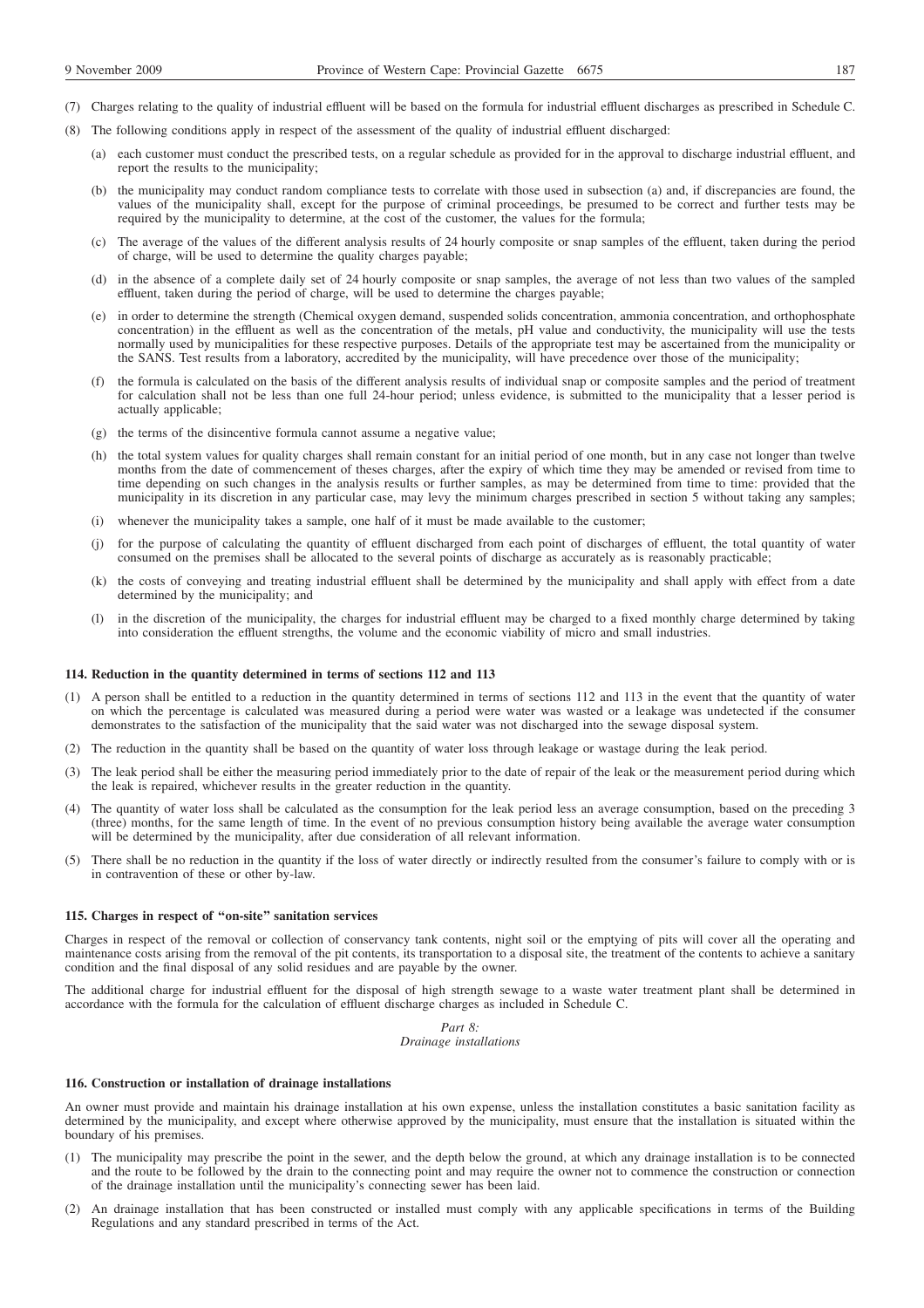- (7) Charges relating to the quality of industrial effluent will be based on the formula for industrial effluent discharges as prescribed in Schedule C.
- (8) The following conditions apply in respect of the assessment of the quality of industrial effluent discharged:
	- (a) each customer must conduct the prescribed tests, on a regular schedule as provided for in the approval to discharge industrial effluent, and report the results to the municipality;
	- (b) the municipality may conduct random compliance tests to correlate with those used in subsection (a) and, if discrepancies are found, the values of the municipality shall, except for the purpose of criminal proceedings, be presumed to be correct and further tests may be required by the municipality to determine, at the cost of the customer, the values for the formula;
	- (c) The average of the values of the different analysis results of 24 hourly composite or snap samples of the effluent, taken during the period of charge, will be used to determine the quality charges payable;
	- (d) in the absence of a complete daily set of 24 hourly composite or snap samples, the average of not less than two values of the sampled effluent, taken during the period of charge, will be used to determine the charges payable;
	- (e) in order to determine the strength (Chemical oxygen demand, suspended solids concentration, ammonia concentration, and orthophosphate concentration) in the effluent as well as the concentration of the metals, pH value and conductivity, the municipality will use the tests normally used by municipalities for these respective purposes. Details of the appropriate test may be ascertained from the municipality or the SANS. Test results from a laboratory, accredited by the municipality, will have precedence over those of the municipality;
	- (f) the formula is calculated on the basis of the different analysis results of individual snap or composite samples and the period of treatment for calculation shall not be less than one full 24-hour period; unless evidence, is submitted to the municipality that a lesser period is actually applicable;
	- (g) the terms of the disincentive formula cannot assume a negative value;
	- (h) the total system values for quality charges shall remain constant for an initial period of one month, but in any case not longer than twelve months from the date of commencement of theses charges, after the expiry of which time they may be amended or revised from time to time depending on such changes in the analysis results or further samples, as may be determined from time to time: provided that the municipality in its discretion in any particular case, may levy the minimum charges prescribed in section 5 without taking any samples;
	- (i) whenever the municipality takes a sample, one half of it must be made available to the customer;
	- (j) for the purpose of calculating the quantity of effluent discharged from each point of discharges of effluent, the total quantity of water consumed on the premises shall be allocated to the several points of discharge as accurately as is reasonably practicable;
	- (k) the costs of conveying and treating industrial effluent shall be determined by the municipality and shall apply with effect from a date determined by the municipality; and
	- (l) in the discretion of the municipality, the charges for industrial effluent may be charged to a fixed monthly charge determined by taking into consideration the effluent strengths, the volume and the economic viability of micro and small industries.

### **114. Reduction in the quantity determined in terms of sections 112 and 113**

- (1) A person shall be entitled to a reduction in the quantity determined in terms of sections 112 and 113 in the event that the quantity of water on which the percentage is calculated was measured during a period were water was wasted or a leakage was undetected if the consumer demonstrates to the satisfaction of the municipality that the said water was not discharged into the sewage disposal system.
- (2) The reduction in the quantity shall be based on the quantity of water loss through leakage or wastage during the leak period.
- (3) The leak period shall be either the measuring period immediately prior to the date of repair of the leak or the measurement period during which the leak is repaired, whichever results in the greater reduction in the quantity.
- (4) The quantity of water loss shall be calculated as the consumption for the leak period less an average consumption, based on the preceding 3 (three) months, for the same length of time. In the event of no previous consumption history being available the average water consumption will be determined by the municipality, after due consideration of all relevant information.
- (5) There shall be no reduction in the quantity if the loss of water directly or indirectly resulted from the consumer's failure to comply with or is in contravention of these or other by-law.

## **115. Charges in respect of ''on-site'' sanitation services**

Charges in respect of the removal or collection of conservancy tank contents, night soil or the emptying of pits will cover all the operating and maintenance costs arising from the removal of the pit contents, its transportation to a disposal site, the treatment of the contents to achieve a sanitary condition and the final disposal of any solid residues and are payable by the owner.

The additional charge for industrial effluent for the disposal of high strength sewage to a waste water treatment plant shall be determined in accordance with the formula for the calculation of effluent discharge charges as included in Schedule C.

## *Part 8: Drainage installations*

#### **116. Construction or installation of drainage installations**

An owner must provide and maintain his drainage installation at his own expense, unless the installation constitutes a basic sanitation facility as determined by the municipality, and except where otherwise approved by the municipality, must ensure that the installation is situated within the boundary of his premises.

- (1) The municipality may prescribe the point in the sewer, and the depth below the ground, at which any drainage installation is to be connected and the route to be followed by the drain to the connecting point and may require the owner not to commence the construction or connection of the drainage installation until the municipality's connecting sewer has been laid.
- (2) An drainage installation that has been constructed or installed must comply with any applicable specifications in terms of the Building Regulations and any standard prescribed in terms of the Act.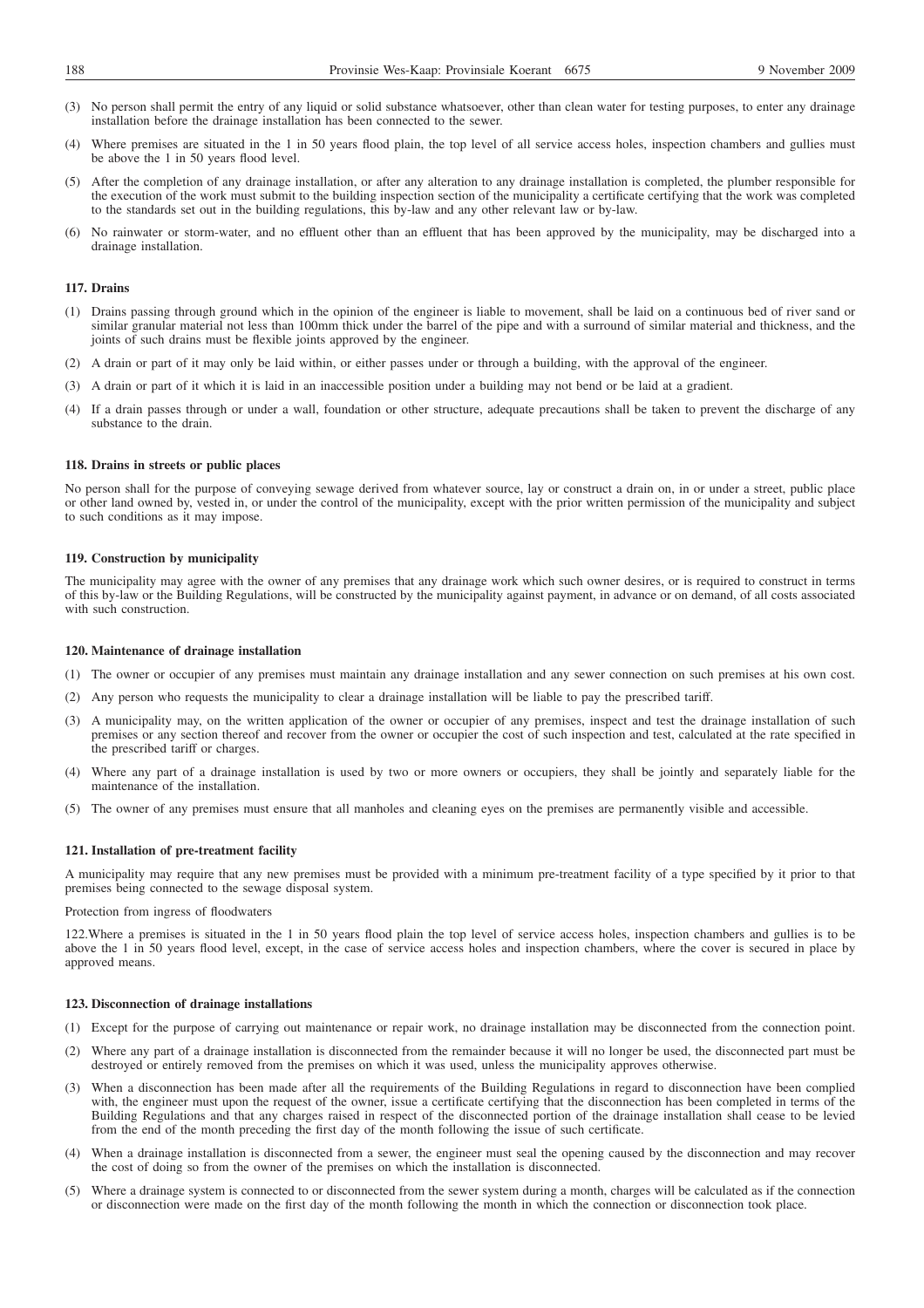- (3) No person shall permit the entry of any liquid or solid substance whatsoever, other than clean water for testing purposes, to enter any drainage installation before the drainage installation has been connected to the sewer.
- (4) Where premises are situated in the 1 in 50 years flood plain, the top level of all service access holes, inspection chambers and gullies must be above the 1 in 50 years flood level.
- (5) After the completion of any drainage installation, or after any alteration to any drainage installation is completed, the plumber responsible for the execution of the work must submit to the building inspection section of the municipality a certificate certifying that the work was completed to the standards set out in the building regulations, this by-law and any other relevant law or by-law.
- (6) No rainwater or storm-water, and no effluent other than an effluent that has been approved by the municipality, may be discharged into a drainage installation.

## **117. Drains**

- (1) Drains passing through ground which in the opinion of the engineer is liable to movement, shall be laid on a continuous bed of river sand or similar granular material not less than 100mm thick under the barrel of the pipe and with a surround of similar material and thickness, and the joints of such drains must be flexible joints approved by the engineer.
- (2) A drain or part of it may only be laid within, or either passes under or through a building, with the approval of the engineer.
- (3) A drain or part of it which it is laid in an inaccessible position under a building may not bend or be laid at a gradient.
- (4) If a drain passes through or under a wall, foundation or other structure, adequate precautions shall be taken to prevent the discharge of any substance to the drain.

#### **118. Drains in streets or public places**

No person shall for the purpose of conveying sewage derived from whatever source, lay or construct a drain on, in or under a street, public place or other land owned by, vested in, or under the control of the municipality, except with the prior written permission of the municipality and subject to such conditions as it may impose.

#### **119. Construction by municipality**

The municipality may agree with the owner of any premises that any drainage work which such owner desires, or is required to construct in terms of this by-law or the Building Regulations, will be constructed by the municipality against payment, in advance or on demand, of all costs associated with such construction.

## **120. Maintenance of drainage installation**

- (1) The owner or occupier of any premises must maintain any drainage installation and any sewer connection on such premises at his own cost.
- (2) Any person who requests the municipality to clear a drainage installation will be liable to pay the prescribed tariff.
- (3) A municipality may, on the written application of the owner or occupier of any premises, inspect and test the drainage installation of such premises or any section thereof and recover from the owner or occupier the cost of such inspection and test, calculated at the rate specified in the prescribed tariff or charges.
- (4) Where any part of a drainage installation is used by two or more owners or occupiers, they shall be jointly and separately liable for the maintenance of the installation.
- (5) The owner of any premises must ensure that all manholes and cleaning eyes on the premises are permanently visible and accessible.

## **121. Installation of pre-treatment facility**

A municipality may require that any new premises must be provided with a minimum pre-treatment facility of a type specified by it prior to that premises being connected to the sewage disposal system.

Protection from ingress of floodwaters

122.Where a premises is situated in the 1 in 50 years flood plain the top level of service access holes, inspection chambers and gullies is to be above the 1 in 50 years flood level, except, in the case of service access holes and inspection chambers, where the cover is secured in place by approved means.

#### **123. Disconnection of drainage installations**

- (1) Except for the purpose of carrying out maintenance or repair work, no drainage installation may be disconnected from the connection point.
- (2) Where any part of a drainage installation is disconnected from the remainder because it will no longer be used, the disconnected part must be destroyed or entirely removed from the premises on which it was used, unless the municipality approves otherwise.
- (3) When a disconnection has been made after all the requirements of the Building Regulations in regard to disconnection have been complied with, the engineer must upon the request of the owner, issue a certificate certifying that the disconnection has been completed in terms of the Building Regulations and that any charges raised in respect of the disconnected portion of the drainage installation shall cease to be levied from the end of the month preceding the first day of the month following the issue of such certificate.
- (4) When a drainage installation is disconnected from a sewer, the engineer must seal the opening caused by the disconnection and may recover the cost of doing so from the owner of the premises on which the installation is disconnected.
- (5) Where a drainage system is connected to or disconnected from the sewer system during a month, charges will be calculated as if the connection or disconnection were made on the first day of the month following the month in which the connection or disconnection took place.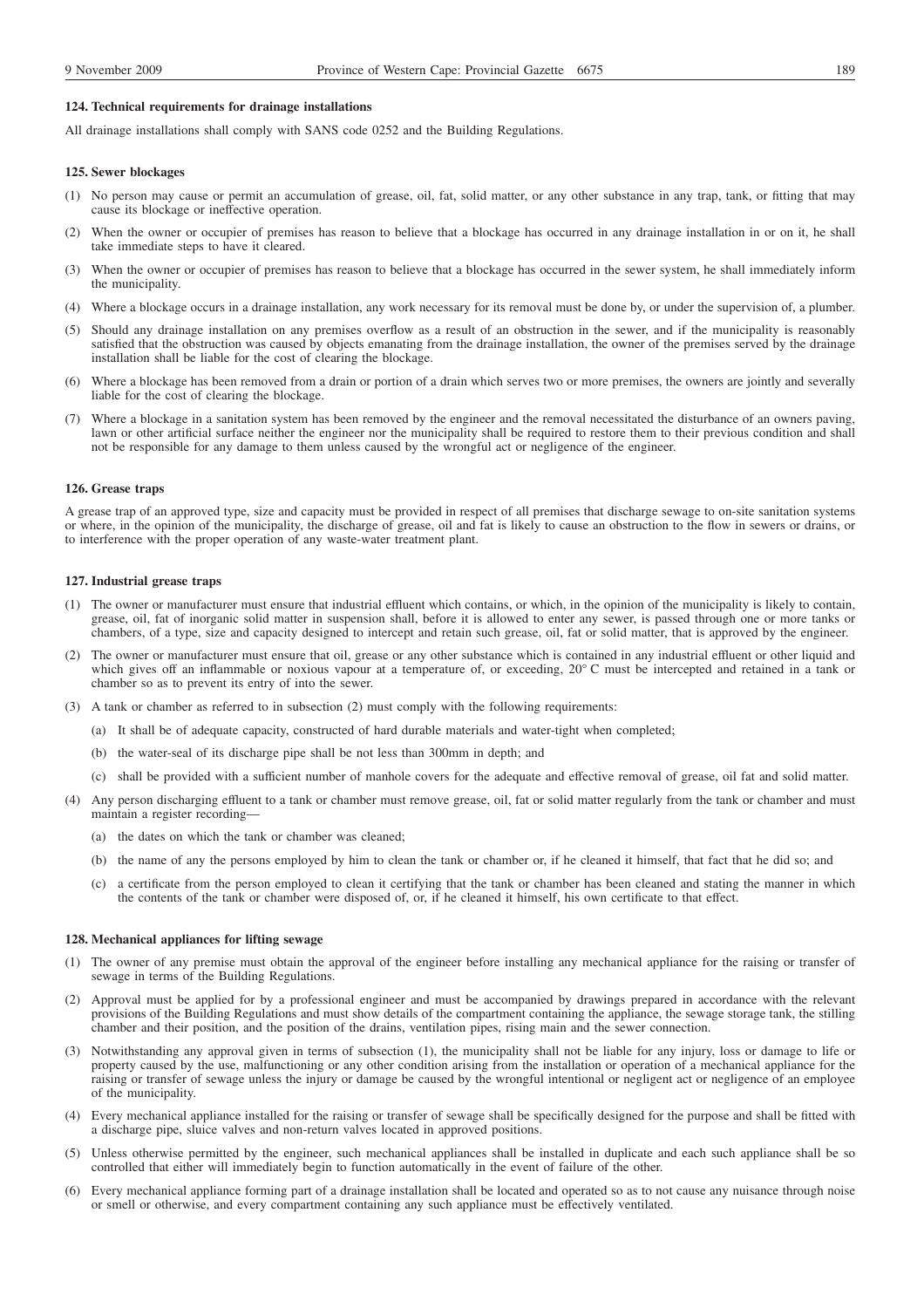## **124. Technical requirements for drainage installations**

All drainage installations shall comply with SANS code 0252 and the Building Regulations.

#### **125. Sewer blockages**

- (1) No person may cause or permit an accumulation of grease, oil, fat, solid matter, or any other substance in any trap, tank, or fitting that may cause its blockage or ineffective operation.
- (2) When the owner or occupier of premises has reason to believe that a blockage has occurred in any drainage installation in or on it, he shall take immediate steps to have it cleared.
- (3) When the owner or occupier of premises has reason to believe that a blockage has occurred in the sewer system, he shall immediately inform the municipality.
- (4) Where a blockage occurs in a drainage installation, any work necessary for its removal must be done by, or under the supervision of, a plumber.
- (5) Should any drainage installation on any premises overflow as a result of an obstruction in the sewer, and if the municipality is reasonably satisfied that the obstruction was caused by objects emanating from the drainage installation, the owner of the premises served by the drainage installation shall be liable for the cost of clearing the blockage.
- (6) Where a blockage has been removed from a drain or portion of a drain which serves two or more premises, the owners are jointly and severally liable for the cost of clearing the blockage.
- (7) Where a blockage in a sanitation system has been removed by the engineer and the removal necessitated the disturbance of an owners paving, lawn or other artificial surface neither the engineer nor the municipality shall be required to restore them to their previous condition and shall not be responsible for any damage to them unless caused by the wrongful act or negligence of the engineer.

#### **126. Grease traps**

A grease trap of an approved type, size and capacity must be provided in respect of all premises that discharge sewage to on-site sanitation systems or where, in the opinion of the municipality, the discharge of grease, oil and fat is likely to cause an obstruction to the flow in sewers or drains, or to interference with the proper operation of any waste-water treatment plant.

#### **127. Industrial grease traps**

- (1) The owner or manufacturer must ensure that industrial effluent which contains, or which, in the opinion of the municipality is likely to contain, grease, oil, fat of inorganic solid matter in suspension shall, before it is allowed to enter any sewer, is passed through one or more tanks or chambers, of a type, size and capacity designed to intercept and retain such grease, oil, fat or solid matter, that is approved by the engineer.
- (2) The owner or manufacturer must ensure that oil, grease or any other substance which is contained in any industrial effluent or other liquid and which gives off an inflammable or noxious vapour at a temperature of, or exceeding, 20° C must be intercepted and retained in a tank or chamber so as to prevent its entry of into the sewer.
- (3) A tank or chamber as referred to in subsection (2) must comply with the following requirements:
	- (a) It shall be of adequate capacity, constructed of hard durable materials and water-tight when completed;
	- (b) the water-seal of its discharge pipe shall be not less than 300mm in depth; and
	- (c) shall be provided with a sufficient number of manhole covers for the adequate and effective removal of grease, oil fat and solid matter.
- (4) Any person discharging effluent to a tank or chamber must remove grease, oil, fat or solid matter regularly from the tank or chamber and must maintain a register recording—
	- (a) the dates on which the tank or chamber was cleaned;
	- (b) the name of any the persons employed by him to clean the tank or chamber or, if he cleaned it himself, that fact that he did so; and
	- (c) a certificate from the person employed to clean it certifying that the tank or chamber has been cleaned and stating the manner in which the contents of the tank or chamber were disposed of, or, if he cleaned it himself, his own certificate to that effect.

#### **128. Mechanical appliances for lifting sewage**

- (1) The owner of any premise must obtain the approval of the engineer before installing any mechanical appliance for the raising or transfer of sewage in terms of the Building Regulations.
- (2) Approval must be applied for by a professional engineer and must be accompanied by drawings prepared in accordance with the relevant provisions of the Building Regulations and must show details of the compartment containing the appliance, the sewage storage tank, the stilling chamber and their position, and the position of the drains, ventilation pipes, rising main and the sewer connection.
- (3) Notwithstanding any approval given in terms of subsection (1), the municipality shall not be liable for any injury, loss or damage to life or property caused by the use, malfunctioning or any other condition arising from the installation or operation of a mechanical appliance for the raising or transfer of sewage unless the injury or damage be caused by the wrongful intentional or negligent act or negligence of an employee of the municipality.
- (4) Every mechanical appliance installed for the raising or transfer of sewage shall be specifically designed for the purpose and shall be fitted with a discharge pipe, sluice valves and non-return valves located in approved positions.
- (5) Unless otherwise permitted by the engineer, such mechanical appliances shall be installed in duplicate and each such appliance shall be so controlled that either will immediately begin to function automatically in the event of failure of the other.
- (6) Every mechanical appliance forming part of a drainage installation shall be located and operated so as to not cause any nuisance through noise or smell or otherwise, and every compartment containing any such appliance must be effectively ventilated.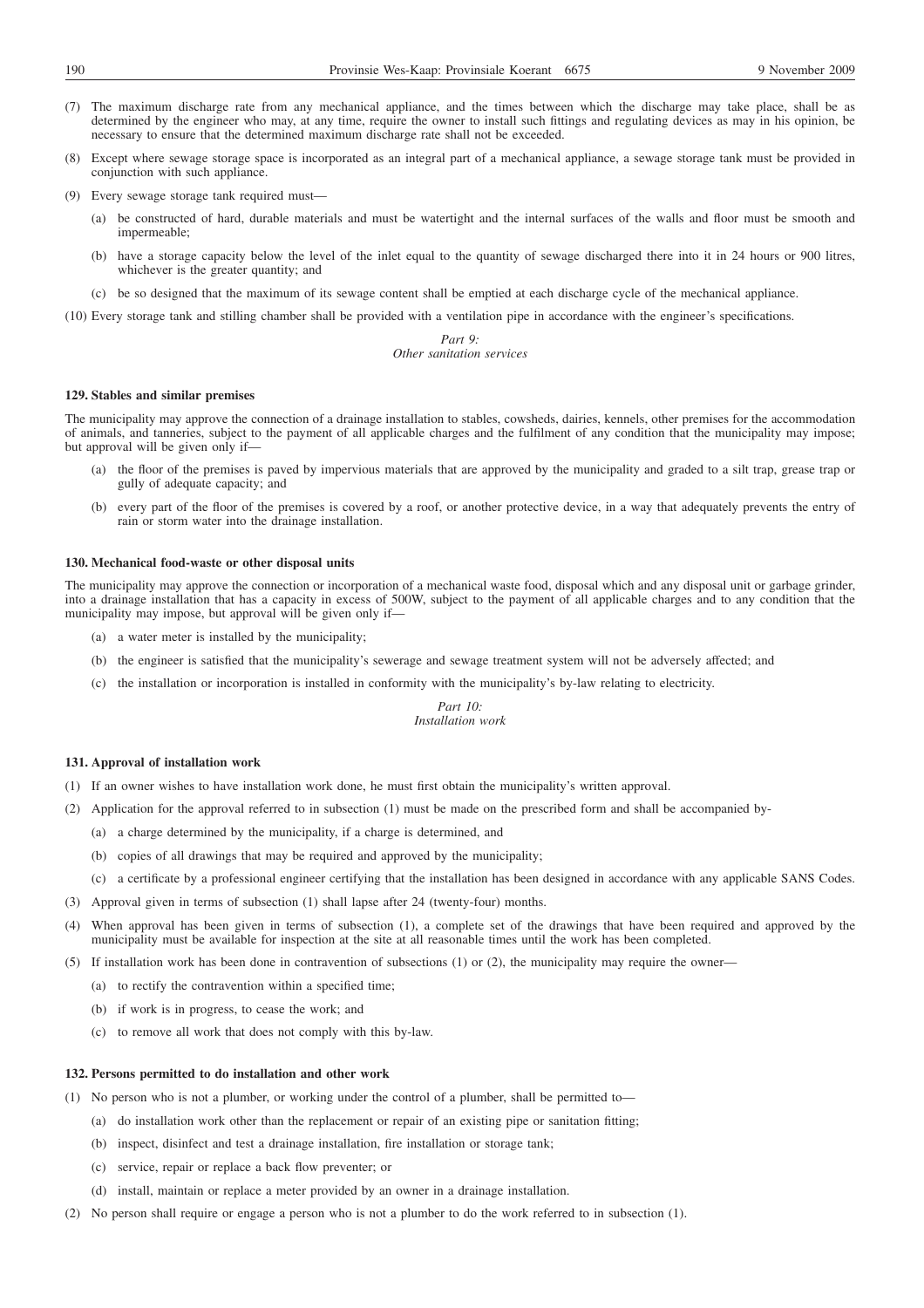- (7) The maximum discharge rate from any mechanical appliance, and the times between which the discharge may take place, shall be as determined by the engineer who may, at any time, require the owner to install such fittings and regulating devices as may in his opinion, be necessary to ensure that the determined maximum discharge rate shall not be exceeded.
- (8) Except where sewage storage space is incorporated as an integral part of a mechanical appliance, a sewage storage tank must be provided in conjunction with such appliance.

(9) Every sewage storage tank required must—

- (a) be constructed of hard, durable materials and must be watertight and the internal surfaces of the walls and floor must be smooth and impermeable;
- (b) have a storage capacity below the level of the inlet equal to the quantity of sewage discharged there into it in 24 hours or 900 litres, whichever is the greater quantity; and
- (c) be so designed that the maximum of its sewage content shall be emptied at each discharge cycle of the mechanical appliance.

(10) Every storage tank and stilling chamber shall be provided with a ventilation pipe in accordance with the engineer's specifications.

## *Part 9: Other sanitation services*

#### **129. Stables and similar premises**

The municipality may approve the connection of a drainage installation to stables, cowsheds, dairies, kennels, other premises for the accommodation of animals, and tanneries, subject to the payment of all applicable charges and the fulfilment of any condition that the municipality may impose; but approval will be given only if—

- (a) the floor of the premises is paved by impervious materials that are approved by the municipality and graded to a silt trap, grease trap or gully of adequate capacity; and
- (b) every part of the floor of the premises is covered by a roof, or another protective device, in a way that adequately prevents the entry of rain or storm water into the drainage installation.

#### **130. Mechanical food-waste or other disposal units**

The municipality may approve the connection or incorporation of a mechanical waste food, disposal which and any disposal unit or garbage grinder, into a drainage installation that has a capacity in excess of 500W, subject to the payment of all applicable charges and to any condition that the municipality may impose, but approval will be given only if—

- (a) a water meter is installed by the municipality;
- (b) the engineer is satisfied that the municipality's sewerage and sewage treatment system will not be adversely affected; and
- (c) the installation or incorporation is installed in conformity with the municipality's by-law relating to electricity.

*Part 10: Installation work*

## **131. Approval of installation work**

- (1) If an owner wishes to have installation work done, he must first obtain the municipality's written approval.
- (2) Application for the approval referred to in subsection (1) must be made on the prescribed form and shall be accompanied by-
	- (a) a charge determined by the municipality, if a charge is determined, and
	- (b) copies of all drawings that may be required and approved by the municipality;
	- (c) a certificate by a professional engineer certifying that the installation has been designed in accordance with any applicable SANS Codes.
- (3) Approval given in terms of subsection (1) shall lapse after 24 (twenty-four) months.
- (4) When approval has been given in terms of subsection (1), a complete set of the drawings that have been required and approved by the municipality must be available for inspection at the site at all reasonable times until the work has been completed.
- (5) If installation work has been done in contravention of subsections (1) or (2), the municipality may require the owner—
	- (a) to rectify the contravention within a specified time;
	- (b) if work is in progress, to cease the work; and
	- (c) to remove all work that does not comply with this by-law.

#### **132. Persons permitted to do installation and other work**

- (1) No person who is not a plumber, or working under the control of a plumber, shall be permitted to—
	- (a) do installation work other than the replacement or repair of an existing pipe or sanitation fitting;
	- (b) inspect, disinfect and test a drainage installation, fire installation or storage tank;
	- (c) service, repair or replace a back flow preventer; or
	- (d) install, maintain or replace a meter provided by an owner in a drainage installation.
- (2) No person shall require or engage a person who is not a plumber to do the work referred to in subsection (1).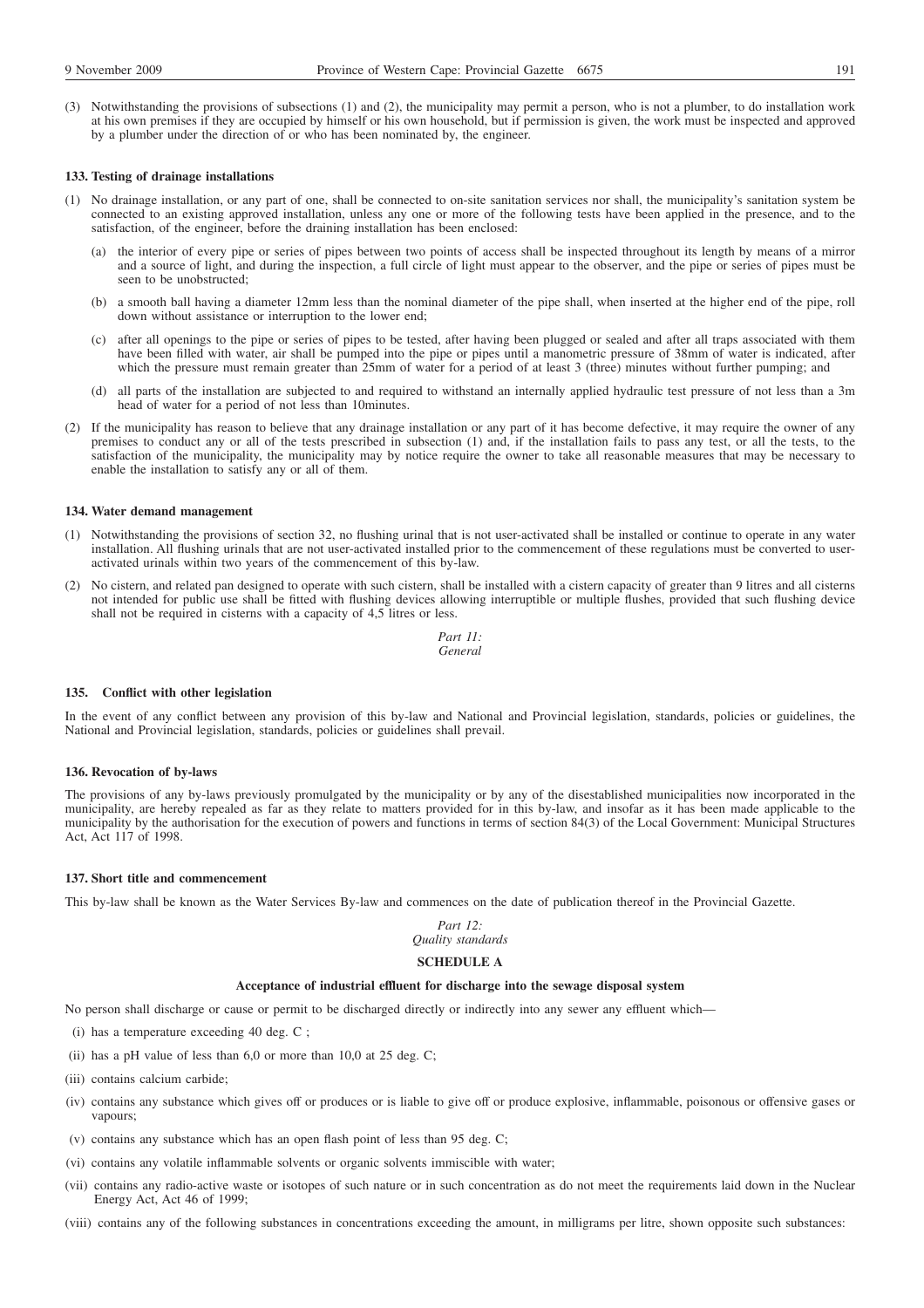(3) Notwithstanding the provisions of subsections (1) and (2), the municipality may permit a person, who is not a plumber, to do installation work at his own premises if they are occupied by himself or his own household, but if permission is given, the work must be inspected and approved by a plumber under the direction of or who has been nominated by, the engineer.

#### **133. Testing of drainage installations**

- (1) No drainage installation, or any part of one, shall be connected to on-site sanitation services nor shall, the municipality's sanitation system be connected to an existing approved installation, unless any one or more of the following tests have been applied in the presence, and to the satisfaction, of the engineer, before the draining installation has been enclosed:
	- (a) the interior of every pipe or series of pipes between two points of access shall be inspected throughout its length by means of a mirror and a source of light, and during the inspection, a full circle of light must appear to the observer, and the pipe or series of pipes must be seen to be unobstructed;
	- (b) a smooth ball having a diameter 12mm less than the nominal diameter of the pipe shall, when inserted at the higher end of the pipe, roll down without assistance or interruption to the lower end;
	- (c) after all openings to the pipe or series of pipes to be tested, after having been plugged or sealed and after all traps associated with them have been filled with water, air shall be pumped into the pipe or pipes until a manometric pressure of 38mm of water is indicated, after which the pressure must remain greater than 25mm of water for a period of at least 3 (three) minutes without further pumping; and
	- (d) all parts of the installation are subjected to and required to withstand an internally applied hydraulic test pressure of not less than a 3m head of water for a period of not less than 10minutes.
- (2) If the municipality has reason to believe that any drainage installation or any part of it has become defective, it may require the owner of any premises to conduct any or all of the tests prescribed in subsection (1) and, if the installation fails to pass any test, or all the tests, to the satisfaction of the municipality, the municipality may by notice require the owner to take all reasonable measures that may be necessary to enable the installation to satisfy any or all of them.

#### **134. Water demand management**

- (1) Notwithstanding the provisions of section 32, no flushing urinal that is not user-activated shall be installed or continue to operate in any water installation. All flushing urinals that are not user-activated installed prior to the commencement of these regulations must be converted to useractivated urinals within two years of the commencement of this by-law.
- (2) No cistern, and related pan designed to operate with such cistern, shall be installed with a cistern capacity of greater than 9 litres and all cisterns not intended for public use shall be fitted with flushing devices allowing interruptible or multiple flushes, provided that such flushing device shall not be required in cisterns with a capacity of 4,5 litres or less.

*Part 11: General*

#### **135. Conflict with other legislation**

In the event of any conflict between any provision of this by-law and National and Provincial legislation, standards, policies or guidelines, the National and Provincial legislation, standards, policies or guidelines shall prevail.

#### **136. Revocation of by-laws**

The provisions of any by-laws previously promulgated by the municipality or by any of the disestablished municipalities now incorporated in the municipality, are hereby repealed as far as they relate to matters provided for in this by-law, and insofar as it has been made applicable to the municipality by the authorisation for the execution of powers and functions in terms of section 84(3) of the Local Government: Municipal Structures Act, Act 117 of 1998.

#### **137. Short title and commencement**

This by-law shall be known as the Water Services By-law and commences on the date of publication thereof in the Provincial Gazette.

#### *Part 12: Quality standards*

# **SCHEDULE A**

## **Acceptance of industrial effluent for discharge into the sewage disposal system**

No person shall discharge or cause or permit to be discharged directly or indirectly into any sewer any effluent which—

- (i) has a temperature exceeding 40 deg. C ;
- (ii) has a pH value of less than 6,0 or more than 10,0 at 25 deg. C;
- (iii) contains calcium carbide;
- (iv) contains any substance which gives off or produces or is liable to give off or produce explosive, inflammable, poisonous or offensive gases or vapours;
- (v) contains any substance which has an open flash point of less than 95 deg. C;
- (vi) contains any volatile inflammable solvents or organic solvents immiscible with water;
- (vii) contains any radio-active waste or isotopes of such nature or in such concentration as do not meet the requirements laid down in the Nuclear Energy Act, Act 46 of 1999;
- (viii) contains any of the following substances in concentrations exceeding the amount, in milligrams per litre, shown opposite such substances: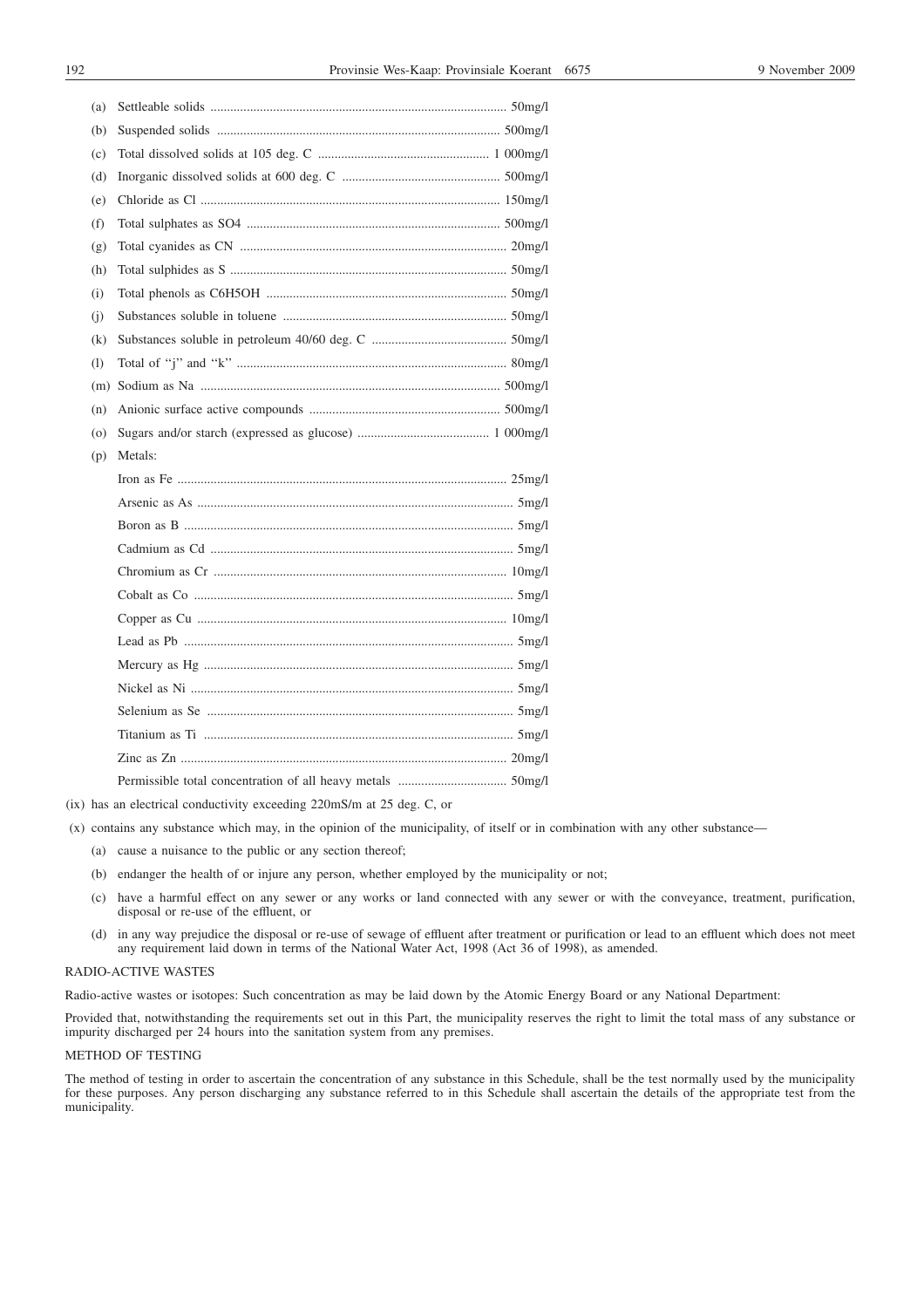| (a) |         |
|-----|---------|
| (b) |         |
| (c) |         |
| (d) |         |
| (e) |         |
| (f) |         |
| (g) |         |
| (h) |         |
| (i) |         |
| (i) |         |
| (k) |         |
| (1) |         |
| (m) |         |
| (n) |         |
| (0) |         |
| (p) | Metals: |
|     |         |
|     |         |
|     |         |
|     |         |
|     |         |
|     |         |
|     |         |
|     |         |
|     |         |
|     |         |
|     |         |
|     |         |
|     |         |
|     |         |

(ix) has an electrical conductivity exceeding 220mS/m at 25 deg. C, or

(x) contains any substance which may, in the opinion of the municipality, of itself or in combination with any other substance—

- (a) cause a nuisance to the public or any section thereof;
- (b) endanger the health of or injure any person, whether employed by the municipality or not;
- (c) have a harmful effect on any sewer or any works or land connected with any sewer or with the conveyance, treatment, purification, disposal or re-use of the effluent, or
- (d) in any way prejudice the disposal or re-use of sewage of effluent after treatment or purification or lead to an effluent which does not meet any requirement laid down in terms of the National Water Act, 1998 (Act 36 of 1998), as amended.

## RADIO-ACTIVE WASTES

Radio-active wastes or isotopes: Such concentration as may be laid down by the Atomic Energy Board or any National Department:

Provided that, notwithstanding the requirements set out in this Part, the municipality reserves the right to limit the total mass of any substance or impurity discharged per 24 hours into the sanitation system from any premises.

## METHOD OF TESTING

The method of testing in order to ascertain the concentration of any substance in this Schedule, shall be the test normally used by the municipality for these purposes. Any person discharging any substance referred to in this Schedule shall ascertain the details of the appropriate test from the municipality.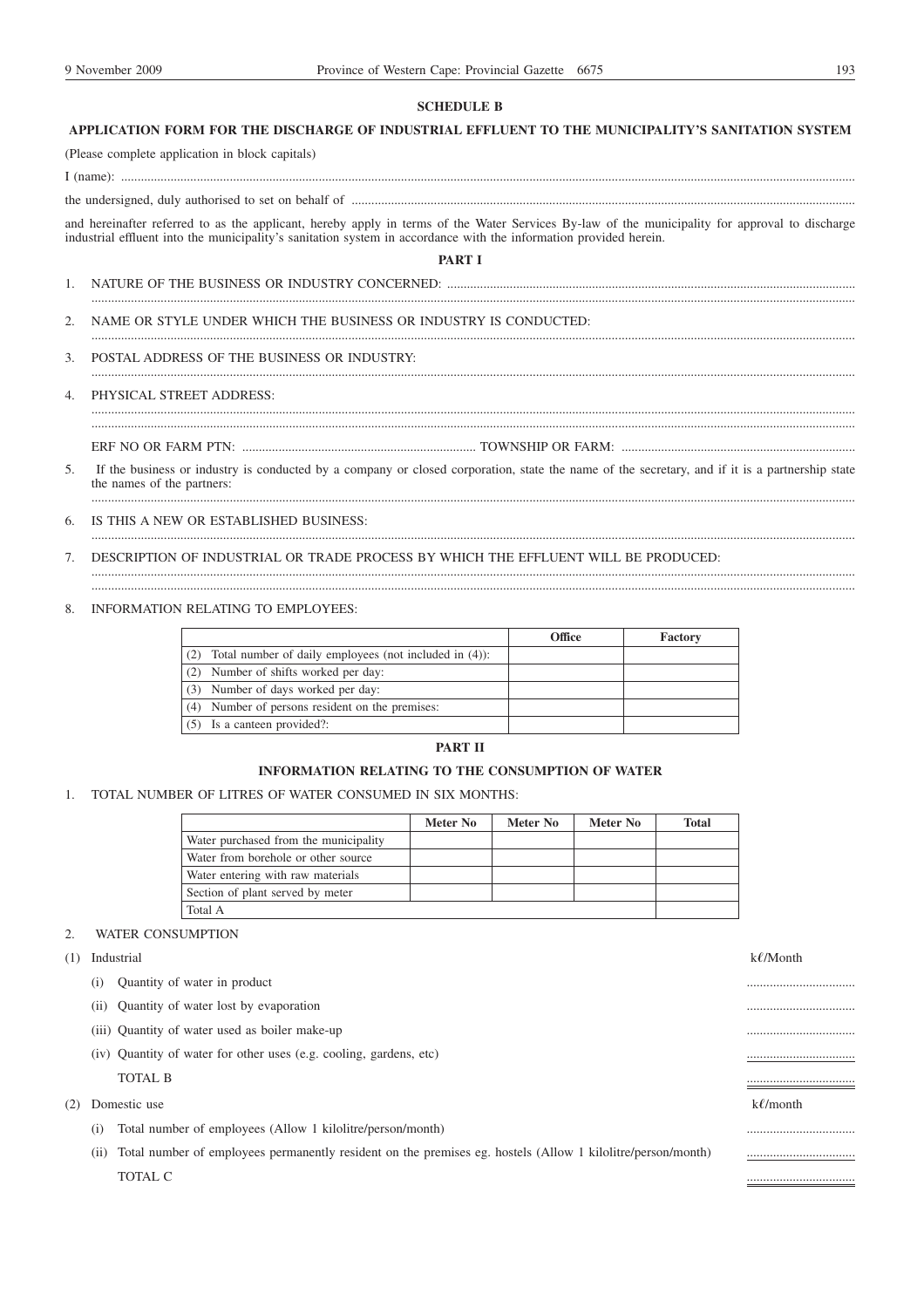## **SCHEDULE B**

# **APPLICATION FORM FOR THE DISCHARGE OF INDUSTRIAL EFFLUENT TO THE MUNICIPALITY'S SANITATION SYSTEM**

I (name): ...............................................................................................................................................................................................................................

the undersigned, duly authorised to set on behalf of .........................................................................................................................................................

(Please complete application in block capitals)

and hereinafter referred to as the applicant, hereby apply in terms of the Water Services By-law of the municipality for approval to discharge industrial effluent into the municipality's sanitation system in accordance with the information provided herein.

**PART I**

........................................................................................................................................................................................................................................

........................................................................................................................................................................................................................................

........................................................................................................................................................................................................................................

- 1. NATURE OF THE BUSINESS OR INDUSTRY CONCERNED: ............................................................................................................................
- 2. NAME OR STYLE UNDER WHICH THE BUSINESS OR INDUSTRY IS CONDUCTED:
- 3. POSTAL ADDRESS OF THE BUSINESS OR INDUSTRY:

#### 4. PHYSICAL STREET ADDRESS:

ERF NO OR FARM PTN: ....................................................................... TOWNSHIP OR FARM: .......................................................................

5. If the business or industry is conducted by a company or closed corporation, state the name of the secretary, and if it is a partnership state the names of the partners:

........................................................................................................................................................................................................................................

........................................................................................................................................................................................................................................

6. IS THIS A NEW OR ESTABLISHED BUSINESS:

........................................................................................................................................................................................................................................

7. DESCRIPTION OF INDUSTRIAL OR TRADE PROCESS BY WHICH THE EFFLUENT WILL BE PRODUCED:

........................................................................................................................................................................................................................................

8. INFORMATION RELATING TO EMPLOYEES:

|                                                        | Office | Factory |
|--------------------------------------------------------|--------|---------|
| Total number of daily employees (not included in (4)): |        |         |
| Number of shifts worked per day:<br>(2)                |        |         |
| Number of days worked per day:<br>(3)                  |        |         |
| Number of persons resident on the premises:<br>(4)     |        |         |
| Is a canteen provided?:                                |        |         |

# **PART II**

## **INFORMATION RELATING TO THE CONSUMPTION OF WATER**

1. TOTAL NUMBER OF LITRES OF WATER CONSUMED IN SIX MONTHS:

|                                       | Meter No | Meter No | Meter No | Total |
|---------------------------------------|----------|----------|----------|-------|
| Water purchased from the municipality |          |          |          |       |
| Water from borehole or other source   |          |          |          |       |
| Water entering with raw materials     |          |          |          |       |
| Section of plant served by meter      |          |          |          |       |
| Total A                               |          |          |          |       |

# 2. WATER CONSUMPTION

- (1) Industrial k**1**/Month
	- (i) Quantity of water in product the contract of the contract of the contract of the contract of the contract of the contract of the contract of the contract of the contract of the contract of the contract of the contract
	- (ii) Quantity of water lost by evaporation .................................
	- (iii) Quantity of water used as boiler make-up .................................
	- (iv) Quantity of water for other uses (e.g. cooling, gardens, etc) ................................. TOTAL B .................................
- (2) Domestic use k**1**/month
	- (i) Total number of employees (Allow 1 kilolitre/person/month) .................................
	- (ii) Total number of employees permanently resident on the premises eg. hostels (Allow 1 kilolitre/person/month) ................................. TOTAL C  $\qquad \qquad \qquad$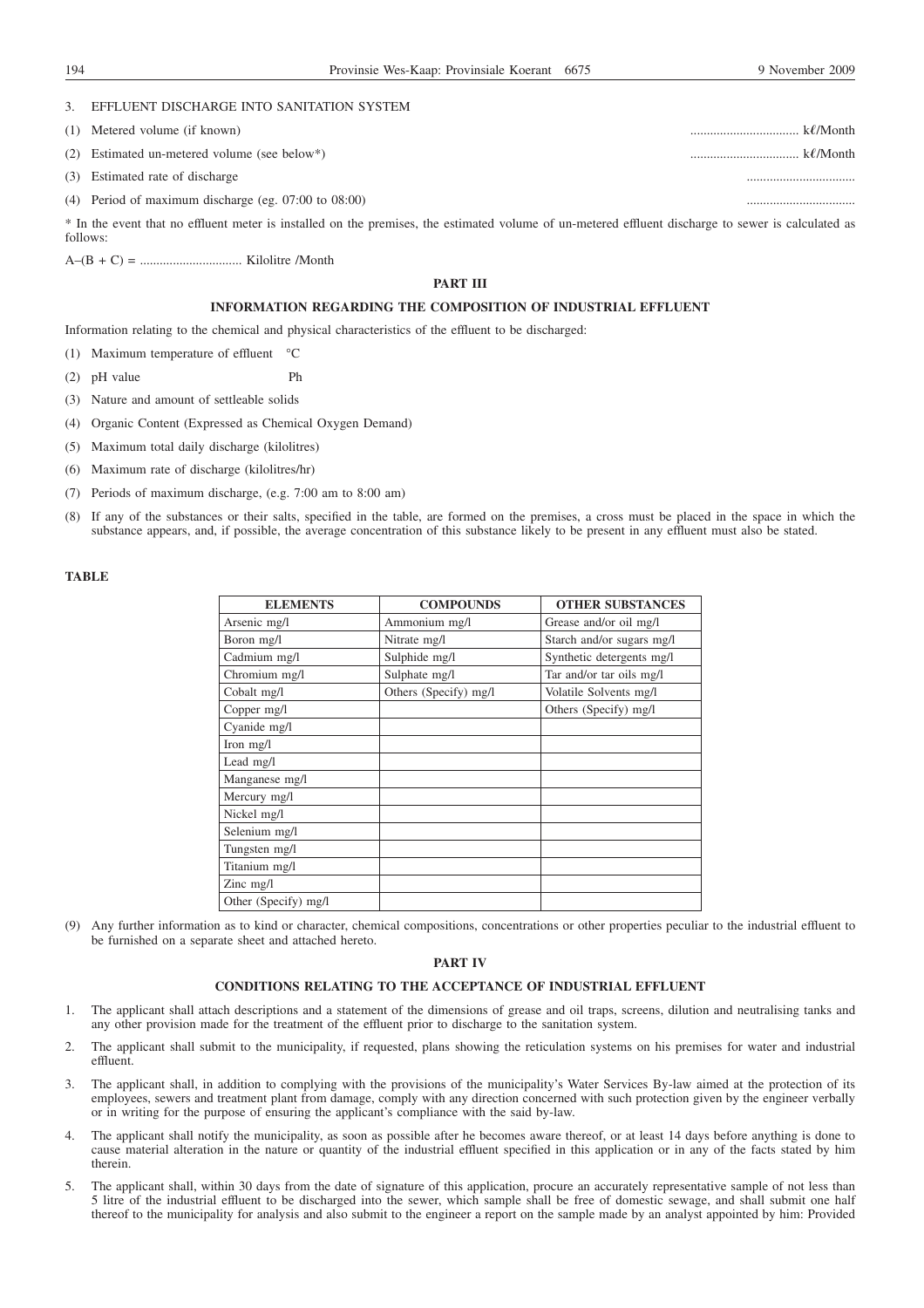#### 3. EFFLUENT DISCHARGE INTO SANITATION SYSTEM

(1) Metered volume (if known) ................................. k**1**/Month

(2) Estimated un-metered volume (see below\*) ................................. k**1**/Month

- (3) Estimated rate of discharge .................................
- (4) Period of maximum discharge (eg.  $07:00$  to  $08:00$ )

\* In the event that no effluent meter is installed on the premises, the estimated volume of un-metered effluent discharge to sewer is calculated as follows:

A–(B + C) = ............................... Kilolitre /Month

## **PART III**

# **INFORMATION REGARDING THE COMPOSITION OF INDUSTRIAL EFFLUENT**

Information relating to the chemical and physical characteristics of the effluent to be discharged:

(1) Maximum temperature of effluent °C

- (2) pH value Ph
- (3) Nature and amount of settleable solids
- (4) Organic Content (Expressed as Chemical Oxygen Demand)
- (5) Maximum total daily discharge (kilolitres)
- (6) Maximum rate of discharge (kilolitres/hr)
- (7) Periods of maximum discharge, (e.g. 7:00 am to 8:00 am)
- (8) If any of the substances or their salts, specified in the table, are formed on the premises, a cross must be placed in the space in which the substance appears, and, if possible, the average concentration of this substance likely to be present in any effluent must also be stated.

## **TABLE**

| <b>ELEMENTS</b>      | <b>COMPOUNDS</b>      | <b>OTHER SUBSTANCES</b>   |
|----------------------|-----------------------|---------------------------|
| Arsenic mg/l         | Ammonium mg/l         | Grease and/or oil mg/l    |
| Boron mg/l           | Nitrate mg/l          | Starch and/or sugars mg/l |
| Cadmium mg/l         | Sulphide mg/l         | Synthetic detergents mg/l |
| Chromium mg/l        | Sulphate mg/l         | Tar and/or tar oils mg/l  |
| Cobalt mg/l          | Others (Specify) mg/l | Volatile Solvents mg/l    |
| Copper mg/l          |                       | Others (Specify) mg/l     |
| Cyanide mg/l         |                       |                           |
| Iron $mg/l$          |                       |                           |
| Lead mg/l            |                       |                           |
| Manganese mg/l       |                       |                           |
| Mercury mg/l         |                       |                           |
| Nickel mg/l          |                       |                           |
| Selenium mg/l        |                       |                           |
| Tungsten mg/l        |                       |                           |
| Titanium mg/l        |                       |                           |
| Zinc $mg/l$          |                       |                           |
| Other (Specify) mg/l |                       |                           |

(9) Any further information as to kind or character, chemical compositions, concentrations or other properties peculiar to the industrial effluent to be furnished on a separate sheet and attached hereto.

# **PART IV**

## **CONDITIONS RELATING TO THE ACCEPTANCE OF INDUSTRIAL EFFLUENT**

- 1. The applicant shall attach descriptions and a statement of the dimensions of grease and oil traps, screens, dilution and neutralising tanks and any other provision made for the treatment of the effluent prior to discharge to the sanitation system.
- 2. The applicant shall submit to the municipality, if requested, plans showing the reticulation systems on his premises for water and industrial effluent.
- 3. The applicant shall, in addition to complying with the provisions of the municipality's Water Services By-law aimed at the protection of its employees, sewers and treatment plant from damage, comply with any direction concerned with such protection given by the engineer verbally or in writing for the purpose of ensuring the applicant's compliance with the said by-law.
- 4. The applicant shall notify the municipality, as soon as possible after he becomes aware thereof, or at least 14 days before anything is done to cause material alteration in the nature or quantity of the industrial effluent specified in this application or in any of the facts stated by him therein.
- 5. The applicant shall, within 30 days from the date of signature of this application, procure an accurately representative sample of not less than 5 litre of the industrial effluent to be discharged into the sewer, which sample shall be free of domestic sewage, and shall submit one half thereof to the municipality for analysis and also submit to the engineer a report on the sample made by an analyst appointed by him: Provided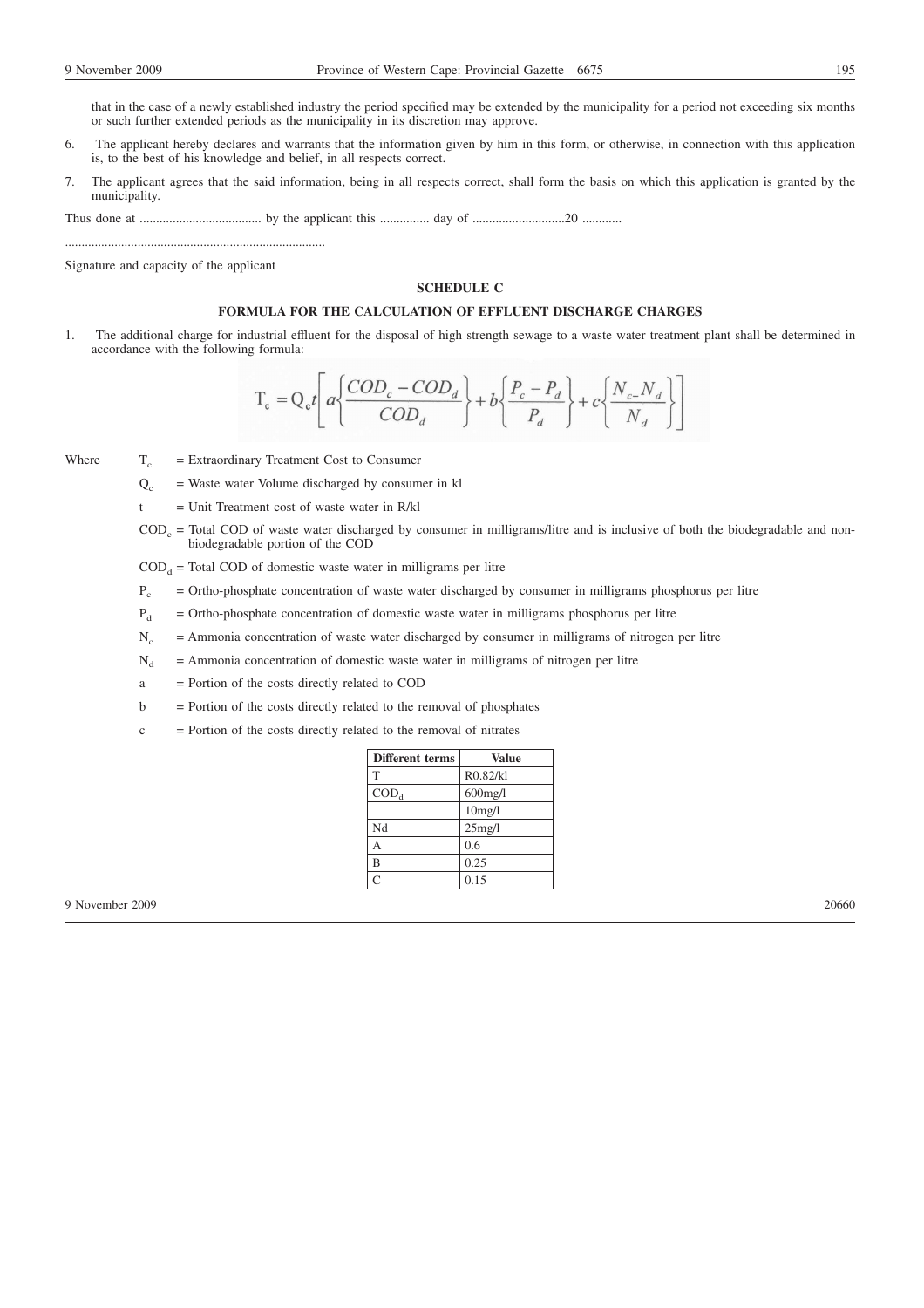- 6. The applicant hereby declares and warrants that the information given by him in this form, or otherwise, in connection with this application is, to the best of his knowledge and belief, in all respects correct.
- 7. The applicant agrees that the said information, being in all respects correct, shall form the basis on which this application is granted by the municipality.

Thus done at ..................................... by the applicant this ............... day of ............................20 ............

Signature and capacity of the applicant

...............................................................................

## **SCHEDULE C**

## **FORMULA FOR THE CALCULATION OF EFFLUENT DISCHARGE CHARGES**

1. The additional charge for industrial effluent for the disposal of high strength sewage to a waste water treatment plant shall be determined in accordance with the following formula:

$$
T_c = Q_c t \left[ a \left\{ \frac{COD_c - COD_d}{COD_d} \right\} + b \left\{ \frac{P_c - P_d}{P_d} \right\} + c \left\{ \frac{N_c - N_d}{N_d} \right\} \right]
$$

Where  $T_c$  = Extraordinary Treatment Cost to Consumer

 $Q_c$  = Waste water Volume discharged by consumer in kl

 $t =$  Unit Treatment cost of waste water in R/kl

 $\text{COD}_c$  = Total COD of waste water discharged by consumer in milligrams/litre and is inclusive of both the biodegradable and nonbiodegradable portion of the COD

 $\text{COD}_a$  = Total COD of domestic waste water in milligrams per litre

 $P_c$  = Ortho-phosphate concentration of waste water discharged by consumer in milligrams phosphorus per litre

 $P_d$  = Ortho-phosphate concentration of domestic waste water in milligrams phosphorus per litre

- $N_c$  = Ammonia concentration of waste water discharged by consumer in milligrams of nitrogen per litre
- $N_d$  = Ammonia concentration of domestic waste water in milligrams of nitrogen per litre
- a = Portion of the costs directly related to COD
- $b =$  Portion of the costs directly related to the removal of phosphates
- $c =$  Portion of the costs directly related to the removal of nitrates

| Different terms | Value      |
|-----------------|------------|
| T               | R0.82/kl   |
| $\text{COD}_d$  | $600$ mg/l |
|                 | 10mg/l     |
| Nd              | 25mg/l     |
| А               | 0.6        |
| B               | 0.25       |
| Ċ               | 0.15       |

9 November 2009 20660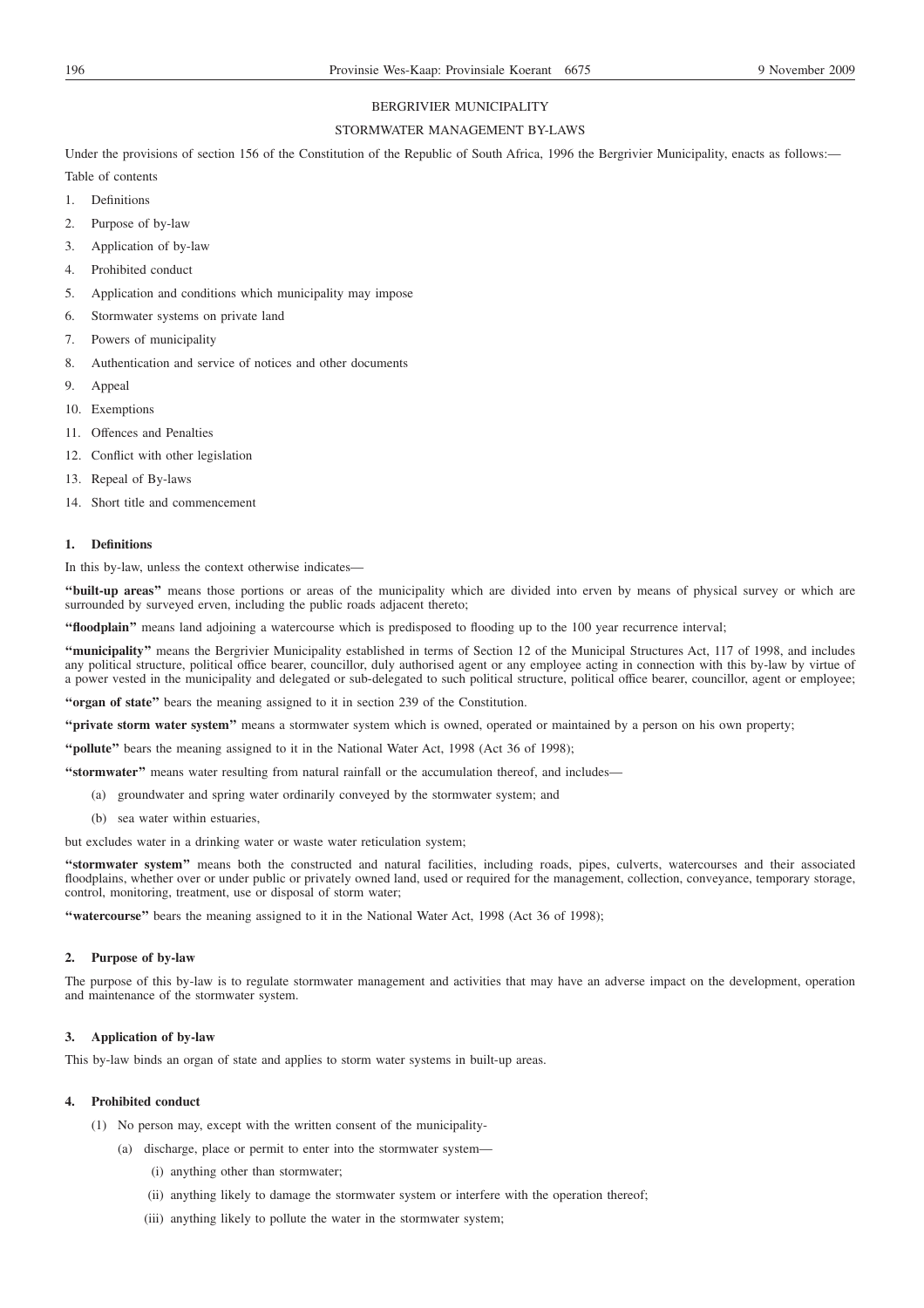# BERGRIVIER MUNICIPALITY

## STORMWATER MANAGEMENT BY-LAWS

Under the provisions of section 156 of the Constitution of the Republic of South Africa, 1996 the Bergrivier Municipality, enacts as follows:-Table of contents

- 1. Definitions
- 2. Purpose of by-law
- 3. Application of by-law
- 4. Prohibited conduct
- 5. Application and conditions which municipality may impose
- 6. Stormwater systems on private land
- 7. Powers of municipality
- 8. Authentication and service of notices and other documents
- 9. Appeal
- 10. Exemptions
- 11. Offences and Penalties
- 12. Conflict with other legislation
- 13. Repeal of By-laws
- 14. Short title and commencement

## **1. Definitions**

In this by-law, unless the context otherwise indicates—

**''built-up areas''** means those portions or areas of the municipality which are divided into erven by means of physical survey or which are surrounded by surveyed erven, including the public roads adjacent thereto;

**''floodplain''** means land adjoining a watercourse which is predisposed to flooding up to the 100 year recurrence interval;

**''municipality''** means the Bergrivier Municipality established in terms of Section 12 of the Municipal Structures Act, 117 of 1998, and includes any political structure, political office bearer, councillor, duly authorised agent or any employee acting in connection with this by-law by virtue of a power vested in the municipality and delegated or sub-delegated to such political structure, political office bearer, councillor, agent or employee;

**''organ of state''** bears the meaning assigned to it in section 239 of the Constitution.

**''private storm water system''** means a stormwater system which is owned, operated or maintained by a person on his own property;

**''pollute''** bears the meaning assigned to it in the National Water Act, 1998 (Act 36 of 1998);

**''stormwater''** means water resulting from natural rainfall or the accumulation thereof, and includes—

- (a) groundwater and spring water ordinarily conveyed by the stormwater system; and
- (b) sea water within estuaries,

but excludes water in a drinking water or waste water reticulation system;

**''stormwater system''** means both the constructed and natural facilities, including roads, pipes, culverts, watercourses and their associated floodplains, whether over or under public or privately owned land, used or required for the management, collection, conveyance, temporary storage, control, monitoring, treatment, use or disposal of storm water;

**''watercourse''** bears the meaning assigned to it in the National Water Act, 1998 (Act 36 of 1998);

## **2. Purpose of by-law**

The purpose of this by-law is to regulate stormwater management and activities that may have an adverse impact on the development, operation and maintenance of the stormwater system.

## **3. Application of by-law**

This by-law binds an organ of state and applies to storm water systems in built-up areas.

## **4. Prohibited conduct**

- (1) No person may, except with the written consent of the municipality-
	- (a) discharge, place or permit to enter into the stormwater system—
		- (i) anything other than stormwater;
		- (ii) anything likely to damage the stormwater system or interfere with the operation thereof;
		- (iii) anything likely to pollute the water in the stormwater system;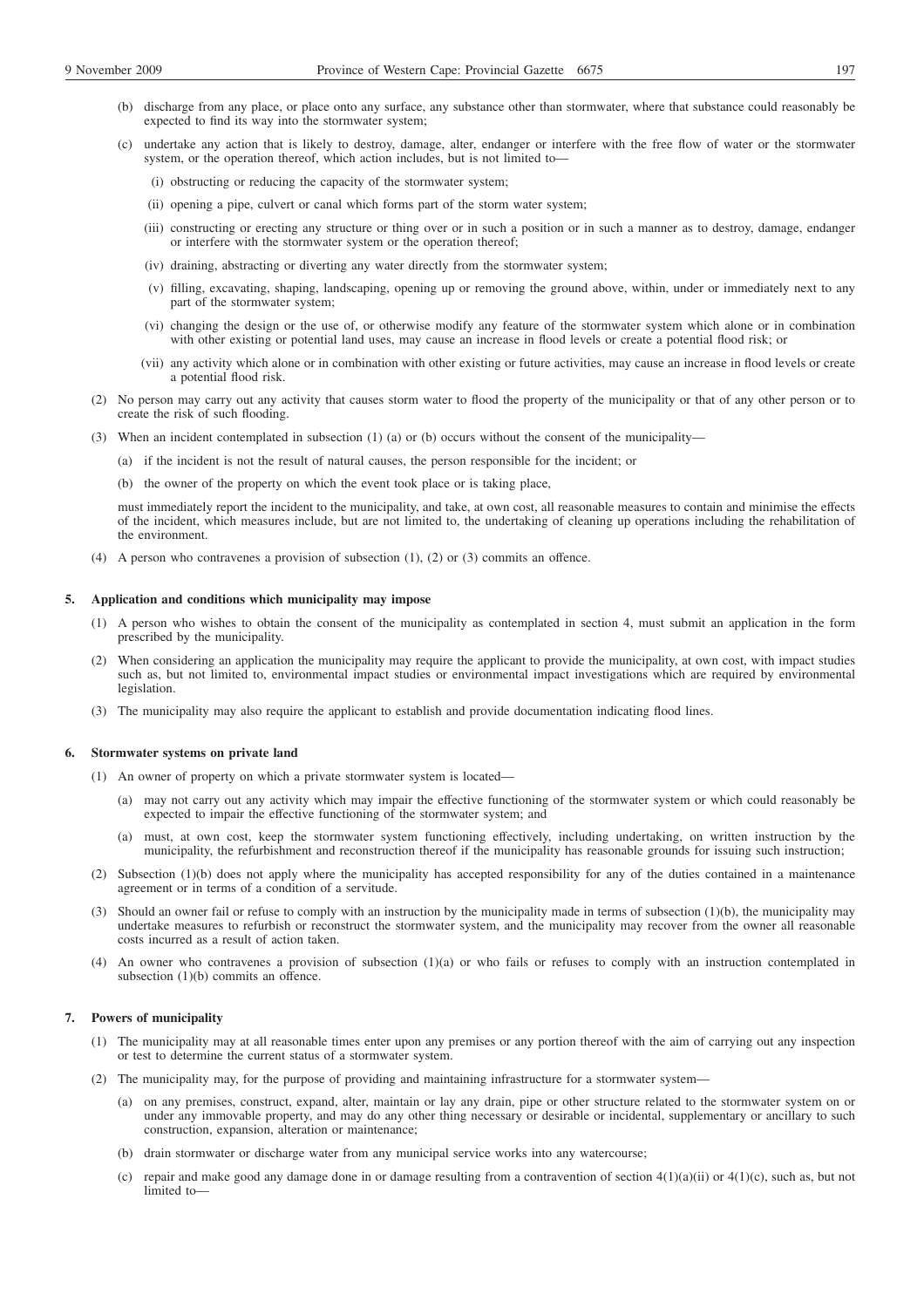- (b) discharge from any place, or place onto any surface, any substance other than stormwater, where that substance could reasonably be expected to find its way into the stormwater system;
- (c) undertake any action that is likely to destroy, damage, alter, endanger or interfere with the free flow of water or the stormwater system, or the operation thereof, which action includes, but is not limited to—
	- (i) obstructing or reducing the capacity of the stormwater system;
	- (ii) opening a pipe, culvert or canal which forms part of the storm water system;
	- (iii) constructing or erecting any structure or thing over or in such a position or in such a manner as to destroy, damage, endanger or interfere with the stormwater system or the operation thereof;
	- (iv) draining, abstracting or diverting any water directly from the stormwater system;
	- (v) filling, excavating, shaping, landscaping, opening up or removing the ground above, within, under or immediately next to any part of the stormwater system;
	- (vi) changing the design or the use of, or otherwise modify any feature of the stormwater system which alone or in combination with other existing or potential land uses, may cause an increase in flood levels or create a potential flood risk; or
	- (vii) any activity which alone or in combination with other existing or future activities, may cause an increase in flood levels or create a potential flood risk.
- (2) No person may carry out any activity that causes storm water to flood the property of the municipality or that of any other person or to create the risk of such flooding.
- (3) When an incident contemplated in subsection (1) (a) or (b) occurs without the consent of the municipality—
	- (a) if the incident is not the result of natural causes, the person responsible for the incident; or
	- (b) the owner of the property on which the event took place or is taking place,

must immediately report the incident to the municipality, and take, at own cost, all reasonable measures to contain and minimise the effects of the incident, which measures include, but are not limited to, the undertaking of cleaning up operations including the rehabilitation of the environment.

(4) A person who contravenes a provision of subsection (1), (2) or (3) commits an offence.

## **5. Application and conditions which municipality may impose**

- (1) A person who wishes to obtain the consent of the municipality as contemplated in section 4, must submit an application in the form prescribed by the municipality.
- (2) When considering an application the municipality may require the applicant to provide the municipality, at own cost, with impact studies such as, but not limited to, environmental impact studies or environmental impact investigations which are required by environmental legislation.
- (3) The municipality may also require the applicant to establish and provide documentation indicating flood lines.

#### **6. Stormwater systems on private land**

- (1) An owner of property on which a private stormwater system is located—
	- (a) may not carry out any activity which may impair the effective functioning of the stormwater system or which could reasonably be expected to impair the effective functioning of the stormwater system; and
	- (a) must, at own cost, keep the stormwater system functioning effectively, including undertaking, on written instruction by the municipality, the refurbishment and reconstruction thereof if the municipality has reasonable grounds for issuing such instruction;
- (2) Subsection (1)(b) does not apply where the municipality has accepted responsibility for any of the duties contained in a maintenance agreement or in terms of a condition of a servitude.
- (3) Should an owner fail or refuse to comply with an instruction by the municipality made in terms of subsection (1)(b), the municipality may undertake measures to refurbish or reconstruct the stormwater system, and the municipality may recover from the owner all reasonable costs incurred as a result of action taken.
- (4) An owner who contravenes a provision of subsection (1)(a) or who fails or refuses to comply with an instruction contemplated in subsection  $(1)(b)$  commits an offence.

## **7. Powers of municipality**

- (1) The municipality may at all reasonable times enter upon any premises or any portion thereof with the aim of carrying out any inspection or test to determine the current status of a stormwater system.
- (2) The municipality may, for the purpose of providing and maintaining infrastructure for a stormwater system—
	- (a) on any premises, construct, expand, alter, maintain or lay any drain, pipe or other structure related to the stormwater system on or under any immovable property, and may do any other thing necessary or desirable or incidental, supplementary or ancillary to such construction, expansion, alteration or maintenance;
	- (b) drain stormwater or discharge water from any municipal service works into any watercourse;
	- (c) repair and make good any damage done in or damage resulting from a contravention of section  $4(1)(a)(ii)$  or  $4(1)(c)$ , such as, but not limited to—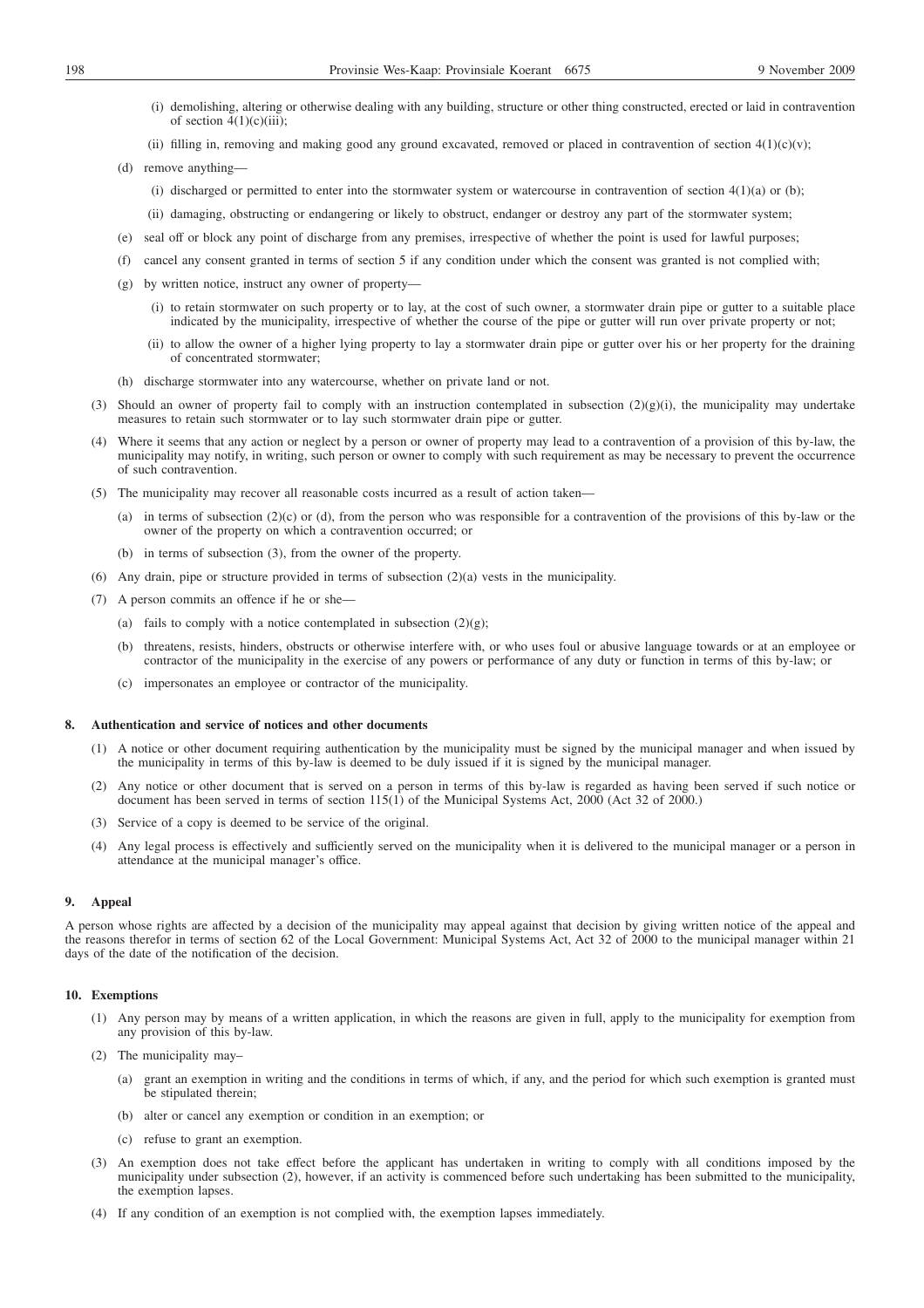- (i) demolishing, altering or otherwise dealing with any building, structure or other thing constructed, erected or laid in contravention of section  $4(1)(c)(iii)$ ;
- (ii) filling in, removing and making good any ground excavated, removed or placed in contravention of section  $4(1)(c)(v)$ ;
- (d) remove anything—
	- (i) discharged or permitted to enter into the stormwater system or watercourse in contravention of section  $4(1)(a)$  or (b);
	- (ii) damaging, obstructing or endangering or likely to obstruct, endanger or destroy any part of the stormwater system;
- (e) seal off or block any point of discharge from any premises, irrespective of whether the point is used for lawful purposes;
- (f) cancel any consent granted in terms of section 5 if any condition under which the consent was granted is not complied with;
- (g) by written notice, instruct any owner of property—
	- (i) to retain stormwater on such property or to lay, at the cost of such owner, a stormwater drain pipe or gutter to a suitable place indicated by the municipality, irrespective of whether the course of the pipe or gutter will run over private property or not;
	- (ii) to allow the owner of a higher lying property to lay a stormwater drain pipe or gutter over his or her property for the draining of concentrated stormwater;
- (h) discharge stormwater into any watercourse, whether on private land or not.
- (3) Should an owner of property fail to comply with an instruction contemplated in subsection  $(2)(g)(i)$ , the municipality may undertake measures to retain such stormwater or to lay such stormwater drain pipe or gutter.
- (4) Where it seems that any action or neglect by a person or owner of property may lead to a contravention of a provision of this by-law, the municipality may notify, in writing, such person or owner to comply with such requirement as may be necessary to prevent the occurrence of such contravention.
- (5) The municipality may recover all reasonable costs incurred as a result of action taken—
	- (a) in terms of subsection (2)(c) or (d), from the person who was responsible for a contravention of the provisions of this by-law or the owner of the property on which a contravention occurred; or
	- (b) in terms of subsection (3), from the owner of the property.
- (6) Any drain, pipe or structure provided in terms of subsection  $(2)(a)$  vests in the municipality.
- (7) A person commits an offence if he or she—
	- (a) fails to comply with a notice contemplated in subsection  $(2)(g)$ ;
	- (b) threatens, resists, hinders, obstructs or otherwise interfere with, or who uses foul or abusive language towards or at an employee or contractor of the municipality in the exercise of any powers or performance of any duty or function in terms of this by-law; or
	- (c) impersonates an employee or contractor of the municipality.

## **8. Authentication and service of notices and other documents**

- (1) A notice or other document requiring authentication by the municipality must be signed by the municipal manager and when issued by the municipality in terms of this by-law is deemed to be duly issued if it is signed by the municipal manager.
- (2) Any notice or other document that is served on a person in terms of this by-law is regarded as having been served if such notice or document has been served in terms of section 115(1) of the Municipal Systems Act, 2000 (Act 32 of 2000.)
- (3) Service of a copy is deemed to be service of the original.
- (4) Any legal process is effectively and sufficiently served on the municipality when it is delivered to the municipal manager or a person in attendance at the municipal manager's office.

#### **9. Appeal**

A person whose rights are affected by a decision of the municipality may appeal against that decision by giving written notice of the appeal and the reasons therefor in terms of section 62 of the Local Government: Municipal Systems Act, Act 32 of 2000 to the municipal manager within 21 days of the date of the notification of the decision.

## **10. Exemptions**

- (1) Any person may by means of a written application, in which the reasons are given in full, apply to the municipality for exemption from any provision of this by-law.
- (2) The municipality may–
	- (a) grant an exemption in writing and the conditions in terms of which, if any, and the period for which such exemption is granted must be stipulated therein;
	- (b) alter or cancel any exemption or condition in an exemption; or
	- (c) refuse to grant an exemption.
- (3) An exemption does not take effect before the applicant has undertaken in writing to comply with all conditions imposed by the municipality under subsection (2), however, if an activity is commenced before such undertaking has been submitted to the municipality, the exemption lapses.
- (4) If any condition of an exemption is not complied with, the exemption lapses immediately.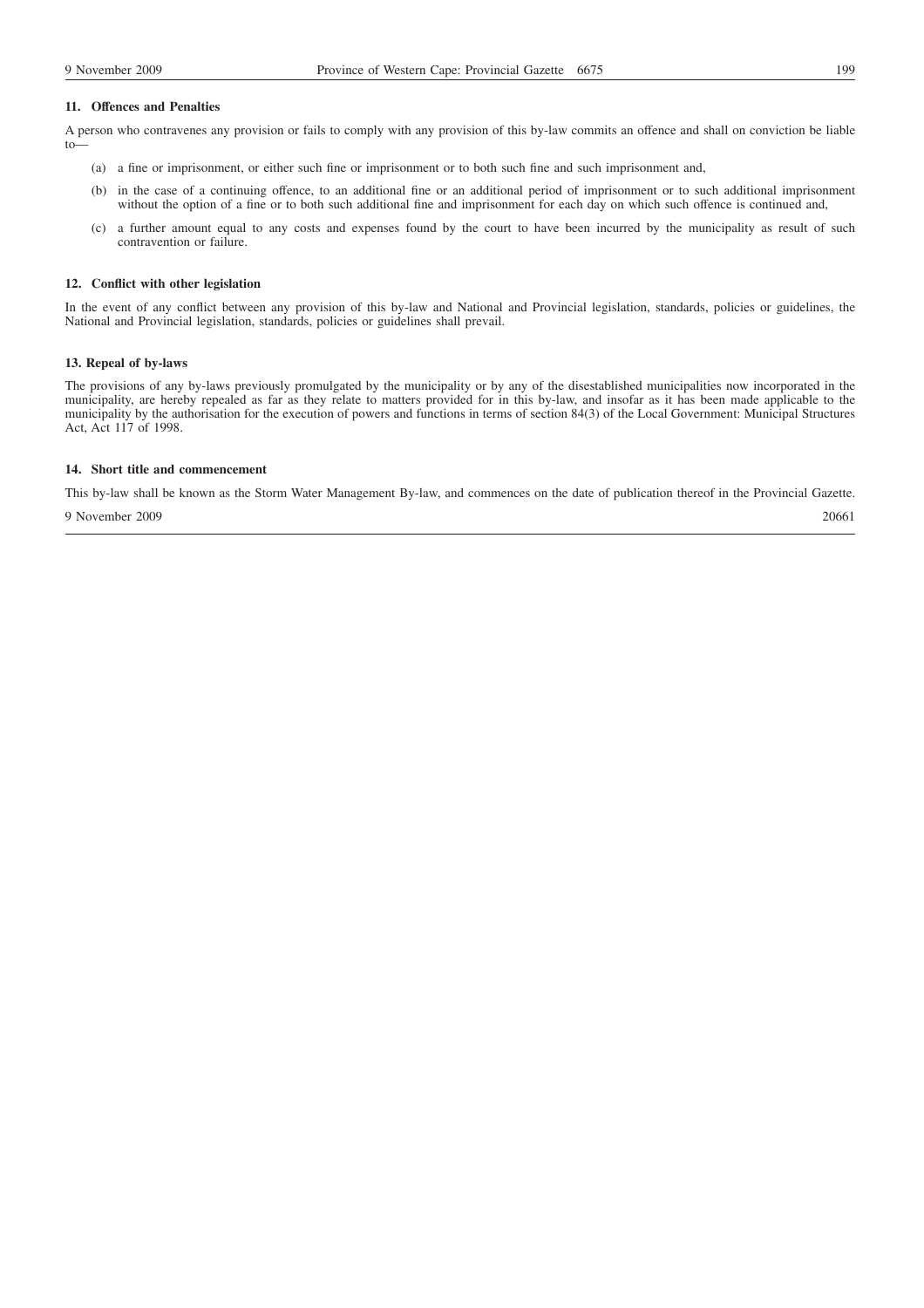### **11. Offences and Penalties**

A person who contravenes any provision or fails to comply with any provision of this by-law commits an offence and shall on conviction be liable to—

- (a) a fine or imprisonment, or either such fine or imprisonment or to both such fine and such imprisonment and,
- (b) in the case of a continuing offence, to an additional fine or an additional period of imprisonment or to such additional imprisonment without the option of a fine or to both such additional fine and imprisonment for each day on which such offence is continued and,
- (c) a further amount equal to any costs and expenses found by the court to have been incurred by the municipality as result of such contravention or failure.

## **12. Conflict with other legislation**

In the event of any conflict between any provision of this by-law and National and Provincial legislation, standards, policies or guidelines, the National and Provincial legislation, standards, policies or guidelines shall prevail.

## **13. Repeal of by-laws**

The provisions of any by-laws previously promulgated by the municipality or by any of the disestablished municipalities now incorporated in the municipality, are hereby repealed as far as they relate to matters provided for in this by-law, and insofar as it has been made applicable to the municipality by the authorisation for the execution of powers and functions in terms of section 84(3) of the Local Government: Municipal Structures Act, Act 117 of 1998.

## **14. Short title and commencement**

This by-law shall be known as the Storm Water Management By-law, and commences on the date of publication thereof in the Provincial Gazette. 9 November 2009 20661